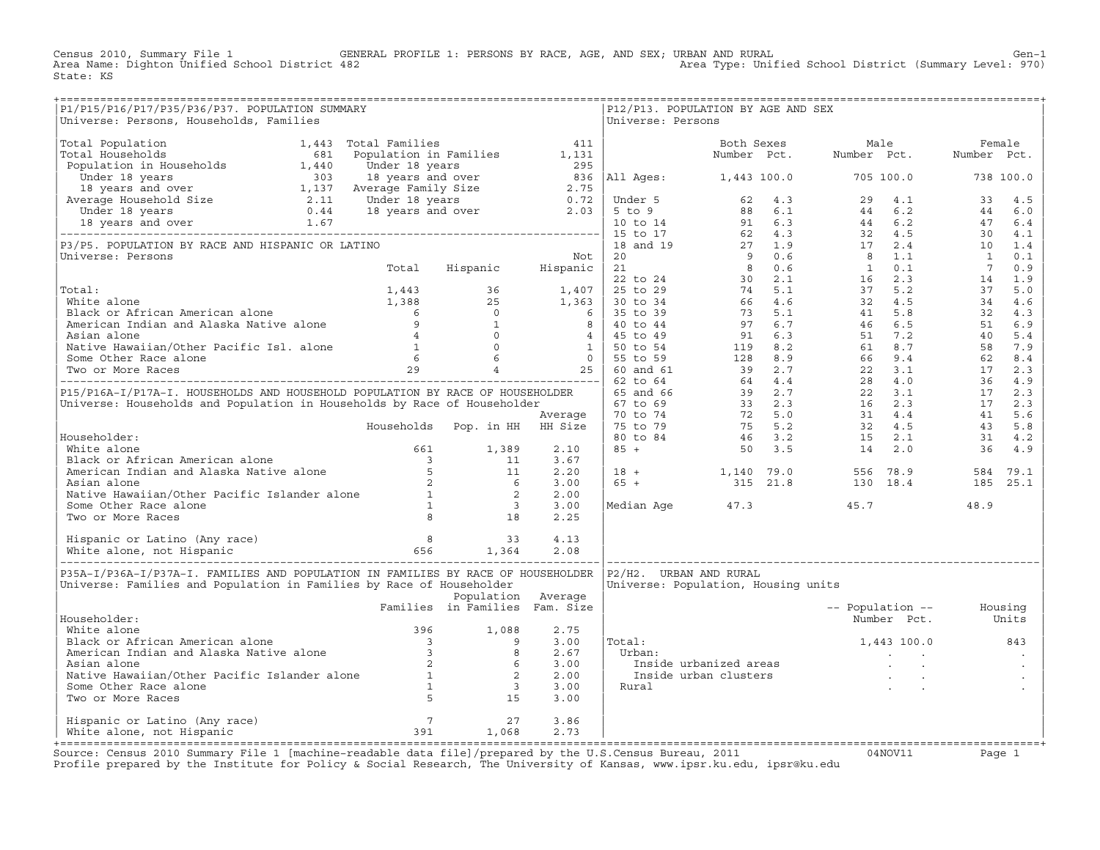Census 2010, Summary File 1 GENERAL PROFILE 1: PERSONS BY RACE, AGE, AND SEX; URBAN AND RURAL Gen−1<br>Area Name: Dighton Unified School District 482 Area Type: Unified School District (Summary Level: 970) Area Type: Unified School District (Summary Level: 970) State: KS

| P1/P15/P16/P17/P35/P36/P37. POPULATION SUMMARY<br>Universe: Persons, Households, Families                                                                                                                                                      |                                |                    |      | Universe: Persons      | ------------------------<br>P12/P13. POPULATION BY AGE AND SEX                                                                                                 |                          |                   |
|------------------------------------------------------------------------------------------------------------------------------------------------------------------------------------------------------------------------------------------------|--------------------------------|--------------------|------|------------------------|----------------------------------------------------------------------------------------------------------------------------------------------------------------|--------------------------|-------------------|
|                                                                                                                                                                                                                                                |                                |                    |      |                        |                                                                                                                                                                |                          |                   |
|                                                                                                                                                                                                                                                |                                |                    |      |                        |                                                                                                                                                                |                          |                   |
|                                                                                                                                                                                                                                                |                                |                    |      |                        |                                                                                                                                                                |                          |                   |
|                                                                                                                                                                                                                                                |                                |                    |      |                        |                                                                                                                                                                |                          |                   |
|                                                                                                                                                                                                                                                |                                |                    |      |                        |                                                                                                                                                                |                          |                   |
|                                                                                                                                                                                                                                                |                                |                    |      |                        |                                                                                                                                                                |                          |                   |
|                                                                                                                                                                                                                                                |                                |                    |      |                        |                                                                                                                                                                |                          |                   |
|                                                                                                                                                                                                                                                |                                |                    |      |                        |                                                                                                                                                                |                          |                   |
|                                                                                                                                                                                                                                                |                                |                    |      |                        |                                                                                                                                                                |                          |                   |
|                                                                                                                                                                                                                                                |                                |                    |      |                        |                                                                                                                                                                |                          |                   |
|                                                                                                                                                                                                                                                |                                |                    |      |                        |                                                                                                                                                                |                          |                   |
|                                                                                                                                                                                                                                                |                                |                    |      |                        |                                                                                                                                                                |                          |                   |
|                                                                                                                                                                                                                                                |                                |                    |      |                        |                                                                                                                                                                |                          |                   |
|                                                                                                                                                                                                                                                |                                |                    |      |                        |                                                                                                                                                                |                          |                   |
|                                                                                                                                                                                                                                                |                                |                    |      |                        |                                                                                                                                                                |                          |                   |
|                                                                                                                                                                                                                                                |                                |                    |      |                        |                                                                                                                                                                |                          |                   |
|                                                                                                                                                                                                                                                |                                |                    |      |                        |                                                                                                                                                                |                          |                   |
|                                                                                                                                                                                                                                                |                                |                    |      |                        |                                                                                                                                                                |                          |                   |
|                                                                                                                                                                                                                                                |                                |                    |      |                        |                                                                                                                                                                |                          |                   |
|                                                                                                                                                                                                                                                |                                |                    |      |                        |                                                                                                                                                                |                          |                   |
|                                                                                                                                                                                                                                                |                                |                    |      |                        |                                                                                                                                                                |                          |                   |
|                                                                                                                                                                                                                                                |                                |                    |      |                        |                                                                                                                                                                |                          |                   |
|                                                                                                                                                                                                                                                |                                |                    |      |                        |                                                                                                                                                                |                          |                   |
|                                                                                                                                                                                                                                                |                                |                    | 3.67 |                        |                                                                                                                                                                |                          |                   |
|                                                                                                                                                                                                                                                |                                |                    | 2.20 |                        | $\begin{array}{cccccccc} 18 & + & & & 1,140 & 79.0 & & & 556 & 78.9 & & & 584 & 79.1 \\ 65 & + & & & 315 & 21.8 & & & 130 & 18.4 & & & 185 & 25.1 \end{array}$ |                          |                   |
|                                                                                                                                                                                                                                                |                                |                    | 3.00 |                        |                                                                                                                                                                |                          |                   |
|                                                                                                                                                                                                                                                |                                |                    | 2.00 |                        |                                                                                                                                                                |                          |                   |
| Householder:<br>White alone<br>Black or African American alone<br>Black or African American alone<br>American Indian and Alaska Native alone<br>Asian alone<br>Native Hawaiian/Other Pacific Islander alone<br>Some Other Race alone<br>Two or |                                |                    | 3.00 |                        | Median Age 47.3                                                                                                                                                | 45.7                     | 48.9              |
|                                                                                                                                                                                                                                                |                                |                    | 2.25 |                        |                                                                                                                                                                |                          |                   |
|                                                                                                                                                                                                                                                |                                |                    |      |                        |                                                                                                                                                                |                          |                   |
|                                                                                                                                                                                                                                                |                                |                    |      |                        |                                                                                                                                                                |                          |                   |
| P35A-I/P36A-I/P37A-I. FAMILIES AND POPULATION IN FAMILIES BY RACE OF HOUSEHOLDER<br>Universe: Families and Population in Families by Race of Householder                                                                                       |                                | Population Average |      | P2/H2. URBAN AND RURAL | Universe: Population, Housing units                                                                                                                            |                          |                   |
| Householder:                                                                                                                                                                                                                                   | Families in Families Fam. Size |                    |      |                        |                                                                                                                                                                | -- Population -- Housing | Number Pct. Units |
|                                                                                                                                                                                                                                                |                                |                    | 2.75 |                        |                                                                                                                                                                |                          |                   |
|                                                                                                                                                                                                                                                |                                |                    | 3.00 | Total:                 |                                                                                                                                                                | 1,443 100.0              | 843               |
|                                                                                                                                                                                                                                                |                                |                    | 2.67 | Urban:                 |                                                                                                                                                                |                          |                   |
|                                                                                                                                                                                                                                                |                                |                    | 3.00 |                        | rban:<br>- Inside urbanized areas<br>- Inside urban clusters<br>ural                                                                                           |                          |                   |
|                                                                                                                                                                                                                                                |                                |                    | 2.00 |                        |                                                                                                                                                                |                          |                   |
| Notes<br>National Black or African American alone<br>National Black or African American alone<br>American Indian and Alaska Native alone<br>Asian alone<br>Native Hawaiian/Other Pacific Islander alone<br>2 6<br>Some Other Race alone<br>Two |                                |                    | 3.00 | Rural                  |                                                                                                                                                                |                          |                   |
|                                                                                                                                                                                                                                                |                                |                    | 3.00 |                        |                                                                                                                                                                |                          |                   |
| Hispanic or Latino (Any race) 7 1 27<br>White alone, not Hispanic 1,068                                                                                                                                                                        |                                |                    | 3.86 |                        |                                                                                                                                                                |                          |                   |
|                                                                                                                                                                                                                                                |                                |                    | 2.73 |                        |                                                                                                                                                                |                          |                   |
|                                                                                                                                                                                                                                                |                                |                    |      |                        |                                                                                                                                                                |                          |                   |

+===================================================================================================================================================+Source: Census 2010 Summary File 1 [machine−readable data file]/prepared by the U.S.Census Bureau, 2011 04NOV11 Page 1 Profile prepared by the Institute for Policy & Social Research, The University of Kansas, www.ipsr.ku.edu, ipsr@ku.edu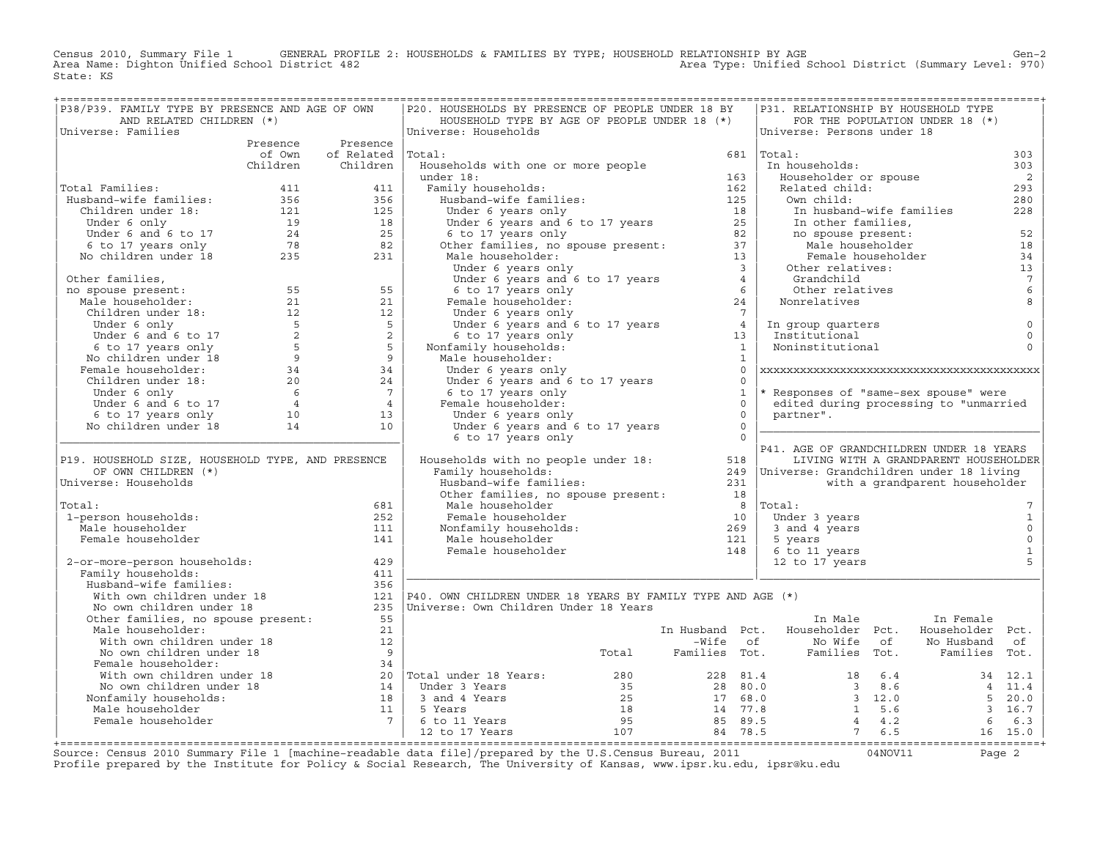Census 2010, Summary File 1 GENERAL PROFILE 2: HOUSEHOLDS & FAMILIES BY TYPE; HOUSEHOLD RELATIONSHIP BY AGE GEN<br>Area Name: Dighton Unified School District 482 Area Type: Unified School District (Summary Level: 970) State: KS

| P38/P39. FAMILY TYPE BY PRESENCE AND AGE OF OWN                                                                                                                                                                                                       |                          | P20. HOUSEHOLDS BY PRESENCE OF PEOPLE UNDER 18 BY                                                                                                                                                                                                                                      |                |              | P31. RELATIONSHIP BY HOUSEHOLD TYPE                                                                                                              |                                       |                            |
|-------------------------------------------------------------------------------------------------------------------------------------------------------------------------------------------------------------------------------------------------------|--------------------------|----------------------------------------------------------------------------------------------------------------------------------------------------------------------------------------------------------------------------------------------------------------------------------------|----------------|--------------|--------------------------------------------------------------------------------------------------------------------------------------------------|---------------------------------------|----------------------------|
| AND RELATED CHILDREN (*)                                                                                                                                                                                                                              |                          | HOUSEHOLD TYPE BY AGE OF PEOPLE UNDER 18 (*)                                                                                                                                                                                                                                           |                |              |                                                                                                                                                  | FOR THE POPULATION UNDER 18 (*)       |                            |
| Universe: Families                                                                                                                                                                                                                                    |                          | Universe: Households                                                                                                                                                                                                                                                                   |                |              | Universe: Persons under 18                                                                                                                       |                                       |                            |
|                                                                                                                                                                                                                                                       | Presence Presence        |                                                                                                                                                                                                                                                                                        |                |              |                                                                                                                                                  |                                       |                            |
|                                                                                                                                                                                                                                                       | of Own of Related Total: |                                                                                                                                                                                                                                                                                        |                |              | $681$  Total:                                                                                                                                    |                                       | 303                        |
|                                                                                                                                                                                                                                                       | Children Children        | Households with one or more people<br>boundary<br>Households with one or more people<br>under 18:<br>Tamily households:<br>Husband-wife families:<br>Under 6 years and 6 to 17 years<br>Under 6 years and 6 to 17 years<br>25<br>6 to 17 years only<br>Other families, no spouse prese |                |              | In households:                                                                                                                                   |                                       | 303                        |
|                                                                                                                                                                                                                                                       |                          |                                                                                                                                                                                                                                                                                        |                |              | Householder or spouse                                                                                                                            |                                       | $\overline{\phantom{0}}$   |
| Total Families:<br>Total Families:<br>Husband-wife families:<br>211 11<br>Husband-wife families: 356 356<br>Children under 18: 121 125<br>Under 6 only 19 18<br>Under 6 and 6 to 17 24 25<br>6 to 17 years only 78 82<br>No children under 18 235 231 |                          |                                                                                                                                                                                                                                                                                        |                |              | Related child:                                                                                                                                   |                                       | 293                        |
|                                                                                                                                                                                                                                                       |                          |                                                                                                                                                                                                                                                                                        |                |              | Own child:                                                                                                                                       |                                       | 280                        |
|                                                                                                                                                                                                                                                       |                          |                                                                                                                                                                                                                                                                                        |                |              |                                                                                                                                                  | In husband-wife families              | 228                        |
|                                                                                                                                                                                                                                                       |                          |                                                                                                                                                                                                                                                                                        |                |              |                                                                                                                                                  |                                       |                            |
|                                                                                                                                                                                                                                                       |                          |                                                                                                                                                                                                                                                                                        |                |              |                                                                                                                                                  |                                       | 52<br>18                   |
|                                                                                                                                                                                                                                                       |                          |                                                                                                                                                                                                                                                                                        |                |              | In husband-wife families<br>In other families,<br>no spouse present:<br>Male householder<br>Female householder<br>Other relatives:<br>Changebild |                                       |                            |
|                                                                                                                                                                                                                                                       |                          |                                                                                                                                                                                                                                                                                        |                |              |                                                                                                                                                  |                                       | 34                         |
|                                                                                                                                                                                                                                                       |                          |                                                                                                                                                                                                                                                                                        |                |              |                                                                                                                                                  |                                       | 13<br>$7^{\circ}$          |
|                                                                                                                                                                                                                                                       |                          |                                                                                                                                                                                                                                                                                        |                |              | Grandchild<br>Grandcniiu<br>Other relatives                                                                                                      |                                       | $\epsilon$                 |
|                                                                                                                                                                                                                                                       |                          |                                                                                                                                                                                                                                                                                        |                |              | Nonrelatives                                                                                                                                     |                                       | 8                          |
|                                                                                                                                                                                                                                                       |                          |                                                                                                                                                                                                                                                                                        |                |              |                                                                                                                                                  |                                       |                            |
|                                                                                                                                                                                                                                                       |                          |                                                                                                                                                                                                                                                                                        |                |              |                                                                                                                                                  |                                       |                            |
|                                                                                                                                                                                                                                                       |                          |                                                                                                                                                                                                                                                                                        |                |              | In group quarters<br>Institutional<br>Noninstitutional                                                                                           |                                       | $\mathsf 0$<br>$\mathbf 0$ |
|                                                                                                                                                                                                                                                       |                          |                                                                                                                                                                                                                                                                                        |                |              |                                                                                                                                                  |                                       | $\Omega$                   |
|                                                                                                                                                                                                                                                       |                          |                                                                                                                                                                                                                                                                                        |                |              |                                                                                                                                                  |                                       |                            |
|                                                                                                                                                                                                                                                       |                          | Under 6 years only                                                                                                                                                                                                                                                                     |                | $\Omega$     |                                                                                                                                                  |                                       |                            |
|                                                                                                                                                                                                                                                       |                          |                                                                                                                                                                                                                                                                                        |                | $\Omega$     |                                                                                                                                                  |                                       |                            |
|                                                                                                                                                                                                                                                       |                          |                                                                                                                                                                                                                                                                                        |                | $\mathbf{1}$ | * Responses of "same-sex spouse" were                                                                                                            |                                       |                            |
|                                                                                                                                                                                                                                                       |                          |                                                                                                                                                                                                                                                                                        |                | $\Omega$     | edited during processing to "unmarried                                                                                                           |                                       |                            |
|                                                                                                                                                                                                                                                       |                          |                                                                                                                                                                                                                                                                                        | $\overline{0}$ |              | partner".                                                                                                                                        |                                       |                            |
|                                                                                                                                                                                                                                                       |                          | Under 6 years and 6 to 17 years<br>6 to 17 years and 6 to 17 years<br>Female householder:<br>Under 6 years only<br>Under 6 years and 6 to 17 years<br>Under $\frac{1}{2}$ years and $\frac{1}{2}$ to 17 years                                                                          | $\overline{0}$ |              |                                                                                                                                                  |                                       |                            |
|                                                                                                                                                                                                                                                       |                          | 6 to 17 years only                                                                                                                                                                                                                                                                     | $\overline{0}$ |              |                                                                                                                                                  |                                       |                            |
|                                                                                                                                                                                                                                                       |                          |                                                                                                                                                                                                                                                                                        |                |              | P41. AGE OF GRANDCHILDREN UNDER 18 YEARS                                                                                                         |                                       |                            |
| P19. HOUSEHOLD SIZE, HOUSEHOLD TYPE, AND PRESENCE                                                                                                                                                                                                     |                          | Households with no people under 18: 518                                                                                                                                                                                                                                                |                |              |                                                                                                                                                  | LIVING WITH A GRANDPARENT HOUSEHOLDER |                            |
| OF OWN CHILDREN (*)                                                                                                                                                                                                                                   |                          | Family households:                                                                                                                                                                                                                                                                     |                |              | 249  Universe: Grandchildren under 18 living                                                                                                     |                                       |                            |
| Universe: Households                                                                                                                                                                                                                                  |                          |                                                                                                                                                                                                                                                                                        |                |              |                                                                                                                                                  | with a grandparent householder        |                            |
|                                                                                                                                                                                                                                                       |                          |                                                                                                                                                                                                                                                                                        |                |              |                                                                                                                                                  |                                       |                            |
| Total:                                                                                                                                                                                                                                                | 681                      |                                                                                                                                                                                                                                                                                        |                |              | $8$  Total:                                                                                                                                      |                                       |                            |
| 1-person households:                                                                                                                                                                                                                                  | 252                      | Female householder<br>Nonfamily households:<br>Male households:<br>Male householder<br>Female householder<br>148                                                                                                                                                                       |                |              | Under 3 years                                                                                                                                    |                                       | $\mathbf{1}$               |
| Male householder                                                                                                                                                                                                                                      | 111                      |                                                                                                                                                                                                                                                                                        |                |              | 3 and 4 years                                                                                                                                    |                                       | $\mathsf{O}$               |
| Female householder                                                                                                                                                                                                                                    | 141                      |                                                                                                                                                                                                                                                                                        |                |              | 5 years                                                                                                                                          |                                       | $\mathsf 0$                |
|                                                                                                                                                                                                                                                       |                          |                                                                                                                                                                                                                                                                                        |                |              | 6 to 11 years                                                                                                                                    |                                       | $\mathbf 1$                |
| 2-or-more-person households:                                                                                                                                                                                                                          | 429                      |                                                                                                                                                                                                                                                                                        |                |              | 12 to 17 years                                                                                                                                   |                                       | 5                          |
| Family households:                                                                                                                                                                                                                                    | 411                      |                                                                                                                                                                                                                                                                                        |                |              |                                                                                                                                                  |                                       |                            |
| % Musband-wife families:<br>With own children under 18<br>No own children under 18<br>Other families, no spouse present:<br>55<br>235<br>21<br>21<br>225<br>225<br>225<br>225                                                                         |                          |                                                                                                                                                                                                                                                                                        |                |              |                                                                                                                                                  |                                       |                            |
|                                                                                                                                                                                                                                                       |                          | 121   P40. OWN CHILDREN UNDER 18 YEARS BY FAMILY TYPE AND AGE $(*)$                                                                                                                                                                                                                    |                |              |                                                                                                                                                  |                                       |                            |
|                                                                                                                                                                                                                                                       |                          | 235   Universe: Own Children Under 18 Years                                                                                                                                                                                                                                            |                |              |                                                                                                                                                  |                                       |                            |
|                                                                                                                                                                                                                                                       |                          |                                                                                                                                                                                                                                                                                        |                |              | In Male                                                                                                                                          | In Female                             |                            |
| Male householder:                                                                                                                                                                                                                                     | 21                       |                                                                                                                                                                                                                                                                                        |                |              | In Husband Pct. Householder Pct.                                                                                                                 | Householder Pct.                      |                            |
|                                                                                                                                                                                                                                                       | 12                       |                                                                                                                                                                                                                                                                                        |                |              |                                                                                                                                                  |                                       |                            |
| With own children under 18<br>No own children under 18<br>Female householder                                                                                                                                                                          |                          |                                                                                                                                                                                                                                                                                        |                |              | -Wife of Mo Wife of No Husband of Total Families Tot. Families Tot. Families Tot.                                                                |                                       |                            |
|                                                                                                                                                                                                                                                       |                          |                                                                                                                                                                                                                                                                                        |                |              |                                                                                                                                                  |                                       |                            |
|                                                                                                                                                                                                                                                       |                          |                                                                                                                                                                                                                                                                                        |                |              |                                                                                                                                                  |                                       |                            |
|                                                                                                                                                                                                                                                       |                          |                                                                                                                                                                                                                                                                                        |                |              |                                                                                                                                                  |                                       |                            |
|                                                                                                                                                                                                                                                       |                          |                                                                                                                                                                                                                                                                                        |                |              |                                                                                                                                                  |                                       |                            |
|                                                                                                                                                                                                                                                       |                          |                                                                                                                                                                                                                                                                                        |                |              |                                                                                                                                                  |                                       |                            |
|                                                                                                                                                                                                                                                       |                          |                                                                                                                                                                                                                                                                                        |                |              |                                                                                                                                                  |                                       |                            |
| Mo own children under 18<br>Mo own children under 18<br>Framel householder:<br>We have considered the consider and the search of the search of the search of the search of the search of the search of the search of the search of t                  |                          |                                                                                                                                                                                                                                                                                        |                |              |                                                                                                                                                  |                                       |                            |
|                                                                                                                                                                                                                                                       |                          |                                                                                                                                                                                                                                                                                        |                |              |                                                                                                                                                  |                                       |                            |

+===================================================================================================================================================+Source: Census 2010 Summary File 1 [machine−readable data file]/prepared by the U.S.Census Bureau, 2011 04NOV11 Page 2 Profile prepared by the Institute for Policy & Social Research, The University of Kansas, www.ipsr.ku.edu, ipsr@ku.edu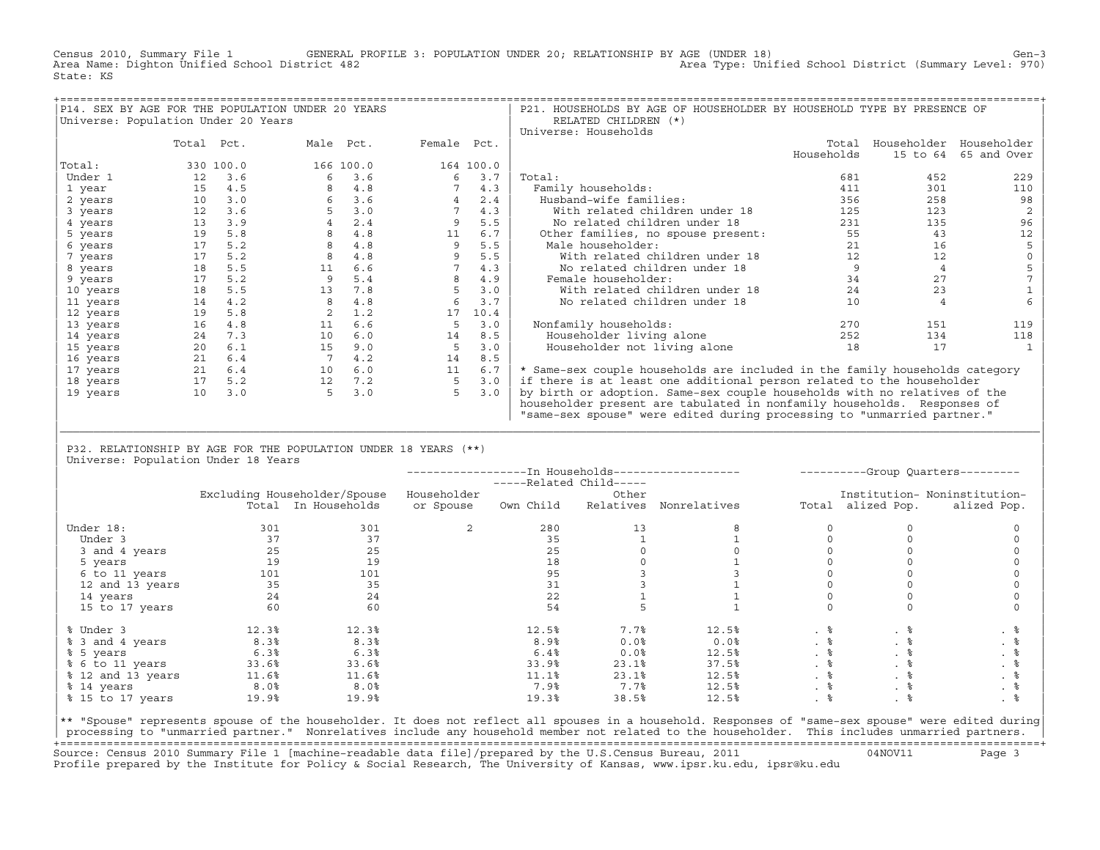Census 2010, Summary File 1 GENERAL PROFILE 3: POPULATION UNDER 20; RELATIONSHIP BY AGE (UNDER 18) Gen−3<br>Area Name: Dighton Unified School District 482 Area Type: Unified School District (Summary Level: 970) State: KS

|                                     |            |           | P14. SEX BY AGE FOR THE POPULATION UNDER 20 YEARS |           |             |           | P21. HOUSEHOLDS BY AGE OF HOUSEHOLDER BY HOUSEHOLD TYPE BY PRESENCE OF      |            |                         |             |
|-------------------------------------|------------|-----------|---------------------------------------------------|-----------|-------------|-----------|-----------------------------------------------------------------------------|------------|-------------------------|-------------|
| Universe: Population Under 20 Years |            |           |                                                   |           |             |           | RELATED CHILDREN (*)                                                        |            |                         |             |
|                                     |            |           |                                                   |           |             |           | Universe: Households                                                        |            |                         |             |
|                                     | Total Pct. |           | Male Pct.                                         |           | Female Pct. |           |                                                                             | Total      | Householder Householder |             |
|                                     |            |           |                                                   |           |             |           |                                                                             | Households | 15 to 64                | 65 and Over |
| Total:                              |            | 330 100.0 |                                                   | 166 100.0 |             | 164 100.0 |                                                                             |            |                         |             |
| Under 1                             | 12         | 3.6       | 6                                                 | 3.6       | 6           | 3.7       | Total:                                                                      | 681        | 452                     | 229         |
| 1 year                              | 15         | 4.5       |                                                   | 4.8       |             | 4.3       | Family households:                                                          | 411        | 301                     | 110         |
| 2 years                             | 10         | 3.0       | 6                                                 | 3.6       |             | 2.4       | Husband-wife families:                                                      | 356        | 258                     | 98          |
| 3 years                             | 12         | 3.6       |                                                   | 3.0       |             | 4.3       | With related children under 18                                              | 125        | 123                     |             |
| 4 years                             | 13         | 3.9       |                                                   | 2.4       |             | 5.5       | No related children under 18                                                | 231        | 135                     | 96          |
| 5 years                             | 19         | 5.8       |                                                   | 4.8       | 11          | 6.7       | Other families, no spouse present:                                          | 55         | 43                      | 12          |
| 6 years                             | 17         | 5.2       |                                                   | 4.8       | 9           | 5.5       | Male householder:                                                           | 21         | 16                      |             |
| 7 years                             | 17         | 5.2       |                                                   | 4.8       |             | 5.5       | With related children under 18                                              | 12         | 12                      |             |
| 8 years                             | 18         | 5.5       | 11                                                | 6.6       |             | 4.3       | No related children under 18                                                |            | 4                       |             |
| 9 years                             | 17         | 5.2       |                                                   | 5.4       |             | 4.9       | Female householder:                                                         | 34         | 27                      |             |
| 10 years                            | 18         | 5.5       | 13                                                | 7.8       | 5           | 3.0       | With related children under 18                                              | 24         | 23                      |             |
| 11 years                            | 14         | 4.2       |                                                   | 4.8       |             | 3.7       | No related children under 18                                                | 10         |                         |             |
| 12 years                            | 19         | 5.8       |                                                   | 1.2       | 17          | 10.4      |                                                                             |            |                         |             |
| 13 years                            | 16         | 4.8       | 11                                                | 6.6       | 5           | 3.0       | Nonfamily households:                                                       | 270        | 151                     | 119         |
| 14 years                            | 24         | 7.3       | 10                                                | 6.0       | 14          | 8.5       | Householder living alone                                                    | 252        | 134                     | 118         |
| 15 years                            | 20         | 6.1       | 15                                                | 9.0       | 5           | 3.0       | Householder not living alone                                                | 18         | 17                      |             |
| 16 years                            | 21         | 6.4       |                                                   | 4.2       | 14          | 8.5       |                                                                             |            |                         |             |
| 17 years                            | 21         | 6.4       | 10                                                | 6.0       | 11          | 6.7       | * Same-sex couple households are included in the family households category |            |                         |             |
| 18 years                            | 17         | 5.2       | 12                                                | 7.2       | 5           | 3.0       | if there is at least one additional person related to the householder       |            |                         |             |
| 19 years                            | 10         | 3.0       |                                                   | 3.0       | 5           | 3.0       | by birth or adoption. Same-sex couple households with no relatives of the   |            |                         |             |
|                                     |            |           |                                                   |           |             |           | householder present are tabulated in nonfamily households. Responses of     |            |                         |             |
|                                     |            |           |                                                   |           |             |           | "same-sex spouse" were edited during processing to "unmarried partner."     |            |                         |             |

| P32. RELATIONSHIP BY AGE FOR THE POPULATION UNDER 18 YEARS (\*\*) | Universe: Population Under 18 Years

|                   |                  |                              |             | -----Related Child----- |           |              | ----------Group Quarters--------- |                   |                              |  |
|-------------------|------------------|------------------------------|-------------|-------------------------|-----------|--------------|-----------------------------------|-------------------|------------------------------|--|
|                   |                  | Excluding Householder/Spouse | Householder |                         | Other     |              |                                   |                   | Institution- Noninstitution- |  |
|                   |                  | Total In Households          | or Spouse   | Own Child               | Relatives | Nonrelatives |                                   | Total alized Pop. | alized Pop.                  |  |
| Under 18:         | 301              | 301                          | 2           | 280                     | 13        |              |                                   |                   |                              |  |
| Under 3           | 37               | 37                           |             | 35                      |           |              |                                   |                   |                              |  |
| 3 and 4 years     | 25               | 25                           |             | 25                      |           |              |                                   |                   |                              |  |
| 5 years           | 19               | 19                           |             | 18                      |           |              |                                   |                   |                              |  |
| 6 to 11 years     | 101              | 101                          |             | 95                      |           |              |                                   |                   |                              |  |
| 12 and 13 years   | 35               | 35                           |             | 31                      |           |              |                                   |                   |                              |  |
| 14 years          | 24               | 24                           |             | 22                      |           |              |                                   |                   |                              |  |
| 15 to 17 years    | 60               | 60                           |             | 54                      |           |              |                                   |                   |                              |  |
| % Under 3         | 12.3%            | 12.3%                        |             | 12.5%                   | 7.7%      | 12.5%        | . 응                               | . 응               |                              |  |
| % 3 and 4 years   | 8.3%             | 8.3%                         |             | 8.9%                    | 0.0%      | 0.0%         | $. \circ$                         | . 응               | . 응                          |  |
| % 5 years         | 6.3%             | 6.3%                         |             | 6.4%                    | 0.0%      | 12.5%        | . 응                               | . 응               | . 응                          |  |
| % 6 to 11 years   | 33.6%            | 33.6%                        |             | 33.9%                   | 23.1%     | 37.5%        | . 응                               | . 응               | . 응                          |  |
| % 12 and 13 years | 11.6%            | 11.6%                        |             | 11.1%                   | 23.1%     | 12.5%        | . 응                               | . ៖               | . 응                          |  |
| % 14 years        | 8.0 <sup>8</sup> | 8.0%                         |             | 7.9%                    | 7.7%      | 12.5%        | . 응                               | . 응               | . 응                          |  |
| % 15 to 17 years  | 19.9%            | 19.9%                        |             | 19.3%                   | 38.5%     | 12.5%        |                                   |                   |                              |  |

|\_\_\_\_\_\_\_\_\_\_\_\_\_\_\_\_\_\_\_\_\_\_\_\_\_\_\_\_\_\_\_\_\_\_\_\_\_\_\_\_\_\_\_\_\_\_\_\_\_\_\_\_\_\_\_\_\_\_\_\_\_\_\_\_\_\_\_\_\_\_\_\_\_\_\_\_\_\_\_\_\_\_\_\_\_\_\_\_\_\_\_\_\_\_\_\_\_\_\_\_\_\_\_\_\_\_\_\_\_\_\_\_\_\_\_\_\_\_\_\_\_\_\_\_\_\_\_\_\_\_\_\_\_\_\_\_\_\_\_\_\_\_\_\_\_\_\_| | |

|\*\* "Spouse" represents spouse of the householder. It does not reflect all spouses in a household. Responses of "same−sex spouse" were edited during| processing to "unmarried partner." Nonrelatives include any household member not related to the householder. This includes unmarried partners. +===================================================================================================================================================+ Source: Census 2010 Summary File 1 [machine−readable data file]/prepared by the U.S.Census Bureau, 2011 04NOV11 Page 3 Profile prepared by the Institute for Policy & Social Research, The University of Kansas, www.ipsr.ku.edu, ipsr@ku.edu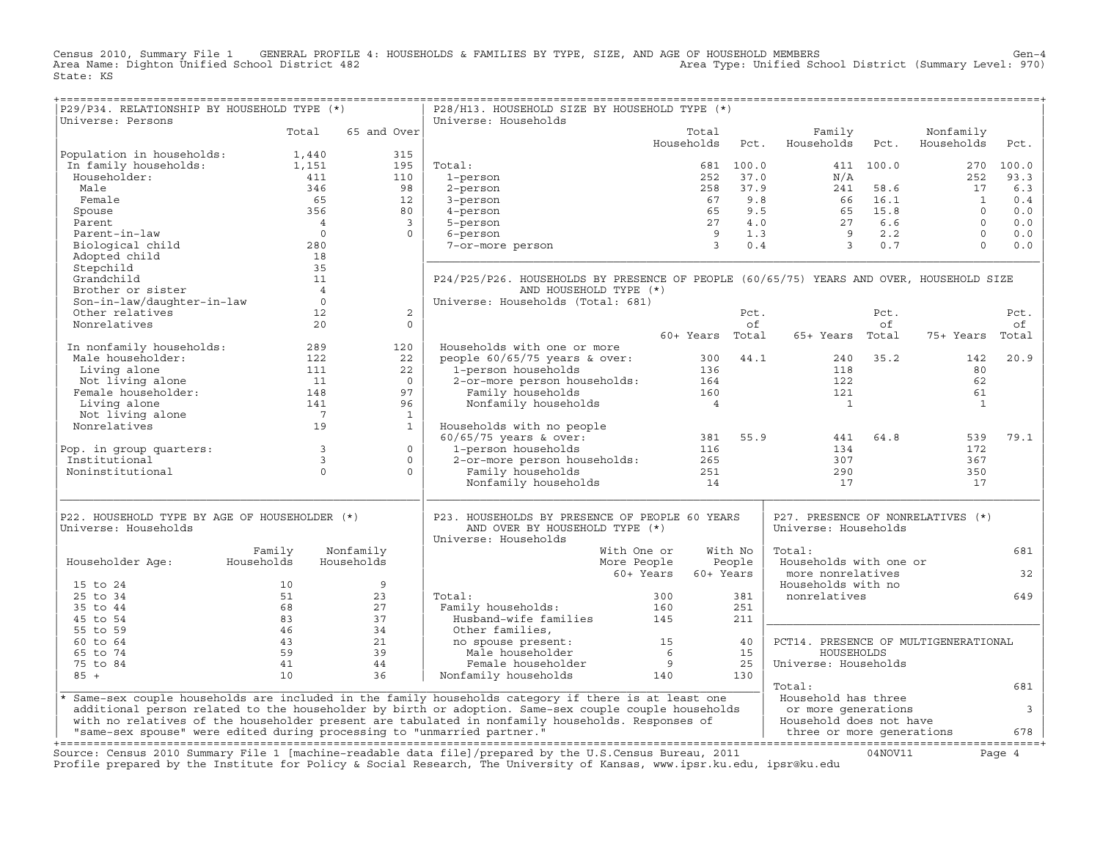Census 2010, Summary File 1 GENERAL PROFILE 4: HOUSEHOLDS & FAMILIES BY TYPE, SIZE, AND AGE OF HOUSEHOLD MEMBERS<br>Area Name: Dighton Unified School District 482 Area November 2010, Area Type: Unified School District (Summa State: KS

+===================================================================================================================================================+

| P29/P34. RELATIONSHIP BY HOUSEHOLD TYPE (*)                             |                      |                | P28/H13. HOUSEHOLD SIZE BY HOUSEHOLD TYPE (*)                                                                          |                     |           |                                      |           |                         |                         |
|-------------------------------------------------------------------------|----------------------|----------------|------------------------------------------------------------------------------------------------------------------------|---------------------|-----------|--------------------------------------|-----------|-------------------------|-------------------------|
| Universe: Persons                                                       |                      |                | Universe: Households                                                                                                   |                     |           |                                      |           |                         |                         |
|                                                                         | Total                | 65 and Over    |                                                                                                                        | Total<br>Households | Pct.      | Family<br>Households                 | Pct.      | Nonfamily<br>Households | Pct.                    |
| Population in households:                                               | 1,440                | 315            |                                                                                                                        |                     |           |                                      |           |                         |                         |
| In family households:                                                   | 1,151                | 195            | Total:                                                                                                                 |                     | 681 100.0 |                                      | 411 100.0 |                         | 270 100.0               |
| Householder:                                                            | 411                  | 110            | 1-person                                                                                                               | 252                 | 37.0      | N/A                                  |           | 252                     | 93.3                    |
| Male                                                                    | 346                  | 98             | 2-person                                                                                                               | 258                 | 37.9      | 241                                  | 58.6      | 17                      | 6.3                     |
| Female                                                                  | 65                   | 12             | 3-person                                                                                                               | 67                  | 9.8       | 66                                   | 16.1      | <sup>1</sup>            | 0.4                     |
| Spouse                                                                  | 356                  | 80             | 4-person                                                                                                               | 65                  | 9.5       | 65                                   | 15.8      | $\Omega$                | 0.0                     |
| Parent                                                                  | $\overline{4}$       | $\overline{3}$ | 5-person                                                                                                               | 27                  | 4.0       | 27                                   | $6.6$     | $\Omega$                | 0.0                     |
| Parent-in-law                                                           | $\Omega$             | $\Omega$       | 6-person                                                                                                               | 9                   | 1.3       | $\overline{9}$                       | 2.2       | $\Omega$                | $0.0$                   |
| Biological child                                                        | 280                  |                | 7-or-more person                                                                                                       | $\overline{3}$      | 0.4       | $\overline{3}$                       | 0.7       | $\Omega$                | 0.0                     |
| Adopted child                                                           | 18                   |                |                                                                                                                        |                     |           |                                      |           |                         |                         |
| Stepchild                                                               | 35                   |                |                                                                                                                        |                     |           |                                      |           |                         |                         |
| Grandchild                                                              | 11                   |                | P24/P25/P26. HOUSEHOLDS BY PRESENCE OF PEOPLE (60/65/75) YEARS AND OVER, HOUSEHOLD SIZE                                |                     |           |                                      |           |                         |                         |
| Brother or sister                                                       | $\overline{4}$       |                | AND HOUSEHOLD TYPE (*)                                                                                                 |                     |           |                                      |           |                         |                         |
| Son-in-law/daughter-in-law                                              | $\circ$              |                | Universe: Households (Total: 681)                                                                                      |                     |           |                                      |           |                         |                         |
| Other relatives                                                         | 12                   | 2              |                                                                                                                        |                     | Pct.      |                                      | Pct.      |                         | Pct.                    |
| Nonrelatives                                                            | 20                   | $\Omega$       |                                                                                                                        |                     | of        |                                      | of        |                         | оf                      |
|                                                                         |                      |                |                                                                                                                        | 60+ Years Total     |           | 65+ Years Total                      |           | 75+ Years               | Total                   |
| In nonfamily households:                                                | 289                  | 120            | Households with one or more                                                                                            |                     |           |                                      |           |                         |                         |
| Male householder:                                                       | 122                  | 22             | people $60/65/75$ years & over:                                                                                        | 300                 | 44.1      | 240                                  | 35.2      | 142                     | 20.9                    |
| Living alone                                                            | 111                  | 22             | 1-person households                                                                                                    | 136                 |           | 118                                  |           | 80                      |                         |
| Not living alone                                                        | 11                   | $\Omega$       | 2-or-more person households:                                                                                           | 164                 |           | 122                                  |           | 62                      |                         |
| Female householder:                                                     | 148                  | 97             | Family households                                                                                                      | 160                 |           | 121                                  |           | 61                      |                         |
| Living alone                                                            | 141                  | 96             | Nonfamily households                                                                                                   | $\overline{4}$      |           | $\overline{1}$                       |           | <sup>1</sup>            |                         |
| Not living alone<br>Nonrelatives                                        | $\overline{7}$<br>19 | $\mathbf{1}$   |                                                                                                                        |                     |           |                                      |           |                         |                         |
|                                                                         |                      | $\mathbf{1}$   | Households with no people<br>$60/65/75$ years & over:                                                                  | 381                 | 55.9      | 441                                  | 64.8      | 539                     | 79.1                    |
| Pop. in group quarters:                                                 | $\overline{3}$       | $\Omega$       | 1-person households                                                                                                    | 116                 |           | 134                                  |           | 172                     |                         |
| Institutional                                                           | $\overline{3}$       | $\circ$        | 2-or-more person households:                                                                                           | 265                 |           | 307                                  |           | 367                     |                         |
| Noninstitutional                                                        | $\Omega$             | $\Omega$       | Family households                                                                                                      | 251                 |           | 290                                  |           | 350                     |                         |
|                                                                         |                      |                | Nonfamily households                                                                                                   | 14                  |           | 17                                   |           | 17                      |                         |
|                                                                         |                      |                |                                                                                                                        |                     |           |                                      |           |                         |                         |
| P22. HOUSEHOLD TYPE BY AGE OF HOUSEHOLDER (*)                           |                      |                | P23. HOUSEHOLDS BY PRESENCE OF PEOPLE 60 YEARS                                                                         |                     |           | P27. PRESENCE OF NONRELATIVES (*)    |           |                         |                         |
| Universe: Households                                                    |                      |                | AND OVER BY HOUSEHOLD TYPE (*)                                                                                         |                     |           | Universe: Households                 |           |                         |                         |
|                                                                         |                      |                | Universe: Households                                                                                                   |                     |           |                                      |           |                         |                         |
|                                                                         | Family               | Nonfamily      | With One or                                                                                                            |                     | With No   | Total:                               |           |                         | 681                     |
| Householder Age:                                                        | Households           | Households     | More People                                                                                                            |                     | People    | Households with one or               |           |                         |                         |
|                                                                         |                      |                |                                                                                                                        | 60+ Years           | 60+ Years | more nonrelatives                    |           |                         | 32                      |
| 15 to 24                                                                | 10                   | 9              |                                                                                                                        |                     |           | Households with no                   |           |                         |                         |
| 25 to 34                                                                | 51                   | 23             | Total:                                                                                                                 | 300                 | 381       | nonrelatives                         |           |                         | 649                     |
| 35 to 44                                                                | 68                   | 27             | Family households:                                                                                                     | 160                 | 251       |                                      |           |                         |                         |
| 45 to 54                                                                | 83                   | 37             | Husband-wife families                                                                                                  | 145                 | 211       |                                      |           |                         |                         |
| 55 to 59                                                                | 46                   | 34             | Other families,                                                                                                        |                     |           |                                      |           |                         |                         |
| 60 to 64                                                                | 43                   | 21             | no spouse present:                                                                                                     | 15                  | 40        | PCT14. PRESENCE OF MULTIGENERATIONAL |           |                         |                         |
| 65 to 74                                                                | 59<br>41             | 39             | Male householder                                                                                                       | 6                   | 15        | HOUSEHOLDS                           |           |                         |                         |
| 75 to 84<br>$85 +$                                                      | 10                   | 44<br>36       | Female householder<br>Nonfamily households                                                                             | 9<br>140            | 25<br>130 | Universe: Households                 |           |                         |                         |
|                                                                         |                      |                |                                                                                                                        |                     |           | Total:                               |           |                         | 681                     |
|                                                                         |                      |                | * Same-sex couple households are included in the family households category if there is at least one                   |                     |           | Household has three                  |           |                         |                         |
|                                                                         |                      |                | additional person related to the householder by birth or adoption. Same-sex couple couple households                   |                     |           | or more generations                  |           |                         | $\overline{\mathbf{3}}$ |
|                                                                         |                      |                | with no relatives of the householder present are tabulated in nonfamily households. Responses of                       |                     |           | Household does not have              |           |                         |                         |
| "same-sex spouse" were edited during processing to "unmarried partner." |                      |                |                                                                                                                        |                     |           | three or more generations            |           |                         | 678                     |
|                                                                         |                      |                |                                                                                                                        |                     |           |                                      |           |                         |                         |
|                                                                         |                      |                | Source: Census 2010 Summary File 1 [machine-readable data file]/prepared by the U.S.Census Bureau, 2011                |                     |           |                                      | 04NOV11   |                         | Page 4                  |
|                                                                         |                      |                | Profile prepared by the Institute for Policy & Social Research, The University of Kansas, www.ipsr.ku.edu, ipsr@ku.edu |                     |           |                                      |           |                         |                         |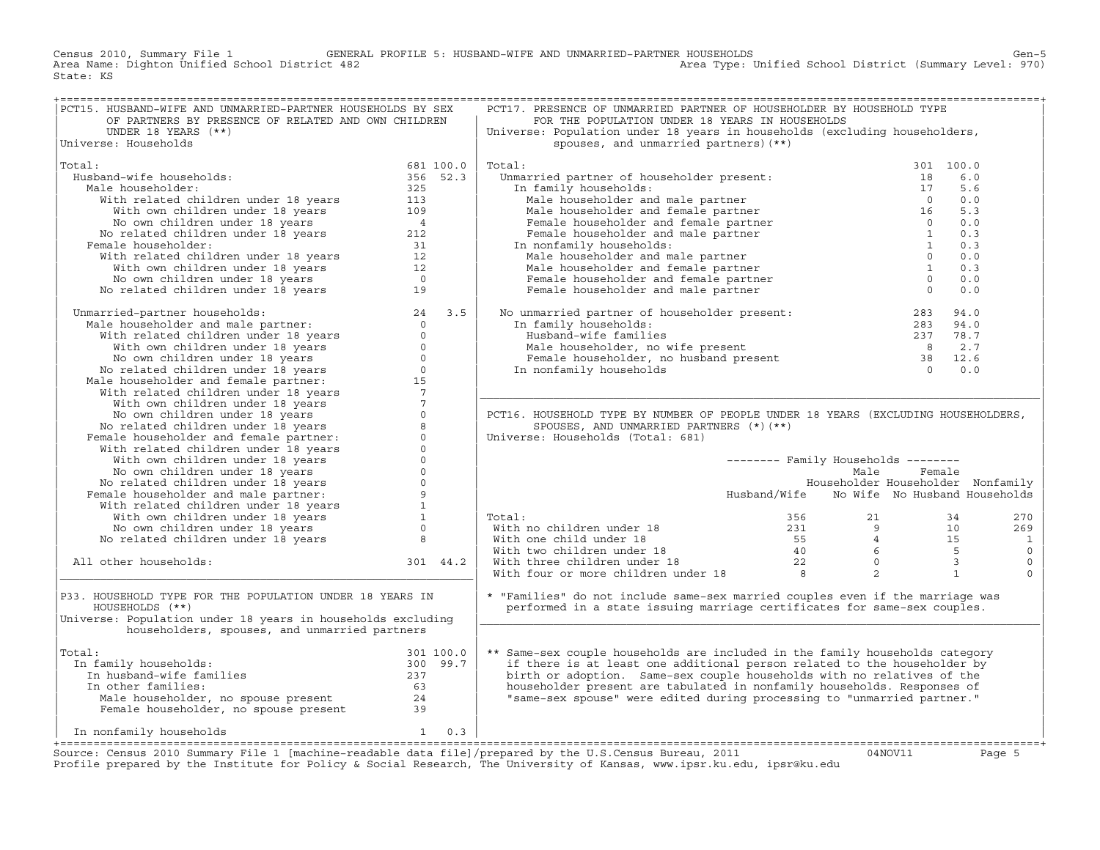Census 2010, Summary File 1 GENERAL PROFILE 5: HUSBAND−WIFE AND UNMARRIED−PARTNER HOUSEHOLDS Gen−5 Area Name: Dighton Unified School District 482 Area Type: Unified School District (Summary Level: 970) State: KS

| PCT15. HUSBAND-WIFE AND UNMARRIED-PARTNER HOUSEHOLDS BY SEX                                                                                                                                                                                 |           |          | PCT17. PRESENCE OF UNMARRIED PARTNER OF HOUSEHOLDER BY HOUSEHOLD TYPE                                                                                                                                                                                                                                                                                                     |                                            |           |                          |
|---------------------------------------------------------------------------------------------------------------------------------------------------------------------------------------------------------------------------------------------|-----------|----------|---------------------------------------------------------------------------------------------------------------------------------------------------------------------------------------------------------------------------------------------------------------------------------------------------------------------------------------------------------------------------|--------------------------------------------|-----------|--------------------------|
| OF PARTNERS BY PRESENCE OF RELATED AND OWN CHILDREN                                                                                                                                                                                         |           |          | FOR THE POPULATION UNDER 18 YEARS IN HOUSEHOLDS                                                                                                                                                                                                                                                                                                                           |                                            |           |                          |
| UNDER 18 YEARS (**)                                                                                                                                                                                                                         |           |          | Universe: Population under 18 years in households (excluding householders,                                                                                                                                                                                                                                                                                                |                                            |           |                          |
| Universe: Households                                                                                                                                                                                                                        |           |          | spouses, and unmarried partners) (**)                                                                                                                                                                                                                                                                                                                                     |                                            |           |                          |
|                                                                                                                                                                                                                                             |           |          |                                                                                                                                                                                                                                                                                                                                                                           |                                            |           |                          |
| Total:                                                                                                                                                                                                                                      | 681 100.0 |          | Total:                                                                                                                                                                                                                                                                                                                                                                    |                                            | 301 100.0 |                          |
| $681$ 100.0<br>356 52.3<br>Husband-wife households:                                                                                                                                                                                         |           |          | Unmarried partner of householder present:                                                                                                                                                                                                                                                                                                                                 |                                            | 6.0       |                          |
|                                                                                                                                                                                                                                             |           |          |                                                                                                                                                                                                                                                                                                                                                                           |                                            |           |                          |
| Male householder:                                                                                                                                                                                                                           |           |          | In family households:                                                                                                                                                                                                                                                                                                                                                     |                                            | 5.6       |                          |
|                                                                                                                                                                                                                                             |           |          | Find partner of householder present.<br>In family households:<br>Male householder and male partner and female partner<br>Male householder and female partner and female partner<br>Female householder and female partner and male part                                                                                                                                    |                                            | 0.0       |                          |
|                                                                                                                                                                                                                                             |           |          |                                                                                                                                                                                                                                                                                                                                                                           |                                            | 5.3       |                          |
|                                                                                                                                                                                                                                             |           |          |                                                                                                                                                                                                                                                                                                                                                                           |                                            | 0.0       |                          |
|                                                                                                                                                                                                                                             |           |          |                                                                                                                                                                                                                                                                                                                                                                           |                                            | 0.3       |                          |
| Female householder:                                                                                                                                                                                                                         |           |          | In nonfamily households:                                                                                                                                                                                                                                                                                                                                                  |                                            | 0.3       |                          |
|                                                                                                                                                                                                                                             |           |          | Male householder and male partner                                                                                                                                                                                                                                                                                                                                         | $\overline{0}$                             | 0.0       |                          |
|                                                                                                                                                                                                                                             |           |          | Male householder and female partner                                                                                                                                                                                                                                                                                                                                       | $\overline{1}$                             | 0.3       |                          |
| % band-wife households:<br>lale householder: 356 52.<br>With related children under 18 years 325<br>With own children under 18 years 113<br>No own children under 18 years 4<br>No related children under 18 years 4<br>No related childre  |           |          | Female householder and female partner                                                                                                                                                                                                                                                                                                                                     | $\overline{\phantom{0}}$                   | 0.0       |                          |
|                                                                                                                                                                                                                                             |           |          | Female householder and male partner                                                                                                                                                                                                                                                                                                                                       | $\overline{0}$                             | 0.0       |                          |
|                                                                                                                                                                                                                                             |           |          |                                                                                                                                                                                                                                                                                                                                                                           |                                            |           |                          |
| Unmarried-partner households:<br>Male householder and male partner:<br>With related children under 18 years<br>With own children under 18 years<br>No own children under 18 years<br>No related children under 18 years<br>No related chil  |           |          | No unmarried partner of householder present:<br>In family households:<br>Husband-wife families<br>Male householder, no wife present<br>Female householder, no husband present<br>The analysis of the second contract of the second of th                                                                                                                                  |                                            |           |                          |
|                                                                                                                                                                                                                                             |           |          |                                                                                                                                                                                                                                                                                                                                                                           |                                            |           |                          |
|                                                                                                                                                                                                                                             |           |          |                                                                                                                                                                                                                                                                                                                                                                           |                                            |           |                          |
|                                                                                                                                                                                                                                             |           |          |                                                                                                                                                                                                                                                                                                                                                                           |                                            |           |                          |
|                                                                                                                                                                                                                                             |           |          |                                                                                                                                                                                                                                                                                                                                                                           |                                            |           |                          |
|                                                                                                                                                                                                                                             |           |          |                                                                                                                                                                                                                                                                                                                                                                           |                                            |           |                          |
|                                                                                                                                                                                                                                             |           |          |                                                                                                                                                                                                                                                                                                                                                                           |                                            |           |                          |
|                                                                                                                                                                                                                                             |           |          |                                                                                                                                                                                                                                                                                                                                                                           |                                            |           |                          |
|                                                                                                                                                                                                                                             |           |          |                                                                                                                                                                                                                                                                                                                                                                           |                                            |           |                          |
|                                                                                                                                                                                                                                             |           |          |                                                                                                                                                                                                                                                                                                                                                                           |                                            |           |                          |
|                                                                                                                                                                                                                                             |           |          | PCT16. HOUSEHOLD TYPE BY NUMBER OF PEOPLE UNDER 18 YEARS (EXCLUDING HOUSEHOLDERS,                                                                                                                                                                                                                                                                                         |                                            |           |                          |
|                                                                                                                                                                                                                                             |           |          | SPOUSES, AND UNMARRIED PARTNERS (*) (**)                                                                                                                                                                                                                                                                                                                                  |                                            |           |                          |
|                                                                                                                                                                                                                                             |           |          | Universe: Households (Total: 681)                                                                                                                                                                                                                                                                                                                                         |                                            |           |                          |
|                                                                                                                                                                                                                                             |           |          |                                                                                                                                                                                                                                                                                                                                                                           |                                            |           |                          |
|                                                                                                                                                                                                                                             |           |          |                                                                                                                                                                                                                                                                                                                                                                           | -------- Family Households --------        |           |                          |
|                                                                                                                                                                                                                                             |           |          |                                                                                                                                                                                                                                                                                                                                                                           | Male                                       | Female    |                          |
|                                                                                                                                                                                                                                             |           |          |                                                                                                                                                                                                                                                                                                                                                                           | Householder Householder Nonfamily          |           |                          |
| No own children under 18 years<br>No own children under 18 years<br>No related children under 18 years<br>Pemale householder and male partner:<br>With related children under 18 years<br>No own children under 18 years<br>No related chi  |           |          |                                                                                                                                                                                                                                                                                                                                                                           | Husband/Wife No Wife No Husband Households |           |                          |
|                                                                                                                                                                                                                                             |           |          |                                                                                                                                                                                                                                                                                                                                                                           |                                            |           |                          |
|                                                                                                                                                                                                                                             |           |          |                                                                                                                                                                                                                                                                                                                                                                           |                                            |           |                          |
|                                                                                                                                                                                                                                             |           |          | Total:                                                                                                                                                                                                                                                                                                                                                                    |                                            |           | 270                      |
|                                                                                                                                                                                                                                             |           |          |                                                                                                                                                                                                                                                                                                                                                                           |                                            |           | 269                      |
|                                                                                                                                                                                                                                             |           |          |                                                                                                                                                                                                                                                                                                                                                                           |                                            |           | $\overline{\phantom{a}}$ |
|                                                                                                                                                                                                                                             |           |          |                                                                                                                                                                                                                                                                                                                                                                           |                                            |           | $\circ$                  |
| All other households:                                                                                                                                                                                                                       |           | 301 44.2 | $\begin{tabular}{lllllllllllll} \multicolumn{3}{l} \textbf{Total:} & & & 356 & & 21 & & 34 \\ \textbf{With no children under 18} & & & 231 & & 9 & & 10 \\ \textbf{With two children under 18} & & & 55 & & 4 & & 15 \\ \textbf{With three children under 18} & & & 40 & & 6 & & 5 \\ \textbf{With four or more children under 18} & & & 22 & & 0 & & 3 \\ \end{tabular}$ |                                            |           | $\mathbb O$              |
|                                                                                                                                                                                                                                             |           |          |                                                                                                                                                                                                                                                                                                                                                                           |                                            |           | $\mathbf{0}$             |
|                                                                                                                                                                                                                                             |           |          |                                                                                                                                                                                                                                                                                                                                                                           |                                            |           |                          |
| P33. HOUSEHOLD TYPE FOR THE POPULATION UNDER 18 YEARS IN                                                                                                                                                                                    |           |          | * "Families" do not include same-sex married couples even if the marriage was                                                                                                                                                                                                                                                                                             |                                            |           |                          |
| HOUSEHOLDS (**)                                                                                                                                                                                                                             |           |          | performed in a state issuing marriage certificates for same-sex couples.                                                                                                                                                                                                                                                                                                  |                                            |           |                          |
|                                                                                                                                                                                                                                             |           |          |                                                                                                                                                                                                                                                                                                                                                                           |                                            |           |                          |
| Universe: Population under 18 years in households excluding                                                                                                                                                                                 |           |          |                                                                                                                                                                                                                                                                                                                                                                           |                                            |           |                          |
| householders, spouses, and unmarried partners                                                                                                                                                                                               |           |          |                                                                                                                                                                                                                                                                                                                                                                           |                                            |           |                          |
|                                                                                                                                                                                                                                             |           |          |                                                                                                                                                                                                                                                                                                                                                                           |                                            |           |                          |
| Total:                                                                                                                                                                                                                                      |           |          | ** Same-sex couple households are included in the family households category                                                                                                                                                                                                                                                                                              |                                            |           |                          |
| In family households:                                                                                                                                                                                                                       |           |          | if there is at least one additional person related to the householder by                                                                                                                                                                                                                                                                                                  |                                            |           |                          |
|                                                                                                                                                                                                                                             |           |          | birth or adoption. Same-sex couple households with no relatives of the                                                                                                                                                                                                                                                                                                    |                                            |           |                          |
|                                                                                                                                                                                                                                             |           |          | householder present are tabulated in nonfamily households. Responses of                                                                                                                                                                                                                                                                                                   |                                            |           |                          |
|                                                                                                                                                                                                                                             |           |          | "same-sex spouse" were edited during processing to "unmarried partner."                                                                                                                                                                                                                                                                                                   |                                            |           |                          |
| al:<br>n family households:<br>100.0<br>100.0<br>100.0<br>100.0<br>100.0<br>300<br>300<br>39.7<br>100.0<br>300<br>39.7<br>100.0<br>237<br>237<br>237<br>53<br>24<br>Female householder, no spouse present<br>24<br>29.0<br>24<br>39.0<br>24 |           |          |                                                                                                                                                                                                                                                                                                                                                                           |                                            |           |                          |
|                                                                                                                                                                                                                                             |           |          |                                                                                                                                                                                                                                                                                                                                                                           |                                            |           |                          |
| In nonfamily households $1 \t 0.3$                                                                                                                                                                                                          |           |          |                                                                                                                                                                                                                                                                                                                                                                           |                                            |           |                          |
|                                                                                                                                                                                                                                             |           |          |                                                                                                                                                                                                                                                                                                                                                                           |                                            |           |                          |
| Course, Consus 2010 Summary File 1 [mashine readable data file] (propared by the H S Consus Pureau 2011 (1000111 Page F                                                                                                                     |           |          |                                                                                                                                                                                                                                                                                                                                                                           |                                            |           |                          |

Source: Census 2010 Summary File 1 [machine-readable data file]/prepared by the U.S.Census Bureau, 2011 Page 5<br>Profile prepared by the Institute for Policy & Social Research, The University of Kansas, www.ip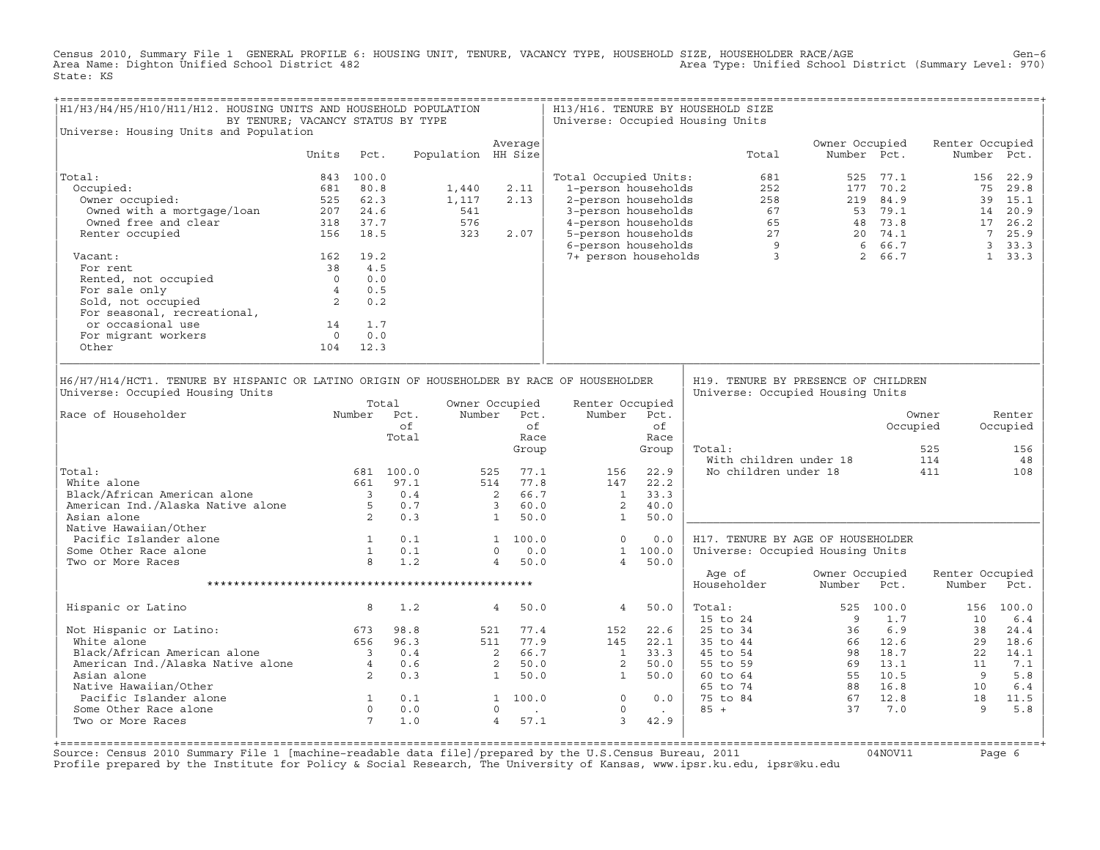Census 2010, Summary File 1 GENERAL PROFILE 6: HOUSING UNIT, TENURE, VACANCY TYPE, HOUSEHOLD SIZE, HOUSEHOLDER RACE/AGE<br>Area Name: Dighton Unified School District 482 State: KS

| H1/H3/H4/H5/H10/H11/H12. HOUSING UNITS AND HOUSEHOLD POPULATION<br>BY TENURE; VACANCY STATUS BY TYPE                                                                                                                                                                                                                        |            |                      |                    |                                        |    |                                                   |                     | H13/H16. TENURE BY HOUSEHOLD SIZE<br>Universe: Occupied Housing Units                                                                                                                                                                         |                |             |                           |                           |
|-----------------------------------------------------------------------------------------------------------------------------------------------------------------------------------------------------------------------------------------------------------------------------------------------------------------------------|------------|----------------------|--------------------|----------------------------------------|----|---------------------------------------------------|---------------------|-----------------------------------------------------------------------------------------------------------------------------------------------------------------------------------------------------------------------------------------------|----------------|-------------|---------------------------|---------------------------|
| Universe: Housing Units and Population                                                                                                                                                                                                                                                                                      |            |                      |                    | Average                                |    |                                                   |                     |                                                                                                                                                                                                                                               | Owner Occupied |             | Renter Occupied           |                           |
|                                                                                                                                                                                                                                                                                                                             | Units Pct. |                      | Population HH Size |                                        |    |                                                   |                     | Total                                                                                                                                                                                                                                         |                | Number Pct. |                           | Number Pct.               |
| Total:                                                                                                                                                                                                                                                                                                                      | 843 100.0  |                      |                    |                                        |    | Total Occupied Units:                             |                     |                                                                                                                                                                                                                                               |                |             |                           |                           |
| Occupied:                                                                                                                                                                                                                                                                                                                   |            |                      |                    |                                        |    |                                                   |                     |                                                                                                                                                                                                                                               |                |             |                           |                           |
|                                                                                                                                                                                                                                                                                                                             |            |                      |                    |                                        |    |                                                   |                     |                                                                                                                                                                                                                                               |                |             |                           |                           |
|                                                                                                                                                                                                                                                                                                                             |            |                      |                    |                                        |    |                                                   |                     |                                                                                                                                                                                                                                               |                |             |                           |                           |
|                                                                                                                                                                                                                                                                                                                             |            |                      |                    |                                        |    |                                                   |                     |                                                                                                                                                                                                                                               |                |             |                           |                           |
|                                                                                                                                                                                                                                                                                                                             |            |                      |                    |                                        |    |                                                   |                     |                                                                                                                                                                                                                                               |                |             |                           |                           |
|                                                                                                                                                                                                                                                                                                                             |            |                      |                    |                                        |    |                                                   |                     |                                                                                                                                                                                                                                               |                |             |                           |                           |
| 162 19.2<br>Vacant:                                                                                                                                                                                                                                                                                                         |            |                      |                    |                                        |    |                                                   |                     |                                                                                                                                                                                                                                               |                |             |                           |                           |
|                                                                                                                                                                                                                                                                                                                             |            |                      |                    |                                        |    |                                                   |                     |                                                                                                                                                                                                                                               |                |             |                           |                           |
|                                                                                                                                                                                                                                                                                                                             |            |                      |                    |                                        |    |                                                   |                     |                                                                                                                                                                                                                                               |                |             |                           |                           |
|                                                                                                                                                                                                                                                                                                                             |            |                      |                    |                                        |    |                                                   |                     |                                                                                                                                                                                                                                               |                |             |                           |                           |
|                                                                                                                                                                                                                                                                                                                             |            |                      |                    |                                        |    |                                                   |                     |                                                                                                                                                                                                                                               |                |             |                           |                           |
| For rent $\begin{array}{ccc} 138 & 4.5 \\ \text{Rented, not occupied} & 38 & 4.5 \\ \text{For sale only} & 4 & 0.5 \\ \text{Sold, not occupied} & 2 & 0.2 \\ \text{For seasonal, recreational} & & & \end{array}$<br>For seasonal, recreational,<br>or occasional use 14 1.7<br>For migrant workers 0 0.0<br>Other 104 12.3 |            |                      |                    |                                        |    |                                                   |                     |                                                                                                                                                                                                                                               |                |             |                           |                           |
|                                                                                                                                                                                                                                                                                                                             |            |                      |                    |                                        |    |                                                   |                     |                                                                                                                                                                                                                                               |                |             |                           |                           |
|                                                                                                                                                                                                                                                                                                                             |            |                      |                    |                                        |    |                                                   |                     |                                                                                                                                                                                                                                               |                |             |                           |                           |
|                                                                                                                                                                                                                                                                                                                             |            |                      |                    |                                        |    |                                                   |                     |                                                                                                                                                                                                                                               |                |             |                           |                           |
|                                                                                                                                                                                                                                                                                                                             |            |                      |                    |                                        |    |                                                   |                     |                                                                                                                                                                                                                                               |                |             |                           |                           |
| H6/H7/H14/HCT1. TENURE BY HISPANIC OR LATINO ORIGIN OF HOUSEHOLDER BY RACE OF HOUSEHOLDER<br>Universe: Occupied Housing Units<br>Number Pct.<br>Race of Householder                                                                                                                                                         |            | Total<br>of<br>Total |                    | Owner Occupied<br>Number Pct.<br>Group | of | Renter Occupied<br>Number Pct.<br>$\frac{U_L}{E}$ | of<br>Race<br>Group | H19. TENURE BY PRESENCE OF CHILDREN<br>Universe: Occupied Housing Units<br>Total:                                                                                                                                                             |                | Occupied    | Owner<br>525              | Renter<br>Occupied<br>156 |
|                                                                                                                                                                                                                                                                                                                             |            |                      |                    |                                        |    |                                                   |                     |                                                                                                                                                                                                                                               |                |             |                           | 48                        |
| Total:                                                                                                                                                                                                                                                                                                                      |            |                      |                    |                                        |    |                                                   |                     | With children under 18 114<br>No children under 18 111                                                                                                                                                                                        |                |             |                           | 108                       |
|                                                                                                                                                                                                                                                                                                                             |            |                      |                    |                                        |    |                                                   |                     |                                                                                                                                                                                                                                               |                |             |                           |                           |
|                                                                                                                                                                                                                                                                                                                             |            |                      |                    |                                        |    |                                                   |                     |                                                                                                                                                                                                                                               |                |             |                           |                           |
|                                                                                                                                                                                                                                                                                                                             |            |                      |                    |                                        |    |                                                   |                     |                                                                                                                                                                                                                                               |                |             |                           |                           |
| 156 alone 1525 alone 1525 alone 1526 alone 1526 alone 1527.1 bite alone 1527.1 bite 1546 alone 1527.1 bite 154<br>154 alone 1525 alack/African American alone 150.1 bite 154 alone 150.0 alone 150.0 alone 150.0 alone 150.0 bit                                                                                            |            |                      |                    |                                        |    |                                                   |                     |                                                                                                                                                                                                                                               |                |             |                           |                           |
| Native Hawaiian/Other                                                                                                                                                                                                                                                                                                       |            |                      |                    |                                        |    |                                                   |                     |                                                                                                                                                                                                                                               |                |             |                           |                           |
|                                                                                                                                                                                                                                                                                                                             |            |                      |                    |                                        |    |                                                   |                     | H17. TENURE BY AGE OF HOUSEHOLDER                                                                                                                                                                                                             |                |             |                           |                           |
| Some Other Race alone                                                                                                                                                                                                                                                                                                       |            |                      |                    |                                        |    |                                                   |                     | Universe: Occupied Housing Units                                                                                                                                                                                                              |                |             |                           |                           |
| Pacific Islander alone<br>Some Other Race alone<br>Two or More Races<br>Two or More Races<br>Two or More Races<br>A Comment of the More Races<br>B Comment of the More Races<br>B Comment of the More Races<br>B Comment of the More Races<br>B<br>Two or More Races                                                        |            |                      |                    |                                        |    |                                                   |                     |                                                                                                                                                                                                                                               |                |             |                           |                           |
|                                                                                                                                                                                                                                                                                                                             |            |                      |                    |                                        |    |                                                   |                     | Age of<br>Householder Number                                                                                                                                                                                                                  | Owner Occupied | Pct.        | Renter Occupied<br>Number | Pct.                      |
|                                                                                                                                                                                                                                                                                                                             |            |                      |                    |                                        |    |                                                   |                     | Total: 525 100.0 156 100.0<br>15 to 24 9 1.7 10 6.4<br>25 to 34 36 6.9 38 24.4<br>35 to 44 66 12.6 29 18.6<br>45 to 54 98 18.7 22 14.1<br>55 to 59 69 13.1 11 7.1<br>60 to 64 55 10.5 9 5.8<br>65 to 74 88 16.8 10 6.4<br>75 to 84 67 12.8 18 |                |             |                           |                           |
| Hispanic or Latino                                                                                                                                                                                                                                                                                                          | $8 \t 1.2$ |                      | 4 50.0             |                                        |    | 4 50.0                                            |                     |                                                                                                                                                                                                                                               |                |             |                           |                           |
| Not Hispanic or Latino:<br>White alone 656 96.3 521 77.4 152 22.6<br>22.1<br>Black/African American alone 656 96.3 511 77.9 145 22.1<br>American Ind./Alaska Native alone 4 0.6 2 50.0 2 50.0<br>Asian alone 2 0.3 1 50.0 1 50.0                                                                                            |            |                      |                    |                                        |    |                                                   |                     |                                                                                                                                                                                                                                               |                |             |                           |                           |
|                                                                                                                                                                                                                                                                                                                             |            |                      |                    |                                        |    |                                                   |                     |                                                                                                                                                                                                                                               |                |             |                           |                           |
|                                                                                                                                                                                                                                                                                                                             |            |                      |                    |                                        |    |                                                   |                     |                                                                                                                                                                                                                                               |                |             |                           |                           |
|                                                                                                                                                                                                                                                                                                                             |            |                      |                    |                                        |    |                                                   |                     |                                                                                                                                                                                                                                               |                |             |                           |                           |
|                                                                                                                                                                                                                                                                                                                             |            |                      |                    |                                        |    |                                                   |                     |                                                                                                                                                                                                                                               |                |             |                           |                           |
|                                                                                                                                                                                                                                                                                                                             |            |                      |                    |                                        |    |                                                   |                     |                                                                                                                                                                                                                                               |                |             |                           |                           |
|                                                                                                                                                                                                                                                                                                                             |            |                      |                    |                                        |    |                                                   |                     |                                                                                                                                                                                                                                               |                |             |                           |                           |
|                                                                                                                                                                                                                                                                                                                             |            |                      |                    |                                        |    |                                                   |                     |                                                                                                                                                                                                                                               |                |             |                           |                           |
| matrix in the matrix of the contract of the contract of the contract of the contract of the contract of the contract of the contract of the contract of the contract of the contract of the contract of the contract of the co<br>Some Other Race alone                                                                     |            |                      |                    |                                        |    |                                                   |                     |                                                                                                                                                                                                                                               |                |             |                           |                           |
| Two or More Races                                                                                                                                                                                                                                                                                                           |            |                      |                    |                                        |    |                                                   |                     |                                                                                                                                                                                                                                               |                |             |                           |                           |
|                                                                                                                                                                                                                                                                                                                             |            |                      |                    |                                        |    |                                                   |                     |                                                                                                                                                                                                                                               |                |             |                           |                           |

Source: Census 2010 Summary File 1 [machine-readable data file]/prepared by the U.S.Census Bureau, 2011 Page 6<br>Profile prepared by the Institute for Policy & Social Research, The University of Kansas, www.ip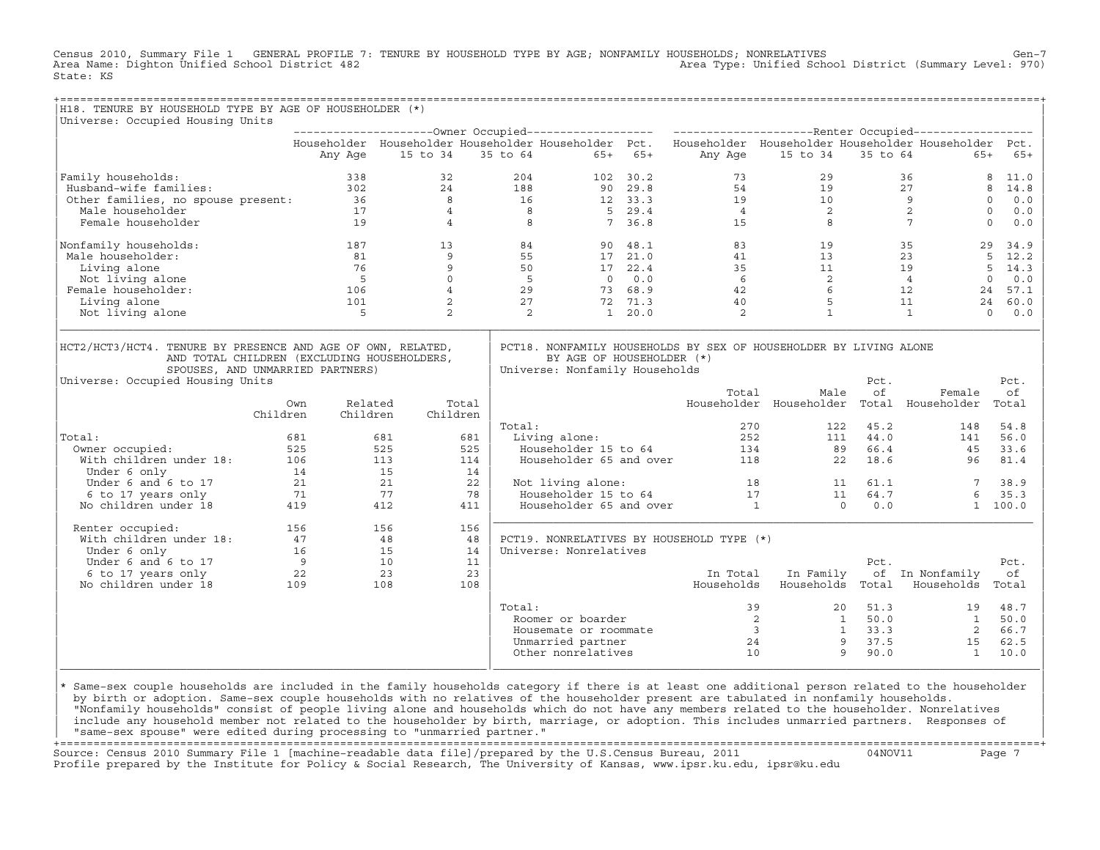Census 2010, Summary File 1 GENERAL PROFILE 7: TENURE BY HOUSEHOLD TYPE BY AGE; NONFAMILY HOUSEHOLDS; NONRELATIVES Gen−7<br>Area Name: Dighton Unified School District 482 Area Type: Unified School District (Summary Level: 970) State: KS

| H18. TENURE BY HOUSEHOLD TYPE BY AGE OF HOUSEHOLDER (*)                                                                                                                            |             |                |             |                                                             |                 |                                                                                                           |                                             |                 |                                                     |                    |
|------------------------------------------------------------------------------------------------------------------------------------------------------------------------------------|-------------|----------------|-------------|-------------------------------------------------------------|-----------------|-----------------------------------------------------------------------------------------------------------|---------------------------------------------|-----------------|-----------------------------------------------------|--------------------|
| Universe: Occupied Housing Units                                                                                                                                                   |             |                |             |                                                             |                 |                                                                                                           |                                             |                 |                                                     |                    |
|                                                                                                                                                                                    |             |                |             |                                                             |                 |                                                                                                           |                                             |                 |                                                     |                    |
|                                                                                                                                                                                    |             |                |             |                                                             |                 | Householder Householder Householder Householder Pct. Householder Householder Householder Householder Pct. |                                             |                 |                                                     |                    |
|                                                                                                                                                                                    | Any Age     | 15 to 34       | 35 to 64    | $65+65+$                                                    |                 | Any Age                                                                                                   | 15 to 34                                    | 35 to 64        | $65+$                                               | $65+$              |
| Family households:                                                                                                                                                                 | 338         | 32             | 204         |                                                             | 102 30.2        | 73                                                                                                        | 29                                          |                 | 36                                                  | 8<br>11.0          |
| Husband-wife families:                                                                                                                                                             | 302         | 24             | 188         |                                                             | 90 29.8         | 54                                                                                                        | 19                                          |                 | 27                                                  | 8<br>14.8          |
| Other families, no spouse present: 36                                                                                                                                              |             | 8              | 16          |                                                             | $12 \quad 33.3$ | 19                                                                                                        | $\begin{array}{c} 10 \\ 2 \\ 8 \end{array}$ |                 | 9                                                   | $\circ$<br>0.0     |
| Male householder                                                                                                                                                                   | 17          | $\overline{4}$ | $_{\rm 8}$  |                                                             | $5 \quad 29.4$  | $\overline{4}$                                                                                            |                                             |                 | 2                                                   | $\Omega$<br>0.0    |
| Female householder                                                                                                                                                                 | 19          | $\overline{4}$ | 8           |                                                             | 7, 36.8         | 15                                                                                                        |                                             |                 | $7\overline{ }$                                     | $\mathbf 0$<br>0.0 |
| Nonfamily households:                                                                                                                                                              | 187         | 13             | 84          |                                                             | 90 48.1         | 83                                                                                                        | 19                                          |                 | 35                                                  | 29<br>34.9         |
| Male householder:                                                                                                                                                                  | 81          | 9              | 55          |                                                             | 17 21.0         | 41                                                                                                        | 13                                          |                 | 23                                                  | 5<br>12.2          |
| Living alone                                                                                                                                                                       | 76          | 9              | 50          |                                                             | 17 22.4         | 35                                                                                                        |                                             |                 | 19                                                  | 5<br>14.3          |
| Not living alone                                                                                                                                                                   | $5^{\circ}$ | $\Omega$       | $5^{\circ}$ |                                                             | $0 \quad 0.0$   | 6                                                                                                         |                                             | $\frac{11}{2}$  | $\overline{4}$                                      | $\mathbf 0$<br>0.0 |
| Female householder:                                                                                                                                                                | 106         | $\overline{4}$ | 29          |                                                             | 73 68.9         | 42                                                                                                        | 6                                           |                 | 12                                                  | 24<br>57.1         |
| Living alone                                                                                                                                                                       | 101         | 2              | 27          |                                                             | 72 71.3         | 40                                                                                                        | 5                                           |                 | 11                                                  | 24<br>60.0         |
| Not living alone                                                                                                                                                                   | 5           | 2              | 2           |                                                             | 1, 20.0         | 2                                                                                                         | $\mathbf{1}$                                |                 | $\mathbf{1}$                                        | $\Omega$<br>0.0    |
| HCT2/HCT3/HCT4. TENURE BY PRESENCE AND AGE OF OWN, RELATED,<br>AND TOTAL CHILDREN (EXCLUDING HOUSEHOLDERS,<br>SPOUSES, AND UNMARRIED PARTNERS)<br>Universe: Occupied Housing Units |             |                |             | BY AGE OF HOUSEHOLDER (*)<br>Universe: Nonfamily Households |                 | PCT18. NONFAMILY HOUSEHOLDS BY SEX OF HOUSEHOLDER BY LIVING ALONE                                         |                                             | Pct.            |                                                     | Pct.               |
|                                                                                                                                                                                    |             |                |             |                                                             |                 | Total                                                                                                     | Male                                        | of              |                                                     | οf                 |
|                                                                                                                                                                                    | Own         | Related        | Total       |                                                             |                 |                                                                                                           |                                             |                 | Female<br>Householder Householder Total Householder | Total              |
| Children                                                                                                                                                                           | Children    | Children       |             |                                                             |                 |                                                                                                           |                                             |                 |                                                     |                    |
|                                                                                                                                                                                    |             |                | Total:      |                                                             |                 | 270                                                                                                       | 122                                         | 45.2            | 148                                                 | 54.8               |
| Total:                                                                                                                                                                             | 681         | 681            | 681         | Living alone:                                               |                 | 252                                                                                                       |                                             | 111 44.0        | 141                                                 | 56.0               |
| Owner occupied:                                                                                                                                                                    | 525         | 525            | 525         | Householder 15 to 64                                        |                 |                                                                                                           | 134<br>89                                   | 66.4            | 45                                                  | 33.6               |
| With children under 18:                                                                                                                                                            | 106         | 113            | 114         | Householder 65 and over                                     |                 | 118                                                                                                       |                                             | 18.6<br>22      | 96                                                  | 81.4               |
| Under 6 only                                                                                                                                                                       | 14          | 15             | 14          |                                                             |                 |                                                                                                           |                                             |                 |                                                     |                    |
| Under 6 and 6 to 17                                                                                                                                                                | 21          | 21             | 22          | Not living alone:                                           |                 | 18                                                                                                        |                                             | 11 61.1         | 7                                                   | 38.9               |
| 6 to 17 years only                                                                                                                                                                 | 71          | 77             | 78          | Householder 15 to 64                                        |                 | 17                                                                                                        |                                             | 64.7<br>11      | 6                                                   | 35.3               |
| No children under 18                                                                                                                                                               | 419         | 412            | 411         | Householder 65 and over                                     |                 | $\overline{1}$                                                                                            |                                             | $\Omega$<br>0.0 |                                                     | 1 100.0            |
| Renter occupied:                                                                                                                                                                   | 156         | 156            | 156         |                                                             |                 |                                                                                                           |                                             |                 |                                                     |                    |
| With children under 18:                                                                                                                                                            | 47          | 48             | 48          |                                                             |                 | PCT19. NONRELATIVES BY HOUSEHOLD TYPE (*)                                                                 |                                             |                 |                                                     |                    |
| Under 6 only                                                                                                                                                                       | 16          | 15             | 14          | Universe: Nonrelatives                                      |                 |                                                                                                           |                                             |                 |                                                     |                    |
| Under 6 and 6 to 17                                                                                                                                                                | 9           | 10             | 11          |                                                             |                 |                                                                                                           |                                             | Pct.            |                                                     | Pct.               |
| 6 to 17 years only                                                                                                                                                                 | 22          | 23             | 23          |                                                             |                 | In Total                                                                                                  | In Family                                   |                 | of In Nonfamily                                     | оf                 |
| No children under 18                                                                                                                                                               | 109         | 108            | 108         |                                                             |                 | Households                                                                                                | Households                                  | Total           | Households                                          | Total              |
|                                                                                                                                                                                    |             |                | Total:      |                                                             |                 | 39                                                                                                        | 20                                          | 51.3            | 19                                                  | 48.7               |
|                                                                                                                                                                                    |             |                |             | Roomer or boarder                                           |                 | $\overline{\phantom{0}}^2$                                                                                |                                             | 1 50.0          | $\mathbf{1}$                                        | 50.0               |
|                                                                                                                                                                                    |             |                |             | Housemate or roommate                                       |                 |                                                                                                           | $\overline{\mathbf{3}}$<br>$\mathbf{1}$     | 33.3            | 2                                                   | 66.7               |
|                                                                                                                                                                                    |             |                |             | Unmarried partner                                           |                 | 24                                                                                                        |                                             | 9<br>37.5       | 15                                                  | 62.5               |
|                                                                                                                                                                                    |             |                |             | Other nonrelatives                                          |                 | 10                                                                                                        |                                             | 9<br>90.0       | <sup>1</sup>                                        | 10.0               |

design to the control of the control of the control of the control of the control of the control of the control of the control of the control of the control of the control of the control of the control of the control of th |\* Same−sex couple households are included in the family households category if there is at least one additional person related to the householder | | by birth or adoption. Same−sex couple households with no relatives of the householder present are tabulated in nonfamily households. | | "Nonfamily households" consist of people living alone and households which do not have any members related to the householder. Nonrelatives | include any household member not related to the householder by birth, marriage, or adoption. This includes unmarried partners. Responses of | "same−sex spouse" were edited during processing to "unmarried partner." |

|\_\_\_\_\_\_\_\_\_\_\_\_\_\_\_\_\_\_\_\_\_\_\_\_\_\_\_\_\_\_\_\_\_\_\_\_\_\_\_\_\_\_\_\_\_\_\_\_\_\_\_\_\_\_\_\_\_\_\_\_\_\_\_\_|\_\_\_\_\_\_\_\_\_\_\_\_\_\_\_\_\_\_\_\_\_\_\_\_\_\_\_\_\_\_\_\_\_\_\_\_\_\_\_\_\_\_\_\_\_\_\_\_\_\_\_\_\_\_\_\_\_\_\_\_\_\_\_\_\_\_\_\_\_\_\_\_\_\_\_\_\_\_\_\_\_\_|

+===================================================================================================================================================+ Source: Census 2010 Summary File 1 [machine−readable data file]/prepared by the U.S.Census Bureau, 2011 04NOV11 Page 7 Profile prepared by the Institute for Policy & Social Research, The University of Kansas, www.ipsr.ku.edu, ipsr@ku.edu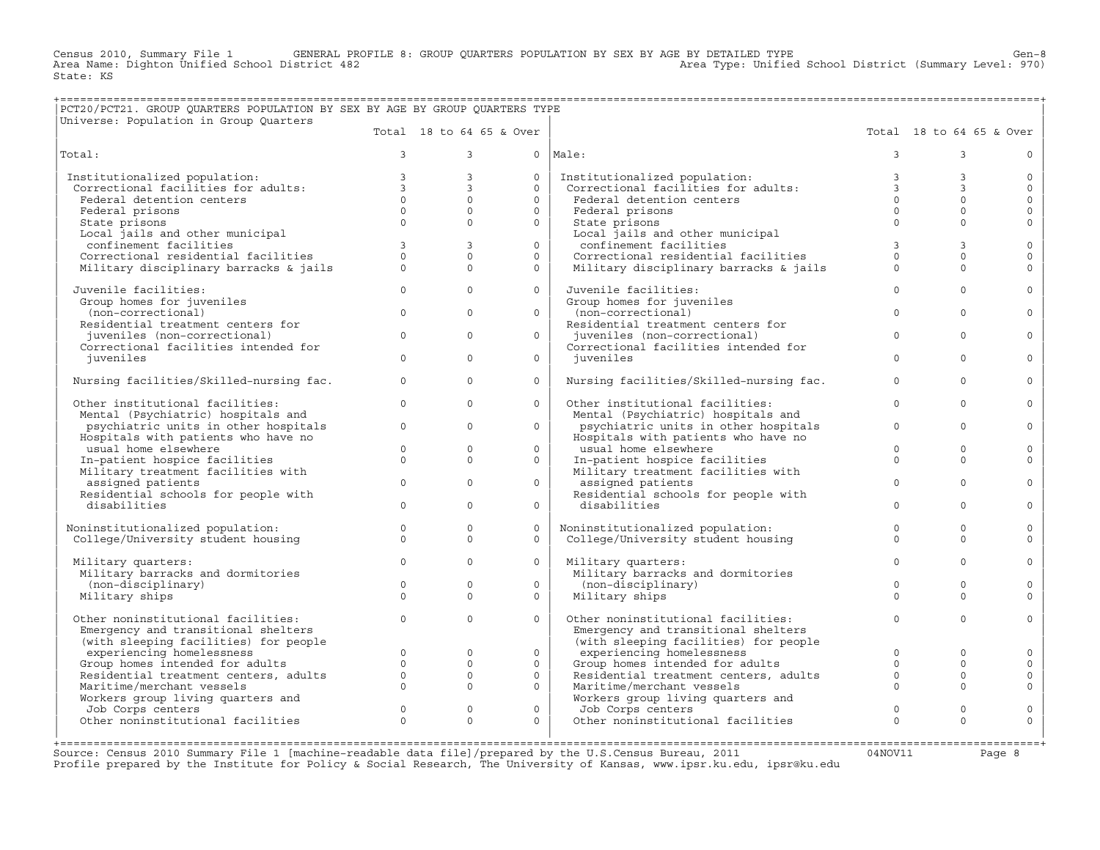Census 2010, Summary File 1 GENERAL PROFILE 8: GROUP QUARTERS POPULATION BY SEX BY AGE BY DETAILED TYPE Genoul<br>Area Name: Dighton Unified School District 482 Area Type: Unified School District (Summary Level: 970) State: KS

## +===================================================================================================================================================+ |PCT20/PCT21. GROUP QUARTERS POPULATION BY SEX BY AGE BY GROUP QUARTERS TYPE |

| Universe: Population in Group Quarters                   |                |                          |              |                                                         |                      |                          |              |
|----------------------------------------------------------|----------------|--------------------------|--------------|---------------------------------------------------------|----------------------|--------------------------|--------------|
|                                                          |                | Total 18 to 64 65 & Over |              |                                                         |                      | Total 18 to 64 65 & Over |              |
| Total:                                                   | $\mathbf{3}$   | $\mathbf{3}$             |              | $0$   Male:                                             | 3                    | 3                        | $\Omega$     |
| Institutionalized population:                            | $\overline{3}$ | $\mathbf{3}$             | $\Omega$     | Institutionalized population:                           | $\mathbf{3}$         | 3                        | $\circ$      |
| Correctional facilities for adults:                      | $\overline{3}$ | $\overline{3}$           | $\Omega$     | Correctional facilities for adults:                     | $\overline{3}$       | $\overline{3}$           | $\mathbf 0$  |
| Federal detention centers                                | $\Omega$       | $\Omega$                 | $\Omega$     | Federal detention centers                               | $\Omega$             | $\circ$                  | $\mathbf{0}$ |
| Federal prisons                                          | $\Omega$       | $\Omega$                 | $\Omega$     | Federal prisons                                         | $\Omega$             | $\Omega$                 | $\mathbf{0}$ |
| State prisons                                            | $\Omega$       | $\Omega$                 | $\Omega$     | State prisons                                           | $\Omega$             | $\Omega$                 | $\Omega$     |
| Local jails and other municipal                          |                |                          |              | Local jails and other municipal                         |                      |                          |              |
| confinement facilities                                   | $\overline{3}$ | $\overline{3}$           | $\Omega$     | confinement facilities                                  | $\mathbf{3}$         | 3                        | $\mathbf 0$  |
| Correctional residential facilities                      | $\Omega$       | $\Omega$                 | $\Omega$     | Correctional residential facilities                     | $\Omega$             | $\Omega$                 | $\mathbf 0$  |
| Military disciplinary barracks & jails                   | $\Omega$       | $\Omega$                 | $\Omega$     | Military disciplinary barracks & jails                  | $\Omega$             | $\Omega$                 | $\Omega$     |
| Juvenile facilities:                                     | $\Omega$       | $\Omega$                 | $\Omega$     | Juvenile facilities:                                    | $\Omega$             | $\Omega$                 | $\Omega$     |
| Group homes for juveniles                                |                |                          |              | Group homes for juveniles                               |                      |                          |              |
| (non-correctional)                                       | $\Omega$       | $\Omega$                 | $\Omega$     | (non-correctional)                                      | $\Omega$             | $\Omega$                 | $\Omega$     |
| Residential treatment centers for                        |                |                          |              | Residential treatment centers for                       |                      |                          |              |
| juveniles (non-correctional)                             | $\mathbf{0}$   | $\circ$                  | $\mathsf{O}$ | juveniles (non-correctional)                            | $\mathbf 0$          | $\mathbf 0$              | $\Omega$     |
| Correctional facilities intended for                     |                |                          |              | Correctional facilities intended for                    |                      |                          |              |
| iuveniles                                                | $\Omega$       | $\Omega$                 | $\Omega$     | iuveniles                                               | $\Omega$             | $\Omega$                 | $\Omega$     |
| Nursing facilities/Skilled-nursing fac.                  | $\circ$        | $\Omega$                 | $\Omega$     | Nursing facilities/Skilled-nursing fac.                 | $\Omega$             | $\Omega$                 | $\Omega$     |
| Other institutional facilities:                          | $\Omega$       | $\Omega$                 | $\circ$      | Other institutional facilities:                         | $\Omega$             | $\mathbf 0$              | $\Omega$     |
| Mental (Psychiatric) hospitals and                       |                |                          |              | Mental (Psychiatric) hospitals and                      |                      |                          |              |
| psychiatric units in other hospitals                     | $\Omega$       | $\Omega$                 | $\Omega$     | psychiatric units in other hospitals                    | $\Omega$             | $\Omega$                 | $\Omega$     |
| Hospitals with patients who have no                      |                |                          |              | Hospitals with patients who have no                     |                      |                          |              |
| usual home elsewhere                                     | $\Omega$       | $\Omega$                 | $\Omega$     | usual home elsewhere                                    | $\Omega$             | $\Omega$                 | $\Omega$     |
| In-patient hospice facilities                            | $\circ$        | $\Omega$                 | $\circ$      | In-patient hospice facilities                           | $\Omega$             | $\Omega$                 | $\Omega$     |
| Military treatment facilities with                       |                |                          |              | Military treatment facilities with                      | $\Omega$             |                          |              |
| assigned patients<br>Residential schools for people with | $\Omega$       | $\Omega$                 | $\Omega$     | assigned patients                                       |                      | $\Omega$                 | $\Omega$     |
| disabilities                                             | $\Omega$       | $\Omega$                 | $\Omega$     | Residential schools for people with<br>disabilities     | $\Omega$             | $\Omega$                 | $\Omega$     |
|                                                          |                |                          |              |                                                         |                      |                          |              |
| Noninstitutionalized population:                         | $\circ$        | $\circ$                  | $\Omega$     | Noninstitutionalized population:                        | $\Omega$             | $\Omega$                 | $\mathbf 0$  |
| College/University student housing                       | $\Omega$       | $\Omega$                 | $\Omega$     | College/University student housing                      | $\Omega$             | $\Omega$                 | $\Omega$     |
|                                                          |                |                          |              |                                                         |                      |                          |              |
| Military quarters:<br>Military barracks and dormitories  | $\Omega$       | $\Omega$                 | $\Omega$     | Military quarters:<br>Military barracks and dormitories | $\Omega$             | $\Omega$                 | $\mathbf 0$  |
| (non-disciplinary)                                       | $\Omega$       | $\Omega$                 | $\Omega$     | (non-disciplinary)                                      | $\Omega$             | $\Omega$                 | $\Omega$     |
| Military ships                                           | $\Omega$       | $\Omega$                 | $\Omega$     | Military ships                                          | $\Omega$             | $\Omega$                 | $\Omega$     |
|                                                          |                |                          |              |                                                         |                      |                          |              |
| Other noninstitutional facilities:                       | $\circ$        | $\circ$                  | $\mathsf{O}$ | Other noninstitutional facilities:                      | $\mathbf 0$          | $\circ$                  | $\mathbf 0$  |
| Emergency and transitional shelters                      |                |                          |              | Emergency and transitional shelters                     |                      |                          |              |
| (with sleeping facilities) for people                    |                |                          |              | (with sleeping facilities) for people                   |                      |                          |              |
| experiencing homelessness                                | $\circ$        | $\mathbf 0$              | $\mathbf{0}$ | experiencing homelessness                               | $\Omega$             | $\mathbf{0}$             | $\mathbf 0$  |
| Group homes intended for adults                          | $\Omega$       | $\Omega$                 | $\Omega$     | Group homes intended for adults                         | $\Omega$             | $\Omega$                 | $\mathbf 0$  |
| Residential treatment centers, adults                    | $\circ$        | $\Omega$<br>$\Omega$     | $\Omega$     | Residential treatment centers, adults                   | $\Omega$<br>$\Omega$ | $\Omega$                 | $\mathbf 0$  |
| Maritime/merchant vessels                                | $\Omega$       |                          | $\Omega$     | Maritime/merchant vessels                               |                      | $\Omega$                 | $\mathbf{0}$ |
| Workers group living quarters and<br>Job Corps centers   | $\Omega$       | $\Omega$                 | $\circ$      | Workers group living quarters and<br>Job Corps centers  | $\Omega$             | $\Omega$                 | $\mathbf 0$  |
| Other noninstitutional facilities                        | $\Omega$       | $\Omega$                 | $\Omega$     | Other noninstitutional facilities                       | $\Omega$             | $\Omega$                 | $\circ$      |
|                                                          |                |                          |              |                                                         |                      |                          |              |
|                                                          |                |                          |              |                                                         |                      |                          |              |

Source: Census 2010 Summary File 1 [machine-readable data file]/prepared by the U.S.Census Bureau, 2011 Page 8<br>Profile prepared by the Institute for Policy & Social Research, The University of Kansas, www.ip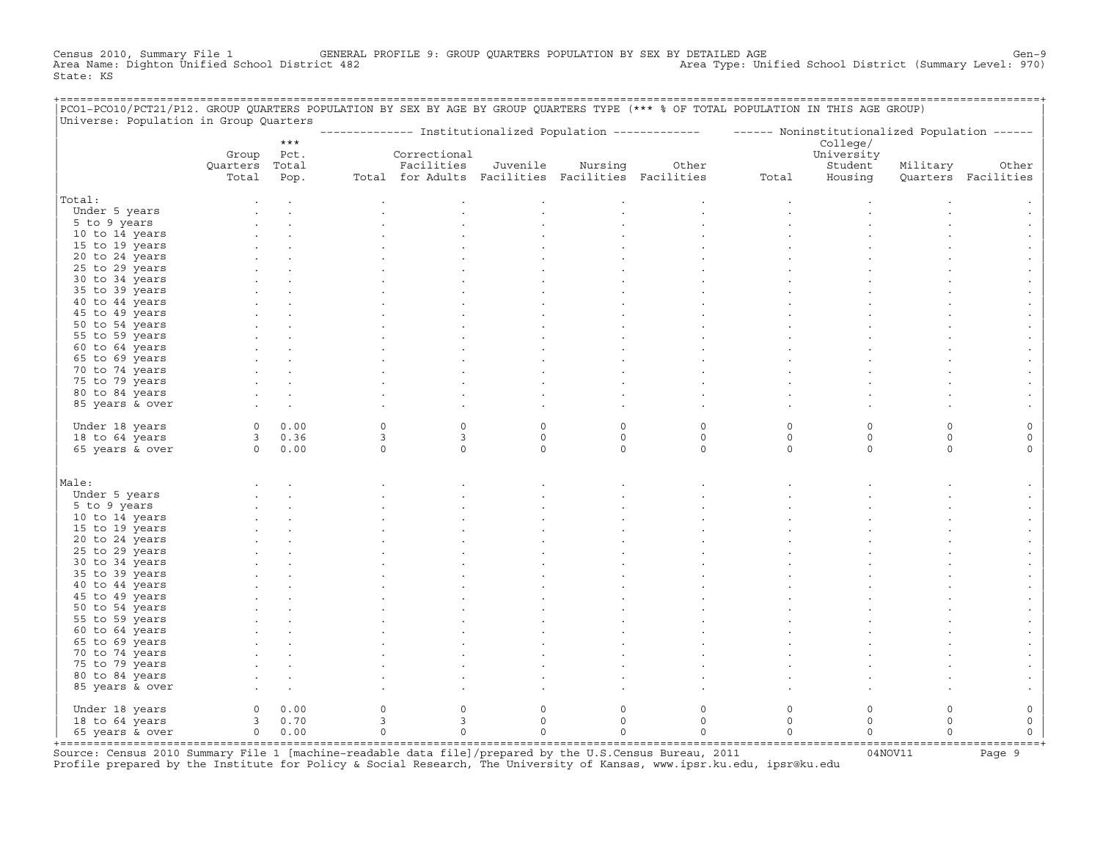Census 2010, Summary File 1 GENERAL PROFILE 9: GROUP QUARTERS POPULATION BY SEX BY DETAILED AGE GENOOL District (Summary Level: 970)<br>Area Name: Dighton Unified School District 482 Area Type: Unified School District (Summary Level: 970) State: KS

| PCO1-PCO10/PCT21/P12. GROUP QUARTERS POPULATION BY SEX BY AGE BY GROUP QUARTERS TYPE (*** % OF TOTAL POPULATION IN THIS AGE GROUP)<br>Universe: Population in Group Quarters |                |                |                           |                                                   |                        |                    |                                                                                                           |              |                    |                     |                          |
|------------------------------------------------------------------------------------------------------------------------------------------------------------------------------|----------------|----------------|---------------------------|---------------------------------------------------|------------------------|--------------------|-----------------------------------------------------------------------------------------------------------|--------------|--------------------|---------------------|--------------------------|
|                                                                                                                                                                              |                |                |                           |                                                   |                        |                    | -------------- Institutionalized Population ------------- - ------ Noninstitutionalized Population ------ |              |                    |                     |                          |
|                                                                                                                                                                              |                | $***$          |                           |                                                   |                        |                    |                                                                                                           |              | College/           |                     |                          |
|                                                                                                                                                                              | Group          | Pct.           |                           | Correctional                                      |                        |                    |                                                                                                           |              | University         |                     |                          |
|                                                                                                                                                                              | Quarters Total |                |                           | Facilities                                        | Juvenile               | Nursing            | Other                                                                                                     |              | Student            | Military            | Other                    |
|                                                                                                                                                                              | Total          | Pop.           |                           | Total for Adults Facilities Facilities Facilities |                        |                    |                                                                                                           | Total        | Housing            |                     | Quarters Facilities      |
| Total:                                                                                                                                                                       |                |                |                           |                                                   |                        |                    |                                                                                                           |              |                    |                     |                          |
| Under 5 years                                                                                                                                                                |                |                |                           |                                                   |                        |                    |                                                                                                           |              |                    |                     |                          |
| 5 to 9 years                                                                                                                                                                 |                |                |                           |                                                   |                        |                    |                                                                                                           |              |                    |                     |                          |
| 10 to 14 years                                                                                                                                                               |                |                |                           |                                                   |                        |                    |                                                                                                           |              |                    |                     |                          |
| 15 to 19 years                                                                                                                                                               |                |                |                           |                                                   |                        |                    |                                                                                                           |              |                    |                     |                          |
| 20 to 24 years                                                                                                                                                               |                |                |                           |                                                   |                        |                    |                                                                                                           |              |                    |                     |                          |
| 25 to 29 years                                                                                                                                                               |                |                |                           |                                                   |                        |                    |                                                                                                           |              |                    |                     |                          |
| 30 to 34 years                                                                                                                                                               |                |                |                           |                                                   |                        |                    |                                                                                                           |              |                    |                     |                          |
| 35 to 39 years                                                                                                                                                               |                |                |                           |                                                   |                        |                    |                                                                                                           |              |                    |                     |                          |
| 40 to 44 years                                                                                                                                                               |                |                |                           |                                                   |                        |                    |                                                                                                           |              |                    |                     |                          |
| 45 to 49 years                                                                                                                                                               |                |                |                           |                                                   |                        |                    |                                                                                                           |              |                    |                     |                          |
| 50 to 54 years                                                                                                                                                               |                |                |                           |                                                   |                        |                    |                                                                                                           |              |                    |                     |                          |
| 55 to 59 years                                                                                                                                                               |                |                |                           |                                                   |                        |                    |                                                                                                           |              |                    |                     |                          |
| 60 to 64 years                                                                                                                                                               |                |                |                           |                                                   |                        |                    |                                                                                                           |              |                    |                     |                          |
| 65 to 69 years                                                                                                                                                               |                |                |                           |                                                   |                        |                    |                                                                                                           |              |                    |                     |                          |
| 70 to 74 years                                                                                                                                                               |                |                |                           |                                                   |                        |                    |                                                                                                           |              |                    |                     |                          |
| 75 to 79 years                                                                                                                                                               |                |                |                           |                                                   |                        |                    |                                                                                                           |              |                    |                     |                          |
| 80 to 84 years                                                                                                                                                               |                |                |                           |                                                   |                        |                    |                                                                                                           |              |                    |                     |                          |
| 85 years & over                                                                                                                                                              |                |                |                           |                                                   |                        |                    |                                                                                                           |              |                    |                     |                          |
|                                                                                                                                                                              |                | 0 0.00         | $\Omega$                  | $\Omega$                                          | $\Omega$               | $\Omega$           |                                                                                                           |              | $\Omega$           | $\Omega$            |                          |
| Under 18 years<br>18 to 64 years                                                                                                                                             |                | 30.36          | $\overline{3}$            | $\overline{3}$                                    | $\circ$                | $\circ$            | $\circ$<br>$\circ$                                                                                        | 0<br>$\circ$ | $\mathbf 0$        | $\circ$             | $\circ$                  |
| 65 years & over                                                                                                                                                              | $0 \t 0.00$    |                | $\Omega$                  | $\Omega$                                          | $\Omega$               | $\Omega$           | $\Omega$                                                                                                  | $\Omega$     | $\Omega$           | $\Omega$            | $\Omega$                 |
|                                                                                                                                                                              |                |                |                           |                                                   |                        |                    |                                                                                                           |              |                    |                     |                          |
|                                                                                                                                                                              |                |                |                           |                                                   |                        |                    |                                                                                                           |              |                    |                     |                          |
| Male:                                                                                                                                                                        |                |                |                           |                                                   |                        |                    |                                                                                                           |              |                    |                     |                          |
| Under 5 years                                                                                                                                                                |                |                |                           |                                                   |                        |                    |                                                                                                           |              |                    |                     |                          |
| 5 to 9 years                                                                                                                                                                 |                |                |                           |                                                   |                        |                    |                                                                                                           |              |                    |                     |                          |
| 10 to 14 years                                                                                                                                                               |                |                |                           |                                                   |                        |                    |                                                                                                           |              |                    |                     |                          |
| 15 to 19 years                                                                                                                                                               |                |                |                           |                                                   |                        |                    |                                                                                                           |              |                    |                     |                          |
| 20 to 24 years                                                                                                                                                               |                |                |                           |                                                   |                        |                    |                                                                                                           |              |                    |                     |                          |
| 25 to 29 years<br>30 to 34 years                                                                                                                                             |                |                |                           |                                                   |                        |                    |                                                                                                           |              |                    |                     |                          |
| 35 to 39 years                                                                                                                                                               |                |                |                           |                                                   |                        |                    |                                                                                                           |              |                    |                     |                          |
| 40 to 44 years                                                                                                                                                               |                |                |                           |                                                   |                        |                    |                                                                                                           |              |                    |                     |                          |
| 45 to 49 years                                                                                                                                                               |                |                |                           |                                                   |                        |                    |                                                                                                           |              |                    |                     |                          |
| 50 to 54 years                                                                                                                                                               |                |                |                           |                                                   |                        |                    |                                                                                                           |              |                    |                     |                          |
| 55 to 59 years                                                                                                                                                               |                |                |                           |                                                   |                        |                    |                                                                                                           |              |                    |                     |                          |
| 60 to 64 years                                                                                                                                                               |                |                |                           |                                                   |                        |                    |                                                                                                           |              |                    |                     |                          |
| 65 to 69 years                                                                                                                                                               |                |                |                           |                                                   |                        |                    |                                                                                                           |              |                    |                     |                          |
| 70 to 74 years                                                                                                                                                               |                |                |                           |                                                   |                        |                    |                                                                                                           |              |                    |                     |                          |
| 75 to 79 years                                                                                                                                                               |                |                |                           |                                                   |                        |                    |                                                                                                           |              |                    |                     |                          |
| 80 to 84 years                                                                                                                                                               |                |                |                           |                                                   |                        |                    |                                                                                                           |              |                    |                     |                          |
| 85 years & over                                                                                                                                                              |                |                |                           |                                                   |                        |                    |                                                                                                           |              |                    |                     |                          |
|                                                                                                                                                                              |                |                |                           |                                                   |                        |                    |                                                                                                           |              |                    |                     |                          |
| Under 18 years                                                                                                                                                               | $\overline{0}$ | 0.00<br>3 0.70 | $\circ$<br>$\overline{3}$ | $\mathbf 0$<br>$\overline{3}$                     | $\circ$<br>$\mathbf 0$ | $\circ$<br>$\circ$ | $\mathbf 0$<br>$\circ$                                                                                    | 0<br>$\circ$ | $\circ$<br>$\circ$ | $\circ$<br>$\Omega$ | 0<br>$\mathsf{O}\xspace$ |
| 18 to 64 years<br>65 years & over                                                                                                                                            |                | 0 0.00         | $\circ$                   | $\mathbf 0$                                       | $\circ$                | $\circ$            | $\mathbf 0$                                                                                               | $\circ$      | $\circ$            | $\Omega$            | $\mathsf{O}\xspace$      |
|                                                                                                                                                                              |                |                |                           |                                                   |                        |                    |                                                                                                           |              |                    |                     |                          |
|                                                                                                                                                                              |                |                |                           |                                                   |                        |                    |                                                                                                           |              |                    |                     |                          |

+===================================================================================================================================================+Source: Census 2010 Summary File 1 [machine−readable data file]/prepared by the U.S.Census Bureau, 2011 04NOV11 Page 9 Profile prepared by the Institute for Policy & Social Research, The University of Kansas, www.ipsr.ku.edu, ipsr@ku.edu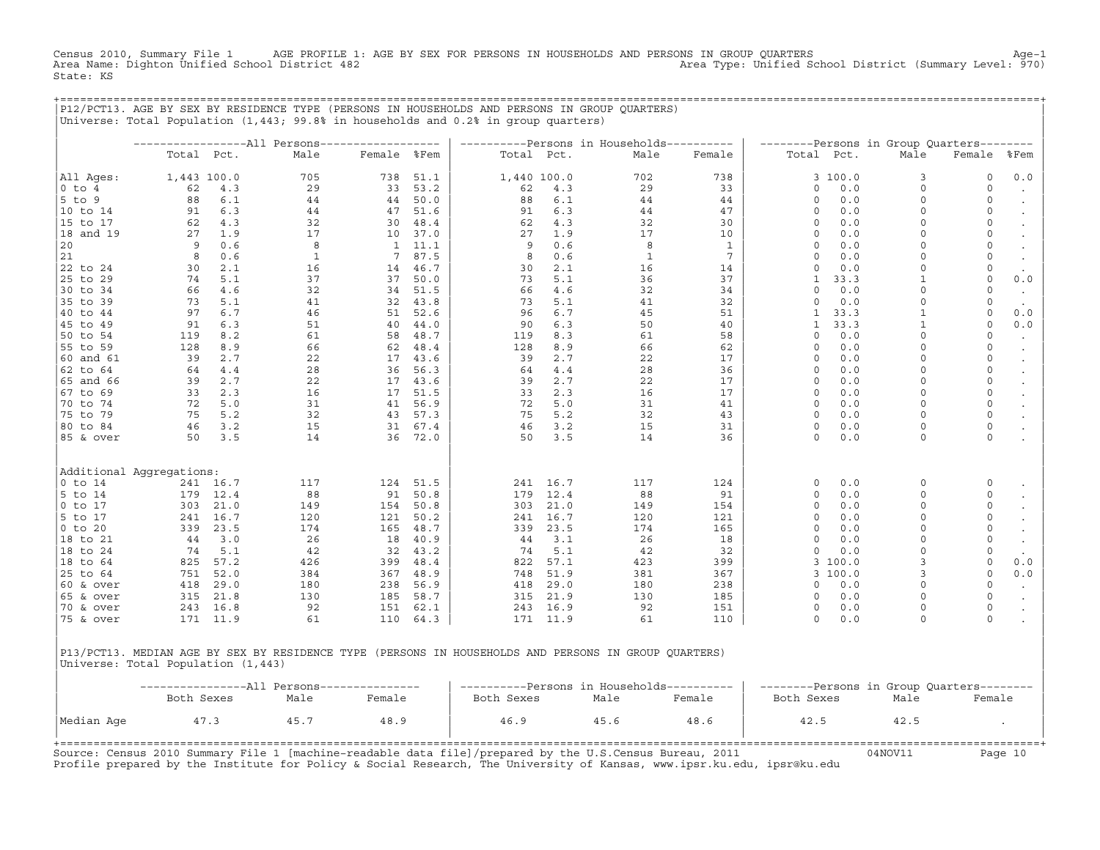Census 2010, Summary File 1 AGE PROFILE 1: AGE BY SEX FOR PERSONS IN HOUSEHOLDS AND PERSONS IN GROUP QUARTERS<br>Area Name: Dighton Unified School District 482 Area Type: Unified School District (Summary Level: 970) State: KS

+===================================================================================================================================================+

|                       |                          |             | P12/PCT13. AGE BY SEX BY RESIDENCE TYPE (PERSONS IN HOUSEHOLDS AND PERSONS IN GROUP QUARTERS)<br>Universe: Total Population (1,443; 99.8% in households and 0.2% in group quarters) |              |      |            |             |                                                   |                 |              |            |                                                   |              |                      |
|-----------------------|--------------------------|-------------|-------------------------------------------------------------------------------------------------------------------------------------------------------------------------------------|--------------|------|------------|-------------|---------------------------------------------------|-----------------|--------------|------------|---------------------------------------------------|--------------|----------------------|
|                       |                          |             |                                                                                                                                                                                     |              |      |            |             |                                                   |                 |              |            |                                                   |              |                      |
|                       |                          | Total Pct.  | Male                                                                                                                                                                                | Female %Fem  |      | Total Pct. |             | ----------Persons in Households----------<br>Male | Female          |              | Total Pct. | --------Persons in Group Quarters--------<br>Male | Female       | %Fem                 |
|                       |                          |             |                                                                                                                                                                                     |              |      |            |             |                                                   |                 |              |            |                                                   |              |                      |
| All Ages:             |                          | 1,443 100.0 | 705                                                                                                                                                                                 | 738          | 51.1 |            | 1,440 100.0 | 702                                               | 738             |              | 3 100.0    | 3                                                 | 0            | 0.0                  |
| $0$ to $4$            | 62                       | 4.3         | 29                                                                                                                                                                                  | 33           | 53.2 | 62         | 4.3         | 29                                                | 33              | $\circ$      | 0.0        | $\circ$                                           | $\circ$      | $\bullet$            |
| $5$ to 9              | 88                       | 6.1         | 44                                                                                                                                                                                  | 44           | 50.0 | 88         | $6.1$       | 44                                                | 44              | 0            | 0.0        | $\Omega$                                          | 0            | $\bullet$            |
| 10 to 14              | 91                       | 6.3         | 44                                                                                                                                                                                  | 47           | 51.6 | 91         | 6.3         | 44                                                | 47              | $\mathbf 0$  | 0.0        | $\Omega$                                          | 0            | $\bullet$            |
| 15 to 17              | 62                       | 4.3         | 32                                                                                                                                                                                  | 30           | 48.4 | 62         | 4.3         | 32                                                | 30              | $\mathbf 0$  | 0.0        | $\Omega$                                          | 0            | $\bullet$            |
| 18 and 19             | 27                       | 1.9         | 17                                                                                                                                                                                  | 10           | 37.0 | 27         | 1.9         | 17                                                | 10              | $\Omega$     | 0.0        | $\Omega$                                          | $\mathsf O$  | $\bullet$            |
| 20                    | 9                        | 0.6         | 8                                                                                                                                                                                   | $\mathbf{1}$ | 11.1 | 9          | 0.6         | 8                                                 | $\mathbf{1}$    | $\Omega$     | 0.0        | $\Omega$                                          | $\circ$      |                      |
| 21                    | 8                        | 0.6         | $\mathbf{1}$                                                                                                                                                                        | 7            | 87.5 | 8          | 0.6         | $\mathbf{1}$                                      | $7\phantom{.0}$ | $\circ$      | 0.0        | $\Omega$                                          | 0            | $\bullet$            |
| 22 to 24              | 30                       | 2.1         | 16                                                                                                                                                                                  | 14           | 46.7 | 30         | 2.1         | 16                                                | 14              | $\circ$      | 0.0        | $\Omega$                                          | 0            | $\sim$               |
| 25 to 29              | 74                       | 5.1         | 37                                                                                                                                                                                  | 37           | 50.0 | 73         | 5.1         | 36                                                | 37              | 1            | 33.3       | $\mathbf{1}$                                      | 0            | $0.0$                |
| 30 to 34              | 66                       | 4.6         | 32                                                                                                                                                                                  | 34           | 51.5 | 66         | 4.6         | 32                                                | 34              | $\circ$      | 0.0        | $\Omega$                                          | $\circ$      | $\bullet$            |
| 35 to 39              | 73                       | 5.1         | 41                                                                                                                                                                                  | 32           | 43.8 | 73         | 5.1         | 41                                                | 32              | 0            | 0.0        | $\Omega$                                          | 0            | $\sim$               |
| 40 to 44              | 97                       | 6.7         | 46                                                                                                                                                                                  | 51           | 52.6 | 96         | 6.7         | 45                                                | 51              | $\mathbf{1}$ | 33.3       | $\mathbf{1}$                                      | 0            | 0.0                  |
| 45 to 49              | 91                       | 6.3         | 51                                                                                                                                                                                  | 40           | 44.0 | 90         | 6.3         | 50                                                | 40              | $\mathbf{1}$ | 33.3       | $\mathbf{1}$                                      | $\circ$      | $0.0$                |
| 50 to 54              | 119                      | 8.2         | 61                                                                                                                                                                                  | 58           | 48.7 | 119        | 8.3         | 61                                                | 58              | $\circ$      | 0.0        | $\Omega$                                          | $\circ$      | $\sim$               |
| 55 to 59              | 128                      | 8.9         | 66                                                                                                                                                                                  | 62           | 48.4 | 128        | 8.9         | 66                                                | 62              | 0            | 0.0        | $\Omega$                                          | 0            | $\bullet$            |
| $ 60 \text{ and } 61$ | 39                       | 2.7         | 22                                                                                                                                                                                  | 17           | 43.6 | 39         | 2.7         | 22                                                | 17              | $\circ$      | 0.0        | $\mathbf 0$                                       | 0            | $\bullet$            |
| 62 to 64              | 64                       | 4.4         | 28                                                                                                                                                                                  | 36           | 56.3 | 64         | $4.4$       | 28                                                | 36              | $\Omega$     | 0.0        | $\Omega$                                          | 0            | $\bullet$            |
| 65 and 66             | 39                       | 2.7         | 22                                                                                                                                                                                  | 17           | 43.6 | 39         | 2.7         | 22                                                | 17              | $\mathbf 0$  | 0.0        | $\circ$                                           | 0            | $\sim$               |
| 67 to 69              | 33                       | 2.3         | 16                                                                                                                                                                                  | 17           | 51.5 | 33         | 2.3         | 16                                                | 17              | $\mathbf 0$  | 0.0        | $\Omega$                                          | 0            | $\bullet$            |
| 70 to 74              | 72                       | 5.0         | 31                                                                                                                                                                                  | 41           | 56.9 | 72         | 5.0         | 31                                                | 41              | $\mathbf 0$  | 0.0        | $\Omega$                                          | $\circ$      | $\sim$               |
| 75 to 79              | 75                       | 5.2         | 32                                                                                                                                                                                  | 43           | 57.3 | 75         | 5.2         | 32                                                | 43              | $\Omega$     | 0.0        | $\Omega$                                          | $\mathsf O$  | $\bullet$            |
| 80 to 84              | 46                       | 3.2         | 15                                                                                                                                                                                  | 31           | 67.4 | 46         | 3.2         | 15                                                | 31              | 0            | 0.0        | $\Omega$                                          | $\mathsf{O}$ |                      |
| 85 & over             | 50                       | 3.5         | 14                                                                                                                                                                                  | 36           | 72.0 | 50         | 3.5         | 14                                                | 36              | $\circ$      | 0.0        | $\circ$                                           | 0            |                      |
|                       |                          |             |                                                                                                                                                                                     |              |      |            |             |                                                   |                 |              |            |                                                   |              |                      |
|                       | Additional Aggregations: |             |                                                                                                                                                                                     |              |      |            |             |                                                   |                 |              |            |                                                   |              |                      |
| $0$ to 14             |                          | 241 16.7    | 117                                                                                                                                                                                 | 124          | 51.5 | 241        | 16.7        | 117                                               | 124             | 0            | 0.0        | $\Omega$                                          | 0            |                      |
| 5 to 14               | 179                      | 12.4        | 88                                                                                                                                                                                  | 91           | 50.8 | 179        | 12.4        | 88                                                | 91              | $\circ$      | 0.0        | $\Omega$                                          | 0            |                      |
| $ 0 \tto 17$          | 303                      | 21.0        | 149                                                                                                                                                                                 | 154          | 50.8 | 303        | 21.0        | 149                                               | 154             | $\Omega$     | 0.0        | $\Omega$                                          | 0            |                      |
| 5 to 17               | 241                      | 16.7        | 120                                                                                                                                                                                 | 121          | 50.2 | 241        | 16.7        | 120                                               | 121             | $\circ$      | 0.0        | $\Omega$                                          | 0            |                      |
| $ 0 \t{to} 20$        | 339                      | 23.5        | 174                                                                                                                                                                                 | 165          | 48.7 | 339        | 23.5        | 174                                               | 165             | $\Omega$     | 0.0        | $\Omega$                                          | 0            | $\bullet$            |
| 18 to 21              | 44                       | 3.0         | 26                                                                                                                                                                                  | 18           | 40.9 | 44         | 3.1         | 26                                                | 18              | $\circ$      | 0.0        | $\mathbf 0$                                       | 0            | $\bullet$            |
| 18 to 24              | 74                       | 5.1         | 42                                                                                                                                                                                  | 32           | 43.2 | 74         | 5.1         | 42                                                | 32              | $\Omega$     | 0.0        | $\Omega$                                          | 0            |                      |
| 18 to 64              | 825                      | 57.2        | 426                                                                                                                                                                                 | 399          | 48.4 | 822        | 57.1        | 423                                               | 399             | 3            | 100.0      | $\overline{3}$                                    | 0            | 0.0                  |
| 25 to 64              | 751                      | 52.0        | 384                                                                                                                                                                                 | 367          | 48.9 | 748        | 51.9        | 381                                               | 367             | 3            | 100.0      | 3                                                 | 0            | 0.0                  |
| 60 & over             | 418                      | 29.0        | 180                                                                                                                                                                                 | 238          | 56.9 | 418        | 29.0        | 180                                               | 238             | $\circ$      | 0.0        | $\Omega$                                          | $\circ$      | $\sim$               |
| 65 & over             | 315                      | 21.8        | 130                                                                                                                                                                                 | 185          | 58.7 | 315        | 21.9        | 130                                               | 185             | $\circ$      | 0.0        | $\Omega$                                          | 0            | $\ddot{\phantom{a}}$ |
| 70 & over             | 243                      | 16.8        | 92                                                                                                                                                                                  | 151          | 62.1 | 243        | 16.9        | 92                                                | 151             | $\circ$      | 0.0        | $\Omega$                                          | 0            | $\bullet$            |
| 75 & over             |                          | 171 11.9    | 61                                                                                                                                                                                  | 110          | 64.3 |            | 171 11.9    | 61                                                | 110             | $\circ$      | 0.0        | $\circ$                                           | 0            |                      |
|                       |                          |             |                                                                                                                                                                                     |              |      |            |             |                                                   |                 |              |            |                                                   |              |                      |

|P13/PCT13. MEDIAN AGE BY SEX BY RESIDENCE TYPE (PERSONS IN HOUSEHOLDS AND PERSONS IN GROUP QUARTERS) | |Universe: Total Population (1,443) |

|            |            |      |        | ----------Persons in Households---------- |      |        | --------Persons in Group Quarters-------- |      |        |
|------------|------------|------|--------|-------------------------------------------|------|--------|-------------------------------------------|------|--------|
|            | Both Sexes | Male | Female | Both Sexes                                | Male | Female | Both Sexes                                | Male | Female |
| Median Age | 47.3       | 45.7 | 48.9   | 46.9                                      | 45.6 | 48.6   | 42.5                                      | 42.5 |        |
|            |            |      |        |                                           |      |        |                                           |      |        |

Source: Census 2010 Summary File 1 [machine-readable data file]/prepared by the U.S.Census Bureau, 2011 Page 10<br>Profile prepared by the Institute for Policy & Social Research, The University of Kansas, www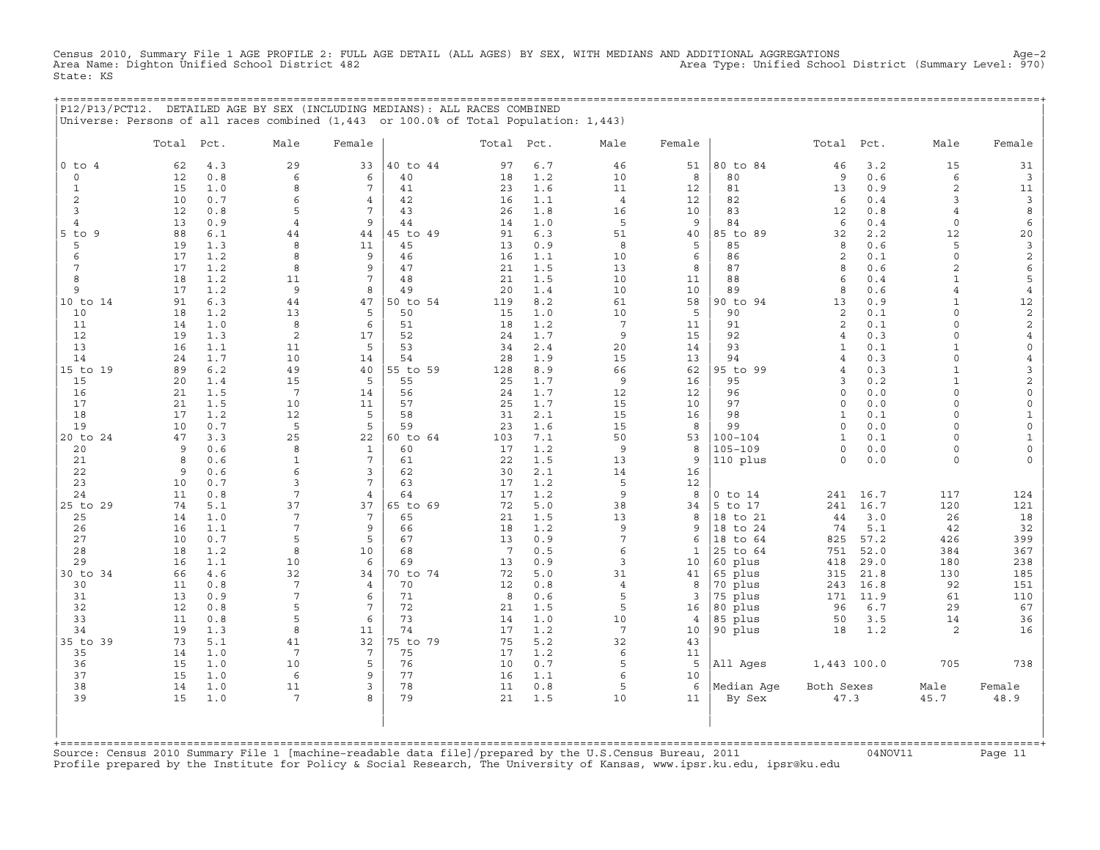Census 2010, Summary File 1 AGE PROFILE 2: FULL AGE DETAIL (ALL AGES) BY SEX, WITH MEDIANS AND ADDITIONAL AGGREGATIONS<br>Area Name: Dighton Unified School District 482 Area Type: Unified Schoo State: KS

|            |                 |     | P12/P13/PCT12. DETAILED AGE BY SEX (INCLUDING MEDIANS): ALL RACES COMBINED<br>Universe: Persons of all races combined (1,443 or 100.0% of Total Population: 1,443) |        |          |            |     |      |        |          |                 |     |      |        |
|------------|-----------------|-----|--------------------------------------------------------------------------------------------------------------------------------------------------------------------|--------|----------|------------|-----|------|--------|----------|-----------------|-----|------|--------|
|            | Total Pct.      |     | Male                                                                                                                                                               | Female |          | Total Pct. |     | Male | Female |          | Total Pct.      |     | Male | Female |
| 0 to 4     | 62              | 4.3 | 29                                                                                                                                                                 | 33     | 40 to 44 | 97         | 6.7 | 46   | 51     | 80 to 84 | 46              | 3.2 | 15   |        |
|            | 12 <sup>°</sup> | 0.8 |                                                                                                                                                                    |        | 40       | 18         | 1.2 | 10   |        | 80       | 9.              | 0.6 |      |        |
|            | 15              | 1.0 |                                                                                                                                                                    |        | 41       | 23         | 1.6 |      | 12     | 81       | 13              | 0.9 |      |        |
|            | 1 O             | 0.7 |                                                                                                                                                                    |        | 42       |            | 1.1 |      | 12     | 82       | б.              | 0.4 |      |        |
|            | 12              | 0.8 |                                                                                                                                                                    |        | 43       | 26         | 1.8 | 16   | 10     | 83       | 12 <sup>1</sup> | 0.8 |      |        |
|            | 13              | 0.9 |                                                                                                                                                                    |        | 44       | 14         | 1.0 |      |        | 84       | 6               | 0.4 |      |        |
| $5$ to $9$ | 88              | 6.1 | 44                                                                                                                                                                 | 44     | 45 to 49 | 91         | 6.3 | 51   | 40     | 85 to 89 | 32              | 2.2 |      |        |
|            | 19              | 1.3 |                                                                                                                                                                    | 11     | 45       |            | 0.9 |      |        | 85       |                 | 0.6 |      |        |
|            |                 |     |                                                                                                                                                                    |        | 46       |            |     |      |        |          |                 |     |      |        |

| 4          | 13 | 0.9 | 4               | 9              | 44       | 14  | 1.0 | 5              | 9  | 84          | 6<br>0.4              | 0              |                |
|------------|----|-----|-----------------|----------------|----------|-----|-----|----------------|----|-------------|-----------------------|----------------|----------------|
| $5$ to $9$ | 88 | 6.1 | 44              | 44             | 45 to 49 | 91  | 6.3 | 51             | 40 | 85 to 89    | 32<br>2.2             | 12             | 20             |
| 5          | 19 | 1.3 | 8               | 11             | 45       | 13  | 0.9 | 8              | 5  | 85          | 8<br>0.6              | 5              | 3              |
| 6          | 17 | 1.2 | 8               | 9              | 46       | 16  | 1.1 | 10             | 6  | 86          | 0.1<br>$\overline{2}$ | $\Omega$       | $\mathbf{2}$   |
|            | 17 | 1.2 | 8               | 9              | 47       | 21  | 1.5 | 13             | 8  | 87          | 0.6<br>8              | $\overline{2}$ | 6              |
| 8          | 18 | 1.2 | 11              |                | 48       | 21  | 1.5 | 10             | 11 | 88          | 0.4                   | $\mathbf{1}$   | 5              |
| 9          | 17 | 1.2 | 9               | 8              | 49       | 20  | 1.4 | 10             | 10 | 89          | 0.6<br>8              | $\overline{4}$ | $\overline{4}$ |
| 10 to 14   | 91 | 6.3 | 44              | 47             | 50 to 54 | 119 | 8.2 | 61             | 58 | 90 to 94    | 0.9<br>13             | $\mathbf{1}$   | $12\,$         |
| 10         | 18 | 1.2 | 13              | 5              | 50       | 15  | 1.0 | 10             | 5  | 90          | $\overline{c}$<br>0.1 | $\Omega$       | 2              |
| 11         | 14 | 1.0 | 8               | 6              | 51       | 18  | 1.2 | 7              | 11 | 91          | $\overline{2}$<br>0.1 | $\Omega$       | 2              |
| 12         | 19 | 1.3 | $\overline{c}$  | 17             | 52       | 24  | 1.7 | 9              | 15 | 92          | 0.3                   | $\Omega$       |                |
| 13         | 16 | 1.1 | 11              | 5              | 53       |     | 2.4 | 20             |    | 93          | 4<br>0.1<br>-1        | $\mathbf{1}$   | $\Omega$       |
|            |    |     |                 |                |          | 34  |     |                | 14 |             |                       | $\Omega$       |                |
| 14         | 24 | 1.7 | 10              | 14             | 54       | 28  | 1.9 | 15             | 13 | 94          | 0.3<br>$\overline{4}$ |                | $\overline{4}$ |
| 15 to 19   | 89 | 6.2 | 49              | 40             | 55 to 59 | 128 | 8.9 | 66             | 62 | 95 to 99    | 0.3<br>$\overline{4}$ |                | $\overline{3}$ |
| 15         | 20 | 1.4 | 15              | 5              | 55       | 25  | 1.7 | 9              | 16 | 95          | 0.2<br>3              | $\mathbf{1}$   | $\mathbf{2}$   |
| 16         | 21 | 1.5 | 7               | 14             | 56       | 24  | 1.7 | 12             | 12 | 96          | 0.0<br>$\Omega$       | $\Omega$       | $\mathbf 0$    |
| 17         | 21 | 1.5 | 10              | 11             | 57       | 25  | 1.7 | 15             | 10 | 97          | 0.0<br>$\Omega$       | $\Omega$       | $\Omega$       |
| 18         | 17 | 1.2 | 12              | 5              | 58       | 31  | 2.1 | 15             | 16 | 98          | 0.1<br>1              | $\circ$        | $\mathbf{1}$   |
| 19         | 10 | 0.7 | 5               | 5              | 59       | 23  | 1.6 | 15             | 8  | 99          | 0.0<br>$\cap$         | $\Omega$       | $\Omega$       |
| 20 to 24   | 47 | 3.3 | 25              | 22             | 60 to 64 | 103 | 7.1 | 50             | 53 | $100 - 104$ | $\mathbf{1}$<br>0.1   | $\circ$        |                |
| 20         | 9  | 0.6 | 8               | $\mathbf{1}$   | 60       | 17  | 1.2 | 9              | 8  | 105-109     | 0.0<br>$\Omega$       | $\circ$        | $\mathbf 0$    |
| 21         | 8  | 0.6 | 1               | 7              | 61       | 22  | 1.5 | 13             | 9  | 110 plus    | 0.0<br>$\Omega$       | $\circ$        | $\Omega$       |
| 22         | 9  | 0.6 | 6               | 3              | 62       | 30  | 2.1 | 14             | 16 |             |                       |                |                |
| 23         | 10 | 0.7 | 3               |                | 63       | 17  | 1.2 | 5              | 12 |             |                       |                |                |
| 24         | 11 | 0.8 |                 | $\overline{4}$ | 64       | 17  | 1.2 | 9              | 8  | $0$ to $14$ | 16.7<br>241           | 117            | 124            |
| 25 to 29   | 74 | 5.1 | 37              | 37             | 65 to 69 | 72  | 5.0 | 38             | 34 | 5 to 17     | 16.7<br>241           | 120            | 121            |
| 25         | 14 | 1.0 | $\overline{7}$  | 7              | 65       | 21  | 1.5 | 13             | 8  | 18 to 21    | 3.0<br>44             | 26             | 18             |
| 26         | 16 | 1.1 | $\overline{7}$  | 9              | 66       | 18  | 1.2 | 9              | 9  | 18 to 24    | 5.1<br>74             | 42             | 32             |
| 27         | 10 | 0.7 | 5               | 5              | 67       | 13  | 0.9 | 7              | 6  | 18 to 64    | 57.2<br>825           | 426            | 399            |
| 28         | 18 | 1.2 | 8               | 10             | 68       | 7   | 0.5 | 6              | 1  | 25 to 64    | 751<br>52.0           | 384            | 367            |
| 29         | 16 | 1.1 | 10              | 6              | 69       | 13  | 0.9 | 3              | 10 | 60 plus     | 29.0<br>418           | 180            | 238            |
| 30 to 34   | 66 | 4.6 | 32              | 34             | 70 to 74 | 72  | 5.0 | 31             | 41 | 65 plus     | 21.8<br>315           | 130            | 185            |
| 30         | 11 | 0.8 | 7               | $\overline{4}$ | 70       | 12  | 0.8 | $\overline{4}$ | 8  | 70 plus     | 16.8<br>243           | 92             | 151            |
| 31         | 13 | 0.9 | 7               | 6              | 71       | 8   | 0.6 | 5              | 3  | 75 plus     | 11.9<br>171           | 61             | 110            |
| 32         | 12 | 0.8 | 5               | 7              | 72       | 21  | 1.5 | 5              | 16 | 80 plus     | 6.7<br>96             | 29             | 67             |
| 33         | 11 | 0.8 | 5               | 6              | 73       | 14  | 1.0 | 10             | 4  | 85 plus     | 3.5<br>50             | 14             | 36             |
| 34         | 19 | 1.3 | 8               | 11             | 74       | 17  | 1.2 | 7              | 10 | 90 plus     | 18<br>1.2             | 2              | 16             |
|            | 73 |     |                 | 32             | 75 to 79 | 75  |     | 32             | 43 |             |                       |                |                |
| 35 to 39   |    | 5.1 | 41              | 7              |          |     | 5.2 |                |    |             |                       |                |                |
| 35         | 14 | 1.0 | 7               |                | 75       | 17  | 1.2 | 6              | 11 |             |                       |                |                |
| 36         | 15 | 1.0 | 10              | 5              | 76       | 10  | 0.7 | 5              | 5  | All Ages    | 1,443 100.0           | 705            | 738            |
| 37         | 15 | 1.0 | 6               | 9              | 77       | 16  | 1.1 | 6              | 10 |             |                       |                |                |
| 38         | 14 | 1.0 | 11              | 3              | 78       | 11  | 0.8 | 5              | 6  | Median Aqe  | Both Sexes            | Male           | Female         |
| 39         | 15 | 1.0 | $7\phantom{.0}$ | 8              | 79       | 21  | 1.5 | 10             | 11 | By Sex      | 47.3                  | 45.7           | 48.9           |
|            |    |     |                 |                |          |     |     |                |    |             |                       |                |                |
|            |    |     |                 |                |          |     |     |                |    |             |                       |                |                |
|            |    |     |                 |                |          |     |     |                |    |             |                       |                |                |

+===================================================================================================================================================+Source: Census 2010 Summary File 1 [machine−readable data file]/prepared by the U.S.Census Bureau, 2011 04NOV11 Page 11 Profile prepared by the Institute for Policy & Social Research, The University of Kansas, www.ipsr.ku.edu, ipsr@ku.edu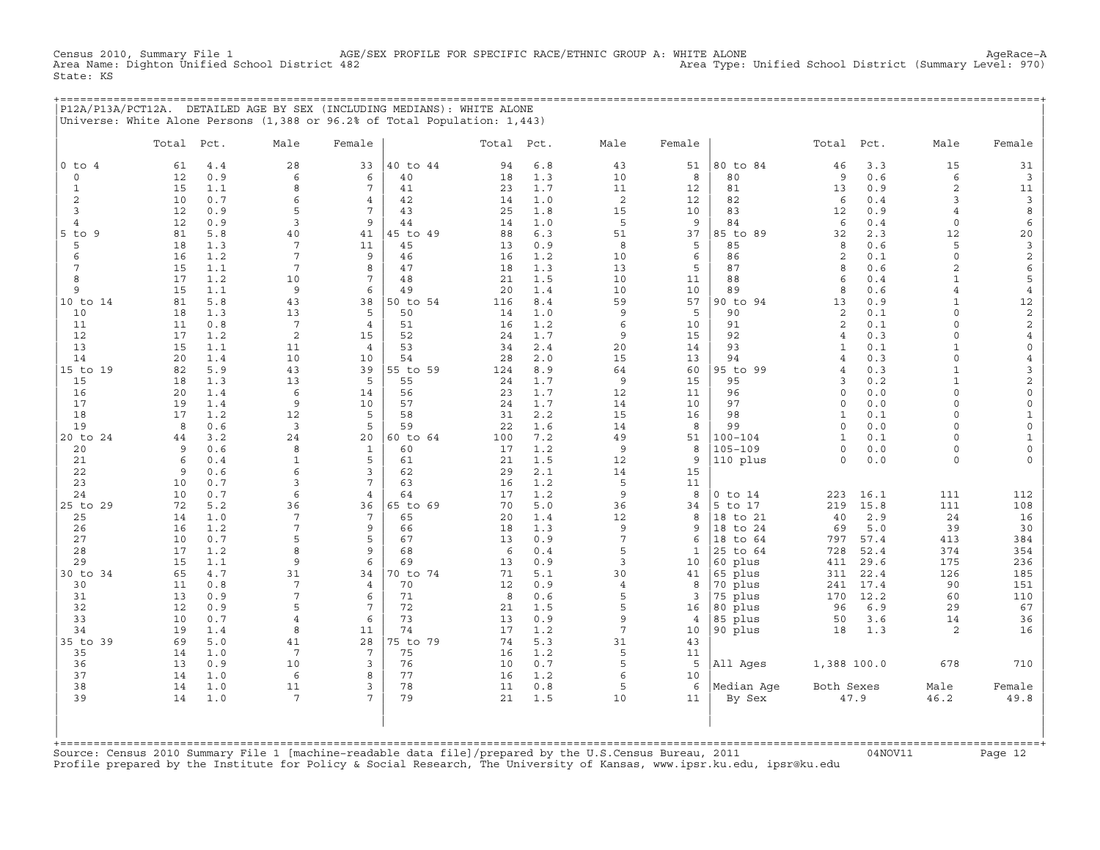Census 2010, Summary File 1 AGE/SEX PROFILE FOR SPECIFIC RACE/ETHNIC GROUP A: WHITE ALONE AgeRace−A Area Type: Unified School District (Summary Level: 970) State: KS

+===================================================================================================================================================+ |P12A/P13A/PCT12A. DETAILED AGE BY SEX (INCLUDING MEDIANS): WHITE ALONE | |Universe: White Alone Persons (1,388 or 96.2% of Total Population: 1,443) |

|                | Total    | Pct.       | Male            | Female                |                | Total Pct. |            | Male            | Female         |                | Total          | Pct.       | Male                     | Female               |
|----------------|----------|------------|-----------------|-----------------------|----------------|------------|------------|-----------------|----------------|----------------|----------------|------------|--------------------------|----------------------|
| $0$ to $4$     | 61       | 4.4        | 28              | 33                    | 40 to 44       | 94         | $6.8$      | 43              | 51             | 80 to 84       | 46             | 3.3        | 15                       | 31                   |
| $\circ$        | 12       | 0.9        | 6               | 6                     | 40             | 18         | 1.3        | 10              | 8              | 80             | 9              | 0.6        | 6                        | $\mathbf{3}$         |
| $\mathbf{1}$   | 15       | 1.1        | 8               | 7                     | 41             | 23         | 1.7        | 11              | 12             | 81             | 13             | 0.9        | 2                        | 11                   |
| 2              | 10       | 0.7        | 6               | $\overline{4}$        | 42             | 14         | 1.0        | 2               | 12             | 82             | 6              | $0.4$      | 3                        | $\overline{3}$       |
| 3              | 12       | 0.9        | 5               | 7                     | 43             | 25         | 1.8        | 15              | 10             | 83             | 12             | 0.9        | $\overline{4}$           | 8                    |
| 4              | 12       | 0.9        | 3               | 9                     | 44             | 14         | 1.0        | 5               | 9              | 84             | 6              | 0.4        | $\circ$                  | 6                    |
| $5$ to $9$     | 81       | 5.8        | 40              | 41                    | 45 to 49       | 88         | 6.3        | 51              | 37             | 85 to 89       | 32             | 2.3        | 12                       | $20$                 |
| 5              | 18       | 1.3        | $7\phantom{.0}$ | 11                    | 45             | 13         | 0.9        | 8               | 5              | 85             | 8              | 0.6        | 5                        | $\mathbf{3}$         |
| 6              | 16       | 1.2        | $\overline{7}$  | 9                     | 46             | 16         | 1.2        | 10              | 6              | 86             | 2              | 0.1        | $\circ$                  | $\mathbf{2}$         |
| 7              | 15       | 1.1        | $\overline{7}$  | 8                     | 47             | 18         | 1.3        | 13              | 5              | 87             | 8              | 0.6        | $\overline{a}$           | $\epsilon$           |
| 8              | 17       | 1.2        | 10              | 7                     | 48             | 21         | 1.5        | 10              | 11             | 88             | 6              | 0.4        | $\mathbf{1}$             | 5                    |
| 9              | 15       | 1.1        | 9               | 6                     | 49             | 20         | 1.4        | 10              | 10             | 89             | 8              | 0.6        | $\overline{4}$           | $\overline{4}$       |
| 10 to 14<br>10 | 81<br>18 | 5.8<br>1.3 | 43<br>13        | 38<br>5               | 50 to 54<br>50 | 116<br>14  | 8.4<br>1.0 | 59<br>9         | 57<br>5        | 90 to 94<br>90 | 13<br>2        | 0.9<br>0.1 | $\mathbf{1}$<br>$\Omega$ | 12<br>$\overline{c}$ |
| 11             | 11       | 0.8        | $7\phantom{.0}$ | $\overline{4}$        | 51             | 16         | 1.2        | 6               | 10             | 91             | 2              | 0.1        | $\circ$                  | $\overline{c}$       |
| 12             | 17       | 1.2        | $\overline{c}$  | 15                    | 52             | 24         | 1.7        | 9               | 15             | 92             | $\overline{4}$ | 0.3        | $\circ$                  | $\overline{4}$       |
| 13             | 15       | 1.1        | 11              | $\overline{4}$        | 53             | 34         | 2.4        | 20              | 14             | 93             | $\mathbf{1}$   | 0.1        | $\mathbf{1}$             | $\mathsf{O}\xspace$  |
| 14             | 20       | 1.4        | 10              | 10                    | 54             | 28         | 2.0        | 15              | 13             | 94             | $\overline{4}$ | 0.3        | $\circ$                  | $\overline{4}$       |
| 15 to 19       | 82       | 5.9        | 43              | 39                    | 55 to 59       | 124        | 8.9        | 64              | 60             | 95 to 99       | $\overline{4}$ | 0.3        | $\mathbf{1}$             | 3                    |
| 15             | 18       | 1.3        | 13              | 5                     | 55             | 24         | 1.7        | $\overline{9}$  | 15             | 95             | 3              | 0.2        | $\mathbf{1}$             | $\overline{c}$       |
| 16             | 20       | 1.4        | 6               | 14                    | 56             | 23         | 1.7        | 12              | 11             | 96             | $\circ$        | 0.0        | $\circ$                  | $\circ$              |
| 17             | 19       | 1.4        | 9               | 10                    | 57             | 24         | 1.7        | 14              | 10             | 97             | $\Omega$       | 0.0        | $\Omega$                 | $\mathbb O$          |
| 18             | 17       | 1.2        | 12              | 5                     | 58             | 31         | 2.2        | 15              | 16             | 98             | $\mathbf{1}$   | 0.1        | $\circ$                  | $\mathbf{1}$         |
| 19             | 8        | 0.6        | 3               | 5                     | 59             | 22         | 1.6        | 14              | 8              | 99             | $\circ$        | 0.0        | 0                        | $\mathbb O$          |
| 20 to 24       | 44       | 3.2        | 24              | 20                    | 60 to 64       | 100        | 7.2        | 49              | 51             | $100 - 104$    | $\mathbf{1}$   | 0.1        | $\Omega$                 | $\mathbf{1}$         |
| 20             | 9        | 0.6        | 8               | $\mathbf{1}$          | 60             | 17         | 1.2        | 9               | 8              | $105 - 109$    | $\circ$        | 0.0        | $\circ$                  | $\mathsf{O}\xspace$  |
| 21             | 6        | 0.4        | $\mathbf{1}$    | 5                     | 61             | 21         | 1.5        | 12              | 9              | 110 plus       | $\circ$        | 0.0        | $\circ$                  | $\mathbf 0$          |
| 22<br>23       | 9<br>10  | 0.6        | 6<br>3          | 3<br>7                | 62<br>63       | 29<br>16   | 2.1        | 14              | 15<br>11       |                |                |            |                          |                      |
| 24             | 10       | 0.7<br>0.7 | 6               | 4                     | 64             | 17         | 1.2<br>1.2 | 5<br>9          | 8              | $0$ to $14$    | 223            | 16.1       | 111                      | 112                  |
| 25 to 29       | 72       | 5.2        | 36              | 36                    | 65 to 69       | 70         | 5.0        | 36              | 34             | 5 to 17        | 219            | 15.8       | 111                      | 108                  |
| 25             | 14       | 1.0        | $7\phantom{.0}$ | 7                     | 65             | 20         | 1.4        | 12              | 8              | 18 to 21       | 40             | 2.9        | 24                       | 16                   |
| 26             | 16       | 1.2        | 7               | 9                     | 66             | 18         | 1.3        | 9               | 9              | 18 to 24       | 69             | 5.0        | 39                       | 30                   |
| 27             | 10       | 0.7        | 5               | 5                     | 67             | 13         | 0.9        | $\overline{7}$  | 6              | 18<br>to 64    | 797            | 57.4       | 413                      | 384                  |
| 28             | 17       | 1.2        | 8               | 9                     | 68             | 6          | 0.4        | 5               | 1              | 25 to 64       | 728            | 52.4       | 374                      | 354                  |
| 29             | 15       | 1.1        | 9               | 6                     | 69             | 13         | 0.9        | 3               | 10             | 60 plus        | 411            | 29.6       | 175                      | 236                  |
| 30 to 34       | 65       | 4.7        | 31              | 34                    | 70 to 74       | 71         | 5.1        | 30              | 41             | 65 plus        | 311            | 22.4       | 126                      | 185                  |
| 30             | 11       | 0.8        | $7\phantom{.0}$ | $\overline{4}$        | 70             | 12         | 0.9        | $\overline{4}$  | 8              | 70 plus        | 241            | 17.4       | 90                       | 151                  |
| 31             | 13       | 0.9        | $\overline{7}$  | 6                     | 71             | 8          | 0.6        | 5               | 3              | 75 plus        | 170            | 12.2       | 60                       | 110                  |
| 32             | 12       | 0.9        | 5               | 7                     | 72             | 21         | 1.5        | 5               | 16             | 80 plus        | 96             | 6.9        | 29                       | 67                   |
| 33             | 10       | 0.7        | $\overline{4}$  | 6                     | 73             | 13         | 0.9        | 9               | $\overline{4}$ | 85 plus        | 50             | 3.6        | 14                       | 36                   |
| 34             | 19       | 1.4        | 8               | 11                    | 74             | 17         | 1.2        | $7\phantom{.0}$ | 10             | 90 plus        | 18             | 1.3        | 2                        | 16                   |
| 35 to 39       | 69       | 5.0        | 41              | 28<br>$7\phantom{.0}$ | 75 to 79       | 74         | 5.3        | 31              | 43             |                |                |            |                          |                      |
| 35             | 14       | 1.0        | $7\phantom{.0}$ | 3                     | 75             | 16<br>10   | 1.2        | 5<br>5          | 11<br>5        |                |                |            | 678                      | 710                  |
| 36<br>37       | 13<br>14 | 0.9<br>1.0 | 10<br>6         | 8                     | 76<br>77       | 16         | 0.7<br>1.2 | 6               | 10             | All Ages       | 1,388 100.0    |            |                          |                      |
| 38             | 14       | 1.0        | 11              | 3                     | 78             | 11         | 0.8        | 5               | 6              | Median Age     | Both Sexes     |            | Male                     | Female               |
| 39             | 14       | 1.0        | $7\phantom{.0}$ | 7                     | 79             | 21         | 1.5        | 10              | 11             | By Sex         |                | 47.9       | 46.2                     | 49.8                 |
|                |          |            |                 |                       |                |            |            |                 |                |                |                |            |                          |                      |

+===================================================================================================================================================+Source: Census 2010 Summary File 1 [machine−readable data file]/prepared by the U.S.Census Bureau, 2011 04NOV11 Page 12 Profile prepared by the Institute for Policy & Social Research, The University of Kansas, www.ipsr.ku.edu, ipsr@ku.edu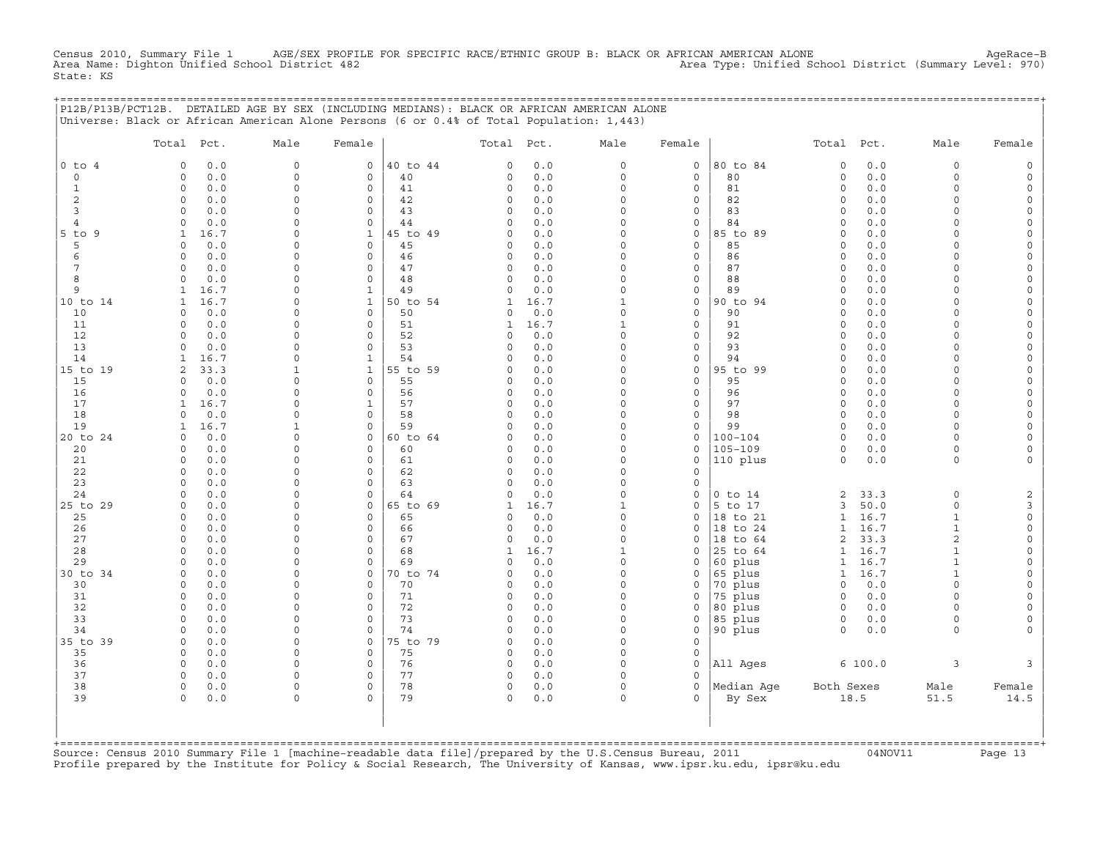Census 2010, Summary File 1 AGE/SEX PROFILE FOR SPECIFIC RACE/ETHNIC GROUP B: BLACK OR AFRICAN AMERICAN ALONE<br>Area Name: Dighton Unified School District 482 Area Name: Dighton Unified School District (Summary Level: 9 State: KS

|                                                                                                                                                                                   | P12B/P13B/PCT12B. DETAILED AGE BY SEX (INCLUDING MEDIANS): BLACK OR AFRICAN AMERICAN ALONE<br>Universe: Black or African American Alone Persons (6 or 0.4% of Total Population: 1,443)                                                                                                                                                                                                                                           |                                                                                                                                                                                                                                                                                     |                                                                                                                                                                                                                                                              |                                                                                                                                                                |                                                                                                                                                                                                                                                |                                                                                                                                                                 |                                                                                                                                                                                                                                     |                                                                                                                                                                             |                                                                                                                                                                                                     |                                                                                                                                                                                                                                                                               |                                                                                                                                                               |                                                                                                                                                                                                                                                                           |                                                                                                                                                                                                                                              |
|-----------------------------------------------------------------------------------------------------------------------------------------------------------------------------------|----------------------------------------------------------------------------------------------------------------------------------------------------------------------------------------------------------------------------------------------------------------------------------------------------------------------------------------------------------------------------------------------------------------------------------|-------------------------------------------------------------------------------------------------------------------------------------------------------------------------------------------------------------------------------------------------------------------------------------|--------------------------------------------------------------------------------------------------------------------------------------------------------------------------------------------------------------------------------------------------------------|----------------------------------------------------------------------------------------------------------------------------------------------------------------|------------------------------------------------------------------------------------------------------------------------------------------------------------------------------------------------------------------------------------------------|-----------------------------------------------------------------------------------------------------------------------------------------------------------------|-------------------------------------------------------------------------------------------------------------------------------------------------------------------------------------------------------------------------------------|-----------------------------------------------------------------------------------------------------------------------------------------------------------------------------|-----------------------------------------------------------------------------------------------------------------------------------------------------------------------------------------------------|-------------------------------------------------------------------------------------------------------------------------------------------------------------------------------------------------------------------------------------------------------------------------------|---------------------------------------------------------------------------------------------------------------------------------------------------------------|---------------------------------------------------------------------------------------------------------------------------------------------------------------------------------------------------------------------------------------------------------------------------|----------------------------------------------------------------------------------------------------------------------------------------------------------------------------------------------------------------------------------------------|
|                                                                                                                                                                                   | Total Pct.                                                                                                                                                                                                                                                                                                                                                                                                                       | Male                                                                                                                                                                                                                                                                                | Female                                                                                                                                                                                                                                                       |                                                                                                                                                                | Total Pct.                                                                                                                                                                                                                                     |                                                                                                                                                                 | Male                                                                                                                                                                                                                                | Female                                                                                                                                                                      |                                                                                                                                                                                                     | Total Pct.                                                                                                                                                                                                                                                                    |                                                                                                                                                               | Male                                                                                                                                                                                                                                                                      | Female                                                                                                                                                                                                                                       |
| $0$ to $4$<br>$\mathsf{O}$<br>1<br>2<br>3<br>$\overline{4}$<br>$5$ to<br>9<br>5<br>6<br>7<br>8<br>9<br>10 to 14<br>10<br>11<br>12<br>13<br>14<br>15 to 19<br>15<br>16<br>17<br>18 | $\circ$<br>0.0<br>$\circ$<br>0.0<br>$\circ$<br>0.0<br>$\circ$<br>0.0<br>0.0<br>$\Omega$<br>0.0<br>$\circ$<br>$\mathbf{1}$<br>16.7<br>0.0<br>$\circ$<br>0.0<br>$\circ$<br>0.0<br>$\Omega$<br>0.0<br>$\mathbf 0$<br>1<br>16.7<br>16.7<br>$\mathbf{1}$<br>$\circ$<br>0.0<br>0.0<br>$\mathbf 0$<br>0.0<br>$\Omega$<br>0.0<br>$\mathbf 0$<br>16.7<br>1<br>33.3<br>2<br>0.0<br>$\mathbf 0$<br>0.0<br>0<br>16.7<br>1<br>0.0<br>$\Omega$ | $\mathsf{O}\xspace$<br>$\mathbf 0$<br>$\mathbf 0$<br>0<br>$\Omega$<br>$\Omega$<br>$\Omega$<br>$\Omega$<br>0<br>$\Omega$<br>$\Omega$<br>$\Omega$<br>$\Omega$<br>$\mathbf 0$<br>$\Omega$<br>$\Omega$<br>0<br>$\Omega$<br>$\mathbf{1}$<br>$\Omega$<br>$\Omega$<br>$\Omega$<br>$\Omega$ | 0<br>0<br>$\mathbf 0$<br>$\mathbf 0$<br>0<br>0<br>$\mathbf{1}$<br>$\mathbf 0$<br>0<br>$\mathbf 0$<br>0<br>1<br>$\mathbf{1}$<br>$\mathbf 0$<br>$\mathbf 0$<br>$\Omega$<br>0<br>1<br>$\mathbf{1}$<br>$\mathbf 0$<br>$\mathbf 0$<br>$\mathbf{1}$<br>$\mathbf 0$ | 40 to 44<br>40<br>41<br>42<br>43<br>44<br>45 to 49<br>45<br>46<br>47<br>48<br>49<br>50 to 54<br>50<br>51<br>52<br>53<br>54<br>55 to 59<br>55<br>56<br>57<br>58 | $\mathbf 0$<br>0<br>$\mathbf 0$<br>$\mathbf 0$<br>$\Omega$<br>$\mathbf 0$<br>0<br>0<br>$\Omega$<br>$\Omega$<br>$\Omega$<br>$\mathbf{1}$<br>0<br>1<br>$\cap$<br>0<br>$\Omega$<br>$\Omega$<br>$\mathbf 0$<br>$\mathbf 0$<br>$\Omega$<br>$\Omega$ | 0.0<br>0.0<br>0.0<br>0.0<br>0.0<br>0.0<br>0.0<br>0.0<br>0.0<br>0.0<br>0.0<br>0.0<br>16.7<br>0.0<br>16.7<br>0.0<br>0.0<br>0.0<br>0.0<br>0.0<br>0.0<br>0.0<br>0.0 | 0<br>0<br>$\Omega$<br>$\Omega$<br>$\Omega$<br>$\Omega$<br>$\Omega$<br>$\Omega$<br>0<br>$\Omega$<br>$\Omega$<br>$\Omega$<br>$\mathbf{1}$<br>0<br>1<br>$\Omega$<br>0<br>$\Omega$<br>$\Omega$<br>0<br>$\Omega$<br>$\Omega$<br>$\Omega$ | $\circ$<br>0<br>0<br>0<br>0<br>0<br>0<br>0<br>0<br>$\mathbf{0}$<br>0<br>0<br>0<br>0<br>0<br>$\mathbf{0}$<br>0<br>0<br>$\mathbf{0}$<br>0<br>0<br>$\mathbf 0$<br>$\mathbf{0}$ | 80 to 84<br>80<br>81<br>82<br>83<br>84<br>85 to 89<br>85<br>86<br>87<br>88<br>89<br>90 to 94<br>90<br>91<br>92<br>93<br>94<br>95 to 99<br>95<br>96<br>97<br>98                                      | $\mathsf{O}\xspace$<br>$\circ$<br>$\circ$<br>$\circ$<br>$\circ$<br>$\Omega$<br>$\Omega$<br>$\circ$<br>$\circ$<br>$\Omega$<br>$\Omega$<br>$\Omega$<br>$\Omega$<br>$\circ$<br>$\circ$<br>$\Omega$<br>$\circ$<br>$\circ$<br>$\circ$<br>$\circ$<br>$\circ$<br>$\circ$<br>$\Omega$ | 0.0<br>0.0<br>0.0<br>0.0<br>0.0<br>0.0<br>0.0<br>0.0<br>0.0<br>0.0<br>0.0<br>0.0<br>0.0<br>0.0<br>0.0<br>0.0<br>0.0<br>0.0<br>0.0<br>0.0<br>0.0<br>0.0<br>0.0 | $\Omega$<br>$\circ$<br>$\Omega$<br>$\Omega$<br>$\cap$<br>$\Omega$<br>$\Omega$<br>$\Omega$<br>$\Omega$<br>$\Omega$<br>$\Omega$<br>$\Omega$<br>$\Omega$<br>$\Omega$<br>$\Omega$<br>$\cap$<br>$\Omega$<br>$\Omega$<br>$\Omega$<br>$\Omega$<br>$\cap$<br>$\Omega$<br>$\Omega$ | $\Omega$<br>$\Omega$<br>$\Omega$<br>$\Omega$<br>$\Omega$<br>$\Omega$<br>$\Omega$<br>$\Omega$<br>$\Omega$<br>$\Omega$<br>$\Omega$<br>$\Omega$<br>$\Omega$<br>$\Omega$<br>$\Omega$<br>$\Omega$<br>$\Omega$<br>$\Omega$<br>$\Omega$<br>$\Omega$ |
| 19<br>20 to 24<br>20<br>21<br>22<br>23<br>24<br>25 to 29<br>25<br>26<br>27<br>28<br>29<br>30 to 34<br>30<br>31<br>32<br>33<br>34<br>35 to 39                                      | 1<br>16.7<br>0.0<br>$\Omega$<br>$\circ$<br>0.0<br>$\circ$<br>0.0<br>0.0<br>$\Omega$<br>$\Omega$<br>0.0<br>$\mathbf 0$<br>0.0<br>$\circ$<br>0.0<br>0.0<br>$\circ$<br>$\mathbf 0$<br>0.0<br>0.0<br>$\Omega$<br>0.0<br>$\Omega$<br>0.0<br>$\Omega$<br>0.0<br>$\mathbf 0$<br>0.0<br>$\mathbf 0$<br>$\circ$<br>0.0<br>$\circ$<br>0.0<br>$\Omega$<br>0.0<br>0.0<br>$\Omega$<br>$\circ$<br>0.0                                          | 1<br>$\Omega$<br>$\mathbf 0$<br>0<br>$\Omega$<br>$\Omega$<br>0<br>$\Omega$<br>$\Omega$<br>$\Omega$<br>$\Omega$<br>$\Omega$<br>$\Omega$<br>$\Omega$<br>$\Omega$<br>$\mathbf 0$<br>0<br>$\Omega$<br>$\Omega$<br>$\mathbf 0$                                                           | 0<br>0<br>$\mathbf 0$<br>0<br>0<br>$\Omega$<br>0<br>$\mathbf 0$<br>$\mathbf 0$<br>$\mathbf 0$<br>$\mathbf 0$<br>$\mathbf 0$<br>$\mathbf 0$<br>$\mathbf 0$<br>$\mathbf 0$<br>$\mathbf 0$<br>0<br>$\mathbf 0$<br>$\Omega$<br>$\mathsf{O}\xspace$               | 59<br>60 to 64<br>60<br>61<br>62<br>63<br>64<br>65 to 69<br>65<br>66<br>67<br>68<br>69<br>70 to 74<br>70<br>71<br>72<br>73<br>74<br>75 to 79                   | $\Omega$<br>0<br>$\mathbf 0$<br>0<br>$\Omega$<br>$\Omega$<br>$\mathbf 0$<br>1<br>$\Omega$<br>0<br>$\Omega$<br>1<br><sup>0</sup><br>0<br>0<br>0<br>0<br>$\Omega$<br>$\Omega$<br>$\circ$                                                         | 0.0<br>0.0<br>0.0<br>0.0<br>0.0<br>0.0<br>0.0<br>16.7<br>0.0<br>0.0<br>0.0<br>16.7<br>0.0<br>0.0<br>0.0<br>0.0<br>0.0<br>0.0<br>0.0<br>0.0                      | $\Omega$<br>0<br>$\Omega$<br>0<br>$\Omega$<br>$\Omega$<br>$\Omega$<br>$\mathbf{1}$<br>$\Omega$<br>0<br>$\Omega$<br>1<br>$\Omega$<br>$\circ$<br>0<br>$\circ$<br>0<br>$\Omega$<br>$\Omega$<br>0                                       | 0<br>0<br>0<br>0<br>0<br>0<br>0<br>0<br>$\Omega$<br>$\Omega$<br>0<br>0<br>0<br>0<br>0<br>0<br>0<br>0<br>0<br>0                                                              | 99<br>$100 - 104$<br>$105 - 109$<br>110 plus<br>$0$ to $14$<br>5 to 17<br>18 to 21<br>18 to 24<br>18 to 64<br>25 to 64<br>60 plus<br>65 plus<br>70 plus<br>75 plus<br>80 plus<br>85 plus<br>90 plus | $\Omega$<br>$\circ$<br>$\Omega$<br>$\circ$<br>2<br>3<br>$\mathbf{1}$<br>1<br>2<br>$\mathbf{1}$<br>1<br>$\mathbf{1}$<br>$\mathbf 0$<br>$\circ$<br>$\mathsf{O}$<br>0<br>$\Omega$                                                                                                | $0.0$<br>0.0<br>0.0<br>0.0<br>33.3<br>50.0<br>16.7<br>16.7<br>33.3<br>16.7<br>16.7<br>16.7<br>0.0<br>0.0<br>0.0<br>0.0<br>0.0                                 | $\Omega$<br>$\Omega$<br>$\Omega$<br>$\circ$<br>$\Omega$<br>$\circ$<br>$\mathbf{1}$<br>1<br>$\overline{a}$<br>$\mathbf{1}$<br>$\mathbf{1}$<br>$\mathbf{1}$<br>$\Omega$<br>$\Omega$<br>$\Omega$<br>$\Omega$<br>$\Omega$                                                     | $\Omega$<br>$\Omega$<br>$\Omega$<br>$\overline{2}$<br>3<br>$\mathsf O$<br>$\Omega$<br>$\Omega$<br>$\Omega$<br>$\Omega$                                                                                                                       |
| 35<br>36<br>37<br>38<br>39                                                                                                                                                        | $\circ$<br>0.0<br>0.0<br>$\mathbf 0$<br>$\Omega$<br>0.0<br>$\mathbf 0$<br>0.0<br>0.0<br>$\Omega$                                                                                                                                                                                                                                                                                                                                 | $\mathbf 0$<br>$\Omega$<br>$\Omega$<br>$\Omega$<br>$\Omega$                                                                                                                                                                                                                         | $\mathbf 0$<br>0<br>0<br>$\mathbf 0$<br>$\Omega$                                                                                                                                                                                                             | 75<br>76<br>77<br>78<br>79                                                                                                                                     | $\mathbf 0$<br>$\mathbf 0$<br>0<br>$\circ$<br>$\Omega$                                                                                                                                                                                         | 0.0<br>0.0<br>0.0<br>0.0<br>0.0                                                                                                                                 | 0<br>$\Omega$<br>$\Omega$<br>$\Omega$<br>$\Omega$                                                                                                                                                                                   | 0<br>$\Omega$<br>$\Omega$<br>$\mathbf{0}$<br>$\Omega$                                                                                                                       | All Ages<br>Median Age<br>By Sex                                                                                                                                                                    | Both Sexes<br>18.5                                                                                                                                                                                                                                                            | 6 100.0                                                                                                                                                       | 3<br>Male<br>51.5                                                                                                                                                                                                                                                         | 3<br>Female<br>14.5                                                                                                                                                                                                                          |

+===================================================================================================================================================+Source: Census 2010 Summary File 1 [machine−readable data file]/prepared by the U.S.Census Bureau, 2011 04NOV11 Page 13 Profile prepared by the Institute for Policy & Social Research, The University of Kansas, www.ipsr.ku.edu, ipsr@ku.edu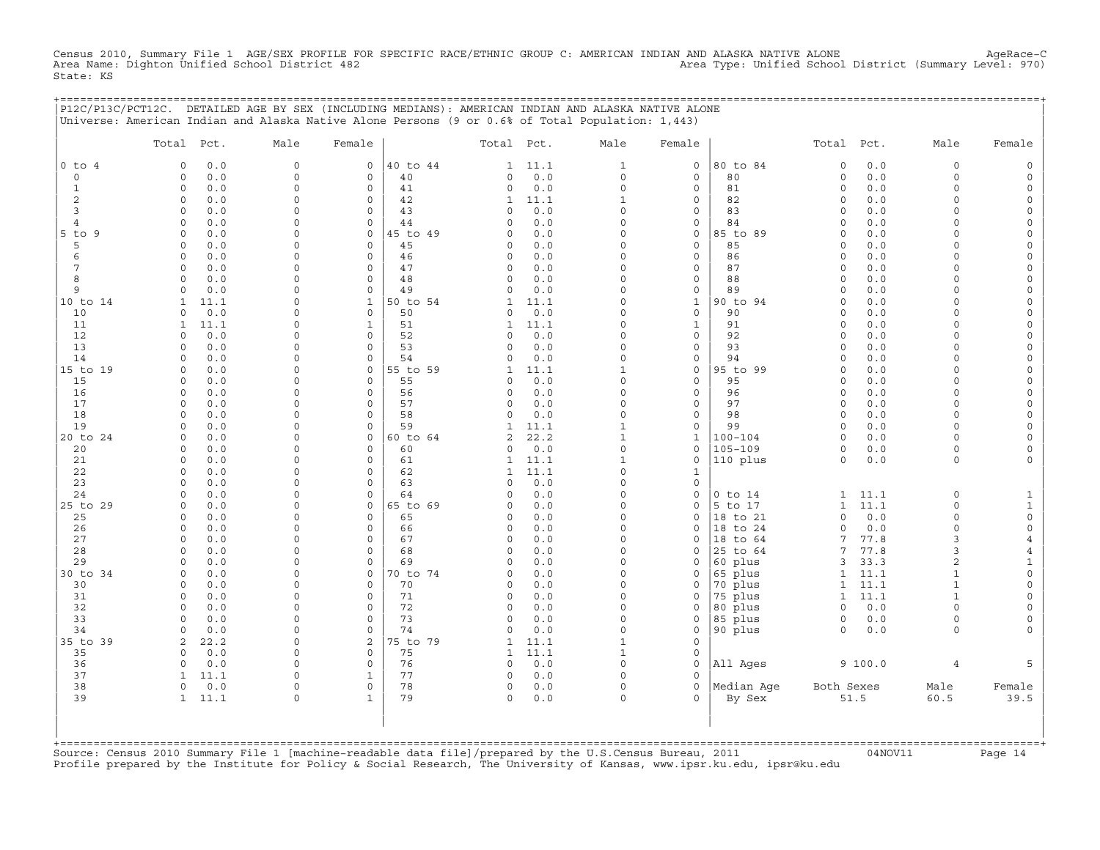Census 2010, Summary File 1 AGE/SEX PROFILE FOR SPECIFIC RACE/ETHNIC GROUP C: AMERICAN INDIAN AND ALASKA NATIVE ALONE AgeRace−C Area Name: Dighton Unified School District 482 Area Type: Unified School District (Summary Level: 970) State: KS

+===================================================================================================================================================+

|                       | Universe: American Indian and Alaska Native Alone Persons (9 or 0.6% of Total Population: 1,443)<br>Total Pct. | Male                 | Female              |                | Total Pct.    |             | Male                     | Female                             |                | Total Pct.          |              | Male                 | Female                      |
|-----------------------|----------------------------------------------------------------------------------------------------------------|----------------------|---------------------|----------------|---------------|-------------|--------------------------|------------------------------------|----------------|---------------------|--------------|----------------------|-----------------------------|
|                       |                                                                                                                |                      |                     |                |               |             |                          |                                    |                |                     |              |                      |                             |
| $0$ to $4$<br>$\circ$ | 0.0<br>$\Omega$<br>0.0<br>0                                                                                    | $\circ$<br>$\Omega$  | 0<br>$\circ$        | 40 to 44<br>40 | 1<br>0        | 11.1<br>0.0 | $\mathbf{1}$<br>$\circ$  | $\mathsf{O}\xspace$<br>$\mathbf 0$ | 80 to 84<br>80 | $\circ$<br>$\circ$  | $0.0$<br>0.0 | $\circ$<br>$\Omega$  | $\mathsf O$<br>$\mathsf{O}$ |
| $\mathbf{1}$          | $\circ$<br>0.0                                                                                                 | $\mathbf 0$          | $\mathsf{O}\xspace$ | 41             | 0             | 0.0         | $\mathsf{O}\xspace$      | $\mathsf{O}\xspace$                | 81             | $\circ$             | 0.0          | $\mathbf 0$          | $\mathsf{O}\xspace$         |
| 2                     | 0.0<br>$\circ$                                                                                                 | $\Omega$             | $\circ$             | 42             | 1             | 11.1        | $\mathbf{1}$             | $\mathbf 0$                        | 82             | $\mathbf 0$         | 0.0          | $\Omega$             | 0                           |
| 3                     | 0.0<br>$\Omega$                                                                                                | $\Omega$             | $\mathbf 0$         | 43             | $\Omega$      | 0.0         | $\Omega$                 | $\mathbf 0$                        | 83             | $\mathbf 0$         | 0.0          | $\Omega$             | $\mathsf{O}$                |
| $\overline{4}$        | $\Omega$<br>0.0                                                                                                | $\Omega$             | $\mathsf O$         | 44             | 0             | 0.0         | 0                        | $\mathsf{O}\xspace$                | 84             | $\circ$             | 0.0          | $\Omega$             | $\mathsf{O}\xspace$         |
| $5$ to<br>9           | 0.0<br>$\Omega$                                                                                                | $\Omega$             | $\mathbf 0$         | 45 to 49       | $\Omega$      | 0.0         | $\Omega$                 | $\mathsf{O}\xspace$                | 85 to 89       | $\Omega$            | 0.0          | $\Omega$             | 0                           |
| 5                     | 0.0<br>0                                                                                                       | $\Omega$             | $\mathbf 0$         | 45             | 0             | 0.0         | $\Omega$                 | 0                                  | 85             | $\mathbf 0$         | 0.0          | $\Omega$             | 0                           |
| 6                     | $\Omega$<br>0.0                                                                                                | $\Omega$             | $\circ$             | 46             | 0             | 0.0         | $\Omega$                 | $\mathsf{O}\xspace$                | 86             | $\circ$             | 0.0          | 0                    | $\mathsf{O}\xspace$         |
| 7                     | 0.0<br>0                                                                                                       | $\Omega$             | $\Omega$            | 47             | 0             | 0.0         | $\Omega$                 | 0                                  | 87             | $\Omega$            | 0.0          | $\Omega$             | 0                           |
| 8                     | 0.0<br>0                                                                                                       | $\Omega$             | $\mathbf 0$         | 48             | $\circ$       | 0.0         | $\Omega$                 | 0                                  | 88             | $\mathbf 0$         | 0.0          | $\Omega$             | 0                           |
| 9                     | $\Omega$<br>0.0                                                                                                | $\Omega$             | $\circ$             | 49             | $\Omega$      | $0.0$       | $\Omega$                 | $\mathsf{O}\xspace$                | 89             | $\circ$             | 0.0          | $\Omega$             | $\mathsf{O}\xspace$         |
| 10 to 14              | 11.1<br>1                                                                                                      | $\Omega$             | $\mathbf{1}$        | 50 to 54       | 1             | 11.1        | $\Omega$                 | $\mathbf 1$                        | 90 to 94       | $\circ$             | 0.0          | $\Omega$             | $\mathsf{O}\xspace$         |
| 10                    | 0.0<br>$\circ$                                                                                                 | $\Omega$             | $\mathbf 0$         | 50             | 0             | 0.0         | $\Omega$                 | 0                                  | 90             | $\mathbf 0$         | 0.0          | $\Omega$             | 0                           |
| 11                    | 11.1<br>$\mathbf{1}$                                                                                           | $\Omega$             | $\mathbf{1}$        | 51             | $\mathbf{1}$  | 11.1        | $\Omega$                 | $\mathbf{1}$                       | 91             | $\circ$             | 0.0          | $\Omega$             | $\mathsf{O}\xspace$         |
| 12                    | 0.0<br>$\mathbf 0$                                                                                             | $\Omega$             | $\circ$             | 52             | $\Omega$      | 0.0         | $\circ$                  | $\mathbf 0$                        | 92             | $\circ$             | 0.0          | $\Omega$             | 0                           |
| 13                    | 0.0<br>$\Omega$                                                                                                | $\Omega$             | $\Omega$            | 53             | 0             | 0.0         | $\Omega$                 | 0                                  | 93             | $\mathbf 0$         | 0.0          | $\Omega$             | 0                           |
| 14                    | 0.0<br>$\circ$                                                                                                 | $\Omega$             | $\circ$             | 54             | $\Omega$      | 0.0         | $\circ$<br>$\mathbf{1}$  | $\mathsf{O}\xspace$                | 94             | $\circ$             | 0.0          | $\Omega$             | $\mathsf{O}\xspace$         |
| 15 to 19              | 0.0<br>$\circ$<br>$\Omega$                                                                                     | $\Omega$<br>$\Omega$ | $\mathbf 0$         | 55 to 59       | $\mathbf{1}$  | 11.1        | $\Omega$                 | $\mathbf 0$                        | 95 to 99       | $\circ$<br>$\Omega$ | 0.0          | $\Omega$<br>$\Omega$ | $\mathsf{O}\xspace$         |
| 15<br>16              | 0.0<br>$\circ$<br>0.0                                                                                          | $\Omega$             | 0<br>$\circ$        | 55<br>56       | 0<br>$\Omega$ | 0.0<br>0.0  | $\Omega$                 | 0<br>$\mathsf{O}\xspace$           | 95<br>96       | $\circ$             | 0.0<br>0.0   | $\Omega$             | 0<br>$\mathsf{O}\xspace$    |
| 17                    | $\circ$<br>0.0                                                                                                 | $\Omega$             | $\circ$             | 57             | 0             | 0.0         | $\circ$                  | 0                                  | 97             | $\circ$             | 0.0          | $\Omega$             | 0                           |
| 18                    | 0.0<br>$\Omega$                                                                                                | $\Omega$             | $\mathbf 0$         | 58             | 0             | 0.0         | 0                        | 0                                  | 98             | $\circ$             | 0.0          | $\Omega$             | 0                           |
| 19                    | $\circ$<br>0.0                                                                                                 | $\Omega$             | $\circ$             | 59             | $\mathbf{1}$  | 11.1        | $\mathbf{1}$             | $\mathsf{O}\xspace$                | 99             | $\circ$             | 0.0          | $\Omega$             | $\mathsf{O}\xspace$         |
| 20 to 24              | 0.0<br>$\circ$                                                                                                 | $\Omega$             | $\mathbf 0$         | 60 to 64       | 2             | 22.2        | $\mathbf{1}$             | $\mathbf{1}$                       | $100 - 104$    | $\circ$             | 0.0          | $\Omega$             | 0                           |
| 20                    | 0.0<br>$\Omega$                                                                                                | $\Omega$             | $\mathbf 0$         | 60             | 0             | 0.0         | 0                        | 0                                  | $105 - 109$    | $\circ$             | 0.0          | 0                    | 0                           |
| 21                    | 0.0<br>$\Omega$                                                                                                | $\Omega$             | $\circ$             | 61             | $\mathbf{1}$  | 11.1        | $\mathbf{1}$             | $\mathsf{O}\xspace$                | 110 plus       | $\circ$             | 0.0          | $\circ$              | $\mathsf{O}\xspace$         |
| 22                    | $\circ$<br>0.0                                                                                                 | $\Omega$             | $\circ$             | 62             | 1             | 11.1        | $\Omega$                 | $\mathbf{1}$                       |                |                     |              |                      |                             |
| 23                    | 0.0<br>0                                                                                                       | $\Omega$             | $\circ$             | 63             | $\Omega$      | 0.0         | $\Omega$                 | 0                                  |                |                     |              |                      |                             |
| 24                    | 0.0<br>$\Omega$                                                                                                | $\Omega$             | $\Omega$            | 64             | $\Omega$      | 0.0         | $\Omega$                 | $\mathsf{O}\xspace$                | $0$ to $14$    | 1                   | 11.1         | $\mathbf 0$          | $\mathbf{1}$                |
| 25 to 29              | 0.0<br>$\Omega$                                                                                                | $\Omega$             | $\Omega$            | 65 to 69       | $\Omega$      | 0.0         | $\Omega$                 | $\circ$                            | 5 to 17        | $\mathbf{1}$        | 11.1         | $\Omega$             | $\mathbf 1$                 |
| 25                    | 0.0<br>$\mathbf 0$                                                                                             | $\Omega$             | $\Omega$            | 65             | 0             | 0.0         | $\circ$                  | $\mathbf 0$                        | 18 to 21       | $\circ$             | 0.0          | $\Omega$             | $\mathsf O$                 |
| 26                    | 0.0<br>0                                                                                                       | $\Omega$             | 0                   | 66             | 0             | 0.0         | $\Omega$                 | 0                                  | 18 to 24       | $\Omega$            | 0.0          | $\Omega$             | $\mathsf{O}\xspace$         |
| 27                    | $\Omega$<br>0.0                                                                                                | $\Omega$             | $\circ$             | 67             | $\Omega$      | 0.0         | $\Omega$                 | $\circ$                            | 18 to 64       | 7                   | 77.8         | 3                    | $\overline{4}$              |
| 28                    | $\mathbf 0$<br>0.0                                                                                             | $\Omega$             | $\Omega$            | 68             | 0             | 0.0         | $\Omega$                 | $\circ$                            | 25 to 64       | 7                   | 77.8         | 3                    | 4                           |
| 29                    | $0.0$<br>0                                                                                                     | $\Omega$             | $\circ$             | 69             | 0             | 0.0         | $\Omega$                 | 0                                  | 60 plus        | 3                   | 33.3         | $\overline{2}$       | $\mathbf{1}$                |
| 30 to 34              | $\Omega$<br>0.0                                                                                                | $\Omega$             | $\circ$             | 70 to 74       | $\Omega$      | 0.0         | $\Omega$                 | $\circ$                            | 65 plus        | $\mathbf{1}$        | 11.1         | $\mathbf{1}$         | $\mathsf{O}\xspace$         |
| 30                    | $\mathbf 0$<br>0.0                                                                                             | $\Omega$             | $\circ$             | 70             | 0             | 0.0         | $\circ$                  | 0                                  | 70 plus        | $\mathbf{1}$        | 11.1         | $\mathbf{1}$         | $\mathsf{O}\xspace$         |
| 31                    | 0.0<br>0                                                                                                       | $\mathbf 0$          | $\mathbf 0$         | 71             | 0             | 0.0         | $\Omega$                 | 0                                  | 75 plus        | $\mathbf{1}$        | 11.1         | $\mathbf{1}$         | $\mathsf{O}\xspace$         |
| 32                    | $\Omega$<br>0.0                                                                                                | $\Omega$             | $\Omega$            | 72             | $\Omega$      | 0.0         | $\circ$                  | $\mathbf 0$                        | 80 plus        | $\circ$             | 0.0          | $\Omega$             | 0                           |
| 33                    | $\mathbf 0$<br>0.0                                                                                             | $\Omega$             | $\circ$             | 73             | $\circ$       | 0.0         | $\circ$                  | 0                                  | 85 plus        | $\circ$             | 0.0          | $\Omega$             | 0                           |
| 34                    | 0.0<br>$\Omega$                                                                                                | $\Omega$             | $\mathsf O$         | 74             | $\circ$       | 0.0         | 0                        | $\mathsf{O}\xspace$                | 90 plus        | $\circ$             | 0.0          | $\circ$              | $\mathbf 0$                 |
| 35 to 39              | 2<br>22.2                                                                                                      | $\Omega$             | 2                   | 75 to 79       | $\mathbf{1}$  | 11.1        | $\mathbf{1}$             | $\mathbf 0$                        |                |                     |              |                      |                             |
| 35                    | 0.0<br>$\mathbf 0$                                                                                             | $\Omega$             | $\mathbf 0$         | 75             | $\mathbf{1}$  | 11.1        | $\mathbf{1}$<br>$\Omega$ | 0                                  |                |                     |              |                      |                             |
| 36<br>37              | 0.0<br>$\mathbf 0$<br>11.1<br>1                                                                                | $\Omega$<br>$\Omega$ | $\mathbf 0$<br>1    | 76<br>77       | $\circ$<br>0  | 0.0<br>0.0  | $\Omega$                 | $\mathbf 0$<br>$\Omega$            | All Ages       |                     | 9 100.0      | $\overline{4}$       | 5                           |
| 38                    | 0.0<br>0                                                                                                       | $\Omega$             | $\circ$             | 78             | 0             | $0.0$       | 0                        | 0                                  | Median Age     | Both Sexes          |              | Male                 | Female                      |
| 39                    | 11.1<br>$\mathbf{1}$                                                                                           | $\Omega$             | $\mathbf{1}$        | 79             | 0             | 0.0         | $\circ$                  | $\Omega$                           | By Sex         |                     | 51.5         | 60.5                 | 39.5                        |
|                       |                                                                                                                |                      |                     |                |               |             |                          |                                    |                |                     |              |                      |                             |

+===================================================================================================================================================+Source: Census 2010 Summary File 1 [machine−readable data file]/prepared by the U.S.Census Bureau, 2011 04NOV11 Page 14 Profile prepared by the Institute for Policy & Social Research, The University of Kansas, www.ipsr.ku.edu, ipsr@ku.edu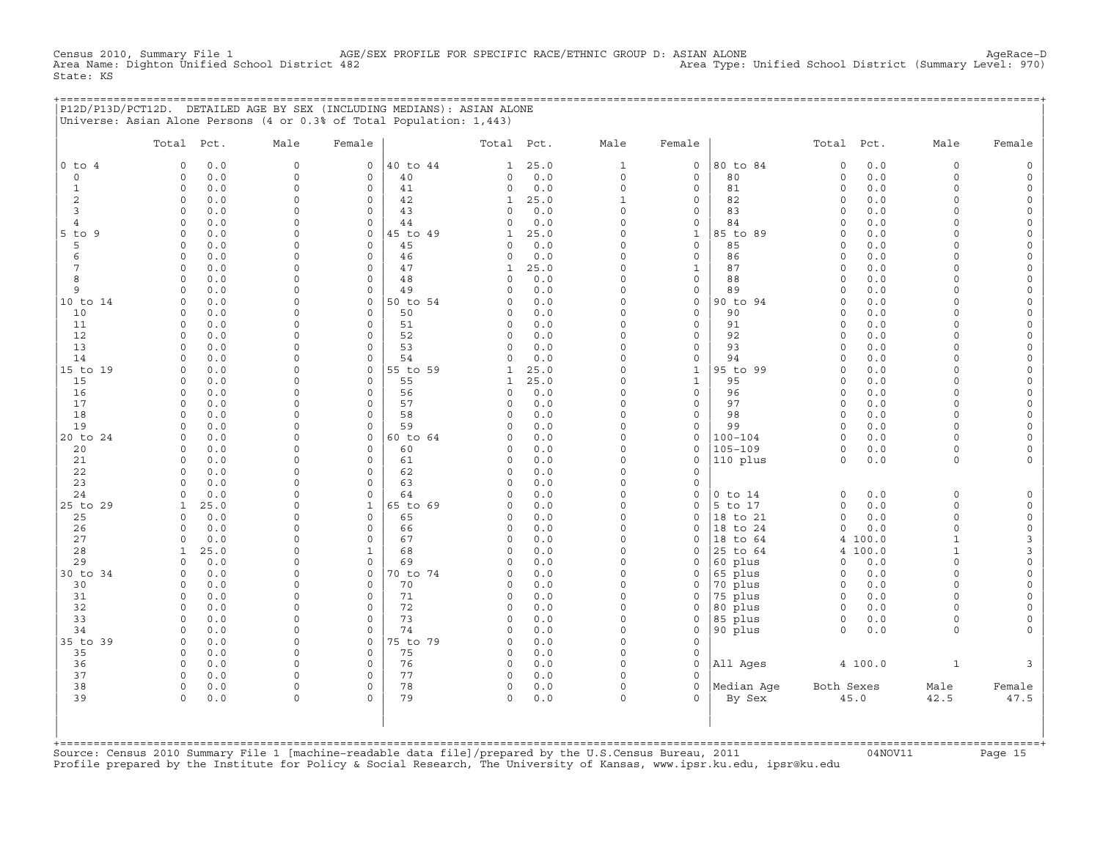Census 2010, Summary File 1 AGE/SEX PROFILE FOR SPECIFIC RACE/ETHNIC GROUP D: ASIAN ALONE AgeRace-D<br>Area Name: Dighton Unified School District 482 Area Type: Unified School District (Summary Level: 970) Area Type: Unified School District (Summary Level: 970) State: KS

|  | P12D/P13D/PCT12D. DETAILED AGE BY SEX (INCLUDING MEDIANS): ASIAN ALONE |  |  |
|--|------------------------------------------------------------------------|--|--|
|  | Universe: Asian Alone Persons (4 or 0.3% of Total Population: 1,443)   |  |  |

|                      | Total Pct.           |            | Male                 | Female                  |                | Total Pct.                  |             | Male                 | Female                       |                        | Total                | Pct.       | Male                 | Female                             |
|----------------------|----------------------|------------|----------------------|-------------------------|----------------|-----------------------------|-------------|----------------------|------------------------------|------------------------|----------------------|------------|----------------------|------------------------------------|
| $0$ to $4$           | $\circ$              | 0.0        | $\mathbf{0}$         | $\circ$                 | 40 to 44       | $\mathbf{1}$                | 25.0        | $\mathbf{1}$         | $\mathbf 0$                  | 80 to 84               | $\circ$              | 0.0        | $\circ$              | $\mathbb O$                        |
| $\mathbf 0$          | $\Omega$             | 0.0        | $\circ$              | $\mathbf 0$             | 40             | 0                           | 0.0         | $\mathbf 0$          | $\mathbf 0$                  | 80                     | $\circ$              | 0.0        | $\circ$              | $\mathsf{O}\xspace$                |
| $\mathbf{1}$         | $\circ$              | 0.0        | $\Omega$             | $\mathbf 0$             | 41             | $\circ$                     | 0.0         | $\circ$              | $\mathbf 0$                  | 81                     | $\circ$              | 0.0        | $\circ$              | $\mathsf{O}\xspace$                |
| 2                    | $\circ$              | 0.0        | $\Omega$             | $\mathbf 0$             | 42             | 1                           | 25.0        | $\mathbf{1}$         | $\mathsf{O}\xspace$          | 82                     | $\mathbf 0$          | 0.0        | $\circ$              | $\mathsf{O}\xspace$                |
| 3                    | $\circ$              | 0.0        | 0                    | $\mathbf 0$             | 43             | $\mathbf 0$                 | 0.0         | $\mathbf 0$          | $\mathsf{O}$                 | 83                     | $\circ$              | 0.0        | $\circ$              | $\mathsf{O}\xspace$                |
| 4                    | $\Omega$             | 0.0        | $\Omega$             | $\mathbf 0$             | 44             | $\Omega$                    | 0.0         | $\Omega$             | $\mathsf{O}$                 | 84                     | $\circ$              | 0.0        | $\Omega$             | $\mathsf{O}\xspace$                |
| $5$ to $9$           | $\circ$              | 0.0        | $\Omega$             | $\mathbf 0$             | 45 to 49       | $\mathbf{1}$                | 25.0        | $\Omega$             | $\mathbf{1}$                 | 85 to 89               | $\Omega$             | 0.0        | $\Omega$             | $\mathsf{O}\xspace$                |
| 5                    | $\Omega$             | 0.0        | $\Omega$             | $\Omega$                | 45             | 0                           | 0.0         | $\Omega$<br>$\Omega$ | $\mathbf 0$                  | 85                     | $\Omega$             | 0.0        | $\Omega$             | $\mathsf{O}\xspace$                |
| 6<br>$7\phantom{.0}$ | $\Omega$<br>$\Omega$ | 0.0        | $\Omega$<br>$\Omega$ | $\Omega$<br>$\Omega$    | 46<br>47       | $\Omega$                    | 0.0         | $\Omega$             | $\mathbf 0$<br>$\mathbf{1}$  | 86<br>87               | $\Omega$             | 0.0        | $\Omega$<br>$\Omega$ | $\circ$                            |
| 8                    | $\circ$              | 0.0<br>0.0 | $\Omega$             | $\mathbf 0$             | 48             | $\mathbf{1}$<br>$\mathbf 0$ | 25.0<br>0.0 | $\Omega$             | $\mathsf O$                  | 88                     | $\circ$<br>$\Omega$  | 0.0<br>0.0 | $\Omega$             | $\mathsf O$<br>$\mathsf{O}\xspace$ |
| 9                    | $\Omega$             | 0.0        | $\Omega$             | $\mathbf 0$             | 49             | $\Omega$                    | 0.0         | $\Omega$             | $\mathsf O$                  | 89                     | $\Omega$             | 0.0        | $\Omega$             | $\mathsf{O}\xspace$                |
| 10 to 14             | $\Omega$             | 0.0        | $\Omega$             | $\mathsf{O}\xspace$     | 50 to 54       | 0                           | 0.0         | $\Omega$             | $\mathsf O$                  | 90 to 94               | $\circ$              | 0.0        | $\circ$              | $\mathsf{O}\xspace$                |
| 10                   | $\circ$              | 0.0        | $\Omega$             | $\mathbf 0$             | 50             | $\mathbf 0$                 | 0.0         | $\Omega$             | $\mathbf 0$                  | 90                     | $\circ$              | 0.0        | $\circ$              | $\mathsf{O}\xspace$                |
| 11                   | $\circ$              | 0.0        | 0                    | $\mathbf 0$             | 51             | $\circ$                     | 0.0         | $\Omega$             | $\mathsf O$                  | 91                     | $\circ$              | 0.0        | $\circ$              | $\circ$                            |
| 12                   | $\Omega$             | 0.0        | $\Omega$             | $\Omega$                | 52             | $\mathbf 0$                 | 0.0         | $\Omega$             | $\mathbf 0$                  | 92                     | $\Omega$             | 0.0        | $\Omega$             | $\mathsf O$                        |
| 13                   | $\Omega$             | 0.0        | $\Omega$             | $\Omega$                | 53             | $\Omega$                    | 0.0         | $\Omega$             | $\mathbf 0$                  | 93                     | $\Omega$             | 0.0        | $\Omega$             | $\mathsf{O}\xspace$                |
| 14                   | $\Omega$             | 0.0        | $\Omega$             | $\mathbf 0$             | 54             | $\circ$                     | 0.0         | $\Omega$             | $\mathsf{O}$                 | 94                     | $\Omega$             | 0.0        | $\Omega$             | $\mathsf{O}$                       |
| 15 to 19             | $\Omega$             | 0.0        | $\Omega$             | $\mathbf 0$             | 55 to 59       | $\mathbf{1}$                | 25.0        | $\Omega$             | $\mathbf{1}$                 | 95 to 99               | $\Omega$             | 0.0        | $\Omega$             | $\mathsf{O}$                       |
| 15                   | $\Omega$             | 0.0        | $\Omega$             | $\Omega$                | 55             | $\mathbf{1}$                | 25.0        | $\Omega$             | $\mathbf{1}$                 | 95                     | $\Omega$             | 0.0        | $\Omega$             | $\mathsf{O}\xspace$                |
| 16                   | $\circ$              | 0.0        | $\Omega$             | $\Omega$                | 56             | $\mathbf 0$                 | 0.0         | $\Omega$             | $\mathbf 0$                  | 96                     | $\circ$              | 0.0        | $\Omega$             | $\mathsf{O}\xspace$                |
| 17                   | $\circ$              | 0.0        | $\Omega$             | $\mathbf 0$             | 57             | $\Omega$                    | 0.0         | $\Omega$             | $\mathsf{O}$                 | 97                     | $\Omega$             | 0.0        | $\Omega$             | $\mathsf{O}\xspace$                |
| 18                   | $\circ$              | 0.0        | $\Omega$             | $\mathbf 0$             | 58             | $\Omega$                    | 0.0         | $\Omega$             | $\mathsf{O}\xspace$          | 98                     | $\circ$              | 0.0        | $\Omega$             | $\mathsf{O}\xspace$                |
| 19                   | $\Omega$             | 0.0        | $\Omega$<br>$\Omega$ | $\mathbf 0$<br>$\Omega$ | 59             | $\mathbf 0$<br>$\Omega$     | 0.0<br>0.0  | $\Omega$<br>$\Omega$ | $\mathsf{O}$                 | 99                     | $\circ$              | 0.0        | $\circ$<br>$\Omega$  | $\mathsf{O}\xspace$                |
| 20 to 24<br>20       | $\Omega$<br>$\circ$  | 0.0<br>0.0 | $\Omega$             | $\Omega$                | 60 to 64<br>60 | $\mathbf 0$                 | 0.0         | $\Omega$             | $\mathbf 0$<br>$\mathbf 0$   | $100 - 104$<br>105-109 | $\Omega$<br>$\Omega$ | 0.0<br>0.0 | $\circ$              | $\mathsf{O}\xspace$<br>$\circ$     |
| 21                   | $\Omega$             | 0.0        | $\Omega$             | $\Omega$                | 61             | $\circ$                     | 0.0         | $\Omega$             | $\circ$                      | 110 plus               | $\circ$              | 0.0        | $\circ$              | $\circ$                            |
| 22                   | $\Omega$             | 0.0        | $\Omega$             | $\Omega$                | 62             | $\mathbf 0$                 | 0.0         | $\Omega$             | $\mathbf 0$                  |                        |                      |            |                      |                                    |
| 23                   | $\Omega$             | 0.0        | $\Omega$             | $\mathbf 0$             | 63             | $\mathbf 0$                 | 0.0         | $\Omega$             | $\mathbf 0$                  |                        |                      |            |                      |                                    |
| 24                   | $\Omega$             | 0.0        | $\Omega$             | $\mathbf 0$             | 64             | $\mathbf 0$                 | 0.0         | $\Omega$             | $\circ$                      | $0$ to $14$            | $\Omega$             | 0.0        | $\circ$              | $\mathsf O$                        |
| 25 to 29             | $\mathbf{1}$         | 25.0       | $\Omega$             | $\mathbf{1}$            | 65 to 69       | $\Omega$                    | 0.0         | $\Omega$             | $\mathbf 0$                  | 5 to 17                | $\circ$              | 0.0        | $\circ$              | $\mathsf{O}\xspace$                |
| 25                   | $\Omega$             | 0.0        | $\Omega$             | $\mathbf 0$             | 65             | $\circ$                     | 0.0         | $\Omega$             | $\mathsf{O}$                 | 18 to 21               | $\circ$              | 0.0        | 0                    | $\mathsf{O}\xspace$                |
| 26                   | 0                    | 0.0        | $\Omega$             | $\mathbf 0$             | 66             | $\circ$                     | 0.0         | $\Omega$             | $\mathbf 0$                  | 18 to 24               | $\circ$              | 0.0        | 0                    | $\mathsf{O}\xspace$                |
| 27                   | $\Omega$             | 0.0        | $\Omega$             | $\Omega$                | 67             | $\Omega$                    | 0.0         | $\Omega$             | $\Omega$                     | to 64<br>18            | $\overline{4}$       | 100.0      | $\mathbf{1}$         | 3                                  |
| 28                   | $\mathbf{1}$         | 25.0       | $\Omega$             | $\mathbf{1}$            | 68             | $\mathbf 0$                 | 0.0         | $\Omega$             | $\mathbf 0$                  | 25 to 64               | $\overline{4}$       | 100.0      | $\mathbf{1}$         | 3                                  |
| 29                   | $\Omega$             | 0.0        | $\Omega$             | $\circ$                 | 69             | $\Omega$                    | 0.0         | $\Omega$             | $\Omega$                     | 60 plus                | $\Omega$             | 0.0        | $\Omega$             | $\mathsf{O}\xspace$                |
| 30 to 34             | $\circ$              | 0.0        | $\Omega$             | $\circ$                 | 70 to 74       | $\mathbf 0$                 | 0.0         | $\Omega$             | $\mathsf{O}$                 | 65 plus                | $\circ$              | 0.0        | $\circ$              | $\mathsf{O}\xspace$                |
| 30                   | $\Omega$             | 0.0        | $\Omega$             | $\circ$                 | 70             | $\mathbf 0$                 | 0.0         | $\Omega$             | $\mathsf{O}$                 | 70 plus                | $\mathbf 0$          | 0.0        | $\Omega$             | $\mathsf{O}\xspace$                |
| 31                   | $\Omega$             | 0.0        | $\Omega$             | $\circ$                 | 71             | $\mathbf 0$                 | 0.0         | $\Omega$<br>$\Omega$ | $\circ$                      | 75 plus                | $\circ$              | 0.0        | $\Omega$             | $\circ$                            |
| 32                   | $\Omega$             | 0.0        | $\Omega$<br>$\Omega$ | $\Omega$                | 72             | $\mathbf 0$                 | 0.0         | $\Omega$             | $\mathsf{O}$                 | 80 plus                | $\circ$              | 0.0        | $\Omega$             | $\mathsf{O}\xspace$                |
| 33<br>34             | $\circ$<br>$\circ$   | 0.0<br>0.0 | 0                    | $\circ$<br>$\circ$      | 73<br>74       | $\mathbf 0$<br>0            | 0.0<br>0.0  | $\mathbf 0$          | $\mathsf{O}$<br>$\mathsf{O}$ | 85 plus<br>90 plus     | $\circ$<br>$\circ$   | 0.0<br>0.0 | $\circ$<br>$\circ$   | 0<br>$\mathbf{0}$                  |
| 35 to 39             | $\circ$              | 0.0        | 0                    | $\mathbf{0}$            | 75 to 79       | $\mathbf 0$                 | 0.0         | $\Omega$             | $\circ$                      |                        |                      |            |                      |                                    |
| 35                   | $\Omega$             | 0.0        | $\Omega$             | $\Omega$                | 75             | $\Omega$                    | 0.0         | $\Omega$             | $\mathbf 0$                  |                        |                      |            |                      |                                    |
| 36                   | $\circ$              | 0.0        | $\Omega$             | $\circ$                 | 76             | $\mathbf 0$                 | 0.0         | $\Omega$             | $\circ$                      | All Ages               |                      | 4 100.0    | $\mathbf{1}$         | 3                                  |
| 37                   | $\Omega$             | 0.0        | 0                    | $\Omega$                | 77             | $\mathbf 0$                 | 0.0         | $\Omega$             | $\circ$                      |                        |                      |            |                      |                                    |
| 38                   | $\Omega$             | 0.0        | $\Omega$             | $\circ$                 | 78             | 0                           | $0.0$       | $\Omega$             | $\mathbf 0$                  | Median Age             | Both Sexes           |            | Male                 | Female                             |
| 39                   | $\circ$              | 0.0        | $\Omega$             | $\Omega$                | 79             | $\mathbf 0$                 | 0.0         | $\mathbf 0$          | $\Omega$                     | By Sex                 |                      | 45.0       | 42.5                 | 47.5                               |
|                      |                      |            |                      |                         |                |                             |             |                      |                              |                        |                      |            |                      |                                    |

+===================================================================================================================================================+Source: Census 2010 Summary File 1 [machine−readable data file]/prepared by the U.S.Census Bureau, 2011 04NOV11 Page 15 Profile prepared by the Institute for Policy & Social Research, The University of Kansas, www.ipsr.ku.edu, ipsr@ku.edu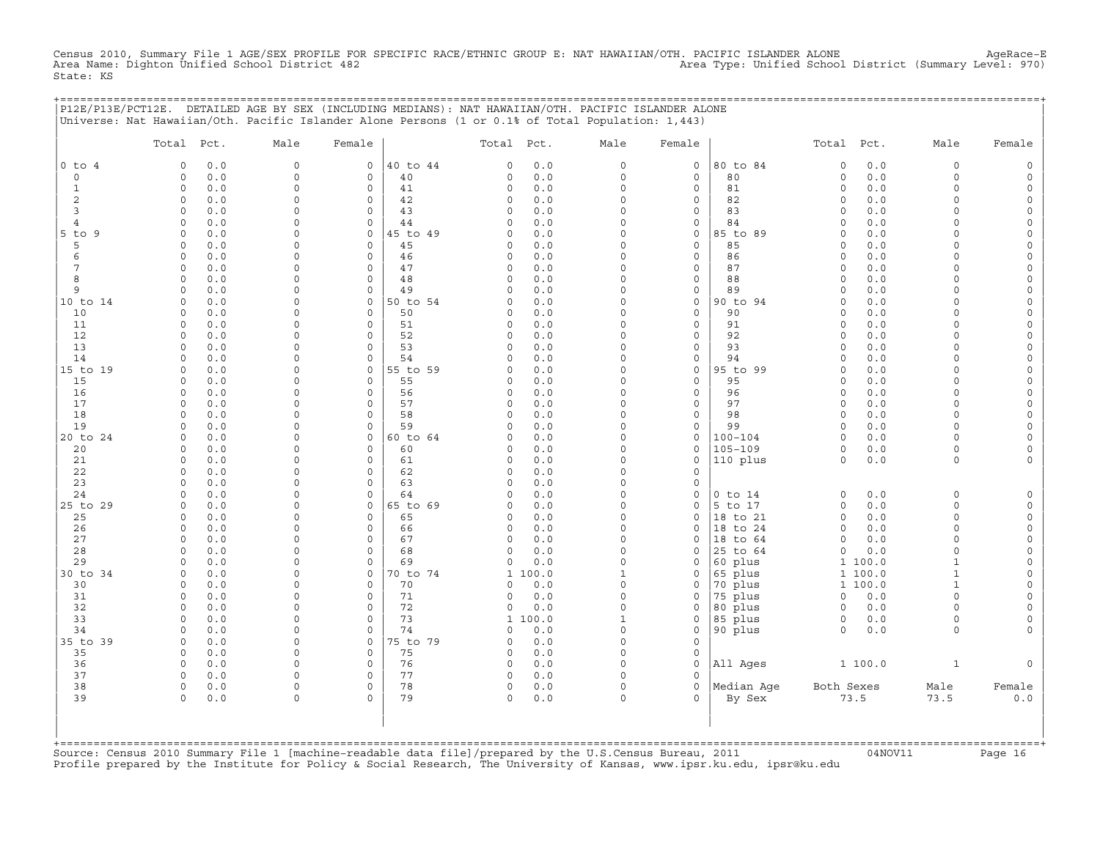Census 2010, Summary File 1 AGE/SEX PROFILE FOR SPECIFIC RACE/ETHNIC GROUP E: NAT HAWAIIAN/OTH. PACIFIC ISLANDER ALONE AgeRace-E<br>Area Name: Dighton Unified School District 482 State: KS

+===================================================================================================================================================+

|                | Total Pct.                           | Male                       | Female                     |                | Total Pct.           |              | Male                 | Female                             |                      | Total Pct.           |            | Male                 | Female                   |
|----------------|--------------------------------------|----------------------------|----------------------------|----------------|----------------------|--------------|----------------------|------------------------------------|----------------------|----------------------|------------|----------------------|--------------------------|
| $0$ to $4$     | 0.0<br>$\Omega$                      | $\mathbf 0$                | $\mathsf{O}$               | 40 to 44       | $\Omega$             | 0.0          | $\circ$              | $\mathbf 0$                        | 80 to 84             | $\mathbf 0$          | 0.0        | 0                    | $\mathsf{O}\xspace$      |
| $\circ$        | $0.0$<br>$\circ$                     | $\mathbf 0$                | $\mathbf 0$                | 40             | $\Omega$             | 0.0          | $\circ$              | $\mathbf 0$                        | 80                   | $\circ$              | 0.0        | $\circ$              | $\mathsf O$              |
| $\mathbf{1}$   | $\circ$<br>0.0                       | $\mathbf 0$                | $\mathbf 0$                | 41             | 0                    | 0.0          | $\circ$              | $\mathbf 0$                        | 81                   | $\circ$              | $0.0$      | $\Omega$             | $\mathsf O$              |
| 2              | 0.0<br>$\circ$                       | $\mathbf 0$                | 0                          | 42             | 0                    | 0.0          | $\Omega$             | 0                                  | 82                   | $\mathbf 0$          | 0.0        | 0                    | 0                        |
| 3<br>4         | $0.0$<br>$\circ$<br>$\Omega$<br>0.0  | $\mathbf 0$<br>$\mathbf 0$ | $\mathbf 0$<br>$\mathbf 0$ | 43<br>44       | $\Omega$<br>$\Omega$ | 0.0<br>0.0   | $\Omega$<br>$\Omega$ | $\mathsf{O}\xspace$<br>$\mathsf O$ | 83<br>84             | $\Omega$<br>$\Omega$ | 0.0<br>0.0 | $\Omega$<br>$\Omega$ | $\mathsf{O}$<br>0        |
| $5$ to<br>9    | 0.0<br>$\circ$                       | $\Omega$                   | $\mathsf{O}$               | 45 to 49       | $\Omega$             | 0.0          | $\Omega$             | $\mathsf{O}$                       | 85 to 89             | $\Omega$             | 0.0        | $\Omega$             | 0                        |
| 5              | 0.0<br>$\circ$                       | $\mathbf 0$                | $\mathsf O$                | 45             | 0                    | 0.0          | $\Omega$             | $\mathsf O$                        | 85                   | $\mathbf 0$          | 0.0        | $\circ$              | $\mathsf{O}\xspace$      |
| 6              | 0.0<br>$\circ$                       | $\Omega$                   | $\mathbf 0$                | 46             | $\Omega$             | 0.0          | $\Omega$             | $\mathsf{O}\xspace$                | 86                   | $\Omega$             | 0.0        | $\Omega$             | 0                        |
| $\overline{7}$ | 0.0<br>$\circ$                       | $\mathbf 0$                | $\circ$                    | 47             | 0                    | 0.0          | $\Omega$             | $\mathsf{O}\xspace$                | 87                   | $\Omega$             | 0.0        | $\Omega$             | $\mathsf{O}\xspace$      |
| 8              | 0.0<br>$\Omega$                      | $\Omega$                   | $\mathsf{O}$               | 48             | $\Omega$             | 0.0          | $\Omega$             | $\mathsf{O}\xspace$                | 88                   | $\Omega$             | 0.0        | $\Omega$             | $\mathsf{O}\xspace$      |
| 9              | 0.0<br>$\Omega$                      | $\Omega$                   | $\mathbf 0$                | 49             | $\Omega$             | 0.0          | $\Omega$             | $\mathsf{O}$                       | 89                   | $\Omega$             | 0.0        | $\Omega$             | 0                        |
| 10 to 14       | $\circ$<br>0.0                       | $\Omega$                   | $\mathsf O$                | 50 to 54       | $\Omega$             | 0.0          | $\Omega$             | $\mathsf{O}$                       | 90 to 94             | $\Omega$             | 0.0        | $\Omega$             | $\mathsf{O}\xspace$      |
| 10             | 0.0<br>$\Omega$                      | $\mathbf 0$                | $\mathbf 0$                | 50             | $\Omega$             | 0.0          | $\Omega$             | $\mathbf 0$                        | 90                   | $\Omega$             | 0.0        | $\Omega$             | $\mathsf{O}\xspace$      |
| 11<br>12       | $\circ$<br>0.0<br>$\circ$<br>0.0     | $\Omega$<br>$\Omega$       | $\mathbf 0$<br>$\mathbf 0$ | 51<br>52       | $\Omega$<br>$\Omega$ | 0.0<br>0.0   | $\Omega$<br>$\Omega$ | $\mathsf O$<br>$\mathsf{O}\xspace$ | 91<br>92             | $\Omega$<br>$\circ$  | 0.0<br>0.0 | $\Omega$<br>$\Omega$ | 0<br>$\mathsf{O}\xspace$ |
| 13             | 0.0<br>$\Omega$                      | $\mathbf 0$                | $\Omega$                   | 53             | 0                    | 0.0          | $\Omega$             | 0                                  | 93                   | $\Omega$             | 0.0        | $\circ$              | $\mathsf{O}\xspace$      |
| 14             | 0.0<br>$\circ$                       | $\mathbf 0$                | $\mathbf 0$                | 54             | $\Omega$             | 0.0          | $\Omega$             | $\mathsf{O}$                       | 94                   | $\Omega$             | 0.0        | $\circ$              | 0                        |
| 15 to 19       | $\circ$<br>0.0                       | $\Omega$                   | $\mathsf O$                | 55 to 59       | $\Omega$             | 0.0          | $\mathbf 0$          | $\mathsf{O}$                       | 95 to 99             | $\circ$              | 0.0        | $\Omega$             | $\mathsf{O}\xspace$      |
| 15             | 0.0<br>$\circ$                       | $\mathbf 0$                | $\mathbf 0$                | 55             | $\Omega$             | 0.0          | $\Omega$             | $\mathbf 0$                        | 95                   | $\Omega$             | 0.0        | $\circ$              | 0                        |
| 16             | 0.0<br>$\circ$                       | $\Omega$                   | $\circ$                    | 56             | $\Omega$             | 0.0          | $\Omega$             | $\mathsf O$                        | 96                   | $\Omega$             | 0.0        | $\circ$              | $\mathsf{O}\xspace$      |
| 17             | $\circ$<br>0.0                       | $\mathbf 0$                | $\mathbf 0$                | 57             | $\Omega$             | 0.0          | $\Omega$             | $\mathbf 0$                        | 97                   | $\circ$              | 0.0        | $\circ$              | $\mathsf{O}\xspace$      |
| 18             | 0.0<br>$\Omega$                      | $\Omega$                   | 0                          | 58             | $\Omega$             | 0.0          | $\Omega$             | 0                                  | 98                   | $\Omega$             | 0.0        | $\Omega$             | 0                        |
| 19<br>20 to 24 | 0.0<br>$\circ$<br>0.0<br>$\mathbf 0$ | $\Omega$<br>$\mathbf 0$    | $\circ$<br>$\mathsf{O}$    | 59<br>60 to 64 | $\Omega$<br>$\Omega$ | 0.0<br>0.0   | $\Omega$<br>$\Omega$ | 0<br>$\mathsf{O}$                  | 99<br>$100 - 104$    | $\Omega$<br>$\circ$  | 0.0<br>0.0 | $\Omega$<br>$\circ$  | $\mathsf{O}\xspace$<br>0 |
| 20             | 0.0<br>$\circ$                       | $\Omega$                   | 0                          | 60             | 0                    | 0.0          | $\Omega$             | $\mathsf{O}$                       | $105 - 109$          | $\circ$              | 0.0        | $\circ$              | 0                        |
| 21             | $0.0$<br>$\circ$                     | $\Omega$                   | $\mathbf 0$                | 61             | $\Omega$             | 0.0          | $\Omega$             | $\mathsf O$                        | 110 plus             | $\circ$              | $0.0$      | $\circ$              | $\mathsf{O}\xspace$      |
| 22             | $\circ$<br>0.0                       | $\mathbf 0$                | $\circ$                    | 62             | $\Omega$             | 0.0          | $\Omega$             | $\circ$                            |                      |                      |            |                      |                          |
| 23             | 0.0<br>$\circ$                       | $\mathbf 0$                | 0                          | 63             | 0                    | 0.0          | $\Omega$             | $\mathsf O$                        |                      |                      |            |                      |                          |
| 24             | $0.0$<br>$\circ$                     | $\Omega$                   | $\mathbf 0$                | 64             | $\Omega$             | 0.0          | $\Omega$             | 0                                  | $0$ to $14$          | $\circ$              | 0.0        | $\mathbf 0$          | $\mathsf{O}$             |
| 25 to 29       | 0.0<br>$\circ$                       | $\Omega$                   | $\mathsf{O}$               | 65 to 69       | $\Omega$             | 0.0          | $\Omega$             | 0                                  | 5 to 17              | $\circ$              | 0.0        | $\Omega$             | $\mathsf{O}$             |
| 25             | 0.0<br>$\circ$                       | $\Omega$                   | $\mathsf O$                | 65             | 0                    | 0.0          | $\Omega$             | $\circ$                            | 18 to 21             | $\mathsf{O}\xspace$  | 0.0        | $\circ$              | $\mathsf{O}\xspace$      |
| 26             | 0.0<br>$\circ$                       | $\Omega$                   | $\mathbf 0$                | 66             | $\Omega$             | 0.0          | $\Omega$             | $\mathbf 0$                        | 18 to 24             | $\circ$              | 0.0        | $\Omega$             | $\mathsf O$              |
| 27<br>28       | 0.0<br>$\circ$<br>0.0<br>$\circ$     | $\Omega$<br>$\mathbf 0$    | $\mathbf 0$<br>$\circ$     | 67<br>68       | $\Omega$<br>$\Omega$ | 0.0<br>0.0   | $\Omega$<br>$\Omega$ | 0<br>$\mathbf 0$                   | 18 to 64<br>25 to 64 | $\circ$<br>$\circ$   | 0.0<br>0.0 | $\Omega$<br>$\circ$  | 0<br>$\mathsf{O}\xspace$ |
| 29             | 0.0<br>$\Omega$                      | $\Omega$                   | $\mathbf 0$                | 69             | $\Omega$             | 0.0          | $\Omega$             | $\mathbf 0$                        | 60 plus              |                      | 1 100.0    | $\mathbf{1}$         | $\mathsf{O}\xspace$      |
| 30 to 34       | 0.0<br>$\circ$                       | $\Omega$                   | $\mathbf 0$                | 70 to 74       | $\mathbf{1}$         | 100.0        | $\mathbf{1}$         | 0                                  | 65 plus              | $\mathbf{1}$         | 100.0      | $\mathbf{1}$         | 0                        |
| 30             | $\circ$<br>0.0                       | $\Omega$                   | $\mathsf O$                | 70             | $\Omega$             | $0.0$        | $\Omega$             | 0                                  | 70 plus              |                      | 1 100.0    | $\mathbf{1}$         | $\mathsf{O}\xspace$      |
| 31             | 0.0<br>$\circ$                       | $\mathbf 0$                | $\mathbf 0$                | 71             | 0                    | 0.0          | $\Omega$             | 0                                  | 75 plus              | $\circ$              | 0.0        | $\circ$              | 0                        |
| 32             | 0.0<br>$\circ$                       | $\Omega$                   | $\mathbf 0$                | 72             | 0                    | $0.0$        | $\Omega$             | $\Omega$                           | 80 plus              | $\mathbf 0$          | 0.0        | $\circ$              | $\mathsf{O}\xspace$      |
| 33             | $\circ$<br>0.0                       | $\mathbf 0$                | $\mathbf 0$                | 73             | $\mathbf{1}$         | 100.0        | $\mathbf 1$          | $\mathsf{O}$                       | 85 plus              | $\mathsf{O}$         | 0.0        | 0                    | 0                        |
| 34             | 0.0<br>$\circ$                       | $\mathbf 0$                | $\mathbf 0$                | 74             | 0                    | 0.0          | $\Omega$             | $\mathsf{O}$                       | 90 plus              | $\circ$              | 0.0        | $\circ$              | $\mathbf 0$              |
| 35 to 39       | 0.0<br>$\circ$<br>$\Omega$           | $\mathbf 0$<br>$\Omega$    | $\mathsf O$<br>$\mathbf 0$ | 75 to 79       | 0                    | 0.0          | $\Omega$<br>$\Omega$ | $\mathsf{O}\xspace$<br>$\mathbf 0$ |                      |                      |            |                      |                          |
| 35<br>36       | 0.0<br>0.0<br>$\circ$                | $\mathbf 0$                | 0                          | 75<br>76       | 0<br>0               | $0.0$<br>0.0 | $\Omega$             | $\mathbf 0$                        | All Ages             |                      | 1 100.0    | $\mathbf{1}$         | $\mathbf 0$              |
| 37             | $0.0$<br>$\circ$                     | $\mathbf 0$                | $\circ$                    | 77             | 0                    | $0.0$        | $\Omega$             | $\Omega$                           |                      |                      |            |                      |                          |
| 38             | $\circ$<br>0.0                       | $\mathbf 0$                | $\mathbf 0$                | 78             | 0                    | 0.0          | $\circ$              | $\circ$                            | Median Aqe           | Both Sexes           |            | Male                 | Female                   |
| 39             | 0.0<br>$\Omega$                      | $\Omega$                   | $\Omega$                   | 79             | 0                    | 0.0          | $\Omega$             | $\Omega$                           | By Sex               |                      | 73.5       | 73.5                 | $0.0$                    |
|                |                                      |                            |                            |                |                      |              |                      |                                    |                      |                      |            |                      |                          |

+===================================================================================================================================================+Source: Census 2010 Summary File 1 [machine−readable data file]/prepared by the U.S.Census Bureau, 2011 04NOV11 Page 16 Profile prepared by the Institute for Policy & Social Research, The University of Kansas, www.ipsr.ku.edu, ipsr@ku.edu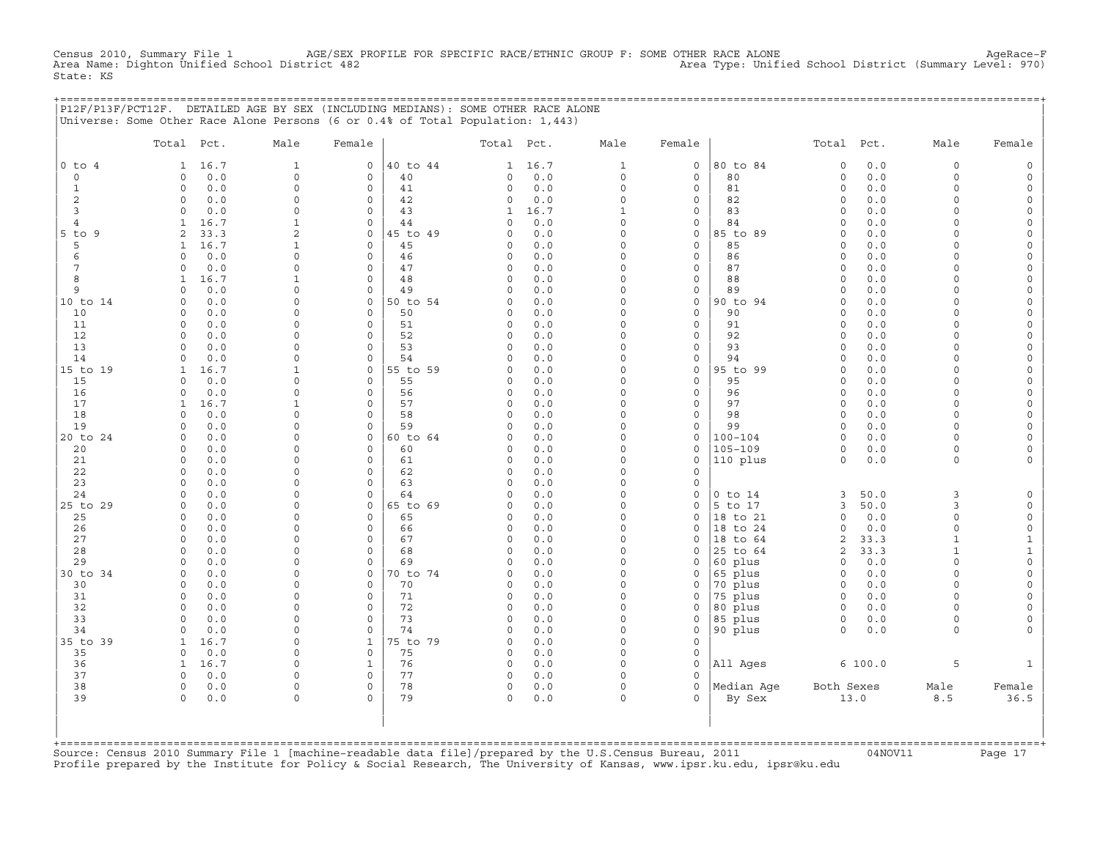Census 2010, Summary File 1 AGE/SEX PROFILE FOR SPECIFIC RACE/ETHNIC GROUP F: SOME OTHER RACE ALONE AgeRace−F<br>Area Name: Dighton Unified School District 482 Area Type: Unified School District (Summary Level: 970) Area Type: Unified School District (Summary Level: 970) State: KS

|                              | P12F/P13F/PCT12F. DETAILED AGE BY SEX (INCLUDING MEDIANS): SOME OTHER RACE ALONE |                             |                          |                |                         |            |                      |                         |                      |                      |            |                      |                          |
|------------------------------|----------------------------------------------------------------------------------|-----------------------------|--------------------------|----------------|-------------------------|------------|----------------------|-------------------------|----------------------|----------------------|------------|----------------------|--------------------------|
|                              | Universe: Some Other Race Alone Persons (6 or 0.4% of Total Population: 1,443)   |                             |                          |                |                         |            |                      |                         |                      |                      |            |                      |                          |
|                              | Total Pct.                                                                       | Male                        | Female                   |                | Total Pct.              |            | Male                 | Female                  |                      | Total Pct.           |            | Male                 | Female                   |
| $0$ to $4$                   | 16.7<br>$\mathbf{1}$                                                             | $\mathbf{1}$                | $\mathbf 0$              | 40 to 44       |                         | 1 16.7     | $\mathbf{1}$         | $\mathbf{0}$            | 80 to 84             | $\circ$              | 0.0        | $\circ$              | $\mathsf{O}$             |
| $\circ$                      | 0.0<br>$\Omega$                                                                  | $\Omega$                    | $\mathbf 0$              | 40             | $\circ$                 | 0.0        | $\circ$              | $\circ$                 | 80                   | $\circ$              | 0.0        | $\circ$              | 0                        |
| $\mathbf{1}$                 | 0.0<br>$\mathbf 0$                                                               | $\Omega$                    | $\mathbf 0$              | 41             | $\circ$                 | 0.0        | $\Omega$             | $\circ$                 | 81                   | $\circ$              | 0.0        | $\Omega$             | 0                        |
| 2                            | 0.0<br>$\circ$                                                                   | $\Omega$                    | $\mathbf 0$              | 42             | 0                       | 0.0        | $\circ$              | $\mathbf{0}$            | 82                   | 0                    | 0.0        | $\Omega$             | 0                        |
| 3                            | 0.0<br>$\Omega$                                                                  | $\mathbf 0$<br>$\mathbf{1}$ | $\mathbf 0$              | 43             | 1                       | 16.7       | $\mathbf{1}$         | $\mathbf{0}$            | 83                   | $\circ$              | 0.0        | $\Omega$<br>$\cap$   | 0                        |
| $\overline{4}$<br>$5$ to $9$ | 16.7<br>$\mathbf{1}$<br>$\overline{2}$<br>33.3                                   | 2                           | $\Omega$<br>$\mathbf 0$  | 44<br>45 to 49 | $\Omega$<br>$\Omega$    | 0.0<br>0.0 | $\Omega$<br>$\Omega$ | $\Omega$<br>$\circ$     | 84<br>85 to 89       | $\Omega$<br>$\Omega$ | 0.0<br>0.0 | $\Omega$             | $\Omega$<br>$\mathsf{O}$ |
| 5                            | 16.7<br>$\mathbf{1}$                                                             | 1                           | $\mathbf 0$              | 45             | $\Omega$                | 0.0        | $\Omega$             | $\Omega$                | 85                   | $\Omega$             | 0.0        | $\Omega$             | $\mathsf{O}$             |
| 6                            | 0.0<br>$\Omega$                                                                  | $\Omega$                    | $\Omega$                 | 46             | $\Omega$                | 0.0        | $\Omega$             | $\mathbf{0}$            | 86                   | $\Omega$             | 0.0        | $\cap$               | $\mathsf{O}$             |
| $7\phantom{.0}$              | 0.0<br>$\Omega$                                                                  | $\Omega$                    | $\Omega$                 | 47             | $\circ$                 | 0.0        | $\Omega$             | $\Omega$                | 87                   | $\circ$              | 0.0        | $\Omega$             | $\mathbf 0$              |
| 8                            | 16.7<br>$\mathbf{1}$                                                             | $\mathbf{1}$                | $\mathbf 0$              | 48             | $\circ$                 | 0.0        | $\Omega$             | $\mathbf{0}$            | 88                   | 0                    | 0.0        | $\Omega$             | $\mathbf 0$              |
| 9                            | 0.0<br>$\Omega$                                                                  | $\Omega$                    | $\mathbf 0$              | 49             | $\Omega$                | 0.0        | $\Omega$             | $\mathbf{0}$            | 89                   | $\Omega$             | 0.0        | $\Omega$             | 0                        |
| 10 to 14                     | $\Omega$<br>0.0                                                                  | $\Omega$                    | $\mathbf 0$              | 50 to 54       | $\Omega$                | 0.0        | $\Omega$             | $\mathbf 0$             | 90 to 94             | 0                    | 0.0        | $\cap$               | 0                        |
| 10                           | 0.0<br>$\Omega$                                                                  | $\Omega$                    | $\mathbf 0$              | 50             | $\mathbf 0$             | 0.0        | $\Omega$             | $\circ$                 | 90                   | 0                    | 0.0        | $\Omega$             | $\mathbf 0$              |
| 11                           | $\mathbf 0$<br>0.0                                                               | $\Omega$                    | $\mathbf 0$              | 51             | 0                       | 0.0        | $\Omega$             | $\mathsf{O}$            | 91                   | 0                    | 0.0        | $\Omega$             | 0                        |
| 12                           | 0.0<br>$\Omega$                                                                  | $\mathbf 0$                 | $\mathbf 0$              | 52             | $\mathbf 0$             | 0.0        | $\Omega$             | $\mathbf{0}$            | 92                   | 0                    | 0.0        | $\Omega$             | 0                        |
| 13                           | 0.0<br>$\Omega$                                                                  | $\Omega$                    | $\Omega$                 | 53             | $\Omega$                | 0.0        | $\Omega$             | $\Omega$                | 93                   | $\Omega$             | 0.0        | $\cap$               | $\Omega$                 |
| 14                           | 0.0<br>$\Omega$                                                                  | $\Omega$                    | $\mathbf 0$              | 54             | $\Omega$                | 0.0        | $\Omega$             | $\mathbf{0}$            | 94                   | $\circ$              | 0.0        | $\Omega$<br>$\cap$   | $\Omega$                 |
| 15 to 19<br>15               | 16.7<br>1<br>0.0<br>$\Omega$                                                     | 1<br>$\Omega$               | $\mathbf 0$<br>$\Omega$  | 55 to 59<br>55 | $\Omega$<br>$\Omega$    | 0.0<br>0.0 | $\Omega$<br>$\Omega$ | $\mathbf 0$<br>$\Omega$ | 95 to 99<br>95       | $\Omega$<br>$\Omega$ | 0.0<br>0.0 | $\cap$               | $\mathbf 0$<br>0         |
| 16                           | 0.0<br>$\Omega$                                                                  | $\Omega$                    | $\Omega$                 | 56             | $\mathbf 0$             | 0.0        | $\Omega$             | $\Omega$                | 96                   | $\Omega$             | 0.0        | $\Omega$             | $\mathbf 0$              |
| 17                           | 16.7<br>$\mathbf{1}$                                                             | $\mathbf{1}$                | $\Omega$                 | 57             | $\circ$                 | 0.0        | $\Omega$             | $\mathbf{0}$            | 97                   | $\circ$              | 0.0        | $\Omega$             | 0                        |
| 18                           | 0.0<br>$\Omega$                                                                  | $\Omega$                    | $\mathbf 0$              | 58             | $\Omega$                | 0.0        | $\Omega$             | $\mathbf{0}$            | 98                   | 0                    | 0.0        | $\Omega$             | 0                        |
| 19                           | $\Omega$<br>0.0                                                                  | $\Omega$                    | $\mathbf 0$              | 59             | $\Omega$                | 0.0        | $\Omega$             | $\mathbf 0$             | 99                   | $\circ$              | 0.0        | $\cap$               | 0                        |
| 20 to 24                     | 0.0<br>$\Omega$                                                                  | $\Omega$                    | $\mathbf 0$              | 60 to 64       | 0                       | 0.0        | $\Omega$             | $\circ$                 | $100 - 104$          | 0                    | 0.0        | $\Omega$             | 0                        |
| 20                           | $\mathbf 0$<br>0.0                                                               | $\Omega$                    | $\mathbf 0$              | 60             | 0                       | 0.0        | $\Omega$             | 0                       | $105 - 109$          | 0                    | 0.0        | $\Omega$             | 0                        |
| 21                           | 0.0<br>$\circ$                                                                   | $\Omega$                    | $\mathbf 0$              | 61             | $\mathbf 0$             | 0.0        | $\circ$              | $\mathbf 0$             | 110 plus             | $\circ$              | 0.0        | 0                    | 0                        |
| 22                           | 0.0<br>$\Omega$                                                                  | $\Omega$                    | $\Omega$                 | 62             | $\Omega$                | 0.0        | $\Omega$             | $\Omega$                |                      |                      |            |                      |                          |
| 23                           | 0.0<br>$\Omega$                                                                  | $\Omega$                    | $\Omega$                 | 63             | $\circ$                 | 0.0        | $\Omega$             | $\mathbf{0}$            |                      |                      |            |                      |                          |
| 24                           | 0.0<br>$\Omega$                                                                  | $\cap$                      | $\Omega$                 | 64             | $\Omega$                | 0.0        | $\Omega$             | $\mathbf 0$             | $0$ to $14$          | 3                    | 50.0       | 3                    | 0                        |
| 25 to 29                     | 0.0<br>$\Omega$                                                                  | $\cap$                      | $\mathbf 0$              | 65 to 69       | $\Omega$                | 0.0        | $\Omega$             | $\Omega$                | 5 to 17              | 3                    | 50.0       | 3                    | $\mathsf{O}$             |
| 25<br>26                     | $\Omega$<br>0.0<br>$\Omega$<br>0.0                                               | $\cap$<br>$\Omega$          | $\Omega$<br>$\mathbf 0$  | 65<br>66       | $\Omega$<br>$\circ$     | 0.0<br>0.0 | $\cap$<br>$\Omega$   | $\Omega$<br>$\mathbf 0$ | 18 to 21<br>18 to 24 | 0<br>0               | 0.0<br>0.0 | $\Omega$<br>$\Omega$ | 0<br>0                   |
| 27                           | 0.0<br>$\Omega$                                                                  | $\Omega$                    | $\mathbf 0$              | 67             | $\circ$                 | 0.0        | $\Omega$             | $\Omega$                | 18 to 64             | $\overline{a}$       | 33.3       | $\mathbf{1}$         | $1\,$                    |
| 28                           | $\Omega$<br>0.0                                                                  | $\Omega$                    | $\mathbf 0$              | 68             | $\circ$                 | 0.0        | $\Omega$             | 0                       | 25 to 64             | $\overline{a}$       | 33.3       | $\mathbf{1}$         | $1\,$                    |
| 29                           | 0.0<br>$\Omega$                                                                  | $\Omega$                    | $\Omega$                 | 69             | $\Omega$                | 0.0        | $\Omega$             | $\Omega$                | 60 plus              | 0                    | 0.0        | $\Omega$             | $\mathsf{O}$             |
| 30 to 34                     | $\mathbf 0$<br>0.0                                                               | $\Omega$                    | $\mathbf 0$              | 70 to 74       | 0                       | 0.0        | $\circ$              | 0                       | 65 plus              | $\circ$              | 0.0        | $\Omega$             | 0                        |
| 30                           | 0.0<br>0                                                                         | $\mathbf 0$                 | 0                        | 70             | $\circ$                 | 0.0        | $\circ$              | 0                       | 70 plus              | $\circ$              | 0.0        | $\circ$              | 0                        |
| 31                           | 0.0<br>$\Omega$                                                                  | $\Omega$                    | $\Omega$                 | 71             | $\Omega$                | 0.0        | $\Omega$             | $\Omega$                | 75 plus              | $\Omega$             | 0.0        | $\cap$               | 0                        |
| 32                           | $\Omega$<br>0.0                                                                  | $\Omega$                    | $\Omega$                 | 72             | $\Omega$                | 0.0        | $\Omega$             | $\Omega$                | 80 plus              | $\Omega$             | 0.0        | $\Omega$             | $\Omega$                 |
| 33                           | 0.0<br>$\Omega$                                                                  | $\Omega$                    | $\Omega$                 | 73             | $\Omega$                | 0.0        | $\Omega$             | $\mathbf 0$             | 85 plus              | $\circ$              | 0.0        | $\Omega$             | 0                        |
| 34                           | 0.0<br>$\cap$                                                                    | $\Omega$                    | $\Omega$                 | 74             | $\Omega$                | 0.0        | $\Omega$             | $\Omega$                | 90 plus              | $\Omega$             | 0.0        | $\Omega$             | $\Omega$                 |
| 35 to 39                     | 16.7<br>$\mathbf{1}$                                                             | $\Omega$                    | $\mathbf{1}$             | 75 to 79       | $\Omega$                | 0.0        | $\Omega$             | $\Omega$                |                      |                      |            |                      |                          |
| 35                           | 0.0<br>$\Omega$                                                                  | $\Omega$                    | $\mathbf 0$              | 75             | $\mathbf 0$             | 0.0        | $\Omega$             | $\mathbf 0$             |                      |                      |            |                      |                          |
| 36                           | 16.7<br>1                                                                        | $\Omega$                    | $\mathbf{1}$             | 76             | $\circ$                 | 0.0        | $\Omega$             | $\mathbf 0$             | All Ages             |                      | 6 100.0    | 5                    | $\mathbf{1}$             |
| 37                           | 0.0<br>$\Omega$<br>$\Omega$                                                      | $\Omega$<br>$\Omega$        | $\mathsf{O}$<br>$\Omega$ | 77<br>78       | $\mathbf 0$<br>$\Omega$ | 0.0        | $\Omega$<br>$\Omega$ | $\circ$<br>$\Omega$     |                      |                      |            |                      |                          |
| 38<br>39                     | 0.0<br>0.0<br>$\circ$                                                            | $\mathbf 0$                 | $\Omega$                 | 79             | $\circ$                 | 0.0<br>0.0 | $\circ$              | $\mathbf{0}$            | Median Age<br>By Sex | Both Sexes           | 13.0       | Male<br>8.5          | Female<br>36.5           |
|                              |                                                                                  |                             |                          |                |                         |            |                      |                         |                      |                      |            |                      |                          |

| | +===================================================================================================================================================+ Source: Census 2010 Summary File 1 [machine-readable data file]/prepared by the U.S.Census Bureau, 2011 Page 17<br>Profile prepared by the Institute for Policy & Social Research, The University of Kansas, www

| | | |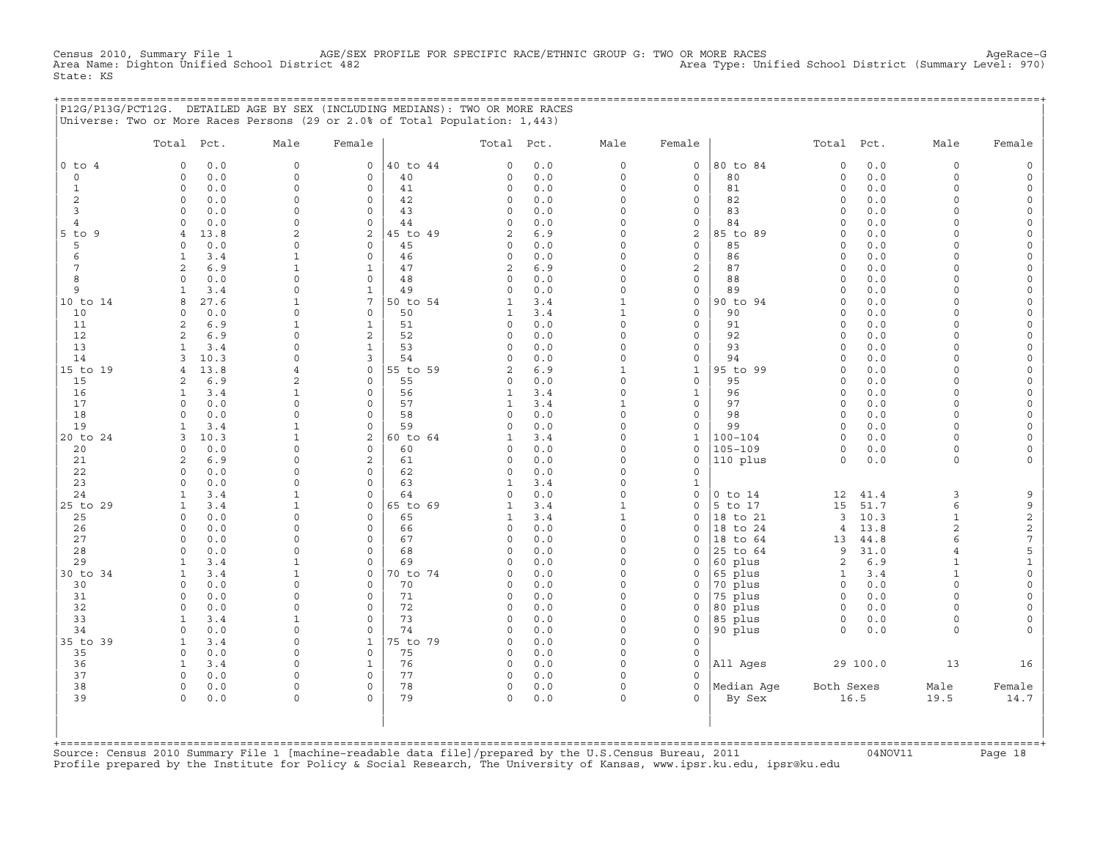Census 2010, Summary File 1 AGE/SEX PROFILE FOR SPECIFIC RACE/ETHNIC GROUP G: TWO OR MORE RACES AgeRace−G<br>Area Name: Dighton Unified School District 482 Area Type: Unified School District (Summary Level: 970) Area Type: Unified School District (Summary Level: 970) State: KS

|                           | P12G/P13G/PCT12G. DETAILED AGE BY SEX (INCLUDING MEDIANS): TWO OR MORE RACES<br>Universe: Two or More Races Persons (29 or 2.0% of Total Population: 1,443) |                          |                         |                |                     |            |                          |                             |                      |                         |            |                          |                |
|---------------------------|-------------------------------------------------------------------------------------------------------------------------------------------------------------|--------------------------|-------------------------|----------------|---------------------|------------|--------------------------|-----------------------------|----------------------|-------------------------|------------|--------------------------|----------------|
|                           | Total Pct.                                                                                                                                                  | Male                     | Female                  |                | Total Pct.          |            | Male                     | Female                      |                      | Total Pct.              |            | Male                     | Female         |
| $0$ to $4$<br>$\circ$     | 0.0<br>$\circ$<br>0.0<br>$\circ$                                                                                                                            | $\circ$<br>$\circ$       | $\mathsf{O}$<br>$\circ$ | 40 to 44<br>40 | 0<br>0              | 0.0<br>0.0 | $\circ$<br>$\circ$       | $\mathsf{O}$<br>$\mathbf 0$ | 80 to 84<br>80       | $\mathbf 0$<br>$\circ$  | 0.0<br>0.0 | $\circ$<br>$\circ$       |                |
| $\mathbf{1}$              | 0.0<br>$\circ$                                                                                                                                              | $\Omega$                 | $\circ$                 | 41             | 0                   | 0.0        | $\Omega$                 | $\circ$                     | 81                   | $\Omega$                | $0.0$      | $\Omega$                 | $\Omega$       |
| $\overline{\mathbf{c}}$   | $\circ$<br>0.0                                                                                                                                              | $\Omega$                 | $\circ$                 | 42             | 0                   | 0.0        | $\circ$                  | 0                           | 82                   | $\circ$                 | 0.0        | $\Omega$                 |                |
| 3                         | $\Omega$<br>0.0                                                                                                                                             | $\cap$                   | $\mathbf 0$             | 43             | $\circ$             | 0.0        | $\circ$                  | 0                           | 83                   | $\mathbf 0$             | 0.0        | $\cap$                   |                |
| 4                         | 0.0<br>$\Omega$                                                                                                                                             | $\cap$                   | $\mathsf{O}$            | 44             | 0                   | 0.0        | $\circ$                  | 0                           | 84                   | $\Omega$                | 0.0        | $\cap$                   |                |
| $5$ to $9$                | 13.8<br>$\overline{4}$                                                                                                                                      | $\mathcal{L}$            | 2                       | 45 to 49       | 2                   | 6.9        | $\Omega$                 | 2                           | 85 to 89             | $\Omega$                | 0.0        | $\cap$                   |                |
| 5                         | 0.0<br>$\Omega$                                                                                                                                             | <sup>0</sup>             | $\circ$                 | 45             | $\circ$             | 0.0        | $\Omega$                 | $\mathbf 0$                 | 85                   | $\Omega$                | 0.0        |                          |                |
| 6<br>7                    | 3.4<br>$\mathbf{1}$<br>2<br>6.9                                                                                                                             | 1<br>1                   | $\circ$<br>$\mathbf{1}$ | 46<br>47       | $\circ$             | 0.0<br>6.9 | $\Omega$<br>$\Omega$     | 0<br>2                      | 86<br>87             | $\Omega$<br>$\Omega$    | 0.0<br>0.0 | $\cap$<br>$\cap$         |                |
| 8                         | 0.0<br>$\circ$                                                                                                                                              | $\Omega$                 | $\mathbf{0}$            | 48             | 2<br>$\circ$        | 0.0        | $\circ$                  | $\circ$                     | 88                   | $\mathbf 0$             | 0.0        | $\Omega$                 |                |
| 9                         | 3.4<br>1                                                                                                                                                    | $\Omega$                 | $\mathbf{1}$            | 49             | 0                   | 0.0        | $\circ$                  | 0                           | 89                   | $\circ$                 | $0.0$      | $\Omega$                 |                |
| 10 to 14                  | 27.6<br>8                                                                                                                                                   | $\mathbf{1}$             | $\overline{7}$          | 50 to 54       | 1                   | 3.4        | $\mathbf{1}$             | $\mathbf{0}$                | 90 to 94             | $\Omega$                | 0.0        | $\Omega$                 |                |
| 10                        | 0.0<br>0                                                                                                                                                    | $\Omega$                 | $\mathsf O$             | 50             | 1                   | 3.4        | $\mathbf{1}$             | $\circ$                     | 90                   | $\mathbf 0$             | 0.0        | $\Omega$                 |                |
| 11                        | 6.9<br>2                                                                                                                                                    |                          | $\mathbf{1}$            | 51             | $\circ$             | 0.0        | $\circ$                  | 0                           | 91                   | $\circ$                 | 0.0        | $\cap$                   |                |
| 12                        | 6.9<br>$\overline{2}$                                                                                                                                       | $\Omega$                 | 2                       | 52             | $\Omega$            | 0.0        | O                        | $\Omega$                    | 92                   | $\Omega$                | 0.0        |                          |                |
| 13                        | $\mathbf{1}$<br>3.4                                                                                                                                         | $\Omega$                 | $\mathbf{1}$            | 53             | $\mathbf 0$         | 0.0        | $\Omega$                 | $\mathbf{0}$                | 93                   | $\Omega$                | 0.0        | $\cap$                   |                |
| 14                        | 10.3<br>3                                                                                                                                                   | $\cap$                   | 3<br>$\circ$            | 54             | 0<br>$\overline{2}$ | 0.0        | $\Omega$<br>$\mathbf{1}$ | $\mathbf{0}$                | 94                   | $\Omega$<br>$\mathbf 0$ | 0.0        | $\cap$<br>$\cap$         |                |
| 15 to 19<br>15            | 13.8<br>4<br>6.9<br>2                                                                                                                                       | $\overline{4}$<br>2      | $\mathbf{0}$            | 55 to 59<br>55 | 0                   | 6.9<br>0.0 | $\circ$                  | $\mathbf{1}$<br>$\circ$     | 95 to 99<br>95       | $\circ$                 | 0.0<br>0.0 | $\Omega$                 |                |
| 16                        | $\mathbf{1}$<br>3.4                                                                                                                                         | 1                        | $\mathbf{0}$            | 56             | 1                   | 3.4        | $\circ$                  | $\mathbf{1}$                | 96                   | $\circ$                 | 0.0        | $\Omega$                 |                |
| 17                        | $\Omega$<br>0.0                                                                                                                                             | $\Omega$                 | $\mathbf 0$             | 57             | $\mathbf{1}$        | 3.4        | $\mathbf{1}$             | 0                           | 97                   | $\circ$                 | 0.0        | $\Omega$                 | $\Omega$       |
| 18                        | 0.0<br>$\Omega$                                                                                                                                             | $\Omega$                 | $\mathbf 0$             | 58             | 0                   | 0.0        | $\circ$                  | 0                           | 98                   | $\circ$                 | 0.0        | $\Omega$                 |                |
| 19                        | $\mathbf{1}$<br>3.4                                                                                                                                         | 1                        | $\mathsf{O}\xspace$     | 59             | 0                   | 0.0        | $\circ$                  | 0                           | 99                   | $\circ$                 | 0.0        | $\Omega$                 |                |
| 20 to 24                  | 10.3<br>3                                                                                                                                                   |                          | 2                       | 60 to 64       | 1                   | 3.4        | $\Omega$                 | 1                           | 100-104              | $\Omega$                | 0.0        | $\cap$                   | $\Omega$       |
| 20                        | 0.0<br>$\Omega$                                                                                                                                             | $\Omega$                 | $\Omega$                | 60             | $\Omega$            | 0.0        | $\Omega$                 | 0                           | $105 - 109$          | $\Omega$                | 0.0        | $\Omega$                 |                |
| 21                        | 6.9<br>2                                                                                                                                                    | $\cap$                   | 2                       | 61             | 0                   | 0.0        | $\circ$                  | 0                           | 110 plus             | $\circ$                 | 0.0        | $\Omega$                 |                |
| 22<br>23                  | 0.0<br>$\Omega$<br>0.0<br>$\Omega$                                                                                                                          | <sup>n</sup><br>$\Omega$ | $\circ$<br>$\mathbf{0}$ | 62<br>63       | 0<br>1              | 0.0<br>3.4 | $\Omega$<br>$\circ$      | 0<br>$\mathbf{1}$           |                      |                         |            |                          |                |
| 24                        | 3.4<br>$\mathbf{1}$                                                                                                                                         |                          | $\mathbf 0$             | 64             | 0                   | 0.0        | $\circ$                  | $\mathbf 0$                 | $0$ to $14$          | 12                      | 41.4       | 3                        | 9              |
| 25 to 29                  | $\mathbf{1}$<br>3.4                                                                                                                                         | -1                       | $\mathbf{0}$            | 65 to 69       | $\mathbf{1}$        | 3.4        | $\mathbf{1}$             | 0                           | 5 to 17              | 15                      | 51.7       | 6                        | 9              |
| 25                        | $\circ$<br>0.0                                                                                                                                              | $\Omega$                 | $\mathsf{O}$            | 65             | 1                   | 3.4        | $\mathbf{1}$             | 0                           | 18 to 21             | 3                       | 10.3       | $\mathbf{1}$             | $\sqrt{2}$     |
| 26                        | $\circ$<br>0.0                                                                                                                                              | $\cap$                   | $\mathbf 0$             | 66             | $\circ$             | 0.0        | $\circ$                  | $\mathbf{0}$                | 18 to 24             | $\overline{4}$          | 13.8       | 2                        | $\sqrt{2}$     |
| 27                        | $\Omega$<br>0.0                                                                                                                                             | $\Omega$                 | $\mathbf{0}$            | 67             | $\circ$             | 0.0        | $\Omega$                 | 0                           | 18 to 64             | 13                      | 44.8       | 6                        | 7              |
| 28                        | 0.0<br>$\Omega$                                                                                                                                             | $\Omega$                 | $\circ$                 | 68             | 0                   | 0.0        | O                        | 0                           | 25 to 64             | 9                       | 31.0       | $\overline{4}$           | 5              |
| 29                        | 3.4<br>$\mathbf{1}$                                                                                                                                         |                          | $\Omega$                | 69             | $\Omega$            | 0.0        | $\Omega$                 | $\Omega$                    | 60 plus              | 2                       | 6.9        | $\mathbf{1}$             | 1<br>$\Omega$  |
| 30 to 34<br>30            | 1<br>3.4<br>0.0<br>$\Omega$                                                                                                                                 | 1<br>$\Omega$            | 0<br>$\circ$            | 70 to 74<br>70 | $\circ$<br>0        | 0.0<br>0.0 | 0<br>$\circ$             | 0<br>0                      | 65 plus<br>70 plus   | 1<br>$\circ$            | 3.4<br>0.0 | $\mathbf{1}$<br>$\Omega$ | $\Omega$       |
| 31                        | 0.0<br>$\Omega$                                                                                                                                             |                          | $\mathbf{0}$            | 71             | 0                   | 0.0        | $\Omega$                 | $\mathbf 0$                 | 75 plus              | $\circ$                 | $0.0$      | $\Omega$                 |                |
| 32                        | 0.0<br>$\circ$                                                                                                                                              | $\Omega$                 | $\mathbf 0$             | 72             | 0                   | 0.0        | $\circ$                  | 0                           | 80 plus              | $\circ$                 | 0.0        | $\Omega$                 |                |
| 33                        | $\mathbf{1}$<br>3.4                                                                                                                                         |                          | $\mathbf 0$             | 73             | $\circ$             | 0.0        | $\circ$                  | 0                           | 85 plus              | $\circ$                 | 0.0        | $\Omega$                 | $\Omega$       |
| 34                        | 0.0<br>$\Omega$                                                                                                                                             | $\cap$                   | $\Omega$                | 74             | 0                   | 0.0        | $\Omega$                 | 0                           | 90 plus              | $\Omega$                | 0.0        | $\Omega$                 |                |
| 35 to 39                  | 3.4<br>$\mathbf{1}$                                                                                                                                         | $\cap$                   | $\mathbf{1}$            | 75 to 79       | $\Omega$            | 0.0        | $\Omega$                 | $\Omega$                    |                      |                         |            |                          |                |
| 35                        | 0.0<br>$\Omega$                                                                                                                                             | <sup>0</sup>             | $\circ$                 | 75             | $\circ$             | 0.0        | $\Omega$                 | 0                           |                      |                         |            |                          |                |
| 36                        | 3.4<br>1                                                                                                                                                    | $\cap$                   | $\mathbf{1}$            | 76             | $\circ$             | 0.0        | $\Omega$                 | $\mathbf 0$                 | All Ages             |                         | 29 100.0   | 13                       | 16             |
| 37<br>38                  | $\Omega$<br>0.0<br>$\circ$                                                                                                                                  | $\Omega$<br>$\circ$      | $\Omega$<br>$\mathbf 0$ | 77<br>78       | $\circ$             | 0.0        | $\Omega$<br>$\circ$      | $\Omega$<br>$\circ$         |                      |                         |            |                          |                |
| 39                        | 0.0<br>0.0<br>$\Omega$                                                                                                                                      | $\Omega$                 | $\Omega$                | 79             | $\circ$<br>$\circ$  | 0.0<br>0.0 | $\Omega$                 | $\Omega$                    | Median Aqe<br>By Sex | Both Sexes              | 16.5       | Male<br>19.5             | Female<br>14.7 |
| $+$ = = = = = = = = = = = |                                                                                                                                                             |                          |                         |                |                     |            |                          |                             |                      |                         |            |                          |                |

Source: Census 2010 Summary File 1 [machine-readable data file]/prepared by the U.S.Census Bureau, 2011 Page 18<br>Profile prepared by the Institute for Policy & Social Research, The University of Kansas, www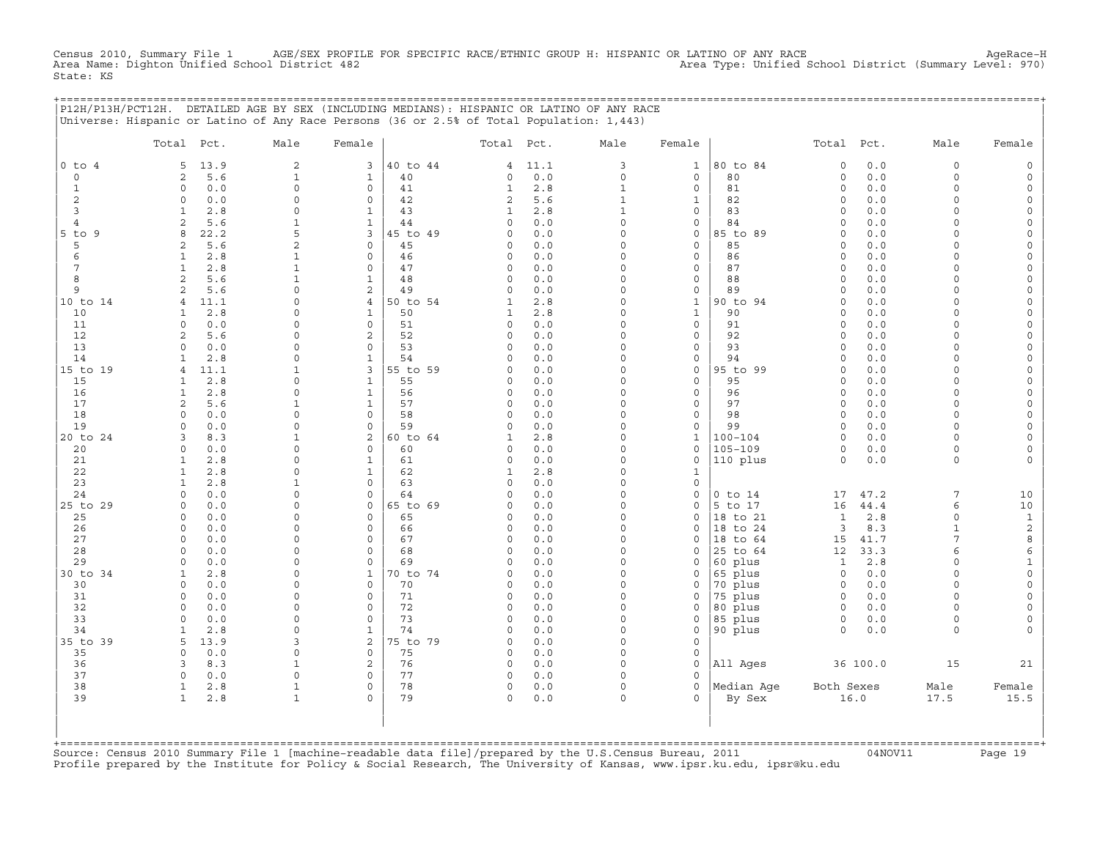Census 2010, Summary File 1 AGE/SEX PROFILE FOR SPECIFIC RACE/ETHNIC GROUP H: HISPANIC OR LATINO OF ANY RACE<br>Area Name: Dighton Unified School District 482 Area Name: Dighton Unified School District (Summary Level: 97 State: KS

|                | P12H/P13H/PCT12H. DETAILED AGE BY SEX (INCLUDING MEDIANS): HISPANIC OR LATINO OF ANY RACE |                          |                              |                |                         |            |                      |                   |                    |                     |            |                      |                             |
|----------------|-------------------------------------------------------------------------------------------|--------------------------|------------------------------|----------------|-------------------------|------------|----------------------|-------------------|--------------------|---------------------|------------|----------------------|-----------------------------|
|                | Universe: Hispanic or Latino of Any Race Persons (36 or 2.5% of Total Population: 1,443)  |                          |                              |                |                         |            |                      |                   |                    |                     |            |                      |                             |
|                | Total Pct.                                                                                | Male                     | Female                       |                | Total Pct.              |            | Male                 | Female            |                    | Total Pct.          |            | Male                 | Female                      |
| $0$ to $4$     | 13.9<br>5                                                                                 | $\overline{\mathbf{c}}$  | 3                            | 40 to 44       | 4                       | 11.1       | 3                    | $\mathbf{1}$      | 80 to 84           | $\mathsf{O}\xspace$ | 0.0        | $\mathsf{O}\xspace$  | $\Omega$                    |
| $\mathsf{O}$   | 5.6<br>2                                                                                  | $\mathbf{1}$             | 1                            | 40             | 0                       | 0.0        | $\circ$              | $\mathsf{O}$      | 80                 | $\circ$             | 0.0        | $\circ$              | $\Omega$                    |
| 1              | $\Omega$<br>0.0                                                                           | $\Omega$                 | $\mathbf 0$                  | 41             | 1                       | 2.8        | 1                    | 0                 | 81                 | $\Omega$            | 0.0        | $\Omega$             | $\Omega$                    |
| 2<br>3         | $\circ$<br>0.0<br>2.8<br>$\mathbf{1}$                                                     | 0<br>$\Omega$            | 0<br>$\mathbf{1}$            | 42<br>43       | 2<br>1                  | 5.6<br>2.8 | 1<br>$\mathbf{1}$    | $\mathbf{1}$<br>0 | 82<br>83           | $\circ$<br>$\circ$  | 0.0<br>0.0 | $\Omega$<br>$\Omega$ | $\Omega$<br>$\Omega$        |
| $\overline{4}$ | $\mathbf{2}$<br>5.6                                                                       | $\mathbf{1}$             | $\mathbf{1}$                 | 44             | $\Omega$                | 0.0        | $\Omega$             | 0                 | 84                 | $\Omega$            | 0.0        | $\Omega$             |                             |
| $5$ to<br>9    | 8<br>22.2                                                                                 | 5                        | 3                            | 45 to 49       | $\Omega$                | 0.0        | $\Omega$             | 0                 | 85 to 89           | $\Omega$            | 0.0        | $\Omega$             | $\Omega$                    |
| 5              | 5.6<br>2                                                                                  | $\overline{a}$           | $\mathbf 0$                  | 45             | $\Omega$                | 0.0        | $\Omega$             | 0                 | 85                 | $\Omega$            | 0.0        | $\cap$               | $\Omega$                    |
| 6              | 2.8<br>1                                                                                  | $\mathbf{1}$             | 0                            | 46             | 0                       | 0.0        | $\Omega$             | 0                 | 86                 | $\circ$             | 0.0        | $\Omega$             |                             |
| 7              | 2.8<br>$\mathbf{1}$                                                                       | $\mathbf{1}$             | $\mathbf 0$                  | 47             | $\Omega$                | 0.0        | $\Omega$             | 0                 | 87                 | $\circ$             | 0.0        | $\Omega$             |                             |
| 8<br>9         | $\mathbf{2}$<br>5.6<br>2                                                                  | $\mathbf{1}$<br>$\Omega$ | $\mathbf{1}$                 | 48<br>49       | $\mathbf 0$<br>$\Omega$ | 0.0        | $\Omega$<br>$\Omega$ | 0                 | 88                 | $\circ$<br>$\Omega$ | 0.0        | $\Omega$<br>$\Omega$ | $\Omega$<br>$\Omega$        |
| 10 to 14       | 5.6<br>11.1<br>4                                                                          | $\Omega$                 | 2<br>$\overline{4}$          | 50 to 54       | 1                       | 0.0<br>2.8 | $\Omega$             | 0<br>$\mathbf{1}$ | 89<br>90 to 94     | $\Omega$            | 0.0<br>0.0 | $\Omega$             | $\Omega$                    |
| 10             | 2.8<br>1                                                                                  | 0                        | $\mathbf{1}$                 | 50             | 1                       | 2.8        | $\Omega$             | $\mathbf{1}$      | 90                 | $\circ$             | 0.0        | $\Omega$             |                             |
| 11             | $\circ$<br>0.0                                                                            | $\mathbf 0$              | 0                            | 51             | $\circ$                 | 0.0        | 0                    | 0                 | 91                 | $\circ$             | 0.0        | $\Omega$             | $\Omega$                    |
| 12             | 5.6<br>2                                                                                  | $\mathbf 0$              | 2                            | 52             | $\Omega$                | 0.0        | $\Omega$             | 0                 | 92                 | $\circ$             | 0.0        | $\Omega$             | $\Omega$                    |
| 13             | 0.0<br>$\mathbf 0$                                                                        | 0                        | $\mathbf 0$                  | 53             | $\mathbf 0$             | 0.0        | $\Omega$             | $\mathbf{0}$      | 93                 | $\circ$             | 0.0        | $\Omega$             | $\Omega$                    |
| 14             | 2.8<br>1                                                                                  | 0                        | $\mathbf{1}$                 | 54             | <sup>0</sup>            | 0.0        | $\Omega$             | 0                 | 94                 | $\Omega$            | 0.0        | $\Omega$             | $\Omega$                    |
| 15 to 19       | $\overline{4}$<br>11.1                                                                    | 1                        | 3                            | 55 to 59       | <sup>0</sup>            | 0.0        | $\Omega$             | 0                 | 95 to 99           | $\Omega$            | 0.0        | $\Omega$<br>$\Omega$ | $\Omega$                    |
| 15<br>16       | 2.8<br>$\mathbf{1}$<br>$\mathbf{1}$<br>2.8                                                | $\mathbf 0$<br>0         | $\mathbf{1}$<br>$\mathbf{1}$ | 55<br>56       | $\Omega$<br>$\Omega$    | 0.0<br>0.0 | 0<br>$\Omega$        | 0<br>0            | 95<br>96           | $\circ$<br>$\circ$  | 0.0<br>0.0 | $\Omega$             | $\Omega$<br>$\Omega$        |
| 17             | 5.6<br>$\mathfrak{D}$                                                                     | $\mathbf{1}$             | $\mathbf{1}$                 | 57             | $\Omega$                | 0.0        | $\Omega$             | 0                 | 97                 | $\Omega$            | 0.0        | $\Omega$             |                             |
| 18             | 0.0<br>$\Omega$                                                                           | $\Omega$                 | $\mathbf 0$                  | 58             | $\Omega$                | 0.0        | $\Omega$             | 0                 | 98                 | $\Omega$            | 0.0        | $\Omega$             |                             |
| 19             | 0.0<br>$\Omega$                                                                           | $\Omega$                 | $\mathbf 0$                  | 59             | $\Omega$                | 0.0        | $\Omega$             | 0                 | 99                 | $\Omega$            | 0.0        | $\Omega$             | $\Omega$                    |
| 20 to 24       | 8.3<br>3                                                                                  | $\mathbf{1}$             | 2                            | 60 to 64       | 1                       | 2.8        | 0                    | $\mathbf{1}$      | $100 - 104$        | $\circ$             | 0.0        | $\Omega$             | $\Omega$                    |
| 20             | 0.0<br>$\circ$                                                                            | $\mathbf 0$              | $\mathbf 0$                  | 60             | $\Omega$                | 0.0        | $\Omega$             | 0                 | $105 - 109$        | $\circ$             | 0.0        | $\circ$              |                             |
| 21             | $\mathbf{1}$<br>2.8                                                                       | $\Omega$                 | $\mathbf{1}$                 | 61             | 0                       | 0.0        | $\Omega$             | 0                 | 110 plus           | $\Omega$            | $0.0$      | 0                    |                             |
| 22<br>23       | $\mathbf{1}$<br>2.8<br>$\mathbf{1}$<br>2.8                                                | $\Omega$<br>$\mathbf{1}$ | 1<br>$\mathbf 0$             | 62<br>63       | 1<br>$\Omega$           | 2.8<br>0.0 | $\Omega$<br>$\Omega$ | 1<br>0            |                    |                     |            |                      |                             |
| 24             | $\circ$<br>0.0                                                                            | $\mathbf 0$              | 0                            | 64             | $\Omega$                | 0.0        | 0                    | 0                 | $0$ to $14$        | 17                  | 47.2       | 7                    | 10                          |
| 25 to 29       | 0.0<br>$\Omega$                                                                           | $\Omega$                 | 0                            | 65 to 69       | $\Omega$                | 0.0        | 0                    | 0                 | 5 to 17            | 16                  | 44.4       | 6                    | 10                          |
| 25             | 0.0<br>$\circ$                                                                            | $\mathbf 0$              | $\mathbf 0$                  | 65             | $\Omega$                | 0.0        | $\Omega$             | $\Omega$          | 18 to 21           | $\mathbf{1}$        | 2.8        | $\circ$              | $\mathbf{1}$                |
| 26             | 0.0<br>$\mathbf 0$                                                                        | 0                        | $\mathbf 0$                  | 66             | $\mathbf 0$             | 0.0        | $\Omega$             | 0                 | 18 to 24           | 3                   | 8.3        | 1                    | $\overline{c}$              |
| 27             | 0.0<br>$\circ$                                                                            | 0                        | 0                            | 67             | $\Omega$                | 0.0        | $\Omega$             | 0                 | 18 to 64           | 15                  | 41.7       | 7                    | 8                           |
| 28             | 0.0<br>$\circ$                                                                            | $\mathbf 0$<br>$\Omega$  | $\mathbf 0$                  | 68             | $\Omega$                | 0.0        | $\Omega$             | $\Omega$          | 25 to 64           | 12                  | 33.3       | 6<br>$\Omega$        | 6                           |
| 29<br>30 to 34 | $\circ$<br>0.0<br>2.8<br>1                                                                | 0                        | 0<br>$\mathbf{1}$            | 69<br>70 to 74 | $\Omega$<br>$\Omega$    | 0.0<br>0.0 | 0<br>$\Omega$        | 0<br>0            | 60 plus<br>65 plus | 1<br>$\mathbf 0$    | 2.8<br>0.0 | $\Omega$             | $\mathbf{1}$<br>$\mathbf 0$ |
| 30             | $\circ$<br>0.0                                                                            | 0                        | $\mathbf 0$                  | 70             | $\Omega$                | 0.0        | $\Omega$             | 0                 | 70 plus            | $\mathbf 0$         | 0.0        | $\Omega$             | $\Omega$                    |
| 31             | 0.0<br>$\circ$                                                                            | 0                        | $\mathbf 0$                  | 71             | $\Omega$                | 0.0        | $\Omega$             | $\Omega$          | 75 plus            | $\mathbf 0$         | 0.0        | $\Omega$             |                             |
| 32             | $\circ$<br>0.0                                                                            | $\mathbf 0$              | $\mathbf 0$                  | 72             | $\mathbf 0$             | 0.0        | $\Omega$             | 0                 | 80 plus            | $\mathbf 0$         | 0.0        | $\Omega$             | $\Omega$                    |
| 33             | 0.0<br>$\circ$                                                                            | $\mathbf 0$              | 0                            | 73             | $\circ$                 | 0.0        | 0                    | 0                 | 85 plus            | $\mathsf O$         | 0.0        | $\circ$              | $\Omega$                    |
| 34             | 2.8<br>1                                                                                  | $\mathbf 0$              | $\mathbf{1}$                 | 74             | $\Omega$                | 0.0        | $\Omega$             | 0                 | 90 plus            | $\Omega$            | 0.0        | $\circ$              |                             |
| 35 to 39       | 5<br>13.9                                                                                 | 3                        | 2                            | 75 to 79       | $\mathbf 0$             | 0.0        | $\circ$              | 0                 |                    |                     |            |                      |                             |
| 35<br>36       | $\Omega$<br>0.0<br>8.3<br>3                                                               | 0<br>$\mathbf{1}$        | 0<br>2                       | 75<br>76       | $\mathbf 0$<br>$\circ$  | 0.0<br>0.0 | $\Omega$<br>$\Omega$ | 0<br>$\Omega$     | All Ages           |                     | 36 100.0   | 15                   | 21                          |
| 37             | $\circ$<br>0.0                                                                            | 0                        | 0                            | 77             | $\circ$                 | 0.0        | 0                    | $\Omega$          |                    |                     |            |                      |                             |
| 38             | $\mathbf{1}$<br>2.8                                                                       | $\mathbf{1}$             | 0                            | 78             | $\circ$                 | 0.0        | 0                    | 0                 | Median Aqe         | Both Sexes          |            | Male                 | Female                      |
| 39             | $\mathbf{1}$<br>2.8                                                                       | $\mathbf{1}$             | $\Omega$                     | 79             | $\Omega$                | 0.0        | $\Omega$             | $\Omega$          | By Sex             |                     | 16.0       | 17.5                 | 15.5                        |
|                |                                                                                           |                          |                              |                |                         |            |                      |                   |                    |                     |            |                      |                             |
|                |                                                                                           |                          |                              |                |                         |            |                      |                   |                    |                     |            |                      |                             |
|                |                                                                                           |                          |                              |                |                         |            |                      |                   |                    |                     |            |                      |                             |

+===================================================================================================================================================+Source: Census 2010 Summary File 1 [machine−readable data file]/prepared by the U.S.Census Bureau, 2011 04NOV11 Page 19 Profile prepared by the Institute for Policy & Social Research, The University of Kansas, www.ipsr.ku.edu, ipsr@ku.edu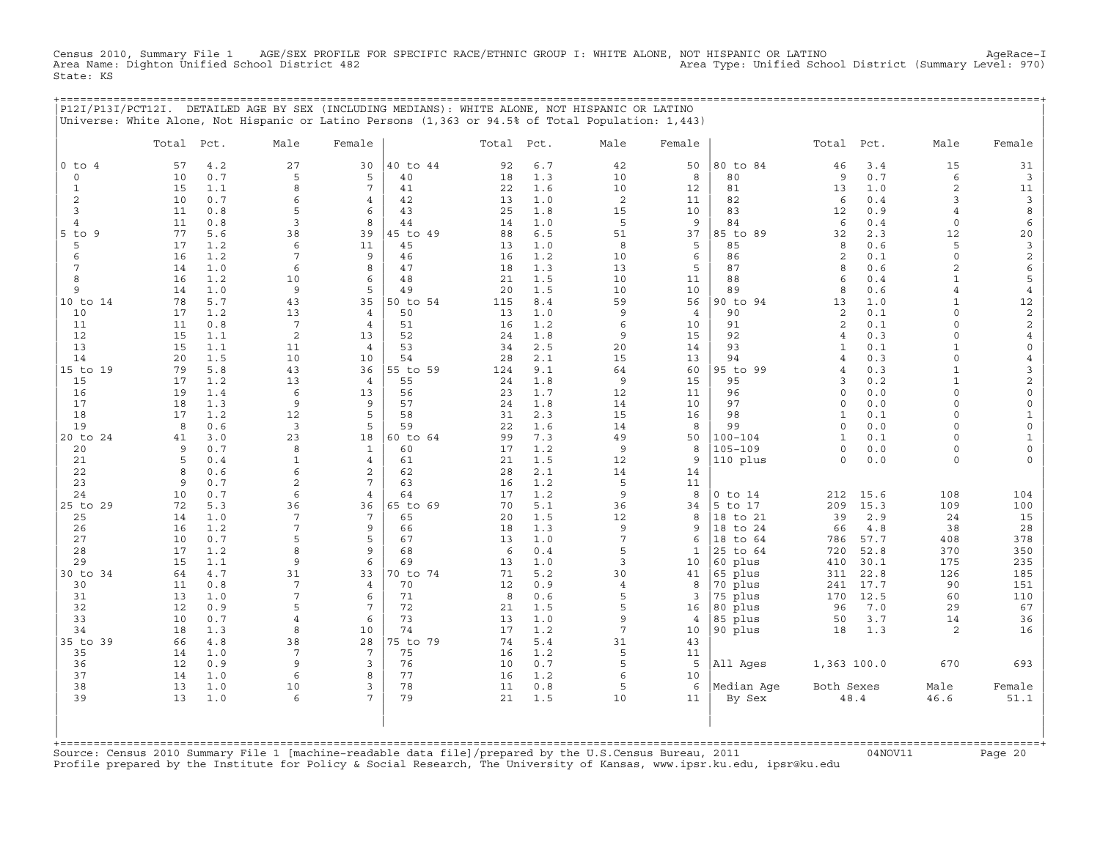Census 2010, Summary File 1 AGE/SEX PROFILE FOR SPECIFIC RACE/ETHNIC GROUP I: WHITE ALONE, NOT HISPANIC OR LATINO AgeRace−I Area Name: Dighton Unified School District 482 Area Type: Unified School District (Summary Level: 970) State: KS

| P12I/P13I/PCT12I. DETAILED AGE BY SEX (INCLUDING MEDIANS): WHITE ALONE, NOT HISPANIC OR LATINO    |  |
|---------------------------------------------------------------------------------------------------|--|
| Universe: White Alone, Not Hispanic or Latino Persons (1,363 or 94.5% of Total Population: 1,443) |  |
|                                                                                                   |  |

|                | Total    | Pct.       | Male                | Female               |                | Total Pct. |            | Male                            | Female         |                     | Total               | Pct.        | Male                         | Female                                |
|----------------|----------|------------|---------------------|----------------------|----------------|------------|------------|---------------------------------|----------------|---------------------|---------------------|-------------|------------------------------|---------------------------------------|
| $0$ to $4$     | 57       | 4.2        | 27                  | 30                   | 40 to 44       | 92         | 6.7        | 42                              | 50             | 80 to 84            | 46                  | 3.4         | 15                           | 31                                    |
| $\circ$        | 10       | 0.7        | 5                   | 5                    | 40             | 18         | 1.3        | 10                              | 8              | 80                  | 9                   | 0.7         | 6                            | $\overline{3}$                        |
| $\mathbf{1}$   | 15       | 1.1        | 8                   | 7                    | 41             | 22         | 1.6        | 10                              | 12             | 81                  | 13                  | 1.0         | 2                            | 11                                    |
| 2              | 10       | 0.7        | 6                   | 4                    | 42             | 13         | 1.0        | $\overline{c}$                  | 11             | 82                  | 6                   | 0.4         | 3                            | $\mathbf{3}$                          |
| 3              | 11       | 0.8        | 5                   | 6                    | 43             | 25         | 1.8        | 15                              | 10             | 83                  | 12                  | 0.9         | $\overline{4}$               | 8                                     |
| $\overline{4}$ | 11       | 0.8        | $\mathbf{3}$        | 8                    | 44             | 14         | 1.0        | 5                               | 9              | 84                  | 6                   | 0.4         | $\circ$                      | 6                                     |
| $5$ to $9$     | 77       | 5.6        | 38                  | 39                   | 45 to 49       | 88         | 6.5        | 51                              | 37             | 85 to 89            | 32                  | 2.3         | 12                           | $20$                                  |
| 5<br>6         | 17<br>16 | 1.2<br>1.2 | 6<br>7              | 11<br>9              | 45<br>46       | 13<br>16   | 1.0<br>1.2 | 8<br>10                         | 5<br>6         | 85<br>86            | 8<br>2              | 0.6<br>0.1  | 5<br>$\circ$                 | $\overline{3}$                        |
| $\overline{7}$ | 14       | 1.0        | 6                   | 8                    | 47             | 18         | 1.3        | 13                              | 5              | 87                  | 8                   | 0.6         | 2                            | $\mathbf{2}$<br>$\epsilon$            |
| 8              | 16       | 1.2        | 10                  | 6                    | 48             | 21         | 1.5        | 10                              | 11             | 88                  | 6                   | 0.4         | $\mathbf{1}$                 | 5                                     |
| 9              | 14       | 1.0        | 9                   | 5                    | 49             | 20         | 1.5        | 10                              | 10             | 89                  | 8                   | 0.6         | $\overline{4}$               | $\overline{4}$                        |
| 10 to 14       | 78       | 5.7        | 43                  | 35                   | 50 to 54       | 115        | 8.4        | 59                              | 56             | 90 to 94            | 13                  | 1.0         | $\mathbf{1}$                 | 12                                    |
| 10             | 17       | 1.2        | 13                  | $\overline{4}$       | 50             | 13         | 1.0        | 9                               | $\overline{4}$ | 90                  | 2                   | 0.1         | $\Omega$                     | $\overline{c}$                        |
| 11             | 11       | 0.8        | $7\phantom{.0}$     | $\overline{4}$       | 51             | 16         | 1.2        | 6                               | 10             | 91                  | 2                   | 0.1         | $\circ$                      | $\overline{c}$                        |
| 12             | 15       | 1.1        | 2                   | 13                   | 52             | 24         | 1.8        | 9                               | 15             | 92                  | $\overline{4}$      | 0.3         | $\Omega$                     | $\overline{4}$                        |
| 13             | 15       | 1.1        | 11                  | $\overline{4}$       | 53             | 34         | 2.5        | 20                              | 14             | 93                  | $\mathbf{1}$        | 0.1         | $\mathbf{1}$                 | 0                                     |
| 14             | 20       | 1.5        | 10                  | 10                   | 54             | 28         | 2.1        | 15                              | 13             | 94                  | $\overline{4}$      | 0.3         | $\circ$                      | $\overline{4}$                        |
| 15 to 19       | 79       | 5.8        | 43                  | 36                   | 55 to 59       | 124        | 9.1        | 64<br>9                         | 60             | 95 to 99            | $\overline{4}$<br>3 | 0.3         | $\mathbf{1}$<br>$\mathbf{1}$ | 3                                     |
| 15<br>16       | 17<br>19 | 1.2<br>1.4 | 13<br>6             | $\overline{4}$<br>13 | 55<br>56       | 24<br>23   | 1.8<br>1.7 | 12                              | 15<br>11       | 95<br>96            | $\mathbf 0$         | 0.2<br>0.0  | $\circ$                      | $\overline{c}$<br>$\mathsf{O}\xspace$ |
| 17             | 18       | 1.3        | 9                   | 9                    | 57             | 24         | 1.8        | 14                              | 10             | 97                  | $\circ$             | 0.0         | $\circ$                      | $\mathsf O$                           |
| 18             | 17       | 1.2        | 12                  | 5                    | 58             | 31         | 2.3        | 15                              | 16             | 98                  | $\mathbf{1}$        | 0.1         | $\circ$                      | $\mathbf{1}$                          |
| 19             | 8        | 0.6        | 3                   | 5                    | 59             | 22         | 1.6        | 14                              | 8              | 99                  | $\mathbf 0$         | 0.0         | $\circ$                      | $\mathbb O$                           |
| 20 to 24       | 41       | 3.0        | 23                  | 18                   | 60 to 64       | 99         | 7.3        | 49                              | 50             | $100 - 104$         | $\mathbf{1}$        | 0.1         | $\cap$                       | $\mathbf{1}$                          |
| 20             | 9        | 0.7        | 8                   | $\mathbf{1}$         | 60             | 17         | 1.2        | 9                               | 8              | $105 - 109$         | $\mathbf 0$         | 0.0         | $\circ$                      | $\mathsf{O}\xspace$                   |
| 21             | 5        | 0.4        | $\mathbf{1}$        | $\overline{4}$       | 61             | 21         | 1.5        | 12                              | 9              | 110 plus            | $\Omega$            | 0.0         | $\circ$                      | $\circ$                               |
| 22             | 8        | 0.6        | 6                   | $\overline{a}$       | 62             | 28         | 2.1        | 14                              | 14             |                     |                     |             |                              |                                       |
| 23             | 9        | 0.7        | $\mathbf{2}$        | 7                    | 63             | 16         | 1.2        | 5                               | 11             |                     |                     |             |                              |                                       |
| 24             | 10       | 0.7        | 6                   | $\overline{4}$       | 64             | 17         | 1.2        | 9                               | 8              | $0$ to $14$         | 212                 | 15.6        | 108                          | 104                                   |
| 25 to 29<br>25 | 72<br>14 | 5.3<br>1.0 | 36<br>7             | 36<br>7              | 65 to 69<br>65 | 70<br>20   | 5.1<br>1.5 | 36<br>12                        | 34<br>8        | 5 to 17<br>18 to 21 | 209<br>39           | 15.3<br>2.9 | 109<br>24                    | 100<br>15                             |
| 26             | 16       | 1.2        | 7                   | 9                    | 66             | 18         | 1.3        | 9                               | 9              | 18 to 24            | 66                  | 4.8         | 38                           | 28                                    |
| 27             | 10       | 0.7        | 5                   | 5                    | 67             | 13         | 1.0        | $\overline{7}$                  | 6              | 18 to 64            | 786                 | 57.7        | 408                          | 378                                   |
| 28             | 17       | 1.2        | 8                   | 9                    | 68             | 6          | 0.4        | 5                               | 1              | 25 to 64            | 720                 | 52.8        | 370                          | 350                                   |
| 29             | 15       | 1.1        | 9                   | 6                    | 69             | 13         | 1.0        | 3                               | 10             | 60 plus             | 410                 | 30.1        | 175                          | 235                                   |
| 30 to 34       | 64       | 4.7        | 31                  | 33                   | 70 to 74       | 71         | 5.2        | 30                              | 41             | 65 plus             | 311                 | 22.8        | 126                          | 185                                   |
| 30             | 11       | 0.8        | $\overline{7}$      | $\overline{4}$       | 70             | 12         | 0.9        | $\overline{4}$                  | 8              | 70 plus             | 241                 | 17.7        | 90                           | 151                                   |
| 31             | 13       | 1.0        | 7                   | 6                    | 71             | 8          | 0.6        | 5                               | 3              | 75 plus             | 170                 | 12.5        | 60                           | 110                                   |
| 32             | 12       | 0.9        | 5                   | 7                    | 72             | 21         | 1.5        | 5                               | 16             | 80 plus             | 96                  | 7.0         | 29                           | 67                                    |
| 33             | 10       | 0.7        | $\overline{4}$<br>8 | 6                    | 73             | 13         | 1.0        | $\mathsf{Q}$<br>$7\phantom{.0}$ | $\overline{4}$ | 85 plus             | 50                  | 3.7         | 14                           | 36                                    |
| 34<br>35 to 39 | 18<br>66 | 1.3<br>4.8 | 38                  | 10<br>28             | 74<br>75 to 79 | 17<br>74   | 1.2<br>5.4 | 31                              | 10<br>43       | 90 plus             | 18                  | 1.3         | 2                            | 16                                    |
| 35             | 14       | 1.0        | 7                   | 7                    | 75             | 16         | 1.2        | 5                               | 11             |                     |                     |             |                              |                                       |
| 36             | 12       | 0.9        | 9                   | $\overline{3}$       | 76             | 10         | 0.7        | 5                               | 5              | All Ages            | 1,363 100.0         |             | 670                          | 693                                   |
| 37             | 14       | 1.0        | 6                   | 8                    | 77             | 16         | 1.2        | 6                               | 10             |                     |                     |             |                              |                                       |
| 38             | 13       | 1.0        | 10                  | 3                    | 78             | 11         | 0.8        | 5                               | 6              | Median Age          | Both Sexes          |             | Male                         | Female                                |
| 39             | 13       | 1.0        | 6                   | 7                    | 79             | 21         | 1.5        | 10                              | 11             | By Sex              |                     | 48.4        | 46.6                         | 51.1                                  |
|                |          |            |                     |                      |                |            |            |                                 |                |                     |                     |             |                              |                                       |

Source: Census 2010 Summary File 1 [machine-readable data file]/prepared by the U.S.Census Bureau, 2011 Page 20<br>Profile prepared by the Institute for Policy & Social Research, The University of Kansas, www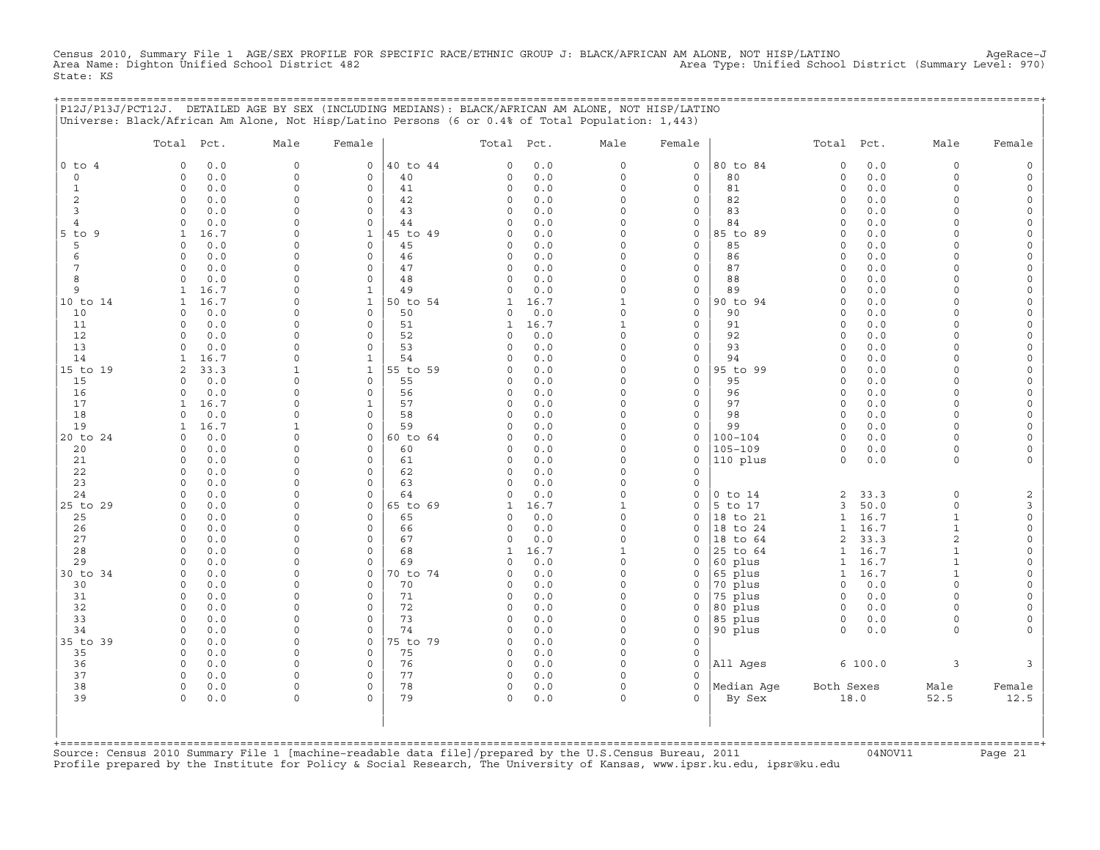Census 2010, Summary File 1 AGE/SEX PROFILE FOR SPECIFIC RACE/ETHNIC GROUP J: BLACK/AFRICAN AM ALONE, NOT HISP/LATINO<br>Area Name: Dighton Unified School District 482 State: KS

|                | P12J/P13J/PCT12J. DETAILED AGE BY SEX (INCLUDING MEDIANS): BLACK/AFRICAN AM ALONE, NOT HISP/LATINO<br>Universe: Black/African Am Alone, Not Hisp/Latino Persons (6 or 0.4% of Total Population: 1,443) |                              |                                    |                |                      |              |                         |                     | ;================================== |                      |              |                      |                      |
|----------------|--------------------------------------------------------------------------------------------------------------------------------------------------------------------------------------------------------|------------------------------|------------------------------------|----------------|----------------------|--------------|-------------------------|---------------------|-------------------------------------|----------------------|--------------|----------------------|----------------------|
|                | Total Pct.                                                                                                                                                                                             | Male                         | Female                             |                | Total Pct.           |              | Male                    | Female              |                                     | Total Pct.           |              | Male                 | Female               |
| $0$ to $4$     | $\mathbf 0$<br>0.0                                                                                                                                                                                     | $\circ$                      | $\mathsf{O}$                       | 40 to 44       | 0                    | 0.0          | 0                       | $\mathsf{O}\xspace$ | 80 to 84                            | $\mathsf O$          | 0.0          | $\mathsf O$          |                      |
| $\circ$        | 0.0<br>$\Omega$                                                                                                                                                                                        | $\mathbf 0$                  | 0                                  | 40             | $\Omega$             | 0.0          | $\circ$                 | 0                   | 80                                  | 0                    | 0.0          | $\Omega$             |                      |
| 1              | $\Omega$<br>0.0                                                                                                                                                                                        | $\Omega$                     | $\mathbf 0$                        | 41             | $\Omega$             | 0.0          | $\Omega$                | 0                   | 81                                  | $\circ$              | 0.0          | $\Omega$             |                      |
| 2<br>3         | $\circ$<br>0.0<br>$\Omega$<br>0.0                                                                                                                                                                      | $\mathbf 0$<br>$\mathbf 0$   | $\mathsf{O}\xspace$<br>$\mathbf 0$ | 42<br>43       | 0<br>$\Omega$        | 0.0<br>0.0   | 0<br>$\Omega$           | $\circ$<br>0        | 82<br>83                            | 0<br>$\Omega$        | 0.0<br>0.0   | $\Omega$<br>$\cap$   | $\Omega$             |
| $\overline{4}$ | 0.0<br>$\Omega$                                                                                                                                                                                        | $\Omega$                     | $\circ$                            | 44             | $\Omega$             | 0.0          | $\Omega$                | 0                   | 84                                  | $\Omega$             | 0.0          | $\Omega$             |                      |
| 5 to 9         | 16.7<br>$\mathbf{1}$                                                                                                                                                                                   | $\Omega$                     | $\mathbf{1}$                       | 45 to 49       | 0                    | 0.0          | $\circ$                 | 0                   | 85 to 89                            | $\circ$              | 0.0          | $\cap$               | $\Omega$             |
| 5              | 0.0<br>$\Omega$                                                                                                                                                                                        | $\Omega$                     | $\mathbf 0$                        | 45             | 0                    | 0.0          | $\circ$                 | $\mathbf{0}$        | 85                                  | $\mathbf 0$          | 0.0          | $\cap$               | $\Omega$             |
| 6              | 0.0<br>$\circ$                                                                                                                                                                                         | $\mathbf 0$                  | 0                                  | 46             | 0                    | 0.0          | $\Omega$                | 0                   | 86                                  | $\Omega$             | 0.0          | $\Omega$             | $\Omega$             |
| 7              | 0.0<br>$\mathbf 0$                                                                                                                                                                                     | $\Omega$                     | $\mathbf 0$                        | 47             | 0                    | 0.0          | $\Omega$                | 0                   | 87                                  | $\Omega$             | 0.0          | $\Omega$             |                      |
| 8              | $\Omega$<br>0.0                                                                                                                                                                                        | $\Omega$                     | $\mathbf 0$                        | 48             | 0                    | 0.0          | $\circ$                 | 0                   | 88                                  | $\mathbf 0$          | 0.0          | $\Omega$             | $\Omega$             |
| 9              | 16.7<br>1                                                                                                                                                                                              | $\Omega$                     | 1                                  | 49             | 0                    | 0.0          | 0                       | 0                   | 89                                  | $\Omega$             | 0.0          | $\cap$               | $\Omega$             |
| 10 to 14       | 16.7<br>$\mathbf{1}$                                                                                                                                                                                   | $\Omega$<br>$\Omega$         | $\mathbf{1}$<br>$\mathbf 0$        | 50 to 54       | 1                    | 16.7         | 1<br>$\Omega$           | 0<br>$\mathbf 0$    | 90 to 94                            | $\Omega$<br>$\Omega$ | 0.0          | $\cap$<br>$\Omega$   |                      |
| 10<br>11       | 0.0<br>0<br>0.0<br>$\Omega$                                                                                                                                                                            | $\Omega$                     | $\mathsf O$                        | 50<br>51       | 0<br>1               | 0.0<br>16.7  | $\mathbf{1}$            | 0                   | 90<br>91                            | $\Omega$             | 0.0<br>0.0   | $\Omega$             | $\Omega$             |
| 12             | $\Omega$<br>0.0                                                                                                                                                                                        | $\Omega$                     | $\circ$                            | 52             | $\Omega$             | 0.0          | $\Omega$                | 0                   | 92                                  | $\circ$              | 0.0          | $\Omega$             | $\Omega$             |
| 13             | 0.0<br>$\Omega$                                                                                                                                                                                        | $\Omega$                     | $\mathbf 0$                        | 53             | $\Omega$             | 0.0          | $\circ$                 | $\mathbf{0}$        | 93                                  | $\mathbf 0$          | 0.0          | $\Omega$             | $\Omega$             |
| 14             | 16.7<br>1                                                                                                                                                                                              | $\Omega$                     | 1                                  | 54             | 0                    | 0.0          | $\Omega$                | 0                   | 94                                  | $\Omega$             | 0.0          | $\Omega$             | $\Omega$             |
| 15 to 19       | 33.3<br>2                                                                                                                                                                                              | 1                            | $\mathbf{1}$                       | 55 to 59       | O                    | 0.0          | $\Omega$                | 0                   | 95 to 99                            | $\Omega$             | 0.0          | $\Omega$             | $\Omega$             |
| 15             | $\Omega$<br>0.0                                                                                                                                                                                        | $\mathbf 0$                  | $\mathsf{O}\xspace$                | 55             | 0                    | 0.0          | 0                       | $\circ$             | 95                                  | $\Omega$             | 0.0          | $\Omega$             |                      |
| 16             | 0.0<br>$\Omega$                                                                                                                                                                                        | $\mathbf 0$                  | 0                                  | 56             | 0                    | 0.0          | 0                       | 0                   | 96                                  | $\circ$              | 0.0          | $\Omega$             | $\Omega$             |
| 17             | 16.7<br>1                                                                                                                                                                                              | $\Omega$                     | 1                                  | 57             | $\Omega$             | 0.0          | $\Omega$                | 0                   | 97                                  | $\Omega$             | 0.0          | $\Omega$             |                      |
| 18             | 0.0<br>$\Omega$                                                                                                                                                                                        | $\Omega$                     | $\mathbf 0$                        | 58             | 0                    | 0.0          | $\Omega$                | 0                   | 98                                  | $\Omega$             | 0.0          | $\Omega$             |                      |
| 19<br>20 to 24 | 16.7<br>$\mathbf{1}$<br>$\mathbf 0$<br>0.0                                                                                                                                                             | 1<br>$\mathbf 0$             | $\mathbf 0$<br>0                   | 59<br>60 to 64 | $\Omega$<br>$\Omega$ | $0.0$<br>0.0 | $\Omega$<br>$\Omega$    | $\mathbf{0}$<br>0   | 99<br>$100 - 104$                   | $\circ$<br>$\circ$   | 0.0<br>0.0   | $\Omega$<br>$\Omega$ | $\Omega$<br>$\Omega$ |
| 20             | 0.0<br>$\mathbf 0$                                                                                                                                                                                     | $\mathbf 0$                  | $\mathsf{O}\xspace$                | 60             | $\Omega$             | 0.0          | $\Omega$                | 0                   | $105 - 109$                         | $\circ$              | 0.0          | $\mathbf 0$          |                      |
| 21             | $\Omega$<br>0.0                                                                                                                                                                                        | $\Omega$                     | 0                                  | 61             | 0                    | $0.0$        | $\Omega$                | 0                   | 110 plus                            | $\mathsf O$          | 0.0          | $\mathsf{O}$         |                      |
| 22             | 0.0<br>$\Omega$                                                                                                                                                                                        | $\Omega$                     | 0                                  | 62             | $\Omega$             | 0.0          | 0                       | 0                   |                                     |                      |              |                      |                      |
| 23             | 0.0<br>$\Omega$                                                                                                                                                                                        | $\Omega$                     | $\Omega$                           | 63             | $\Omega$             | 0.0          | 0                       | 0                   |                                     |                      |              |                      |                      |
| 24             | $\mathbf 0$<br>0.0                                                                                                                                                                                     | $\mathbf 0$                  | $\mathsf{O}\xspace$                | 64             | $\Omega$             | 0.0          | 0                       | $\mathsf{O}\xspace$ | $0$ to $14$                         | 2                    | 33.3         | $\mathbf 0$          | 2                    |
| 25 to 29       | 0.0<br>$\mathbf 0$                                                                                                                                                                                     | $\mathbf 0$                  | 0                                  | 65 to 69       | 1                    | 16.7         | $\mathbf{1}$            | 0                   | 5 to 17                             | 3                    | 50.0         | $\mathbf 0$          | 3                    |
| 25             | $\Omega$<br>0.0                                                                                                                                                                                        | $\Omega$                     | $\mathbf 0$                        | 65             | $\Omega$             | 0.0          | $\Omega$                | $\mathbf 0$         | 18 to 21                            | $\mathbf{1}$         | 16.7         | $\mathbf{1}$         | $\mathsf O$          |
| 26             | $\mathbf 0$<br>0.0                                                                                                                                                                                     | $\Omega$                     | 0                                  | 66             | 0                    | 0.0          | $\circ$                 | 0                   | 18 to 24                            | 1                    | 16.7         | 1                    | $\Omega$             |
| 27<br>28       | 0.0<br>$\Omega$<br>0.0<br>$\Omega$                                                                                                                                                                     | $\Omega$<br>$\Omega$         | $\mathbf 0$<br>$\mathbf 0$         | 67<br>68       | 0                    | 0.0<br>16.7  | $\circ$<br>$\mathbf{1}$ | 0<br>$\mathbf 0$    | 18 to 64<br>25 to 64                | 2<br>$\mathbf{1}$    | 33.3<br>16.7 | 2<br>$\mathbf{1}$    | $\Omega$             |
| 29             | $\Omega$<br>0.0                                                                                                                                                                                        | $\mathbf 0$                  | $\mathsf O$                        | 69             | 1<br>$\Omega$        | 0.0          | 0                       | 0                   | 60 plus                             | $\mathbf{1}$         | 16.7         | $\mathbf{1}$         | $\Omega$             |
| 30 to 34       | $\mathbf 0$<br>0.0                                                                                                                                                                                     | $\Omega$                     | 0                                  | 70 to 74       | 0                    | 0.0          | $\circ$                 | 0                   | 65 plus                             | $\mathbf{1}$         | 16.7         | $\mathbf{1}$         | $\Omega$             |
| 30             | 0.0<br>$\Omega$                                                                                                                                                                                        | $\Omega$                     | $\mathbf 0$                        | 70             | $\Omega$             | 0.0          | $\circ$                 | 0                   | 70 plus                             | $\circ$              | 0.0          | $\Omega$             |                      |
| 31             | 0.0<br>$\mathbf 0$                                                                                                                                                                                     | $\Omega$                     | $\mathbf 0$                        | 71             | 0                    | 0.0          | $\Omega$                | 0                   | 75 plus                             | $\mathbf 0$          | 0.0          | $\Omega$             |                      |
| 32             | $\Omega$<br>0.0                                                                                                                                                                                        | $\Omega$                     | $\mathbf 0$                        | 72             | $\mathbf 0$          | 0.0          | $\Omega$                | 0                   | 80 plus                             | $\circ$              | 0.0          | $\Omega$             | $\Omega$             |
| 33             | $\mathbf 0$<br>0.0                                                                                                                                                                                     | $\Omega$                     | 0                                  | 73             | $\mathbf 0$          | 0.0          | $\Omega$                | 0                   | 85 plus                             | $\circ$              | 0.0          | $\mathbf 0$          | $\Omega$             |
| 34             | 0.0<br>$\Omega$                                                                                                                                                                                        | $\mathbf 0$                  | $\circ$                            | 74             | $\Omega$             | 0.0          | $\Omega$                | 0                   | 90 plus                             | $\circ$              | 0.0          | $\mathbf 0$          |                      |
| 35 to 39       | $\mathbf 0$<br>0.0                                                                                                                                                                                     | $\Omega$                     | $\mathbf{0}$                       | 75 to 79       | 0                    | $0.0$        | $\Omega$                | $\mathbf 0$         |                                     |                      |              |                      |                      |
| 35             | $\mathbf 0$<br>0.0                                                                                                                                                                                     | $\Omega$                     | 0                                  | 75             | 0                    | 0.0          | $\Omega$                | 0                   |                                     |                      |              |                      |                      |
| 36             | 0.0<br>$\Omega$<br>$\mathbf 0$                                                                                                                                                                         | $\Omega$                     | $\mathbf 0$                        | 76             | $\circ$              | $0.0$        | $\circ$                 | $\mathbf 0$         | All Ages                            |                      | 6 100.0      | 3                    | 3                    |
| 37<br>38       | 0.0<br>$\mathbf 0$<br>0.0                                                                                                                                                                              | $\mathsf{O}$<br>$\mathsf{O}$ | 0<br>$\mathsf{O}$                  | 77<br>78       | $\mathsf{O}$<br>0    | 0.0<br>0.0   | 0<br>0                  | 0<br>0              | Median Aqe                          | Both Sexes           |              | Male                 | Female               |
| 39             | 0.0<br>$\Omega$                                                                                                                                                                                        | $\Omega$                     | $\Omega$                           | 79             | $\Omega$             | 0.0          | $\Omega$                | $\Omega$            | By Sex                              |                      | 18.0         | 52.5                 | 12.5                 |
|                |                                                                                                                                                                                                        |                              |                                    |                |                      |              |                         |                     |                                     |                      |              |                      |                      |

+===================================================================================================================================================+Source: Census 2010 Summary File 1 [machine−readable data file]/prepared by the U.S.Census Bureau, 2011 04NOV11 Page 21 Profile prepared by the Institute for Policy & Social Research, The University of Kansas, www.ipsr.ku.edu, ipsr@ku.edu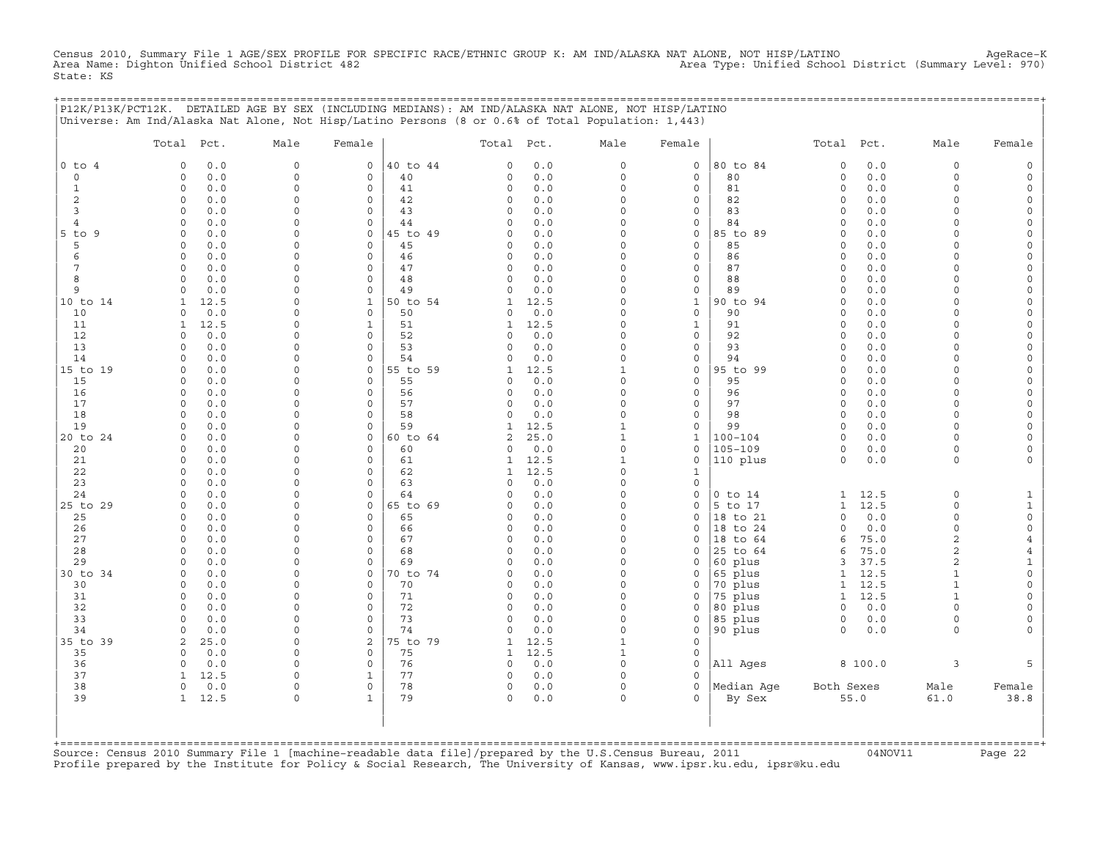Census 2010, Summary File 1 AGE/SEX PROFILE FOR SPECIFIC RACE/ETHNIC GROUP K: AM IND/ALASKA NAT ALONE, NOT HISP/LATINO<br>Area Name: Dighton Unified School District 482 State: KS

+===================================================================================================================================================+

|                               | P12K/P13K/PCT12K. DETAILED AGE BY SEX (INCLUDING MEDIANS): AM IND/ALASKA NAT ALONE, NOT HISP/LATINO<br>Universe: Am Ind/Alaska Nat Alone, Not Hisp/Latino Persons (8 or 0.6% of Total Population: 1,443) |                         |                        |                |                      |            |                      |                     |                    |                    |              |                                  |                                            |
|-------------------------------|----------------------------------------------------------------------------------------------------------------------------------------------------------------------------------------------------------|-------------------------|------------------------|----------------|----------------------|------------|----------------------|---------------------|--------------------|--------------------|--------------|----------------------------------|--------------------------------------------|
|                               | Total Pct.                                                                                                                                                                                               | Male                    | Female                 |                | Total                | Pct.       | Male                 | Female              |                    | Total              | Pct.         | Male                             | Female                                     |
| $0$ to<br>$\overline{4}$      | $0.0$<br>0                                                                                                                                                                                               | $\mathsf O$             | $\mathbf 0$            | 40 to 44       | $\mathbf 0$          | 0.0        | $\mathsf{O}\xspace$  | $\mathsf{O}\xspace$ | 80 to 84           | $\circ$            | 0.0          | 0                                | $\mathsf{O}$                               |
| $\mathsf{O}\xspace$           | 0.0<br>0                                                                                                                                                                                                 | $\mathbf 0$             | $\mathsf{O}\xspace$    | 40             | 0                    | 0.0        | $\mathsf{O}\xspace$  | $\mathsf{O}\xspace$ | 80                 | $\circ$            | 0.0          | $\mathbf 0$                      | $\mathsf{O}$                               |
| $\mathbf{1}$                  | $\circ$<br>0.0                                                                                                                                                                                           | $\Omega$                | $\Omega$               | 41             | $\Omega$             | 0.0        | $\circ$              | $\mathbf 0$         | 81                 | $\circ$            | 0.0          | $\Omega$                         | 0                                          |
| $\overline{c}$                | 0.0<br>0                                                                                                                                                                                                 | $\Omega$                | $\Omega$               | 42             | $\Omega$             | 0.0        | $\Omega$             | $\mathbf 0$         | 82                 | $\mathbf 0$        | 0.0          | $\Omega$                         | $\mathsf{O}$                               |
| 3                             | $\circ$<br>0.0                                                                                                                                                                                           | $\Omega$                | $\mathbf 0$            | 43             | $\mathbf 0$          | 0.0        | $\Omega$             | $\mathsf{O}\xspace$ | 83                 | $\circ$            | 0.0          | $\Omega$                         | $\mathsf{O}\xspace$                        |
| $\overline{4}$<br>$5$ to<br>9 | $\Omega$<br>0.0<br>0.0<br>0                                                                                                                                                                              | $\Omega$<br>$\Omega$    | $\circ$<br>$\mathbf 0$ | 44<br>45 to 49 | $\Omega$<br>$\Omega$ | 0.0<br>0.0 | $\Omega$<br>$\Omega$ | 0<br>$\mathbf 0$    | 84<br>85 to 89     | $\circ$<br>$\circ$ | 0.0<br>0.0   | $\Omega$<br>O                    | $\mathsf{O}\xspace$<br>$\mathsf{O}\xspace$ |
| 5                             | 0.0<br>$\Omega$                                                                                                                                                                                          | $\Omega$                | $\circ$                | 45             | $\Omega$             | 0.0        | $\Omega$             | $\mathsf{O}\xspace$ | 85                 | $\mathbf 0$        | 0.0          | O                                | 0                                          |
| 6                             | $\circ$<br>0.0                                                                                                                                                                                           | $\Omega$                | $\circ$                | 46             | 0                    | 0.0        | $\Omega$             | $\mathsf{O}\xspace$ | 86                 | $\circ$            | 0.0          | 0                                | $\mathsf{O}\xspace$                        |
| 7                             | 0.0<br>0                                                                                                                                                                                                 | $\Omega$                | $\mathbf 0$            | 47             | 0                    | 0.0        | 0                    | 0                   | 87                 | $\circ$            | 0.0          | $\Omega$                         | 0                                          |
| 8                             | $\Omega$<br>0.0                                                                                                                                                                                          | $\Omega$                | $\Omega$               | 48             | $\Omega$             | 0.0        | $\Omega$             | $\mathsf{O}\xspace$ | 88                 | $\circ$            | 0.0          | O                                | 0                                          |
| 9                             | $\mathbf 0$<br>0.0                                                                                                                                                                                       | $\Omega$                | $\circ$                | 49             | $\Omega$             | 0.0        | $\circ$              | 0                   | 89                 | $\mathbf 0$        | 0.0          | $\Omega$                         | 0                                          |
| 10 to 14                      | 12.5<br>1                                                                                                                                                                                                | $\Omega$                | $\mathbf{1}$           | 50 to 54       | $\mathbf{1}$         | 12.5       | $\Omega$             | $\mathbf 1$         | 90 to 94           | $\mathbf 0$        | 0.0          | 0                                | $\mathsf{O}\xspace$                        |
| 10                            | 0.0<br>$\Omega$                                                                                                                                                                                          | $\Omega$                | $\Omega$               | 50             | $\Omega$             | 0.0        | $\Omega$             | $\mathsf{O}\xspace$ | 90                 | $\Omega$           | 0.0          | $\Omega$                         | 0                                          |
| 11                            | $\mathbf{1}$<br>12.5                                                                                                                                                                                     | $\Omega$                | $\mathbf{1}$           | 51             | $\mathbf{1}$         | 12.5       | $\circ$              | $\mathbf{1}$        | 91                 | $\circ$            | 0.0          | $\Omega$                         | $\mathsf{O}\xspace$                        |
| 12                            | 0.0<br>0                                                                                                                                                                                                 | $\Omega$                | $\mathbf 0$            | 52             | $\Omega$             | 0.0        | $\Omega$             | 0                   | 92                 | $\mathbf 0$        | 0.0          | $\Omega$                         | 0                                          |
| 13                            | $\circ$<br>0.0                                                                                                                                                                                           | $\Omega$                | $\Omega$               | 53             | $\Omega$             | 0.0        | $\Omega$             | $\mathsf{O}\xspace$ | 93                 | $\circ$            | 0.0          | $\Omega$                         | 0                                          |
| 14                            | $\circ$<br>0.0                                                                                                                                                                                           | $\Omega$                | $\circ$                | 54             | $\Omega$             | 0.0        | $\circ$              | 0                   | 94                 | $\circ$            | 0.0          | $\Omega$                         | 0                                          |
| 15 to 19                      | 0.0<br>$\Omega$                                                                                                                                                                                          | $\Omega$                | $\mathbf 0$            | 55 to 59       | 1                    | 12.5       | $\mathbf{1}$         | 0                   | 95 to 99           | $\circ$            | 0.0          | $\Omega$                         | 0                                          |
| 15                            | 0.0<br>$\circ$                                                                                                                                                                                           | $\Omega$                | $\circ$                | 55             | $\Omega$             | 0.0        | $\Omega$             | $\mathbf 0$         | 95                 | $\Omega$           | 0.0          | $\Omega$<br>$\Omega$             | $\mathsf{O}\xspace$                        |
| 16<br>17                      | $\circ$<br>0.0<br>0.0<br>$\circ$                                                                                                                                                                         | $\mathbf 0$<br>$\Omega$ | $\mathbf 0$<br>$\circ$ | 56<br>57       | 0<br>$\Omega$        | 0.0<br>0.0 | 0<br>$\Omega$        | 0<br>0              | 96<br>97           | $\circ$<br>$\circ$ | 0.0<br>0.0   | $\Omega$                         | 0<br>0                                     |
| 18                            | 0.0<br>$\Omega$                                                                                                                                                                                          | $\Omega$                | $\Omega$               | 58             | $\Omega$             | 0.0        | $\Omega$             | 0                   | 98                 | $\circ$            | 0.0          | $\Omega$                         | $\mathsf{O}$                               |
| 19                            | $\Omega$<br>0.0                                                                                                                                                                                          | $\Omega$                | $\mathbf 0$            | 59             | $\mathbf{1}$         | 12.5       | $\mathbf{1}$         | $\mathsf{O}\xspace$ | 99                 | $\circ$            | 0.0          | $\Omega$                         | $\mathsf{O}\xspace$                        |
| 20 to 24                      | 0.0<br>0                                                                                                                                                                                                 | $\Omega$                | $\mathsf O$            | 60 to 64       | 2                    | 25.0       | $\mathbf 1$          | $\mathbf{1}$        | $100 - 104$        | $\circ$            | 0.0          | $\Omega$                         | 0                                          |
| 20                            | 0.0<br>0                                                                                                                                                                                                 | $\Omega$                | $\mathbf 0$            | 60             | 0                    | 0.0        | $\circ$              | $\mathbf 0$         | $105 - 109$        | $\circ$            | 0.0          | $\Omega$                         | 0                                          |
| 21                            | 0.0<br>$\Omega$                                                                                                                                                                                          | $\Omega$                | $\circ$                | 61             | 1                    | 12.5       | $\mathbf{1}$         | 0                   | 110 plus           | $\circ$            | 0.0          | $\circ$                          | 0                                          |
| 22                            | $\circ$<br>0.0                                                                                                                                                                                           | $\Omega$                | $\Omega$               | 62             | $\mathbf{1}$         | 12.5       | $\Omega$             | $\mathbf{1}$        |                    |                    |              |                                  |                                            |
| 23                            | 0.0<br>0                                                                                                                                                                                                 | $\circ$                 | $\mathbf 0$            | 63             | $\Omega$             | 0.0        | 0                    | 0                   |                    |                    |              |                                  |                                            |
| 24                            | 0.0<br>$\Omega$                                                                                                                                                                                          | $\Omega$                | $\Omega$               | 64             | $\Omega$             | 0.0        | $\Omega$             | $\Omega$            | $0$ to $14$        | 1                  | 12.5         | $\circ$                          | $\mathbf{1}$                               |
| 25 to 29                      | $\Omega$<br>0.0                                                                                                                                                                                          | $\Omega$                | $\mathbf 0$            | 65 to 69       | $\Omega$             | 0.0        | $\circ$              | $\circ$             | 5 to 17            | $\mathbf{1}$       | 12.5         | $\Omega$                         | $\mathbf{1}$                               |
| 25                            | 0.0<br>0                                                                                                                                                                                                 | $\Omega$                | 0                      | 65             | 0                    | 0.0        | $\Omega$             | 0                   | 18 to 21           | $\Omega$           | 0.0          | $\Omega$                         | $\mathbb O$                                |
| 26                            | 0.0<br>$\Omega$                                                                                                                                                                                          | $\Omega$                | $\Omega$               | 66             | $\Omega$             | 0.0        | $\Omega$             | $\Omega$            | 18 to 24           | $\Omega$           | 0.0          | $\Omega$                         | 0                                          |
| 27                            | $\circ$<br>0.0                                                                                                                                                                                           | $\Omega$                | $\Omega$               | 67             | 0                    | 0.0        | $\Omega$             | $\circ$             | 18<br>to 64        | 6                  | 75.0         | $\overline{2}$                   | $\overline{4}$                             |
| 28                            | 0.0<br>$\Omega$                                                                                                                                                                                          | $\Omega$<br>$\Omega$    | $\Omega$<br>$\Omega$   | 68             | $\Omega$<br>$\Omega$ | 0.0        | $\Omega$<br>$\Omega$ | $\Omega$            | 25 to 64           | 6                  | 75.0         | $\overline{a}$<br>$\overline{a}$ | $\overline{4}$                             |
| 29<br>30 to 34                | 0.0<br>$\circ$<br>0.0<br>0                                                                                                                                                                               | $\Omega$                | $\mathbf 0$            | 69<br>70 to 74 | 0                    | 0.0<br>0.0 | $\Omega$             | $\circ$<br>0        | 60 plus<br>65 plus | 3<br>$\mathbf{1}$  | 37.5<br>12.5 | $\mathbf{1}$                     | $1\,$<br>$\mathsf{O}\xspace$               |
| 30                            | 0.0<br>$\circ$                                                                                                                                                                                           | $\Omega$                | $\circ$                | 70             | 0                    | 0.0        | $\Omega$             | 0                   | 70 plus            | $\mathbf{1}$       | 12.5         | $\mathbf{1}$                     | 0                                          |
| 31                            | 0.0<br>$\circ$                                                                                                                                                                                           | $\Omega$                | $\Omega$               | 71             | $\Omega$             | 0.0        | $\Omega$             | $\Omega$            | 75 plus            | $\mathbf{1}$       | 12.5         | $\mathbf{1}$                     | $\mathsf{O}\xspace$                        |
| 32                            | $\circ$<br>0.0                                                                                                                                                                                           | $\mathbf 0$             | $\mathbf 0$            | 72             | 0                    | 0.0        | 0                    | 0                   | 80 plus            | $\circ$            | 0.0          | $\Omega$                         | 0                                          |
| 33                            | $\Omega$<br>0.0                                                                                                                                                                                          | $\Omega$                | $\circ$                | 73             | $\Omega$             | 0.0        | $\circ$              | 0                   | 85 plus            | $\circ$            | 0.0          | $\circ$                          | 0                                          |
| 34                            | 0.0<br>0                                                                                                                                                                                                 | $\Omega$                | $\circ$                | 74             | $\Omega$             | 0.0        | $\circ$              | 0                   | 90 plus            | $\circ$            | 0.0          | $\circ$                          | 0                                          |
| 35 to<br>39                   | 25.0<br>2                                                                                                                                                                                                | $\Omega$                | $\sqrt{2}$             | 75 to 79       | 1                    | 12.5       | $\mathbf{1}$         | $\mathsf{O}\xspace$ |                    |                    |              |                                  |                                            |
| 35                            | 0.0<br>$\circ$                                                                                                                                                                                           | $\mathbf 0$             | 0                      | 75             | $\mathbf{1}$         | 12.5       | $\mathbf{1}$         | $\mathsf{O}\xspace$ |                    |                    |              |                                  |                                            |
| 36                            | 0.0<br>$\circ$                                                                                                                                                                                           | $\Omega$                | $\circ$                | 76             | $\circ$              | 0.0        | $\circ$              | $\mathbf 0$         | All Ages           |                    | 8 100.0      | 3                                | 5                                          |
| 37                            | 12.5<br>1                                                                                                                                                                                                | $\Omega$                | 1                      | 77             | 0                    | 0.0        | $\circ$              | $\circ$             |                    |                    |              |                                  |                                            |
| 38                            | $\circ$<br>0.0                                                                                                                                                                                           | $\Omega$                | $\mathsf{O}\xspace$    | 78             | 0                    | 0.0        | $\mathsf{O}\xspace$  | $\mathbf 0$         | Median Age         | Both Sexes         |              | Male                             | Female                                     |
| 39                            | 12.5<br>$\mathbf{1}$                                                                                                                                                                                     | $\mathbf 0$             | $\mathbf{1}$           | 79             | 0                    | 0.0        | $\circ$              | $\Omega$            | By Sex             |                    | 55.0         | 61.0                             | 38.8                                       |
|                               |                                                                                                                                                                                                          |                         |                        |                |                      |            |                      |                     |                    |                    |              |                                  |                                            |
|                               |                                                                                                                                                                                                          |                         |                        |                |                      |            |                      |                     |                    |                    |              |                                  |                                            |
|                               |                                                                                                                                                                                                          |                         |                        |                |                      |            |                      |                     |                    |                    |              |                                  |                                            |

+===================================================================================================================================================+Source: Census 2010 Summary File 1 [machine−readable data file]/prepared by the U.S.Census Bureau, 2011 04NOV11 Page 22 Profile prepared by the Institute for Policy & Social Research, The University of Kansas, www.ipsr.ku.edu, ipsr@ku.edu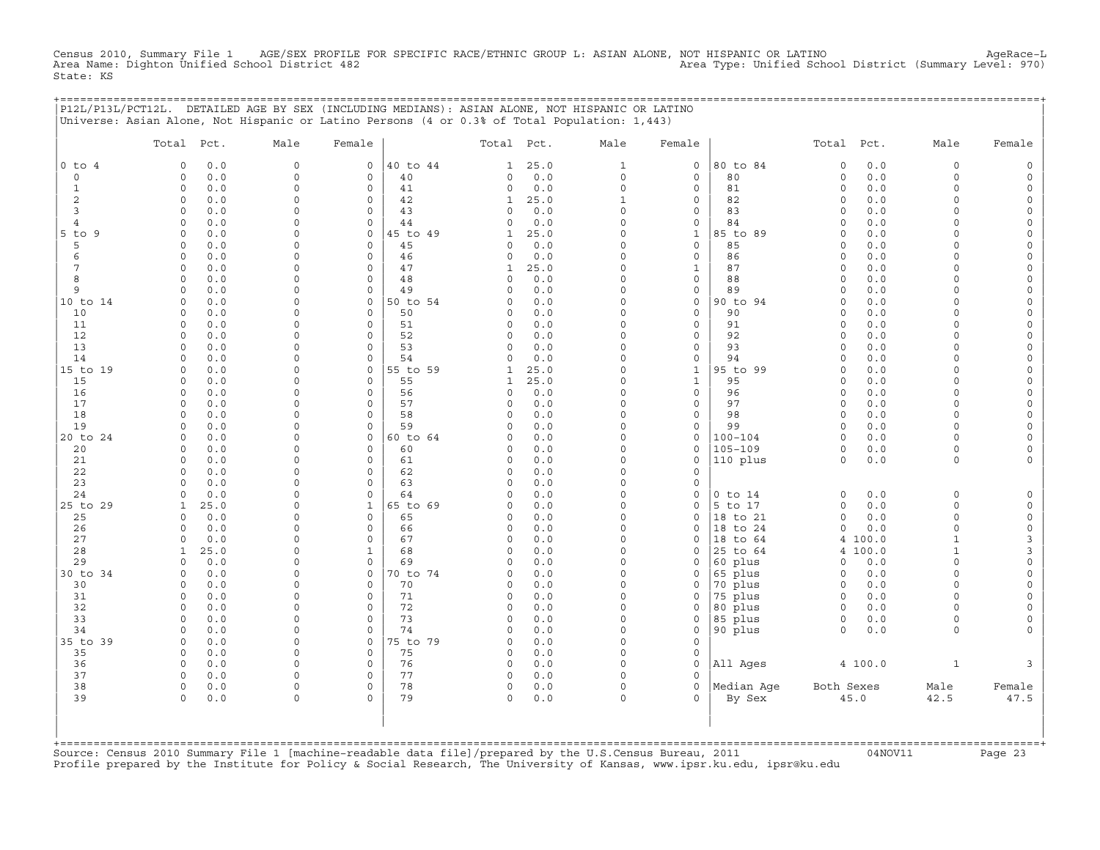Census 2010, Summary File 1 AGE/SEX PROFILE FOR SPECIFIC RACE/ETHNIC GROUP L: ASIAN ALONE, NOT HISPANIC OR LATINO AgeRace−L Area Name: Dighton Unified School District 482 Area Type: Unified School District (Summary Level: 970) State: KS

+===================================================================================================================================================+

|                     | P12L/P13L/PCT12L. DETAILED AGE BY SEX (INCLUDING MEDIANS): ASIAN ALONE, NOT HISPANIC OR LATINO<br>Universe: Asian Alone, Not Hispanic or Latino Persons (4 or 0.3% of Total Population: 1,443) |                            |                        |          |               |            |                                    |                                    |                    |                    |            |                      |                                            |
|---------------------|------------------------------------------------------------------------------------------------------------------------------------------------------------------------------------------------|----------------------------|------------------------|----------|---------------|------------|------------------------------------|------------------------------------|--------------------|--------------------|------------|----------------------|--------------------------------------------|
|                     | Total<br>Pct.                                                                                                                                                                                  | Male                       | Female                 |          | Total         | Pct.       | Male                               | Female                             |                    | Total              | Pct.       | Male                 | Female                                     |
| $0$ to $4$          | 0.0<br>0                                                                                                                                                                                       | $\mathsf{O}$               | $\mathbf 0$            | 40 to 44 | 1             | 25.0       | $\mathbf{1}$                       | $\mathsf{O}\xspace$                | 80 to 84           | $\circ$            | $0.0$      | $\mathbf 0$          | $\mathsf{O}$                               |
| $\circ$             | $\mathbf 0$<br>$0.0$                                                                                                                                                                           | $\mathsf{O}\xspace$        | $\mathsf{O}\xspace$    | 40       | 0             | $0.0$      | $\mathsf{O}\xspace$                | $\mathsf{O}\xspace$                | 80                 | $\mathbb O$        | 0.0        | $\mathbf 0$          | $\mathsf{O}\xspace$                        |
| $\mathbf{1}$        | $\circ$<br>0.0                                                                                                                                                                                 | $\mathbf 0$                | $\mathbf 0$            | 41       | 0             | 0.0        | $\mathsf O$                        | 0                                  | 81                 | $\circ$            | 0.0        | $\Omega$             | 0                                          |
| $\overline{c}$      | $\circ$<br>0.0                                                                                                                                                                                 | $\mathbf 0$                | $\mathsf{O}\xspace$    | 42       | $\mathbf{1}$  | 25.0       | $\mathbf{1}$                       | $\mathsf{O}\xspace$                | 82                 | $\circ$            | 0.0        | $\Omega$             | $\mathsf{O}\xspace$                        |
| 3<br>$\overline{4}$ | $\circ$<br>0.0<br>$\circ$<br>0.0                                                                                                                                                               | $\mathbf 0$<br>$\mathbf 0$ | $\mathbf 0$<br>$\circ$ | 43<br>44 | 0<br>0        | 0.0<br>0.0 | $\mathsf O$<br>$\mathsf{O}\xspace$ | 0<br>$\mathsf{O}\xspace$           | 83<br>84           | $\circ$<br>$\circ$ | 0.0<br>0.0 | $\Omega$<br>$\Omega$ | $\mathsf{O}\xspace$<br>$\mathsf{O}\xspace$ |
| $5$ to<br>9         | 0.0<br>$\Omega$                                                                                                                                                                                | $\Omega$                   | $\mathbf 0$            | 45 to 49 | $\mathbf{1}$  | 25.0       | $\circ$                            | $\mathbf 1$                        | 85 to 89           | $\circ$            | 0.0        | $\Omega$             | $\mathsf{O}\xspace$                        |
| 5                   | $\mathbf 0$<br>0.0                                                                                                                                                                             | $\mathbf 0$                | $\mathbf 0$            | 45       | 0             | 0.0        | $\circ$                            | $\mathsf{O}\xspace$                | 85                 | $\circ$            | 0.0        | $\Omega$             | 0                                          |
| $\epsilon$          | $\circ$<br>0.0                                                                                                                                                                                 | $\mathbf 0$                | $\circ$                | 46       | 0             | 0.0        | $\mathsf{O}\xspace$                | $\mathsf{O}\xspace$                | 86                 | $\circ$            | 0.0        | $\mathbf 0$          | $\mathsf{O}\xspace$                        |
| 7                   | $\circ$<br>0.0                                                                                                                                                                                 | $\mathbf 0$                | $\mathbf 0$            | 47       | $\mathbf{1}$  | 25.0       | $\circ$                            | $\mathbf{1}$                       | 87                 | $\circ$            | 0.0        | $\Omega$             | 0                                          |
| 8                   | $\circ$<br>0.0                                                                                                                                                                                 | $\mathbf 0$                | $\circ$                | 48       | $\circ$       | $0.0$      | $\mathsf O$                        | $\mathsf{O}\xspace$                | 88                 | $\circ$            | 0.0        | $\Omega$             | $\mathsf{O}\xspace$                        |
| 9                   | $\circ$<br>0.0                                                                                                                                                                                 | $\mathbf 0$                | $\Omega$               | 49       | 0             | 0.0        | $\circ$                            | $\mathsf{O}\xspace$                | 89                 | $\circ$            | 0.0        | $\Omega$             | $\mathsf{O}\xspace$                        |
| 10 to 14            | $\mathbf 0$<br>0.0                                                                                                                                                                             | $\mathbf 0$                | $\mathbf 0$            | 50 to 54 | 0             | 0.0        | 0                                  | $\mathsf{O}\xspace$                | 90 to 94           | $\circ$            | 0.0        | $\Omega$             | 0                                          |
| 10                  | $\mathbf 0$<br>0.0                                                                                                                                                                             | $\mathbf 0$                | $\circ$                | 50       | 0             | $0.0$      | $\mathsf O$                        | $\mathsf{O}\xspace$                | 90                 | $\circ$            | 0.0        | $\Omega$             | $\mathsf{O}\xspace$                        |
| 11                  | $\circ$<br>0.0                                                                                                                                                                                 | $\mathbf 0$                | $\circ$                | 51       | 0             | 0.0        | $\mathsf O$                        | $\mathsf{O}\xspace$                | 91                 | $\circ$            | 0.0        | $\Omega$             | 0                                          |
| 12                  | $\circ$<br>$0.0$                                                                                                                                                                               | $\Omega$                   | 0                      | 52       | 0             | 0.0        | $\mathsf O$                        | $\mathsf{O}\xspace$                | 92                 | $\circ$            | 0.0        | $\mathbf 0$          | $\mathsf{O}\xspace$                        |
| 13<br>14            | $\circ$<br>0.0<br>$\circ$<br>0.0                                                                                                                                                               | $\Omega$<br>$\mathbf 0$    | $\mathbf 0$<br>$\circ$ | 53<br>54 | 0<br>0        | 0.0<br>0.0 | $\circ$<br>$\mathsf{O}\xspace$     | $\mathbf 0$<br>$\mathsf{O}\xspace$ | 93<br>94           | $\circ$<br>$\circ$ | 0.0<br>0.0 | $\Omega$<br>$\Omega$ | 0<br>$\mathsf{O}\xspace$                   |
| 15 to 19            | $\circ$<br>0.0                                                                                                                                                                                 | $\Omega$                   | $\mathbf 0$            | 55 to 59 | $\mathbf{1}$  | 25.0       | $\Omega$                           | $\mathbf 1$                        | 95 to 99           | $\circ$            | 0.0        | $\Omega$             | $\mathsf{O}\xspace$                        |
| 15                  | $\mathbf 0$<br>0.0                                                                                                                                                                             | $\mathbf 0$                | $\mathbf 0$            | 55       | $\mathbf{1}$  | 25.0       | $\circ$                            | $\mathbf{1}$                       | 95                 | $\circ$            | 0.0        | $\Omega$             | 0                                          |
| 16                  | $\mathsf O$<br>0.0                                                                                                                                                                             | $\mathsf{O}$               | $\mathsf{O}\xspace$    | 56       | 0             | 0.0        | $\mathsf O$                        | $\mathsf{O}\xspace$                | 96                 | $\circ$            | 0.0        | $\mathbf 0$          | $\mathsf{O}\xspace$                        |
| 17                  | $\circ$<br>0.0                                                                                                                                                                                 | $\Omega$                   | $\mathbf 0$            | 57       | 0             | 0.0        | 0                                  | 0                                  | 97                 | $\circ$            | 0.0        | $\Omega$             | 0                                          |
| 18                  | $\Omega$<br>0.0                                                                                                                                                                                | $\mathbf 0$                | $\circ$                | 58       | 0             | $0.0$      | $\circ$                            | $\mathsf{O}\xspace$                | 98                 | $\circ$            | 0.0        | $\Omega$             | $\mathsf{O}\xspace$                        |
| 19                  | $\circ$<br>0.0                                                                                                                                                                                 | $\mathbf 0$                | $\circ$                | 59       | 0             | 0.0        | $\circ$                            | $\mathsf{O}\xspace$                | 99                 | $\circ$            | 0.0        | $\Omega$             | $\mathsf{O}\xspace$                        |
| 20 to 24            | $\circ$<br>0.0                                                                                                                                                                                 | $\mathbf 0$                | 0                      | 60 to 64 | 0             | 0.0        | 0                                  | 0                                  | $100 - 104$        | $\circ$            | 0.0        | $\Omega$             | 0                                          |
| 20                  | $\mathbf 0$<br>0.0                                                                                                                                                                             | $\mathbf 0$                | $\mathbf 0$            | 60       | 0             | $0.0$      | $\circ$                            | $\mathsf{O}\xspace$                | $105 - 109$        | $\circ$            | 0.0        | $\Omega$             | $\mathsf{O}\xspace$                        |
| 21                  | $\circ$<br>0.0                                                                                                                                                                                 | $\mathbf 0$                | $\mathbf 0$            | 61       | 0             | 0.0        | $\mathsf O$                        | $\mathsf{O}\xspace$                | 110 plus           | $\circ$            | 0.0        | 0                    | 0                                          |
| 22                  | $\circ$<br>$0.0$                                                                                                                                                                               | $\Omega$                   | $\mathsf{O}\xspace$    | 62       | $\mathbf 0$   | 0.0        | 0                                  | $\mathbf 0$                        |                    |                    |            |                      |                                            |
| 23<br>24            | $\circ$<br>0.0<br>$\circ$<br>0.0                                                                                                                                                               | $\Omega$<br>$\mathbf 0$    | $\mathbf 0$<br>$\circ$ | 63<br>64 | $\Omega$<br>0 | 0.0<br>0.0 | $\circ$<br>$\mathsf O$             | 0<br>$\mathsf{O}\xspace$           | $0$ to $14$        | $\circ$            | 0.0        | $\mathbf 0$          | $\mathsf{O}$                               |
| 25 to 29            | 25.0<br>$\mathbf{1}$                                                                                                                                                                           | $\Omega$                   | $\mathbf 1$            | 65 to 69 | 0             | 0.0        | $\circ$                            | $\mathbf 0$                        | 5 to 17            | $\circ$            | 0.0        | $\Omega$             | $\mathsf{O}\xspace$                        |
| 25                  | $\mathbf 0$<br>0.0                                                                                                                                                                             | $\Omega$                   | $\mathbf 0$            | 65       | 0             | 0.0        | $\circ$                            | $\Omega$                           | 18 to 21           | $\circ$            | 0.0        | $\Omega$             | $\mathsf{O}\xspace$                        |
| 26                  | $\mathsf{O}\xspace$<br>0.0                                                                                                                                                                     | $\mathbf 0$                | $\mathsf{O}\xspace$    | 66       | 0             | 0.0        | 0                                  | 0                                  | 18<br>to 24        | $\circ$            | 0.0        | $\mathbf 0$          | $\mathsf{O}\xspace$                        |
| 27                  | $\circ$<br>0.0                                                                                                                                                                                 | $\Omega$                   | $\mathbf 0$            | 67       | 0             | 0.0        | $\circ$                            | 0                                  | 18 to 64           | 4                  | 100.0      | $\mathbf{1}$         | 3                                          |
| 28                  | 25.0<br>$\mathbf{1}$                                                                                                                                                                           | $\mathbf 0$                | $\mathbf 1$            | 68       | 0             | 0.0        | $\circ$                            | $\Omega$                           | 25 to 64           | $\overline{4}$     | 100.0      | $1\,$                | 3                                          |
| 29                  | $\circ$<br>0.0                                                                                                                                                                                 | $\Omega$                   | $\circ$                | 69       | 0             | 0.0        | $\Omega$                           | 0                                  | 60 plus            | $\circ$            | 0.0        | $\Omega$             | $\mathsf{O}\xspace$                        |
| 30 to 34            | $\mathbf 0$<br>0.0                                                                                                                                                                             | $\Omega$                   | 0                      | 70 to 74 | 0             | 0.0        | 0                                  | 0                                  | 65 plus            | 0                  | 0.0        | $\mathbf 0$          | 0                                          |
| 30                  | 0.0<br>$\circ$                                                                                                                                                                                 | $\Omega$                   | $\mathsf{O}\xspace$    | 70       | $\Omega$      | $0.0$      | $\mathsf O$                        | $\Omega$                           | 70 plus            | $\circ$            | 0.0        | $\Omega$             | $\mathsf{O}\xspace$                        |
| 31                  | $\circ$<br>0.0                                                                                                                                                                                 | $\Omega$                   | $\circ$                | 71       | 0             | 0.0        | 0                                  | 0                                  | 75 plus            | $\circ$            | 0.0        | $\Omega$             | 0                                          |
| 32<br>33            | $\circ$<br>0.0<br>$\circ$<br>0.0                                                                                                                                                               | $\mathbf 0$<br>$\mathbf 0$ | $\circ$<br>$\circ$     | 72<br>73 | 0<br>0        | 0.0<br>0.0 | $\mathsf O$<br>$\circ$             | 0<br>$\mathbf 0$                   | 80 plus<br>85 plus | $\circ$<br>$\circ$ | 0.0<br>0.0 | $\Omega$<br>$\Omega$ | $\mathsf{O}\xspace$<br>$\mathsf{O}\xspace$ |
| 34                  | $\mathbf 0$<br>0.0                                                                                                                                                                             | $\mathbf 0$                | $\circ$                | 74       | $\Omega$      | 0.0        | $\mathsf O$                        | $\mathbf 0$                        | 90 plus            | $\circ$            | 0.0        | 0                    | $\mathsf{O}\xspace$                        |
| 35 to 39            | $\circ$<br>0.0                                                                                                                                                                                 | $\Omega$                   | $\mathbf 0$            | 75 to 79 | $\mathbf 0$   | 0.0        | $\circ$                            | $\circ$                            |                    |                    |            |                      |                                            |
| 35                  | $\circ$<br>0.0                                                                                                                                                                                 | $\mathbf 0$                | $\mathbf 0$            | 75       | 0             | 0.0        | 0                                  | $\mathsf O$                        |                    |                    |            |                      |                                            |
| 36                  | $\circ$<br>0.0                                                                                                                                                                                 | $\mathbf 0$                | $\mathsf{O}\xspace$    | 76       | 0             | 0.0        | $\mathsf O$                        | $\mathbf 0$                        | All Ages           |                    | 4 100.0    | $\mathbf{1}$         | 3                                          |
| 37                  | $\circ$<br>0.0                                                                                                                                                                                 | $\mathbf 0$                | $\mathbf 0$            | 77       | 0             | 0.0        | $\mathsf O$                        | $\Omega$                           |                    |                    |            |                      |                                            |
| 38                  | $\mathbb O$<br>0.0                                                                                                                                                                             | $\mathsf{O}$               | $\mathsf{O}\xspace$    | 78       | 0             | $0.0$      | $\mathsf O$                        | $\mathsf{O}\xspace$                | Median Age         | Both Sexes         |            | Male                 | Female                                     |
| 39                  | $\Omega$<br>$0.0$                                                                                                                                                                              | $\mathbf 0$                | $\Omega$               | 79       | $\circ$       | 0.0        | $\circ$                            | $\Omega$                           | By Sex             |                    | 45.0       | 42.5                 | 47.5                                       |
|                     |                                                                                                                                                                                                |                            |                        |          |               |            |                                    |                                    |                    |                    |            |                      |                                            |

| | +===================================================================================================================================================+Source: Census 2010 Summary File 1 [machine−readable data file]/prepared by the U.S.Census Bureau, 2011 04NOV11 Page 23 Profile prepared by the Institute for Policy & Social Research, The University of Kansas, www.ipsr.ku.edu, ipsr@ku.edu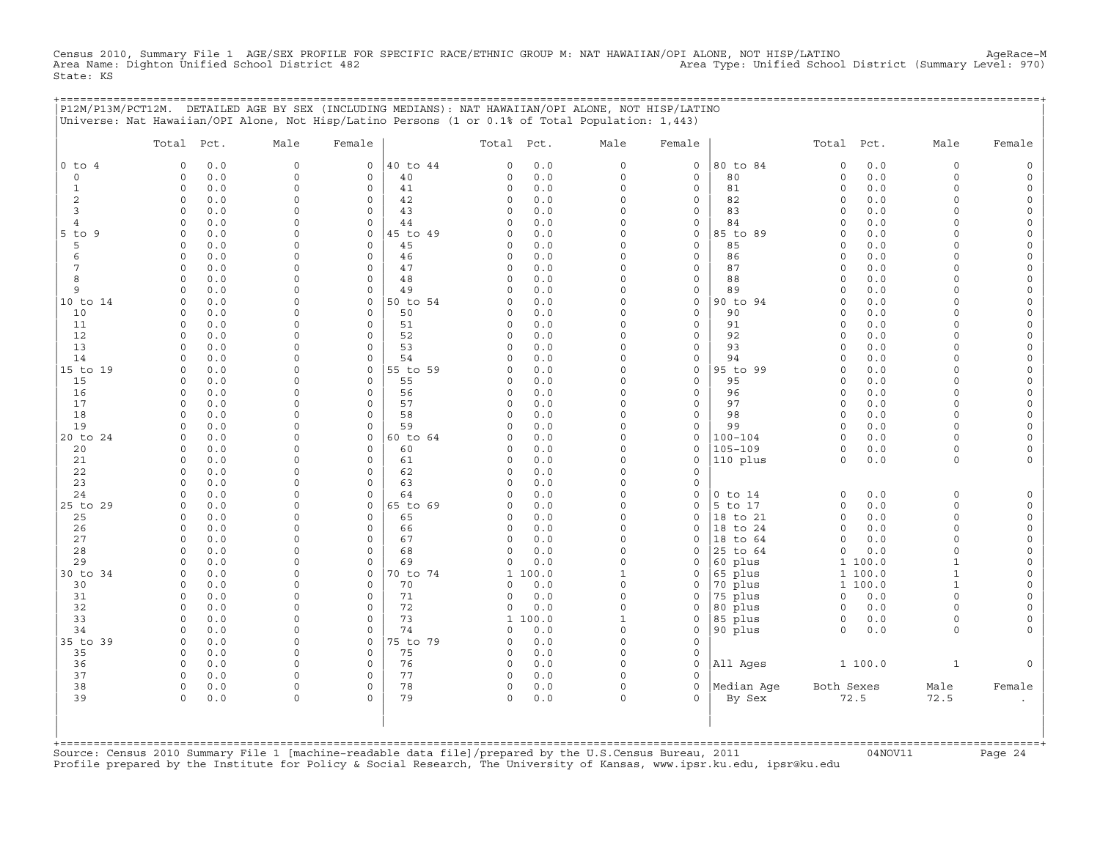Census 2010, Summary File 1 AGE/SEX PROFILE FOR SPECIFIC RACE/ETHNIC GROUP M: NAT HAWAIIAN/OPI ALONE, NOT HISP/LATINO<br>Area Name: Dighton Unified School District 482 State: KS

+===================================================================================================================================================+

|                | P12M/P13M/PCT12M. DETAILED AGE BY SEX (INCLUDING MEDIANS): NAT HAWAIIAN/OPI ALONE, NOT HISP/LATINO<br>Universe: Nat Hawaiian/OPI Alone, Not Hisp/Latino Persons (1 or 0.1% of Total Population: 1,443) |               |                      |                |                      |            |                      |                             |                      |                     |            |                      |                              |
|----------------|--------------------------------------------------------------------------------------------------------------------------------------------------------------------------------------------------------|---------------|----------------------|----------------|----------------------|------------|----------------------|-----------------------------|----------------------|---------------------|------------|----------------------|------------------------------|
|                | Total Pct.                                                                                                                                                                                             | Male          | Female               |                | Total Pct.           |            | Male                 | Female                      |                      | Total               | Pct.       | Male                 | Female                       |
| $0$ to $4$     | 0.0<br>$\Omega$                                                                                                                                                                                        | 0             | 0                    | 40 to 44       | $\Omega$             | 0.0        | $\circ$              | $\mathsf{O}$                | 80 to 84             | $\circ$             | $0.0$      | 0                    | $\circ$                      |
| $\circ$        | 0.0<br>$\Omega$                                                                                                                                                                                        | $\circ$       | $\mathbf 0$          | 40             | $\Omega$             | $0.0$      | $\circ$              | $\mathbf 0$                 | 80                   | $\circ$             | 0.0        | $\circ$              | $\mathsf{O}\xspace$          |
| $\mathbf{1}$   | 0<br>0.0                                                                                                                                                                                               | 0             | $\Omega$             | 41             | $\circ$              | 0.0        | $\circ$              | $\mathsf{O}$                | 81                   | $\mathbf 0$         | 0.0        | $\circ$              | $\mathsf{O}$                 |
| 2              | 0.0<br>0                                                                                                                                                                                               | $\mathbf 0$   | 0                    | 42             | $\Omega$             | 0.0        | $\circ$              | $\mathbf 0$                 | 82                   | 0                   | 0.0        | 0                    | 0                            |
| 3              | 0.0<br>$\Omega$                                                                                                                                                                                        | $\Omega$      | $\Omega$             | 43             | $\cap$               | 0.0        | $\Omega$             | $\mathbf 0$                 | 83                   | $\Omega$            | 0.0        | $\Omega$             | $\mathsf{O}$                 |
| $\overline{4}$ | 0.0<br>$\Omega$                                                                                                                                                                                        | $\Omega$      | $\circ$              | 44             | $\Omega$             | 0.0        | $\circ$              | $\mathbf 0$                 | 84                   | $\circ$             | 0.0        | $\circ$              | $\mathsf{O}\xspace$          |
| 5 to 9<br>5    | 0.0<br>$\Omega$<br>0.0<br>$\Omega$                                                                                                                                                                     | 0<br>$\Omega$ | 0<br>$\Omega$        | 45 to 49<br>45 | $\Omega$<br>$\Omega$ | 0.0<br>0.0 | $\circ$<br>$\circ$   | $\mathsf{O}$<br>$\mathbf 0$ | 85 to 89<br>85       | 0<br>$\Omega$       | 0.0<br>0.0 | 0<br>$\Omega$        | $\mathsf{O}$<br>$\mathbf 0$  |
| 6              | 0<br>0.0                                                                                                                                                                                               | $\Omega$      | $\mathbf 0$          | 46             | $\Omega$             | 0.0        | $\circ$              | $\mathbf 0$                 | 86                   | $\mathbf 0$         | 0.0        | $\circ$              | $\mathsf{O}$                 |
| 7              | 0.0<br>$\Omega$                                                                                                                                                                                        | $\Omega$      | $\Omega$             | 47             | $\Omega$             | 0.0        | $\circ$              | $\mathsf{O}$                | 87                   | 0                   | 0.0        | $\circ$              | $\mathsf{O}$                 |
| 8              | 0.0<br>$\Omega$                                                                                                                                                                                        | $\Omega$      | $\Omega$             | 48             | $\Omega$             | 0.0        | $\circ$              | $\mathsf{O}$                | 88                   | $\Omega$            | 0.0        | 0                    | $\mathbf 0$                  |
| 9              | 0.0<br>$\Omega$                                                                                                                                                                                        | $\Omega$      | $\mathbf 0$          | 49             | $\Omega$             | 0.0        | $\circ$              | $\mathbf 0$                 | 89                   | 0                   | 0.0        | $\Omega$             | $\mathsf{O}$                 |
| 10 to 14       | $\Omega$<br>0.0                                                                                                                                                                                        | $\Omega$      | $\Omega$             | 50 to 54       | $\Omega$             | 0.0        | $\Omega$             | $\mathsf{O}$                | 90 to 94             | $\Omega$            | 0.0        | $\Omega$             | $\mathsf{O}$                 |
| 10             | $\Omega$<br>0.0                                                                                                                                                                                        | $\Omega$      | $\circ$              | 50             | $\Omega$             | 0.0        | $\circ$              | $\mathsf O$                 | 90                   | $\circ$             | 0.0        | $\Omega$             | $\mathsf{O}$                 |
| 11             | $\Omega$<br>0.0                                                                                                                                                                                        | $\Omega$      | $\Omega$             | 51             | $\Omega$             | 0.0        | $\circ$              | $\mathsf{O}$                | 91                   | $\Omega$            | 0.0        | $\Omega$             | $\mathbf 0$                  |
| 12             | 0.0<br>$\Omega$                                                                                                                                                                                        | $\Omega$      | $\Omega$             | 52             | $\Omega$             | 0.0        | $\circ$              | $\mathsf O$                 | 92                   | $\Omega$            | 0.0        | $\Omega$             | $\mathsf{O}$                 |
| 13             | $\Omega$<br>0.0                                                                                                                                                                                        | 0             | $\Omega$             | 53             | $\Omega$             | 0.0        | $\circ$              | $\mathbf 0$                 | 93                   | $\Omega$            | 0.0        | 0                    | $\mathsf{O}$                 |
| 14             | 0.0<br>$\Omega$                                                                                                                                                                                        | $\circ$       | $\Omega$             | 54             | $\Omega$             | 0.0        | $\circ$              | $\mathbf 0$                 | 94                   | $\Omega$            | 0.0        | $\Omega$             | $\mathsf{O}\xspace$          |
| 15 to 19       | 0<br>0.0                                                                                                                                                                                               | $\mathbf 0$   | 0                    | 55 to 59       | $\Omega$             | 0.0        | $\circ$              | $\mathbb O$                 | 95 to 99             | $\circ$             | 0.0        | $\circ$              | $\mathsf{O}$                 |
| 15<br>16       | 0.0<br>$\Omega$<br>$\Omega$                                                                                                                                                                            | 0<br>0        | 0<br>$\Omega$        | 55             | $\Omega$<br>$\Omega$ | 0.0<br>0.0 | $\Omega$<br>$\Omega$ | $\mathsf{O}$<br>$\mathbf 0$ | 95<br>96             | $\circ$<br>$\Omega$ | 0.0<br>0.0 | $\Omega$<br>$\Omega$ | $\mathsf{O}$<br>$\mathbf{0}$ |
| 17             | 0.0<br>$\Omega$<br>0.0                                                                                                                                                                                 | $\Omega$      | $\Omega$             | 56<br>57       | $\Omega$             | 0.0        | $\circ$              | $\mathsf O$                 | 97                   | $\circ$             | 0.0        | $\Omega$             | $\mathsf{O}$                 |
| 18             | 0.0<br>$\Omega$                                                                                                                                                                                        | $\Omega$      | $\Omega$             | 58             | $\Omega$             | 0.0        | $\Omega$             | $\mathsf{O}$                | 98                   | 0                   | 0.0        | $\circ$              | $\mathsf{O}$                 |
| 19             | $\Omega$<br>0.0                                                                                                                                                                                        | $\Omega$      | $\Omega$             | 59             | $\cap$               | 0.0        | $\Omega$             | $\mathbf 0$                 | 99                   | $\Omega$            | 0.0        | $\Omega$             | $\mathbf 0$                  |
| 20 to 24       | $\Omega$<br>0.0                                                                                                                                                                                        | $\Omega$      | $\circ$              | 60 to 64       | $\Omega$             | 0.0        | $\Omega$             | $\mathbb O$                 | $100 - 104$          | $\circ$             | 0.0        | $\circ$              | $\mathsf{O}$                 |
| 20             | 0.0<br>$\Omega$                                                                                                                                                                                        | $\Omega$      | $\Omega$             | 60             | $\Omega$             | 0.0        | $\circ$              | $\mathbf 0$                 | $105 - 109$          | $\Omega$            | 0.0        | $\circ$              | 0                            |
| 21             | $\Omega$<br>0.0                                                                                                                                                                                        | $\Omega$      | $\Omega$             | 61             | $\Omega$             | 0.0        | $\circ$              | $\mathbf 0$                 | 110 plus             | $\Omega$            | 0.0        | $\circ$              | $\mathsf{O}$                 |
| 22             | 0.0<br>$\Omega$                                                                                                                                                                                        | $\Omega$      | $\Omega$             | 62             | $\Omega$             | 0.0        | $\Omega$             | $\mathbf 0$                 |                      |                     |            |                      |                              |
| 23             | $\Omega$<br>0.0                                                                                                                                                                                        | $\mathbf 0$   | $\Omega$             | 63             | $\Omega$             | 0.0        | $\Omega$             | $\mathbf 0$                 |                      |                     |            |                      |                              |
| 24             | $\Omega$<br>0.0                                                                                                                                                                                        | $\Omega$      | $\Omega$             | 64             | $\Omega$             | 0.0        | $\circ$              | $\circ$                     | $0$ to $14$          | 0                   | 0.0        | $\circ$              | $\mathsf{O}$                 |
| 25 to 29       | 0.0<br>$\Omega$                                                                                                                                                                                        | $\circ$       | $\Omega$             | 65 to 69       | $\Omega$             | 0.0        | $\circ$              | $\mathbf 0$                 | 5 to 17              | $\circ$             | 0.0        | $\circ$              | $\mathsf{O}\xspace$          |
| 25             | 0<br>0.0                                                                                                                                                                                               | $\Omega$      | $\Omega$<br>$\circ$  | 65             | $\Omega$<br>$\Omega$ | 0.0        | $\circ$              | $\mathsf{O}$                | 18 to 21             | 0                   | 0.0        | 0                    | $\mathsf{O}$                 |
| 26<br>27       | 0.0<br>0<br>$\Omega$<br>0.0                                                                                                                                                                            | 0<br>$\Omega$ | $\Omega$             | 66<br>67       | $\Omega$             | 0.0<br>0.0 | $\circ$<br>$\Omega$  | 0<br>$\Omega$               | 18 to 24<br>18 to 64 | 0<br>$\Omega$       | 0.0<br>0.0 | 0<br>$\Omega$        | 0<br>$\mathsf{O}$            |
| 28             | 0.0<br>$\Omega$                                                                                                                                                                                        | $\Omega$      | $\Omega$             | 68             | $\Omega$             | 0.0        | $\circ$              | $\mathbf 0$                 | 25 to 64             | $\circ$             | 0.0        | $\Omega$             | $\mathsf{O}\xspace$          |
| 29             | 0.0<br>$\Omega$                                                                                                                                                                                        | 0             | $\Omega$             | 69             | $\Omega$             | 0.0        | $\circ$              | $\circ$                     | 60 plus              | $\mathbf{1}$        | 100.0      | $\mathbf{1}$         | $\mathsf{O}$                 |
| 30 to 34       | 0.0<br>$\Omega$                                                                                                                                                                                        | $\Omega$      | $\circ$              | 70 to 74       | 1                    | 100.0      | 1                    | $\mathbf 0$                 | 65 plus              |                     | 1 100.0    | $\mathbf{1}$         | $\mathsf{O}$                 |
| 30             | $\Omega$<br>0.0                                                                                                                                                                                        | $\Omega$      | $\circ$              | 70             | $\Omega$             | 0.0        | $\circ$              | $\mathsf{O}$                | 70 plus              |                     | 1 100.0    | $\mathbf{1}$         | $\mathsf{O}$                 |
| 31             | 0.0<br>$\Omega$                                                                                                                                                                                        | $\mathbf 0$   | $\circ$              | 71             | $\Omega$             | 0.0        | $\circ$              | $\circ$                     | 75 plus              | 0                   | 0.0        | $\circ$              | $\mathsf{O}$                 |
| 32             | 0<br>0.0                                                                                                                                                                                               | $\Omega$      | $\Omega$             | 72             | $\Omega$             | 0.0        | $\circ$              | $\mathbf 0$                 | 80 plus              | $\mathbf 0$         | 0.0        | 0                    | $\mathbf 0$                  |
| 33             | 0.0<br>$\Omega$                                                                                                                                                                                        | $\Omega$      | $\Omega$             | 73             | 1                    | 100.0      | $\mathbf{1}$         | $\mathsf{O}$                | 85 plus              | $\mathbf 0$         | 0.0        | 0                    | $\mathsf{O}$                 |
| 34             | 0.0<br>$\Omega$                                                                                                                                                                                        | $\mathbf 0$   | $\Omega$             | 74             | $\Omega$             | 0.0        | $\circ$              | $\mathsf{O}$                | 90 plus              | 0                   | 0.0        | $\circ$              | $\mathbf{0}$                 |
| 35 to 39       | $\Omega$<br>0.0                                                                                                                                                                                        | $\Omega$      | $\mathbf 0$          | 75 to 79       | $\Omega$             | 0.0        | $\circ$              | $\mathbf 0$                 |                      |                     |            |                      |                              |
| 35             | 0.0<br>0                                                                                                                                                                                               | $\mathbf 0$   | $\mathbf 0$          | 75             | $\Omega$             | 0.0        | $\circ$              | $\mathsf{O}$                |                      |                     |            |                      |                              |
| 36<br>37       | 0.0<br>$\Omega$<br>$\Omega$                                                                                                                                                                            | $\Omega$      | $\Omega$<br>$\Omega$ | 76<br>77       | $\Omega$<br>$\Omega$ | 0.0        | $\Omega$<br>0        | $\mathsf{O}$<br>$\mathbf 0$ | All Ages             |                     | 1 100.0    | $\mathbf{1}$         | $\mathbf{0}$                 |
| 38             | 0.0<br>0.0<br>$\Omega$                                                                                                                                                                                 | 0<br>$\Omega$ | $\Omega$             | 78             | $\Omega$             | 0.0<br>0.0 | $\circ$              | $\Omega$                    | Median Age           | Both Sexes          |            | Male                 | Female                       |
| 39             | 0<br>0.0                                                                                                                                                                                               | 0             | $\Omega$             | 79             | $\circ$              | 0.0        | $\circ$              | $\mathbf 0$                 | By Sex               |                     | 72.5       | 72.5                 |                              |
|                |                                                                                                                                                                                                        |               |                      |                |                      |            |                      |                             |                      |                     |            |                      |                              |

| | +===================================================================================================================================================+ Source: Census 2010 Summary File 1 [machine-readable data file]/prepared by the U.S.Census Bureau, 2011 Page 24<br>Profile prepared by the Institute for Policy & Social Research, The University of Kansas, www

| | | |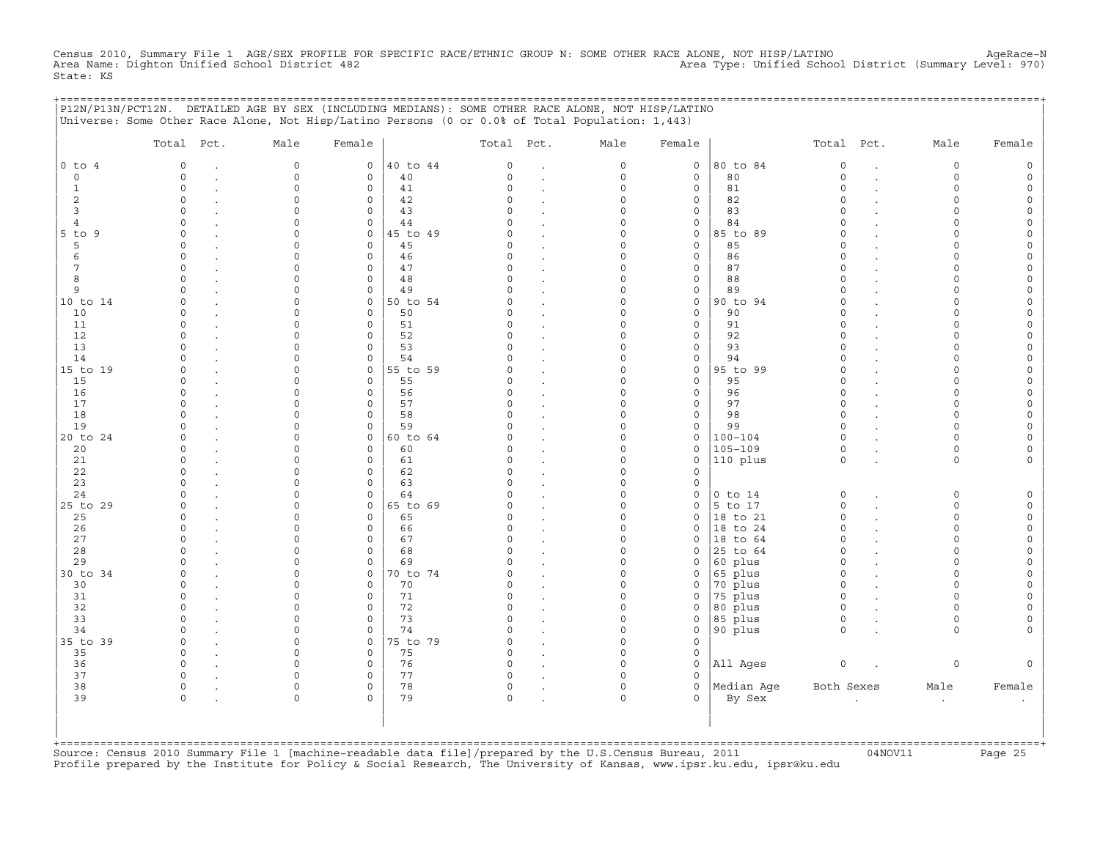Census 2010, Summary File 1 AGE/SEX PROFILE FOR SPECIFIC RACE/ETHNIC GROUP N: SOME OTHER RACE ALONE, NOT HISP/LATINO<br>Area Name: Dighton Unified School District 482 State: KS

+===================================================================================================================================================+

|                | Total Pct.  | Male                | Female              |          | Total Pct. |                      | Male        | Female              |             | Total Pct.  |                      | Male      | Female              |
|----------------|-------------|---------------------|---------------------|----------|------------|----------------------|-------------|---------------------|-------------|-------------|----------------------|-----------|---------------------|
| $0$ to $4$     | $\mathbf 0$ | $\mathsf{O}\xspace$ | $\circ$             | 40 to 44 | 0          | $\cdot$              | $\mathsf O$ | $\mathsf O$         | 80 to 84    | $\mathbb O$ | $\ddot{\phantom{a}}$ | 0         | $\mathsf{O}\xspace$ |
| $\circ$        | $\Omega$    | $\Omega$            | $\Omega$            | 40       | $\Omega$   | $\bullet$            | $\mathbf 0$ | $\mathbf 0$         | 80          | $\Omega$    | $\overline{a}$       | $\Omega$  | $\mathsf{O}\xspace$ |
| $\mathbf{1}$   | $\circ$     | $\Omega$            | 0                   | 41       | $\Omega$   |                      | $\mathbf 0$ | $\mathbf 0$         | 81          | $\circ$     |                      | $\Omega$  | $\circ$             |
| 2              | $\circ$     | $\Omega$            | $\mathbf 0$         | 42       | $\Omega$   | $\cdot$              | $\Omega$    | $\mathsf{O}$        | 82          | $\circ$     |                      | $\circ$   | $\circ$             |
| $\overline{3}$ | $\circ$     | $\Omega$            | 0                   | 43       | $\cap$     | $\cdot$              | $\Omega$    | $\mathsf{O}\xspace$ | 83          | $\circ$     |                      | $\Omega$  | $\mathsf{O}$        |
| 4              | $\Omega$    | $\Omega$            | $\mathbf 0$         | 44       | U          |                      | $\Omega$    | $\mathbf 0$         | 84          | $\Omega$    |                      | $\Omega$  | $\mathsf{O}\xspace$ |
| $5$ to $9$     | $\Omega$    | $\cap$              | $\mathbf 0$         | 45 to 49 | U          | $\ddot{\phantom{a}}$ | $\Omega$    | $\mathsf{O}$        | 85 to 89    | $\Omega$    |                      | $\Omega$  | $\mathsf{O}\xspace$ |
| 5              | $\Omega$    | $\Omega$            | $\mathsf{O}\xspace$ | 45       | C)         | $\ddot{\phantom{a}}$ | $\Omega$    | $\mathsf O$         | 85          | $\Omega$    |                      | $\Omega$  | $\mathsf{O}\xspace$ |
| 6              | $\Omega$    | $\cap$              | $\mathbf 0$         | 46       | $\cap$     | $\ddot{\phantom{a}}$ | $\Omega$    | $\mathbf{0}$        | 86          | $\Omega$    |                      | $\cap$    | $\mathsf{O}\xspace$ |
| 7              | $\Omega$    | $\Omega$            | $\mathbf 0$         | 47       | C)         | $\ddot{\phantom{a}}$ | $\Omega$    | $\mathbf 0$         | 87          | $\Omega$    |                      | $\Omega$  | 0                   |
| 8              | $\Omega$    | $\Omega$            | $\mathbf 0$         | 48       | $\Omega$   | $\ddot{\phantom{a}}$ | $\Omega$    | $\mathsf{O}\xspace$ | 88          | $\Omega$    |                      | $\Omega$  | $\mathsf{O}\xspace$ |
| 9              | $\cap$      | $\cap$              | $\mathbf 0$         | 49       | $\cap$     | $\ddot{\phantom{a}}$ | $\Omega$    | $\mathsf{O}\xspace$ | 89          | $\Omega$    |                      | $\cap$    | $\circ$             |
| 10 to 14       | $\Omega$    | $\Omega$            | $\mathbf{0}$        | 50 to 54 | C)         | $\sim$               | $\Omega$    | $\mathbf 0$         | 90 to 94    | $\circ$     |                      | $\Omega$  | $\mathsf{O}\xspace$ |
| 10             | $\Omega$    | $\Omega$            | $\mathbf 0$         | 50       | O.         |                      | $\Omega$    | $\mathbf 0$         | 90          | $\Omega$    |                      | $\Omega$  | 0                   |
| 11             | $\Omega$    | $\Omega$            | $\mathbf 0$         | 51       | $\Omega$   | $\ddot{\phantom{a}}$ | $\Omega$    | $\mathsf{O}\xspace$ | 91          | $\Omega$    |                      | $\Omega$  | $\mathsf{O}\xspace$ |
| 12             | $\Omega$    | $\Omega$            | $\mathbf 0$         | 52       | $\Omega$   | $\sim$               | $\Omega$    | $\mathbf 0$         | 92          | $\Omega$    |                      | $\Omega$  | $\mathsf{O}\xspace$ |
| 13             | $\Omega$    | $\Omega$            | $\mathbf 0$         | 53       | C)         | $\ddot{\phantom{a}}$ | $\Omega$    | $\mathbf 0$         | 93          | $\Omega$    |                      | $\Omega$  | 0                   |
| 14             | $\Omega$    | $\Omega$            | $\mathbf 0$         | 54       |            |                      | $\Omega$    | $\mathsf{O}\xspace$ | 94          | $\Omega$    |                      | $\Omega$  | $\mathsf{O}\xspace$ |
| 15 to 19       | $\Omega$    | $\Omega$            | $\mathsf{O}\xspace$ | 55 to 59 | $\Omega$   |                      | $\mathbf 0$ | $\mathsf O$         | 95 to 99    | $\Omega$    |                      | $\Omega$  | $\mathsf{O}\xspace$ |
| 15             | $\Omega$    | $\Omega$            | $\mathbf 0$         | 55       | C          | $\ddot{\phantom{a}}$ | $\Omega$    | $\mathbf 0$         | 95          | $\Omega$    |                      | $\cap$    | $\mathsf{O}\xspace$ |
| 16             | $\Omega$    | $\Omega$            | $\mathbf 0$         | 56       |            | $\cdot$              | $\Omega$    | $\mathbf 0$         | 96          | $\circ$     |                      | $\Omega$  | 0                   |
| 17             | $\Omega$    | $\Omega$            | $\mathsf{O}\xspace$ | 57       | $\Omega$   |                      | $\mathbf 0$ | $\mathsf{O}\xspace$ | 97          | $\Omega$    |                      | $\Omega$  | $\mathsf{O}\xspace$ |
| 18             | $\cap$      | $\cap$              | $\Omega$            | 58       | $\cap$     | $\cdot$              | $\Omega$    | $\mathbf 0$         | 98          | $\Omega$    |                      | $\Omega$  | $\circ$             |
| 19             | $\Omega$    | $\Omega$            | $\mathbf 0$         | 59       |            | $\ddot{\phantom{a}}$ | $\Omega$    | $\mathbf 0$         | 99          | $\Omega$    |                      | $\Omega$  | $\mathsf{O}\xspace$ |
| 20 to 24       | $\Omega$    | $\Omega$            | $\mathbf{0}$        | 60 to 64 |            | $\cdot$              | $\Omega$    | $\mathsf O$         | $100 - 104$ | $\circ$     |                      | $\Omega$  | $\mathsf{O}\xspace$ |
| 20             | $\Omega$    | $\Omega$            | $\mathbf 0$         | 60       | C)         | $\ddot{\phantom{a}}$ | $\Omega$    | $\mathsf{O}$        | $105 - 109$ | $\circ$     |                      | $\circ$   | 0                   |
| 21             | $\Omega$    | $\Omega$            | $\mathbf 0$         | 61       | C)         | $\ddot{\phantom{a}}$ | $\Omega$    | $\mathbf 0$         | 110 plus    | $\circ$     |                      | $\Omega$  | $\mathbf{0}$        |
| 22             | $\Omega$    | $\Omega$            | $\mathbf 0$         | 62       | $\Omega$   | $\sim$               | $\Omega$    | $\mathbf 0$         |             |             |                      |           |                     |
| 23             | $\Omega$    | $\Omega$            | $\mathbf 0$         | 63       | $\Omega$   | $\ddot{\phantom{a}}$ | $\Omega$    | $\mathsf O$         |             |             |                      |           |                     |
| 24             | $\cap$      | $\Omega$            | 0                   | 64       | U          |                      | $\Omega$    | $\mathsf{O}$        | $0$ to $14$ | $\circ$     |                      | 0         | $\mathsf{O}\xspace$ |
| 25 to 29       | $\Omega$    | $\cap$              | $\mathbf 0$         | 65 to 69 | U          | $\sim$               | $\circ$     | $\mathbf 0$         | 5 to 17     | $\circ$     |                      | $\Omega$  | $\circ$             |
| 25             | $\Omega$    | $\Omega$            | $\mathbf 0$         | 65       | C)         | $\cdot$              | $\Omega$    | $\mathbf 0$         | 18 to 21    | $\circ$     |                      | $\Omega$  | $\mathbb O$         |
| 26             | $\Omega$    | 0                   | 0                   | 66       | C)         |                      | $\mathbf 0$ | $\mathbf 0$         | 18 to 24    | $\circ$     |                      | $\circ$   | $\mathsf O$         |
| 27             | $\cap$      | $\cap$              | $\Omega$            | 67       | $\cap$     |                      | $\Omega$    | $\Omega$            | 18 to 64    | $\Omega$    |                      | $\Omega$  | $\circ$             |
| 28             | $\Omega$    | 0                   | $\mathsf{O}\xspace$ | 68       | C)         |                      | $\Omega$    | $\mathbf 0$         | 25 to 64    | $\circ$     |                      | $\Omega$  | 0                   |
| 29             |             | 0                   | $\mathbf 0$         | 69       |            | $\cdot$              | $\mathbf 0$ | $\mathbf 0$         | 60 plus     | $\circ$     |                      | $\Omega$  | $\mathsf{O}\xspace$ |
| 30 to 34       | $\cap$      | $\Omega$            | $\mathsf{O}$        | 70 to 74 |            | $\cdot$              | $\Omega$    | 0                   | 65 plus     | $\Omega$    |                      | $\cap$    | $\mathsf{O}\xspace$ |
| 30             | $\Omega$    | $\Omega$            | $\mathbf 0$         | 70       | U          |                      | $\Omega$    | $\mathbf 0$         | 70 plus     | $\circ$     |                      | $\Omega$  | $\mathbf 0$         |
| 31             | $\Omega$    | $\Omega$            | $\mathbf 0$         | 71       | C)         | $\ddot{\phantom{a}}$ | $\mathbf 0$ | 0                   | 75 plus     | $\circ$     |                      | $\Omega$  | $\mathsf{O}\xspace$ |
| 32             | $\Omega$    | $\Omega$            | $\mathbf 0$         | 72       | $\Omega$   | $\ddot{\phantom{a}}$ | $\Omega$    | $\mathbf 0$         | 80 plus     | $\circ$     |                      | $\Omega$  | $\mathsf O$         |
| 33             | $\Omega$    | $\Omega$            | $\mathbf 0$         | 73       | $\cap$     |                      | $\Omega$    | $\mathbf 0$         | 85 plus     | $\circ$     |                      | $\Omega$  | $\mathbf 0$         |
| 34             | $\Omega$    | $\Omega$            | $\Omega$            | 74       | $\cap$     | $\ddot{\phantom{a}}$ | $\Omega$    | $\mathbf 0$         | 90 plus     | $\Omega$    |                      | $\Omega$  | $\mathbf{0}$        |
| 35 to 39       | $\Omega$    | $\circ$             | $\circ$             | 75 to 79 | $\Omega$   | $\ddot{\phantom{a}}$ | $\Omega$    | $\mathbf 0$         |             |             |                      |           |                     |
| 35             | $\Omega$    | $\Omega$            | $\mathbf 0$         | 75       | $\Omega$   |                      | $\mathbf 0$ | $\mathsf{O}$        |             |             |                      |           |                     |
| 36             | $\Omega$    | $\cap$              | $\mathbf 0$         | 76       | $\Omega$   |                      | $\Omega$    | $\mathbf 0$         | All Ages    | $\circ$     |                      | 0         | $\mathbf{0}$        |
| 37             | $\Omega$    | $\Omega$            | 0                   | 77       | C)         |                      | $\Omega$    | $\Omega$            |             |             |                      |           |                     |
| 38             | $\Omega$    | $\Omega$            | $\mathbf 0$         | 78       | $\circ$    | $\bullet$            | $\circ$     | $\mathbf 0$         | Median Aqe  | Both Sexes  |                      | Male      | Female              |
| 39             | $\Omega$    | $\Omega$            | $\Omega$            | 79       | $\Omega$   |                      | $\Omega$    | $\Omega$            | By Sex      |             | $\cdot$              | $\bullet$ | $\bullet$           |
|                |             |                     |                     |          |            |                      |             |                     |             |             |                      |           |                     |

+===================================================================================================================================================+Source: Census 2010 Summary File 1 [machine−readable data file]/prepared by the U.S.Census Bureau, 2011 04NOV11 Page 25 Profile prepared by the Institute for Policy & Social Research, The University of Kansas, www.ipsr.ku.edu, ipsr@ku.edu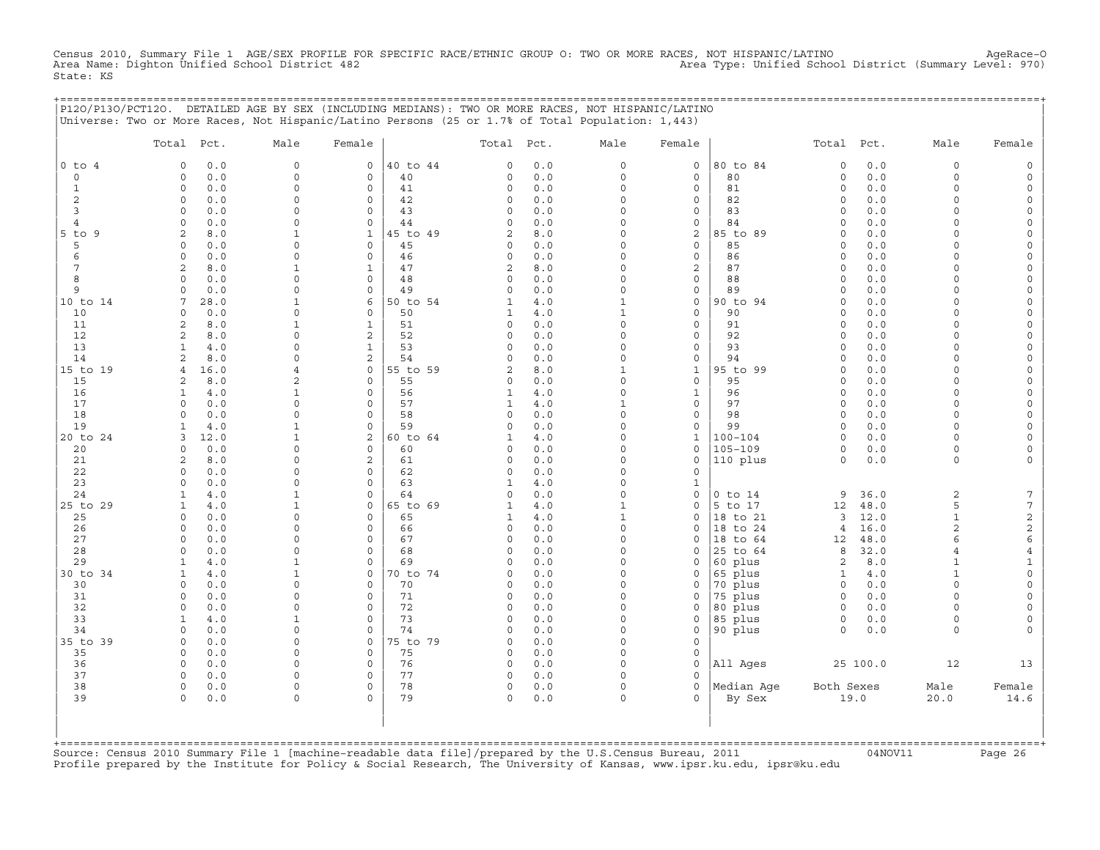Census 2010, Summary File 1 AGE/SEX PROFILE FOR SPECIFIC RACE/ETHNIC GROUP O: TWO OR MORE RACES, NOT HISPANIC/LATINO AgeRace-O<br>Area Name: Dighton Unified School District 482 State: KS

|                                | P120/P130/PCT120. DETAILED AGE BY SEX (INCLUDING MEDIANS): TWO OR MORE RACES, NOT HISPANIC/LATINO |                          |                             |          |                    |            |                         |                   | ============================= |                         |              |                      |                 |
|--------------------------------|---------------------------------------------------------------------------------------------------|--------------------------|-----------------------------|----------|--------------------|------------|-------------------------|-------------------|-------------------------------|-------------------------|--------------|----------------------|-----------------|
|                                | Universe: Two or More Races, Not Hispanic/Latino Persons (25 or 1.7% of Total Population: 1,443)  |                          |                             |          |                    |            |                         |                   |                               |                         |              |                      |                 |
|                                | Total Pct.                                                                                        | Male                     | Female                      |          | Total Pct.         |            | Male                    | Female            |                               | Total Pct.              |              | Male                 | Female          |
| $0$ to $4$                     | 0.0<br>$\circ$                                                                                    | $\circ$                  | $\mathsf{O}$                | 40 to 44 | 0                  | 0.0        | $\circ$                 | $\mathsf{O}$      | 80 to 84                      | $\mathbf 0$             | 0.0          | $\circ$              |                 |
| $\circ$                        | 0.0<br>$\Omega$                                                                                   | $\circ$                  | $\circ$                     | 40       | 0                  | 0.0        | $\circ$                 | $\mathbf 0$       | 80                            | $\circ$                 | 0.0          | $\circ$              |                 |
| $\mathbf{1}$<br>$\overline{c}$ | $0.0$<br>$\circ$<br>$\circ$<br>0.0                                                                | $\Omega$<br>$\Omega$     | $\circ$<br>$\mathbf 0$      | 41<br>42 | 0<br>0             | 0.0<br>0.0 | $\Omega$<br>$\circ$     | 0<br>0            | 81<br>82                      | $\circ$<br>$\Omega$     | 0.0<br>0.0   | $\Omega$<br>$\Omega$ |                 |
| 3                              | $\circ$<br>0.0                                                                                    | $\Omega$                 | $\mathbf 0$                 | 43       | $\circ$            | 0.0        | $\Omega$                | 0                 | 83                            | $\mathbf 0$             | 0.0          | $\cap$               |                 |
| 4                              | 0.0<br>0                                                                                          | $\cap$                   | $\circ$                     | 44       | 0                  | 0.0        | 0                       | 0                 | 84                            | $\Omega$                | 0.0          | $\cap$               |                 |
| $5$ to $9$                     | 2<br>8.0                                                                                          |                          | $\mathbf{1}$                | 45 to 49 | 2                  | 8.0        | O                       | 2                 | 85 to 89                      | $\Omega$                | 0.0          |                      |                 |
| 5                              | $\Omega$<br>0.0                                                                                   | $\Omega$<br>$\cap$       | $\circ$                     | 45       | 0                  | 0.0        | O                       | $\mathbf 0$       | 85                            | $\Omega$                | $0.0$        | $\cap$               |                 |
| 6<br>7                         | 0.0<br>$\Omega$<br>8.0<br>2                                                                       | -1                       | $\circ$<br>$\mathbf{1}$     | 46<br>47 | 0<br>2             | 0.0<br>8.0 | $\Omega$<br>$\Omega$    | 0<br>2            | 86<br>87                      | $\Omega$<br>$\Omega$    | 0.0<br>0.0   | $\cap$               |                 |
| 8                              | $\circ$<br>0.0                                                                                    | $\Omega$                 | $\mathbf{0}$                | 48       | $\circ$            | 0.0        | $\circ$                 | $\circ$           | 88                            | $\mathbf 0$             | 0.0          | $\Omega$             |                 |
| 9                              | 0.0<br>$\Omega$                                                                                   | $\Omega$                 | $\circ$                     | 49       | 0                  | 0.0        | $\circ$                 | 0                 | 89                            | $\Omega$                | 0.0          | $\Omega$             |                 |
| 10 to 14                       | 7<br>28.0                                                                                         |                          | 6                           | 50 to 54 | 1                  | 4.0        | $\mathbf{1}$            | 0                 | 90 to 94                      | $\Omega$                | 0.0          | $\Omega$             |                 |
| 10                             | 0.0<br>0                                                                                          | $\Omega$                 | $\mathsf{O}$                | 50       | 1                  | 4.0        | $\mathbf{1}$            | 0                 | 90                            | $\Omega$                | 0.0          | $\Omega$             |                 |
| 11<br>12                       | $\overline{a}$<br>8.0<br>2<br>8.0                                                                 |                          | 1<br>2                      | 51<br>52 | 0<br>$\Omega$      | 0.0<br>0.0 | 0<br>O                  | 0<br>$\mathbf{0}$ | 91<br>92                      | $\Omega$<br>$\Omega$    | 0.0<br>0.0   | $\cap$               |                 |
| 13                             | 4.0<br>-1                                                                                         |                          | $\mathbf{1}$                | 53       | 0                  | 0.0        | $\Omega$                | 0                 | 93                            | $\Omega$                | 0.0          |                      |                 |
| 14                             | 8.0<br>2                                                                                          | $\cap$                   | 2                           | 54       | 0                  | 0.0        | $\Omega$                | 0                 | 94                            | $\Omega$                | 0.0          | $\cap$               |                 |
| 15 to 19                       | 16.0<br>4                                                                                         | $\overline{4}$           | $\circ$                     | 55 to 59 | 2                  | 8.0        | 1                       | $\mathbf{1}$      | 95 to 99                      | $\Omega$                | 0.0          | $\cap$               |                 |
| 15                             | 8.0<br>2                                                                                          | $\overline{a}$           | $\mathbf{0}$                | 55       | 0                  | 0.0        | $\circ$                 | $\circ$           | 95                            | $\Omega$                | 0.0          | $\Omega$             |                 |
| 16<br>17                       | 4.0<br>1<br>0.0<br>$\Omega$                                                                       | $\mathbf{1}$<br>$\Omega$ | $\circ$<br>$\mathbf 0$      | 56<br>57 | 1<br>1             | 4.0<br>4.0 | $\circ$<br>$\mathbf{1}$ | $\mathbf{1}$<br>0 | 96<br>97                      | $\mathbf 0$<br>$\Omega$ | 0.0<br>0.0   | $\Omega$<br>$\Omega$ |                 |
| 18                             | 0.0<br>$\Omega$                                                                                   | $\Omega$                 | $\mathbf 0$                 | 58       | 0                  | 0.0        | $\circ$                 | 0                 | 98                            | $\circ$                 | 0.0          | $\Omega$             |                 |
| 19                             | 4.0<br>1                                                                                          | 1                        | $\mathsf{O}\xspace$         | 59       | 0                  | 0.0        | $\circ$                 | 0                 | 99                            | $\circ$                 | 0.0          | $\Omega$             |                 |
| 20 to 24                       | 12.0<br>3                                                                                         |                          | 2                           | 60 to 64 | 1                  | 4.0        | $\Omega$                | 1                 | $100 - 104$                   | $\Omega$                | 0.0          | $\cap$               |                 |
| 20                             | 0.0<br>$\Omega$                                                                                   | $\Omega$                 | $\Omega$                    | 60       | $\Omega$           | 0.0        | O                       | 0                 | $105 - 109$                   | $\Omega$                | 0.0          | $\Omega$             |                 |
| 21<br>22                       | 8.0<br>2<br>0.0<br>$\Omega$                                                                       | $\cap$<br>n              | 2<br>$\circ$                | 61<br>62 | 0<br>0             | 0.0<br>0.0 | 0<br>$\Omega$           | 0<br>0            | 110 plus                      | $\circ$                 | 0.0          | $\Omega$             |                 |
| 23                             | 0.0<br>$\Omega$                                                                                   | $\Omega$                 | $\mathbf 0$                 | 63       | $\mathbf{1}$       | 4.0        | $\circ$                 | 1                 |                               |                         |              |                      |                 |
| 24                             | 4.0<br>$\mathbf{1}$                                                                               |                          | $\mathbf 0$                 | 64       | $\circ$            | 0.0        | $\circ$                 | 0                 | $0$ to $14$                   | 9                       | 36.0         | 2                    | 7               |
| 25 to 29                       | $\mathbf{1}$<br>4.0                                                                               | -1                       | $\circ$                     | 65 to 69 | $\mathbf{1}$       | 4.0        | $\mathbf{1}$            | 0                 | 5 to 17                       | 12                      | 48.0         | 5                    | $7\phantom{.0}$ |
| 25                             | $\circ$<br>0.0                                                                                    | $\Omega$                 | $\mathsf{O}$                | 65       | 1                  | 4.0        | $\mathbf{1}$            | 0                 | 18 to 21                      | 3                       | 12.0         | $\mathbf{1}$         | $\sqrt{2}$      |
| 26<br>27                       | 0.0<br>0<br>$\circ$<br>0.0                                                                        | $\cap$<br>$\Omega$       | $\mathbf 0$<br>$\mathbf{0}$ | 66<br>67 | 0<br>$\circ$       | 0.0<br>0.0 | $\circ$<br>$\Omega$     | $\mathbf 0$<br>0  | 18 to 24<br>18 to 64          | $\overline{4}$<br>12    | 16.0<br>48.0 | $\overline{2}$<br>6  | $\sqrt{2}$<br>6 |
| 28                             | 0.0<br>$\Omega$                                                                                   | $\Omega$                 | $\circ$                     | 68       | 0                  | 0.0        | O                       | 0                 | 25 to 64                      | 8                       | 32.0         | $\overline{4}$       | $\overline{4}$  |
| 29                             | 4.0<br>1                                                                                          |                          | $\Omega$                    | 69       | $\Omega$           | 0.0        | $\Omega$                | $\Omega$          | 60 plus                       | 2                       | 8.0          | $\mathbf{1}$         |                 |
| 30 to 34                       | 1<br>4.0                                                                                          | -1                       | 0                           | 70 to 74 | 0                  | 0.0        | 0                       | 0                 | 65 plus                       | 1                       | 4.0          | 1                    |                 |
| 30                             | 0.0<br>$\Omega$                                                                                   | $\Omega$                 | $\mathbf 0$                 | 70       | 0                  | 0.0        | $\circ$                 | 0                 | 70 plus                       | $\circ$                 | 0.0          | $\Omega$             |                 |
| 31<br>32                       | 0.0<br>0<br>$\circ$<br>0.0                                                                        | $\Omega$                 | $\mathbf 0$<br>$\mathbf 0$  | 71<br>72 | 0<br>0             | 0.0<br>0.0 | O<br>$\circ$            | $\Omega$<br>0     | 75 plus<br>80 plus            | $\circ$<br>$\circ$      | 0.0<br>0.0   | $\Omega$<br>$\Omega$ |                 |
| 33                             | $\mathbf{1}$<br>4.0                                                                               |                          | $\mathbf 0$                 | 73       | $\circ$            | 0.0        | $\circ$                 | 0                 | 85 plus                       | $\circ$                 | 0.0          | $\Omega$             |                 |
| 34                             | 0.0<br>$\Omega$                                                                                   | $\cap$                   | $\mathsf{O}$                | 74       | 0                  | 0.0        | $\Omega$                | 0                 | 90 plus                       | $\Omega$                | 0.0          | $\Omega$             |                 |
| 35 to 39                       | 0.0<br>$\Omega$                                                                                   | $\cap$                   | $\circ$                     | 75 to 79 | $\Omega$           | 0.0        | $\Omega$                | $\mathbf{0}$      |                               |                         |              |                      |                 |
| 35                             | 0.0<br>$\circ$                                                                                    | <sup>0</sup>             | $\circ$                     | 75       | $\mathbf 0$        | 0.0        | $\Omega$                | 0                 |                               |                         |              |                      |                 |
| 36<br>37                       | 0.0<br>$\circ$<br>$\Omega$<br>0.0                                                                 | <sup>n</sup><br>$\Omega$ | $\mathbf 0$<br>$\mathbf 0$  | 76<br>77 | $\circ$<br>$\circ$ | 0.0<br>0.0 | $\Omega$<br>$\Omega$    | 0<br>$\Omega$     | All Ages                      |                         | 25 100.0     | 12                   | 13              |
| 38                             | $\circ$<br>0.0                                                                                    | $\circ$                  | $\mathsf{O}\xspace$         | 78       | $\circ$            | 0.0        | $\circ$                 | $\circ$           | Median Aqe                    | Both Sexes              |              | Male                 | Female          |
| 39                             | 0.0<br>$\Omega$                                                                                   | $\Omega$                 | $\Omega$                    | 79       | 0                  | 0.0        | $\Omega$                | $\Omega$          | By Sex                        |                         | 19.0         | 20.0                 | 14.6            |
|                                |                                                                                                   |                          |                             |          |                    |            |                         |                   |                               |                         |              |                      |                 |
|                                |                                                                                                   |                          |                             |          |                    |            |                         |                   |                               |                         |              |                      |                 |
| $+$ = = = = = = = = = = =      |                                                                                                   |                          |                             |          |                    |            |                         |                   |                               |                         |              |                      |                 |

+===================================================================================================================================================+Source: Census 2010 Summary File 1 [machine−readable data file]/prepared by the U.S.Census Bureau, 2011 04NOV11 Page 26 Profile prepared by the Institute for Policy & Social Research, The University of Kansas, www.ipsr.ku.edu, ipsr@ku.edu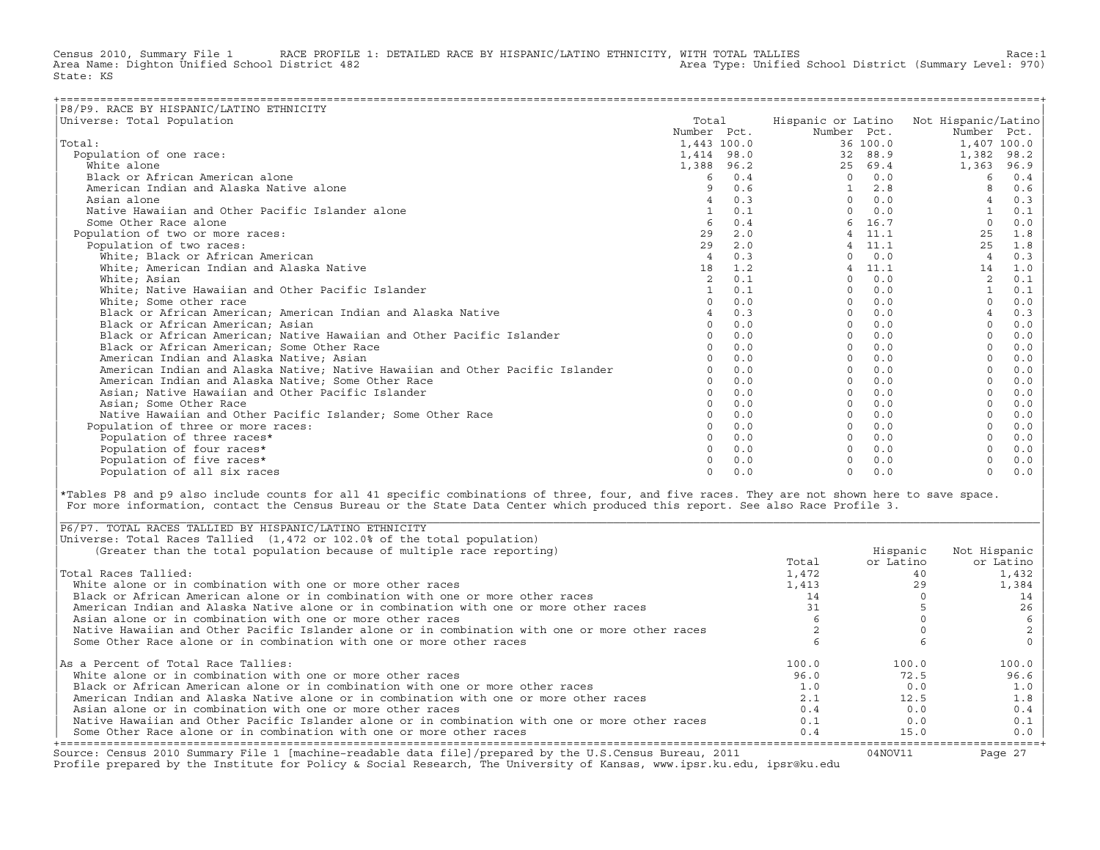Census 2010, Summary File 1 RACE PROFILE 1: DETAILED RACE BY HISPANIC/LATINO ETHNICITY, WITH TOTAL TALLIES Race:1<br>Area Name: Dighton Unified School District 482 Area Type: Unified School District (Summary Level: 970) State: KS

| P8/P9. RACE BY HISPANIC/LATINO ETHNICITY                                      |                |     |              |          |                                        |       |
|-------------------------------------------------------------------------------|----------------|-----|--------------|----------|----------------------------------------|-------|
| Universe: Total Population                                                    | Total          |     |              |          | Hispanic or Latino Not Hispanic/Latino |       |
|                                                                               | Number Pct.    |     | Number Pct.  |          | Number Pct.                            |       |
| Total:                                                                        | 1,443 100.0    |     |              | 36 100.0 | 1,407 100.0                            |       |
| Population of one race:                                                       | 1,414 98.0     |     | 32           | 88.9     | 1,382                                  | 98.2  |
| White alone                                                                   | 1,388 96.2     |     | 25           | 69.4     | 1,363                                  | 96.9  |
| Black or African American alone                                               | 6              | 0.4 | $\Omega$     | 0.0      | 6                                      | 0.4   |
| American Indian and Alaska Native alone                                       | 9              | 0.6 | $\mathbf{1}$ | 2.8      |                                        | 0.6   |
| Asian alone                                                                   | $\overline{4}$ | 0.3 | $\Omega$     | 0.0      |                                        | 0.3   |
| Native Hawaiian and Other Pacific Islander alone                              |                | 0.1 | $\cap$       | 0.0      |                                        | $0.1$ |
| Some Other Race alone                                                         | 6              | 0.4 |              | 16.7     | $\Omega$                               | 0.0   |
| Population of two or more races:                                              | 29             | 2.0 |              | 4 11.1   | 25                                     | 1.8   |
| Population of two races:                                                      | 29             | 2.0 |              | $4$ 11.1 | 25                                     | 1.8   |
| White; Black or African American                                              | $\overline{4}$ | 0.3 | $\Omega$     | 0.0      | $\overline{4}$                         | 0.3   |
| White; American Indian and Alaska Native                                      | 18             | 1.2 |              | 11.1     | 14                                     | 1.0   |
| White; Asian                                                                  | $\overline{2}$ | 0.1 | <sup>n</sup> | 0.0      | $\overline{c}$                         | 0.1   |
| White; Native Hawaiian and Other Pacific Islander                             |                | 0.1 | $\Omega$     | 0.0      |                                        | $0.1$ |
| White; Some other race                                                        | $\Omega$       | 0.0 | $\Omega$     | 0.0      |                                        | 0.0   |
| Black or African American; American Indian and Alaska Native                  | $\overline{4}$ | 0.3 | $\Omega$     | 0.0      |                                        | 0.3   |
| Black or African American; Asian                                              | $\Omega$       | 0.0 | $\Omega$     | 0.0      | $\Omega$                               | 0.0   |
| Black or African American: Native Hawaiian and Other Pacific Islander         |                | 0.0 | $\Omega$     | 0.0      |                                        | 0.0   |
| Black or African American; Some Other Race                                    |                | 0.0 | $\Omega$     | 0.0      |                                        | 0.0   |
| American Indian and Alaska Native; Asian                                      |                | 0.0 | $\Omega$     | 0.0      |                                        | 0.0   |
| American Indian and Alaska Native; Native Hawaiian and Other Pacific Islander |                | 0.0 | $\Omega$     | 0.0      |                                        | 0.0   |
| American Indian and Alaska Native; Some Other Race                            | $\Omega$       | 0.0 | $\cap$       | 0.0      |                                        | 0.0   |
| Asian; Native Hawaiian and Other Pacific Islander                             | $\cap$         | 0.0 |              | 0.0      |                                        | 0.0   |
| Asian; Some Other Race                                                        |                | 0.0 |              | 0.0      |                                        | 0.0   |
| Native Hawaiian and Other Pacific Islander; Some Other Race                   |                | 0.0 |              | 0.0      |                                        | 0.0   |
| Population of three or more races:                                            |                | 0.0 |              | 0.0      |                                        | 0.0   |
| Population of three races*                                                    | $\Omega$       | 0.0 |              | 0.0      |                                        | 0.0   |
| Population of four races*                                                     |                | 0.0 |              | 0.0      |                                        | 0.0   |
| Population of five races*                                                     |                | 0.0 |              | 0.0      |                                        | 0.0   |
| Population of all six races                                                   | $\Omega$       | 0.0 | $\Omega$     | 0.0      | $\Omega$                               | 0.0   |

|\*Tables P8 and p9 also include counts for all 41 specific combinations of three, four, and five races. They are not shown here to save space. | For more information, contact the Census Bureau or the State Data Center which produced this report. See also Race Profile 3.

| |

|\_\_\_\_\_\_\_\_\_\_\_\_\_\_\_\_\_\_\_\_\_\_\_\_\_\_\_\_\_\_\_\_\_\_\_\_\_\_\_\_\_\_\_\_\_\_\_\_\_\_\_\_\_\_\_\_\_\_\_\_\_\_\_\_\_\_\_\_\_\_\_\_\_\_\_\_\_\_\_\_\_\_\_\_\_\_\_\_\_\_\_\_\_\_\_\_\_\_\_\_\_\_\_\_\_\_\_\_\_\_\_\_\_\_\_\_\_\_\_\_\_\_\_\_\_\_\_\_\_\_\_\_\_\_\_\_\_\_\_\_\_\_\_\_\_\_\_|

| Source: Census 2010 Summary File 1 [machine-readable data file]/prepared by the U.S.Census Bureau, 2011<br>Profile prepared by the Institute for Policy & Social Research, The University of Kansas, www.ipsr.ku.edu, ipsr@ku.edu |       | 04NOV11   | Page 27      |
|-----------------------------------------------------------------------------------------------------------------------------------------------------------------------------------------------------------------------------------|-------|-----------|--------------|
| Some Other Race alone or in combination with one or more other races                                                                                                                                                              | 0.4   | 15.0      | $0.0$        |
| Native Hawaiian and Other Pacific Islander alone or in combination with one or more other races                                                                                                                                   | 0.1   | 0.0       | 0.1          |
| Asian alone or in combination with one or more other races                                                                                                                                                                        | 0.4   | 0.0       | 0.4          |
| American Indian and Alaska Native alone or in combination with one or more other races                                                                                                                                            | 2.1   | 12.5      | 1.8          |
| Black or African American alone or in combination with one or more other races                                                                                                                                                    | 1.0   | 0.0       | 1.0          |
| White alone or in combination with one or more other races                                                                                                                                                                        | 96.0  | 72.5      | 96.6         |
| As a Percent of Total Race Tallies:                                                                                                                                                                                               | 100.0 | 100.0     | 100.0        |
| Some Other Race alone or in combination with one or more other races                                                                                                                                                              |       |           |              |
| Native Hawaiian and Other Pacific Islander alone or in combination with one or more other races                                                                                                                                   |       |           |              |
| Asian alone or in combination with one or more other races                                                                                                                                                                        |       |           |              |
| American Indian and Alaska Native alone or in combination with one or more other races                                                                                                                                            |       |           | 26           |
| Black or African American alone or in combination with one or more other races                                                                                                                                                    | 14    |           | 14           |
| White alone or in combination with one or more other races                                                                                                                                                                        | 1,413 | 29        | 1,384        |
| Total Races Tallied:                                                                                                                                                                                                              | 1,472 | 40        | 1,432        |
|                                                                                                                                                                                                                                   | Total | or Latino | or Latino    |
| (Greater than the total population because of multiple race reporting)                                                                                                                                                            |       | Hispanic  | Not Hispanic |
| Universe: Total Races Tallied (1,472 or 102.0% of the total population)                                                                                                                                                           |       |           |              |
| P6/P7. TOTAL RACES TALLIED BY HISPANIC/LATINO ETHNICITY                                                                                                                                                                           |       |           |              |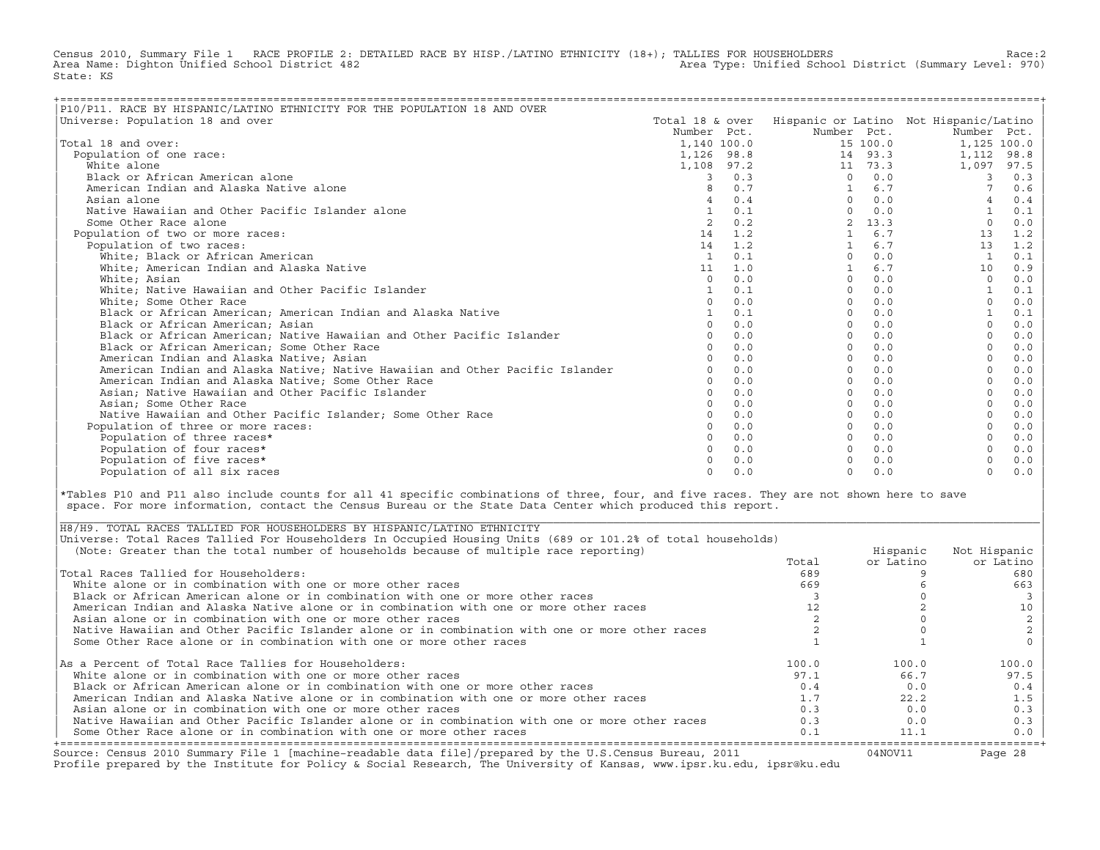Census 2010, Summary File 1 RACE PROFILE 2: DETAILED RACE BY HISP./LATINO ETHNICITY (18+); TALLIES FOR HOUSEHOLDERS Race:2<br>Area Name: Dighton Unified School District 482 Area Type: Unified School District (Summary Level: 970) State: KS

| P10/P11. RACE BY HISPANIC/LATINO ETHNICITY FOR THE POPULATION 18 AND OVER     |                 |     |             |          |                                        |       |
|-------------------------------------------------------------------------------|-----------------|-----|-------------|----------|----------------------------------------|-------|
| Universe: Population 18 and over                                              | Total 18 & over |     |             |          | Hispanic or Latino Not Hispanic/Latino |       |
|                                                                               | Number Pct.     |     | Number Pct. |          | Number Pct.                            |       |
| Total 18 and over:                                                            | 1,140 100.0     |     |             | 15 100.0 | 1,125 100.0                            |       |
| Population of one race:                                                       | 1,126 98.8      |     |             | 14 93.3  | 1,112                                  | 98.8  |
| White alone                                                                   | 1,108 97.2      |     |             | 11 73.3  | 1,097                                  | 97.5  |
| Black or African American alone                                               | 3               | 0.3 | $\Omega$    | 0.0      | 3                                      | 0.3   |
| American Indian and Alaska Native alone                                       |                 | 0.7 |             | 6.7      |                                        | 0.6   |
| Asian alone                                                                   |                 | 0.4 | $\Omega$    | 0.0      |                                        | 0.4   |
| Native Hawaiian and Other Pacific Islander alone                              |                 | 0.1 | $\Omega$    | 0.0      |                                        | 0.1   |
| Some Other Race alone                                                         | 2               | 0.2 |             | 13.3     | $\Omega$                               | 0.0   |
| Population of two or more races:                                              | 14              | 1.2 |             | 6.7      | 13                                     | 1.2   |
| Population of two races:                                                      | 14              | 1.2 |             | 6.7      | 13                                     | 1.2   |
| White; Black or African American                                              | <sup>1</sup>    | 0.1 | $\Omega$    | 0.0      |                                        | 0.1   |
| White; American Indian and Alaska Native                                      | 11              | 1.0 |             | 6.7      | 10                                     | 0.9   |
| White; Asian                                                                  | $\Omega$        | 0.0 | $\Omega$    | 0.0      | $\Omega$                               | 0.0   |
| White; Native Hawaiian and Other Pacific Islander                             | $\mathbf{1}$    | 0.1 | $\Omega$    | 0.0      |                                        | 0.1   |
| White; Some Other Race                                                        |                 | 0.0 | $\Omega$    | 0.0      |                                        | 0.0   |
| Black or African American; American Indian and Alaska Native                  |                 | 0.1 | $\Omega$    | 0.0      |                                        | 0.1   |
| Black or African American; Asian                                              |                 | 0.0 | $\Omega$    | 0.0      |                                        | 0.0   |
| Black or African American; Native Hawaiian and Other Pacific Islander         |                 | 0.0 | $\Omega$    | 0.0      |                                        | 0.0   |
| Black or African American; Some Other Race                                    |                 | 0.0 | $\Omega$    | 0.0      |                                        | 0.0   |
| American Indian and Alaska Native; Asian                                      |                 | 0.0 | $\Omega$    | 0.0      |                                        | 0.0   |
| American Indian and Alaska Native; Native Hawaiian and Other Pacific Islander |                 | 0.0 | $\Omega$    | 0.0      |                                        | 0.0   |
| American Indian and Alaska Native; Some Other Race                            |                 | 0.0 | $\Omega$    | 0.0      |                                        | 0.0   |
| Asian; Native Hawaiian and Other Pacific Islander                             | $\cap$          | 0.0 | $\Omega$    | 0.0      | $\Omega$                               | 0.0   |
| Asian; Some Other Race                                                        |                 | 0.0 | $\Omega$    | 0.0      |                                        | 0.0   |
| Native Hawaiian and Other Pacific Islander: Some Other Race                   |                 | 0.0 | $\Omega$    | 0.0      |                                        | 0.0   |
| Population of three or more races:                                            |                 | 0.0 | $\Omega$    | 0.0      |                                        | 0.0   |
| Population of three races*                                                    |                 | 0.0 | $\Omega$    | 0.0      |                                        | 0.0   |
| Population of four races*                                                     |                 | 0.0 | $\Omega$    | 0.0      |                                        | 0.0   |
| Population of five races*                                                     |                 | 0.0 |             | 0.0      |                                        | $0.0$ |
| Population of all six races                                                   |                 | 0.0 | $\Omega$    | 0.0      | $\Omega$                               | 0.0   |

|\*Tables P10 and P11 also include counts for all 41 specific combinations of three, four, and five races. They are not shown here to save | space. For more information, contact the Census Bureau or the State Data Center which produced this report.

| Source: Census 2010 Summary File 1 [machine-readable data file]/prepared by the U.S.Census Bureau, 2011<br>Profile prepared by the Institute for Policy & Social Research, The University of Kansas, www.ipsr.ku.edu, ipsr@ku.edu |       | 04NOV11   | Page 28      |
|-----------------------------------------------------------------------------------------------------------------------------------------------------------------------------------------------------------------------------------|-------|-----------|--------------|
| Some Other Race alone or in combination with one or more other races                                                                                                                                                              | 0.1   | 11.1      | 0.0          |
| Native Hawaiian and Other Pacific Islander alone or in combination with one or more other races                                                                                                                                   | 0.3   | 0.0       | 0.3          |
| Asian alone or in combination with one or more other races                                                                                                                                                                        | 0.3   | 0.0       | 0.3          |
| American Indian and Alaska Native alone or in combination with one or more other races                                                                                                                                            | 1.7   | 22.2      | 1.5          |
| Black or African American alone or in combination with one or more other races                                                                                                                                                    | 0.4   | 0.0       | 0.4          |
| White alone or in combination with one or more other races                                                                                                                                                                        | 97.1  | 66.7      | 97.5         |
| As a Percent of Total Race Tallies for Householders:                                                                                                                                                                              | 100.0 | 100.0     | 100.0        |
| Some Other Race alone or in combination with one or more other races                                                                                                                                                              |       |           |              |
| Native Hawaiian and Other Pacific Islander alone or in combination with one or more other races                                                                                                                                   |       |           |              |
| Asian alone or in combination with one or more other races                                                                                                                                                                        |       |           |              |
| American Indian and Alaska Native alone or in combination with one or more other races                                                                                                                                            |       |           |              |
| Black or African American alone or in combination with one or more other races                                                                                                                                                    |       |           |              |
| White alone or in combination with one or more other races                                                                                                                                                                        | 669   |           | 663          |
| Total Races Tallied for Householders:                                                                                                                                                                                             | 689   |           | 680          |
|                                                                                                                                                                                                                                   | Total | or Latino | or Latino    |
| (Note: Greater than the total number of households because of multiple race reporting)                                                                                                                                            |       | Hispanic  | Not Hispanic |
| Universe: Total Races Tallied For Householders In Occupied Housing Units (689 or 101.2% of total households)                                                                                                                      |       |           |              |
| H8/H9. TOTAL RACES TALLIED FOR HOUSEHOLDERS BY HISPANIC/LATINO ETHNICITY                                                                                                                                                          |       |           |              |

| |

|\_\_\_\_\_\_\_\_\_\_\_\_\_\_\_\_\_\_\_\_\_\_\_\_\_\_\_\_\_\_\_\_\_\_\_\_\_\_\_\_\_\_\_\_\_\_\_\_\_\_\_\_\_\_\_\_\_\_\_\_\_\_\_\_\_\_\_\_\_\_\_\_\_\_\_\_\_\_\_\_\_\_\_\_\_\_\_\_\_\_\_\_\_\_\_\_\_\_\_\_\_\_\_\_\_\_\_\_\_\_\_\_\_\_\_\_\_\_\_\_\_\_\_\_\_\_\_\_\_\_\_\_\_\_\_\_\_\_\_\_\_\_\_\_\_\_\_|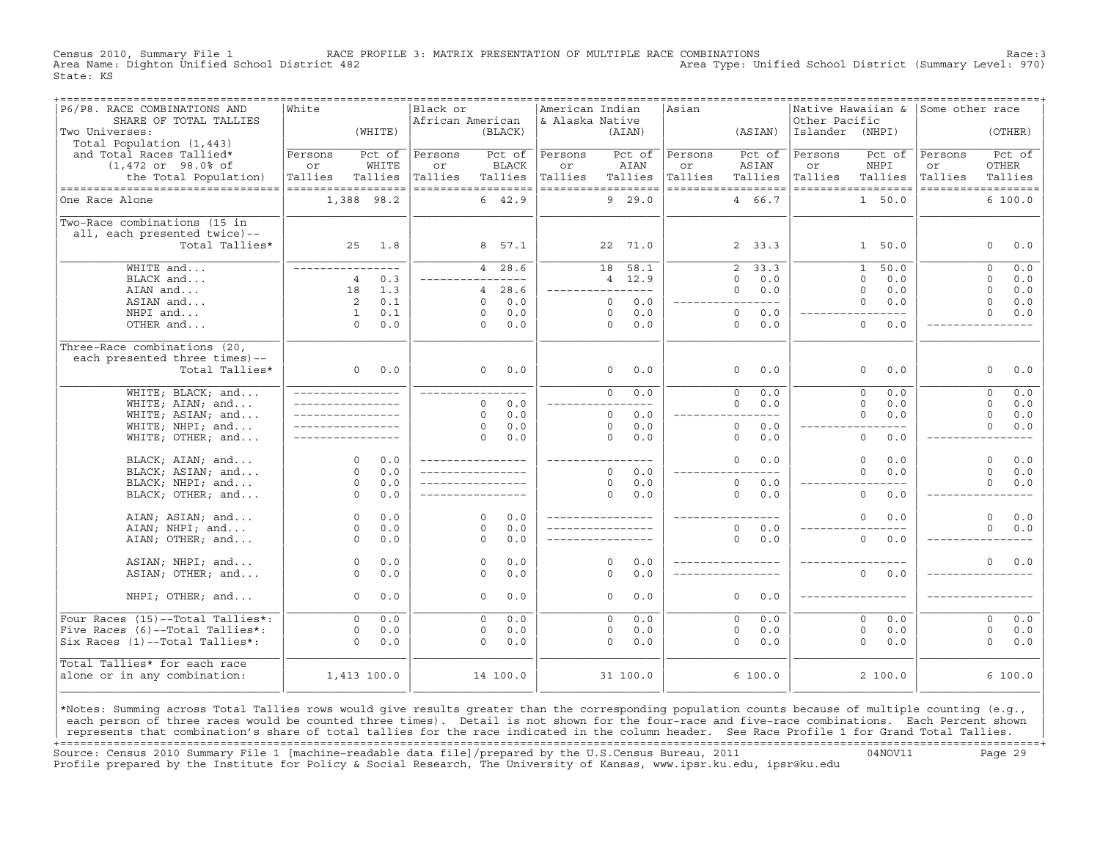Census 2010, Summary File 1 RACE PROFILE 3: MATRIX PRESENTATION OF MULTIPLE RACE COMBINATIONS Race:3 Area Type: Unified School District (Summary Level: 970) State: KS

| P6/P8. RACE COMBINATIONS AND<br>SHARE OF TOTAL TALLIES | White                            |         | Black or<br>African American |                   | American Indian<br>& Alaska Native |                      |          | Asian   | ---------------------------------- | Other Pacific   | Native Hawaiian &              | Some other race |                               |
|--------------------------------------------------------|----------------------------------|---------|------------------------------|-------------------|------------------------------------|----------------------|----------|---------|------------------------------------|-----------------|--------------------------------|-----------------|-------------------------------|
| Two Universes:<br>Total Population (1,443)             |                                  | (WHITE) |                              | (BLACK)           |                                    |                      | (AIAN)   |         | (ASIAN)                            | Islander (NHPI) |                                |                 | (OTHER)                       |
| and Total Races Tallied*                               | Persons                          | Pct of  | Persons                      | Pct of            | Persons                            |                      | Pct of   | Persons | Pct of                             | Persons         | Pct of                         | Persons         | Pct of                        |
| $(1, 472 \text{ or } 98.0$ % of                        | or                               | WHITE   | or                           | <b>BLACK</b>      | or                                 |                      | AIAN     | or      | ASIAN                              | or              | NHPI                           | or              | <b>OTHER</b>                  |
| the Total Population)                                  | Tallies                          | Tallies | Tallies                      | Tallies           | Tallies                            |                      | Tallies  | Tallies | Tallies                            | Tallies         | Tallies                        | Tallies         | Tallies                       |
| ----------------------------------<br>One Race Alone   | ------------------<br>1,388 98.2 |         | ------------------           | 6, 42.9           | ------------------                 |                      | 9 29.0   |         | ------------------<br>4 66.7       |                 | ------------------<br>1, 50, 0 |                 | ------------------<br>6 100.0 |
|                                                        |                                  |         |                              |                   |                                    |                      |          |         |                                    |                 |                                |                 |                               |
| Two-Race combinations (15 in                           |                                  |         |                              |                   |                                    |                      |          |         |                                    |                 |                                |                 |                               |
| all, each presented twice)--                           |                                  |         |                              |                   |                                    |                      |          |         |                                    |                 |                                |                 |                               |
| Total Tallies*                                         | 25                               | 1.8     |                              | 8 57.1            |                                    |                      | 22 71.0  |         | 2, 33.3                            |                 | 1, 50.0                        |                 | $\Omega$<br>0.0               |
| WHITE and                                              | ____________                     |         |                              | 4 28.6            |                                    | 18                   | 58.1     |         | 33.3<br>2                          |                 | 50.0<br>$\mathbf{1}$           |                 | 0.0<br>$\Omega$               |
| BLACK and                                              | $\overline{4}$                   | 0.3     |                              |                   |                                    |                      | 4 12.9   |         | $\Omega$<br>0.0                    |                 | $\Omega$<br>0.0                |                 | $\Omega$<br>0.0               |
| AIAN and                                               | 18                               | 1.3     |                              | 28.6<br>4         | _______________                    |                      |          |         | $\Omega$<br>0.0                    |                 | $\Omega$<br>0.0                |                 | $\Omega$<br>0.0               |
| ASIAN and                                              | 2                                | 0.1     |                              | 0.0<br>$\Omega$   |                                    | $\Omega$             | 0.0      |         | $---$                              |                 | $\Omega$<br>0.0                |                 | $\Omega$<br>0.0               |
| NHPI and                                               | $\mathbf{1}$<br>$\Omega$         | 0.1     |                              | 0.0<br>$\Omega$   |                                    | $\Omega$<br>$\Omega$ | 0.0      |         | $\circ$<br>0.0                     |                 | $- - - -$                      |                 | $\Omega$<br>0.0               |
| OTHER and                                              |                                  | 0.0     |                              | 0.0<br>$\Omega$   |                                    |                      | 0.0      |         | $\Omega$<br>0.0                    |                 | $\Omega$<br>0.0                |                 |                               |
| Three-Race combinations (20,                           |                                  |         |                              |                   |                                    |                      |          |         |                                    |                 |                                |                 |                               |
| each presented three times)--                          |                                  |         |                              |                   |                                    |                      |          |         |                                    |                 |                                |                 |                               |
| Total Tallies*                                         | 0                                | 0.0     |                              | 0.0<br>$\Omega$   |                                    | $\Omega$             | 0.0      |         | $\Omega$<br>0.0                    |                 | $\Omega$<br>0.0                |                 | $\Omega$<br>0.0               |
| WHITE; BLACK; and                                      | ________________                 |         |                              |                   |                                    | $\Omega$             | 0.0      |         | 0.0<br>$\Omega$                    |                 | $\Omega$<br>0.0                |                 | 0.0<br>$\Omega$               |
| WHITE; AIAN; and                                       | _________________                |         |                              | 0.0<br>$\Omega$   |                                    |                      | $---$    |         | $\Omega$<br>0.0                    |                 | $\Omega$<br>0.0                |                 | $\Omega$<br>0.0               |
| WHITE; ASIAN; and                                      | _________________                |         |                              | 0.0<br>$\Omega$   |                                    | $\Omega$             | 0.0      |         | $---$                              |                 | $\Omega$<br>0.0                |                 | $\Omega$<br>0.0               |
| WHITE; NHPI; and                                       |                                  |         |                              | 0.0<br>$\circ$    |                                    | $\circ$              | 0.0      |         | $\circ$<br>0.0                     |                 | $---$                          |                 | $\Omega$<br>0.0               |
| WHITE; OTHER; and                                      |                                  |         |                              | 0.0<br>$\Omega$   |                                    | $\Omega$             | 0.0      |         | $\circ$<br>0.0                     |                 | $\mathbf{0}$<br>0.0            |                 |                               |
| BLACK; AIAN; and                                       | $\Omega$                         | 0.0     |                              | _________________ | ____________                       |                      |          |         | $\Omega$<br>0.0                    |                 | 0.0<br>$\Omega$                |                 | $\Omega$<br>$0.0$             |
| BLACK; ASIAN; and                                      | $\Omega$                         | 0.0     |                              |                   |                                    | $\Omega$             | 0.0      |         | $- - -$                            |                 | $\Omega$<br>0.0                |                 | $\Omega$<br>0.0               |
| BLACK; NHPI; and                                       | $\Omega$                         | 0.0     |                              |                   |                                    | $\Omega$             | 0.0      |         | $\circ$<br>0.0                     |                 |                                |                 | $\Omega$<br>0.0               |
| BLACK; OTHER; and                                      | $\Omega$                         | 0.0     |                              | _________________ |                                    | $\Omega$             | 0.0      |         | $\Omega$<br>0.0                    |                 | $\Omega$<br>0.0                |                 |                               |
| AIAN; ASIAN; and                                       | $\Omega$                         | 0.0     |                              | $\Omega$<br>0.0   |                                    |                      |          |         |                                    |                 | 0.0<br>$\Omega$                |                 | $\Omega$<br>0.0               |
| AIAN; NHPI; and                                        | $\Omega$                         | 0.0     |                              | $\Omega$<br>0.0   |                                    |                      |          |         | $\circ$<br>0.0                     |                 |                                |                 | $\Omega$<br>0.0               |
| AIAN; OTHER; and                                       | $\Omega$                         | 0.0     |                              | 0.0<br>$\Omega$   |                                    |                      |          |         | $\Omega$<br>0.0                    |                 | $\Omega$<br>0.0                |                 |                               |
| ASIAN; NHPI; and                                       | $\Omega$                         | 0.0     |                              | 0.0<br>$\Omega$   |                                    | $\Omega$             | 0.0      |         |                                    |                 |                                |                 | $\Omega$<br>0.0               |
| ASIAN; OTHER; and                                      | $\Omega$                         | 0.0     |                              | 0.0<br>$\Omega$   |                                    | $\Omega$             | 0.0      |         |                                    |                 | $\Omega$<br>0.0                |                 |                               |
|                                                        |                                  |         |                              |                   |                                    |                      |          |         |                                    |                 |                                |                 |                               |
| NHPI; OTHER; and                                       | $\Omega$                         | 0.0     |                              | 0.0<br>$\Omega$   |                                    | $\Omega$             | 0.0      |         | $\Omega$<br>0.0                    |                 |                                |                 |                               |
| Four Races (15)--Total Tallies*:                       | $\Omega$                         | 0.0     |                              | 0.0<br>$\Omega$   |                                    | $\Omega$             | 0.0      |         | $\Omega$<br>0.0                    |                 | $\Omega$<br>0.0                |                 | 0.0<br>$\Omega$               |
| Five Races (6)--Total Tallies*:                        | $\mathbf 0$                      | 0.0     |                              | 0.0<br>$\circ$    |                                    | $\circ$              | 0.0      |         | $\circ$<br>0.0                     |                 | $\mathbf 0$<br>0.0             |                 | $\circ$<br>0.0                |
| Six Races (1)--Total Tallies*:                         | $\Omega$                         | 0.0     |                              | 0.0<br>$\Omega$   |                                    | $\Omega$             | 0.0      |         | $\Omega$<br>0.0                    |                 | $\Omega$<br>0.0                |                 | $\Omega$<br>0.0               |
| Total Tallies* for each race                           |                                  |         |                              |                   |                                    |                      |          |         |                                    |                 |                                |                 |                               |
| alone or in any combination:                           | 1,413 100.0                      |         |                              | 14 100.0          |                                    |                      | 31 100.0 |         | 6100.0                             |                 | 2100.0                         |                 | 6100.0                        |
|                                                        |                                  |         |                              |                   |                                    |                      |          |         |                                    |                 |                                |                 |                               |

|\*Notes: Summing across Total Tallies rows would give results greater than the corresponding population counts because of multiple counting (e.g., | each person of three races would be counted three times). Detail is not shown for the four-race and five-race combinations. Each Percent shown represents that combination's share of total tallies for the race indicated in the column header. See Race Profile 1 for Grand Total Tallies. +===================================================================================================================================================+ Source: Census 2010 Summary File 1 [machine−readable data file]/prepared by the U.S.Census Bureau, 2011 04NOV11 Page 29 Profile prepared by the Institute for Policy & Social Research, The University of Kansas, www.ipsr.ku.edu, ipsr@ku.edu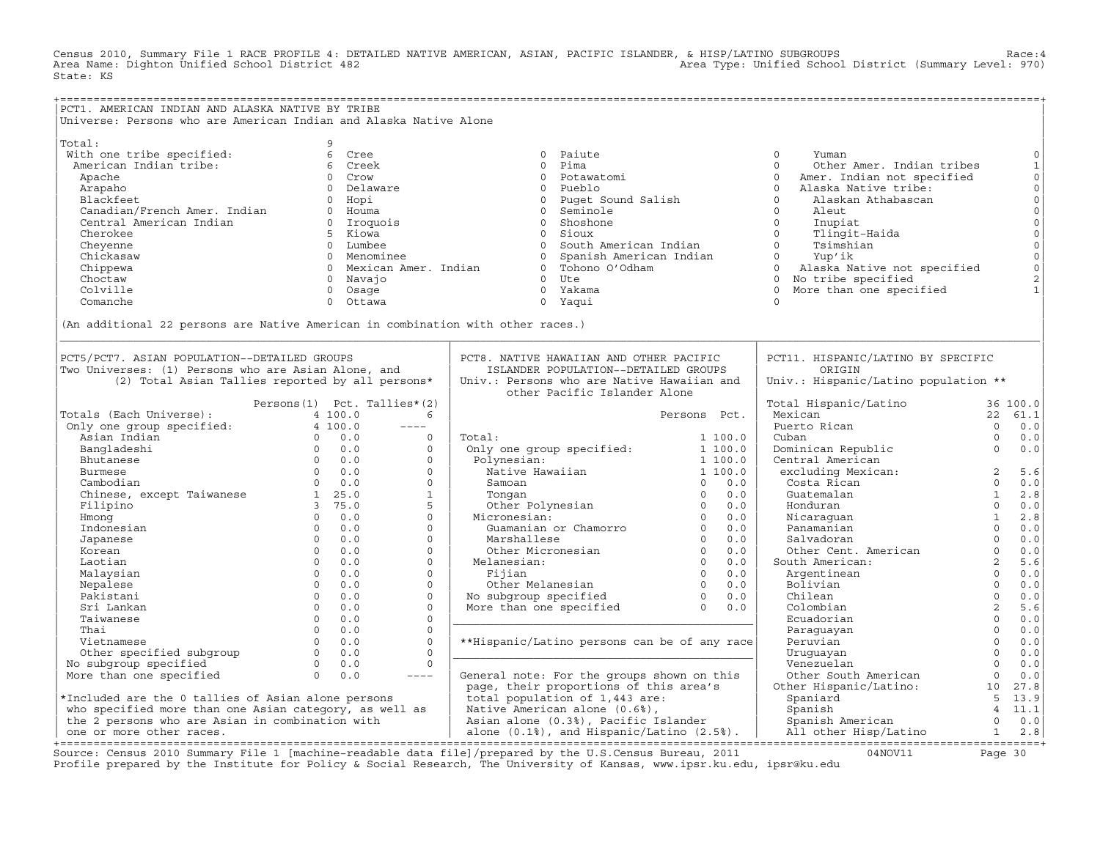Census 2010, Summary File 1 RACE PROFILE 4: DETAILED NATIVE AMERICAN, ASIAN, PACIFIC ISLANDER, & HISP/LATINO SUBGROUPS<br>Area Name: Dighton Unified School District 482 State: KS

| PCT1. AMERICAN INDIAN AND ALASKA NATIVE BY TRIBE       |                                                                                 |                                                                                                                                                                                                                                |                       |                                        |                |                     |
|--------------------------------------------------------|---------------------------------------------------------------------------------|--------------------------------------------------------------------------------------------------------------------------------------------------------------------------------------------------------------------------------|-----------------------|----------------------------------------|----------------|---------------------|
|                                                        | Universe: Persons who are American Indian and Alaska Native Alone               |                                                                                                                                                                                                                                |                       |                                        |                |                     |
|                                                        |                                                                                 |                                                                                                                                                                                                                                |                       |                                        |                |                     |
| Total:                                                 | 9                                                                               |                                                                                                                                                                                                                                |                       |                                        |                |                     |
| With one tribe specified:                              | 6 Cree                                                                          | 0 Paiute                                                                                                                                                                                                                       |                       | $\circ$<br>Yuman                       |                | $\mathbf 0$         |
| American Indian tribe:                                 | 6 Creek                                                                         | 0 Pima                                                                                                                                                                                                                         |                       | $\Omega$<br>Other Amer. Indian tribes  |                | $\mathbf 1$         |
| Apache                                                 | 0 Crow                                                                          | 0 Potawatomi                                                                                                                                                                                                                   |                       | $\Omega$<br>Amer. Indian not specified |                | $\mathsf{O}$        |
| Arapaho                                                | 0 Delaware                                                                      | 0 Pueblo                                                                                                                                                                                                                       |                       | $\Omega$<br>Alaska Native tribe:       |                | $\mathsf{O}\xspace$ |
| Blackfeet                                              | 0 Hopi                                                                          | 0 Puget Sound Salish                                                                                                                                                                                                           |                       | $\Omega$<br>Alaskan Athabascan         |                | $\mathsf{O}\xspace$ |
|                                                        |                                                                                 |                                                                                                                                                                                                                                |                       |                                        |                | $\mathsf{O}\xspace$ |
| Canadian/French Amer. Indian                           | 0 Houma                                                                         | 0 Seminole                                                                                                                                                                                                                     |                       | $\circ$<br>Aleut                       |                |                     |
| Central American Indian                                | 0 Iroquois                                                                      | 0 Shoshone                                                                                                                                                                                                                     |                       | $\Omega$<br>Inupiat                    |                | $\mathsf{O}\xspace$ |
| Cherokee                                               | 5 Kiowa                                                                         | 0 Sioux                                                                                                                                                                                                                        |                       | $\Omega$<br>Tlingit-Haida              |                | $\mathsf{O}$        |
| Cheyenne                                               | 0 Lumbee                                                                        | 0 South American Indian                                                                                                                                                                                                        |                       | $\Omega$<br>Tsimshian                  |                | $\mathsf{O}$        |
| Chickasaw                                              | 0 Menominee                                                                     | 0 Spanish American Indian                                                                                                                                                                                                      |                       | $\Omega$<br>Yup'ik                     |                | $\circ$             |
| Chippewa                                               | 0 Mexican Amer. Indian                                                          | 0 Tohono O'Odham                                                                                                                                                                                                               |                       | $\circ$<br>Alaska Native not specified |                | $\circ$             |
| Choctaw                                                | 0 Navajo                                                                        | $0$ Ute                                                                                                                                                                                                                        |                       | 0 No tribe specified                   |                | $\sqrt{2}$          |
| Colville                                               | 0 Osaqe                                                                         | 0 Yakama                                                                                                                                                                                                                       |                       | More than one specified<br>$\Omega$    |                |                     |
| Comanche                                               | Ottawa<br>$\Omega$                                                              | 0 Yaqui                                                                                                                                                                                                                        |                       | $\Omega$                               |                |                     |
|                                                        |                                                                                 |                                                                                                                                                                                                                                |                       |                                        |                |                     |
|                                                        | (An additional 22 persons are Native American in combination with other races.) |                                                                                                                                                                                                                                |                       |                                        |                |                     |
|                                                        |                                                                                 |                                                                                                                                                                                                                                |                       |                                        |                |                     |
|                                                        |                                                                                 |                                                                                                                                                                                                                                |                       |                                        |                |                     |
| PCT5/PCT7. ASIAN POPULATION--DETAILED GROUPS           |                                                                                 | PCT8. NATIVE HAWAIIAN AND OTHER PACIFIC                                                                                                                                                                                        |                       | PCT11. HISPANIC/LATINO BY SPECIFIC     |                |                     |
| Two Universes: (1) Persons who are Asian Alone, and    |                                                                                 | ISLANDER POPULATION--DETAILED GROUPS                                                                                                                                                                                           |                       | ORIGIN                                 |                |                     |
|                                                        |                                                                                 |                                                                                                                                                                                                                                |                       |                                        |                |                     |
|                                                        | (2) Total Asian Tallies reported by all persons*                                | Univ.: Persons who are Native Hawaiian and                                                                                                                                                                                     |                       | Univ.: Hispanic/Latino population **   |                |                     |
|                                                        |                                                                                 | other Pacific Islander Alone                                                                                                                                                                                                   |                       |                                        |                |                     |
|                                                        | Persons(1) Pct. Tallies*(2)                                                     |                                                                                                                                                                                                                                |                       | Total Hispanic/Latino                  |                | 36 100.0            |
| Totals (Each Universe):                                | 4 100.0<br>6                                                                    |                                                                                                                                                                                                                                | Persons Pct.          | Mexican                                |                | 22 61.1             |
| Only one group specified:                              | $4\ 100.0$<br>$\qquad \qquad - - - -$                                           |                                                                                                                                                                                                                                |                       | Puerto Rican                           | $\Omega$       | 0.0                 |
| Asian Indian                                           | $0 \t 0.0$<br>$\circ$                                                           | Total:                                                                                                                                                                                                                         | 1 100.0               | Cuban                                  | $\Omega$       | 0.0                 |
| Bangladeshi                                            | $0 \t 0.0$<br>$\circ$                                                           | Only one group specified:                                                                                                                                                                                                      | 1 100.0               | Dominican Republic                     | $\Omega$       | 0.0                 |
| Bhutanese                                              | $0 \qquad 0.0$<br>$\Omega$                                                      | Polynesian:                                                                                                                                                                                                                    | 1 100.0               | Central American                       |                |                     |
| <b>Burmese</b>                                         | $\begin{matrix}0&0.0\\0&0.0\end{matrix}$<br>$\Omega$                            | Native Hawaiian                                                                                                                                                                                                                | 1 100.0               | excluding Mexican:                     | 2              | 5.6                 |
| Cambodian                                              | $\Omega$                                                                        | Samoan                                                                                                                                                                                                                         | $0 \t 0.0$            | Costa Rican                            | $\Omega$       | 0.0                 |
| Chinese, except Taiwanese 1 25.0                       | $\mathbf{1}$                                                                    | Tonqan                                                                                                                                                                                                                         | 0.0<br>$\overline{0}$ | Guatemalan                             | $\mathbf{1}$   | 2.8                 |
| Filipino                                               | 3, 75.0<br>5                                                                    | Other Polynesian 0                                                                                                                                                                                                             | 0.0                   | Honduran                               | $\Omega$       | 0.0                 |
| Hmong                                                  | $\circ$<br>$0 \t 0.0$                                                           | Micronesian:                                                                                                                                                                                                                   | $\overline{0}$<br>0.0 | Nicaraquan                             | $\mathbf{1}$   | 2.8                 |
| Indonesian                                             | $\Omega$<br>0.0<br>$\circ$                                                      | .cronesian: 0<br>Guamanian or Chamorro 0 0                                                                                                                                                                                     | 0.0                   | Panamanian                             | $\Omega$       | 0.0                 |
| Japanese                                               | $\Omega$<br>$\Omega$<br>0.0                                                     | Marshallese                                                                                                                                                                                                                    | $\Omega$<br>0.0       | Salvadoran                             | $\Omega$       | 0.0                 |
| Korean                                                 | $\overline{0}$<br>0.0<br>$\circ$                                                | Other Micronesian                                                                                                                                                                                                              | $\overline{0}$<br>0.0 | Other Cent. American                   | $\Omega$       | 0.0                 |
| Laotian                                                | $\Omega$<br>0.0<br>$\circ$                                                      | Melanesian:                                                                                                                                                                                                                    | $\Omega$<br>0.0       | South American:                        | 2              | 5.6                 |
|                                                        | $\overline{0}$<br>0.0<br>$\circ$                                                | Fijian                                                                                                                                                                                                                         | $\overline{0}$<br>0.0 |                                        | $\Omega$       | 0.0                 |
| Malaysian                                              | $\Omega$                                                                        |                                                                                                                                                                                                                                |                       | Argentinean                            | $\Omega$       |                     |
| Nepalese                                               | 0.0<br>$\circ$                                                                  | Tipliant Mother Melanesian and the Melanesian and the Motor Community of the Melanesian and Motor School of the Melanesian and Melanesian and Melanesian and Melanesian and Melanesian and Melanesian and Melanesian and Melan |                       | Bolivian                               |                | 0.0                 |
| Pakistani                                              | $\Omega$<br>0.0<br>$\Omega$                                                     |                                                                                                                                                                                                                                |                       | Chilean                                | $\Omega$       | 0.0                 |
| Sri Lankan                                             | $\overline{0}$<br>0.0<br>$\mathbf{0}$                                           |                                                                                                                                                                                                                                |                       | Colombian                              | 2              | 5.6                 |
| Taiwanese                                              | $\Omega$<br>0.0<br>$\Omega$                                                     |                                                                                                                                                                                                                                |                       | Ecuadorian                             | $\Omega$       | 0.0                 |
| Thai                                                   | $\Omega$<br>$\circ$<br>0.0                                                      |                                                                                                                                                                                                                                |                       | Paraguayan                             | $\circ$        | 0.0                 |
| Vietnamese                                             | $\Omega$<br>0.0<br>$\circ$                                                      | **Hispanic/Latino persons can be of any race                                                                                                                                                                                   |                       | Peruvian                               | $\circ$        | 0.0                 |
| Other specified subgroup                               | $0 \t 0.0$<br>$\Omega$                                                          |                                                                                                                                                                                                                                |                       | Uruquayan                              | $\Omega$       | 0.0                 |
| No subgroup specified                                  | $\Omega$<br>$0 \qquad 0.0$                                                      |                                                                                                                                                                                                                                |                       | Venezuelan                             | $\Omega$       | 0.0                 |
| More than one specified                                | $0 \t 0.0$<br>$--- - -$                                                         | General note: For the groups shown on this                                                                                                                                                                                     |                       | Other South American                   | $\circ$        | 0.0                 |
|                                                        |                                                                                 | page, their proportions of this area's                                                                                                                                                                                         |                       | Other Hispanic/Latino:                 | 10             | 27.8                |
| *Included are the 0 tallies of Asian alone persons     |                                                                                 | total population of 1,443 are:                                                                                                                                                                                                 |                       | Spaniard                               | $5^{\circ}$    | 13.9                |
| who specified more than one Asian category, as well as |                                                                                 | Native American alone (0.6%),                                                                                                                                                                                                  |                       | Spanish                                | $\overline{4}$ | 11.1                |
| the 2 persons who are Asian in combination with        |                                                                                 | Asian alone (0.3%), Pacific Islander                                                                                                                                                                                           |                       | Spanish American                       | $\Omega$       | 0.0                 |
| one or more other races.                               |                                                                                 | alone $(0.1%)$ , and Hispanic/Latino $(2.5%)$ .                                                                                                                                                                                |                       | All other Hisp/Latino                  |                | $1 \t 2.8$          |
| ----------------                                       |                                                                                 |                                                                                                                                                                                                                                |                       |                                        |                |                     |

+===================================================================================================================================================+Source: Census 2010 Summary File 1 [machine−readable data file]/prepared by the U.S.Census Bureau, 2011 04NOV11 Page 30 Profile prepared by the Institute for Policy & Social Research, The University of Kansas, www.ipsr.ku.edu, ipsr@ku.edu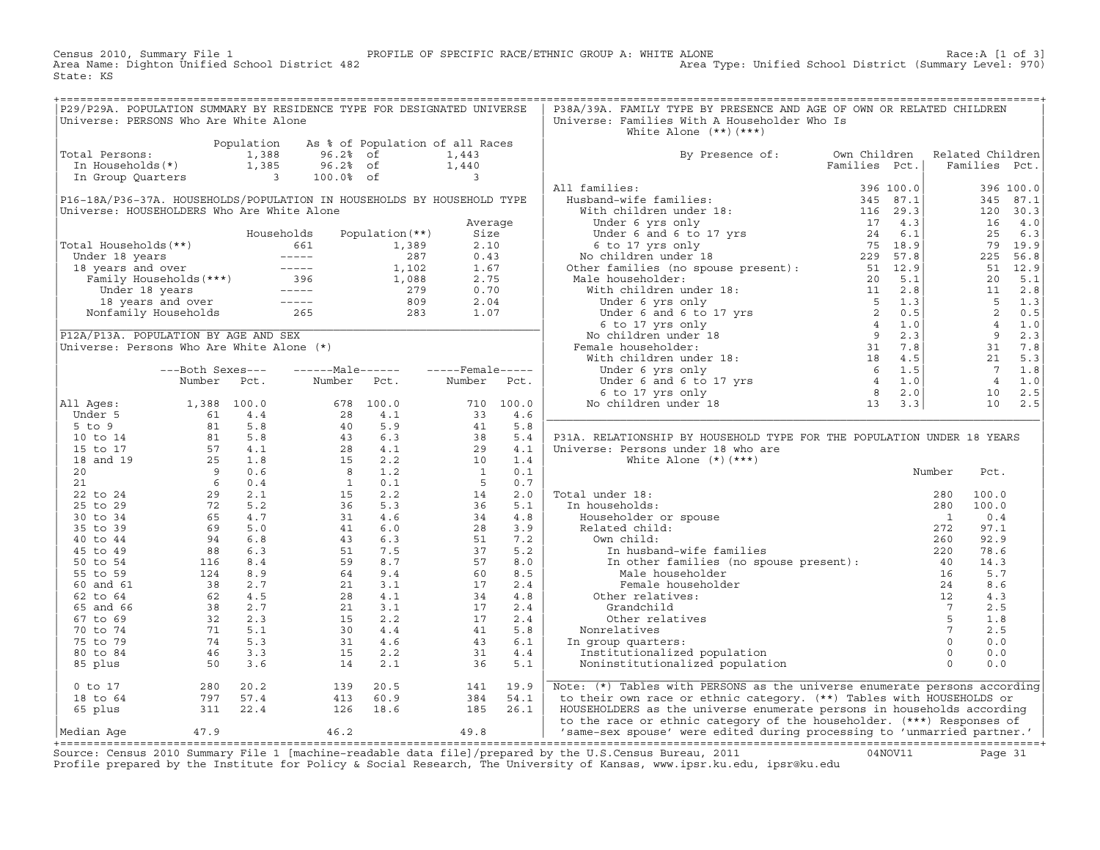Census 2010, Summary File 1 <sup>PROFILE</sup> OF SPECIFIC RACE/ETHNIC GROUP A: WHITE ALONE RACE: A [1 of 3]<br>Area Name: Dighton Unified School District 482 Area Type: Unified School District (Summary Level: 970) Area Type: Unified School District (Summary Level: 970) State: KS

| P29/P29A. POPULATION SUMMARY BY RESIDENCE TYPE FOR DESIGNATED UNIVERSE                                                                                        |  |                                                                                                                     |  | P38A/39A. FAMILY TYPE BY PRESENCE AND AGE OF OWN OR RELATED CHILDREN           |                               |  |  |
|---------------------------------------------------------------------------------------------------------------------------------------------------------------|--|---------------------------------------------------------------------------------------------------------------------|--|--------------------------------------------------------------------------------|-------------------------------|--|--|
| Universe: PERSONS Who Are White Alone                                                                                                                         |  |                                                                                                                     |  | Universe: Families With A Householder Who Is                                   |                               |  |  |
|                                                                                                                                                               |  |                                                                                                                     |  | White Alone $(**)$ $(***)$                                                     |                               |  |  |
|                                                                                                                                                               |  |                                                                                                                     |  |                                                                                |                               |  |  |
| Population As % of Population of all Races<br>Total Persons: 1,388 96.2% of 1,443<br>In Households(*) 1,385 96.2% of 1,440<br>In Group Quarters 3 100.0% of 3 |  |                                                                                                                     |  |                                                                                |                               |  |  |
|                                                                                                                                                               |  |                                                                                                                     |  | By Presence of: Own Children Related Children<br>Families Pct.   Families Pct. |                               |  |  |
|                                                                                                                                                               |  |                                                                                                                     |  |                                                                                | Families Pct.   Families Pct. |  |  |
|                                                                                                                                                               |  |                                                                                                                     |  |                                                                                |                               |  |  |
|                                                                                                                                                               |  |                                                                                                                     |  |                                                                                |                               |  |  |
|                                                                                                                                                               |  |                                                                                                                     |  |                                                                                |                               |  |  |
|                                                                                                                                                               |  |                                                                                                                     |  |                                                                                |                               |  |  |
|                                                                                                                                                               |  |                                                                                                                     |  |                                                                                |                               |  |  |
|                                                                                                                                                               |  |                                                                                                                     |  |                                                                                |                               |  |  |
|                                                                                                                                                               |  |                                                                                                                     |  |                                                                                |                               |  |  |
|                                                                                                                                                               |  |                                                                                                                     |  |                                                                                |                               |  |  |
|                                                                                                                                                               |  |                                                                                                                     |  |                                                                                |                               |  |  |
|                                                                                                                                                               |  |                                                                                                                     |  |                                                                                |                               |  |  |
|                                                                                                                                                               |  |                                                                                                                     |  |                                                                                |                               |  |  |
|                                                                                                                                                               |  |                                                                                                                     |  |                                                                                |                               |  |  |
|                                                                                                                                                               |  |                                                                                                                     |  |                                                                                |                               |  |  |
|                                                                                                                                                               |  |                                                                                                                     |  |                                                                                |                               |  |  |
|                                                                                                                                                               |  |                                                                                                                     |  |                                                                                |                               |  |  |
|                                                                                                                                                               |  |                                                                                                                     |  |                                                                                |                               |  |  |
|                                                                                                                                                               |  |                                                                                                                     |  |                                                                                |                               |  |  |
|                                                                                                                                                               |  |                                                                                                                     |  |                                                                                |                               |  |  |
|                                                                                                                                                               |  |                                                                                                                     |  |                                                                                |                               |  |  |
|                                                                                                                                                               |  |                                                                                                                     |  |                                                                                |                               |  |  |
|                                                                                                                                                               |  |                                                                                                                     |  |                                                                                |                               |  |  |
|                                                                                                                                                               |  |                                                                                                                     |  |                                                                                |                               |  |  |
|                                                                                                                                                               |  |                                                                                                                     |  |                                                                                |                               |  |  |
|                                                                                                                                                               |  |                                                                                                                     |  |                                                                                |                               |  |  |
|                                                                                                                                                               |  |                                                                                                                     |  | P31A. RELATIONSHIP BY HOUSEHOLD TYPE FOR THE POPULATION UNDER 18 YEARS         |                               |  |  |
|                                                                                                                                                               |  |                                                                                                                     |  |                                                                                |                               |  |  |
|                                                                                                                                                               |  |                                                                                                                     |  |                                                                                |                               |  |  |
|                                                                                                                                                               |  |                                                                                                                     |  |                                                                                |                               |  |  |
|                                                                                                                                                               |  |                                                                                                                     |  |                                                                                |                               |  |  |
|                                                                                                                                                               |  |                                                                                                                     |  |                                                                                |                               |  |  |
|                                                                                                                                                               |  |                                                                                                                     |  |                                                                                |                               |  |  |
|                                                                                                                                                               |  |                                                                                                                     |  |                                                                                |                               |  |  |
|                                                                                                                                                               |  |                                                                                                                     |  |                                                                                |                               |  |  |
|                                                                                                                                                               |  |                                                                                                                     |  |                                                                                |                               |  |  |
|                                                                                                                                                               |  |                                                                                                                     |  |                                                                                |                               |  |  |
|                                                                                                                                                               |  |                                                                                                                     |  |                                                                                |                               |  |  |
|                                                                                                                                                               |  |                                                                                                                     |  |                                                                                |                               |  |  |
|                                                                                                                                                               |  |                                                                                                                     |  |                                                                                |                               |  |  |
|                                                                                                                                                               |  |                                                                                                                     |  |                                                                                |                               |  |  |
|                                                                                                                                                               |  |                                                                                                                     |  |                                                                                |                               |  |  |
|                                                                                                                                                               |  |                                                                                                                     |  |                                                                                |                               |  |  |
|                                                                                                                                                               |  |                                                                                                                     |  |                                                                                |                               |  |  |
|                                                                                                                                                               |  |                                                                                                                     |  |                                                                                |                               |  |  |
|                                                                                                                                                               |  |                                                                                                                     |  |                                                                                |                               |  |  |
|                                                                                                                                                               |  |                                                                                                                     |  |                                                                                |                               |  |  |
|                                                                                                                                                               |  |                                                                                                                     |  |                                                                                |                               |  |  |
|                                                                                                                                                               |  |                                                                                                                     |  |                                                                                |                               |  |  |
|                                                                                                                                                               |  |                                                                                                                     |  |                                                                                |                               |  |  |
|                                                                                                                                                               |  | 0 to 17 $280$ 20.2 $139$ 20.5 141 19.9<br>18 to 64 797 57.4 413 60.9 384 54.1<br>65 plus 311 22.4 126 18.6 185 26.1 |  | Note: (*) Tables with PERSONS as the universe enumerate persons according      |                               |  |  |
|                                                                                                                                                               |  |                                                                                                                     |  | to their own race or ethnic category. (**) Tables with HOUSEHOLDS or           |                               |  |  |
|                                                                                                                                                               |  |                                                                                                                     |  | HOUSEHOLDERS as the universe enumerate persons in households according         |                               |  |  |
|                                                                                                                                                               |  |                                                                                                                     |  | to the race or ethnic category of the householder. (***) Responses of          |                               |  |  |
|                                                                                                                                                               |  |                                                                                                                     |  | $\begin{array}{ccc} \text{[Mealian] and $n$} \end{array}$                      |                               |  |  |

|Median Age 47.9 46.2 49.8 | 'same−sex spouse' were edited during processing to 'unmarried partner.' | +===================================================================================================================================================+ Source: Census 2010 Summary File 1 [machine−readable data file]/prepared by the U.S.Census Bureau, 2011 04NOV11 Page 31 Profile prepared by the Institute for Policy & Social Research, The University of Kansas, www.ipsr.ku.edu, ipsr@ku.edu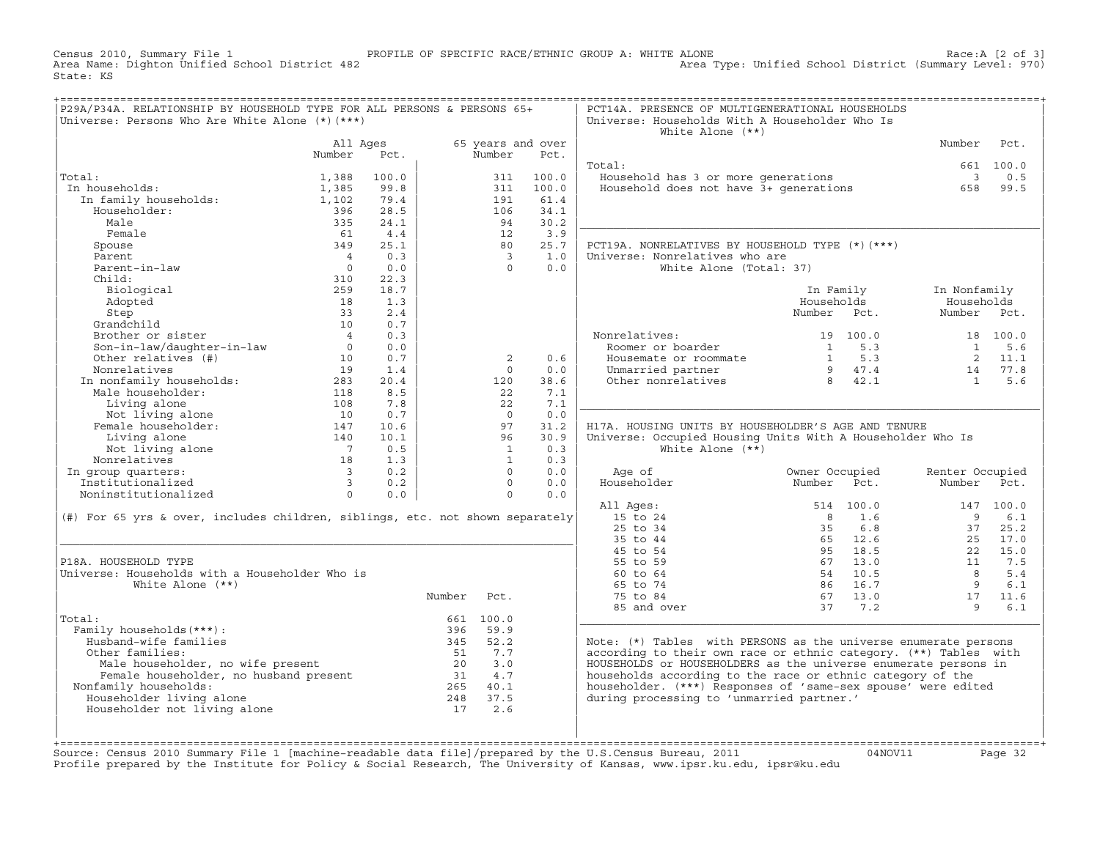Census 2010, Summary File 1 PROFILE OF SPECIFIC RACE/ETHNIC GROUP A: WHITE ALONE Race:A [2 of 3] Area Type: Unified School District (Summary Level: 970) State: KS

| 65 years and over<br>Number<br>All Ages<br>Number<br>Pct.<br>Number<br>Pct.<br>Total:<br>661 100.0<br>Total:<br>Household has 3 or more generations<br>Household does not have 3+ generations<br>$\overline{\mathbf{3}}$<br>1,388<br>100.0<br>311<br>100.0<br>.ai:<br>1 households:<br>In family households:<br>In households:<br>1,385<br>99.8<br>311<br>100.0<br>658<br>79.4<br>191<br>61.4<br>1,102<br>Householder:<br>396<br>28.5<br>106<br>34.1<br>Male<br>335<br>24.1<br>94<br>30.2<br>Female<br>4.4<br>3.9<br>61<br>12<br>349<br>25.1<br>25.7<br>PCT19A. NONRELATIVES BY HOUSEHOLD TYPE (*) (***)<br>Spouse<br>80<br>0.3<br>Universe: Nonrelatives who are<br>Parent<br>$\overline{\phantom{a}}$<br>1.0<br>$\overline{4}$<br>$\overline{0}$<br>Parent-in-law<br>White Alone (Total: 37)<br>0.0<br>$\Omega$<br>0.0<br>22.3<br>Child:<br>310<br>Biological<br>259<br>18.7<br>In Family<br>In Nonfamily<br>Adopted<br>Households<br>1.3<br>Households<br>18<br>2.4<br>Number Pct.<br>Step<br>33<br>Number Pct.<br>Step<br>Grandchild 10<br>Brother or sister 4<br>Son-in-law/daughter-in-law 0<br>Other relatives (#) 10<br>10<br>10<br>0.7<br>0.3<br>Nonrelatives:<br>Roomer or boarder<br>18 100.0<br>onrelatives: 19 100.0<br>Roomer or boarder 1 5.3<br>Housemate or roommate 1 5.3<br>Unmarried partner 9 47.4<br>Other nonrelatives 8 42.1<br>0.0<br>$\mathbf{1}$<br>0.7<br>2<br>0.6<br>2 11.1<br>Nonrelatives<br>1.4<br>0.0<br>$14$ 77.8<br>1 5.6<br>19<br>$\Omega$<br>Numeratives<br>In nonfamily households:<br>Male householder:<br>$118$<br>Living alone<br>Not living alone<br>Female householder:<br>$10$<br>$10$<br>Female householder:<br>$147$<br>$140$<br>38.6<br>20.4<br>120<br>8.5<br>22<br>7.1<br>7.8<br>7.1<br>22<br>0.7<br>0.0<br>$\Omega$<br>10.6<br>97<br>31.2<br>H17A. HOUSING UNITS BY HOUSEHOLDER'S AGE AND TENURE<br>140<br>Not living alone 140<br>mrelatives 18<br>up quarters: 18<br>individual contract 18<br>individual contract 18<br>individual contract 18<br>individual contract 18<br>individual contract 18<br>individual contract 18<br>individual contract<br>10.1<br>96<br>30.9<br>Universe: Occupied Housing Units With A Householder Who Is<br>0.5<br>0.3<br>White Alone $(**)$<br>$\mathbf{1}$<br>Nonrelatives<br>1.3<br>0.3<br>$\mathbf{1}$<br>Nonrelatives<br>1 group quarters:<br>Institutionalized<br>1 3 0.2<br>Noninstitutionalized<br>1 0 0.0<br>In group quarters:<br>$\Omega$<br>0.0<br>Age of<br>Owner Occupied<br>Renter Occupied<br>Householder<br>$\Omega$<br>0.0<br>Number Pct.<br>Number Pct.<br>0.0<br>$\Omega$<br>0.0<br>All Ages:<br>514 100.0<br>147 100.0<br>(#) For 65 yrs & over, includes children, siblings, etc. not shown separately<br>15 to 24<br>8 1.6<br>$\overline{9}$<br>25 to 34<br>35 6.8<br>37 25.2<br>35 to 44<br>65 12.6<br>25<br>95 18.5<br>45 to 54<br>22<br>55 to 59<br>67 13.0<br>11 7.5<br>P18A. HOUSEHOLD TYPE<br>54 10.5<br>Universe: Households with a Householder Who is<br>$\overline{8}$<br>60 to 64<br>White Alone $(**)$<br>65 to 74<br>86 16.7<br>9<br>67 13.0<br>Number<br>Pct.<br>75 to 84<br>17<br>37 7.2<br>$\overline{9}$<br>85 and over<br>661 100.0<br>Total:<br>Family households (***) :<br>396 59.9<br>Husband-wife families<br>345 52.2<br>Note: (*) Tables with PERSONS as the universe enumerate persons<br>according to their own race or ethnic category. (**) Tables with<br>Other families:<br>51 7.7<br>%<br>Nale householder, no wife present and the householder, no husband present 20<br>Female householder, no husband present 20<br>Family households:<br> | P29A/P34A. RELATIONSHIP BY HOUSEHOLD TYPE FOR ALL PERSONS & PERSONS 65+<br>Universe: Persons Who Are White Alone (*) (***) |  |  | PCT14A. PRESENCE OF MULTIGENERATIONAL HOUSEHOLDS<br>Universe: Households With A Householder Who Is<br>White Alone $(**)$ |  |      |
|----------------------------------------------------------------------------------------------------------------------------------------------------------------------------------------------------------------------------------------------------------------------------------------------------------------------------------------------------------------------------------------------------------------------------------------------------------------------------------------------------------------------------------------------------------------------------------------------------------------------------------------------------------------------------------------------------------------------------------------------------------------------------------------------------------------------------------------------------------------------------------------------------------------------------------------------------------------------------------------------------------------------------------------------------------------------------------------------------------------------------------------------------------------------------------------------------------------------------------------------------------------------------------------------------------------------------------------------------------------------------------------------------------------------------------------------------------------------------------------------------------------------------------------------------------------------------------------------------------------------------------------------------------------------------------------------------------------------------------------------------------------------------------------------------------------------------------------------------------------------------------------------------------------------------------------------------------------------------------------------------------------------------------------------------------------------------------------------------------------------------------------------------------------------------------------------------------------------------------------------------------------------------------------------------------------------------------------------------------------------------------------------------------------------------------------------------------------------------------------------------------------------------------------------------------------------------------------------------------------------------------------------------------------------------------------------------------------------------------------------------------------------------------------------------------------------------------------------------------------------------------------------------------------------------------------------------------------------------------------------------------------------------------------------------------------------------------------------------------------------------------------------------------------------------------------------------------------------------------------------------------------------------------------------------------------------------------------------------------------------------------------------------------------------------------------------------------------------------------------------------------------------------------------------------------------------------------------|----------------------------------------------------------------------------------------------------------------------------|--|--|--------------------------------------------------------------------------------------------------------------------------|--|------|
|                                                                                                                                                                                                                                                                                                                                                                                                                                                                                                                                                                                                                                                                                                                                                                                                                                                                                                                                                                                                                                                                                                                                                                                                                                                                                                                                                                                                                                                                                                                                                                                                                                                                                                                                                                                                                                                                                                                                                                                                                                                                                                                                                                                                                                                                                                                                                                                                                                                                                                                                                                                                                                                                                                                                                                                                                                                                                                                                                                                                                                                                                                                                                                                                                                                                                                                                                                                                                                                                                                                                                                                        |                                                                                                                            |  |  |                                                                                                                          |  | Pct. |
|                                                                                                                                                                                                                                                                                                                                                                                                                                                                                                                                                                                                                                                                                                                                                                                                                                                                                                                                                                                                                                                                                                                                                                                                                                                                                                                                                                                                                                                                                                                                                                                                                                                                                                                                                                                                                                                                                                                                                                                                                                                                                                                                                                                                                                                                                                                                                                                                                                                                                                                                                                                                                                                                                                                                                                                                                                                                                                                                                                                                                                                                                                                                                                                                                                                                                                                                                                                                                                                                                                                                                                                        |                                                                                                                            |  |  |                                                                                                                          |  |      |
|                                                                                                                                                                                                                                                                                                                                                                                                                                                                                                                                                                                                                                                                                                                                                                                                                                                                                                                                                                                                                                                                                                                                                                                                                                                                                                                                                                                                                                                                                                                                                                                                                                                                                                                                                                                                                                                                                                                                                                                                                                                                                                                                                                                                                                                                                                                                                                                                                                                                                                                                                                                                                                                                                                                                                                                                                                                                                                                                                                                                                                                                                                                                                                                                                                                                                                                                                                                                                                                                                                                                                                                        |                                                                                                                            |  |  |                                                                                                                          |  |      |
|                                                                                                                                                                                                                                                                                                                                                                                                                                                                                                                                                                                                                                                                                                                                                                                                                                                                                                                                                                                                                                                                                                                                                                                                                                                                                                                                                                                                                                                                                                                                                                                                                                                                                                                                                                                                                                                                                                                                                                                                                                                                                                                                                                                                                                                                                                                                                                                                                                                                                                                                                                                                                                                                                                                                                                                                                                                                                                                                                                                                                                                                                                                                                                                                                                                                                                                                                                                                                                                                                                                                                                                        |                                                                                                                            |  |  |                                                                                                                          |  | 0.5  |
|                                                                                                                                                                                                                                                                                                                                                                                                                                                                                                                                                                                                                                                                                                                                                                                                                                                                                                                                                                                                                                                                                                                                                                                                                                                                                                                                                                                                                                                                                                                                                                                                                                                                                                                                                                                                                                                                                                                                                                                                                                                                                                                                                                                                                                                                                                                                                                                                                                                                                                                                                                                                                                                                                                                                                                                                                                                                                                                                                                                                                                                                                                                                                                                                                                                                                                                                                                                                                                                                                                                                                                                        |                                                                                                                            |  |  |                                                                                                                          |  | 99.5 |
|                                                                                                                                                                                                                                                                                                                                                                                                                                                                                                                                                                                                                                                                                                                                                                                                                                                                                                                                                                                                                                                                                                                                                                                                                                                                                                                                                                                                                                                                                                                                                                                                                                                                                                                                                                                                                                                                                                                                                                                                                                                                                                                                                                                                                                                                                                                                                                                                                                                                                                                                                                                                                                                                                                                                                                                                                                                                                                                                                                                                                                                                                                                                                                                                                                                                                                                                                                                                                                                                                                                                                                                        |                                                                                                                            |  |  |                                                                                                                          |  |      |
|                                                                                                                                                                                                                                                                                                                                                                                                                                                                                                                                                                                                                                                                                                                                                                                                                                                                                                                                                                                                                                                                                                                                                                                                                                                                                                                                                                                                                                                                                                                                                                                                                                                                                                                                                                                                                                                                                                                                                                                                                                                                                                                                                                                                                                                                                                                                                                                                                                                                                                                                                                                                                                                                                                                                                                                                                                                                                                                                                                                                                                                                                                                                                                                                                                                                                                                                                                                                                                                                                                                                                                                        |                                                                                                                            |  |  |                                                                                                                          |  |      |
|                                                                                                                                                                                                                                                                                                                                                                                                                                                                                                                                                                                                                                                                                                                                                                                                                                                                                                                                                                                                                                                                                                                                                                                                                                                                                                                                                                                                                                                                                                                                                                                                                                                                                                                                                                                                                                                                                                                                                                                                                                                                                                                                                                                                                                                                                                                                                                                                                                                                                                                                                                                                                                                                                                                                                                                                                                                                                                                                                                                                                                                                                                                                                                                                                                                                                                                                                                                                                                                                                                                                                                                        |                                                                                                                            |  |  |                                                                                                                          |  |      |
|                                                                                                                                                                                                                                                                                                                                                                                                                                                                                                                                                                                                                                                                                                                                                                                                                                                                                                                                                                                                                                                                                                                                                                                                                                                                                                                                                                                                                                                                                                                                                                                                                                                                                                                                                                                                                                                                                                                                                                                                                                                                                                                                                                                                                                                                                                                                                                                                                                                                                                                                                                                                                                                                                                                                                                                                                                                                                                                                                                                                                                                                                                                                                                                                                                                                                                                                                                                                                                                                                                                                                                                        |                                                                                                                            |  |  |                                                                                                                          |  |      |
|                                                                                                                                                                                                                                                                                                                                                                                                                                                                                                                                                                                                                                                                                                                                                                                                                                                                                                                                                                                                                                                                                                                                                                                                                                                                                                                                                                                                                                                                                                                                                                                                                                                                                                                                                                                                                                                                                                                                                                                                                                                                                                                                                                                                                                                                                                                                                                                                                                                                                                                                                                                                                                                                                                                                                                                                                                                                                                                                                                                                                                                                                                                                                                                                                                                                                                                                                                                                                                                                                                                                                                                        |                                                                                                                            |  |  |                                                                                                                          |  |      |
|                                                                                                                                                                                                                                                                                                                                                                                                                                                                                                                                                                                                                                                                                                                                                                                                                                                                                                                                                                                                                                                                                                                                                                                                                                                                                                                                                                                                                                                                                                                                                                                                                                                                                                                                                                                                                                                                                                                                                                                                                                                                                                                                                                                                                                                                                                                                                                                                                                                                                                                                                                                                                                                                                                                                                                                                                                                                                                                                                                                                                                                                                                                                                                                                                                                                                                                                                                                                                                                                                                                                                                                        |                                                                                                                            |  |  |                                                                                                                          |  |      |
|                                                                                                                                                                                                                                                                                                                                                                                                                                                                                                                                                                                                                                                                                                                                                                                                                                                                                                                                                                                                                                                                                                                                                                                                                                                                                                                                                                                                                                                                                                                                                                                                                                                                                                                                                                                                                                                                                                                                                                                                                                                                                                                                                                                                                                                                                                                                                                                                                                                                                                                                                                                                                                                                                                                                                                                                                                                                                                                                                                                                                                                                                                                                                                                                                                                                                                                                                                                                                                                                                                                                                                                        |                                                                                                                            |  |  |                                                                                                                          |  |      |
|                                                                                                                                                                                                                                                                                                                                                                                                                                                                                                                                                                                                                                                                                                                                                                                                                                                                                                                                                                                                                                                                                                                                                                                                                                                                                                                                                                                                                                                                                                                                                                                                                                                                                                                                                                                                                                                                                                                                                                                                                                                                                                                                                                                                                                                                                                                                                                                                                                                                                                                                                                                                                                                                                                                                                                                                                                                                                                                                                                                                                                                                                                                                                                                                                                                                                                                                                                                                                                                                                                                                                                                        |                                                                                                                            |  |  |                                                                                                                          |  |      |
|                                                                                                                                                                                                                                                                                                                                                                                                                                                                                                                                                                                                                                                                                                                                                                                                                                                                                                                                                                                                                                                                                                                                                                                                                                                                                                                                                                                                                                                                                                                                                                                                                                                                                                                                                                                                                                                                                                                                                                                                                                                                                                                                                                                                                                                                                                                                                                                                                                                                                                                                                                                                                                                                                                                                                                                                                                                                                                                                                                                                                                                                                                                                                                                                                                                                                                                                                                                                                                                                                                                                                                                        |                                                                                                                            |  |  |                                                                                                                          |  |      |
|                                                                                                                                                                                                                                                                                                                                                                                                                                                                                                                                                                                                                                                                                                                                                                                                                                                                                                                                                                                                                                                                                                                                                                                                                                                                                                                                                                                                                                                                                                                                                                                                                                                                                                                                                                                                                                                                                                                                                                                                                                                                                                                                                                                                                                                                                                                                                                                                                                                                                                                                                                                                                                                                                                                                                                                                                                                                                                                                                                                                                                                                                                                                                                                                                                                                                                                                                                                                                                                                                                                                                                                        |                                                                                                                            |  |  |                                                                                                                          |  |      |
|                                                                                                                                                                                                                                                                                                                                                                                                                                                                                                                                                                                                                                                                                                                                                                                                                                                                                                                                                                                                                                                                                                                                                                                                                                                                                                                                                                                                                                                                                                                                                                                                                                                                                                                                                                                                                                                                                                                                                                                                                                                                                                                                                                                                                                                                                                                                                                                                                                                                                                                                                                                                                                                                                                                                                                                                                                                                                                                                                                                                                                                                                                                                                                                                                                                                                                                                                                                                                                                                                                                                                                                        |                                                                                                                            |  |  |                                                                                                                          |  |      |
|                                                                                                                                                                                                                                                                                                                                                                                                                                                                                                                                                                                                                                                                                                                                                                                                                                                                                                                                                                                                                                                                                                                                                                                                                                                                                                                                                                                                                                                                                                                                                                                                                                                                                                                                                                                                                                                                                                                                                                                                                                                                                                                                                                                                                                                                                                                                                                                                                                                                                                                                                                                                                                                                                                                                                                                                                                                                                                                                                                                                                                                                                                                                                                                                                                                                                                                                                                                                                                                                                                                                                                                        |                                                                                                                            |  |  |                                                                                                                          |  |      |
|                                                                                                                                                                                                                                                                                                                                                                                                                                                                                                                                                                                                                                                                                                                                                                                                                                                                                                                                                                                                                                                                                                                                                                                                                                                                                                                                                                                                                                                                                                                                                                                                                                                                                                                                                                                                                                                                                                                                                                                                                                                                                                                                                                                                                                                                                                                                                                                                                                                                                                                                                                                                                                                                                                                                                                                                                                                                                                                                                                                                                                                                                                                                                                                                                                                                                                                                                                                                                                                                                                                                                                                        |                                                                                                                            |  |  |                                                                                                                          |  |      |
|                                                                                                                                                                                                                                                                                                                                                                                                                                                                                                                                                                                                                                                                                                                                                                                                                                                                                                                                                                                                                                                                                                                                                                                                                                                                                                                                                                                                                                                                                                                                                                                                                                                                                                                                                                                                                                                                                                                                                                                                                                                                                                                                                                                                                                                                                                                                                                                                                                                                                                                                                                                                                                                                                                                                                                                                                                                                                                                                                                                                                                                                                                                                                                                                                                                                                                                                                                                                                                                                                                                                                                                        |                                                                                                                            |  |  |                                                                                                                          |  | 5.6  |
|                                                                                                                                                                                                                                                                                                                                                                                                                                                                                                                                                                                                                                                                                                                                                                                                                                                                                                                                                                                                                                                                                                                                                                                                                                                                                                                                                                                                                                                                                                                                                                                                                                                                                                                                                                                                                                                                                                                                                                                                                                                                                                                                                                                                                                                                                                                                                                                                                                                                                                                                                                                                                                                                                                                                                                                                                                                                                                                                                                                                                                                                                                                                                                                                                                                                                                                                                                                                                                                                                                                                                                                        |                                                                                                                            |  |  |                                                                                                                          |  |      |
|                                                                                                                                                                                                                                                                                                                                                                                                                                                                                                                                                                                                                                                                                                                                                                                                                                                                                                                                                                                                                                                                                                                                                                                                                                                                                                                                                                                                                                                                                                                                                                                                                                                                                                                                                                                                                                                                                                                                                                                                                                                                                                                                                                                                                                                                                                                                                                                                                                                                                                                                                                                                                                                                                                                                                                                                                                                                                                                                                                                                                                                                                                                                                                                                                                                                                                                                                                                                                                                                                                                                                                                        |                                                                                                                            |  |  |                                                                                                                          |  |      |
|                                                                                                                                                                                                                                                                                                                                                                                                                                                                                                                                                                                                                                                                                                                                                                                                                                                                                                                                                                                                                                                                                                                                                                                                                                                                                                                                                                                                                                                                                                                                                                                                                                                                                                                                                                                                                                                                                                                                                                                                                                                                                                                                                                                                                                                                                                                                                                                                                                                                                                                                                                                                                                                                                                                                                                                                                                                                                                                                                                                                                                                                                                                                                                                                                                                                                                                                                                                                                                                                                                                                                                                        |                                                                                                                            |  |  |                                                                                                                          |  |      |
|                                                                                                                                                                                                                                                                                                                                                                                                                                                                                                                                                                                                                                                                                                                                                                                                                                                                                                                                                                                                                                                                                                                                                                                                                                                                                                                                                                                                                                                                                                                                                                                                                                                                                                                                                                                                                                                                                                                                                                                                                                                                                                                                                                                                                                                                                                                                                                                                                                                                                                                                                                                                                                                                                                                                                                                                                                                                                                                                                                                                                                                                                                                                                                                                                                                                                                                                                                                                                                                                                                                                                                                        |                                                                                                                            |  |  |                                                                                                                          |  |      |
|                                                                                                                                                                                                                                                                                                                                                                                                                                                                                                                                                                                                                                                                                                                                                                                                                                                                                                                                                                                                                                                                                                                                                                                                                                                                                                                                                                                                                                                                                                                                                                                                                                                                                                                                                                                                                                                                                                                                                                                                                                                                                                                                                                                                                                                                                                                                                                                                                                                                                                                                                                                                                                                                                                                                                                                                                                                                                                                                                                                                                                                                                                                                                                                                                                                                                                                                                                                                                                                                                                                                                                                        |                                                                                                                            |  |  |                                                                                                                          |  |      |
|                                                                                                                                                                                                                                                                                                                                                                                                                                                                                                                                                                                                                                                                                                                                                                                                                                                                                                                                                                                                                                                                                                                                                                                                                                                                                                                                                                                                                                                                                                                                                                                                                                                                                                                                                                                                                                                                                                                                                                                                                                                                                                                                                                                                                                                                                                                                                                                                                                                                                                                                                                                                                                                                                                                                                                                                                                                                                                                                                                                                                                                                                                                                                                                                                                                                                                                                                                                                                                                                                                                                                                                        |                                                                                                                            |  |  |                                                                                                                          |  |      |
|                                                                                                                                                                                                                                                                                                                                                                                                                                                                                                                                                                                                                                                                                                                                                                                                                                                                                                                                                                                                                                                                                                                                                                                                                                                                                                                                                                                                                                                                                                                                                                                                                                                                                                                                                                                                                                                                                                                                                                                                                                                                                                                                                                                                                                                                                                                                                                                                                                                                                                                                                                                                                                                                                                                                                                                                                                                                                                                                                                                                                                                                                                                                                                                                                                                                                                                                                                                                                                                                                                                                                                                        |                                                                                                                            |  |  |                                                                                                                          |  |      |
|                                                                                                                                                                                                                                                                                                                                                                                                                                                                                                                                                                                                                                                                                                                                                                                                                                                                                                                                                                                                                                                                                                                                                                                                                                                                                                                                                                                                                                                                                                                                                                                                                                                                                                                                                                                                                                                                                                                                                                                                                                                                                                                                                                                                                                                                                                                                                                                                                                                                                                                                                                                                                                                                                                                                                                                                                                                                                                                                                                                                                                                                                                                                                                                                                                                                                                                                                                                                                                                                                                                                                                                        |                                                                                                                            |  |  |                                                                                                                          |  |      |
|                                                                                                                                                                                                                                                                                                                                                                                                                                                                                                                                                                                                                                                                                                                                                                                                                                                                                                                                                                                                                                                                                                                                                                                                                                                                                                                                                                                                                                                                                                                                                                                                                                                                                                                                                                                                                                                                                                                                                                                                                                                                                                                                                                                                                                                                                                                                                                                                                                                                                                                                                                                                                                                                                                                                                                                                                                                                                                                                                                                                                                                                                                                                                                                                                                                                                                                                                                                                                                                                                                                                                                                        |                                                                                                                            |  |  |                                                                                                                          |  |      |
|                                                                                                                                                                                                                                                                                                                                                                                                                                                                                                                                                                                                                                                                                                                                                                                                                                                                                                                                                                                                                                                                                                                                                                                                                                                                                                                                                                                                                                                                                                                                                                                                                                                                                                                                                                                                                                                                                                                                                                                                                                                                                                                                                                                                                                                                                                                                                                                                                                                                                                                                                                                                                                                                                                                                                                                                                                                                                                                                                                                                                                                                                                                                                                                                                                                                                                                                                                                                                                                                                                                                                                                        |                                                                                                                            |  |  |                                                                                                                          |  |      |
|                                                                                                                                                                                                                                                                                                                                                                                                                                                                                                                                                                                                                                                                                                                                                                                                                                                                                                                                                                                                                                                                                                                                                                                                                                                                                                                                                                                                                                                                                                                                                                                                                                                                                                                                                                                                                                                                                                                                                                                                                                                                                                                                                                                                                                                                                                                                                                                                                                                                                                                                                                                                                                                                                                                                                                                                                                                                                                                                                                                                                                                                                                                                                                                                                                                                                                                                                                                                                                                                                                                                                                                        |                                                                                                                            |  |  |                                                                                                                          |  |      |
|                                                                                                                                                                                                                                                                                                                                                                                                                                                                                                                                                                                                                                                                                                                                                                                                                                                                                                                                                                                                                                                                                                                                                                                                                                                                                                                                                                                                                                                                                                                                                                                                                                                                                                                                                                                                                                                                                                                                                                                                                                                                                                                                                                                                                                                                                                                                                                                                                                                                                                                                                                                                                                                                                                                                                                                                                                                                                                                                                                                                                                                                                                                                                                                                                                                                                                                                                                                                                                                                                                                                                                                        |                                                                                                                            |  |  |                                                                                                                          |  |      |
|                                                                                                                                                                                                                                                                                                                                                                                                                                                                                                                                                                                                                                                                                                                                                                                                                                                                                                                                                                                                                                                                                                                                                                                                                                                                                                                                                                                                                                                                                                                                                                                                                                                                                                                                                                                                                                                                                                                                                                                                                                                                                                                                                                                                                                                                                                                                                                                                                                                                                                                                                                                                                                                                                                                                                                                                                                                                                                                                                                                                                                                                                                                                                                                                                                                                                                                                                                                                                                                                                                                                                                                        |                                                                                                                            |  |  |                                                                                                                          |  |      |
|                                                                                                                                                                                                                                                                                                                                                                                                                                                                                                                                                                                                                                                                                                                                                                                                                                                                                                                                                                                                                                                                                                                                                                                                                                                                                                                                                                                                                                                                                                                                                                                                                                                                                                                                                                                                                                                                                                                                                                                                                                                                                                                                                                                                                                                                                                                                                                                                                                                                                                                                                                                                                                                                                                                                                                                                                                                                                                                                                                                                                                                                                                                                                                                                                                                                                                                                                                                                                                                                                                                                                                                        |                                                                                                                            |  |  |                                                                                                                          |  | 6.1  |
|                                                                                                                                                                                                                                                                                                                                                                                                                                                                                                                                                                                                                                                                                                                                                                                                                                                                                                                                                                                                                                                                                                                                                                                                                                                                                                                                                                                                                                                                                                                                                                                                                                                                                                                                                                                                                                                                                                                                                                                                                                                                                                                                                                                                                                                                                                                                                                                                                                                                                                                                                                                                                                                                                                                                                                                                                                                                                                                                                                                                                                                                                                                                                                                                                                                                                                                                                                                                                                                                                                                                                                                        |                                                                                                                            |  |  |                                                                                                                          |  |      |
|                                                                                                                                                                                                                                                                                                                                                                                                                                                                                                                                                                                                                                                                                                                                                                                                                                                                                                                                                                                                                                                                                                                                                                                                                                                                                                                                                                                                                                                                                                                                                                                                                                                                                                                                                                                                                                                                                                                                                                                                                                                                                                                                                                                                                                                                                                                                                                                                                                                                                                                                                                                                                                                                                                                                                                                                                                                                                                                                                                                                                                                                                                                                                                                                                                                                                                                                                                                                                                                                                                                                                                                        |                                                                                                                            |  |  |                                                                                                                          |  | 17.0 |
|                                                                                                                                                                                                                                                                                                                                                                                                                                                                                                                                                                                                                                                                                                                                                                                                                                                                                                                                                                                                                                                                                                                                                                                                                                                                                                                                                                                                                                                                                                                                                                                                                                                                                                                                                                                                                                                                                                                                                                                                                                                                                                                                                                                                                                                                                                                                                                                                                                                                                                                                                                                                                                                                                                                                                                                                                                                                                                                                                                                                                                                                                                                                                                                                                                                                                                                                                                                                                                                                                                                                                                                        |                                                                                                                            |  |  |                                                                                                                          |  | 15.0 |
|                                                                                                                                                                                                                                                                                                                                                                                                                                                                                                                                                                                                                                                                                                                                                                                                                                                                                                                                                                                                                                                                                                                                                                                                                                                                                                                                                                                                                                                                                                                                                                                                                                                                                                                                                                                                                                                                                                                                                                                                                                                                                                                                                                                                                                                                                                                                                                                                                                                                                                                                                                                                                                                                                                                                                                                                                                                                                                                                                                                                                                                                                                                                                                                                                                                                                                                                                                                                                                                                                                                                                                                        |                                                                                                                            |  |  |                                                                                                                          |  |      |
|                                                                                                                                                                                                                                                                                                                                                                                                                                                                                                                                                                                                                                                                                                                                                                                                                                                                                                                                                                                                                                                                                                                                                                                                                                                                                                                                                                                                                                                                                                                                                                                                                                                                                                                                                                                                                                                                                                                                                                                                                                                                                                                                                                                                                                                                                                                                                                                                                                                                                                                                                                                                                                                                                                                                                                                                                                                                                                                                                                                                                                                                                                                                                                                                                                                                                                                                                                                                                                                                                                                                                                                        |                                                                                                                            |  |  |                                                                                                                          |  | 5.4  |
|                                                                                                                                                                                                                                                                                                                                                                                                                                                                                                                                                                                                                                                                                                                                                                                                                                                                                                                                                                                                                                                                                                                                                                                                                                                                                                                                                                                                                                                                                                                                                                                                                                                                                                                                                                                                                                                                                                                                                                                                                                                                                                                                                                                                                                                                                                                                                                                                                                                                                                                                                                                                                                                                                                                                                                                                                                                                                                                                                                                                                                                                                                                                                                                                                                                                                                                                                                                                                                                                                                                                                                                        |                                                                                                                            |  |  |                                                                                                                          |  | 6.1  |
|                                                                                                                                                                                                                                                                                                                                                                                                                                                                                                                                                                                                                                                                                                                                                                                                                                                                                                                                                                                                                                                                                                                                                                                                                                                                                                                                                                                                                                                                                                                                                                                                                                                                                                                                                                                                                                                                                                                                                                                                                                                                                                                                                                                                                                                                                                                                                                                                                                                                                                                                                                                                                                                                                                                                                                                                                                                                                                                                                                                                                                                                                                                                                                                                                                                                                                                                                                                                                                                                                                                                                                                        |                                                                                                                            |  |  |                                                                                                                          |  | 11.6 |
|                                                                                                                                                                                                                                                                                                                                                                                                                                                                                                                                                                                                                                                                                                                                                                                                                                                                                                                                                                                                                                                                                                                                                                                                                                                                                                                                                                                                                                                                                                                                                                                                                                                                                                                                                                                                                                                                                                                                                                                                                                                                                                                                                                                                                                                                                                                                                                                                                                                                                                                                                                                                                                                                                                                                                                                                                                                                                                                                                                                                                                                                                                                                                                                                                                                                                                                                                                                                                                                                                                                                                                                        |                                                                                                                            |  |  |                                                                                                                          |  | 6.1  |
|                                                                                                                                                                                                                                                                                                                                                                                                                                                                                                                                                                                                                                                                                                                                                                                                                                                                                                                                                                                                                                                                                                                                                                                                                                                                                                                                                                                                                                                                                                                                                                                                                                                                                                                                                                                                                                                                                                                                                                                                                                                                                                                                                                                                                                                                                                                                                                                                                                                                                                                                                                                                                                                                                                                                                                                                                                                                                                                                                                                                                                                                                                                                                                                                                                                                                                                                                                                                                                                                                                                                                                                        |                                                                                                                            |  |  |                                                                                                                          |  |      |
|                                                                                                                                                                                                                                                                                                                                                                                                                                                                                                                                                                                                                                                                                                                                                                                                                                                                                                                                                                                                                                                                                                                                                                                                                                                                                                                                                                                                                                                                                                                                                                                                                                                                                                                                                                                                                                                                                                                                                                                                                                                                                                                                                                                                                                                                                                                                                                                                                                                                                                                                                                                                                                                                                                                                                                                                                                                                                                                                                                                                                                                                                                                                                                                                                                                                                                                                                                                                                                                                                                                                                                                        |                                                                                                                            |  |  |                                                                                                                          |  |      |
|                                                                                                                                                                                                                                                                                                                                                                                                                                                                                                                                                                                                                                                                                                                                                                                                                                                                                                                                                                                                                                                                                                                                                                                                                                                                                                                                                                                                                                                                                                                                                                                                                                                                                                                                                                                                                                                                                                                                                                                                                                                                                                                                                                                                                                                                                                                                                                                                                                                                                                                                                                                                                                                                                                                                                                                                                                                                                                                                                                                                                                                                                                                                                                                                                                                                                                                                                                                                                                                                                                                                                                                        |                                                                                                                            |  |  |                                                                                                                          |  |      |
|                                                                                                                                                                                                                                                                                                                                                                                                                                                                                                                                                                                                                                                                                                                                                                                                                                                                                                                                                                                                                                                                                                                                                                                                                                                                                                                                                                                                                                                                                                                                                                                                                                                                                                                                                                                                                                                                                                                                                                                                                                                                                                                                                                                                                                                                                                                                                                                                                                                                                                                                                                                                                                                                                                                                                                                                                                                                                                                                                                                                                                                                                                                                                                                                                                                                                                                                                                                                                                                                                                                                                                                        |                                                                                                                            |  |  |                                                                                                                          |  |      |
|                                                                                                                                                                                                                                                                                                                                                                                                                                                                                                                                                                                                                                                                                                                                                                                                                                                                                                                                                                                                                                                                                                                                                                                                                                                                                                                                                                                                                                                                                                                                                                                                                                                                                                                                                                                                                                                                                                                                                                                                                                                                                                                                                                                                                                                                                                                                                                                                                                                                                                                                                                                                                                                                                                                                                                                                                                                                                                                                                                                                                                                                                                                                                                                                                                                                                                                                                                                                                                                                                                                                                                                        |                                                                                                                            |  |  |                                                                                                                          |  |      |
|                                                                                                                                                                                                                                                                                                                                                                                                                                                                                                                                                                                                                                                                                                                                                                                                                                                                                                                                                                                                                                                                                                                                                                                                                                                                                                                                                                                                                                                                                                                                                                                                                                                                                                                                                                                                                                                                                                                                                                                                                                                                                                                                                                                                                                                                                                                                                                                                                                                                                                                                                                                                                                                                                                                                                                                                                                                                                                                                                                                                                                                                                                                                                                                                                                                                                                                                                                                                                                                                                                                                                                                        |                                                                                                                            |  |  |                                                                                                                          |  |      |
|                                                                                                                                                                                                                                                                                                                                                                                                                                                                                                                                                                                                                                                                                                                                                                                                                                                                                                                                                                                                                                                                                                                                                                                                                                                                                                                                                                                                                                                                                                                                                                                                                                                                                                                                                                                                                                                                                                                                                                                                                                                                                                                                                                                                                                                                                                                                                                                                                                                                                                                                                                                                                                                                                                                                                                                                                                                                                                                                                                                                                                                                                                                                                                                                                                                                                                                                                                                                                                                                                                                                                                                        |                                                                                                                            |  |  |                                                                                                                          |  |      |
|                                                                                                                                                                                                                                                                                                                                                                                                                                                                                                                                                                                                                                                                                                                                                                                                                                                                                                                                                                                                                                                                                                                                                                                                                                                                                                                                                                                                                                                                                                                                                                                                                                                                                                                                                                                                                                                                                                                                                                                                                                                                                                                                                                                                                                                                                                                                                                                                                                                                                                                                                                                                                                                                                                                                                                                                                                                                                                                                                                                                                                                                                                                                                                                                                                                                                                                                                                                                                                                                                                                                                                                        |                                                                                                                            |  |  |                                                                                                                          |  |      |
|                                                                                                                                                                                                                                                                                                                                                                                                                                                                                                                                                                                                                                                                                                                                                                                                                                                                                                                                                                                                                                                                                                                                                                                                                                                                                                                                                                                                                                                                                                                                                                                                                                                                                                                                                                                                                                                                                                                                                                                                                                                                                                                                                                                                                                                                                                                                                                                                                                                                                                                                                                                                                                                                                                                                                                                                                                                                                                                                                                                                                                                                                                                                                                                                                                                                                                                                                                                                                                                                                                                                                                                        |                                                                                                                            |  |  |                                                                                                                          |  |      |
|                                                                                                                                                                                                                                                                                                                                                                                                                                                                                                                                                                                                                                                                                                                                                                                                                                                                                                                                                                                                                                                                                                                                                                                                                                                                                                                                                                                                                                                                                                                                                                                                                                                                                                                                                                                                                                                                                                                                                                                                                                                                                                                                                                                                                                                                                                                                                                                                                                                                                                                                                                                                                                                                                                                                                                                                                                                                                                                                                                                                                                                                                                                                                                                                                                                                                                                                                                                                                                                                                                                                                                                        |                                                                                                                            |  |  |                                                                                                                          |  |      |
|                                                                                                                                                                                                                                                                                                                                                                                                                                                                                                                                                                                                                                                                                                                                                                                                                                                                                                                                                                                                                                                                                                                                                                                                                                                                                                                                                                                                                                                                                                                                                                                                                                                                                                                                                                                                                                                                                                                                                                                                                                                                                                                                                                                                                                                                                                                                                                                                                                                                                                                                                                                                                                                                                                                                                                                                                                                                                                                                                                                                                                                                                                                                                                                                                                                                                                                                                                                                                                                                                                                                                                                        |                                                                                                                            |  |  |                                                                                                                          |  |      |

Source: Census 2010 Summary File 1 [machine-readable data file]/prepared by the U.S.Census Bureau, 2011 Page 32<br>Profile prepared by the Institute for Policy & Social Research, The University of Kansas, www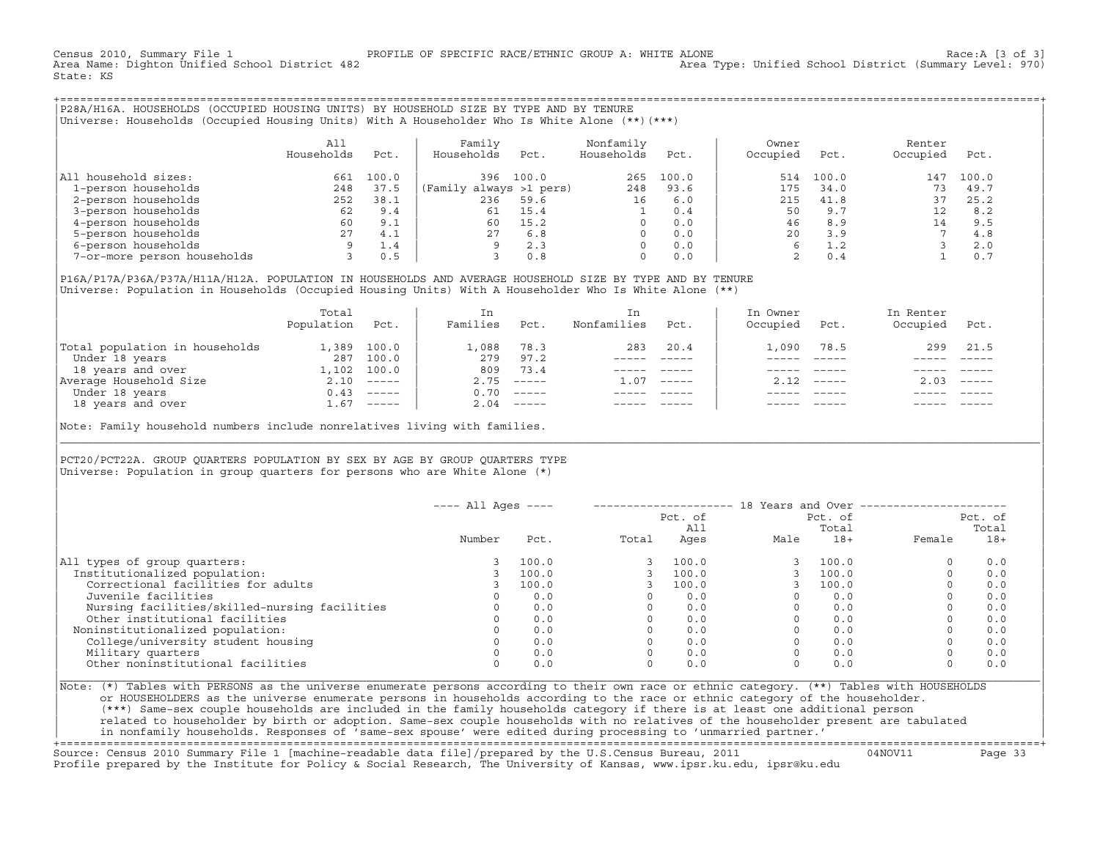Census 2010, Summary File 1 [3 of 3] PROFILE OF SPECIFIC RACE/ETHNIC GROUP A: WHITE ALONE RACOUP A: WARE ALONE<br>Area Name: Dighton Unified School District 482 Area Type: Unified School District (Summary Level: 970) State: KS

+===================================================================================================================================================+|P28A/H16A. HOUSEHOLDS (OCCUPIED HOUSING UNITS) BY HOUSEHOLD SIZE BY TYPE AND BY TENURE | Universe: Households (Occupied Housing Units) With A Householder Who Is White Alone (\*\*)(\*\*\*)

| | | All | Family Nonfamily | Owner Renter Renter | Renter | Renter | Renter | Renter | Renter | Renter | Renter | R | Households Pct. | Households Pct. Households Pct. | Occupied Pct. Occupied Pct. | | | | | |All household sizes:  $\begin{array}{ccccccccc}\n & & & & & 661 & 100.0 & & & 396 & 100.0 & & & 265 & 100.0 & & & 514 & 100.0 & & 147 & 100.0 \\
 & & & & & & & 248 & 37.5 & (Family always & >1 pers) & & 248 & 93.6 & & 175 & 34.0 & & & 73 & 49.7\n\end{array}$ | 1−person households 248 37.5 |(Family always >1 pers) 248 93.6 | 175 34.0 73 49.7 | | 2−person households 252 38.1 | 236 59.6 16 6.0 | 215 41.8 37 25.2<br>| 215 41.8 37 25.2 | 216 50 9.7 12 8.2 | 3−person households 62 9.4 | 61 15.4 1 0.4 | 50 9.7 12 8.2 | | 4−person households 60 9.1 | 60 15.2 0 0.0 | 46 8.9 14 9.5 | Premier of the methology of the methods and the 27 4.1 | 27 6.8 0 0.0 | 20 3.9 7 4.8 5−person households 3 0.5 | 2.3 0 0.0 | 20 3.9 7 4.8 2.0 | 2.0 3.9 7 4.8 | 2.0 | 2.0 | 2.0 | 2.0 | 2.0 | 2.0 | 2.0 | 2.0 | 2.0 | 2.0 | 2 | 6−person households 9 1.4 | 9 2.3 0 0.0 | 6 1.2 3 2.0 | | 7−or−more person households 3 0.5 | 3 0.8 0 0.0 | 2 0.4 1 0.7 |

| | |P16A/P17A/P36A/P37A/H11A/H12A. POPULATION IN HOUSEHOLDS AND AVERAGE HOUSEHOLD SIZE BY TYPE AND BY TENURE | Universe: Population in Households (Occupied Housing Units) With A Householder Who Is White Alone (\*\*)

|                                | Total<br>Population | Pct.         | In<br>Families | Pct.                      | Nonfamilies | Pct.     | In Owner<br>Occupied | Pct.         | In Renter<br>Occupied | Pct.                      |  |
|--------------------------------|---------------------|--------------|----------------|---------------------------|-------------|----------|----------------------|--------------|-----------------------|---------------------------|--|
| Total population in households | L,389               | 100.0        | 1,088          | 78.3                      | 283         | 20.4     | .,090                | 78.5         | 299                   | 21.5                      |  |
| Under 18 years                 |                     | 287 100.0    | 279            | 97.2                      |             |          |                      |              |                       |                           |  |
| 18 years and over              |                     | 1,102 100.0  | 809            | 73.4                      |             |          |                      |              |                       |                           |  |
| Average Household Size         |                     | $2.10$ ----- | 2.75           | $------$                  | 1.07        | $------$ |                      | $2.12$ ----- | 2.03                  | $\qquad \qquad - - - - -$ |  |
| Under 18 years                 |                     | $0.43$ ----- | 0.70           | $\qquad \qquad - - - - -$ |             |          |                      |              |                       |                           |  |
| 18 years and over              | . 67                | ------       | 2.04           |                           |             |          |                      |              |                       |                           |  |

| |

|\_\_\_\_\_\_\_\_\_\_\_\_\_\_\_\_\_\_\_\_\_\_\_\_\_\_\_\_\_\_\_\_\_\_\_\_\_\_\_\_\_\_\_\_\_\_\_\_\_\_\_\_\_\_\_\_\_\_\_\_\_\_\_\_\_\_\_\_\_\_\_\_\_\_\_\_\_\_\_\_\_\_\_\_\_\_\_\_\_\_\_\_\_\_\_\_\_\_\_\_\_\_\_\_\_\_\_\_\_\_\_\_\_\_\_\_\_\_\_\_\_\_\_\_\_\_\_\_\_\_\_\_\_\_\_\_\_\_\_\_\_\_\_\_\_\_\_|

| |

Note: Family household numbers include nonrelatives living with families.

| | PCT20/PCT22A. GROUP OUARTERS POPULATION BY SEX BY AGE BY GROUP OUARTERS TYPE Universe: Population in group quarters for persons who are White Alone  $(*)$ 

|                                               | $---$ All Ages $---$<br>Pct. of<br>Pct. of<br>All |       |       |       |      | Total | 18 Years and Over -------------<br>Pct. of<br>Total |       |  |
|-----------------------------------------------|---------------------------------------------------|-------|-------|-------|------|-------|-----------------------------------------------------|-------|--|
|                                               | Number                                            | Pct.  | Total | Ages  | Male | $18+$ | Female                                              | $18+$ |  |
| All types of group quarters:                  |                                                   | 100.0 |       | 100.0 |      | 100.0 | $\circ$                                             | 0.0   |  |
| Institutionalized population:                 |                                                   | 100.0 |       | 100.0 |      | 100.0 | $\Omega$                                            | 0.0   |  |
| Correctional facilities for adults            |                                                   | 100.0 |       | 100.0 |      | 100.0 | $\Omega$                                            | 0.0   |  |
| Juvenile facilities                           |                                                   | 0.0   |       | 0.0   |      | 0.0   | $\circ$                                             | 0.0   |  |
| Nursing facilities/skilled-nursing facilities |                                                   | 0.0   |       | 0.0   |      | 0.0   | $\circ$                                             | 0.0   |  |
| Other institutional facilities                |                                                   | 0.0   |       | 0.0   |      | 0.0   | $\Omega$                                            | 0.0   |  |
| Noninstitutionalized population:              |                                                   | 0.0   |       | 0.0   |      | 0.0   |                                                     | 0.0   |  |
| College/university student housing            |                                                   | 0.0   |       | 0.0   |      | 0.0   | 0                                                   | 0.0   |  |
| Military quarters                             |                                                   | 0.0   |       | 0.0   |      | 0.0   | $\Omega$                                            | 0.0   |  |
| Other noninstitutional facilities             |                                                   | 0.0   |       | 0.0   |      | 0.0   | $\mathbf 0$                                         | 0.0   |  |

|Note: (\*) Tables with PERSONS as the universe enumerate persons according to their own race or ethnic category. (\*\*) Tables with HOUSEHOLDS | or HOUSEHOLDERS as the universe enumerate persons in households according to the race or ethnic category of the householder. | (\*\*\*) Same−sex couple households are included in the family households category if there is at least one additional person | | related to householder by birth or adoption. Same−sex couple households with no relatives of the householder present are tabulated | | in nonfamily households. Responses of 'same−sex spouse' were edited during processing to 'unmarried partner.' | +===================================================================================================================================================+

Source: Census 2010 Summary File 1 [machine−readable data file]/prepared by the U.S.Census Bureau, 2011 04NOV11 Page 33 Profile prepared by the Institute for Policy & Social Research, The University of Kansas, www.ipsr.ku.edu, ipsr@ku.edu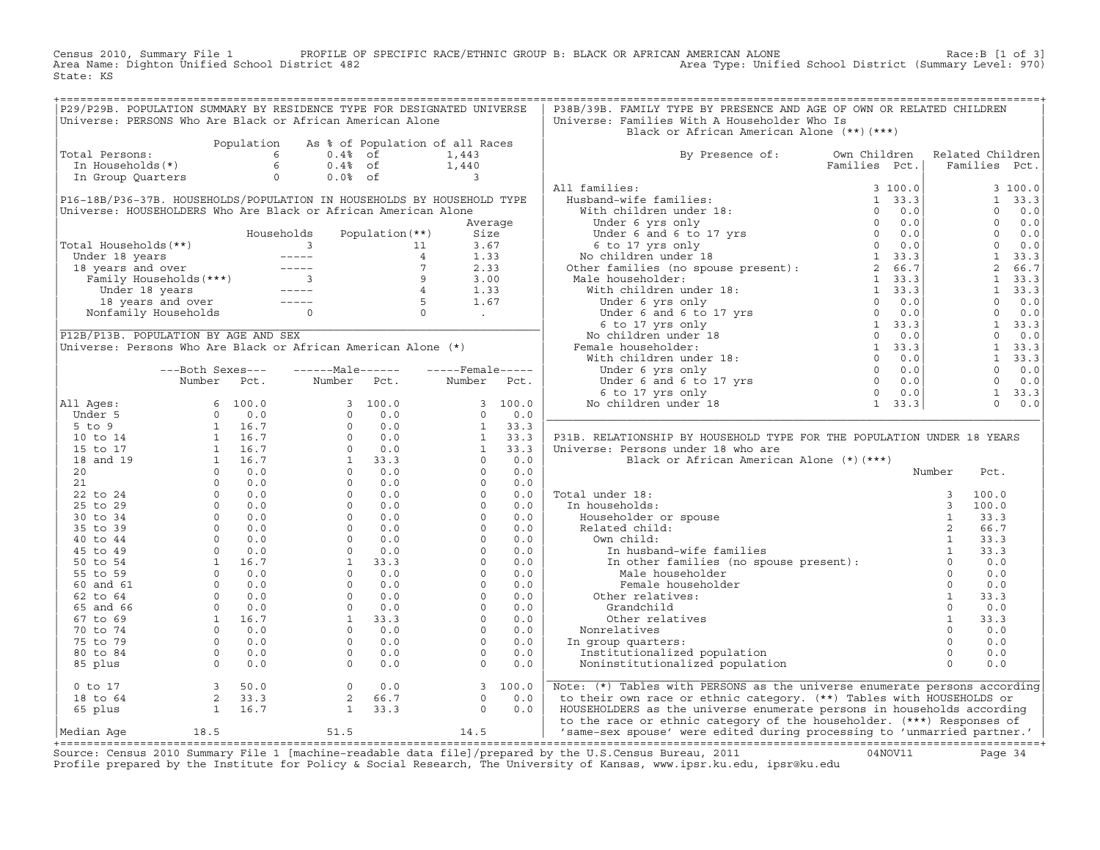Census 2010, Summary File 1 PROFILE OF SPECIFIC RACE/ETHNIC GROUP B: BLACK OR AFRICAN AMERICAN ALONE Race:B [1 of 3] Area Name: Dighton Unified School District 482 Area Type: Unified School District (Summary Level: 970) State: KS

| P29/P29B. POPULATION SUMMARY BY RESIDENCE TYPE FOR DESIGNATED UNIVERSE<br>P38B/39B. FAMILY TYPE BY PRESENCE AND AGE OF OWN OR RELATED CHILDREN<br>Universe: PERSONS Who Are Black or African American Alone<br>Universe: Families With A Householder Who Is<br>Black or African American Alone (**)(***)<br>Population As % of Population of all Races<br>Total Persons:<br>1,443<br>1,443<br>1,443<br>1,440<br>1,440<br>In Group Quarters<br>2,0.4% of the 1,440<br>1,440<br>1,440<br>2,0.0% of the 1,440<br>3<br>By Presence of: Own Children Related Children<br>Families Pct.   Families Pct.<br>3 100.0<br>1 33.3<br>$0 \t 0.0$<br>$\begin{bmatrix} 1 & 3 & 3 & 3 \\ 0 & 0 & 0 & 0 \\ 0 & 0 & 0 & 0 \\ 0 & 0 & 0 & 0 \\ 1 & 3 & 3 & 3 & 3 \\ 2 & 6 & 6 & 7 & 3 \\ 3 & 3 & 3 & 3 & 3 \\ 1 & 3 & 3 & 3 & 3 \\ 0 & 0 & 0 & 0 & 0 \\ 0 & 0 & 0 & 0 & 0 \\ 1 & 3 & 3 & 3 & 3 \\ 0 & 0 & 0 & 0 & 0 \\ 0 & 0 & 0 & 0 & 0 \\ 0 & 0 & 0 & 0 & 0 \\ 0 & 0 & 0 & 0 & 0 \\ $<br>$1 \quad 33.3$<br>$0 \qquad 0.0$<br>P31B. RELATIONSHIP BY HOUSEHOLD TYPE FOR THE POPULATION UNDER 18 YEARS<br>Universe: Persons under 18 who are<br>Black or African American Alone (*) (***)<br>Number<br>Pct.<br>$\begin{tabular}{llllllll} \multicolumn{4}{l} \textbf{Total under 18:} & & & & & & 3 & 100.0 \\ \textbf{In households:} & & & & 3 & 100.0 \\ \textbf{Householder or spouse} & & & 3 & 100.0 \\ \textbf{Related child:} & & & 1 & 33.3 \\ \textbf{Our child:} & & & 1 & 33.3 \\ \textbf{In husband-wife families} & & & 1 & 33.3 \\ \textbf{In other families (no spouse present):} & & 1 & 33.3 \\ \textbf{Male householder} & & 1 & 33.3 \\ \textbf{Male householder} & & 0 & 0.0 \\ \text$<br>Grandchild<br>Grandchild<br>Other relatives<br>Nonrelatives<br>n group quarters:<br>Institutionalized population<br>Noninstitutionalized population<br>0 0.0<br>0 0.0<br>0 0.0<br>0 0.0<br>0 0.0<br>0 0.0<br>0 0.0<br>0 0.0<br>0 0.0<br>0 0.0<br>0 0.0<br>0 0.0<br>0<br>Nonrelatives<br>In group quarters:<br>Median Age 18.5<br>Course, Consus 2010 Cumpary File 1 Imaghine readable data file) (proposed by the H C Consus Dureau, 2011 (10/10/111) Data 24 |  |  |  |  |  |  |  |
|-----------------------------------------------------------------------------------------------------------------------------------------------------------------------------------------------------------------------------------------------------------------------------------------------------------------------------------------------------------------------------------------------------------------------------------------------------------------------------------------------------------------------------------------------------------------------------------------------------------------------------------------------------------------------------------------------------------------------------------------------------------------------------------------------------------------------------------------------------------------------------------------------------------------------------------------------------------------------------------------------------------------------------------------------------------------------------------------------------------------------------------------------------------------------------------------------------------------------------------------------------------------------------------------------------------------------------------------------------------------------------------------------------------------------------------------------------------------------------------------------------------------------------------------------------------------------------------------------------------------------------------------------------------------------------------------------------------------------------------------------------------------------------------------------------------------------------------------------------------------------------------------------------------------------------------------------------------------------------------------------------------------------------------------------------------------------------------------------------------------------------------------------------------|--|--|--|--|--|--|--|
|                                                                                                                                                                                                                                                                                                                                                                                                                                                                                                                                                                                                                                                                                                                                                                                                                                                                                                                                                                                                                                                                                                                                                                                                                                                                                                                                                                                                                                                                                                                                                                                                                                                                                                                                                                                                                                                                                                                                                                                                                                                                                                                                                           |  |  |  |  |  |  |  |
|                                                                                                                                                                                                                                                                                                                                                                                                                                                                                                                                                                                                                                                                                                                                                                                                                                                                                                                                                                                                                                                                                                                                                                                                                                                                                                                                                                                                                                                                                                                                                                                                                                                                                                                                                                                                                                                                                                                                                                                                                                                                                                                                                           |  |  |  |  |  |  |  |
|                                                                                                                                                                                                                                                                                                                                                                                                                                                                                                                                                                                                                                                                                                                                                                                                                                                                                                                                                                                                                                                                                                                                                                                                                                                                                                                                                                                                                                                                                                                                                                                                                                                                                                                                                                                                                                                                                                                                                                                                                                                                                                                                                           |  |  |  |  |  |  |  |
|                                                                                                                                                                                                                                                                                                                                                                                                                                                                                                                                                                                                                                                                                                                                                                                                                                                                                                                                                                                                                                                                                                                                                                                                                                                                                                                                                                                                                                                                                                                                                                                                                                                                                                                                                                                                                                                                                                                                                                                                                                                                                                                                                           |  |  |  |  |  |  |  |
|                                                                                                                                                                                                                                                                                                                                                                                                                                                                                                                                                                                                                                                                                                                                                                                                                                                                                                                                                                                                                                                                                                                                                                                                                                                                                                                                                                                                                                                                                                                                                                                                                                                                                                                                                                                                                                                                                                                                                                                                                                                                                                                                                           |  |  |  |  |  |  |  |
|                                                                                                                                                                                                                                                                                                                                                                                                                                                                                                                                                                                                                                                                                                                                                                                                                                                                                                                                                                                                                                                                                                                                                                                                                                                                                                                                                                                                                                                                                                                                                                                                                                                                                                                                                                                                                                                                                                                                                                                                                                                                                                                                                           |  |  |  |  |  |  |  |
|                                                                                                                                                                                                                                                                                                                                                                                                                                                                                                                                                                                                                                                                                                                                                                                                                                                                                                                                                                                                                                                                                                                                                                                                                                                                                                                                                                                                                                                                                                                                                                                                                                                                                                                                                                                                                                                                                                                                                                                                                                                                                                                                                           |  |  |  |  |  |  |  |
|                                                                                                                                                                                                                                                                                                                                                                                                                                                                                                                                                                                                                                                                                                                                                                                                                                                                                                                                                                                                                                                                                                                                                                                                                                                                                                                                                                                                                                                                                                                                                                                                                                                                                                                                                                                                                                                                                                                                                                                                                                                                                                                                                           |  |  |  |  |  |  |  |
|                                                                                                                                                                                                                                                                                                                                                                                                                                                                                                                                                                                                                                                                                                                                                                                                                                                                                                                                                                                                                                                                                                                                                                                                                                                                                                                                                                                                                                                                                                                                                                                                                                                                                                                                                                                                                                                                                                                                                                                                                                                                                                                                                           |  |  |  |  |  |  |  |
|                                                                                                                                                                                                                                                                                                                                                                                                                                                                                                                                                                                                                                                                                                                                                                                                                                                                                                                                                                                                                                                                                                                                                                                                                                                                                                                                                                                                                                                                                                                                                                                                                                                                                                                                                                                                                                                                                                                                                                                                                                                                                                                                                           |  |  |  |  |  |  |  |
|                                                                                                                                                                                                                                                                                                                                                                                                                                                                                                                                                                                                                                                                                                                                                                                                                                                                                                                                                                                                                                                                                                                                                                                                                                                                                                                                                                                                                                                                                                                                                                                                                                                                                                                                                                                                                                                                                                                                                                                                                                                                                                                                                           |  |  |  |  |  |  |  |
|                                                                                                                                                                                                                                                                                                                                                                                                                                                                                                                                                                                                                                                                                                                                                                                                                                                                                                                                                                                                                                                                                                                                                                                                                                                                                                                                                                                                                                                                                                                                                                                                                                                                                                                                                                                                                                                                                                                                                                                                                                                                                                                                                           |  |  |  |  |  |  |  |
|                                                                                                                                                                                                                                                                                                                                                                                                                                                                                                                                                                                                                                                                                                                                                                                                                                                                                                                                                                                                                                                                                                                                                                                                                                                                                                                                                                                                                                                                                                                                                                                                                                                                                                                                                                                                                                                                                                                                                                                                                                                                                                                                                           |  |  |  |  |  |  |  |
|                                                                                                                                                                                                                                                                                                                                                                                                                                                                                                                                                                                                                                                                                                                                                                                                                                                                                                                                                                                                                                                                                                                                                                                                                                                                                                                                                                                                                                                                                                                                                                                                                                                                                                                                                                                                                                                                                                                                                                                                                                                                                                                                                           |  |  |  |  |  |  |  |
|                                                                                                                                                                                                                                                                                                                                                                                                                                                                                                                                                                                                                                                                                                                                                                                                                                                                                                                                                                                                                                                                                                                                                                                                                                                                                                                                                                                                                                                                                                                                                                                                                                                                                                                                                                                                                                                                                                                                                                                                                                                                                                                                                           |  |  |  |  |  |  |  |
|                                                                                                                                                                                                                                                                                                                                                                                                                                                                                                                                                                                                                                                                                                                                                                                                                                                                                                                                                                                                                                                                                                                                                                                                                                                                                                                                                                                                                                                                                                                                                                                                                                                                                                                                                                                                                                                                                                                                                                                                                                                                                                                                                           |  |  |  |  |  |  |  |
|                                                                                                                                                                                                                                                                                                                                                                                                                                                                                                                                                                                                                                                                                                                                                                                                                                                                                                                                                                                                                                                                                                                                                                                                                                                                                                                                                                                                                                                                                                                                                                                                                                                                                                                                                                                                                                                                                                                                                                                                                                                                                                                                                           |  |  |  |  |  |  |  |
|                                                                                                                                                                                                                                                                                                                                                                                                                                                                                                                                                                                                                                                                                                                                                                                                                                                                                                                                                                                                                                                                                                                                                                                                                                                                                                                                                                                                                                                                                                                                                                                                                                                                                                                                                                                                                                                                                                                                                                                                                                                                                                                                                           |  |  |  |  |  |  |  |
|                                                                                                                                                                                                                                                                                                                                                                                                                                                                                                                                                                                                                                                                                                                                                                                                                                                                                                                                                                                                                                                                                                                                                                                                                                                                                                                                                                                                                                                                                                                                                                                                                                                                                                                                                                                                                                                                                                                                                                                                                                                                                                                                                           |  |  |  |  |  |  |  |
|                                                                                                                                                                                                                                                                                                                                                                                                                                                                                                                                                                                                                                                                                                                                                                                                                                                                                                                                                                                                                                                                                                                                                                                                                                                                                                                                                                                                                                                                                                                                                                                                                                                                                                                                                                                                                                                                                                                                                                                                                                                                                                                                                           |  |  |  |  |  |  |  |
|                                                                                                                                                                                                                                                                                                                                                                                                                                                                                                                                                                                                                                                                                                                                                                                                                                                                                                                                                                                                                                                                                                                                                                                                                                                                                                                                                                                                                                                                                                                                                                                                                                                                                                                                                                                                                                                                                                                                                                                                                                                                                                                                                           |  |  |  |  |  |  |  |
|                                                                                                                                                                                                                                                                                                                                                                                                                                                                                                                                                                                                                                                                                                                                                                                                                                                                                                                                                                                                                                                                                                                                                                                                                                                                                                                                                                                                                                                                                                                                                                                                                                                                                                                                                                                                                                                                                                                                                                                                                                                                                                                                                           |  |  |  |  |  |  |  |
|                                                                                                                                                                                                                                                                                                                                                                                                                                                                                                                                                                                                                                                                                                                                                                                                                                                                                                                                                                                                                                                                                                                                                                                                                                                                                                                                                                                                                                                                                                                                                                                                                                                                                                                                                                                                                                                                                                                                                                                                                                                                                                                                                           |  |  |  |  |  |  |  |
|                                                                                                                                                                                                                                                                                                                                                                                                                                                                                                                                                                                                                                                                                                                                                                                                                                                                                                                                                                                                                                                                                                                                                                                                                                                                                                                                                                                                                                                                                                                                                                                                                                                                                                                                                                                                                                                                                                                                                                                                                                                                                                                                                           |  |  |  |  |  |  |  |
|                                                                                                                                                                                                                                                                                                                                                                                                                                                                                                                                                                                                                                                                                                                                                                                                                                                                                                                                                                                                                                                                                                                                                                                                                                                                                                                                                                                                                                                                                                                                                                                                                                                                                                                                                                                                                                                                                                                                                                                                                                                                                                                                                           |  |  |  |  |  |  |  |
|                                                                                                                                                                                                                                                                                                                                                                                                                                                                                                                                                                                                                                                                                                                                                                                                                                                                                                                                                                                                                                                                                                                                                                                                                                                                                                                                                                                                                                                                                                                                                                                                                                                                                                                                                                                                                                                                                                                                                                                                                                                                                                                                                           |  |  |  |  |  |  |  |
|                                                                                                                                                                                                                                                                                                                                                                                                                                                                                                                                                                                                                                                                                                                                                                                                                                                                                                                                                                                                                                                                                                                                                                                                                                                                                                                                                                                                                                                                                                                                                                                                                                                                                                                                                                                                                                                                                                                                                                                                                                                                                                                                                           |  |  |  |  |  |  |  |
|                                                                                                                                                                                                                                                                                                                                                                                                                                                                                                                                                                                                                                                                                                                                                                                                                                                                                                                                                                                                                                                                                                                                                                                                                                                                                                                                                                                                                                                                                                                                                                                                                                                                                                                                                                                                                                                                                                                                                                                                                                                                                                                                                           |  |  |  |  |  |  |  |
|                                                                                                                                                                                                                                                                                                                                                                                                                                                                                                                                                                                                                                                                                                                                                                                                                                                                                                                                                                                                                                                                                                                                                                                                                                                                                                                                                                                                                                                                                                                                                                                                                                                                                                                                                                                                                                                                                                                                                                                                                                                                                                                                                           |  |  |  |  |  |  |  |
|                                                                                                                                                                                                                                                                                                                                                                                                                                                                                                                                                                                                                                                                                                                                                                                                                                                                                                                                                                                                                                                                                                                                                                                                                                                                                                                                                                                                                                                                                                                                                                                                                                                                                                                                                                                                                                                                                                                                                                                                                                                                                                                                                           |  |  |  |  |  |  |  |
|                                                                                                                                                                                                                                                                                                                                                                                                                                                                                                                                                                                                                                                                                                                                                                                                                                                                                                                                                                                                                                                                                                                                                                                                                                                                                                                                                                                                                                                                                                                                                                                                                                                                                                                                                                                                                                                                                                                                                                                                                                                                                                                                                           |  |  |  |  |  |  |  |
|                                                                                                                                                                                                                                                                                                                                                                                                                                                                                                                                                                                                                                                                                                                                                                                                                                                                                                                                                                                                                                                                                                                                                                                                                                                                                                                                                                                                                                                                                                                                                                                                                                                                                                                                                                                                                                                                                                                                                                                                                                                                                                                                                           |  |  |  |  |  |  |  |
|                                                                                                                                                                                                                                                                                                                                                                                                                                                                                                                                                                                                                                                                                                                                                                                                                                                                                                                                                                                                                                                                                                                                                                                                                                                                                                                                                                                                                                                                                                                                                                                                                                                                                                                                                                                                                                                                                                                                                                                                                                                                                                                                                           |  |  |  |  |  |  |  |
|                                                                                                                                                                                                                                                                                                                                                                                                                                                                                                                                                                                                                                                                                                                                                                                                                                                                                                                                                                                                                                                                                                                                                                                                                                                                                                                                                                                                                                                                                                                                                                                                                                                                                                                                                                                                                                                                                                                                                                                                                                                                                                                                                           |  |  |  |  |  |  |  |
|                                                                                                                                                                                                                                                                                                                                                                                                                                                                                                                                                                                                                                                                                                                                                                                                                                                                                                                                                                                                                                                                                                                                                                                                                                                                                                                                                                                                                                                                                                                                                                                                                                                                                                                                                                                                                                                                                                                                                                                                                                                                                                                                                           |  |  |  |  |  |  |  |
|                                                                                                                                                                                                                                                                                                                                                                                                                                                                                                                                                                                                                                                                                                                                                                                                                                                                                                                                                                                                                                                                                                                                                                                                                                                                                                                                                                                                                                                                                                                                                                                                                                                                                                                                                                                                                                                                                                                                                                                                                                                                                                                                                           |  |  |  |  |  |  |  |
|                                                                                                                                                                                                                                                                                                                                                                                                                                                                                                                                                                                                                                                                                                                                                                                                                                                                                                                                                                                                                                                                                                                                                                                                                                                                                                                                                                                                                                                                                                                                                                                                                                                                                                                                                                                                                                                                                                                                                                                                                                                                                                                                                           |  |  |  |  |  |  |  |
|                                                                                                                                                                                                                                                                                                                                                                                                                                                                                                                                                                                                                                                                                                                                                                                                                                                                                                                                                                                                                                                                                                                                                                                                                                                                                                                                                                                                                                                                                                                                                                                                                                                                                                                                                                                                                                                                                                                                                                                                                                                                                                                                                           |  |  |  |  |  |  |  |
|                                                                                                                                                                                                                                                                                                                                                                                                                                                                                                                                                                                                                                                                                                                                                                                                                                                                                                                                                                                                                                                                                                                                                                                                                                                                                                                                                                                                                                                                                                                                                                                                                                                                                                                                                                                                                                                                                                                                                                                                                                                                                                                                                           |  |  |  |  |  |  |  |
|                                                                                                                                                                                                                                                                                                                                                                                                                                                                                                                                                                                                                                                                                                                                                                                                                                                                                                                                                                                                                                                                                                                                                                                                                                                                                                                                                                                                                                                                                                                                                                                                                                                                                                                                                                                                                                                                                                                                                                                                                                                                                                                                                           |  |  |  |  |  |  |  |
|                                                                                                                                                                                                                                                                                                                                                                                                                                                                                                                                                                                                                                                                                                                                                                                                                                                                                                                                                                                                                                                                                                                                                                                                                                                                                                                                                                                                                                                                                                                                                                                                                                                                                                                                                                                                                                                                                                                                                                                                                                                                                                                                                           |  |  |  |  |  |  |  |
|                                                                                                                                                                                                                                                                                                                                                                                                                                                                                                                                                                                                                                                                                                                                                                                                                                                                                                                                                                                                                                                                                                                                                                                                                                                                                                                                                                                                                                                                                                                                                                                                                                                                                                                                                                                                                                                                                                                                                                                                                                                                                                                                                           |  |  |  |  |  |  |  |
|                                                                                                                                                                                                                                                                                                                                                                                                                                                                                                                                                                                                                                                                                                                                                                                                                                                                                                                                                                                                                                                                                                                                                                                                                                                                                                                                                                                                                                                                                                                                                                                                                                                                                                                                                                                                                                                                                                                                                                                                                                                                                                                                                           |  |  |  |  |  |  |  |
|                                                                                                                                                                                                                                                                                                                                                                                                                                                                                                                                                                                                                                                                                                                                                                                                                                                                                                                                                                                                                                                                                                                                                                                                                                                                                                                                                                                                                                                                                                                                                                                                                                                                                                                                                                                                                                                                                                                                                                                                                                                                                                                                                           |  |  |  |  |  |  |  |
|                                                                                                                                                                                                                                                                                                                                                                                                                                                                                                                                                                                                                                                                                                                                                                                                                                                                                                                                                                                                                                                                                                                                                                                                                                                                                                                                                                                                                                                                                                                                                                                                                                                                                                                                                                                                                                                                                                                                                                                                                                                                                                                                                           |  |  |  |  |  |  |  |
|                                                                                                                                                                                                                                                                                                                                                                                                                                                                                                                                                                                                                                                                                                                                                                                                                                                                                                                                                                                                                                                                                                                                                                                                                                                                                                                                                                                                                                                                                                                                                                                                                                                                                                                                                                                                                                                                                                                                                                                                                                                                                                                                                           |  |  |  |  |  |  |  |
|                                                                                                                                                                                                                                                                                                                                                                                                                                                                                                                                                                                                                                                                                                                                                                                                                                                                                                                                                                                                                                                                                                                                                                                                                                                                                                                                                                                                                                                                                                                                                                                                                                                                                                                                                                                                                                                                                                                                                                                                                                                                                                                                                           |  |  |  |  |  |  |  |
|                                                                                                                                                                                                                                                                                                                                                                                                                                                                                                                                                                                                                                                                                                                                                                                                                                                                                                                                                                                                                                                                                                                                                                                                                                                                                                                                                                                                                                                                                                                                                                                                                                                                                                                                                                                                                                                                                                                                                                                                                                                                                                                                                           |  |  |  |  |  |  |  |
|                                                                                                                                                                                                                                                                                                                                                                                                                                                                                                                                                                                                                                                                                                                                                                                                                                                                                                                                                                                                                                                                                                                                                                                                                                                                                                                                                                                                                                                                                                                                                                                                                                                                                                                                                                                                                                                                                                                                                                                                                                                                                                                                                           |  |  |  |  |  |  |  |
|                                                                                                                                                                                                                                                                                                                                                                                                                                                                                                                                                                                                                                                                                                                                                                                                                                                                                                                                                                                                                                                                                                                                                                                                                                                                                                                                                                                                                                                                                                                                                                                                                                                                                                                                                                                                                                                                                                                                                                                                                                                                                                                                                           |  |  |  |  |  |  |  |
|                                                                                                                                                                                                                                                                                                                                                                                                                                                                                                                                                                                                                                                                                                                                                                                                                                                                                                                                                                                                                                                                                                                                                                                                                                                                                                                                                                                                                                                                                                                                                                                                                                                                                                                                                                                                                                                                                                                                                                                                                                                                                                                                                           |  |  |  |  |  |  |  |
|                                                                                                                                                                                                                                                                                                                                                                                                                                                                                                                                                                                                                                                                                                                                                                                                                                                                                                                                                                                                                                                                                                                                                                                                                                                                                                                                                                                                                                                                                                                                                                                                                                                                                                                                                                                                                                                                                                                                                                                                                                                                                                                                                           |  |  |  |  |  |  |  |
|                                                                                                                                                                                                                                                                                                                                                                                                                                                                                                                                                                                                                                                                                                                                                                                                                                                                                                                                                                                                                                                                                                                                                                                                                                                                                                                                                                                                                                                                                                                                                                                                                                                                                                                                                                                                                                                                                                                                                                                                                                                                                                                                                           |  |  |  |  |  |  |  |
|                                                                                                                                                                                                                                                                                                                                                                                                                                                                                                                                                                                                                                                                                                                                                                                                                                                                                                                                                                                                                                                                                                                                                                                                                                                                                                                                                                                                                                                                                                                                                                                                                                                                                                                                                                                                                                                                                                                                                                                                                                                                                                                                                           |  |  |  |  |  |  |  |
|                                                                                                                                                                                                                                                                                                                                                                                                                                                                                                                                                                                                                                                                                                                                                                                                                                                                                                                                                                                                                                                                                                                                                                                                                                                                                                                                                                                                                                                                                                                                                                                                                                                                                                                                                                                                                                                                                                                                                                                                                                                                                                                                                           |  |  |  |  |  |  |  |
|                                                                                                                                                                                                                                                                                                                                                                                                                                                                                                                                                                                                                                                                                                                                                                                                                                                                                                                                                                                                                                                                                                                                                                                                                                                                                                                                                                                                                                                                                                                                                                                                                                                                                                                                                                                                                                                                                                                                                                                                                                                                                                                                                           |  |  |  |  |  |  |  |
|                                                                                                                                                                                                                                                                                                                                                                                                                                                                                                                                                                                                                                                                                                                                                                                                                                                                                                                                                                                                                                                                                                                                                                                                                                                                                                                                                                                                                                                                                                                                                                                                                                                                                                                                                                                                                                                                                                                                                                                                                                                                                                                                                           |  |  |  |  |  |  |  |
|                                                                                                                                                                                                                                                                                                                                                                                                                                                                                                                                                                                                                                                                                                                                                                                                                                                                                                                                                                                                                                                                                                                                                                                                                                                                                                                                                                                                                                                                                                                                                                                                                                                                                                                                                                                                                                                                                                                                                                                                                                                                                                                                                           |  |  |  |  |  |  |  |
|                                                                                                                                                                                                                                                                                                                                                                                                                                                                                                                                                                                                                                                                                                                                                                                                                                                                                                                                                                                                                                                                                                                                                                                                                                                                                                                                                                                                                                                                                                                                                                                                                                                                                                                                                                                                                                                                                                                                                                                                                                                                                                                                                           |  |  |  |  |  |  |  |
|                                                                                                                                                                                                                                                                                                                                                                                                                                                                                                                                                                                                                                                                                                                                                                                                                                                                                                                                                                                                                                                                                                                                                                                                                                                                                                                                                                                                                                                                                                                                                                                                                                                                                                                                                                                                                                                                                                                                                                                                                                                                                                                                                           |  |  |  |  |  |  |  |
|                                                                                                                                                                                                                                                                                                                                                                                                                                                                                                                                                                                                                                                                                                                                                                                                                                                                                                                                                                                                                                                                                                                                                                                                                                                                                                                                                                                                                                                                                                                                                                                                                                                                                                                                                                                                                                                                                                                                                                                                                                                                                                                                                           |  |  |  |  |  |  |  |
|                                                                                                                                                                                                                                                                                                                                                                                                                                                                                                                                                                                                                                                                                                                                                                                                                                                                                                                                                                                                                                                                                                                                                                                                                                                                                                                                                                                                                                                                                                                                                                                                                                                                                                                                                                                                                                                                                                                                                                                                                                                                                                                                                           |  |  |  |  |  |  |  |
|                                                                                                                                                                                                                                                                                                                                                                                                                                                                                                                                                                                                                                                                                                                                                                                                                                                                                                                                                                                                                                                                                                                                                                                                                                                                                                                                                                                                                                                                                                                                                                                                                                                                                                                                                                                                                                                                                                                                                                                                                                                                                                                                                           |  |  |  |  |  |  |  |
|                                                                                                                                                                                                                                                                                                                                                                                                                                                                                                                                                                                                                                                                                                                                                                                                                                                                                                                                                                                                                                                                                                                                                                                                                                                                                                                                                                                                                                                                                                                                                                                                                                                                                                                                                                                                                                                                                                                                                                                                                                                                                                                                                           |  |  |  |  |  |  |  |
|                                                                                                                                                                                                                                                                                                                                                                                                                                                                                                                                                                                                                                                                                                                                                                                                                                                                                                                                                                                                                                                                                                                                                                                                                                                                                                                                                                                                                                                                                                                                                                                                                                                                                                                                                                                                                                                                                                                                                                                                                                                                                                                                                           |  |  |  |  |  |  |  |

Source: Census 2010 Summary File 1 [machine-readable data file]/prepared by the U.S.Census Bureau, 2011 Page 34<br>Profile prepared by the Institute for Policy & Social Research, The University of Kansas, www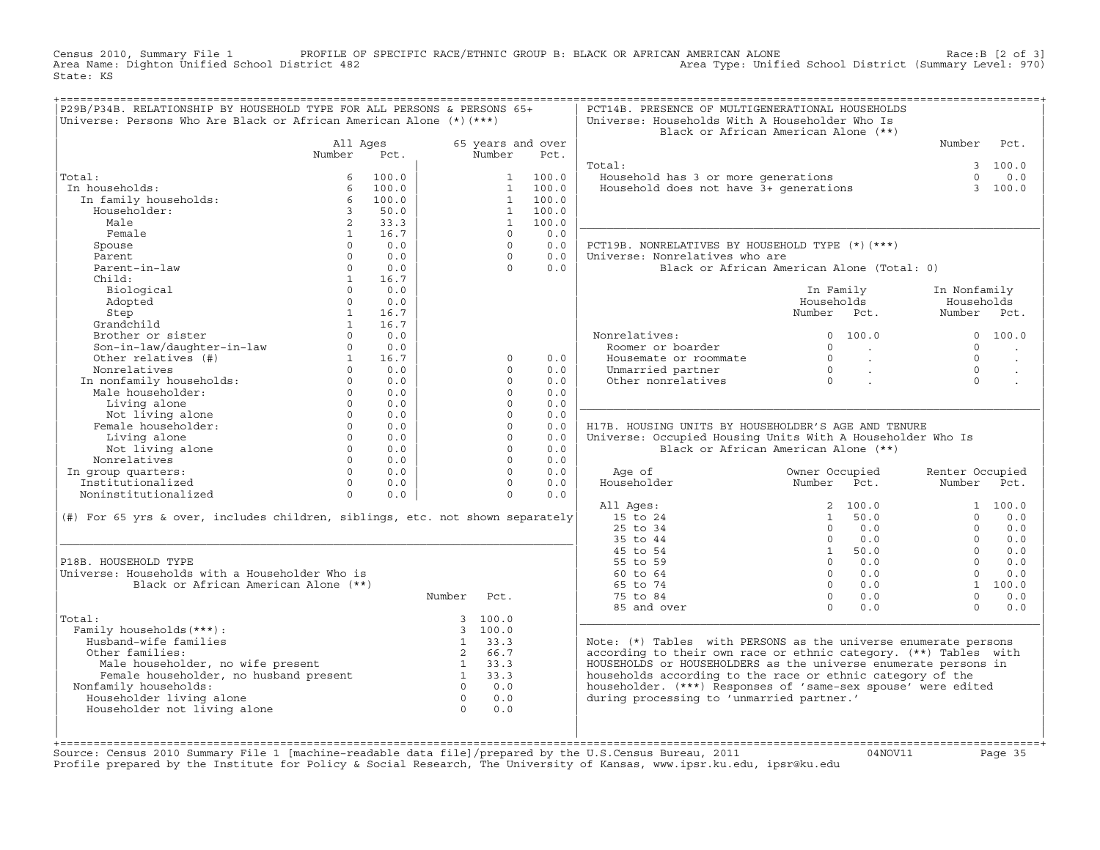Census 2010, Summary File 1 PROFILE OF SPECIFIC RACE/ETHNIC GROUP B: BLACK OR AFRICAN AMERICAN ALONE Race:B [2 of 3] Area Name: Dighton Unified School District 482 Area Type: Unified School District (Summary Level: 970) State: KS

| P29B/P34B. RELATIONSHIP BY HOUSEHOLD TYPE FOR ALL PERSONS & PERSONS 65+<br>Universe: Persons Who Are Black or African American Alone (*) (***) |                |                |                |                              |                   | PCT14B. PRESENCE OF MULTIGENERATIONAL HOUSEHOLDS<br>Universe: Households With A Householder Who Is | Black or African American Alone (**)       |                 |            |
|------------------------------------------------------------------------------------------------------------------------------------------------|----------------|----------------|----------------|------------------------------|-------------------|----------------------------------------------------------------------------------------------------|--------------------------------------------|-----------------|------------|
|                                                                                                                                                | All Ages       |                |                |                              | 65 years and over |                                                                                                    |                                            | Number          | Pct.       |
|                                                                                                                                                | Number         | Pct.           |                | Number                       | Pct.              |                                                                                                    |                                            |                 |            |
|                                                                                                                                                |                |                |                |                              |                   | Total:                                                                                             |                                            |                 | 3 100.0    |
| Total:                                                                                                                                         | 6              | 100.0          |                | $1 \quad$                    | 100.0             | Household has 3 or more generations                                                                |                                            | $\Omega$        | 0.0        |
| In households:<br>In family households:                                                                                                        | 6<br>6         | 100.0<br>100.0 |                | $\mathbf{1}$<br>$\mathbf{1}$ | 100.0<br>100.0    | Household does not have 3+ generations                                                             |                                            |                 | 3 100.0    |
| Householder:                                                                                                                                   | $\overline{3}$ | 50.0           |                | $\mathbf{1}$                 | 100.0             |                                                                                                    |                                            |                 |            |
| Male                                                                                                                                           | $2^{\circ}$    | 33.3           |                | $\mathbf{1}$                 | 100.0             |                                                                                                    |                                            |                 |            |
| Female                                                                                                                                         | 1              | 16.7           |                | $\Omega$                     | 0.0               |                                                                                                    |                                            |                 |            |
| Spouse                                                                                                                                         | $\Omega$       | 0.0            |                | $\Omega$                     | 0.0               | PCT19B. NONRELATIVES BY HOUSEHOLD TYPE (*) (***)                                                   |                                            |                 |            |
| Parent                                                                                                                                         | $\Omega$       | 0.0            |                | $\Omega$                     | 0.0               | Universe: Nonrelatives who are                                                                     |                                            |                 |            |
| Parent-in-law                                                                                                                                  | $\Omega$       | 0.0            |                | $\Omega$                     | 0.0               |                                                                                                    | Black or African American Alone (Total: 0) |                 |            |
| Child:                                                                                                                                         | $\mathbf{1}$   | 16.7           |                |                              |                   |                                                                                                    |                                            |                 |            |
| Biological                                                                                                                                     | $\Omega$       | 0.0            |                |                              |                   |                                                                                                    | In Family                                  | In Nonfamily    |            |
| Adopted                                                                                                                                        | $\Omega$       | 0.0            |                |                              |                   |                                                                                                    | Households                                 | Households      |            |
| Step                                                                                                                                           | $\overline{1}$ | 16.7           |                |                              |                   |                                                                                                    | Number Pct.                                | Number Pct.     |            |
| Grandchild                                                                                                                                     | $\mathbf{1}$   | 16.7           |                |                              |                   |                                                                                                    |                                            |                 |            |
| Brother or sister                                                                                                                              | $\Omega$       | 0.0            |                |                              |                   | Nonrelatives:                                                                                      | 0, 100, 0                                  |                 | 0, 100, 0  |
| Son-in-law/daughter-in-law                                                                                                                     | $\Omega$       | 0.0            |                |                              |                   | Roomer or boarder                                                                                  | $\Omega$<br><b>Contract Contract</b>       | $\Omega$        |            |
| Other relatives (#)                                                                                                                            | 1              | 16.7           |                | $\Omega$                     | 0.0               | Housemate or roommate                                                                              | $\Omega$<br>$\sim 10^{11}$ km              | $\Omega$        |            |
| Nonrelatives                                                                                                                                   | $\Omega$       | 0.0            |                | $\Omega$                     | 0.0               | Unmarried partner                                                                                  | $\overline{0}$<br>$\sim 100$ km s $^{-1}$  | $\Omega$        |            |
| In nonfamily households:                                                                                                                       | $\Omega$       | 0.0            |                | $\Omega$                     | 0.0               | Other nonrelatives                                                                                 | $\overline{0}$                             | $\Omega$        |            |
| Male householder:                                                                                                                              | $\Omega$       | 0.0            |                | $\Omega$                     | 0.0               |                                                                                                    |                                            |                 |            |
| Living alone                                                                                                                                   | $\Omega$       | 0.0            |                | $\Omega$                     | 0.0               |                                                                                                    |                                            |                 |            |
| Not living alone                                                                                                                               | $\Omega$       | 0.0            |                | $\Omega$                     | 0.0               |                                                                                                    |                                            |                 |            |
| Female householder:                                                                                                                            | $\Omega$       | 0.0            |                | $\circ$                      | 0.0               | H17B. HOUSING UNITS BY HOUSEHOLDER'S AGE AND TENURE                                                |                                            |                 |            |
| Living alone                                                                                                                                   | $\circ$        | 0.0            |                | $\circ$                      | 0.0               | Universe: Occupied Housing Units With A Householder Who Is                                         |                                            |                 |            |
| Not living alone                                                                                                                               | $\Omega$       | 0.0            |                | $\Omega$                     | 0.0               |                                                                                                    | Black or African American Alone (**)       |                 |            |
| Nonrelatives                                                                                                                                   | $\Omega$       | 0.0            |                | $\Omega$                     | 0.0               |                                                                                                    |                                            |                 |            |
| In group quarters:                                                                                                                             | $\Omega$       | 0.0            |                | $\Omega$                     | 0.0               | Age of                                                                                             | Owner Occupied                             | Renter Occupied |            |
| Institutionalized                                                                                                                              | $\Omega$       | 0.0            |                | $\Omega$                     | 0.0               | Householder                                                                                        | Number<br>Pct.                             | Number Pct.     |            |
| Noninstitutionalized                                                                                                                           | $\Omega$       | 0.0            |                | $\Omega$                     | 0.0               |                                                                                                    |                                            |                 |            |
|                                                                                                                                                |                |                |                |                              |                   | All Ages:<br>15 to 24                                                                              | 2, 100.0<br>1 50.0                         | $\Omega$        | 1, 100, 0  |
| (#) For 65 yrs & over, includes children, siblings, etc. not shown separately                                                                  |                |                |                |                              |                   | 25 to 34                                                                                           | $\Omega$<br>0.0                            | $\Omega$        | 0.0<br>0.0 |
|                                                                                                                                                |                |                |                |                              |                   | 35 to 44                                                                                           | $\Omega$<br>0.0                            | $\Omega$        | 0.0        |
|                                                                                                                                                |                |                |                |                              |                   | 45 to 54                                                                                           | 1 50.0                                     | $\Omega$        | 0.0        |
| P18B. HOUSEHOLD TYPE                                                                                                                           |                |                |                |                              |                   | 55 to 59                                                                                           | $0 \t 0.0$                                 | $\Omega$        | 0.0        |
| Universe: Households with a Householder Who is                                                                                                 |                |                |                |                              |                   | 60 to 64                                                                                           | $\Omega$<br>0.0                            | $\Omega$        | 0.0        |
| Black or African American Alone (**)                                                                                                           |                |                |                |                              |                   | 65 to 74                                                                                           | $\Omega$<br>0.0                            |                 | 1 100.0    |
|                                                                                                                                                |                |                | Number         | Pct.                         |                   | 75 to 84                                                                                           | $\Omega$<br>0.0                            | $\Omega$        | 0.0        |
|                                                                                                                                                |                |                |                |                              |                   | 85 and over                                                                                        | $\Omega$<br>0.0                            | $\Omega$        | 0.0        |
| Total:                                                                                                                                         |                |                |                | 3, 100.0                     |                   |                                                                                                    |                                            |                 |            |
| Family households (***) :                                                                                                                      |                |                |                | 3, 100.0                     |                   |                                                                                                    |                                            |                 |            |
| Husband-wife families                                                                                                                          |                |                | 1              | 33.3                         |                   | Note: (*) Tables with PERSONS as the universe enumerate persons                                    |                                            |                 |            |
| Other families:                                                                                                                                |                |                | $2^{\circ}$    | 66.7                         |                   | according to their own race or ethnic category. (**) Tables with                                   |                                            |                 |            |
| Male householder, no wife present                                                                                                              |                |                | 1              | 33.3                         |                   | HOUSEHOLDS or HOUSEHOLDERS as the universe enumerate persons in                                    |                                            |                 |            |
| Female householder, no husband present                                                                                                         |                |                | $\overline{1}$ | 33.3                         |                   | households according to the race or ethnic category of the                                         |                                            |                 |            |
| Nonfamily households:                                                                                                                          |                |                | $\Omega$       | 0.0                          |                   | householder. (***) Responses of 'same-sex spouse' were edited                                      |                                            |                 |            |
| Householder living alone                                                                                                                       |                |                | $\overline{0}$ | 0.0                          |                   | during processing to 'unmarried partner.'                                                          |                                            |                 |            |
| Householder not living alone                                                                                                                   |                |                | $\overline{0}$ | 0.0                          |                   |                                                                                                    |                                            |                 |            |
|                                                                                                                                                |                |                |                |                              |                   |                                                                                                    |                                            |                 |            |
|                                                                                                                                                |                |                |                |                              |                   |                                                                                                    |                                            |                 |            |

+===================================================================================================================================================+Source: Census 2010 Summary File 1 [machine−readable data file]/prepared by the U.S.Census Bureau, 2011 04NOV11 Page 35 Profile prepared by the Institute for Policy & Social Research, The University of Kansas, www.ipsr.ku.edu, ipsr@ku.edu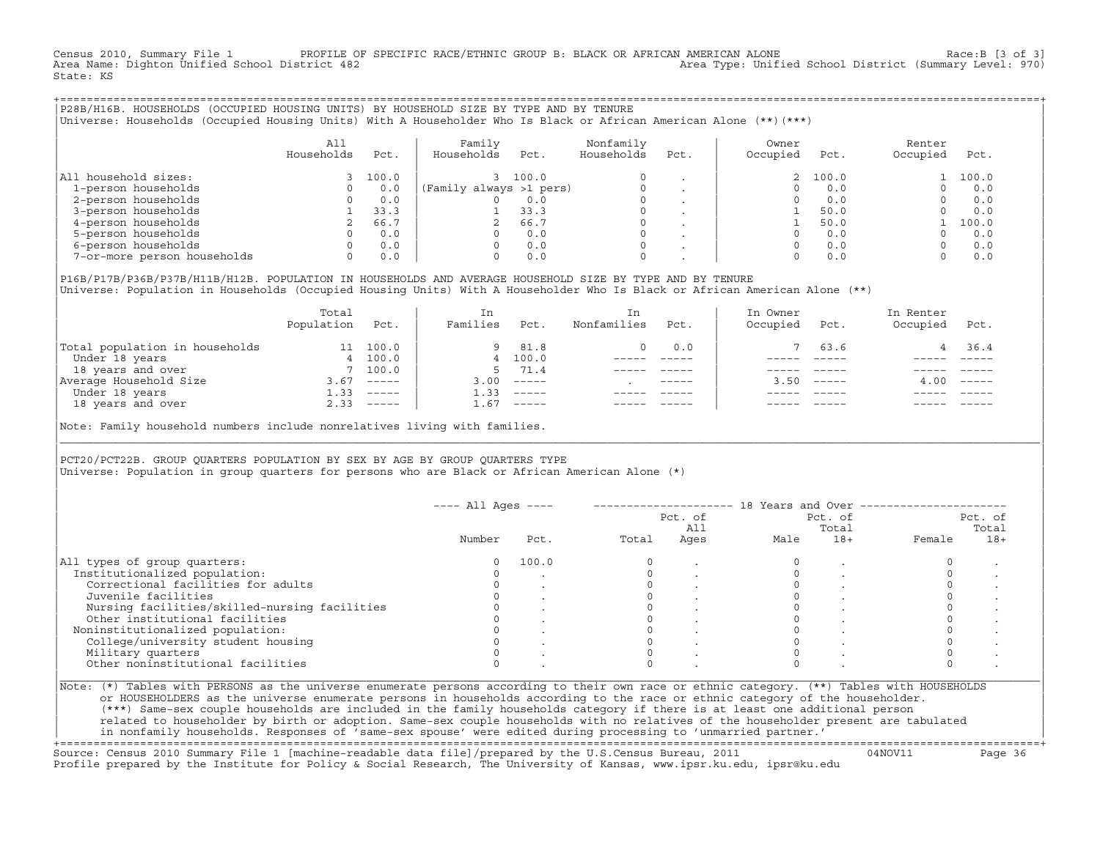Census 2010, Summary File 1 PROFILE OF SPECIFIC RACE/ETHNIC GROUP B: BLACK OR AFRICAN AMERICAN ALONE Race:B [3 of 3]<br>Area Name: Dighton Unified School District 482 area Type: Unified School District (Summary Level: 970) Area Type: Unified School District (Summary Level: 970) State: KS

+===================================================================================================================================================+|P28B/H16B. HOUSEHOLDS (OCCUPIED HOUSING UNITS) BY HOUSEHOLD SIZE BY TYPE AND BY TENURE | |Universe: Households (Occupied Housing Units) With A Householder Who Is Black or African American Alone (\*\*)(\*\*\*) |

|                             | All<br>Households | Pct.  | Family<br>Households    | Pct.  | Nonfamily<br>Households | Pct. | Owner<br>Occupied | Pct.     | Renter<br>Occupied | Pct.  |  |
|-----------------------------|-------------------|-------|-------------------------|-------|-------------------------|------|-------------------|----------|--------------------|-------|--|
| household sizes:<br>All     |                   | 100.0 |                         | 100.0 |                         |      |                   | 2, 100.0 |                    | 100.0 |  |
| 1-person households         |                   | 0.0   | (Family always >1 pers) |       |                         |      |                   | 0.0      |                    | 0.0   |  |
| 2-person households         |                   | 0.0   |                         | 0.0   | $\Omega$                |      |                   | 0.0      |                    | 0.0   |  |
| 3-person households         |                   | 33.3  |                         | 33.3  |                         |      |                   | 50.0     |                    | 0.0   |  |
| 4-person households         |                   | 66.7  |                         | 66.7  |                         |      |                   | 50.0     |                    | 100.0 |  |
| 5-person households         |                   | 0.0   |                         | 0.0   |                         |      |                   | 0.0      |                    | 0.0   |  |
| 6-person households         |                   | 0.0   |                         | 0.0   |                         |      |                   | 0.0      |                    | 0.0   |  |
| 7-or-more person households |                   | 0.0   |                         | 0.0   |                         |      |                   |          |                    | 0.0   |  |

| |

|P16B/P17B/P36B/P37B/H11B/H12B. POPULATION IN HOUSEHOLDS AND AVERAGE HOUSEHOLD SIZE BY TYPE AND BY TENURE | Universe: Population in Households (Occupied Housing Units) With A Householder Who Is Black or African American Alone (\*\*)

|                                | Total<br>Population | Pct.         | In<br>Families | Pct.                      | In.<br>Nonfamilies | Pct.        | In Owner<br>Occupied | Pct.          | In Renter<br>Occupied | Pct.                      |  |
|--------------------------------|---------------------|--------------|----------------|---------------------------|--------------------|-------------|----------------------|---------------|-----------------------|---------------------------|--|
| Total population in households | 11                  | 100.0        | 9              | 81.8                      |                    | 0.0         |                      | 63.6          |                       | 36.4                      |  |
| Under 18 years                 | 4                   | 100.0        |                | 4 100.0                   |                    |             |                      |               |                       |                           |  |
| 18 years and over              |                     | 7 100.0      | 5.             | 71.4                      |                    |             |                      |               |                       |                           |  |
| Average Household Size         | 3.67                | $------$     | 3.00           | $------$                  |                    | $- - - - -$ | 3.50                 | $- - - - - -$ | 4.00                  | $\qquad \qquad - - - - -$ |  |
| Under 18 years                 | 1.33                | $------$     | 1.33           | $------$                  |                    |             |                      |               |                       |                           |  |
| 18 years and over              |                     | $2.33$ $---$ | 1.67           | $\qquad \qquad - - - - -$ |                    |             |                      | $- - - - -$   |                       | $- - - - -$               |  |
|                                |                     |              |                |                           |                    |             |                      |               |                       |                           |  |

Note: Family household numbers include nonrelatives living with families.

| | PCT20/PCT22B. GROUP OUARTERS POPULATION BY SEX BY AGE BY GROUP OUARTERS TYPE Universe: Population in group quarters for persons who are Black or African American Alone (\*)

|                                               |        |       |       | Pct. of<br>All |      | Pct. of<br>Total |        | Pct. of<br>Total |
|-----------------------------------------------|--------|-------|-------|----------------|------|------------------|--------|------------------|
|                                               | Number | Pct.  | Total | Ages           | Male | $18+$            | Female | $18+$            |
| All types of group quarters:                  | 0      | 100.0 |       |                |      |                  |        |                  |
| Institutionalized population:                 |        |       |       |                |      |                  |        |                  |
| Correctional facilities for adults            |        |       |       |                |      |                  |        |                  |
| Juvenile facilities                           |        |       |       |                |      |                  |        |                  |
| Nursing facilities/skilled-nursing facilities |        |       |       |                |      |                  |        |                  |
| Other institutional facilities                |        |       |       |                |      |                  |        |                  |
| Noninstitutionalized population:              |        |       |       |                |      |                  |        |                  |
| College/university student housing            |        |       |       |                |      |                  |        |                  |
| Military quarters                             |        |       |       |                |      |                  |        |                  |
| Other noninstitutional facilities             |        |       |       |                |      |                  |        |                  |

|\_\_\_\_\_\_\_\_\_\_\_\_\_\_\_\_\_\_\_\_\_\_\_\_\_\_\_\_\_\_\_\_\_\_\_\_\_\_\_\_\_\_\_\_\_\_\_\_\_\_\_\_\_\_\_\_\_\_\_\_\_\_\_\_\_\_\_\_\_\_\_\_\_\_\_\_\_\_\_\_\_\_\_\_\_\_\_\_\_\_\_\_\_\_\_\_\_\_\_\_\_\_\_\_\_\_\_\_\_\_\_\_\_\_\_\_\_\_\_\_\_\_\_\_\_\_\_\_\_\_\_\_\_\_\_\_\_\_\_\_\_\_\_\_\_\_\_|

| |

or HOUSEHOLDERS as the universe enumerate persons in households according to the race or ethnic category of the householder. | (\*\*\*) Same−sex couple households are included in the family households category if there is at least one additional person | | related to householder by birth or adoption. Same−sex couple households with no relatives of the householder present are tabulated | | in nonfamily households. Responses of 'same−sex spouse' were edited during processing to 'unmarried partner.' |

+===================================================================================================================================================+ Source: Census 2010 Summary File 1 [machine−readable data file]/prepared by the U.S.Census Bureau, 2011 04NOV11 Page 36 Profile prepared by the Institute for Policy & Social Research, The University of Kansas, www.ipsr.ku.edu, ipsr@ku.edu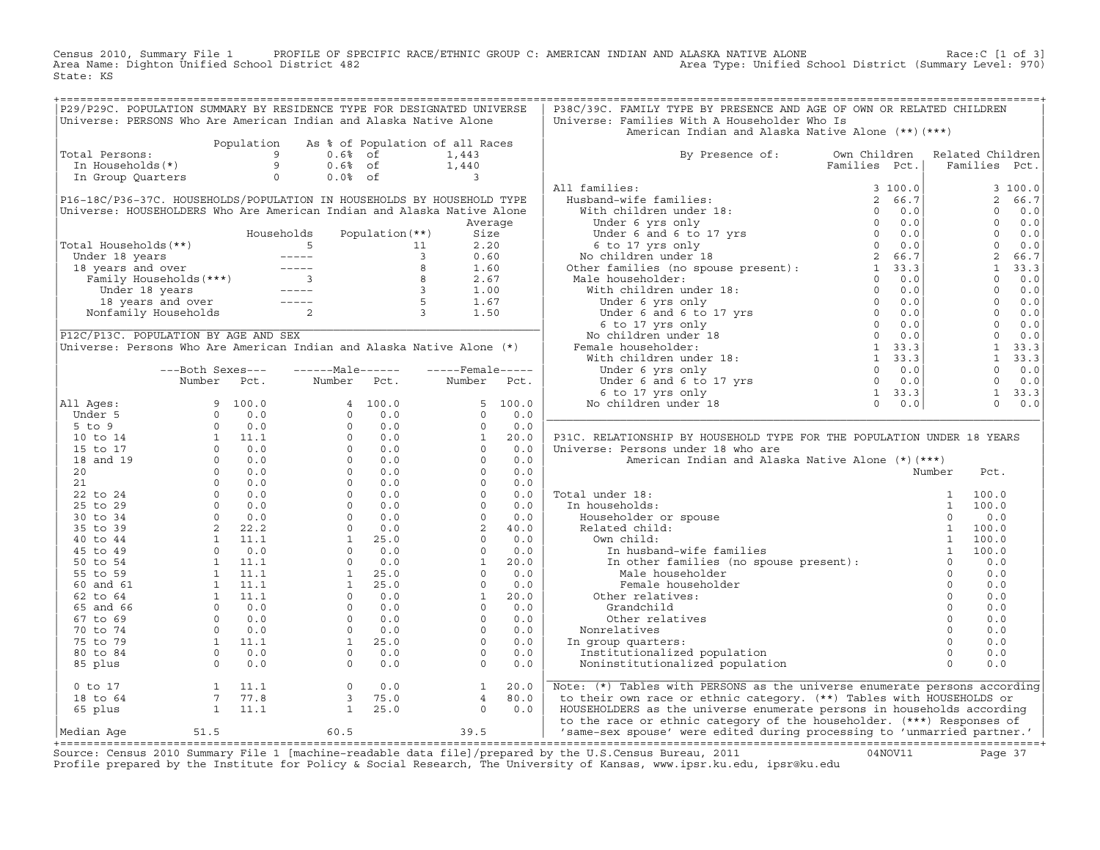Census 2010, Summary File 1 PROFILE OF SPECIFIC RACE/ETHNIC GROUP C: AMERICAN INDIAN AND ALASKA NATIVE ALONE Race:C [1 of 3]<br>Area Name: Dighton Unified School District 482 Area Type: Unified School District (Summary Level: Area Type: Unified School District (Summary Level: 970) State: KS

| P29/P29C. POPULATION SUMMARY BY RESIDENCE TYPE FOR DESIGNATED UNIVERSE                                                                                                                                                                                                      |                                                                   |            |                                                                  |                   |                                            |          | P38C/39C. FAMILY TYPE BY PRESENCE AND AGE OF OWN OR RELATED CHILDREN                                                                                                                                                                                                                                                                                                                                                                           |                                                                     |                  |                |                |
|-----------------------------------------------------------------------------------------------------------------------------------------------------------------------------------------------------------------------------------------------------------------------------|-------------------------------------------------------------------|------------|------------------------------------------------------------------|-------------------|--------------------------------------------|----------|------------------------------------------------------------------------------------------------------------------------------------------------------------------------------------------------------------------------------------------------------------------------------------------------------------------------------------------------------------------------------------------------------------------------------------------------|---------------------------------------------------------------------|------------------|----------------|----------------|
| Universe: PERSONS Who Are American Indian and Alaska Native Alone                                                                                                                                                                                                           |                                                                   |            |                                                                  |                   |                                            |          | Universe: Families With A Householder Who Is                                                                                                                                                                                                                                                                                                                                                                                                   |                                                                     |                  |                |                |
|                                                                                                                                                                                                                                                                             |                                                                   |            |                                                                  |                   |                                            |          | American Indian and Alaska Native Alone (**) (***)                                                                                                                                                                                                                                                                                                                                                                                             |                                                                     |                  |                |                |
|                                                                                                                                                                                                                                                                             |                                                                   | Population |                                                                  |                   | As % of Population of all Races            |          |                                                                                                                                                                                                                                                                                                                                                                                                                                                |                                                                     |                  |                |                |
| Total Persons:<br>otal Persons:<br>In Households(*) 9 0.6% of<br>In Group Quarters 0 0.0% of                                                                                                                                                                                |                                                                   |            |                                                                  |                   | 1,443                                      |          | By Presence of: Own Children                                                                                                                                                                                                                                                                                                                                                                                                                   |                                                                     | Related Children |                |                |
|                                                                                                                                                                                                                                                                             |                                                                   |            |                                                                  |                   |                                            |          |                                                                                                                                                                                                                                                                                                                                                                                                                                                | Families Pct.                                                       | Families Pct.    |                |                |
|                                                                                                                                                                                                                                                                             |                                                                   |            |                                                                  |                   | 1,440                                      |          |                                                                                                                                                                                                                                                                                                                                                                                                                                                |                                                                     |                  |                |                |
|                                                                                                                                                                                                                                                                             |                                                                   |            |                                                                  |                   |                                            |          | All families:                                                                                                                                                                                                                                                                                                                                                                                                                                  |                                                                     |                  |                | 3100.0         |
| P16-18C/P36-37C. HOUSEHOLDS/POPULATION IN HOUSEHOLDS BY HOUSEHOLD TYPE                                                                                                                                                                                                      |                                                                   |            |                                                                  |                   |                                            |          |                                                                                                                                                                                                                                                                                                                                                                                                                                                |                                                                     |                  |                | 2 66.7         |
| Universe: HOUSEHOLDERS Who Are American Indian and Alaska Native Alone                                                                                                                                                                                                      |                                                                   |            |                                                                  |                   |                                            |          |                                                                                                                                                                                                                                                                                                                                                                                                                                                |                                                                     |                  | $\Omega$       | 0.0            |
|                                                                                                                                                                                                                                                                             |                                                                   |            |                                                                  |                   |                                            | Average  |                                                                                                                                                                                                                                                                                                                                                                                                                                                |                                                                     |                  |                | $0 \t 0.0$     |
|                                                                                                                                                                                                                                                                             |                                                                   |            | Households                                                       | Population $(**)$ | Size                                       |          |                                                                                                                                                                                                                                                                                                                                                                                                                                                |                                                                     |                  |                | $0 \t 0.0$     |
| Total Households(**)                                                                                                                                                                                                                                                        |                                                                   |            |                                                                  |                   |                                            |          |                                                                                                                                                                                                                                                                                                                                                                                                                                                |                                                                     |                  |                | $0 \t 0.0$     |
|                                                                                                                                                                                                                                                                             |                                                                   |            |                                                                  |                   |                                            |          |                                                                                                                                                                                                                                                                                                                                                                                                                                                |                                                                     |                  | $\overline{2}$ | 66.7           |
|                                                                                                                                                                                                                                                                             |                                                                   |            |                                                                  |                   |                                            |          |                                                                                                                                                                                                                                                                                                                                                                                                                                                |                                                                     |                  |                | $1 \quad 33.3$ |
|                                                                                                                                                                                                                                                                             |                                                                   |            |                                                                  |                   |                                            |          |                                                                                                                                                                                                                                                                                                                                                                                                                                                |                                                                     |                  | $\Omega$       | 0.0            |
|                                                                                                                                                                                                                                                                             |                                                                   |            |                                                                  |                   |                                            |          |                                                                                                                                                                                                                                                                                                                                                                                                                                                |                                                                     |                  |                | $0 \t 0.0$     |
| otal Households (**)<br>Under 18 years<br>18 years and over<br>Family Households (***)<br>Under 18 years<br>18 years and over<br>Family Households (***)<br>18 years and over<br>18 years and over<br>18 years and over<br>18 years and over<br>1.67                        |                                                                   |            |                                                                  |                   |                                            |          |                                                                                                                                                                                                                                                                                                                                                                                                                                                |                                                                     |                  |                | $0 \t 0.0$     |
|                                                                                                                                                                                                                                                                             |                                                                   |            |                                                                  |                   |                                            |          |                                                                                                                                                                                                                                                                                                                                                                                                                                                |                                                                     |                  |                | $0 \t 0.0$     |
|                                                                                                                                                                                                                                                                             |                                                                   |            |                                                                  |                   |                                            |          |                                                                                                                                                                                                                                                                                                                                                                                                                                                |                                                                     |                  |                | $0 \t 0.0$     |
|                                                                                                                                                                                                                                                                             |                                                                   |            |                                                                  |                   |                                            |          |                                                                                                                                                                                                                                                                                                                                                                                                                                                |                                                                     |                  |                | $0 \t 0.0$     |
| P12C/P13C. POPULATION BY AGE AND SEX                                                                                                                                                                                                                                        |                                                                   |            |                                                                  |                   |                                            |          |                                                                                                                                                                                                                                                                                                                                                                                                                                                |                                                                     |                  |                |                |
| Universe: Persons Who Are American Indian and Alaska Native Alone (*)                                                                                                                                                                                                       |                                                                   |            |                                                                  |                   |                                            |          |                                                                                                                                                                                                                                                                                                                                                                                                                                                |                                                                     |                  |                | 1 33.3         |
|                                                                                                                                                                                                                                                                             |                                                                   |            |                                                                  |                   |                                            |          |                                                                                                                                                                                                                                                                                                                                                                                                                                                |                                                                     |                  |                | 1, 33.3        |
|                                                                                                                                                                                                                                                                             | ---Both Sexes---                                                  |            | $---Male----$                                                    |                   | $---$ Female -----                         |          |                                                                                                                                                                                                                                                                                                                                                                                                                                                |                                                                     |                  |                | $0 \t 0.0$     |
|                                                                                                                                                                                                                                                                             | Number Pct.                                                       |            | Number Pct.                                                      |                   | Number Pct.                                |          |                                                                                                                                                                                                                                                                                                                                                                                                                                                |                                                                     |                  |                | $0 \t 0.0$     |
|                                                                                                                                                                                                                                                                             |                                                                   |            |                                                                  |                   |                                            |          |                                                                                                                                                                                                                                                                                                                                                                                                                                                |                                                                     |                  |                | $1 \quad 33.3$ |
| All Ages:                                                                                                                                                                                                                                                                   |                                                                   |            |                                                                  |                   |                                            | 5, 100.0 |                                                                                                                                                                                                                                                                                                                                                                                                                                                |                                                                     |                  |                | $0 \t 0.0$     |
|                                                                                                                                                                                                                                                                             |                                                                   |            |                                                                  |                   |                                            | 0.0      |                                                                                                                                                                                                                                                                                                                                                                                                                                                |                                                                     |                  |                |                |
|                                                                                                                                                                                                                                                                             |                                                                   |            |                                                                  |                   |                                            | 0.0      |                                                                                                                                                                                                                                                                                                                                                                                                                                                |                                                                     |                  |                |                |
|                                                                                                                                                                                                                                                                             |                                                                   |            |                                                                  |                   |                                            | 20.0     | P31C. RELATIONSHIP BY HOUSEHOLD TYPE FOR THE POPULATION UNDER 18 YEARS                                                                                                                                                                                                                                                                                                                                                                         |                                                                     |                  |                |                |
|                                                                                                                                                                                                                                                                             |                                                                   |            |                                                                  |                   |                                            | 0.0      | Universe: Persons under 18 who are                                                                                                                                                                                                                                                                                                                                                                                                             |                                                                     |                  |                |                |
|                                                                                                                                                                                                                                                                             |                                                                   |            |                                                                  |                   |                                            | 0.0      | American Indian and Alaska Native Alone (*) (***)                                                                                                                                                                                                                                                                                                                                                                                              |                                                                     |                  |                |                |
|                                                                                                                                                                                                                                                                             |                                                                   |            |                                                                  |                   |                                            | 0.0      |                                                                                                                                                                                                                                                                                                                                                                                                                                                |                                                                     | Number           | Pct.           |                |
|                                                                                                                                                                                                                                                                             |                                                                   |            |                                                                  |                   |                                            | 0.0      |                                                                                                                                                                                                                                                                                                                                                                                                                                                |                                                                     |                  |                |                |
|                                                                                                                                                                                                                                                                             |                                                                   |            |                                                                  |                   |                                            | 0.0      | Total under 18:                                                                                                                                                                                                                                                                                                                                                                                                                                |                                                                     |                  |                |                |
|                                                                                                                                                                                                                                                                             |                                                                   |            |                                                                  |                   |                                            | 0.0      | In households:                                                                                                                                                                                                                                                                                                                                                                                                                                 |                                                                     |                  |                |                |
|                                                                                                                                                                                                                                                                             |                                                                   |            |                                                                  |                   |                                            | 0.0      |                                                                                                                                                                                                                                                                                                                                                                                                                                                |                                                                     |                  |                |                |
|                                                                                                                                                                                                                                                                             |                                                                   |            |                                                                  |                   |                                            | 40.0     |                                                                                                                                                                                                                                                                                                                                                                                                                                                |                                                                     |                  |                |                |
|                                                                                                                                                                                                                                                                             |                                                                   |            |                                                                  |                   |                                            | 0.0      |                                                                                                                                                                                                                                                                                                                                                                                                                                                |                                                                     |                  |                |                |
|                                                                                                                                                                                                                                                                             |                                                                   |            |                                                                  |                   |                                            | 0.0      |                                                                                                                                                                                                                                                                                                                                                                                                                                                |                                                                     |                  |                |                |
|                                                                                                                                                                                                                                                                             |                                                                   |            |                                                                  |                   |                                            | 20.0     | $\begin{tabular}{lllllllllll} \texttt{all under 18:} & & & & & 1 & 100.0 \\ \texttt{m} \texttt{householder} & \texttt{or} \texttt{pouse} & & & 1 & 100.0 \\ \texttt{Related child:} & & & 1 & 100.0 \\ \texttt{New child:} & & & 1 & 100.0 \\ \texttt{0w} & \texttt{child:} & & 1 & 100.0 \\ \texttt{m} & \texttt{in hushand-wife families} & & & 1 & 100.0 \\ \texttt{Male householder} & & & 0 & 0.0 \\ \texttt{Male householder} & & & 0 &$ |                                                                     |                  |                |                |
|                                                                                                                                                                                                                                                                             |                                                                   |            |                                                                  |                   |                                            | 0.0      |                                                                                                                                                                                                                                                                                                                                                                                                                                                | $\begin{array}{c} 0 \\ 0 \\ 0 \\ 0 \\ 0 \\ 0 \\ \hline \end{array}$ |                  |                |                |
|                                                                                                                                                                                                                                                                             |                                                                   |            |                                                                  |                   |                                            | 0.0      | Female householder                                                                                                                                                                                                                                                                                                                                                                                                                             |                                                                     |                  | 0.0            |                |
|                                                                                                                                                                                                                                                                             |                                                                   |            |                                                                  |                   |                                            | 20.0     | Other relatives:                                                                                                                                                                                                                                                                                                                                                                                                                               |                                                                     |                  | 0.0            |                |
|                                                                                                                                                                                                                                                                             |                                                                   |            |                                                                  |                   |                                            | 0.0      |                                                                                                                                                                                                                                                                                                                                                                                                                                                |                                                                     |                  | 0.0            |                |
|                                                                                                                                                                                                                                                                             |                                                                   |            |                                                                  |                   |                                            | 0.0      |                                                                                                                                                                                                                                                                                                                                                                                                                                                |                                                                     |                  | 0.0            |                |
|                                                                                                                                                                                                                                                                             |                                                                   |            |                                                                  |                   |                                            | 0.0      | Nonrelatives                                                                                                                                                                                                                                                                                                                                                                                                                                   |                                                                     |                  | 0.0            |                |
|                                                                                                                                                                                                                                                                             |                                                                   |            |                                                                  |                   |                                            | 0.0      | In group quarters:                                                                                                                                                                                                                                                                                                                                                                                                                             |                                                                     |                  | 0.0            |                |
|                                                                                                                                                                                                                                                                             |                                                                   |            |                                                                  |                   |                                            | 0.0      | Institutionalized population                                                                                                                                                                                                                                                                                                                                                                                                                   |                                                                     |                  | 0.0            |                |
| A strategy<br>11 Ages: 9 100.0<br>5 to 9 0 0.0<br>5 to 14<br>16 17<br>16 17<br>16 17<br>21<br>22 to 24<br>25 0 0.0<br>22<br>22 to 24<br>25 0 0.0<br>25 to 29<br>25 to 29<br>30 0.0<br>30 0.0<br>35 to 44<br>45 to 49<br>45 to 49<br>45 to 49<br>50 to 54<br>1 11.1<br>45 to |                                                                   |            |                                                                  |                   |                                            | 0.0      | $\begin{tabular}{ll} Grandchild & & & \\ Other relatives & & \\relatives & & \\oup quarters: & \\ titutionalized population & \\ & \\ institutionalized population & 0 \\ & \\ & \\ & \\ \end{tabular}$<br>Noninstitutionalized population                                                                                                                                                                                                     |                                                                     |                  | 0.0            |                |
|                                                                                                                                                                                                                                                                             |                                                                   |            |                                                                  |                   |                                            |          |                                                                                                                                                                                                                                                                                                                                                                                                                                                |                                                                     |                  |                |                |
| $0$ to $17$                                                                                                                                                                                                                                                                 | $\begin{array}{ccc} 1 & 11.1 \\ 7 & 77.8 \\ 1 & 11.1 \end{array}$ |            | $\begin{array}{ccc} 0 & 0.0 \\ 3 & 75.0 \\ 1 & 25.0 \end{array}$ |                   | $\begin{array}{c} 1 \\ 4 \\ 0 \end{array}$ | 20.0     | Note: (*) Tables with PERSONS as the universe enumerate persons according                                                                                                                                                                                                                                                                                                                                                                      |                                                                     |                  |                |                |
| 18 to 64                                                                                                                                                                                                                                                                    |                                                                   |            |                                                                  |                   |                                            | 80.0     | to their own race or ethnic category. (**) Tables with HOUSEHOLDS or                                                                                                                                                                                                                                                                                                                                                                           |                                                                     |                  |                |                |
| 65 plus                                                                                                                                                                                                                                                                     |                                                                   |            |                                                                  |                   |                                            | 0.0      | HOUSEHOLDERS as the universe enumerate persons in households according                                                                                                                                                                                                                                                                                                                                                                         |                                                                     |                  |                |                |
|                                                                                                                                                                                                                                                                             |                                                                   |            |                                                                  |                   |                                            |          | to the race or ethnic category of the householder. (***) Responses of                                                                                                                                                                                                                                                                                                                                                                          |                                                                     |                  |                |                |
| Median Aqe                                                                                                                                                                                                                                                                  | 51.5                                                              |            |                                                                  |                   |                                            |          |                                                                                                                                                                                                                                                                                                                                                                                                                                                |                                                                     |                  |                |                |
|                                                                                                                                                                                                                                                                             |                                                                   |            |                                                                  |                   |                                            |          |                                                                                                                                                                                                                                                                                                                                                                                                                                                |                                                                     |                  |                |                |

+===================================================================================================================================================+Source: Census 2010 Summary File 1 [machine−readable data file]/prepared by the U.S.Census Bureau, 2011 04NOV11 Page 37 Profile prepared by the Institute for Policy & Social Research, The University of Kansas, www.ipsr.ku.edu, ipsr@ku.edu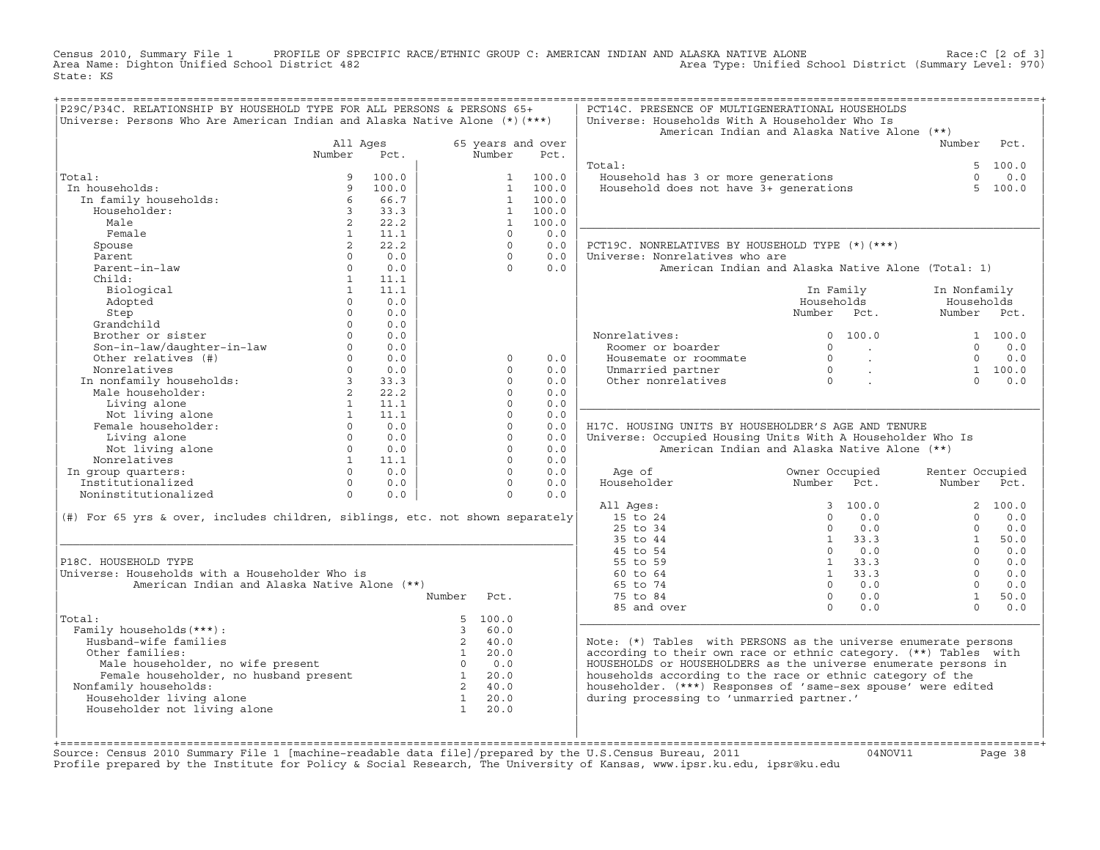Census 2010, Summary File 1 PROFILE OF SPECIFIC RACE/ETHNIC GROUP C: AMERICAN INDIAN AND ALASKA NATIVE ALONE Race:C [2 of 3]<br>Area Name: Dighton Unified School District 482 Area Type: Unified School District (Summary Level: Area Type: Unified School District (Summary Level: 970) State: KS

| P29C/P34C. RELATIONSHIP BY HOUSEHOLD TYPE FOR ALL PERSONS & PERSONS 65+<br>Universe: Persons Who Are American Indian and Alaska Native Alone $(*)$ $(***)$ |                   |            |               |                      |                   | PCT14C. PRESENCE OF MULTIGENERATIONAL HOUSEHOLDS<br>Universe: Households With A Householder Who Is<br>American Indian and Alaska Native Alone (**) |                                  |                             |                           |          |
|------------------------------------------------------------------------------------------------------------------------------------------------------------|-------------------|------------|---------------|----------------------|-------------------|----------------------------------------------------------------------------------------------------------------------------------------------------|----------------------------------|-----------------------------|---------------------------|----------|
|                                                                                                                                                            | All Ages          |            |               |                      | 65 years and over |                                                                                                                                                    |                                  |                             | Number Pct.               |          |
|                                                                                                                                                            | Number            | Pct.       |               | Number               | Pct.              |                                                                                                                                                    |                                  |                             |                           |          |
|                                                                                                                                                            |                   |            |               |                      |                   | Total:                                                                                                                                             |                                  |                             |                           | 5, 100.0 |
| Total:                                                                                                                                                     | 9                 | 100.0      |               | 1                    | 100.0             | Household has 3 or more generations<br>Household does not have 3+ generations                                                                      |                                  |                             | $\Omega$                  | 0.0      |
| In households:                                                                                                                                             | 9                 | 100.0      |               | 1                    | 100.0             |                                                                                                                                                    |                                  |                             | 5 <sub>1</sub>            | 100.0    |
| In family households:                                                                                                                                      | 6                 | 66.7       |               | $\overline{1}$       | 100.0             |                                                                                                                                                    |                                  |                             |                           |          |
| Householder:                                                                                                                                               | $3^{\circ}$       | 33.3       |               | $\mathbf{1}$         | 100.0             |                                                                                                                                                    |                                  |                             |                           |          |
| Male                                                                                                                                                       | $2^{\circ}$       | 22.2       |               | $\mathbf{1}$         | 100.0             |                                                                                                                                                    |                                  |                             |                           |          |
| Female                                                                                                                                                     | $\mathbf{1}$      | 11.1       |               | $\Omega$             | 0.0               |                                                                                                                                                    |                                  |                             |                           |          |
| Spouse                                                                                                                                                     | $\overline{a}$    | 22.2       |               | $\Omega$             | 0.0               | PCT19C. NONRELATIVES BY HOUSEHOLD TYPE (*) (***)                                                                                                   |                                  |                             |                           |          |
| Parent                                                                                                                                                     | $\Omega$          | 0.0        |               | $\Omega$             | 0.0               | Universe: Nonrelatives who are                                                                                                                     |                                  |                             |                           |          |
| Parent-in-law                                                                                                                                              | $\circ$           | 0.0        |               | $\cap$               | 0.0               | American Indian and Alaska Native Alone (Total: 1)                                                                                                 |                                  |                             |                           |          |
| Child:                                                                                                                                                     | 1                 | 11.1       |               |                      |                   |                                                                                                                                                    |                                  |                             |                           |          |
| Biological                                                                                                                                                 | 1                 | 11.1       |               |                      |                   |                                                                                                                                                    | In Family                        |                             | In Nonfamily              |          |
| Adopted                                                                                                                                                    | $\Omega$          | 0.0        |               |                      |                   |                                                                                                                                                    | Households                       |                             | Households                |          |
| Step                                                                                                                                                       | $\Omega$          | 0.0        |               |                      |                   |                                                                                                                                                    | Number Pct.                      |                             | Number Pct.               |          |
| Grandchild                                                                                                                                                 | $\Omega$          | 0.0        |               |                      |                   |                                                                                                                                                    |                                  |                             |                           |          |
| Brother or sister                                                                                                                                          | $\Omega$          | 0.0        |               |                      |                   | Nonrelatives:                                                                                                                                      |                                  | 0 100.0                     |                           | 1 100.0  |
|                                                                                                                                                            | $\Omega$          | 0.0        |               |                      |                   | Roomer or boarder                                                                                                                                  | $\Omega$                         | <b>Contract</b>             | $\Omega$                  | 0.0      |
| Son-in-law/daughter-in-law<br>Other relatives (#)                                                                                                          | $0 \qquad \qquad$ | 0.0        |               | $\mathbf 0$          | 0.0               | Housemate or roommate                                                                                                                              | $\circ$                          | $\sim 10^{11}$ km s $^{-1}$ | $\Omega$                  | 0.0      |
| Nonrelatives<br>Nonrelatives<br>In nonfamily households: 3<br>Male householder: 2<br>2<br>1                                                                | $\Omega$          | 0.0        |               | $\Omega$             | 0.0               | Unmarried partner                                                                                                                                  | $\begin{matrix}0\\0\end{matrix}$ | $\sim 10^{-1}$ km           |                           | 1 100.0  |
|                                                                                                                                                            |                   | 33.3       |               | $\Omega$             | 0.0               | Other nonrelatives                                                                                                                                 |                                  |                             | $\Omega$                  | 0.0      |
|                                                                                                                                                            |                   | 22.2       |               | $\circ$              | 0.0               |                                                                                                                                                    |                                  |                             |                           |          |
| Living alone                                                                                                                                               | $\mathbf{1}$      | 11.1       |               | $\Omega$             | 0.0               |                                                                                                                                                    |                                  |                             |                           |          |
| Not living alone<br>anale householder:                                                                                                                     | $\sim$ 1          | 11.1       |               | $\Omega$             | 0.0               |                                                                                                                                                    |                                  |                             |                           |          |
| Female householder:                                                                                                                                        | $\Omega$          | 0.0        |               | $\Omega$             | 0.0               | H17C. HOUSING UNITS BY HOUSEHOLDER'S AGE AND TENURE                                                                                                |                                  |                             |                           |          |
| Living alone                                                                                                                                               |                   | $0 \t 0.0$ |               | $\Omega$             | 0.0               | Universe: Occupied Housing Units With A Householder Who Is                                                                                         |                                  |                             |                           |          |
| Not living alone                                                                                                                                           | $\Omega$          | 0.0        |               | $\Omega$             | 0.0               | American Indian and Alaska Native Alone (**)                                                                                                       |                                  |                             |                           |          |
| Nonrelatives                                                                                                                                               | 1<br>$\Omega$     | 11.1       |               | $\Omega$<br>$\Omega$ | 0.0               |                                                                                                                                                    |                                  |                             |                           |          |
| In group quarters:<br>Institutionalized                                                                                                                    | $\Omega$          | 0.0<br>0.0 |               | $\Omega$             | 0.0<br>0.0        | Age of<br>Householder                                                                                                                              | Owner Occupied<br>Number Pct.    |                             | Renter Occupied<br>Number | Pct.     |
| Noninstitutionalized                                                                                                                                       | $\circ$           | 0.0        |               | $\Omega$             | 0.0               |                                                                                                                                                    |                                  |                             |                           |          |
|                                                                                                                                                            |                   |            |               |                      |                   | All Ages:                                                                                                                                          |                                  | 3, 100.0                    |                           | 2, 100.0 |
| (#) For 65 yrs & over, includes children, siblings, etc. not shown separately                                                                              |                   |            |               |                      |                   | 15 to 24                                                                                                                                           | $\Omega$                         | 0.0                         | $\cap$                    | 0.0      |
|                                                                                                                                                            |                   |            |               |                      |                   | 25 to 34                                                                                                                                           | $\Omega$                         | 0.0                         | $\Omega$                  | 0.0      |
|                                                                                                                                                            |                   |            |               |                      |                   | 35 to 44                                                                                                                                           |                                  | $1 \t33.3$                  | 1                         | 50.0     |
|                                                                                                                                                            |                   |            |               |                      |                   | 45 to 54                                                                                                                                           |                                  | $0 \qquad 0.0$              | $\Omega$                  | 0.0      |
| P18C. HOUSEHOLD TYPE                                                                                                                                       |                   |            |               |                      |                   | 55 to 59                                                                                                                                           |                                  | $1 \t33.3$                  | $\Omega$                  | 0.0      |
| Universe: Households with a Householder Who is                                                                                                             |                   |            |               |                      |                   | 60 to 64                                                                                                                                           |                                  | $1 \t33.3$                  | $\Omega$                  | 0.0      |
| American Indian and Alaska Native Alone (**)                                                                                                               |                   |            |               |                      |                   | 65 to 74                                                                                                                                           |                                  | $0 \t 0.0$                  | $\Omega$                  | 0.0      |
|                                                                                                                                                            |                   |            | Number        | Pct.                 |                   | 75 to 84                                                                                                                                           | $\Omega$                         | 0.0                         | $\mathbf{1}$              | 50.0     |
|                                                                                                                                                            |                   |            |               |                      |                   | 85 and over                                                                                                                                        | $\Omega$                         | 0.0                         | $\Omega$                  | 0.0      |
| Total:                                                                                                                                                     |                   |            |               | 5 100.0              |                   |                                                                                                                                                    |                                  |                             |                           |          |
| Family households (***) :                                                                                                                                  |                   |            | $\mathcal{R}$ | 60.0                 |                   |                                                                                                                                                    |                                  |                             |                           |          |
| Husband-wife families                                                                                                                                      |                   |            | $2^{\circ}$   | 40.0                 |                   | Note: (*) Tables with PERSONS as the universe enumerate persons                                                                                    |                                  |                             |                           |          |
| Other families:                                                                                                                                            |                   |            | $\sim$ 1      | 20.0                 |                   | according to their own race or ethnic category. (**) Tables with                                                                                   |                                  |                             |                           |          |
|                                                                                                                                                            |                   |            |               | $0 \t 0.0$           |                   | HOUSEHOLDS or HOUSEHOLDERS as the universe enumerate persons in                                                                                    |                                  |                             |                           |          |
| Male householder, no wife present<br>Female householder, no husband present<br>inily bouseholds.                                                           |                   |            |               | 20.0                 |                   | households according to the race or ethnic category of the                                                                                         |                                  |                             |                           |          |
| Nonfamily households:                                                                                                                                      |                   |            |               | 2 40.0               |                   | householder. (***) Responses of 'same-sex spouse' were edited                                                                                      |                                  |                             |                           |          |
| Householder living alone                                                                                                                                   |                   |            | $\mathbf{1}$  | 20.0                 |                   | during processing to 'unmarried partner.'                                                                                                          |                                  |                             |                           |          |
| Householder not living alone                                                                                                                               |                   |            | $\mathbf{1}$  | 20.0                 |                   |                                                                                                                                                    |                                  |                             |                           |          |
|                                                                                                                                                            |                   |            |               |                      |                   |                                                                                                                                                    |                                  |                             |                           |          |
|                                                                                                                                                            |                   |            |               |                      |                   |                                                                                                                                                    |                                  |                             |                           |          |
|                                                                                                                                                            |                   |            |               |                      |                   |                                                                                                                                                    |                                  |                             |                           |          |

+===================================================================================================================================================+Source: Census 2010 Summary File 1 [machine−readable data file]/prepared by the U.S.Census Bureau, 2011 04NOV11 Page 38 Profile prepared by the Institute for Policy & Social Research, The University of Kansas, www.ipsr.ku.edu, ipsr@ku.edu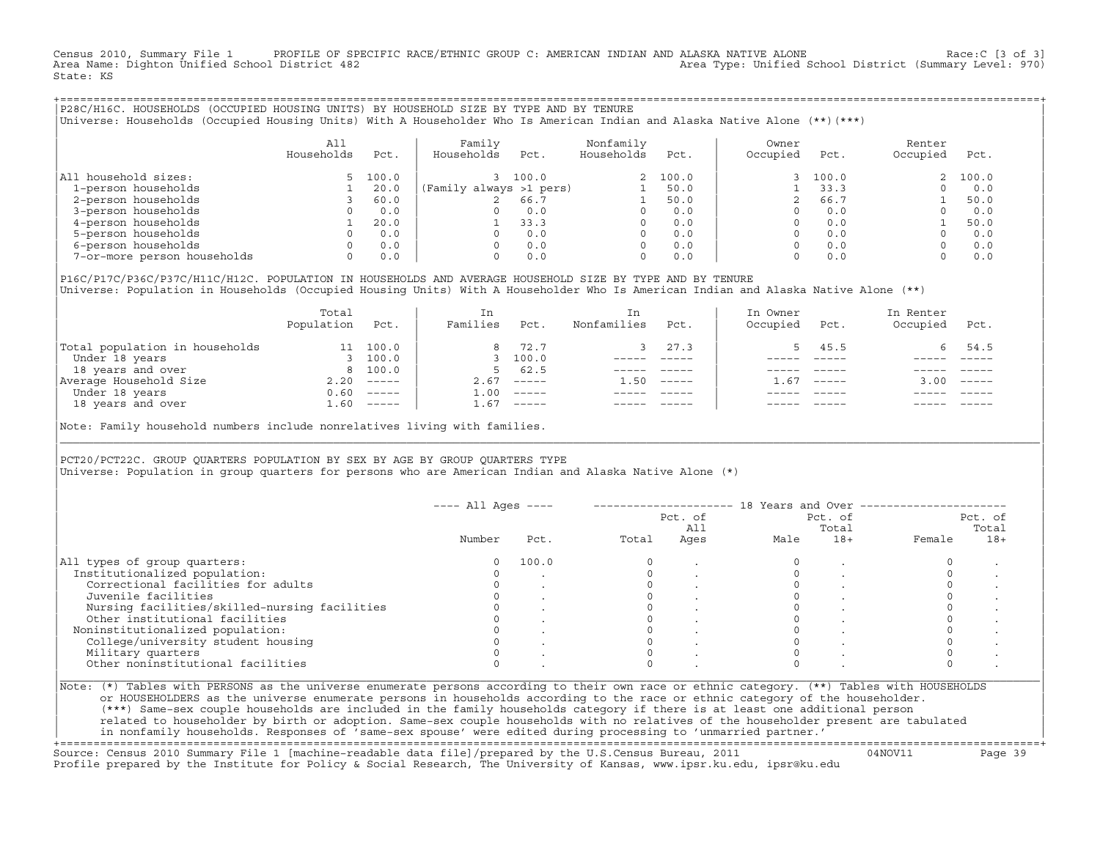Census 2010, Summary File 1 PROFILE OF SPECIFIC RACE/ETHNIC GROUP C: AMERICAN INDIAN AND ALASKA NATIVE ALONE Race:C [3 of 3]<br>Area Name: Dighton Unified School District 482 Area Type: Unified School District (Summary Level: 970) State: KS

+===================================================================================================================================================+|P28C/H16C. HOUSEHOLDS (OCCUPIED HOUSING UNITS) BY HOUSEHOLD SIZE BY TYPE AND BY TENURE | |Universe: Households (Occupied Housing Units) With A Householder Who Is American Indian and Alaska Native Alone (\*\*)(\*\*\*) |

|                             | All<br>Households | Pct.  | Family<br>Households    | Pct.  | Nonfamily<br>Households | Pct.    | Owner<br>Occupied | Pct.  | Renter<br>Occupied | Pct.    |
|-----------------------------|-------------------|-------|-------------------------|-------|-------------------------|---------|-------------------|-------|--------------------|---------|
| All household sizes:        |                   | 100.0 |                         | 100.0 |                         | 2 100.0 |                   | 100.0 |                    | 2 100.0 |
| 1-person households         |                   | 20.0  | (Family always >1 pers) |       |                         | 50.0    |                   | 33.3  |                    | 0.0     |
| 2-person households         |                   | 60.0  |                         | 66.7  |                         | 50.0    |                   | 66.7  |                    | 50.0    |
| 3-person households         |                   | 0.0   | 0                       | 0.0   | 0                       | 0.0     |                   | 0.0   |                    | 0.0     |
| 4-person households         |                   | 20.0  |                         | 33.3  |                         | 0.0     |                   | 0.0   |                    | 50.0    |
| 5-person households         |                   | 0.0   | $\Omega$                | 0.0   |                         | 0.0     |                   | 0.0   |                    | 0.0     |
| 6-person households         |                   | 0.0   | O.                      | 0.0   |                         | 0.0     |                   | 0.0   |                    | 0.0     |
| 7-or-more person households |                   | 0.0   | 0                       | 0.0   | 0                       | 0.0     |                   | 0.0   |                    | 0.0     |

|P16C/P17C/P36C/P37C/H11C/H12C. POPULATION IN HOUSEHOLDS AND AVERAGE HOUSEHOLD SIZE BY TYPE AND BY TENURE | Universe: Population in Households (Occupied Housing Units) With A Householder Who Is American Indian and Alaska Native Alone (\*\*)

|                                | Total<br>Population | Pct.     | In<br>Families | Pct.                      | In.<br>Nonfamilies | Pct.     | In Owner<br>Occupied | Pct.          | In Renter<br>Occupied | Pct.        |  |
|--------------------------------|---------------------|----------|----------------|---------------------------|--------------------|----------|----------------------|---------------|-----------------------|-------------|--|
| Total population in households | 11                  | 100.0    | 8              | 72.7                      |                    | 27.3     |                      | 45.5          | 6.                    | 54.5        |  |
| Under 18 years                 |                     | 100.0    |                | 3 100.0                   |                    |          |                      |               |                       |             |  |
| 18 years and over              |                     | 8 100.0  | 5.             | 62.5                      |                    |          |                      |               |                       |             |  |
| Average Household Size         | 2.20                | $------$ | 2.67           | $------$                  | 1.50               | $------$ | - 67                 | $\frac{1}{2}$ | 3.00                  | $------$    |  |
| Under 18 years                 | 0.60                | $------$ | 1.00           | $------$                  |                    |          |                      |               |                       |             |  |
| 18 years and over              | 1.60                |          | 1.67           | $\qquad \qquad - - - - -$ |                    |          |                      | $- - - - -$   |                       | $- - - - -$ |  |
|                                |                     |          |                |                           |                    |          |                      |               |                       |             |  |

Note: Family household numbers include nonrelatives living with families.

| | PCT20/PCT22C. GROUP OUARTERS POPULATION BY SEX BY AGE BY GROUP OUARTERS TYPE Universe: Population in group quarters for persons who are American Indian and Alaska Native Alone (\*)

|                                               |        |       |       | Pct. of<br>All |      | Pct. of<br>Total |        | Pct. of<br>Total |
|-----------------------------------------------|--------|-------|-------|----------------|------|------------------|--------|------------------|
|                                               | Number | Pct.  | Total | Ages           | Male | $18+$            | Female | $18+$            |
| All types of group quarters:                  |        | 100.0 |       |                |      |                  |        |                  |
| Institutionalized population:                 |        |       |       |                |      |                  |        |                  |
| Correctional facilities for adults            |        |       |       |                |      |                  |        |                  |
| Juvenile facilities                           |        |       |       |                |      |                  |        |                  |
| Nursing facilities/skilled-nursing facilities |        |       |       |                |      |                  |        |                  |
| Other institutional facilities                |        |       |       |                |      |                  |        |                  |
| Noninstitutionalized population:              |        |       |       |                |      |                  |        |                  |
| College/university student housing            |        |       |       |                |      |                  |        |                  |
| Military quarters                             |        |       |       |                |      |                  |        |                  |
| Other noninstitutional facilities             |        |       |       |                |      |                  |        |                  |

|\_\_\_\_\_\_\_\_\_\_\_\_\_\_\_\_\_\_\_\_\_\_\_\_\_\_\_\_\_\_\_\_\_\_\_\_\_\_\_\_\_\_\_\_\_\_\_\_\_\_\_\_\_\_\_\_\_\_\_\_\_\_\_\_\_\_\_\_\_\_\_\_\_\_\_\_\_\_\_\_\_\_\_\_\_\_\_\_\_\_\_\_\_\_\_\_\_\_\_\_\_\_\_\_\_\_\_\_\_\_\_\_\_\_\_\_\_\_\_\_\_\_\_\_\_\_\_\_\_\_\_\_\_\_\_\_\_\_\_\_\_\_\_\_\_\_\_|

| |

| (\*\*\*) Same−sex couple households are included in the family households category if there is at least one additional person | | related to householder by birth or adoption. Same−sex couple households with no relatives of the householder present are tabulated | | in nonfamily households. Responses of 'same−sex spouse' were edited during processing to 'unmarried partner.' | +===================================================================================================================================================+

Source: Census 2010 Summary File 1 [machine−readable data file]/prepared by the U.S.Census Bureau, 2011 04NOV11 Page 39 Profile prepared by the Institute for Policy & Social Research, The University of Kansas, www.ipsr.ku.edu, ipsr@ku.edu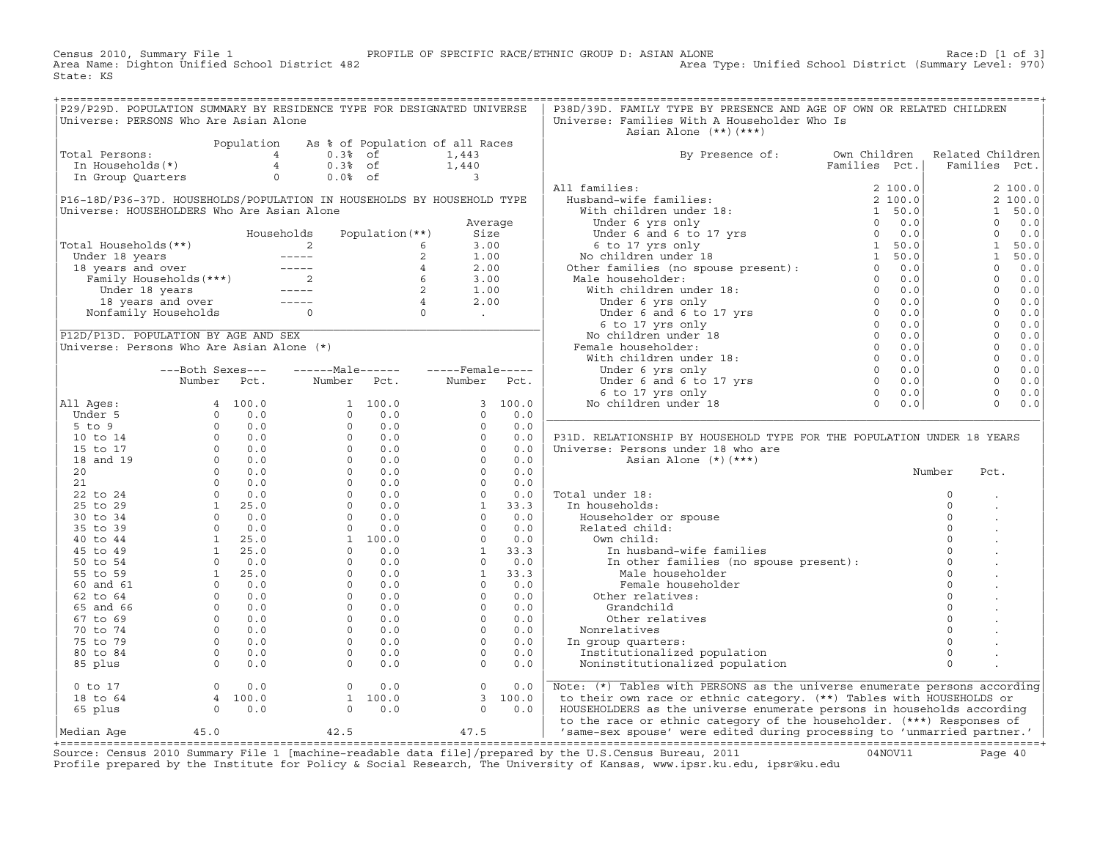Census 2010, Summary File 1 PROFILE OF SPECIFIC RACE/ETHNIC GROUP D: ASIAN ALONE Race:D [1 of 3]<br>Area Name: Dighton Unified School District 482 Area Type: Unified School District (Summary Level: 970) Area Type: Unified School District (Summary Level: 970) State: KS

| P29/P29D. POPULATION SUMMARY BY RESIDENCE TYPE FOR DESIGNATED UNIVERSE                                                                                                                                                                                                                                                  |                                                    |                                                                  |                                                               | P38D/39D. FAMILY TYPE BY PRESENCE AND AGE OF OWN OR RELATED CHILDREN                                                                                                                                                                                                                                                                                                                                                                                                             |        |          |  |
|-------------------------------------------------------------------------------------------------------------------------------------------------------------------------------------------------------------------------------------------------------------------------------------------------------------------------|----------------------------------------------------|------------------------------------------------------------------|---------------------------------------------------------------|----------------------------------------------------------------------------------------------------------------------------------------------------------------------------------------------------------------------------------------------------------------------------------------------------------------------------------------------------------------------------------------------------------------------------------------------------------------------------------|--------|----------|--|
| Universe: PERSONS Who Are Asian Alone                                                                                                                                                                                                                                                                                   |                                                    |                                                                  |                                                               | Universe: Families With A Householder Who Is                                                                                                                                                                                                                                                                                                                                                                                                                                     |        |          |  |
|                                                                                                                                                                                                                                                                                                                         |                                                    |                                                                  |                                                               | Asian Alone (**)(***)                                                                                                                                                                                                                                                                                                                                                                                                                                                            |        |          |  |
| Total Persons:<br>Population As % of Population of all Races<br>In Households(*)<br>In Group Quarters<br>$\begin{array}{ccccccccc}\n & & & & & \text{Population} & 4 & 0.3% & \text{of} & & 1,443 \\  & & 4 & & 0.3% & \text{of} & & 1,440 \\ \text{In Group Quarters} & & & & 0 & 0.0% & \text{of} & & 3\n\end{array}$ |                                                    |                                                                  |                                                               |                                                                                                                                                                                                                                                                                                                                                                                                                                                                                  |        |          |  |
|                                                                                                                                                                                                                                                                                                                         |                                                    |                                                                  |                                                               | By Presence of: Own Children Related Children<br>Families Pct.   Families Pct.                                                                                                                                                                                                                                                                                                                                                                                                   |        |          |  |
|                                                                                                                                                                                                                                                                                                                         |                                                    |                                                                  |                                                               |                                                                                                                                                                                                                                                                                                                                                                                                                                                                                  |        |          |  |
|                                                                                                                                                                                                                                                                                                                         |                                                    |                                                                  |                                                               |                                                                                                                                                                                                                                                                                                                                                                                                                                                                                  |        |          |  |
|                                                                                                                                                                                                                                                                                                                         |                                                    |                                                                  |                                                               | $\begin{tabular}{ c c c c c } \hline & $By\,\, {{\bf \rm P}}{\bf {\rm s}}{\bf {\rm s}}{\bf {\rm b}}{\bf {\rm r}}{\bf {\rm r}}{\bf {\rm s}}{\bf {\rm r}}{\bf {\rm r}}{\bf {\rm s}}{\bf {\rm r}}{\bf {\rm r}}{\bf {\rm r}}{\bf {\rm s}}{\bf {\rm r}}{\bf {\rm r}}{\bf {\rm r}}{\bf {\rm r}}{\bf {\rm r}}{\bf {\rm r}}{\bf {\rm r}}{\bf {\rm s}}{\bf {\rm r}}{\bf {\rm r}}{\bf {\rm r}}{\bf {\rm r}}{\bf {\rm r}}{\bf {\rm r}}{\bf {\rm s}}{\bf {\rm r}}{\bf {\rm r}}{\bf {\rm r}}$ |        |          |  |
| P16-18D/P36-37D. HOUSEHOLDS/POPULATION IN HOUSEHOLDS BY HOUSEHOLD TYPE                                                                                                                                                                                                                                                  |                                                    |                                                                  |                                                               |                                                                                                                                                                                                                                                                                                                                                                                                                                                                                  |        |          |  |
| Universe: HOUSEHOLDERS Who Are Asian Alone                                                                                                                                                                                                                                                                              |                                                    |                                                                  |                                                               |                                                                                                                                                                                                                                                                                                                                                                                                                                                                                  |        |          |  |
|                                                                                                                                                                                                                                                                                                                         |                                                    |                                                                  | Average                                                       |                                                                                                                                                                                                                                                                                                                                                                                                                                                                                  |        |          |  |
| Note 18 years<br>Total Households (**)<br>Under 18 years<br>18 years and over<br>Tamily Households (***)<br>Under 18 years<br>2 1.00<br>Family Households (***)<br>2 6 3.00<br>Under 18 years<br>2 1.00<br>Under 18 years<br>2 1.00<br>18 years and over                                                                |                                                    |                                                                  |                                                               |                                                                                                                                                                                                                                                                                                                                                                                                                                                                                  |        |          |  |
|                                                                                                                                                                                                                                                                                                                         |                                                    |                                                                  |                                                               |                                                                                                                                                                                                                                                                                                                                                                                                                                                                                  |        |          |  |
|                                                                                                                                                                                                                                                                                                                         |                                                    |                                                                  |                                                               |                                                                                                                                                                                                                                                                                                                                                                                                                                                                                  |        |          |  |
|                                                                                                                                                                                                                                                                                                                         |                                                    |                                                                  |                                                               |                                                                                                                                                                                                                                                                                                                                                                                                                                                                                  |        |          |  |
|                                                                                                                                                                                                                                                                                                                         |                                                    |                                                                  |                                                               |                                                                                                                                                                                                                                                                                                                                                                                                                                                                                  |        |          |  |
|                                                                                                                                                                                                                                                                                                                         |                                                    |                                                                  |                                                               |                                                                                                                                                                                                                                                                                                                                                                                                                                                                                  |        |          |  |
|                                                                                                                                                                                                                                                                                                                         |                                                    |                                                                  |                                                               |                                                                                                                                                                                                                                                                                                                                                                                                                                                                                  |        |          |  |
|                                                                                                                                                                                                                                                                                                                         |                                                    |                                                                  |                                                               |                                                                                                                                                                                                                                                                                                                                                                                                                                                                                  |        |          |  |
|                                                                                                                                                                                                                                                                                                                         |                                                    |                                                                  |                                                               |                                                                                                                                                                                                                                                                                                                                                                                                                                                                                  |        |          |  |
|                                                                                                                                                                                                                                                                                                                         |                                                    |                                                                  |                                                               |                                                                                                                                                                                                                                                                                                                                                                                                                                                                                  |        |          |  |
|                                                                                                                                                                                                                                                                                                                         |                                                    |                                                                  |                                                               |                                                                                                                                                                                                                                                                                                                                                                                                                                                                                  |        |          |  |
|                                                                                                                                                                                                                                                                                                                         |                                                    |                                                                  |                                                               |                                                                                                                                                                                                                                                                                                                                                                                                                                                                                  |        |          |  |
|                                                                                                                                                                                                                                                                                                                         |                                                    | ---Both Sexes---    ------Male------    -----Female-----         |                                                               |                                                                                                                                                                                                                                                                                                                                                                                                                                                                                  |        |          |  |
|                                                                                                                                                                                                                                                                                                                         |                                                    | Number Pct. Number Pct. Number Pct.                              |                                                               |                                                                                                                                                                                                                                                                                                                                                                                                                                                                                  |        |          |  |
|                                                                                                                                                                                                                                                                                                                         |                                                    |                                                                  |                                                               |                                                                                                                                                                                                                                                                                                                                                                                                                                                                                  |        |          |  |
|                                                                                                                                                                                                                                                                                                                         |                                                    |                                                                  |                                                               |                                                                                                                                                                                                                                                                                                                                                                                                                                                                                  |        |          |  |
|                                                                                                                                                                                                                                                                                                                         |                                                    |                                                                  |                                                               |                                                                                                                                                                                                                                                                                                                                                                                                                                                                                  |        |          |  |
|                                                                                                                                                                                                                                                                                                                         |                                                    |                                                                  |                                                               |                                                                                                                                                                                                                                                                                                                                                                                                                                                                                  |        |          |  |
|                                                                                                                                                                                                                                                                                                                         |                                                    |                                                                  |                                                               | P31D. RELATIONSHIP BY HOUSEHOLD TYPE FOR THE POPULATION UNDER 18 YEARS                                                                                                                                                                                                                                                                                                                                                                                                           |        |          |  |
|                                                                                                                                                                                                                                                                                                                         |                                                    |                                                                  |                                                               | Universe: Persons under 18 who are                                                                                                                                                                                                                                                                                                                                                                                                                                               |        |          |  |
|                                                                                                                                                                                                                                                                                                                         |                                                    |                                                                  |                                                               | Asian Alone (*) (***)                                                                                                                                                                                                                                                                                                                                                                                                                                                            |        |          |  |
|                                                                                                                                                                                                                                                                                                                         |                                                    |                                                                  |                                                               |                                                                                                                                                                                                                                                                                                                                                                                                                                                                                  | Number | Pct.     |  |
|                                                                                                                                                                                                                                                                                                                         |                                                    |                                                                  |                                                               |                                                                                                                                                                                                                                                                                                                                                                                                                                                                                  |        |          |  |
|                                                                                                                                                                                                                                                                                                                         |                                                    |                                                                  |                                                               | Total under 18:                                                                                                                                                                                                                                                                                                                                                                                                                                                                  |        | $\Omega$ |  |
|                                                                                                                                                                                                                                                                                                                         |                                                    |                                                                  |                                                               | In households:                                                                                                                                                                                                                                                                                                                                                                                                                                                                   |        | $\circ$  |  |
|                                                                                                                                                                                                                                                                                                                         |                                                    |                                                                  |                                                               |                                                                                                                                                                                                                                                                                                                                                                                                                                                                                  |        |          |  |
|                                                                                                                                                                                                                                                                                                                         |                                                    |                                                                  |                                                               |                                                                                                                                                                                                                                                                                                                                                                                                                                                                                  |        |          |  |
|                                                                                                                                                                                                                                                                                                                         |                                                    |                                                                  |                                                               |                                                                                                                                                                                                                                                                                                                                                                                                                                                                                  |        |          |  |
|                                                                                                                                                                                                                                                                                                                         |                                                    |                                                                  |                                                               |                                                                                                                                                                                                                                                                                                                                                                                                                                                                                  |        |          |  |
|                                                                                                                                                                                                                                                                                                                         |                                                    |                                                                  |                                                               | In households:<br>Householder or spouse<br>Related child:<br>0wn child:<br>0wn child:<br>10 husband-wife families<br>10 hoter families<br>10 hoter families (no spouse present):<br>10 head householder<br>0 head householder<br>0 hear relatives:                                                                                                                                                                                                                               |        |          |  |
|                                                                                                                                                                                                                                                                                                                         |                                                    |                                                                  |                                                               |                                                                                                                                                                                                                                                                                                                                                                                                                                                                                  |        |          |  |
|                                                                                                                                                                                                                                                                                                                         |                                                    |                                                                  |                                                               |                                                                                                                                                                                                                                                                                                                                                                                                                                                                                  |        |          |  |
|                                                                                                                                                                                                                                                                                                                         |                                                    |                                                                  |                                                               |                                                                                                                                                                                                                                                                                                                                                                                                                                                                                  |        |          |  |
|                                                                                                                                                                                                                                                                                                                         |                                                    |                                                                  |                                                               |                                                                                                                                                                                                                                                                                                                                                                                                                                                                                  |        |          |  |
|                                                                                                                                                                                                                                                                                                                         |                                                    |                                                                  |                                                               |                                                                                                                                                                                                                                                                                                                                                                                                                                                                                  |        |          |  |
|                                                                                                                                                                                                                                                                                                                         |                                                    |                                                                  |                                                               |                                                                                                                                                                                                                                                                                                                                                                                                                                                                                  |        |          |  |
|                                                                                                                                                                                                                                                                                                                         |                                                    |                                                                  |                                                               |                                                                                                                                                                                                                                                                                                                                                                                                                                                                                  |        |          |  |
|                                                                                                                                                                                                                                                                                                                         |                                                    |                                                                  |                                                               | In group quarters:                                                                                                                                                                                                                                                                                                                                                                                                                                                               |        | $\circ$  |  |
|                                                                                                                                                                                                                                                                                                                         |                                                    |                                                                  |                                                               | Institutionalized population                                                                                                                                                                                                                                                                                                                                                                                                                                                     |        | $\circ$  |  |
|                                                                                                                                                                                                                                                                                                                         |                                                    |                                                                  |                                                               | Noninstitutionalized population                                                                                                                                                                                                                                                                                                                                                                                                                                                  |        | $\Omega$ |  |
|                                                                                                                                                                                                                                                                                                                         |                                                    |                                                                  |                                                               |                                                                                                                                                                                                                                                                                                                                                                                                                                                                                  |        |          |  |
|                                                                                                                                                                                                                                                                                                                         |                                                    |                                                                  |                                                               | Note: (*) Tables with PERSONS as the universe enumerate persons according                                                                                                                                                                                                                                                                                                                                                                                                        |        |          |  |
|                                                                                                                                                                                                                                                                                                                         |                                                    |                                                                  |                                                               | to their own race or ethnic category. (**) Tables with HOUSEHOLDS or                                                                                                                                                                                                                                                                                                                                                                                                             |        |          |  |
|                                                                                                                                                                                                                                                                                                                         | 0 to 17 0 0.0<br>18 to 64 4 100.0<br>65 plus 0 0.0 | $\begin{array}{ccc} 0 & 0.0 \\ 1 & 100.0 \\ 0 & 0.0 \end{array}$ | $\begin{bmatrix} 0 & 0.0 \ 3 & 100.0 \ 0 & 0.0 \end{bmatrix}$ | HOUSEHOLDERS as the universe enumerate persons in households according                                                                                                                                                                                                                                                                                                                                                                                                           |        |          |  |
|                                                                                                                                                                                                                                                                                                                         |                                                    |                                                                  |                                                               | to the race or ethnic category of the householder. (***) Responses of (same-sex spouse' were edited during processing to 'unmarried partner.'                                                                                                                                                                                                                                                                                                                                    |        |          |  |
| Median Aqe                                                                                                                                                                                                                                                                                                              |                                                    | 45.0 42.5                                                        | 47.5                                                          |                                                                                                                                                                                                                                                                                                                                                                                                                                                                                  |        |          |  |

|Median Age 45.0 42.5 47.5 | 'same−sex spouse' were edited during processing to 'unmarried partner.' | +===================================================================================================================================================+ Source: Census 2010 Summary File 1 [machine−readable data file]/prepared by the U.S.Census Bureau, 2011 04NOV11 Page 40 Profile prepared by the Institute for Policy & Social Research, The University of Kansas, www.ipsr.ku.edu, ipsr@ku.edu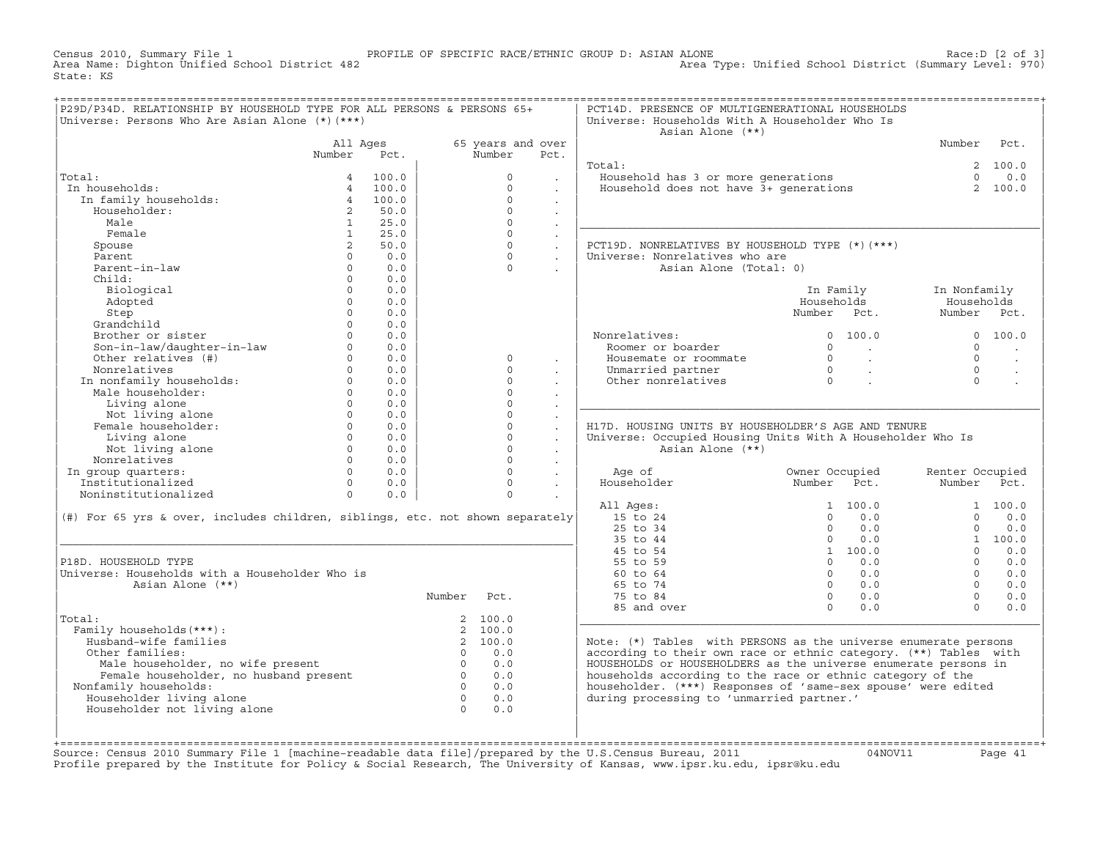Census 2010, Summary File 1 PROFILE OF SPECIFIC RACE/ETHNIC GROUP D: ASIAN ALONE Race:D [2 of 3] Area Type: Unified School District (Summary Level: 970) State: KS

| P29D/P34D. RELATIONSHIP BY HOUSEHOLD TYPE FOR ALL PERSONS & PERSONS 65+<br>Universe: Persons Who Are Asian Alone (*) (***) |                |       |                |                   |                      | PCT14D. PRESENCE OF MULTIGENERATIONAL HOUSEHOLDS<br>Universe: Households With A Householder Who Is<br>Asian Alone (**) |                                  |                 |                      |
|----------------------------------------------------------------------------------------------------------------------------|----------------|-------|----------------|-------------------|----------------------|------------------------------------------------------------------------------------------------------------------------|----------------------------------|-----------------|----------------------|
|                                                                                                                            | All Ages       |       |                | 65 years and over |                      |                                                                                                                        |                                  | Number          | Pct.                 |
|                                                                                                                            | Number         | Pct.  |                | Number            | Pct.                 |                                                                                                                        |                                  |                 |                      |
|                                                                                                                            |                |       |                |                   |                      | Total:                                                                                                                 |                                  |                 | 2 100.0              |
| Total:                                                                                                                     | $\overline{4}$ | 100.0 |                | $\Omega$          |                      | Household has 3 or more generations                                                                                    |                                  | $\Omega$        | 0.0                  |
| In households:                                                                                                             | $\overline{4}$ | 100.0 |                | $\circ$           |                      | Household does not have 3+ generations                                                                                 |                                  |                 | 2 100.0              |
| In family households:                                                                                                      | $\overline{4}$ | 100.0 |                | $\circ$           | $\mathbf{r}$         |                                                                                                                        |                                  |                 |                      |
| Householder:                                                                                                               | $2^{\circ}$    | 50.0  |                | $\Omega$          | $\sim$               |                                                                                                                        |                                  |                 |                      |
| Male                                                                                                                       | $\mathbf{1}$   | 25.0  |                | $\Omega$          |                      |                                                                                                                        |                                  |                 |                      |
| Female                                                                                                                     | 1              | 25.0  |                | $\Omega$          | $\sim$               |                                                                                                                        |                                  |                 |                      |
| Spouse                                                                                                                     | $\overline{a}$ | 50.0  |                | $\Omega$          | $\mathcal{L}^{\pm}$  | PCT19D. NONRELATIVES BY HOUSEHOLD TYPE (*) (***)                                                                       |                                  |                 |                      |
| Parent                                                                                                                     | $\Omega$       | 0.0   |                | $\Omega$          | $\sim$               | Universe: Nonrelatives who are                                                                                         |                                  |                 |                      |
| Parent-in-law                                                                                                              | $\circ$        | 0.0   |                | $\Omega$          |                      | Asian Alone (Total: 0)                                                                                                 |                                  |                 |                      |
| Child:                                                                                                                     | $\Omega$       | 0.0   |                |                   |                      |                                                                                                                        |                                  |                 |                      |
| Biological                                                                                                                 | $\Omega$       | 0.0   |                |                   |                      |                                                                                                                        | In Family                        | In Nonfamily    |                      |
| Adopted                                                                                                                    | $\Omega$       | 0.0   |                |                   |                      |                                                                                                                        | Households                       | Households      |                      |
| Step                                                                                                                       | $\Omega$       | 0.0   |                |                   |                      |                                                                                                                        | Number Pct.                      | Number          | Pct.                 |
| Grandchild                                                                                                                 | $\Omega$       | 0.0   |                |                   |                      |                                                                                                                        |                                  |                 |                      |
| Brother or sister                                                                                                          | $\Omega$       | 0.0   |                |                   |                      | Nonrelatives:                                                                                                          | 0 100.0                          |                 | 0 100.0              |
| Son-in-law/daughter-in-law                                                                                                 | $\Omega$       | 0.0   |                |                   |                      | Roomer or boarder                                                                                                      | $\Omega$<br>$\sim 100$           | $\Omega$        |                      |
| Other relatives (#)                                                                                                        | $\Omega$       | 0.0   |                | $\Omega$          | $\cdot$              | Housemate or roommate                                                                                                  | $\overline{0}$<br>$\sim 10^{11}$ | $\Omega$        | $\sim$               |
| Nonrelatives                                                                                                               | $\Omega$       | 0.0   |                | $\Omega$          |                      | Unmarried partner                                                                                                      | $\overline{0}$<br>$\sim$ $\sim$  | $\Omega$        | $\ddot{\phantom{a}}$ |
| In nonfamily households:                                                                                                   | $\Omega$       | 0.0   |                | $\Omega$          | $\cdot$              | Other nonrelatives                                                                                                     | $\overline{0}$                   | $\Omega$        |                      |
| Male householder:                                                                                                          | $\Omega$       | 0.0   |                | $\Omega$          | $\bullet$            |                                                                                                                        |                                  |                 |                      |
| Living alone                                                                                                               | $\Omega$       | 0.0   |                | $\Omega$          |                      |                                                                                                                        |                                  |                 |                      |
| Not living alone                                                                                                           | $\Omega$       | 0.0   |                | $\Omega$          | $\ddot{\phantom{a}}$ |                                                                                                                        |                                  |                 |                      |
| Female householder:                                                                                                        | $\Omega$       | 0.0   |                | $\Omega$          | $\mathbf{r}$         | H17D. HOUSING UNITS BY HOUSEHOLDER'S AGE AND TENURE                                                                    |                                  |                 |                      |
| Living alone                                                                                                               | $\Omega$       | 0.0   |                | $\Omega$          | $\ddot{\phantom{a}}$ | Universe: Occupied Housing Units With A Householder Who Is                                                             |                                  |                 |                      |
| Not living alone                                                                                                           | $\Omega$       | 0.0   |                | $\Omega$          | $\ddot{\phantom{a}}$ | Asian Alone (**)                                                                                                       |                                  |                 |                      |
| Nonrelatives                                                                                                               | $\Omega$       | 0.0   |                | $\Omega$          | $\sim$               |                                                                                                                        |                                  |                 |                      |
| In group quarters:                                                                                                         | $\Omega$       | 0.0   |                | $\Omega$          | $\sim$               | Age of                                                                                                                 | Owner Occupied                   | Renter Occupied |                      |
| Institutionalized                                                                                                          | $\Omega$       | 0.0   |                | $\Omega$          | $\sim$               | Householder                                                                                                            | Number<br>Pct.                   | Number          | Pct.                 |
| Noninstitutionalized                                                                                                       | $\Omega$       | 0.0   |                | $\Omega$          |                      |                                                                                                                        |                                  |                 |                      |
|                                                                                                                            |                |       |                |                   |                      | All Ages:                                                                                                              | 1, 100, 0                        |                 | 1, 100, 0            |
| (#) For 65 yrs & over, includes children, siblings, etc. not shown separately                                              |                |       |                |                   |                      | 15 to 24                                                                                                               | $\Omega$<br>0.0                  | $\Omega$        | 0.0                  |
|                                                                                                                            |                |       |                |                   |                      | 25 to 34                                                                                                               | $\Omega$<br>0.0                  | $\Omega$        | 0.0                  |
|                                                                                                                            |                |       |                |                   |                      | 35 to 44                                                                                                               | $\overline{0}$<br>0.0            |                 | 1 100.0              |
|                                                                                                                            |                |       |                |                   |                      | 45 to 54                                                                                                               | 1 100.0                          | $\Omega$        | 0.0                  |
| P18D. HOUSEHOLD TYPE                                                                                                       |                |       |                |                   |                      | 55 to 59                                                                                                               | $\Omega$<br>0.0                  | $\Omega$        | 0.0                  |
| Universe: Households with a Householder Who is                                                                             |                |       |                |                   |                      | 60 to 64                                                                                                               | $\Omega$<br>0.0                  | $\Omega$        | 0.0                  |
| Asian Alone (**)                                                                                                           |                |       |                |                   |                      | 65 to 74                                                                                                               | $\Omega$<br>0.0                  | $\Omega$        | 0.0                  |
|                                                                                                                            |                |       | Number         | Pct.              |                      | 75 to 84                                                                                                               | $\Omega$<br>0.0                  | $\Omega$        | 0.0                  |
|                                                                                                                            |                |       |                |                   |                      | 85 and over                                                                                                            | $\Omega$<br>0.0                  | $\Omega$        | 0.0                  |
| Total:                                                                                                                     |                |       |                | 2 100.0           |                      |                                                                                                                        |                                  |                 |                      |
| Family households (***) :                                                                                                  |                |       |                | 2 100.0           |                      |                                                                                                                        |                                  |                 |                      |
| Husband-wife families                                                                                                      |                |       |                | 2 100.0           |                      | Note: $(*)$ Tables with PERSONS as the universe enumerate persons                                                      |                                  |                 |                      |
| Other families:                                                                                                            |                |       | $\overline{0}$ | 0.0               |                      | according to their own race or ethnic category. (**) Tables with                                                       |                                  |                 |                      |
| Male householder, no wife present                                                                                          |                |       | $\overline{0}$ | 0.0               |                      | HOUSEHOLDS or HOUSEHOLDERS as the universe enumerate persons in                                                        |                                  |                 |                      |
| Female householder, no husband present                                                                                     |                |       | $\overline{0}$ | 0.0               |                      | households according to the race or ethnic category of the                                                             |                                  |                 |                      |
| Nonfamily households:                                                                                                      |                |       | $\Omega$       | 0.0               |                      | householder. (***) Responses of 'same-sex spouse' were edited                                                          |                                  |                 |                      |
| Householder living alone                                                                                                   |                |       | $\overline{0}$ | 0.0               |                      | during processing to 'unmarried partner.'                                                                              |                                  |                 |                      |
| Householder not living alone                                                                                               |                |       | $\bigcap$      | 0.0               |                      |                                                                                                                        |                                  |                 |                      |
|                                                                                                                            |                |       |                |                   |                      |                                                                                                                        |                                  |                 |                      |
|                                                                                                                            |                |       |                |                   |                      |                                                                                                                        |                                  |                 |                      |

Source: Census 2010 Summary File 1 [machine-readable data file]/prepared by the U.S.Census Bureau, 2011 Page 41<br>Profile prepared by the Institute for Policy & Social Research, The University of Kansas, www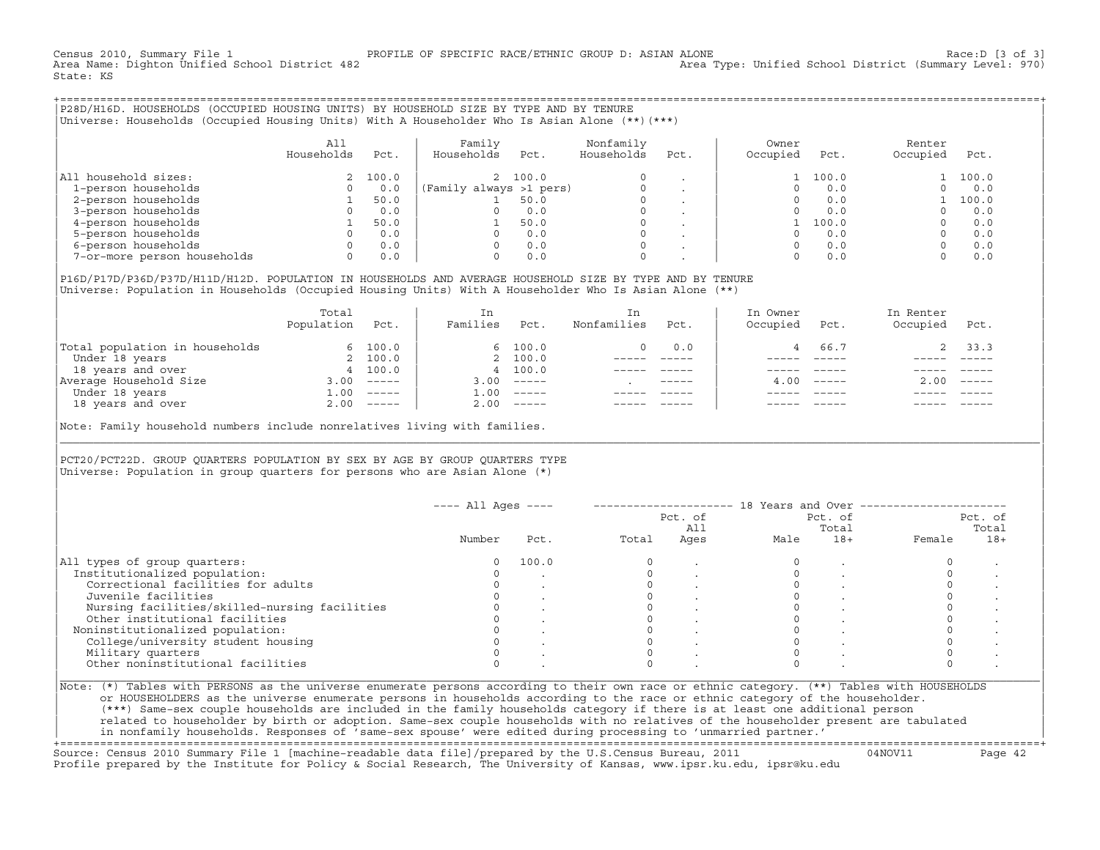Census 2010, Summary File 1 PROFILE OF SPECIFIC RACE/ETHNIC GROUP D: ASIAN ALONE<br>Area Name: Dighton Unified School District 482 Area Type: Unified School Distri Area Type: Unified School District (Summary Level: 970) State: KS

+===================================================================================================================================================+|P28D/H16D. HOUSEHOLDS (OCCUPIED HOUSING UNITS) BY HOUSEHOLD SIZE BY TYPE AND BY TENURE |

|Universe: Households (Occupied Housing Units) With A Householder Who Is Asian Alone (\*\*)(\*\*\*) |

|                             | A11<br>Households | Pct.  | Family<br>Households    | Pct.    | Nonfamily<br>Households | Pct.                     | Owner<br>Occupied | Pct.  | Renter<br>Occupied | Pct.  |
|-----------------------------|-------------------|-------|-------------------------|---------|-------------------------|--------------------------|-------------------|-------|--------------------|-------|
| All household sizes:        |                   | 100.0 |                         | 2 100.0 | $\Omega$                |                          |                   | 100.0 |                    | 100.0 |
| 1-person households         |                   | 0.0   | (Family always >1 pers) |         |                         |                          |                   | 0.0   |                    | 0.0   |
| 2-person households         |                   | 50.0  |                         | 50.0    |                         |                          |                   | 0.0   |                    | 100.0 |
| 3-person households         |                   | 0.0   |                         | 0.0     | 0                       | $\overline{\phantom{a}}$ |                   | 0.0   |                    | 0.0   |
| 4-person households         |                   | 50.0  |                         | 50.0    | 0                       |                          |                   | 100.0 |                    | 0.0   |
| 5-person households         |                   | 0.0   |                         | 0.0     | $\Omega$                |                          |                   | 0.0   |                    | 0.0   |
| 6-person households         |                   | 0.0   |                         | 0.0     | $\Omega$                |                          |                   | 0.0   |                    | 0.0   |
| 7-or-more person households | 0                 | 0.0   |                         | 0.0     | 0                       |                          |                   | 0.0   |                    | 0.0   |

|P16D/P17D/P36D/P37D/H11D/H12D. POPULATION IN HOUSEHOLDS AND AVERAGE HOUSEHOLD SIZE BY TYPE AND BY TENURE | Universe: Population in Households (Occupied Housing Units) With A Householder Who Is Asian Alone (\*\*)

|                                | Total<br>Population | Pct.         | In<br>Families | Pct.     | In.<br>Nonfamilies | Pct.        | In Owner<br>Occupied | Pct.             | In Renter<br>Occupied | Pct.     |
|--------------------------------|---------------------|--------------|----------------|----------|--------------------|-------------|----------------------|------------------|-----------------------|----------|
| Total population in households |                     | 6 100.0      |                | 6 100.0  |                    | 0.0         |                      | 66.7             |                       | 2, 33.3  |
| Under 18 years                 |                     | 2 100.0      |                | 2 100.0  |                    |             |                      |                  |                       |          |
| 18 years and over              |                     | 4 100.0      |                | 4 100.0  |                    |             |                      |                  |                       |          |
| Average Household Size         | 3.00                | $------$     | 3.00           | $------$ |                    | $- - - - -$ |                      | $4.00 - - - - -$ | 2.00                  | $------$ |
| Under 18 years                 | 1.00                | $------$     | 1.00           | $------$ |                    |             |                      |                  |                       |          |
| 18 years and over              |                     | $2.00$ ----- | 2.00           |          |                    |             |                      | $- - - - -$      |                       | $------$ |
|                                |                     |              |                |          |                    |             |                      |                  |                       |          |

Note: Family household numbers include nonrelatives living with families.

| | PCT20/PCT22D. GROUP OUARTERS POPULATION BY SEX BY AGE BY GROUP OUARTERS TYPE Universe: Population in group quarters for persons who are Asian Alone  $(*)$ 

|                                               |        |       |       | Pct. of<br>All |      | Pct. of<br>Total |        | Pct. of<br>Total |
|-----------------------------------------------|--------|-------|-------|----------------|------|------------------|--------|------------------|
|                                               | Number | Pct.  | Total | Ages           | Male | $18+$            | Female | $18+$            |
| All types of group quarters:                  | 0      | 100.0 |       |                |      |                  |        |                  |
| Institutionalized population:                 |        |       |       |                |      |                  |        |                  |
| Correctional facilities for adults            |        |       |       |                |      |                  |        |                  |
| Juvenile facilities                           |        |       |       |                |      |                  |        |                  |
| Nursing facilities/skilled-nursing facilities |        |       |       |                |      |                  |        |                  |
| Other institutional facilities                |        |       |       |                |      |                  |        |                  |
| Noninstitutionalized population:              |        |       |       |                |      |                  |        |                  |
| College/university student housing            |        |       |       |                |      |                  |        |                  |
| Military quarters                             |        |       |       |                |      |                  |        |                  |
| Other noninstitutional facilities             |        |       |       |                |      |                  |        |                  |

|\_\_\_\_\_\_\_\_\_\_\_\_\_\_\_\_\_\_\_\_\_\_\_\_\_\_\_\_\_\_\_\_\_\_\_\_\_\_\_\_\_\_\_\_\_\_\_\_\_\_\_\_\_\_\_\_\_\_\_\_\_\_\_\_\_\_\_\_\_\_\_\_\_\_\_\_\_\_\_\_\_\_\_\_\_\_\_\_\_\_\_\_\_\_\_\_\_\_\_\_\_\_\_\_\_\_\_\_\_\_\_\_\_\_\_\_\_\_\_\_\_\_\_\_\_\_\_\_\_\_\_\_\_\_\_\_\_\_\_\_\_\_\_\_\_\_\_|

| |

or HOUSEHOLDERS as the universe enumerate persons in households according to the race or ethnic category of the householder. | (\*\*\*) Same−sex couple households are included in the family households category if there is at least one additional person | | related to householder by birth or adoption. Same−sex couple households with no relatives of the householder present are tabulated | | in nonfamily households. Responses of 'same−sex spouse' were edited during processing to 'unmarried partner.' |

+===================================================================================================================================================+ Source: Census 2010 Summary File 1 [machine−readable data file]/prepared by the U.S.Census Bureau, 2011 04NOV11 Page 42 Profile prepared by the Institute for Policy & Social Research, The University of Kansas, www.ipsr.ku.edu, ipsr@ku.edu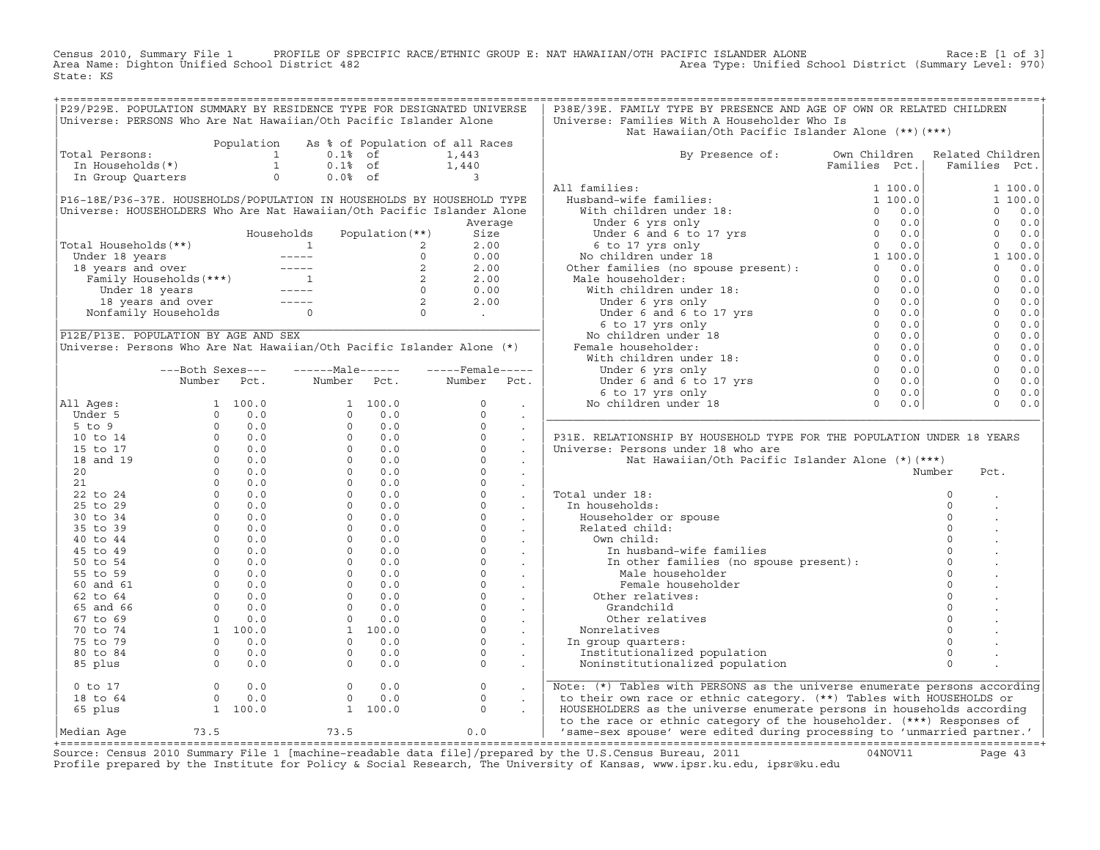Census 2010, Summary File 1 PROFILE OF SPECIFIC RACE/ETHNIC GROUP E: NAT HAWAIIAN/OTH PACIFIC ISLANDER ALONE<br>Area Name: Dighton Unified School District 482 Area Type: Unified School Dist State: KS

|                                                                   |                                                                                                                                                                                                                                                                            |            |               |                                    | P29/P29E. POPULATION SUMMARY BY RESIDENCE TYPE FOR DESIGNATED UNIVERSE                                                                                                                                                                 | P38E/39E. FAMILY TYPE BY PRESENCE AND AGE OF OWN OR RELATED CHILDREN                                                                               |               |                  |                       |
|-------------------------------------------------------------------|----------------------------------------------------------------------------------------------------------------------------------------------------------------------------------------------------------------------------------------------------------------------------|------------|---------------|------------------------------------|----------------------------------------------------------------------------------------------------------------------------------------------------------------------------------------------------------------------------------------|----------------------------------------------------------------------------------------------------------------------------------------------------|---------------|------------------|-----------------------|
| Universe: PERSONS Who Are Nat Hawaiian/Oth Pacific Islander Alone |                                                                                                                                                                                                                                                                            |            |               |                                    |                                                                                                                                                                                                                                        | Universe: Families With A Householder Who Is                                                                                                       |               |                  |                       |
|                                                                   |                                                                                                                                                                                                                                                                            |            |               |                                    |                                                                                                                                                                                                                                        | Nat Hawaiian/Oth Pacific Islander Alone (**)(***)                                                                                                  |               |                  |                       |
|                                                                   |                                                                                                                                                                                                                                                                            | Population |               |                                    | As % of Population of all Races                                                                                                                                                                                                        |                                                                                                                                                    |               |                  |                       |
| Total Persons:                                                    |                                                                                                                                                                                                                                                                            |            | $0.1$ % of    |                                    | 1,443                                                                                                                                                                                                                                  | By Presence of: Own Children                                                                                                                       |               | Related Children |                       |
|                                                                   |                                                                                                                                                                                                                                                                            |            |               |                                    |                                                                                                                                                                                                                                        |                                                                                                                                                    | Families Pct. | Families Pct.    |                       |
|                                                                   |                                                                                                                                                                                                                                                                            |            |               | $0.1% \tof 1,440$<br>$0.0% \tof 3$ |                                                                                                                                                                                                                                        |                                                                                                                                                    |               |                  |                       |
|                                                                   |                                                                                                                                                                                                                                                                            |            |               |                                    |                                                                                                                                                                                                                                        | All families:                                                                                                                                      |               |                  | 1 100.0               |
|                                                                   |                                                                                                                                                                                                                                                                            |            |               |                                    | P16-18E/P36-37E. HOUSEHOLDS/POPULATION IN HOUSEHOLDS BY HOUSEHOLD TYPE                                                                                                                                                                 |                                                                                                                                                    |               |                  | 1 100.0               |
|                                                                   |                                                                                                                                                                                                                                                                            |            |               |                                    | Universe: HOUSEHOLDERS Who Are Nat Hawaiian/Oth Pacific Islander Alone                                                                                                                                                                 |                                                                                                                                                    |               | $\Omega$         | 0.0                   |
|                                                                   |                                                                                                                                                                                                                                                                            |            |               |                                    | Average                                                                                                                                                                                                                                |                                                                                                                                                    |               | $\Omega$         | 0.0                   |
|                                                                   |                                                                                                                                                                                                                                                                            |            |               |                                    |                                                                                                                                                                                                                                        |                                                                                                                                                    |               |                  |                       |
|                                                                   |                                                                                                                                                                                                                                                                            |            | Households    | Population (**)                    | Size                                                                                                                                                                                                                                   |                                                                                                                                                    |               |                  | $0 \t 0.0$            |
| Total Households(**)                                              |                                                                                                                                                                                                                                                                            |            |               |                                    | 01 Households (**)<br>Under 18 years<br>18 years and over<br>18 years and over 18 years<br>18 years and over 18 years 18 years and over 18 years 18 years and over 18 years 18 years and over 19 years 18 years and over 19 years 18 y |                                                                                                                                                    |               |                  | $0 \t 0.0$            |
|                                                                   |                                                                                                                                                                                                                                                                            |            |               |                                    |                                                                                                                                                                                                                                        |                                                                                                                                                    |               |                  | 1 100.0               |
|                                                                   |                                                                                                                                                                                                                                                                            |            |               |                                    |                                                                                                                                                                                                                                        |                                                                                                                                                    |               |                  | $\Omega$<br>0.0       |
|                                                                   |                                                                                                                                                                                                                                                                            |            |               |                                    |                                                                                                                                                                                                                                        |                                                                                                                                                    |               |                  | $0 \t 0.0$            |
|                                                                   |                                                                                                                                                                                                                                                                            |            |               |                                    |                                                                                                                                                                                                                                        |                                                                                                                                                    |               |                  | $\Omega$<br>0.0       |
|                                                                   |                                                                                                                                                                                                                                                                            |            |               |                                    |                                                                                                                                                                                                                                        |                                                                                                                                                    |               |                  | $\Omega$<br>0.0       |
|                                                                   |                                                                                                                                                                                                                                                                            |            |               |                                    |                                                                                                                                                                                                                                        |                                                                                                                                                    |               |                  | $\overline{0}$<br>0.0 |
|                                                                   |                                                                                                                                                                                                                                                                            |            |               |                                    |                                                                                                                                                                                                                                        |                                                                                                                                                    |               | $\overline{0}$   | 0.0                   |
| P12E/P13E. POPULATION BY AGE AND SEX                              |                                                                                                                                                                                                                                                                            |            |               |                                    |                                                                                                                                                                                                                                        |                                                                                                                                                    |               | $\overline{0}$   | 0.0                   |
|                                                                   |                                                                                                                                                                                                                                                                            |            |               |                                    | Universe: Persons Who Are Nat Hawaiian/Oth Pacific Islander Alone (*)                                                                                                                                                                  |                                                                                                                                                    |               | $\Omega$         | 0.0                   |
|                                                                   |                                                                                                                                                                                                                                                                            |            |               |                                    |                                                                                                                                                                                                                                        |                                                                                                                                                    |               | $\overline{0}$   | 0.0                   |
|                                                                   | ---Both Sexes---                                                                                                                                                                                                                                                           |            | $---Male----$ |                                    | $---$ Female -----                                                                                                                                                                                                                     |                                                                                                                                                    |               | $\overline{0}$   | 0.0                   |
|                                                                   | Number Pct.                                                                                                                                                                                                                                                                |            |               | Number Pct.                        | Number Pct.                                                                                                                                                                                                                            |                                                                                                                                                    |               | $\Omega$         | 0.0                   |
|                                                                   |                                                                                                                                                                                                                                                                            |            |               |                                    |                                                                                                                                                                                                                                        |                                                                                                                                                    |               | $\mathbf{0}$     | 0.0                   |
| All Ages:                                                         |                                                                                                                                                                                                                                                                            |            |               |                                    |                                                                                                                                                                                                                                        |                                                                                                                                                    |               | $\Omega$         | 0.0                   |
|                                                                   |                                                                                                                                                                                                                                                                            |            |               |                                    |                                                                                                                                                                                                                                        |                                                                                                                                                    |               |                  |                       |
|                                                                   |                                                                                                                                                                                                                                                                            |            |               |                                    |                                                                                                                                                                                                                                        |                                                                                                                                                    |               |                  |                       |
|                                                                   |                                                                                                                                                                                                                                                                            |            |               |                                    |                                                                                                                                                                                                                                        |                                                                                                                                                    |               |                  |                       |
|                                                                   |                                                                                                                                                                                                                                                                            |            |               |                                    |                                                                                                                                                                                                                                        | P31E. RELATIONSHIP BY HOUSEHOLD TYPE FOR THE POPULATION UNDER 18 YEARS                                                                             |               |                  |                       |
|                                                                   |                                                                                                                                                                                                                                                                            |            |               |                                    |                                                                                                                                                                                                                                        | Universe: Persons under 18 who are                                                                                                                 |               |                  |                       |
|                                                                   |                                                                                                                                                                                                                                                                            |            |               |                                    |                                                                                                                                                                                                                                        | Nat Hawaiian/Oth Pacific Islander Alone (*)(***)                                                                                                   |               |                  |                       |
|                                                                   |                                                                                                                                                                                                                                                                            |            |               |                                    |                                                                                                                                                                                                                                        |                                                                                                                                                    |               | Number<br>Pct.   |                       |
|                                                                   |                                                                                                                                                                                                                                                                            |            |               |                                    |                                                                                                                                                                                                                                        |                                                                                                                                                    |               |                  |                       |
|                                                                   |                                                                                                                                                                                                                                                                            |            |               |                                    |                                                                                                                                                                                                                                        |                                                                                                                                                    |               |                  |                       |
|                                                                   |                                                                                                                                                                                                                                                                            |            |               |                                    |                                                                                                                                                                                                                                        | Total under 18:                                                                                                                                    |               | $\mathbf 0$      |                       |
|                                                                   |                                                                                                                                                                                                                                                                            |            |               |                                    |                                                                                                                                                                                                                                        | In households:                                                                                                                                     |               | $\mathbf 0$      |                       |
|                                                                   |                                                                                                                                                                                                                                                                            |            |               |                                    |                                                                                                                                                                                                                                        |                                                                                                                                                    |               | $\Omega$         |                       |
|                                                                   |                                                                                                                                                                                                                                                                            |            |               |                                    |                                                                                                                                                                                                                                        | Householder or spouse                                                                                                                              |               | $\Omega$         |                       |
|                                                                   |                                                                                                                                                                                                                                                                            |            |               |                                    |                                                                                                                                                                                                                                        | Related child:                                                                                                                                     |               | $\Omega$         |                       |
|                                                                   |                                                                                                                                                                                                                                                                            |            |               |                                    |                                                                                                                                                                                                                                        | Own child:                                                                                                                                         |               |                  |                       |
|                                                                   |                                                                                                                                                                                                                                                                            |            |               |                                    |                                                                                                                                                                                                                                        | In husband-wife families                                                                                                                           |               | $\circ$          |                       |
|                                                                   |                                                                                                                                                                                                                                                                            |            |               |                                    |                                                                                                                                                                                                                                        |                                                                                                                                                    |               | $\circ$          |                       |
|                                                                   |                                                                                                                                                                                                                                                                            |            |               |                                    |                                                                                                                                                                                                                                        | In other families (no spouse present):<br>Male householder<br>Male householder                                                                     |               | $\Omega$         |                       |
|                                                                   |                                                                                                                                                                                                                                                                            |            |               |                                    |                                                                                                                                                                                                                                        | Female householder                                                                                                                                 |               | $\Omega$         |                       |
|                                                                   |                                                                                                                                                                                                                                                                            |            |               |                                    |                                                                                                                                                                                                                                        | Other relatives:                                                                                                                                   |               | $\Omega$         |                       |
|                                                                   |                                                                                                                                                                                                                                                                            |            |               |                                    |                                                                                                                                                                                                                                        | Grandchild                                                                                                                                         |               | $\circ$          |                       |
|                                                                   |                                                                                                                                                                                                                                                                            |            |               |                                    |                                                                                                                                                                                                                                        | Other relatives                                                                                                                                    |               | $\circ$          |                       |
|                                                                   |                                                                                                                                                                                                                                                                            |            |               |                                    |                                                                                                                                                                                                                                        | Nonrelatives                                                                                                                                       |               | $\circ$          |                       |
|                                                                   |                                                                                                                                                                                                                                                                            |            |               |                                    |                                                                                                                                                                                                                                        | In group quarters:                                                                                                                                 |               | $\circ$          |                       |
|                                                                   |                                                                                                                                                                                                                                                                            |            |               |                                    |                                                                                                                                                                                                                                        | Institutionalized population                                                                                                                       |               | $\Omega$         |                       |
|                                                                   |                                                                                                                                                                                                                                                                            |            |               |                                    |                                                                                                                                                                                                                                        | Noninstitutionalized population                                                                                                                    |               | $\Omega$         |                       |
| $0$ to $17$                                                       | Number FCC.<br>11 Ages: 1 100.0<br>5 to 9<br>5 to 9<br>10 to 14<br>15 to 17<br>20<br>21<br>22 to 24<br>25 to 29<br>25 to 29<br>30 to 34<br>35 to 29<br>30 to 34<br>45 to 44<br>45 to 49<br>50 to 54<br>45 to 49<br>50 to 54<br>55 to 59<br>60 and 61<br>62 to 64<br>65 and |            |               | $\overline{0}$<br>0.0              | $\circ$                                                                                                                                                                                                                                | Note: (*) Tables with PERSONS as the universe enumerate persons according                                                                          |               |                  |                       |
| 18 to 64                                                          |                                                                                                                                                                                                                                                                            |            |               | $\Omega$<br>0.0                    | $\circ$                                                                                                                                                                                                                                | to their own race or ethnic category. (**) Tables with HOUSEHOLDS or                                                                               |               |                  |                       |
|                                                                   |                                                                                                                                                                                                                                                                            |            |               |                                    | $\Omega$                                                                                                                                                                                                                               |                                                                                                                                                    |               |                  |                       |
| 65 plus                                                           | $\begin{array}{ccc} 0 & 0.0 \ 0 & 0.0 \ 1 & 100.0 \end{array}$                                                                                                                                                                                                             |            | 1 100.0       |                                    |                                                                                                                                                                                                                                        | HOUSEHOLDERS as the universe enumerate persons in households according                                                                             |               |                  |                       |
| Median Aqe                                                        | 73.5                                                                                                                                                                                                                                                                       |            | $73.5$ 0.0    |                                    |                                                                                                                                                                                                                                        | to the race or ethnic category of the householder. (***) Responses of<br>  'same-sex spouse' were edited during processing to 'unmarried partner.' |               |                  |                       |

Source: Census 2010 Summary File 1 [machine-readable data file]/prepared by the U.S.Census Bureau, 2011 Page 43<br>Profile prepared by the Institute for Policy & Social Research, The University of Kansas, www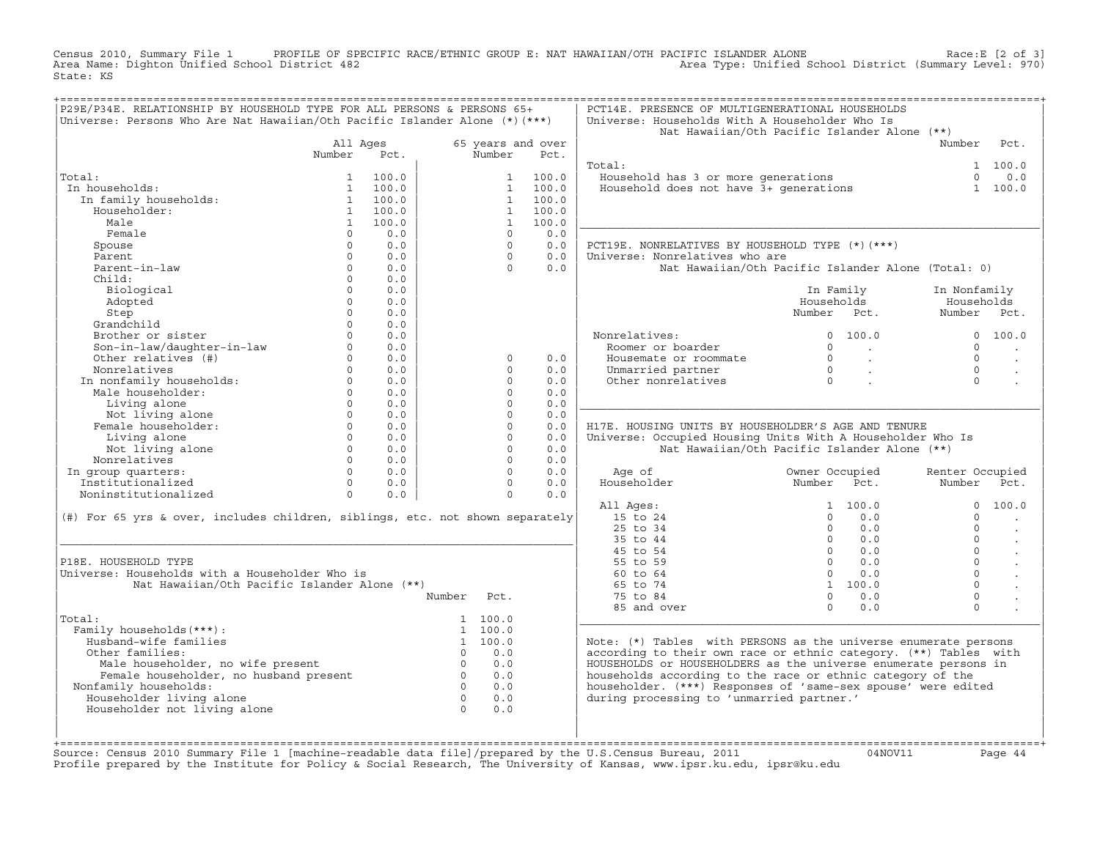Census 2010, Summary File 1 PROFILE OF SPECIFIC RACE/ETHNIC GROUP E: NAT HAWAIIAN/OTH PACIFIC ISLANDER ALONE<br>Area Name: Dighton Unified School District 482 Area Type: Unified School Dist State: KS

| P29E/P34E. RELATIONSHIP BY HOUSEHOLD TYPE FOR ALL PERSONS & PERSONS 65+       |                      |            |                                  |                      |                           | PCT14E. PRESENCE OF MULTIGENERATIONAL HOUSEHOLDS                  |                                  |                         |                 |                      |
|-------------------------------------------------------------------------------|----------------------|------------|----------------------------------|----------------------|---------------------------|-------------------------------------------------------------------|----------------------------------|-------------------------|-----------------|----------------------|
| Universe: Persons Who Are Nat Hawaiian/Oth Pacific Islander Alone (*) (***)   |                      |            |                                  |                      |                           | Universe: Households With A Householder Who Is                    |                                  |                         |                 |                      |
|                                                                               |                      |            |                                  |                      |                           | Nat Hawaiian/Oth Pacific Islander Alone (**)                      |                                  |                         | Number          | Pct.                 |
|                                                                               | All Ages<br>Number   | Pct.       |                                  | Number               | 65 years and over<br>Pct. |                                                                   |                                  |                         |                 |                      |
|                                                                               |                      |            |                                  |                      |                           | Total:                                                            |                                  |                         |                 | 1 100.0              |
| Total:                                                                        | $\mathbf{1}$         | 100.0      |                                  | $\mathbf{1}$         | 100.0                     | Household has 3 or more generations                               |                                  |                         | $\Omega$        | 0.0                  |
| In households:                                                                | $\mathbf{1}$         | 100.0      |                                  | $\mathbf{1}$         | 100.0                     | Household does not have 3+ generations                            |                                  |                         |                 | 1 100.0              |
| In family households:                                                         | $\mathbf{1}$         | 100.0      |                                  | $\mathbf{1}$         | 100.0                     |                                                                   |                                  |                         |                 |                      |
| Householder:                                                                  |                      | 1 100.0    |                                  | $\mathbf{1}$         | 100.0                     |                                                                   |                                  |                         |                 |                      |
| Male                                                                          | $\mathbf{1}$         | 100.0      |                                  | $\mathbf{1}$         | 100.0                     |                                                                   |                                  |                         |                 |                      |
| Female                                                                        | $\Omega$             | 0.0        |                                  | $\Omega$             | 0.0                       |                                                                   |                                  |                         |                 |                      |
| Spouse                                                                        | $\circ$              | 0.0        |                                  | $\Omega$             | 0.0                       | PCT19E. NONRELATIVES BY HOUSEHOLD TYPE (*) (***)                  |                                  |                         |                 |                      |
| Parent                                                                        | $\Omega$             | 0.0        |                                  | $\Omega$             | 0.0                       | Universe: Nonrelatives who are                                    |                                  |                         |                 |                      |
| Parent-in-law                                                                 | $\circ$              | 0.0        |                                  | $\Omega$             | 0.0                       | Nat Hawaiian/Oth Pacific Islander Alone (Total: 0)                |                                  |                         |                 |                      |
| Child:                                                                        | $\Omega$             | 0.0        |                                  |                      |                           |                                                                   |                                  |                         |                 |                      |
| Biological                                                                    | $\Omega$             | 0.0        |                                  |                      |                           |                                                                   | In Family                        |                         | In Nonfamily    |                      |
| Adopted                                                                       | $\mathbf{0}$         | 0.0        |                                  |                      |                           |                                                                   | Households                       |                         | Households      |                      |
| Step                                                                          | $\Omega$             | 0.0        |                                  |                      |                           |                                                                   | Number Pct.                      |                         | Number          | Pct.                 |
| Grandchild                                                                    | $\Omega$             | 0.0        |                                  |                      |                           |                                                                   |                                  |                         |                 |                      |
| Brother or sister                                                             |                      | 0.0        |                                  |                      |                           | Nonrelatives:                                                     | $\Omega$                         | 100.0                   |                 | 0 100.0              |
| Son-in-law/daughter-in-law                                                    | $\Omega$             | 0.0        |                                  |                      |                           | Roomer or boarder                                                 | $\Omega$                         | <b>Contract</b>         | $\Omega$        |                      |
| Other relatives (#)                                                           | $\Omega$             | 0.0        |                                  | $\Omega$             | 0.0                       | Housemate or roommate                                             | $\Omega$                         | $\sim 100$ km s $^{-1}$ | $\Omega$        | $\sim$               |
| Nonrelatives                                                                  | $\Omega$             | 0.0        |                                  | $\Omega$             | 0.0                       | Unmarried partner                                                 | $\overline{0}$<br>$\overline{0}$ | $\sim 100$ km s $^{-1}$ | $\Omega$        | $\sim$               |
| In nonfamily households:                                                      | $\Omega$             | 0.0        |                                  | $\Omega$             | 0.0                       | Other nonrelatives                                                |                                  | $\mathbf{r}$            | $\Omega$        |                      |
| Male householder:                                                             | $\Omega$<br>$\Omega$ | 0.0<br>0.0 |                                  | $\Omega$<br>$\Omega$ | 0.0<br>0.0                |                                                                   |                                  |                         |                 |                      |
| Living alone                                                                  | $\Omega$             | 0.0        |                                  | $\Omega$             | 0.0                       |                                                                   |                                  |                         |                 |                      |
| Not living alone<br>Female householder:                                       | $\Omega$             | 0.0        |                                  | $\Omega$             | 0.0                       | H17E. HOUSING UNITS BY HOUSEHOLDER'S AGE AND TENURE               |                                  |                         |                 |                      |
| Living alone                                                                  | $\Omega$             | 0.0        |                                  | $\Omega$             | 0.0                       | Universe: Occupied Housing Units With A Householder Who Is        |                                  |                         |                 |                      |
| Not living alone                                                              | $\Omega$             | 0.0        |                                  | $\Omega$             | 0.0                       | Nat Hawaiian/Oth Pacific Islander Alone (**)                      |                                  |                         |                 |                      |
| Nonrelatives                                                                  | $\Omega$             | 0.0        |                                  | $\Omega$             | 0.0                       |                                                                   |                                  |                         |                 |                      |
| In group quarters:                                                            | $\Omega$             | 0.0        |                                  | $\Omega$             | 0.0                       | Age of                                                            | Owner Occupied                   |                         | Renter Occupied |                      |
| Institutionalized                                                             | $\Omega$             | 0.0        |                                  | $\Omega$             | 0.0                       | Householder                                                       | Number Pct.                      |                         | Number          | Pct.                 |
| Noninstitutionalized                                                          | $\Omega$             | 0.0        |                                  | $\Omega$             | 0.0                       |                                                                   |                                  |                         |                 |                      |
|                                                                               |                      |            |                                  |                      |                           | All Ages:                                                         |                                  | 1, 100, 0               | $\Omega$        | 100.0                |
| (#) For 65 yrs & over, includes children, siblings, etc. not shown separately |                      |            |                                  |                      |                           | 15 to 24                                                          | $\Omega$                         | 0.0                     | $\Omega$        |                      |
|                                                                               |                      |            |                                  |                      |                           | 25 to 34                                                          | $\Omega$                         | 0.0                     | $\Omega$        |                      |
|                                                                               |                      |            |                                  |                      |                           | 35 to 44                                                          | $\Omega$                         | 0.0                     | $\Omega$        | $\ddot{\phantom{a}}$ |
|                                                                               |                      |            |                                  |                      |                           | 45 to 54                                                          | $\Omega$                         | 0.0                     | $\Omega$        | $\ddot{\phantom{a}}$ |
| P18E. HOUSEHOLD TYPE                                                          |                      |            |                                  |                      |                           | 55 to 59                                                          | $\Omega$                         | 0.0                     | $\Omega$        |                      |
| Universe: Households with a Householder Who is                                |                      |            |                                  |                      |                           | 60 to 64                                                          | $\Omega$                         | 0.0                     | $\Omega$        |                      |
| Nat Hawaiian/Oth Pacific Islander Alone (**)                                  |                      |            |                                  |                      |                           | 65 to 74                                                          |                                  | 1 100.0                 | $\Omega$        |                      |
|                                                                               |                      |            | Number                           | Pct.                 |                           | 75 to 84                                                          | $\Omega$                         | 0.0                     | $\mathbf 0$     |                      |
|                                                                               |                      |            |                                  |                      |                           | 85 and over                                                       | $\Omega$                         | 0.0                     | $\Omega$        |                      |
| Total:                                                                        |                      |            |                                  | 1 100.0              |                           |                                                                   |                                  |                         |                 |                      |
| Family households (***) :                                                     |                      |            |                                  | 1 100.0              |                           |                                                                   |                                  |                         |                 |                      |
| Husband-wife families                                                         |                      |            |                                  | 1 100.0              |                           | Note: $(*)$ Tables with PERSONS as the universe enumerate persons |                                  |                         |                 |                      |
| Other families:                                                               |                      |            | $\Omega$                         | 0.0                  |                           | according to their own race or ethnic category. (**) Tables with  |                                  |                         |                 |                      |
| Male householder, no wife present                                             |                      |            | $\overline{0}$<br>$\overline{0}$ | 0.0                  |                           | HOUSEHOLDS or HOUSEHOLDERS as the universe enumerate persons in   |                                  |                         |                 |                      |
| Female householder, no husband present                                        |                      |            | $\Omega$                         | 0.0                  |                           | households according to the race or ethnic category of the        |                                  |                         |                 |                      |
| Nonfamily households:                                                         |                      |            | $\overline{0}$                   | 0.0                  |                           | householder. (***) Responses of 'same-sex spouse' were edited     |                                  |                         |                 |                      |
| Householder living alone<br>Householder not living alone                      |                      |            | $\bigcap$                        | 0.0<br>0.0           |                           | during processing to 'unmarried partner.'                         |                                  |                         |                 |                      |
|                                                                               |                      |            |                                  |                      |                           |                                                                   |                                  |                         |                 |                      |
|                                                                               |                      |            |                                  |                      |                           |                                                                   |                                  |                         |                 |                      |
|                                                                               |                      |            |                                  |                      |                           |                                                                   |                                  |                         |                 |                      |

+===================================================================================================================================================+Source: Census 2010 Summary File 1 [machine−readable data file]/prepared by the U.S.Census Bureau, 2011 04NOV11 Page 44 Profile prepared by the Institute for Policy & Social Research, The University of Kansas, www.ipsr.ku.edu, ipsr@ku.edu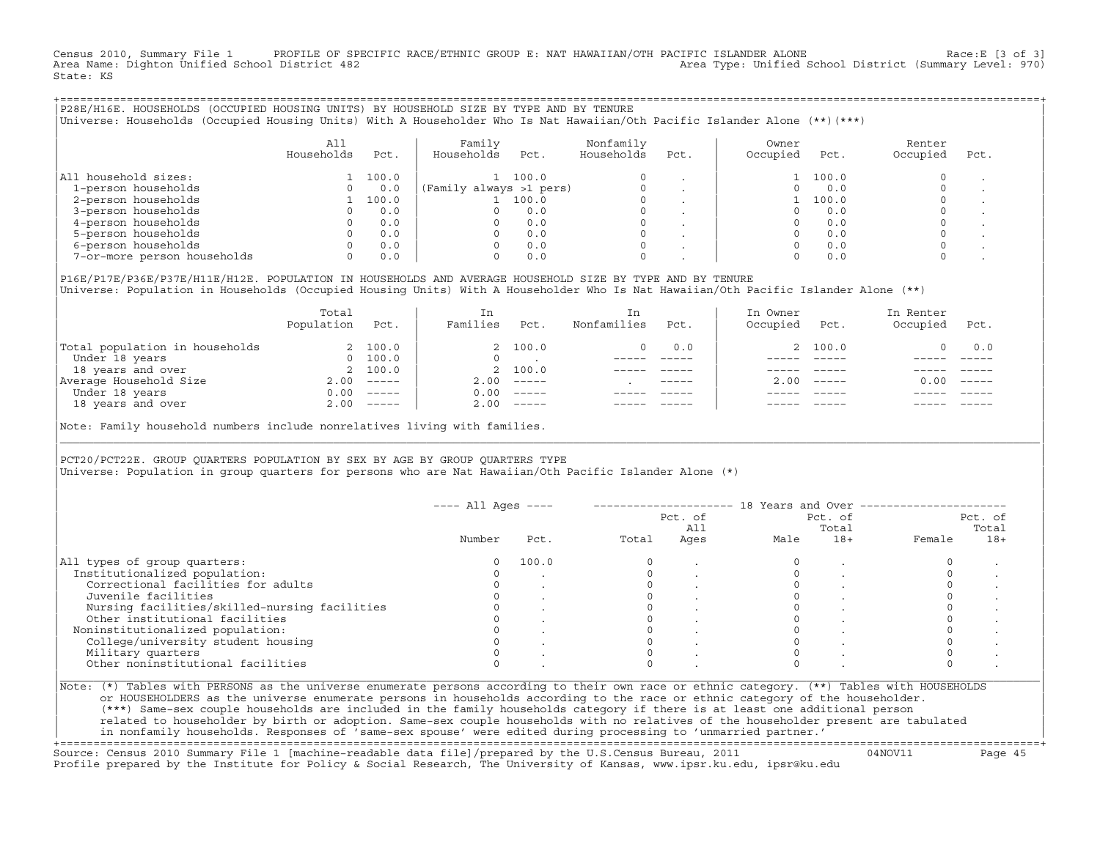Census 2010, Summary File 1 PROFILE OF SPECIFIC RACE/ETHNIC GROUP E: NAT HAWAIIAN/OTH PACIFIC ISLANDER ALONE Race:E [3 of 3]<br>Area Name: Dighton Unified School District 482 Area Type: Unified School District (Summary Level: 970) State: KS

+===================================================================================================================================================+|P28E/H16E. HOUSEHOLDS (OCCUPIED HOUSING UNITS) BY HOUSEHOLD SIZE BY TYPE AND BY TENURE | |Universe: Households (Occupied Housing Units) With A Householder Who Is Nat Hawaiian/Oth Pacific Islander Alone (\*\*)(\*\*\*) |

|                             | A11<br>Households | Pct.  | Family<br>Households    | Pct.  | Nonfamily<br>Households | Pct.                     | Owner<br>Occupied | Pct.  | Renter<br>Occupied | Pct. |
|-----------------------------|-------------------|-------|-------------------------|-------|-------------------------|--------------------------|-------------------|-------|--------------------|------|
| All household sizes:        |                   | 100.0 |                         | 100.0 | $\Omega$                |                          |                   | 100.0 |                    |      |
| 1-person households         |                   | 0.0   | (Family always >1 pers) |       |                         |                          |                   | 0.0   |                    |      |
| 2-person households         |                   | 100.0 |                         | 100.0 |                         |                          |                   | 100.0 |                    |      |
| 3-person households         |                   | 0.0   |                         | 0.0   |                         | $\overline{\phantom{a}}$ |                   | 0.0   |                    |      |
| 4-person households         |                   | 0.0   |                         | 0.0   | $\Omega$                |                          |                   | 0.0   |                    |      |
| 5-person households         |                   | 0.0   |                         | 0.0   |                         |                          |                   | 0.0   |                    |      |
| 6-person households         |                   | 0.0   |                         | 0.0   | $\Omega$                |                          |                   | 0.0   |                    |      |
| 7-or-more person households | $\Omega$          | 0.0   |                         | 0.0   | 0                       |                          |                   | 0.0   |                    |      |

|P16E/P17E/P36E/P37E/H11E/H12E. POPULATION IN HOUSEHOLDS AND AVERAGE HOUSEHOLD SIZE BY TYPE AND BY TENURE | |Universe: Population in Households (Occupied Housing Units) With A Householder Who Is Nat Hawaiian/Oth Pacific Islander Alone (\*\*) |

|                                | Total<br>Population | Pct.         | In<br>Families | Pct.     | In.<br>Nonfamilies | Pct.        | In Owner<br>Occupied | Pct.                      | In Renter<br>Occupied | Pct.     |
|--------------------------------|---------------------|--------------|----------------|----------|--------------------|-------------|----------------------|---------------------------|-----------------------|----------|
| Total population in households |                     | 2 100.0      |                | 2 100.0  |                    | 0.0         |                      | 2 100.0                   |                       | 0.0      |
| Under 18 years                 | $\Omega$            | 100.0        |                |          |                    |             |                      |                           |                       |          |
| 18 years and over              |                     | 2 100.0      |                | 2 100.0  |                    |             |                      |                           |                       |          |
| Average Household Size         | 2.00                | $------$     | 2.00           |          |                    | $- - - - -$ | 200                  | $\qquad \qquad - - - - -$ | 0.00                  | $------$ |
| Under 18 years                 | 0.00                | $------$     | 0.00           | $------$ |                    |             |                      |                           |                       |          |
| 18 years and over              |                     | $2.00$ ----- | 2.00           |          |                    |             |                      | $- - - - -$               |                       | $------$ |
|                                |                     |              |                |          |                    |             |                      |                           |                       |          |

Note: Family household numbers include nonrelatives living with families.

| | PCT20/PCT22E. GROUP OUARTERS POPULATION BY SEX BY AGE BY GROUP OUARTERS TYPE |Universe: Population in group quarters for persons who are Nat Hawaiian/Oth Pacific Islander Alone (\*) |

|                                               |        |       |       | Pct. of<br>All |      | Pct. of<br>Total | Pct. of<br>Total |       |  |
|-----------------------------------------------|--------|-------|-------|----------------|------|------------------|------------------|-------|--|
|                                               | Number | Pct.  | Total | Ages           | Male | $18+$            | Female           | $18+$ |  |
| All types of group quarters:                  |        | 100.0 |       |                |      |                  |                  |       |  |
| Institutionalized population:                 |        |       |       |                |      |                  |                  |       |  |
| Correctional facilities for adults            |        |       |       |                |      |                  |                  |       |  |
| Juvenile facilities                           |        |       |       |                |      |                  |                  |       |  |
| Nursing facilities/skilled-nursing facilities |        |       |       |                |      |                  |                  |       |  |
| Other institutional facilities                |        |       |       |                |      |                  |                  |       |  |
| Noninstitutionalized population:              |        |       |       |                |      |                  |                  |       |  |
| College/university student housing            |        |       |       |                |      |                  |                  |       |  |
| Military quarters                             |        |       |       |                |      |                  |                  |       |  |
| Other noninstitutional facilities             |        |       |       |                |      |                  |                  |       |  |

|\_\_\_\_\_\_\_\_\_\_\_\_\_\_\_\_\_\_\_\_\_\_\_\_\_\_\_\_\_\_\_\_\_\_\_\_\_\_\_\_\_\_\_\_\_\_\_\_\_\_\_\_\_\_\_\_\_\_\_\_\_\_\_\_\_\_\_\_\_\_\_\_\_\_\_\_\_\_\_\_\_\_\_\_\_\_\_\_\_\_\_\_\_\_\_\_\_\_\_\_\_\_\_\_\_\_\_\_\_\_\_\_\_\_\_\_\_\_\_\_\_\_\_\_\_\_\_\_\_\_\_\_\_\_\_\_\_\_\_\_\_\_\_\_\_\_\_|

| |

ERS as the universe enumerate persons in households according to the race or ethnic category of the householder. | (\*\*\*) Same−sex couple households are included in the family households category if there is at least one additional person | | related to householder by birth or adoption. Same−sex couple households with no relatives of the householder present are tabulated | | in nonfamily households. Responses of 'same−sex spouse' were edited during processing to 'unmarried partner.' | +===================================================================================================================================================+

Source: Census 2010 Summary File 1 [machine−readable data file]/prepared by the U.S.Census Bureau, 2011 04NOV11 Page 45 Profile prepared by the Institute for Policy & Social Research, The University of Kansas, www.ipsr.ku.edu, ipsr@ku.edu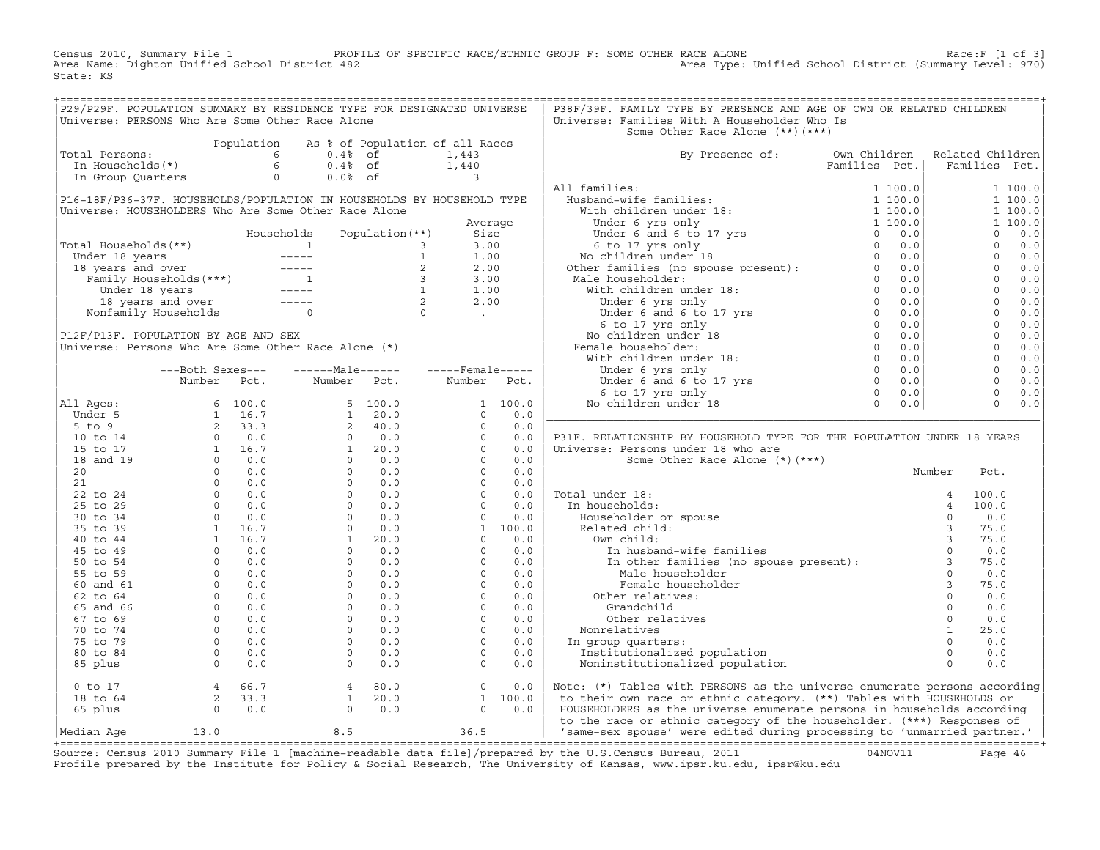Census 2010, Summary File 1 PROFILE OF SPECIFIC RACE/ETHNIC GROUP F: SOME OTHER RACE ALONE RACE OF SPACE:F [1 of 3]<br>Area Name: Dighton Unified School District 482 Area Type: Unified School District (Summary Level: 970) Area Type: Unified School District (Summary Level: 970) State: KS

| P29/P29F. POPULATION SUMMARY BY RESIDENCE TYPE FOR DESIGNATED UNIVERSE                                                                                                                                                                                                                                                                                                |  |  |  | P38F/39F. FAMILY TYPE BY PRESENCE AND AGE OF OWN OR RELATED CHILDREN                                                                                                                                                                 |  |        |      |  |
|-----------------------------------------------------------------------------------------------------------------------------------------------------------------------------------------------------------------------------------------------------------------------------------------------------------------------------------------------------------------------|--|--|--|--------------------------------------------------------------------------------------------------------------------------------------------------------------------------------------------------------------------------------------|--|--------|------|--|
| Universe: PERSONS Who Are Some Other Race Alone                                                                                                                                                                                                                                                                                                                       |  |  |  | Universe: Families With A Householder Who Is                                                                                                                                                                                         |  |        |      |  |
|                                                                                                                                                                                                                                                                                                                                                                       |  |  |  | Some Other Race Alone (**) (***)                                                                                                                                                                                                     |  |        |      |  |
|                                                                                                                                                                                                                                                                                                                                                                       |  |  |  |                                                                                                                                                                                                                                      |  |        |      |  |
| Total Persons:                                                                                                                                                                                                                                                                                                                                                        |  |  |  | By Presence of: Own Children Related Children<br>Families Pct.   Families Pct.                                                                                                                                                       |  |        |      |  |
|                                                                                                                                                                                                                                                                                                                                                                       |  |  |  |                                                                                                                                                                                                                                      |  |        |      |  |
|                                                                                                                                                                                                                                                                                                                                                                       |  |  |  |                                                                                                                                                                                                                                      |  |        |      |  |
|                                                                                                                                                                                                                                                                                                                                                                       |  |  |  |                                                                                                                                                                                                                                      |  |        |      |  |
|                                                                                                                                                                                                                                                                                                                                                                       |  |  |  |                                                                                                                                                                                                                                      |  |        |      |  |
|                                                                                                                                                                                                                                                                                                                                                                       |  |  |  |                                                                                                                                                                                                                                      |  |        |      |  |
|                                                                                                                                                                                                                                                                                                                                                                       |  |  |  |                                                                                                                                                                                                                                      |  |        |      |  |
|                                                                                                                                                                                                                                                                                                                                                                       |  |  |  |                                                                                                                                                                                                                                      |  |        |      |  |
|                                                                                                                                                                                                                                                                                                                                                                       |  |  |  |                                                                                                                                                                                                                                      |  |        |      |  |
|                                                                                                                                                                                                                                                                                                                                                                       |  |  |  |                                                                                                                                                                                                                                      |  |        |      |  |
|                                                                                                                                                                                                                                                                                                                                                                       |  |  |  |                                                                                                                                                                                                                                      |  |        |      |  |
|                                                                                                                                                                                                                                                                                                                                                                       |  |  |  |                                                                                                                                                                                                                                      |  |        |      |  |
|                                                                                                                                                                                                                                                                                                                                                                       |  |  |  |                                                                                                                                                                                                                                      |  |        |      |  |
|                                                                                                                                                                                                                                                                                                                                                                       |  |  |  |                                                                                                                                                                                                                                      |  |        |      |  |
|                                                                                                                                                                                                                                                                                                                                                                       |  |  |  |                                                                                                                                                                                                                                      |  |        |      |  |
|                                                                                                                                                                                                                                                                                                                                                                       |  |  |  |                                                                                                                                                                                                                                      |  |        |      |  |
|                                                                                                                                                                                                                                                                                                                                                                       |  |  |  |                                                                                                                                                                                                                                      |  |        |      |  |
|                                                                                                                                                                                                                                                                                                                                                                       |  |  |  |                                                                                                                                                                                                                                      |  |        |      |  |
|                                                                                                                                                                                                                                                                                                                                                                       |  |  |  |                                                                                                                                                                                                                                      |  |        |      |  |
|                                                                                                                                                                                                                                                                                                                                                                       |  |  |  |                                                                                                                                                                                                                                      |  |        |      |  |
|                                                                                                                                                                                                                                                                                                                                                                       |  |  |  |                                                                                                                                                                                                                                      |  |        |      |  |
|                                                                                                                                                                                                                                                                                                                                                                       |  |  |  |                                                                                                                                                                                                                                      |  |        |      |  |
|                                                                                                                                                                                                                                                                                                                                                                       |  |  |  |                                                                                                                                                                                                                                      |  |        |      |  |
|                                                                                                                                                                                                                                                                                                                                                                       |  |  |  | P31F. RELATIONSHIP BY HOUSEHOLD TYPE FOR THE POPULATION UNDER 18 YEARS                                                                                                                                                               |  |        |      |  |
|                                                                                                                                                                                                                                                                                                                                                                       |  |  |  | Universe: Persons under 18 who are                                                                                                                                                                                                   |  |        |      |  |
|                                                                                                                                                                                                                                                                                                                                                                       |  |  |  | Some Other Race Alone (*) (***)                                                                                                                                                                                                      |  |        |      |  |
|                                                                                                                                                                                                                                                                                                                                                                       |  |  |  |                                                                                                                                                                                                                                      |  | Number | Pct. |  |
|                                                                                                                                                                                                                                                                                                                                                                       |  |  |  |                                                                                                                                                                                                                                      |  |        |      |  |
|                                                                                                                                                                                                                                                                                                                                                                       |  |  |  |                                                                                                                                                                                                                                      |  |        |      |  |
|                                                                                                                                                                                                                                                                                                                                                                       |  |  |  |                                                                                                                                                                                                                                      |  |        |      |  |
|                                                                                                                                                                                                                                                                                                                                                                       |  |  |  |                                                                                                                                                                                                                                      |  |        |      |  |
|                                                                                                                                                                                                                                                                                                                                                                       |  |  |  |                                                                                                                                                                                                                                      |  |        |      |  |
|                                                                                                                                                                                                                                                                                                                                                                       |  |  |  |                                                                                                                                                                                                                                      |  |        |      |  |
|                                                                                                                                                                                                                                                                                                                                                                       |  |  |  |                                                                                                                                                                                                                                      |  |        |      |  |
|                                                                                                                                                                                                                                                                                                                                                                       |  |  |  |                                                                                                                                                                                                                                      |  |        |      |  |
|                                                                                                                                                                                                                                                                                                                                                                       |  |  |  | Number Pct<br>18:<br>0 In households:<br>8 (and the spown of the spown of the spown of the spown of the spown of the spown of the spown of the spown of the spown of the spown of the spown of the spown of the spown of the spown o |  |        |      |  |
|                                                                                                                                                                                                                                                                                                                                                                       |  |  |  |                                                                                                                                                                                                                                      |  |        |      |  |
|                                                                                                                                                                                                                                                                                                                                                                       |  |  |  |                                                                                                                                                                                                                                      |  |        |      |  |
|                                                                                                                                                                                                                                                                                                                                                                       |  |  |  |                                                                                                                                                                                                                                      |  |        |      |  |
|                                                                                                                                                                                                                                                                                                                                                                       |  |  |  |                                                                                                                                                                                                                                      |  |        |      |  |
|                                                                                                                                                                                                                                                                                                                                                                       |  |  |  |                                                                                                                                                                                                                                      |  |        |      |  |
|                                                                                                                                                                                                                                                                                                                                                                       |  |  |  |                                                                                                                                                                                                                                      |  |        |      |  |
|                                                                                                                                                                                                                                                                                                                                                                       |  |  |  | Other relatives: 0 0.0<br>Grandchild 0 0.0<br>Other relatives 0 0.0<br>Nonrelatives 0 0.0<br>Nonrelatives 1 25.0<br>In group quarters: 0 0.0<br>Institutionalized population 0 0.0<br>Noninstitutionalized population 0 0.0          |  |        |      |  |
| $\begin{array}{ l l l l } \hline & \text{Number} & \text{Pct.} & \text{Number} & \text{Pct.} & \text{Number} & \text{Pct.} \\ \hline \text{111 } \text{Ages}: & 6 & 100.0 & 1 & 100.0 \\ \text{5 to 9} & 1 & 16.7 & 5 & 100.0 & 1 & 100.0 \\ \text{5 to 9} & 2 & 33.3 & 2 & 40.0 & 0 & 0.0 \\ \text{10 to 14} & 0 & 0.0 & 0 & 0.0 & 0 & 0.0 \\ \text{15 to 17} & 1 &$ |  |  |  |                                                                                                                                                                                                                                      |  |        |      |  |
|                                                                                                                                                                                                                                                                                                                                                                       |  |  |  |                                                                                                                                                                                                                                      |  |        |      |  |
|                                                                                                                                                                                                                                                                                                                                                                       |  |  |  |                                                                                                                                                                                                                                      |  |        |      |  |
|                                                                                                                                                                                                                                                                                                                                                                       |  |  |  |                                                                                                                                                                                                                                      |  |        |      |  |
|                                                                                                                                                                                                                                                                                                                                                                       |  |  |  |                                                                                                                                                                                                                                      |  |        |      |  |

+===================================================================================================================================================+Source: Census 2010 Summary File 1 [machine−readable data file]/prepared by the U.S.Census Bureau, 2011 04NOV11 Page 46 Profile prepared by the Institute for Policy & Social Research, The University of Kansas, www.ipsr.ku.edu, ipsr@ku.edu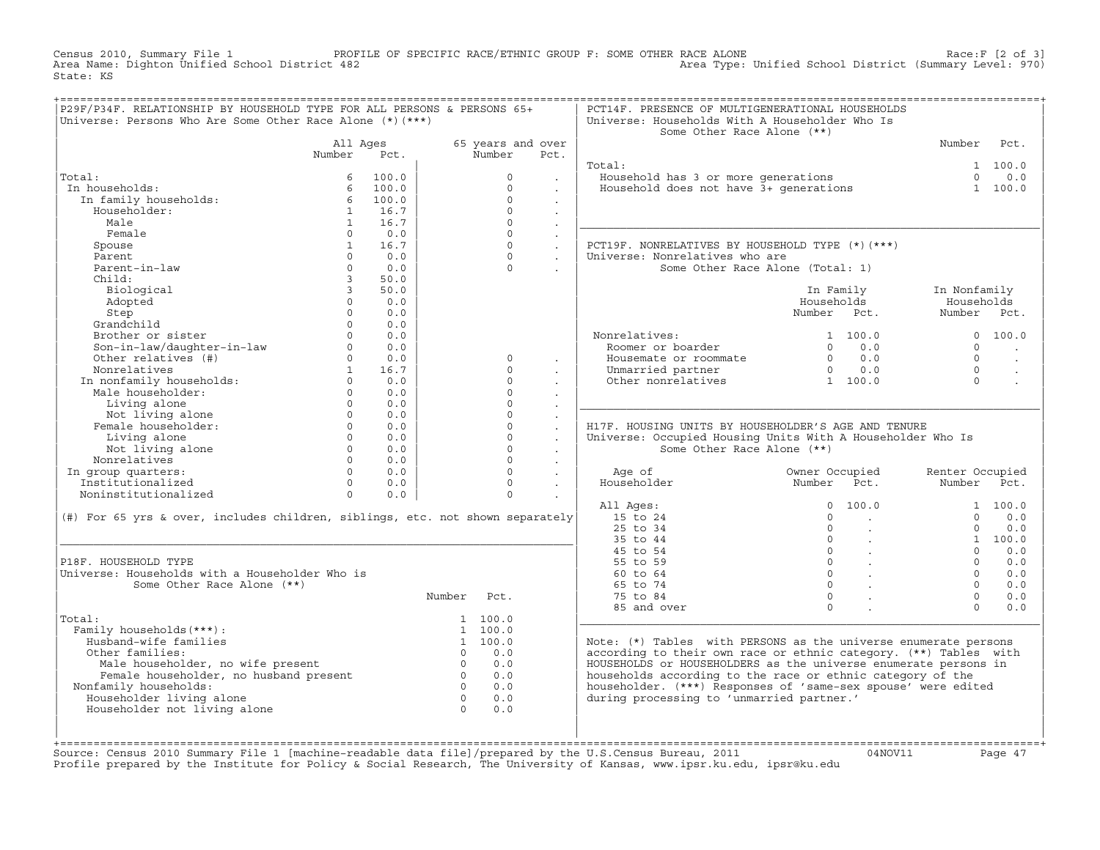Census 2010, Summary File 1 PROFILE OF SPECIFIC RACE/ETHNIC GROUP F: SOME OTHER RACE ALONE RACE OF SPECIFIC RACE ALONE<br>Area Name: Dighton Unified School District 482 Area Type: Unified School District (Summary Level: 970) Area Type: Unified School District (Summary Level: 970) State: KS

| Universe: Persons Who Are Some Other Race Alone $(*)$ $(***)$<br>All Ages |                                                                                       |                                                                                                                                                                                                                                                                                                                                                                                                                                                                                                                                                                           |                   |                                                                                                                                                                                                                                                                                                                                                                                                                       | Universe: Households With A Householder Who Is<br>Some Other Race Alone (**)                                                     |                                                                                                                                                                                               |                                                                                                                                                                                                                                                                                                                         |                                                                                                                                                                                                                                                                                                                                                                                                                                                                                                                                                                                                                                                                                                                                                                                                                                                                                                                                                                                    |
|---------------------------------------------------------------------------|---------------------------------------------------------------------------------------|---------------------------------------------------------------------------------------------------------------------------------------------------------------------------------------------------------------------------------------------------------------------------------------------------------------------------------------------------------------------------------------------------------------------------------------------------------------------------------------------------------------------------------------------------------------------------|-------------------|-----------------------------------------------------------------------------------------------------------------------------------------------------------------------------------------------------------------------------------------------------------------------------------------------------------------------------------------------------------------------------------------------------------------------|----------------------------------------------------------------------------------------------------------------------------------|-----------------------------------------------------------------------------------------------------------------------------------------------------------------------------------------------|-------------------------------------------------------------------------------------------------------------------------------------------------------------------------------------------------------------------------------------------------------------------------------------------------------------------------|------------------------------------------------------------------------------------------------------------------------------------------------------------------------------------------------------------------------------------------------------------------------------------------------------------------------------------------------------------------------------------------------------------------------------------------------------------------------------------------------------------------------------------------------------------------------------------------------------------------------------------------------------------------------------------------------------------------------------------------------------------------------------------------------------------------------------------------------------------------------------------------------------------------------------------------------------------------------------------|
|                                                                           |                                                                                       |                                                                                                                                                                                                                                                                                                                                                                                                                                                                                                                                                                           |                   |                                                                                                                                                                                                                                                                                                                                                                                                                       |                                                                                                                                  |                                                                                                                                                                                               |                                                                                                                                                                                                                                                                                                                         |                                                                                                                                                                                                                                                                                                                                                                                                                                                                                                                                                                                                                                                                                                                                                                                                                                                                                                                                                                                    |
|                                                                           |                                                                                       |                                                                                                                                                                                                                                                                                                                                                                                                                                                                                                                                                                           | 65 years and over |                                                                                                                                                                                                                                                                                                                                                                                                                       |                                                                                                                                  |                                                                                                                                                                                               | Number Pct.                                                                                                                                                                                                                                                                                                             |                                                                                                                                                                                                                                                                                                                                                                                                                                                                                                                                                                                                                                                                                                                                                                                                                                                                                                                                                                                    |
| Number                                                                    | Pct.                                                                                  |                                                                                                                                                                                                                                                                                                                                                                                                                                                                                                                                                                           | Number            | Pct.                                                                                                                                                                                                                                                                                                                                                                                                                  |                                                                                                                                  |                                                                                                                                                                                               |                                                                                                                                                                                                                                                                                                                         |                                                                                                                                                                                                                                                                                                                                                                                                                                                                                                                                                                                                                                                                                                                                                                                                                                                                                                                                                                                    |
|                                                                           |                                                                                       |                                                                                                                                                                                                                                                                                                                                                                                                                                                                                                                                                                           |                   |                                                                                                                                                                                                                                                                                                                                                                                                                       | Total:                                                                                                                           |                                                                                                                                                                                               |                                                                                                                                                                                                                                                                                                                         | 1 100.0                                                                                                                                                                                                                                                                                                                                                                                                                                                                                                                                                                                                                                                                                                                                                                                                                                                                                                                                                                            |
|                                                                           |                                                                                       |                                                                                                                                                                                                                                                                                                                                                                                                                                                                                                                                                                           | $\Omega$          | $\sim$                                                                                                                                                                                                                                                                                                                                                                                                                |                                                                                                                                  |                                                                                                                                                                                               |                                                                                                                                                                                                                                                                                                                         |                                                                                                                                                                                                                                                                                                                                                                                                                                                                                                                                                                                                                                                                                                                                                                                                                                                                                                                                                                                    |
|                                                                           |                                                                                       |                                                                                                                                                                                                                                                                                                                                                                                                                                                                                                                                                                           | $\Omega$          | $\ddot{\phantom{a}}$                                                                                                                                                                                                                                                                                                                                                                                                  |                                                                                                                                  |                                                                                                                                                                                               |                                                                                                                                                                                                                                                                                                                         |                                                                                                                                                                                                                                                                                                                                                                                                                                                                                                                                                                                                                                                                                                                                                                                                                                                                                                                                                                                    |
|                                                                           |                                                                                       |                                                                                                                                                                                                                                                                                                                                                                                                                                                                                                                                                                           | $\Omega$          | $\ddot{\phantom{a}}$                                                                                                                                                                                                                                                                                                                                                                                                  |                                                                                                                                  |                                                                                                                                                                                               |                                                                                                                                                                                                                                                                                                                         |                                                                                                                                                                                                                                                                                                                                                                                                                                                                                                                                                                                                                                                                                                                                                                                                                                                                                                                                                                                    |
|                                                                           |                                                                                       |                                                                                                                                                                                                                                                                                                                                                                                                                                                                                                                                                                           | $\Omega$          |                                                                                                                                                                                                                                                                                                                                                                                                                       |                                                                                                                                  |                                                                                                                                                                                               |                                                                                                                                                                                                                                                                                                                         |                                                                                                                                                                                                                                                                                                                                                                                                                                                                                                                                                                                                                                                                                                                                                                                                                                                                                                                                                                                    |
|                                                                           |                                                                                       |                                                                                                                                                                                                                                                                                                                                                                                                                                                                                                                                                                           | $\Omega$          | $\ddot{\phantom{a}}$                                                                                                                                                                                                                                                                                                                                                                                                  |                                                                                                                                  |                                                                                                                                                                                               |                                                                                                                                                                                                                                                                                                                         |                                                                                                                                                                                                                                                                                                                                                                                                                                                                                                                                                                                                                                                                                                                                                                                                                                                                                                                                                                                    |
|                                                                           |                                                                                       |                                                                                                                                                                                                                                                                                                                                                                                                                                                                                                                                                                           |                   |                                                                                                                                                                                                                                                                                                                                                                                                                       |                                                                                                                                  |                                                                                                                                                                                               |                                                                                                                                                                                                                                                                                                                         |                                                                                                                                                                                                                                                                                                                                                                                                                                                                                                                                                                                                                                                                                                                                                                                                                                                                                                                                                                                    |
|                                                                           |                                                                                       |                                                                                                                                                                                                                                                                                                                                                                                                                                                                                                                                                                           | $\Omega$          |                                                                                                                                                                                                                                                                                                                                                                                                                       |                                                                                                                                  |                                                                                                                                                                                               |                                                                                                                                                                                                                                                                                                                         |                                                                                                                                                                                                                                                                                                                                                                                                                                                                                                                                                                                                                                                                                                                                                                                                                                                                                                                                                                                    |
|                                                                           |                                                                                       |                                                                                                                                                                                                                                                                                                                                                                                                                                                                                                                                                                           |                   |                                                                                                                                                                                                                                                                                                                                                                                                                       |                                                                                                                                  |                                                                                                                                                                                               |                                                                                                                                                                                                                                                                                                                         |                                                                                                                                                                                                                                                                                                                                                                                                                                                                                                                                                                                                                                                                                                                                                                                                                                                                                                                                                                                    |
|                                                                           |                                                                                       |                                                                                                                                                                                                                                                                                                                                                                                                                                                                                                                                                                           |                   |                                                                                                                                                                                                                                                                                                                                                                                                                       |                                                                                                                                  |                                                                                                                                                                                               |                                                                                                                                                                                                                                                                                                                         |                                                                                                                                                                                                                                                                                                                                                                                                                                                                                                                                                                                                                                                                                                                                                                                                                                                                                                                                                                                    |
|                                                                           |                                                                                       |                                                                                                                                                                                                                                                                                                                                                                                                                                                                                                                                                                           |                   |                                                                                                                                                                                                                                                                                                                                                                                                                       |                                                                                                                                  |                                                                                                                                                                                               |                                                                                                                                                                                                                                                                                                                         |                                                                                                                                                                                                                                                                                                                                                                                                                                                                                                                                                                                                                                                                                                                                                                                                                                                                                                                                                                                    |
|                                                                           |                                                                                       |                                                                                                                                                                                                                                                                                                                                                                                                                                                                                                                                                                           |                   |                                                                                                                                                                                                                                                                                                                                                                                                                       |                                                                                                                                  |                                                                                                                                                                                               |                                                                                                                                                                                                                                                                                                                         |                                                                                                                                                                                                                                                                                                                                                                                                                                                                                                                                                                                                                                                                                                                                                                                                                                                                                                                                                                                    |
|                                                                           |                                                                                       |                                                                                                                                                                                                                                                                                                                                                                                                                                                                                                                                                                           |                   |                                                                                                                                                                                                                                                                                                                                                                                                                       |                                                                                                                                  |                                                                                                                                                                                               |                                                                                                                                                                                                                                                                                                                         |                                                                                                                                                                                                                                                                                                                                                                                                                                                                                                                                                                                                                                                                                                                                                                                                                                                                                                                                                                                    |
|                                                                           |                                                                                       |                                                                                                                                                                                                                                                                                                                                                                                                                                                                                                                                                                           |                   |                                                                                                                                                                                                                                                                                                                                                                                                                       |                                                                                                                                  |                                                                                                                                                                                               |                                                                                                                                                                                                                                                                                                                         |                                                                                                                                                                                                                                                                                                                                                                                                                                                                                                                                                                                                                                                                                                                                                                                                                                                                                                                                                                                    |
|                                                                           |                                                                                       |                                                                                                                                                                                                                                                                                                                                                                                                                                                                                                                                                                           |                   |                                                                                                                                                                                                                                                                                                                                                                                                                       |                                                                                                                                  |                                                                                                                                                                                               |                                                                                                                                                                                                                                                                                                                         |                                                                                                                                                                                                                                                                                                                                                                                                                                                                                                                                                                                                                                                                                                                                                                                                                                                                                                                                                                                    |
|                                                                           |                                                                                       |                                                                                                                                                                                                                                                                                                                                                                                                                                                                                                                                                                           |                   |                                                                                                                                                                                                                                                                                                                                                                                                                       |                                                                                                                                  |                                                                                                                                                                                               |                                                                                                                                                                                                                                                                                                                         | 0 100.0                                                                                                                                                                                                                                                                                                                                                                                                                                                                                                                                                                                                                                                                                                                                                                                                                                                                                                                                                                            |
|                                                                           |                                                                                       |                                                                                                                                                                                                                                                                                                                                                                                                                                                                                                                                                                           |                   |                                                                                                                                                                                                                                                                                                                                                                                                                       |                                                                                                                                  |                                                                                                                                                                                               |                                                                                                                                                                                                                                                                                                                         |                                                                                                                                                                                                                                                                                                                                                                                                                                                                                                                                                                                                                                                                                                                                                                                                                                                                                                                                                                                    |
|                                                                           |                                                                                       |                                                                                                                                                                                                                                                                                                                                                                                                                                                                                                                                                                           |                   |                                                                                                                                                                                                                                                                                                                                                                                                                       |                                                                                                                                  |                                                                                                                                                                                               |                                                                                                                                                                                                                                                                                                                         | $\sim$                                                                                                                                                                                                                                                                                                                                                                                                                                                                                                                                                                                                                                                                                                                                                                                                                                                                                                                                                                             |
|                                                                           |                                                                                       |                                                                                                                                                                                                                                                                                                                                                                                                                                                                                                                                                                           |                   |                                                                                                                                                                                                                                                                                                                                                                                                                       |                                                                                                                                  |                                                                                                                                                                                               |                                                                                                                                                                                                                                                                                                                         | $\ddot{\phantom{a}}$                                                                                                                                                                                                                                                                                                                                                                                                                                                                                                                                                                                                                                                                                                                                                                                                                                                                                                                                                               |
|                                                                           |                                                                                       |                                                                                                                                                                                                                                                                                                                                                                                                                                                                                                                                                                           |                   |                                                                                                                                                                                                                                                                                                                                                                                                                       |                                                                                                                                  |                                                                                                                                                                                               |                                                                                                                                                                                                                                                                                                                         | $\ddot{\phantom{a}}$                                                                                                                                                                                                                                                                                                                                                                                                                                                                                                                                                                                                                                                                                                                                                                                                                                                                                                                                                               |
|                                                                           |                                                                                       |                                                                                                                                                                                                                                                                                                                                                                                                                                                                                                                                                                           |                   | $\sim$                                                                                                                                                                                                                                                                                                                                                                                                                |                                                                                                                                  |                                                                                                                                                                                               |                                                                                                                                                                                                                                                                                                                         | $\ddot{\phantom{a}}$                                                                                                                                                                                                                                                                                                                                                                                                                                                                                                                                                                                                                                                                                                                                                                                                                                                                                                                                                               |
|                                                                           |                                                                                       |                                                                                                                                                                                                                                                                                                                                                                                                                                                                                                                                                                           |                   |                                                                                                                                                                                                                                                                                                                                                                                                                       |                                                                                                                                  |                                                                                                                                                                                               |                                                                                                                                                                                                                                                                                                                         |                                                                                                                                                                                                                                                                                                                                                                                                                                                                                                                                                                                                                                                                                                                                                                                                                                                                                                                                                                                    |
|                                                                           |                                                                                       |                                                                                                                                                                                                                                                                                                                                                                                                                                                                                                                                                                           |                   |                                                                                                                                                                                                                                                                                                                                                                                                                       |                                                                                                                                  |                                                                                                                                                                                               |                                                                                                                                                                                                                                                                                                                         |                                                                                                                                                                                                                                                                                                                                                                                                                                                                                                                                                                                                                                                                                                                                                                                                                                                                                                                                                                                    |
|                                                                           |                                                                                       |                                                                                                                                                                                                                                                                                                                                                                                                                                                                                                                                                                           |                   | $\ddot{\phantom{0}}$                                                                                                                                                                                                                                                                                                                                                                                                  |                                                                                                                                  |                                                                                                                                                                                               |                                                                                                                                                                                                                                                                                                                         |                                                                                                                                                                                                                                                                                                                                                                                                                                                                                                                                                                                                                                                                                                                                                                                                                                                                                                                                                                                    |
|                                                                           |                                                                                       |                                                                                                                                                                                                                                                                                                                                                                                                                                                                                                                                                                           |                   | $\ddot{\phantom{a}}$                                                                                                                                                                                                                                                                                                                                                                                                  |                                                                                                                                  |                                                                                                                                                                                               |                                                                                                                                                                                                                                                                                                                         |                                                                                                                                                                                                                                                                                                                                                                                                                                                                                                                                                                                                                                                                                                                                                                                                                                                                                                                                                                                    |
|                                                                           |                                                                                       |                                                                                                                                                                                                                                                                                                                                                                                                                                                                                                                                                                           |                   | $\sim$                                                                                                                                                                                                                                                                                                                                                                                                                |                                                                                                                                  |                                                                                                                                                                                               |                                                                                                                                                                                                                                                                                                                         |                                                                                                                                                                                                                                                                                                                                                                                                                                                                                                                                                                                                                                                                                                                                                                                                                                                                                                                                                                                    |
|                                                                           |                                                                                       |                                                                                                                                                                                                                                                                                                                                                                                                                                                                                                                                                                           |                   | $\sim$                                                                                                                                                                                                                                                                                                                                                                                                                |                                                                                                                                  |                                                                                                                                                                                               |                                                                                                                                                                                                                                                                                                                         |                                                                                                                                                                                                                                                                                                                                                                                                                                                                                                                                                                                                                                                                                                                                                                                                                                                                                                                                                                                    |
|                                                                           |                                                                                       |                                                                                                                                                                                                                                                                                                                                                                                                                                                                                                                                                                           | $\Omega$          | $\sim$                                                                                                                                                                                                                                                                                                                                                                                                                |                                                                                                                                  |                                                                                                                                                                                               |                                                                                                                                                                                                                                                                                                                         |                                                                                                                                                                                                                                                                                                                                                                                                                                                                                                                                                                                                                                                                                                                                                                                                                                                                                                                                                                                    |
|                                                                           |                                                                                       |                                                                                                                                                                                                                                                                                                                                                                                                                                                                                                                                                                           |                   | $\sim$                                                                                                                                                                                                                                                                                                                                                                                                                |                                                                                                                                  |                                                                                                                                                                                               | Renter Occupied                                                                                                                                                                                                                                                                                                         |                                                                                                                                                                                                                                                                                                                                                                                                                                                                                                                                                                                                                                                                                                                                                                                                                                                                                                                                                                                    |
|                                                                           |                                                                                       |                                                                                                                                                                                                                                                                                                                                                                                                                                                                                                                                                                           | $\Omega$          | $\sim 10^{-11}$                                                                                                                                                                                                                                                                                                                                                                                                       |                                                                                                                                  |                                                                                                                                                                                               | Number Pct.                                                                                                                                                                                                                                                                                                             |                                                                                                                                                                                                                                                                                                                                                                                                                                                                                                                                                                                                                                                                                                                                                                                                                                                                                                                                                                                    |
|                                                                           |                                                                                       |                                                                                                                                                                                                                                                                                                                                                                                                                                                                                                                                                                           | $\Omega$          | $\ddot{\phantom{a}}$                                                                                                                                                                                                                                                                                                                                                                                                  |                                                                                                                                  |                                                                                                                                                                                               |                                                                                                                                                                                                                                                                                                                         |                                                                                                                                                                                                                                                                                                                                                                                                                                                                                                                                                                                                                                                                                                                                                                                                                                                                                                                                                                                    |
|                                                                           |                                                                                       |                                                                                                                                                                                                                                                                                                                                                                                                                                                                                                                                                                           |                   |                                                                                                                                                                                                                                                                                                                                                                                                                       |                                                                                                                                  | 0 100.0                                                                                                                                                                                       |                                                                                                                                                                                                                                                                                                                         | 1 100.0                                                                                                                                                                                                                                                                                                                                                                                                                                                                                                                                                                                                                                                                                                                                                                                                                                                                                                                                                                            |
|                                                                           |                                                                                       |                                                                                                                                                                                                                                                                                                                                                                                                                                                                                                                                                                           |                   |                                                                                                                                                                                                                                                                                                                                                                                                                       |                                                                                                                                  | $\Omega$                                                                                                                                                                                      | $\Omega$                                                                                                                                                                                                                                                                                                                | 0.0                                                                                                                                                                                                                                                                                                                                                                                                                                                                                                                                                                                                                                                                                                                                                                                                                                                                                                                                                                                |
|                                                                           |                                                                                       |                                                                                                                                                                                                                                                                                                                                                                                                                                                                                                                                                                           |                   |                                                                                                                                                                                                                                                                                                                                                                                                                       | 25 to 34                                                                                                                         |                                                                                                                                                                                               | $\Omega$                                                                                                                                                                                                                                                                                                                | 0.0                                                                                                                                                                                                                                                                                                                                                                                                                                                                                                                                                                                                                                                                                                                                                                                                                                                                                                                                                                                |
|                                                                           |                                                                                       |                                                                                                                                                                                                                                                                                                                                                                                                                                                                                                                                                                           |                   |                                                                                                                                                                                                                                                                                                                                                                                                                       |                                                                                                                                  |                                                                                                                                                                                               |                                                                                                                                                                                                                                                                                                                         | 1 100.0                                                                                                                                                                                                                                                                                                                                                                                                                                                                                                                                                                                                                                                                                                                                                                                                                                                                                                                                                                            |
|                                                                           |                                                                                       |                                                                                                                                                                                                                                                                                                                                                                                                                                                                                                                                                                           |                   |                                                                                                                                                                                                                                                                                                                                                                                                                       |                                                                                                                                  |                                                                                                                                                                                               | $\Omega$                                                                                                                                                                                                                                                                                                                | 0.0                                                                                                                                                                                                                                                                                                                                                                                                                                                                                                                                                                                                                                                                                                                                                                                                                                                                                                                                                                                |
|                                                                           |                                                                                       |                                                                                                                                                                                                                                                                                                                                                                                                                                                                                                                                                                           |                   |                                                                                                                                                                                                                                                                                                                                                                                                                       |                                                                                                                                  |                                                                                                                                                                                               |                                                                                                                                                                                                                                                                                                                         | 0.0                                                                                                                                                                                                                                                                                                                                                                                                                                                                                                                                                                                                                                                                                                                                                                                                                                                                                                                                                                                |
|                                                                           |                                                                                       |                                                                                                                                                                                                                                                                                                                                                                                                                                                                                                                                                                           |                   |                                                                                                                                                                                                                                                                                                                                                                                                                       |                                                                                                                                  |                                                                                                                                                                                               |                                                                                                                                                                                                                                                                                                                         | 0.0                                                                                                                                                                                                                                                                                                                                                                                                                                                                                                                                                                                                                                                                                                                                                                                                                                                                                                                                                                                |
|                                                                           |                                                                                       |                                                                                                                                                                                                                                                                                                                                                                                                                                                                                                                                                                           |                   |                                                                                                                                                                                                                                                                                                                                                                                                                       |                                                                                                                                  |                                                                                                                                                                                               |                                                                                                                                                                                                                                                                                                                         | 0.0                                                                                                                                                                                                                                                                                                                                                                                                                                                                                                                                                                                                                                                                                                                                                                                                                                                                                                                                                                                |
|                                                                           |                                                                                       |                                                                                                                                                                                                                                                                                                                                                                                                                                                                                                                                                                           |                   |                                                                                                                                                                                                                                                                                                                                                                                                                       |                                                                                                                                  |                                                                                                                                                                                               |                                                                                                                                                                                                                                                                                                                         | 0.0                                                                                                                                                                                                                                                                                                                                                                                                                                                                                                                                                                                                                                                                                                                                                                                                                                                                                                                                                                                |
|                                                                           |                                                                                       |                                                                                                                                                                                                                                                                                                                                                                                                                                                                                                                                                                           |                   |                                                                                                                                                                                                                                                                                                                                                                                                                       |                                                                                                                                  |                                                                                                                                                                                               |                                                                                                                                                                                                                                                                                                                         | 0.0                                                                                                                                                                                                                                                                                                                                                                                                                                                                                                                                                                                                                                                                                                                                                                                                                                                                                                                                                                                |
|                                                                           |                                                                                       |                                                                                                                                                                                                                                                                                                                                                                                                                                                                                                                                                                           |                   |                                                                                                                                                                                                                                                                                                                                                                                                                       |                                                                                                                                  |                                                                                                                                                                                               |                                                                                                                                                                                                                                                                                                                         |                                                                                                                                                                                                                                                                                                                                                                                                                                                                                                                                                                                                                                                                                                                                                                                                                                                                                                                                                                                    |
|                                                                           |                                                                                       |                                                                                                                                                                                                                                                                                                                                                                                                                                                                                                                                                                           |                   |                                                                                                                                                                                                                                                                                                                                                                                                                       |                                                                                                                                  |                                                                                                                                                                                               |                                                                                                                                                                                                                                                                                                                         |                                                                                                                                                                                                                                                                                                                                                                                                                                                                                                                                                                                                                                                                                                                                                                                                                                                                                                                                                                                    |
|                                                                           |                                                                                       |                                                                                                                                                                                                                                                                                                                                                                                                                                                                                                                                                                           |                   |                                                                                                                                                                                                                                                                                                                                                                                                                       |                                                                                                                                  |                                                                                                                                                                                               |                                                                                                                                                                                                                                                                                                                         |                                                                                                                                                                                                                                                                                                                                                                                                                                                                                                                                                                                                                                                                                                                                                                                                                                                                                                                                                                                    |
|                                                                           |                                                                                       |                                                                                                                                                                                                                                                                                                                                                                                                                                                                                                                                                                           |                   |                                                                                                                                                                                                                                                                                                                                                                                                                       |                                                                                                                                  |                                                                                                                                                                                               |                                                                                                                                                                                                                                                                                                                         |                                                                                                                                                                                                                                                                                                                                                                                                                                                                                                                                                                                                                                                                                                                                                                                                                                                                                                                                                                                    |
|                                                                           |                                                                                       |                                                                                                                                                                                                                                                                                                                                                                                                                                                                                                                                                                           |                   |                                                                                                                                                                                                                                                                                                                                                                                                                       |                                                                                                                                  |                                                                                                                                                                                               |                                                                                                                                                                                                                                                                                                                         |                                                                                                                                                                                                                                                                                                                                                                                                                                                                                                                                                                                                                                                                                                                                                                                                                                                                                                                                                                                    |
|                                                                           |                                                                                       |                                                                                                                                                                                                                                                                                                                                                                                                                                                                                                                                                                           |                   |                                                                                                                                                                                                                                                                                                                                                                                                                       |                                                                                                                                  |                                                                                                                                                                                               |                                                                                                                                                                                                                                                                                                                         |                                                                                                                                                                                                                                                                                                                                                                                                                                                                                                                                                                                                                                                                                                                                                                                                                                                                                                                                                                                    |
|                                                                           |                                                                                       |                                                                                                                                                                                                                                                                                                                                                                                                                                                                                                                                                                           |                   |                                                                                                                                                                                                                                                                                                                                                                                                                       |                                                                                                                                  |                                                                                                                                                                                               |                                                                                                                                                                                                                                                                                                                         |                                                                                                                                                                                                                                                                                                                                                                                                                                                                                                                                                                                                                                                                                                                                                                                                                                                                                                                                                                                    |
|                                                                           |                                                                                       |                                                                                                                                                                                                                                                                                                                                                                                                                                                                                                                                                                           |                   |                                                                                                                                                                                                                                                                                                                                                                                                                       |                                                                                                                                  |                                                                                                                                                                                               |                                                                                                                                                                                                                                                                                                                         |                                                                                                                                                                                                                                                                                                                                                                                                                                                                                                                                                                                                                                                                                                                                                                                                                                                                                                                                                                                    |
|                                                                           |                                                                                       |                                                                                                                                                                                                                                                                                                                                                                                                                                                                                                                                                                           |                   |                                                                                                                                                                                                                                                                                                                                                                                                                       |                                                                                                                                  |                                                                                                                                                                                               |                                                                                                                                                                                                                                                                                                                         |                                                                                                                                                                                                                                                                                                                                                                                                                                                                                                                                                                                                                                                                                                                                                                                                                                                                                                                                                                                    |
|                                                                           |                                                                                       | $\bigcap$                                                                                                                                                                                                                                                                                                                                                                                                                                                                                                                                                                 | 0.0               |                                                                                                                                                                                                                                                                                                                                                                                                                       | during processing to 'unmarried partner.'                                                                                        |                                                                                                                                                                                               |                                                                                                                                                                                                                                                                                                                         |                                                                                                                                                                                                                                                                                                                                                                                                                                                                                                                                                                                                                                                                                                                                                                                                                                                                                                                                                                                    |
|                                                                           | Nonrelatives<br>In group quarters:<br>Institutionalized<br>Some Other Race Alone (**) | 6 100.0<br>6 100.0<br>1 In family households:<br>The family households:<br>Householder:<br>1 16.7<br>1 16.7<br>$0 \qquad 0.0$<br>1 16.7<br>$0 \t 0.0$<br>$\Omega$<br>0.0<br>$3^{\circ}$<br>50.0<br>$\overline{3}$<br>50.0<br>$0 \t 0.0$<br>$\Omega$<br>0.0<br>$0 \t 0.0$<br>Controller of the Maria Controller (1990)<br>Scraptchild (1990)<br>Son-in-law/daughter-in-law (1990)<br>Other relatives (#) (1990)<br>Normelatives (#) (1990)<br>In nonfamily households: (1990)<br>In nonfamily households: (1990)<br>Male<br>Universe: Households with a Householder Who is |                   | $\circ$<br>$\Omega$<br>$\Omega$<br>$\Omega$<br>$\Omega$<br>$\Omega$<br>$\Omega$<br>$\Omega$<br>$\Omega$<br>$\Omega$<br>$\Omega$<br>$\Omega$<br>Number Pct.<br>1 100.0<br>1 100.0<br>$\begin{matrix} 1 & 100.0 \\ 0 & 0.0 \end{matrix}$<br>% Ther families:<br>Male householder, no wife present<br>Female householder, no husband present<br>family households:<br>0 0.0<br>0 0.0<br>0 0.0<br>0 0.0<br>0 0.0<br>0 0.0 | $\cdot$<br>$\sim$<br>$\sim$<br>$\sim$<br>$\sim$<br>$\ddot{\phantom{a}}$<br>$\blacksquare$<br>$\mathbb{Z}^2$<br>$0 \qquad \qquad$ | All Ages:<br>15 to 24<br>(#) For 65 yrs & over, includes children, siblings, etc. not shown separately<br>35 to 44<br>45 to 54<br>55 to 59<br>60 to 64<br>65 to 74<br>75 to 84<br>85 and over | PCT19F. NONRELATIVES BY HOUSEHOLD TYPE (*)(***)<br>Universe: Nonrelatives who are<br>Some Other Race Alone (Total: 1)<br>Households<br>Nonrelatives:<br>Roomer or boarder<br>Some Other Race Alone (**)<br>$\begin{array}{ccc} & & & \\ & & & \\ \end{array}$<br>$\overline{0}$<br>$\sim$<br>$\overline{0}$<br>$\Omega$ | Value hold has 3 or more generations and the control of the series of the series of the series of the series o<br>Household does not have 3+ generations and the 1 100.0<br>In Family<br>In Nonfamily<br>Households<br>Number Pct.<br>Number Pct.<br>Vonrelatives: 1 100.0<br>Roomer or boarder 1 0 0.0<br>Housemate or roommate 1 0 0.0<br>Unmarried partner 1 0 0.0<br>Other nonrelatives 1 100.0<br>$\Omega$<br>$\Omega$<br>$\cap$<br>$\Omega$<br>H17F. HOUSING UNITS BY HOUSEHOLDER'S AGE AND TENURE<br>Universe: Occupied Housing Units With A Householder Who Is<br>100.0<br>$\Omega$<br>$\Omega$<br>$\Omega$<br>$\Omega$<br>$\cap$<br>Note: (*) Tables with PERSONS as the universe enumerate persons<br>according to their own race or ethnic category. (**) Tables with<br>HOUSEHOLDS or HOUSEHOLDERS as the universe enumerate persons in<br>households according to the race or ethnic category of the<br>householder. (***) Responses of 'same-sex spouse' were edited |

+===================================================================================================================================================+Source: Census 2010 Summary File 1 [machine−readable data file]/prepared by the U.S.Census Bureau, 2011 04NOV11 Page 47 Profile prepared by the Institute for Policy & Social Research, The University of Kansas, www.ipsr.ku.edu, ipsr@ku.edu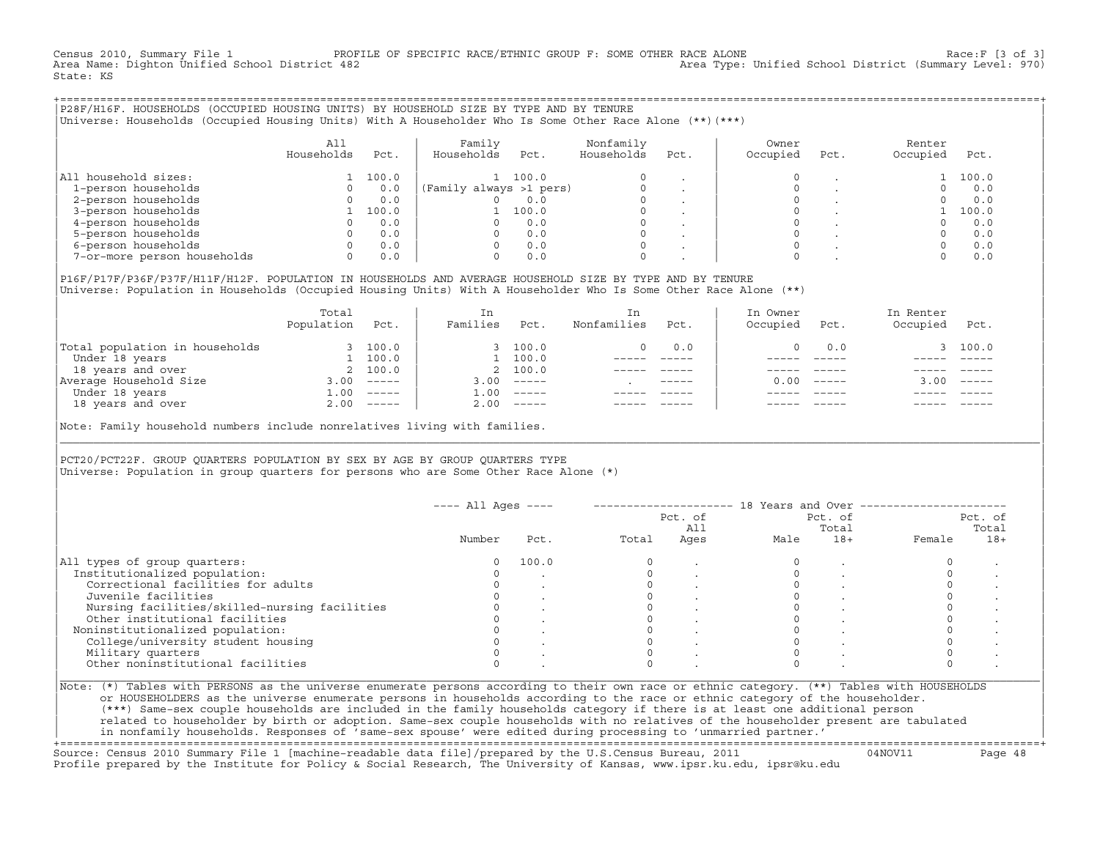Census 2010, Summary File 1 PROFILE OF SPECIFIC RACE/ETHNIC GROUP F: SOME OTHER RACE ALONE Rach of 3]<br>Area Name: Dighton Unified School District 482 Area Type: Unified School District (Summary Level: 970) Area Type: Unified School District (Summary Level: 970) State: KS

+===================================================================================================================================================+|P28F/H16F. HOUSEHOLDS (OCCUPIED HOUSING UNITS) BY HOUSEHOLD SIZE BY TYPE AND BY TENURE | |Universe: Households (Occupied Housing Units) With A Householder Who Is Some Other Race Alone (\*\*)(\*\*\*) |

|                             | All<br>Households | Pct.  | Family<br>Households<br>Pct. | Nonfamily<br>Households | Pct.    | Owner<br>Occupied | Pct. | Renter<br>Occupied | Pct.  |
|-----------------------------|-------------------|-------|------------------------------|-------------------------|---------|-------------------|------|--------------------|-------|
| household sizes:<br>All     |                   | 100.0 | 100.0                        | $\Omega$                |         |                   |      |                    | 100.0 |
| 1-person households         |                   | 0.0   | (Family always >1 pers)      |                         |         |                   |      |                    | 0.0   |
| 2-person households         |                   | 0.0   | 0.0                          | $\Omega$                |         |                   |      |                    | 0.0   |
| 3-person households         |                   | 100.0 | 100.0                        | $\mathbf 0$             | $\cdot$ |                   |      |                    | 100.0 |
| 4-person households         |                   | 0.0   | 0.0                          | $\Omega$                | $\cdot$ |                   |      |                    | 0.0   |
| 5-person households         |                   | 0.0   | 0.0                          | $\Omega$                |         |                   |      |                    | 0.0   |
| 6-person households         |                   | 0.0   | 0.0                          | $\Omega$                |         |                   |      |                    | 0.0   |
| 7-or-more person households |                   | 0.0   | 0.0                          | $\mathbf 0$             |         |                   |      |                    | 0.0   |

|P16F/P17F/P36F/P37F/H11F/H12F. POPULATION IN HOUSEHOLDS AND AVERAGE HOUSEHOLD SIZE BY TYPE AND BY TENURE | Universe: Population in Households (Occupied Housing Units) With A Householder Who Is Some Other Race Alone (\*\*)

|                                | Total<br>Population | Pct.     | In<br>Families | Pct.                      | In<br>Nonfamilies | Pct.        | In Owner<br>Occupied | Pct.                      | In Renter<br>Occupied | Pct.        |  |
|--------------------------------|---------------------|----------|----------------|---------------------------|-------------------|-------------|----------------------|---------------------------|-----------------------|-------------|--|
| Total population in households |                     | 100.0    |                | 100.0                     | 0                 | 0.0         |                      | 0.0                       |                       | 3 100.0     |  |
| Under 18 years                 |                     | 100.0    |                | 100.0                     |                   |             |                      |                           |                       |             |  |
| 18 years and over              |                     | 2 100.0  |                | 2 100.0                   |                   |             |                      |                           |                       |             |  |
| Average Household Size         | 3.00                | $------$ | 3.00           | $------$                  |                   | $- - - - -$ | 0.00                 | $\qquad \qquad - - - - -$ | 3.00                  | $------$    |  |
| Under 18 years                 | $\pm 00$            | $------$ | 1.00           | $------$                  |                   |             |                      |                           |                       |             |  |
| 18 years and over              | 2.00                |          | 2.00           | $\qquad \qquad - - - - -$ |                   |             |                      |                           |                       | $- - - - -$ |  |
|                                |                     |          |                |                           |                   |             |                      |                           |                       |             |  |

Note: Family household numbers include nonrelatives living with families.

| | PCT20/PCT22F. GROUP OUARTERS POPULATION BY SEX BY AGE BY GROUP OUARTERS TYPE Universe: Population in group quarters for persons who are Some Other Race Alone (\*)

|                                               | $---$ All Ages $---$ |       |       | Pct. of<br>All |      | Pct. of<br>Total |        | Pct. of<br>Total |
|-----------------------------------------------|----------------------|-------|-------|----------------|------|------------------|--------|------------------|
|                                               | Number               | Pct.  | Total | Ages           | Male | $18+$            | Female | $18+$            |
| All types of group quarters:                  |                      | 100.0 |       |                |      |                  |        |                  |
| Institutionalized population:                 |                      |       |       |                |      |                  |        |                  |
| Correctional facilities for adults            |                      |       |       |                |      |                  |        |                  |
| Juvenile facilities                           |                      |       |       |                |      |                  |        |                  |
| Nursing facilities/skilled-nursing facilities |                      |       |       |                |      |                  |        |                  |
| Other institutional facilities                |                      |       |       |                |      |                  |        |                  |
| Noninstitutionalized population:              |                      |       |       |                |      |                  |        |                  |
| College/university student housing            |                      |       |       |                |      |                  |        |                  |
| Military quarters                             |                      |       |       |                |      |                  |        |                  |
| Other noninstitutional facilities             |                      |       |       |                |      |                  |        |                  |

|\_\_\_\_\_\_\_\_\_\_\_\_\_\_\_\_\_\_\_\_\_\_\_\_\_\_\_\_\_\_\_\_\_\_\_\_\_\_\_\_\_\_\_\_\_\_\_\_\_\_\_\_\_\_\_\_\_\_\_\_\_\_\_\_\_\_\_\_\_\_\_\_\_\_\_\_\_\_\_\_\_\_\_\_\_\_\_\_\_\_\_\_\_\_\_\_\_\_\_\_\_\_\_\_\_\_\_\_\_\_\_\_\_\_\_\_\_\_\_\_\_\_\_\_\_\_\_\_\_\_\_\_\_\_\_\_\_\_\_\_\_\_\_\_\_\_\_|

| |

or HOUSEHOLDERS as the universe enumerate persons in households according to the race or ethnic category of the householder. | (\*\*\*) Same−sex couple households are included in the family households category if there is at least one additional person | | related to householder by birth or adoption. Same−sex couple households with no relatives of the householder present are tabulated | | in nonfamily households. Responses of 'same−sex spouse' were edited during processing to 'unmarried partner.' |

+===================================================================================================================================================+ Source: Census 2010 Summary File 1 [machine−readable data file]/prepared by the U.S.Census Bureau, 2011 04NOV11 Page 48 Profile prepared by the Institute for Policy & Social Research, The University of Kansas, www.ipsr.ku.edu, ipsr@ku.edu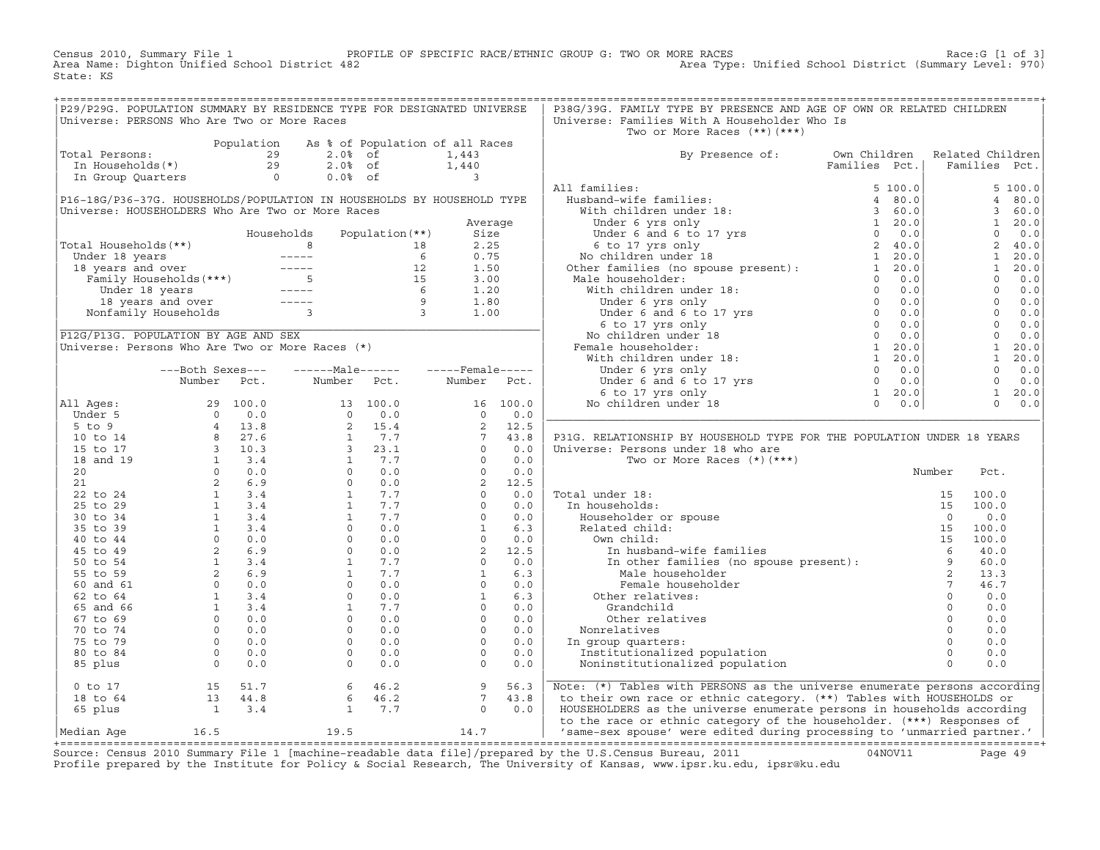Census 2010, Summary File 1 PROFILE OF SPECIFIC RACE/ETHNIC GROUP G: TWO OR MORE RACES Race:G [1 of 3] Area Name: Dighton Unified School District 482 Area Type: Unified School District (Summary Level: 970) State: KS

+===================================================================================================================================================+

| P29/P29G. POPULATION SUMMARY BY RESIDENCE TYPE FOR DESIGNATED UNIVERSE |                                                                                                                                                                                                                                                                                                                          |                 |                                                                                                                                                                                                                                                                                                                                                                                              |                                            |                                                                                                                                                                                                                                                                                                                                                   |            | P38G/39G. FAMILY TYPE BY PRESENCE AND AGE OF OWN OR RELATED CHILDREN                                                                                                                                                                                                 |               |                       |                |         |
|------------------------------------------------------------------------|--------------------------------------------------------------------------------------------------------------------------------------------------------------------------------------------------------------------------------------------------------------------------------------------------------------------------|-----------------|----------------------------------------------------------------------------------------------------------------------------------------------------------------------------------------------------------------------------------------------------------------------------------------------------------------------------------------------------------------------------------------------|--------------------------------------------|---------------------------------------------------------------------------------------------------------------------------------------------------------------------------------------------------------------------------------------------------------------------------------------------------------------------------------------------------|------------|----------------------------------------------------------------------------------------------------------------------------------------------------------------------------------------------------------------------------------------------------------------------|---------------|-----------------------|----------------|---------|
| Universe: PERSONS Who Are Two or More Races                            |                                                                                                                                                                                                                                                                                                                          |                 |                                                                                                                                                                                                                                                                                                                                                                                              |                                            |                                                                                                                                                                                                                                                                                                                                                   |            | Universe: Families With A Householder Who Is                                                                                                                                                                                                                         |               |                       |                |         |
|                                                                        |                                                                                                                                                                                                                                                                                                                          |                 |                                                                                                                                                                                                                                                                                                                                                                                              |                                            |                                                                                                                                                                                                                                                                                                                                                   |            | Two or More Races $(**)$ $(***)$                                                                                                                                                                                                                                     |               |                       |                |         |
|                                                                        |                                                                                                                                                                                                                                                                                                                          | Population      | As % of Population of all Races                                                                                                                                                                                                                                                                                                                                                              |                                            |                                                                                                                                                                                                                                                                                                                                                   |            |                                                                                                                                                                                                                                                                      |               |                       |                |         |
| Total Persons:                                                         |                                                                                                                                                                                                                                                                                                                          |                 | 29<br>$2.0%$ of                                                                                                                                                                                                                                                                                                                                                                              |                                            | 1,443                                                                                                                                                                                                                                                                                                                                             |            | By Presence of:                                                                                                                                                                                                                                                      | Own Children  | Related Children      |                |         |
| In Households(*)                                                       |                                                                                                                                                                                                                                                                                                                          |                 | 29<br>$2.0%$ of                                                                                                                                                                                                                                                                                                                                                                              |                                            | 1,440                                                                                                                                                                                                                                                                                                                                             |            |                                                                                                                                                                                                                                                                      | Families Pct. | Families Pct.         |                |         |
| In Group Quarters                                                      |                                                                                                                                                                                                                                                                                                                          |                 | $\Omega$<br>$0.0%$ of                                                                                                                                                                                                                                                                                                                                                                        |                                            | $\mathbf{3}$                                                                                                                                                                                                                                                                                                                                      |            |                                                                                                                                                                                                                                                                      |               |                       |                |         |
|                                                                        |                                                                                                                                                                                                                                                                                                                          |                 |                                                                                                                                                                                                                                                                                                                                                                                              |                                            |                                                                                                                                                                                                                                                                                                                                                   |            | All families:                                                                                                                                                                                                                                                        | 5, 100.0      |                       |                | 5 100.0 |
| P16-18G/P36-37G. HOUSEHOLDS/POPULATION IN HOUSEHOLDS BY HOUSEHOLD TYPE |                                                                                                                                                                                                                                                                                                                          |                 |                                                                                                                                                                                                                                                                                                                                                                                              |                                            |                                                                                                                                                                                                                                                                                                                                                   |            | Husband-wife families:                                                                                                                                                                                                                                               | 4 80.0        |                       | 4              | 80.0    |
| Universe: HOUSEHOLDERS Who Are Two or More Races                       |                                                                                                                                                                                                                                                                                                                          |                 |                                                                                                                                                                                                                                                                                                                                                                                              |                                            |                                                                                                                                                                                                                                                                                                                                                   |            | With children under 18:                                                                                                                                                                                                                                              | 360.0         |                       | $\mathbf{3}$   | 60.0    |
|                                                                        |                                                                                                                                                                                                                                                                                                                          |                 |                                                                                                                                                                                                                                                                                                                                                                                              |                                            | Average                                                                                                                                                                                                                                                                                                                                           |            | With children under is:<br>Under 6 and 6 to 17 yrs<br>0 0.0<br>6 to 17 yrs only<br>8 to 17 yrs only<br>2 40.0<br>No children under 18<br>2 40.0<br>2 40.0<br>2 40.0<br>2 40.0<br>2 40.0<br>2 40.0<br>2 40.0<br>2 40.0<br>2 40.0<br>2 40.0<br>2 40.0<br>2 40.0<br>2 4 |               |                       | $\mathbf{1}$   | 20.0    |
|                                                                        |                                                                                                                                                                                                                                                                                                                          |                 | Households                                                                                                                                                                                                                                                                                                                                                                                   | Population $(**)$                          | Size                                                                                                                                                                                                                                                                                                                                              |            |                                                                                                                                                                                                                                                                      |               |                       | $\Omega$       | 0.0     |
| Total Households (**)                                                  |                                                                                                                                                                                                                                                                                                                          | 8 <sup>1</sup>  |                                                                                                                                                                                                                                                                                                                                                                                              | 18                                         | 2.25                                                                                                                                                                                                                                                                                                                                              |            |                                                                                                                                                                                                                                                                      |               |                       | 2              | 40.0    |
|                                                                        |                                                                                                                                                                                                                                                                                                                          |                 |                                                                                                                                                                                                                                                                                                                                                                                              | 6                                          | 0.75                                                                                                                                                                                                                                                                                                                                              |            |                                                                                                                                                                                                                                                                      |               |                       | $\mathbf{1}$   | 20.0    |
|                                                                        |                                                                                                                                                                                                                                                                                                                          |                 |                                                                                                                                                                                                                                                                                                                                                                                              | 12                                         | 1.50                                                                                                                                                                                                                                                                                                                                              |            |                                                                                                                                                                                                                                                                      |               |                       | 1              | 20.0    |
|                                                                        |                                                                                                                                                                                                                                                                                                                          |                 |                                                                                                                                                                                                                                                                                                                                                                                              | 15                                         | 3.00                                                                                                                                                                                                                                                                                                                                              |            | Male householder:                                                                                                                                                                                                                                                    |               |                       | $\circ$        | 0.0     |
|                                                                        |                                                                                                                                                                                                                                                                                                                          |                 |                                                                                                                                                                                                                                                                                                                                                                                              |                                            | 1.20                                                                                                                                                                                                                                                                                                                                              |            |                                                                                                                                                                                                                                                                      |               |                       | $\Omega$       | 0.0     |
|                                                                        | 18 years and over<br>onfamily Households                                                                                                                                                                                                                                                                                 |                 | $\frac{1}{2} \frac{1}{2} \frac{1}{2} \frac{1}{2} \frac{1}{2} \frac{1}{2} \frac{1}{2} \frac{1}{2} \frac{1}{2} \frac{1}{2} \frac{1}{2} \frac{1}{2} \frac{1}{2} \frac{1}{2} \frac{1}{2} \frac{1}{2} \frac{1}{2} \frac{1}{2} \frac{1}{2} \frac{1}{2} \frac{1}{2} \frac{1}{2} \frac{1}{2} \frac{1}{2} \frac{1}{2} \frac{1}{2} \frac{1}{2} \frac{1}{2} \frac{1}{2} \frac{1}{2} \frac{1}{2} \frac{$ | $\begin{array}{c} 6 \\ 9 \\ 3 \end{array}$ | 1.80                                                                                                                                                                                                                                                                                                                                              |            |                                                                                                                                                                                                                                                                      |               |                       | $\overline{0}$ | 0.0     |
|                                                                        | Nonfamily Households                                                                                                                                                                                                                                                                                                     |                 | $\overline{3}$                                                                                                                                                                                                                                                                                                                                                                               |                                            | 1.00                                                                                                                                                                                                                                                                                                                                              |            |                                                                                                                                                                                                                                                                      |               |                       | $\overline{0}$ | 0.0     |
|                                                                        |                                                                                                                                                                                                                                                                                                                          |                 |                                                                                                                                                                                                                                                                                                                                                                                              |                                            |                                                                                                                                                                                                                                                                                                                                                   |            | ner tamilies (no spouse present): $1\ 20.0$<br>(ale householder: $0\ 0.0$<br>With children under 18: $0\ 0.0$<br>Under 6 yrs only $0\ 0.0$<br>Under 6 and 6 to 17 yrs $0\ 0.0$<br>(6 to 17 yrs $0\ 0.0$ )<br>(6 to 17 yrs $0\ 0.0$ )<br>No chi                       |               |                       | $\Omega$       | 0.0     |
| P12G/P13G. POPULATION BY AGE AND SEX                                   |                                                                                                                                                                                                                                                                                                                          |                 |                                                                                                                                                                                                                                                                                                                                                                                              |                                            |                                                                                                                                                                                                                                                                                                                                                   |            |                                                                                                                                                                                                                                                                      |               |                       | $\circ$        | 0.0     |
| Universe: Persons Who Are Two or More Races (*)                        |                                                                                                                                                                                                                                                                                                                          |                 |                                                                                                                                                                                                                                                                                                                                                                                              |                                            |                                                                                                                                                                                                                                                                                                                                                   |            | Female householder:                                                                                                                                                                                                                                                  |               |                       | $\mathbf{1}$   | 20.0    |
|                                                                        |                                                                                                                                                                                                                                                                                                                          |                 |                                                                                                                                                                                                                                                                                                                                                                                              |                                            |                                                                                                                                                                                                                                                                                                                                                   |            |                                                                                                                                                                                                                                                                      |               |                       | $\mathbf{1}$   | 20.0    |
|                                                                        | ---Both Sexes---                                                                                                                                                                                                                                                                                                         |                 | $---Male----$                                                                                                                                                                                                                                                                                                                                                                                |                                            | $---$ Female-----                                                                                                                                                                                                                                                                                                                                 |            |                                                                                                                                                                                                                                                                      |               |                       | $\circ$        | 0.0     |
|                                                                        | Number                                                                                                                                                                                                                                                                                                                   | Pct.            | Number                                                                                                                                                                                                                                                                                                                                                                                       | Pct.                                       | Number                                                                                                                                                                                                                                                                                                                                            | Pct.       |                                                                                                                                                                                                                                                                      |               |                       | $\Omega$       | 0.0     |
|                                                                        |                                                                                                                                                                                                                                                                                                                          |                 |                                                                                                                                                                                                                                                                                                                                                                                              |                                            |                                                                                                                                                                                                                                                                                                                                                   |            |                                                                                                                                                                                                                                                                      |               |                       | $\mathbf{1}$   | 20.0    |
| All Ages:                                                              |                                                                                                                                                                                                                                                                                                                          | 29 100.0        |                                                                                                                                                                                                                                                                                                                                                                                              | 13 100.0                                   |                                                                                                                                                                                                                                                                                                                                                   | 16 100.0   |                                                                                                                                                                                                                                                                      |               |                       | $\Omega$       | 0.0     |
| Under 5                                                                | $\overline{0}$                                                                                                                                                                                                                                                                                                           | 0.0             | $0 \t 0.0$                                                                                                                                                                                                                                                                                                                                                                                   |                                            | $\overline{0}$                                                                                                                                                                                                                                                                                                                                    | 0.0        |                                                                                                                                                                                                                                                                      |               |                       |                |         |
| $5$ to $9$                                                             |                                                                                                                                                                                                                                                                                                                          |                 |                                                                                                                                                                                                                                                                                                                                                                                              | 2, 15.4                                    | $\overline{2}$                                                                                                                                                                                                                                                                                                                                    | 12.5       |                                                                                                                                                                                                                                                                      |               |                       |                |         |
| 10 to 14                                                               |                                                                                                                                                                                                                                                                                                                          |                 |                                                                                                                                                                                                                                                                                                                                                                                              | 7.7                                        | 7                                                                                                                                                                                                                                                                                                                                                 | 43.8       | P31G. RELATIONSHIP BY HOUSEHOLD TYPE FOR THE POPULATION UNDER 18 YEARS                                                                                                                                                                                               |               |                       |                |         |
| 15 to 17                                                               |                                                                                                                                                                                                                                                                                                                          |                 | $3^{\circ}$                                                                                                                                                                                                                                                                                                                                                                                  | 23.1                                       | $\Omega$                                                                                                                                                                                                                                                                                                                                          | 0.0        | Universe: Persons under 18 who are                                                                                                                                                                                                                                   |               |                       |                |         |
| 18 and 19                                                              |                                                                                                                                                                                                                                                                                                                          |                 |                                                                                                                                                                                                                                                                                                                                                                                              | 1 7.7                                      | $\Omega$                                                                                                                                                                                                                                                                                                                                          | 0.0        | Two or More Races $(*)$ $(***)$                                                                                                                                                                                                                                      |               |                       |                |         |
| 20                                                                     |                                                                                                                                                                                                                                                                                                                          |                 |                                                                                                                                                                                                                                                                                                                                                                                              | $0 \t 0.0$                                 | $\Omega$                                                                                                                                                                                                                                                                                                                                          | 0.0        |                                                                                                                                                                                                                                                                      |               | Number                | Pct.           |         |
| 21                                                                     |                                                                                                                                                                                                                                                                                                                          |                 | $0 \qquad \qquad$                                                                                                                                                                                                                                                                                                                                                                            | 0.0                                        | $2^{\circ}$                                                                                                                                                                                                                                                                                                                                       | 12.5       |                                                                                                                                                                                                                                                                      |               |                       |                |         |
| 22 to 24                                                               |                                                                                                                                                                                                                                                                                                                          |                 |                                                                                                                                                                                                                                                                                                                                                                                              | 1 7.7                                      |                                                                                                                                                                                                                                                                                                                                                   | 0.0        | Total under 18:                                                                                                                                                                                                                                                      |               | 15                    | 100.0          |         |
| 25 to 29                                                               |                                                                                                                                                                                                                                                                                                                          |                 | $1$ $\sim$<br>$1 -$                                                                                                                                                                                                                                                                                                                                                                          | 7.7<br>7.7                                 |                                                                                                                                                                                                                                                                                                                                                   | 0.0<br>0.0 | In households:                                                                                                                                                                                                                                                       |               | 15                    | 100.0          |         |
| 30 to 34                                                               |                                                                                                                                                                                                                                                                                                                          |                 | $\overline{0}$                                                                                                                                                                                                                                                                                                                                                                               |                                            |                                                                                                                                                                                                                                                                                                                                                   | 6.3        | Householder or spouse                                                                                                                                                                                                                                                |               | $\Omega$              | 0.0<br>100.0   |         |
| 35 to 39                                                               |                                                                                                                                                                                                                                                                                                                          |                 | $\Omega$                                                                                                                                                                                                                                                                                                                                                                                     | 0.0<br>0.0                                 |                                                                                                                                                                                                                                                                                                                                                   | 0.0        | Related child:<br>Own child:                                                                                                                                                                                                                                         |               | 15                    |                |         |
| 40 to 44                                                               |                                                                                                                                                                                                                                                                                                                          |                 | 0                                                                                                                                                                                                                                                                                                                                                                                            | 0.0                                        |                                                                                                                                                                                                                                                                                                                                                   | 12.5       |                                                                                                                                                                                                                                                                      |               | 15<br>$6\overline{6}$ | 100.0          |         |
| 45 to 49                                                               |                                                                                                                                                                                                                                                                                                                          |                 |                                                                                                                                                                                                                                                                                                                                                                                              | 7.7                                        |                                                                                                                                                                                                                                                                                                                                                   | 0.0        |                                                                                                                                                                                                                                                                      |               |                       | 40.0           |         |
| 50 to 54<br>55 to 59                                                   |                                                                                                                                                                                                                                                                                                                          |                 | $1 \quad \blacksquare$                                                                                                                                                                                                                                                                                                                                                                       | 7.7                                        |                                                                                                                                                                                                                                                                                                                                                   | 6.3        | In husband-wife families<br>In other families (no spouse present):<br>2                                                                                                                                                                                              |               |                       | 60.0<br>13.3   |         |
| 60 and 61                                                              | $\begin{array}{cccc} 0 & 0.0 \\ 4 & 13.8 \\ 8 & 27.6 \\ 3 & 10.3 \\ 1 & 3.4 \\ 0 & 0.0 \\ 2 & 6.9 \\ 1 & 3.4 \\ 1 & 3.4 \\ 1 & 3.4 \\ 1 & 3.4 \\ 2 & 6.9 \\ 2 & 6.9 \\ 1 & 3.4 \\ 2 & 6.9 \\ 0 & 0.0 \\ 1 & 3.4 \\ 2 & 6.9 \\ 0 & 0.0 \\ 1 & 3.4 \\ 2 & 6.9 \\ 0 & 0.0 \\ 1 & 3.4 \\ 2 & 6.9 \\ 0 & 0.0 \\ 1 & 3.4 \\ 2$ |                 | $\overline{0}$                                                                                                                                                                                                                                                                                                                                                                               | 0.0                                        | $\begin{bmatrix} 2 & 1 \\ 0 & 0 \\ 0 & 1 \\ 2 & 1 \\ 0 & 1 \\ 0 & 1 \\ 0 & 1 \\ 0 & 1 \\ 0 & 1 \\ 0 & 0 \\ 0 & 0 \\ 0 & 0 \\ 0 & 0 \\ 0 & 0 \\ 0 & 0 \\ 0 & 0 \\ 0 & 0 \\ 0 & 0 \\ 0 & 0 \\ 0 & 0 \\ 0 & 0 \\ 0 & 0 \\ 0 & 0 \\ 0 & 0 \\ 0 & 0 \\ 0 & 0 \\ 0 & 0 \\ 0 & 0 \\ 0 & 0 \\ 0 & 0 \\ 0 & 0 \\ 0 & 0 \\ 0 & 0 \\ 0 & 0 \\ 0 & 0 \\ 0 & $ | 0.0        | Female householder                                                                                                                                                                                                                                                   |               | $7\overline{ }$       | 46.7           |         |
| 62 to 64                                                               |                                                                                                                                                                                                                                                                                                                          |                 | $\Omega$                                                                                                                                                                                                                                                                                                                                                                                     | 0.0                                        |                                                                                                                                                                                                                                                                                                                                                   | 6.3        | Other relatives:                                                                                                                                                                                                                                                     |               | $\circ$               | 0.0            |         |
| 65 and 66                                                              |                                                                                                                                                                                                                                                                                                                          |                 | $\mathbf{1}$                                                                                                                                                                                                                                                                                                                                                                                 | 7.7                                        | $\Omega$                                                                                                                                                                                                                                                                                                                                          | 0.0        | Grandchild                                                                                                                                                                                                                                                           |               | $\Omega$              | 0.0            |         |
| 67 to 69                                                               |                                                                                                                                                                                                                                                                                                                          | $0 \t 0.0$      | $\Omega$                                                                                                                                                                                                                                                                                                                                                                                     | 0.0                                        | $\Omega$                                                                                                                                                                                                                                                                                                                                          | 0.0        | Other relatives                                                                                                                                                                                                                                                      |               | $\circ$               | 0.0            |         |
| 70 to 74                                                               |                                                                                                                                                                                                                                                                                                                          | $0 \t 0.0$      | $\Omega$                                                                                                                                                                                                                                                                                                                                                                                     | 0.0                                        | $\Omega$                                                                                                                                                                                                                                                                                                                                          | 0.0        | Nonrelatives                                                                                                                                                                                                                                                         |               | $\Omega$              | 0.0            |         |
| 75 to 79                                                               |                                                                                                                                                                                                                                                                                                                          | $0 \t 0.0$      | $\Omega$                                                                                                                                                                                                                                                                                                                                                                                     | 0.0                                        | $\Omega$                                                                                                                                                                                                                                                                                                                                          | 0.0        |                                                                                                                                                                                                                                                                      |               | $\Omega$              | 0.0            |         |
| 80 to 84                                                               |                                                                                                                                                                                                                                                                                                                          | $0 \t 0.0$      | $\Omega$                                                                                                                                                                                                                                                                                                                                                                                     | 0.0                                        | $\Omega$                                                                                                                                                                                                                                                                                                                                          | 0.0        | In group quarters:<br>Institutionalized population                                                                                                                                                                                                                   |               | $\circ$               | 0.0            |         |
| 85 plus                                                                |                                                                                                                                                                                                                                                                                                                          | $\Omega$<br>0.0 | $\Omega$                                                                                                                                                                                                                                                                                                                                                                                     | 0.0                                        | $\Omega$                                                                                                                                                                                                                                                                                                                                          | 0.0        | Noninstitutionalized population                                                                                                                                                                                                                                      |               | $\Omega$              | 0.0            |         |
|                                                                        |                                                                                                                                                                                                                                                                                                                          |                 |                                                                                                                                                                                                                                                                                                                                                                                              |                                            |                                                                                                                                                                                                                                                                                                                                                   |            |                                                                                                                                                                                                                                                                      |               |                       |                |         |
| $0$ to $17$                                                            | 15                                                                                                                                                                                                                                                                                                                       | 51.7            | 6                                                                                                                                                                                                                                                                                                                                                                                            | 46.2                                       | 9                                                                                                                                                                                                                                                                                                                                                 | 56.3       | Note: (*) Tables with PERSONS as the universe enumerate persons according                                                                                                                                                                                            |               |                       |                |         |
| 18 to 64                                                               | 13                                                                                                                                                                                                                                                                                                                       | 44.8            | 6                                                                                                                                                                                                                                                                                                                                                                                            | 46.2                                       | $7\overline{ }$                                                                                                                                                                                                                                                                                                                                   | 43.8       | to their own race or ethnic category. (**) Tables with HOUSEHOLDS or                                                                                                                                                                                                 |               |                       |                |         |
| 65 plus                                                                | $\overline{1}$                                                                                                                                                                                                                                                                                                           | 3.4             | $\mathbf{1}$                                                                                                                                                                                                                                                                                                                                                                                 | 7.7                                        | $\circ$                                                                                                                                                                                                                                                                                                                                           | 0.0        | HOUSEHOLDERS as the universe enumerate persons in households according                                                                                                                                                                                               |               |                       |                |         |
|                                                                        |                                                                                                                                                                                                                                                                                                                          |                 |                                                                                                                                                                                                                                                                                                                                                                                              |                                            |                                                                                                                                                                                                                                                                                                                                                   |            | to the race or ethnic category of the householder. (***) Responses of                                                                                                                                                                                                |               |                       |                |         |
| Median Age                                                             | 16.5                                                                                                                                                                                                                                                                                                                     |                 | 19.5                                                                                                                                                                                                                                                                                                                                                                                         |                                            | 14.7                                                                                                                                                                                                                                                                                                                                              |            | 'same-sex spouse' were edited during processing to 'unmarried partner.'                                                                                                                                                                                              |               |                       |                |         |
|                                                                        |                                                                                                                                                                                                                                                                                                                          |                 |                                                                                                                                                                                                                                                                                                                                                                                              |                                            |                                                                                                                                                                                                                                                                                                                                                   |            |                                                                                                                                                                                                                                                                      |               |                       |                |         |

+===================================================================================================================================================+Source: Census 2010 Summary File 1 [machine−readable data file]/prepared by the U.S.Census Bureau, 2011 04NOV11 Page 49 Profile prepared by the Institute for Policy & Social Research, The University of Kansas, www.ipsr.ku.edu, ipsr@ku.edu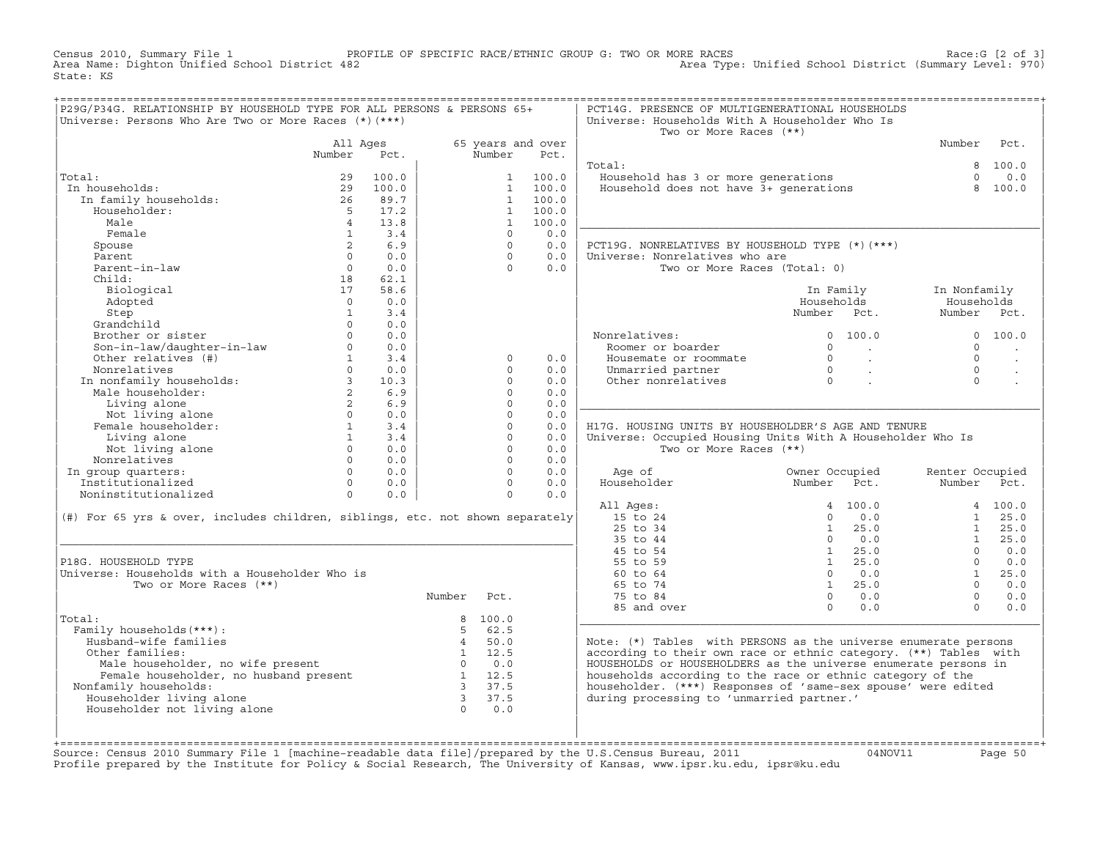Census 2010, Summary File 1 PROFILE OF SPECIFIC RACE/ETHNIC GROUP G: TWO OR MORE RACES Race:G [2 of 3]<br>Area Name: Dighton Unified School District 482 Area Type: Unified School District (Summary Level: 970) Area Type: Unified School District (Summary Level: 970) State: KS

| P29G/P34G. RELATIONSHIP BY HOUSEHOLD TYPE FOR ALL PERSONS & PERSONS 65+<br>Universe: Persons Who Are Two or More Races (*) (***)                                                                                                                                                        |                 |                |                                   |                      |                   | PCT14G. PRESENCE OF MULTIGENERATIONAL HOUSEHOLDS<br>Universe: Households With A Householder Who Is<br>Two or More Races (**) |                                                                      |                 |                       |
|-----------------------------------------------------------------------------------------------------------------------------------------------------------------------------------------------------------------------------------------------------------------------------------------|-----------------|----------------|-----------------------------------|----------------------|-------------------|------------------------------------------------------------------------------------------------------------------------------|----------------------------------------------------------------------|-----------------|-----------------------|
|                                                                                                                                                                                                                                                                                         | All Ages        |                |                                   |                      | 65 years and over |                                                                                                                              |                                                                      | Number          | Pct.                  |
|                                                                                                                                                                                                                                                                                         | Number          | Pct.           |                                   | Number               | Pct.              |                                                                                                                              |                                                                      |                 |                       |
|                                                                                                                                                                                                                                                                                         |                 |                |                                   |                      |                   | Total:                                                                                                                       |                                                                      |                 | 8 100.0               |
| Total:                                                                                                                                                                                                                                                                                  | 29              | 100.0          |                                   |                      | 1 100.0           | Fousehold has 3 or more generations<br>Household does not have 3+ generations                                                |                                                                      | $\Omega$        | 0.0                   |
| In households:                                                                                                                                                                                                                                                                          | 29              | 100.0          |                                   |                      | 1 100.0           |                                                                                                                              |                                                                      |                 | 8 100.0               |
| In family households:                                                                                                                                                                                                                                                                   | $\frac{26}{5}$  | 89.7           |                                   |                      | 1 100.0           |                                                                                                                              |                                                                      |                 |                       |
| Householder:                                                                                                                                                                                                                                                                            |                 | 5 17.2         |                                   |                      | 1 100.0           |                                                                                                                              |                                                                      |                 |                       |
| Male                                                                                                                                                                                                                                                                                    | $4\overline{4}$ | 13.8           |                                   |                      | 1 100.0           |                                                                                                                              |                                                                      |                 |                       |
| Female                                                                                                                                                                                                                                                                                  | $\overline{1}$  | 3.4            |                                   | $\Omega$             | 0.0               |                                                                                                                              |                                                                      |                 |                       |
| Spouse                                                                                                                                                                                                                                                                                  | $2^{\circ}$     | 6.9            |                                   | $\Omega$             | 0.0               | PCT19G. NONRELATIVES BY HOUSEHOLD TYPE (*) (***)                                                                             |                                                                      |                 |                       |
| Parent                                                                                                                                                                                                                                                                                  | $\Omega$        | 0.0            |                                   | $\Omega$             | 0.0               | Universe: Nonrelatives who are                                                                                               |                                                                      |                 |                       |
| Parent-in-law                                                                                                                                                                                                                                                                           | $\overline{0}$  | 0.0            |                                   | $\Omega$             | 0.0               | Two or More Races (Total: 0)                                                                                                 |                                                                      |                 |                       |
| Child:                                                                                                                                                                                                                                                                                  | 18              | 62.1           |                                   |                      |                   |                                                                                                                              |                                                                      |                 |                       |
| Biological                                                                                                                                                                                                                                                                              | 17              | 58.6           |                                   |                      |                   |                                                                                                                              | In Family                                                            | In Nonfamily    |                       |
| Adopted                                                                                                                                                                                                                                                                                 | $\Omega$        | 0.0            |                                   |                      |                   |                                                                                                                              | Households                                                           | Households      |                       |
| Step                                                                                                                                                                                                                                                                                    | $\mathbf{1}$    | 3.4            |                                   |                      |                   |                                                                                                                              | Number Pct.                                                          | Number Pct.     |                       |
| Grandchild                                                                                                                                                                                                                                                                              | $\Omega$        | 0.0            |                                   |                      |                   |                                                                                                                              |                                                                      |                 |                       |
| Brother or sister $0$ 0.0<br>Son-in-law/daughter-in-law<br>Other relatives (#) $1$ 3.4<br>$3.4$                                                                                                                                                                                         |                 |                |                                   |                      |                   | Nonrelatives:                                                                                                                | 0 100.0                                                              |                 | 0 100.0               |
|                                                                                                                                                                                                                                                                                         |                 |                |                                   |                      |                   | Roomer or boarder                                                                                                            | $0 \qquad \qquad .$                                                  | $\Omega$        | $\ddot{\phantom{a}}$  |
|                                                                                                                                                                                                                                                                                         |                 |                |                                   | $\Omega$             | 0.0               | Housemate or roommate                                                                                                        | $\begin{matrix} 0 & & & \\ 0 & & & \\ 0 & & & \\ & & & \end{matrix}$ | $\Omega$        | $\sim$                |
|                                                                                                                                                                                                                                                                                         |                 |                |                                   | $\Omega$             | 0.0               | Unmarried partner                                                                                                            |                                                                      | $\Omega$        |                       |
|                                                                                                                                                                                                                                                                                         |                 |                |                                   | $\circ$              | 0.0               | Other nonrelatives                                                                                                           |                                                                      | $\Omega$        |                       |
|                                                                                                                                                                                                                                                                                         |                 |                |                                   | $\circ$              | 0.0               |                                                                                                                              |                                                                      |                 |                       |
| Nonrelatives<br>In nonfamily households:<br>Male householder:<br>1.iving alone<br>2 6.9<br>2 6.9<br>2 6.9<br>2 6.9<br>Extra Living alone<br>Not living alone<br>Not living alone<br>Female householder:<br>1 3.4<br>1 3.4<br>1 3.4                                                      |                 |                |                                   | $\Omega$             | 0.0               |                                                                                                                              |                                                                      |                 |                       |
|                                                                                                                                                                                                                                                                                         |                 |                |                                   | $\Omega$             | 0.0               |                                                                                                                              |                                                                      |                 |                       |
|                                                                                                                                                                                                                                                                                         |                 |                |                                   | $\Omega$             | 0.0               | H17G. HOUSING UNITS BY HOUSEHOLDER'S AGE AND TENURE                                                                          |                                                                      |                 |                       |
| Living alone<br>Not living alone<br>mealstives 0 0.0<br>0 0.0                                                                                                                                                                                                                           |                 |                |                                   | $\circ$              | 0.0               | Universe: Occupied Housing Units With A Householder Who Is                                                                   |                                                                      |                 |                       |
|                                                                                                                                                                                                                                                                                         |                 |                |                                   | $\Omega$             | 0.0               | Two or More Races (**)                                                                                                       |                                                                      |                 |                       |
| Nonrelatives                                                                                                                                                                                                                                                                            |                 |                |                                   | $\Omega$             | 0.0               |                                                                                                                              |                                                                      |                 |                       |
| In group quarters:                                                                                                                                                                                                                                                                      |                 | $0 \qquad 0.0$ |                                   | $\Omega$<br>$\Omega$ | 0.0               | Age of<br>Householder                                                                                                        | Owner Occupied                                                       | Renter Occupied |                       |
| Institutionalized                                                                                                                                                                                                                                                                       |                 | $0 \qquad 0.0$ |                                   | $\Omega$             | 0.0<br>0.0        |                                                                                                                              | Number Pct.                                                          | Number Pct.     |                       |
| Noninstitutionalized 0                                                                                                                                                                                                                                                                  |                 | 0.0            |                                   |                      |                   |                                                                                                                              |                                                                      |                 | 4 100.0               |
|                                                                                                                                                                                                                                                                                         |                 |                |                                   |                      |                   | All Ages:<br>15 to 24                                                                                                        | 4 100.0<br>$0 \t 0.0$                                                |                 |                       |
| (#) For 65 yrs & over, includes children, siblings, etc. not shown separately                                                                                                                                                                                                           |                 |                |                                   |                      |                   | 25 to 34                                                                                                                     | $1 \t 25.0$                                                          |                 | 1 25.0<br>$1 \t 25.0$ |
|                                                                                                                                                                                                                                                                                         |                 |                |                                   |                      |                   | 35 to 44                                                                                                                     | $0 \qquad 0.0$                                                       | 1               | 25.0                  |
|                                                                                                                                                                                                                                                                                         |                 |                |                                   |                      |                   | 45 to 54                                                                                                                     | $1 \t 25.0$                                                          | $\Omega$        | 0.0                   |
| P18G. HOUSEHOLD TYPE                                                                                                                                                                                                                                                                    |                 |                |                                   |                      |                   | 55 to 59                                                                                                                     | 1 25.0                                                               | $\Omega$        | 0.0                   |
| Universe: Households with a Householder Who is                                                                                                                                                                                                                                          |                 |                |                                   |                      |                   | 60 to 64                                                                                                                     | $0 \qquad 0.0$                                                       | 1               | 25.0                  |
| Two or More Races (**)                                                                                                                                                                                                                                                                  |                 |                |                                   |                      |                   | 65 to 74                                                                                                                     | 1 25.0                                                               | $\Omega$        | 0.0                   |
|                                                                                                                                                                                                                                                                                         |                 |                | Number                            | Pct.                 |                   | 75 to 84                                                                                                                     | $0 \t 0.0$                                                           | $\Omega$        | 0.0                   |
|                                                                                                                                                                                                                                                                                         |                 |                |                                   |                      |                   | 85 and over                                                                                                                  | $0 \t 0.0$                                                           | $\Omega$        | 0.0                   |
| Total:                                                                                                                                                                                                                                                                                  |                 |                |                                   | 8 100.0              |                   |                                                                                                                              |                                                                      |                 |                       |
| Family households (***) :                                                                                                                                                                                                                                                               |                 |                |                                   | 562.5                |                   |                                                                                                                              |                                                                      |                 |                       |
| Husband-wife families                                                                                                                                                                                                                                                                   |                 |                |                                   | 4 50.0               |                   | Note: (*) Tables with PERSONS as the universe enumerate persons                                                              |                                                                      |                 |                       |
| Other families:                                                                                                                                                                                                                                                                         |                 |                | $1 \t 12.5$                       |                      |                   | according to their own race or ethnic category. (**) Tables with                                                             |                                                                      |                 |                       |
|                                                                                                                                                                                                                                                                                         |                 |                |                                   |                      |                   | HOUSEHOLDS or HOUSEHOLDERS as the universe enumerate persons in                                                              |                                                                      |                 |                       |
|                                                                                                                                                                                                                                                                                         |                 |                |                                   |                      |                   | households according to the race or ethnic category of the                                                                   |                                                                      |                 |                       |
| Male householder, no wife present $\begin{array}{ccc} 1 & 1 & 2 & 0 \\ 0 & 0 & 0 & 0 \\ 1 & 1 & 12 & 5 \\ 2 & 3 & 37 & 5 \end{array}$<br>Male householder, no husband present $\begin{array}{ccc} 1 & 1 & 1 & 1 \\ 1 & 1 & 1 & 1 \\ 3 & 3 & 7 & 5 \end{array}$<br>Nonfamily households: |                 |                |                                   |                      |                   | householder. (***) Responses of 'same-sex spouse' were edited                                                                |                                                                      |                 |                       |
| Householder living alone                                                                                                                                                                                                                                                                |                 |                |                                   |                      |                   | during processing to 'unmarried partner.'                                                                                    |                                                                      |                 |                       |
| Householder not living alone                                                                                                                                                                                                                                                            |                 |                | $3$ $37.5$<br>$3$ $37.5$<br>0 0.0 |                      |                   |                                                                                                                              |                                                                      |                 |                       |
|                                                                                                                                                                                                                                                                                         |                 |                |                                   |                      |                   |                                                                                                                              |                                                                      |                 |                       |
|                                                                                                                                                                                                                                                                                         |                 |                |                                   |                      |                   |                                                                                                                              |                                                                      |                 |                       |
|                                                                                                                                                                                                                                                                                         |                 |                |                                   |                      |                   |                                                                                                                              |                                                                      |                 |                       |

+===================================================================================================================================================+Source: Census 2010 Summary File 1 [machine−readable data file]/prepared by the U.S.Census Bureau, 2011 04NOV11 Page 50 Profile prepared by the Institute for Policy & Social Research, The University of Kansas, www.ipsr.ku.edu, ipsr@ku.edu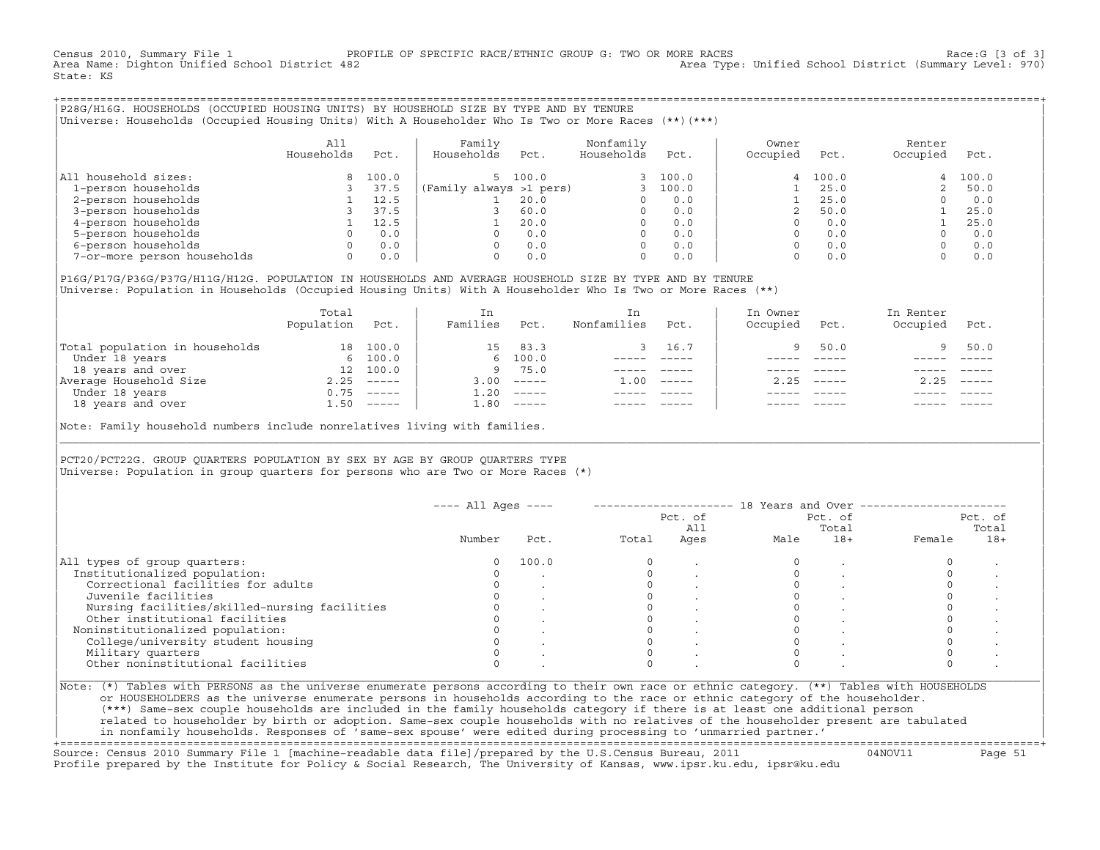Census 2010, Summary File 1 PROFILE OF SPECIFIC RACE/ETHNIC GROUP G: TWO OR MORE RACES Race:G [3 of 3] Area Type: Unified School District (Summary Level: 970) State: KS

+===================================================================================================================================================+|P28G/H16G. HOUSEHOLDS (OCCUPIED HOUSING UNITS) BY HOUSEHOLD SIZE BY TYPE AND BY TENURE | |Universe: Households (Occupied Housing Units) With A Householder Who Is Two or More Races (\*\*)(\*\*\*) |

|                             | All<br>Households | Pct.  | Family<br>Households    | Pct.    | Nonfamily<br>Households | Pct.    | Owner<br>Occupied | Pct.    | Renter<br>Occupied | Pct.  |
|-----------------------------|-------------------|-------|-------------------------|---------|-------------------------|---------|-------------------|---------|--------------------|-------|
| household sizes:<br>All     |                   | 100.0 |                         | 5 100.0 |                         | 3 100.0 |                   | 4 100.0 | 4                  | 100.0 |
| 1-person households         |                   | 37.5  | (Family always >1 pers) |         |                         | 100.0   |                   | 25.0    |                    | 50.0  |
| 2-person households         |                   | 12.5  |                         | 20.0    |                         | 0.0     |                   | 25.0    |                    | 0.0   |
| 3-person households         |                   | 37.5  |                         | 60.0    | $\Omega$                | 0.0     |                   | 50.0    |                    | 25.0  |
| 4-person households         |                   | 12.5  |                         | 20.0    | $\Omega$                | 0.0     |                   | 0.0     |                    | 25.0  |
| 5-person households         |                   | 0.0   |                         | 0.0     | $\Omega$                | 0.0     |                   | 0.0     |                    | 0.0   |
| 6-person households         |                   | 0.0   |                         | 0.0     | $\Omega$                | 0.0     |                   | 0.0     |                    | 0.0   |
| 7-or-more person households | $\Omega$          | 0.0   |                         | 0.0     | 0                       | 0.0     |                   | 0.0     |                    | 0.0   |

|P16G/P17G/P36G/P37G/H11G/H12G. POPULATION IN HOUSEHOLDS AND AVERAGE HOUSEHOLD SIZE BY TYPE AND BY TENURE | Universe: Population in Households (Occupied Housing Units) With A Householder Who Is Two or More Races (\*\*)

|                                | Total<br>Population | Pct.                      | In<br>Families | Pct.                      | In.<br>Nonfamilies | Pct.     | In Owner<br>Occupied | Pct.          | In Renter<br>Occupied | Pct.                      |  |
|--------------------------------|---------------------|---------------------------|----------------|---------------------------|--------------------|----------|----------------------|---------------|-----------------------|---------------------------|--|
| Total population in households | 18                  | 100.0                     | 15             | 83.3                      |                    | 16.7     |                      | 50.0          | 9.                    | 50.0                      |  |
| Under 18 years                 |                     | 6 100.0                   |                | 6, 100.0                  |                    |          |                      |               |                       |                           |  |
| 18 years and over              | 12 <sup>12</sup>    | 100.0                     | 9              | 75.0                      |                    |          |                      |               |                       |                           |  |
| Average Household Size         | 2.25                | $\qquad \qquad - - - - -$ | 3.00           | $------$                  | 1.00               | $------$ | 2.25                 | $- - - - - -$ | 2.25                  | $\qquad \qquad - - - - -$ |  |
| Under 18 years                 | 0.75                | $\qquad \qquad - - - - -$ | 1.20           | $------$                  |                    |          |                      |               |                       |                           |  |
| 18 years and over              |                     | $1.50$ -----              | 1.80           | $\qquad \qquad - - - - -$ |                    |          |                      |               |                       | $------$                  |  |
|                                |                     |                           |                |                           |                    |          |                      |               |                       |                           |  |

Note: Family household numbers include nonrelatives living with families.

| | PCT20/PCT22G. GROUP OUARTERS POPULATION BY SEX BY AGE BY GROUP OUARTERS TYPE Universe: Population in group quarters for persons who are Two or More Races  $(*)$ 

|                                               | $---$ All Ages $---$ |       |       | Pct. of<br>All | 18 Years and Over ------------- | Pct. of<br>Total | Pct. of<br>Total |       |  |
|-----------------------------------------------|----------------------|-------|-------|----------------|---------------------------------|------------------|------------------|-------|--|
|                                               | Number               | Pct.  | Total | Ages           | Male                            | $18+$            | Female           | $18+$ |  |
| All types of group quarters:                  |                      | 100.0 |       |                |                                 |                  |                  |       |  |
| Institutionalized population:                 |                      |       |       |                |                                 |                  |                  |       |  |
| Correctional facilities for adults            |                      |       |       |                |                                 |                  |                  |       |  |
| Juvenile facilities                           |                      |       |       |                |                                 |                  |                  |       |  |
| Nursing facilities/skilled-nursing facilities |                      |       |       |                |                                 |                  |                  |       |  |
| Other institutional facilities                |                      |       |       |                |                                 |                  |                  |       |  |
| Noninstitutionalized population:              |                      |       |       |                |                                 |                  |                  |       |  |
| College/university student housing            |                      |       |       |                |                                 |                  |                  |       |  |
| Military quarters                             |                      |       |       |                |                                 |                  |                  |       |  |
| Other noninstitutional facilities             |                      |       |       |                |                                 |                  |                  |       |  |

|\_\_\_\_\_\_\_\_\_\_\_\_\_\_\_\_\_\_\_\_\_\_\_\_\_\_\_\_\_\_\_\_\_\_\_\_\_\_\_\_\_\_\_\_\_\_\_\_\_\_\_\_\_\_\_\_\_\_\_\_\_\_\_\_\_\_\_\_\_\_\_\_\_\_\_\_\_\_\_\_\_\_\_\_\_\_\_\_\_\_\_\_\_\_\_\_\_\_\_\_\_\_\_\_\_\_\_\_\_\_\_\_\_\_\_\_\_\_\_\_\_\_\_\_\_\_\_\_\_\_\_\_\_\_\_\_\_\_\_\_\_\_\_\_\_\_\_|

| |

or HOUSEHOLDERS as the universe enumerate persons in households according to the race or ethnic category of the householder. | (\*\*\*) Same−sex couple households are included in the family households category if there is at least one additional person | | related to householder by birth or adoption. Same−sex couple households with no relatives of the householder present are tabulated | | in nonfamily households. Responses of 'same−sex spouse' were edited during processing to 'unmarried partner.' |

+===================================================================================================================================================+ Source: Census 2010 Summary File 1 [machine−readable data file]/prepared by the U.S.Census Bureau, 2011 04NOV11 Page 51 Profile prepared by the Institute for Policy & Social Research, The University of Kansas, www.ipsr.ku.edu, ipsr@ku.edu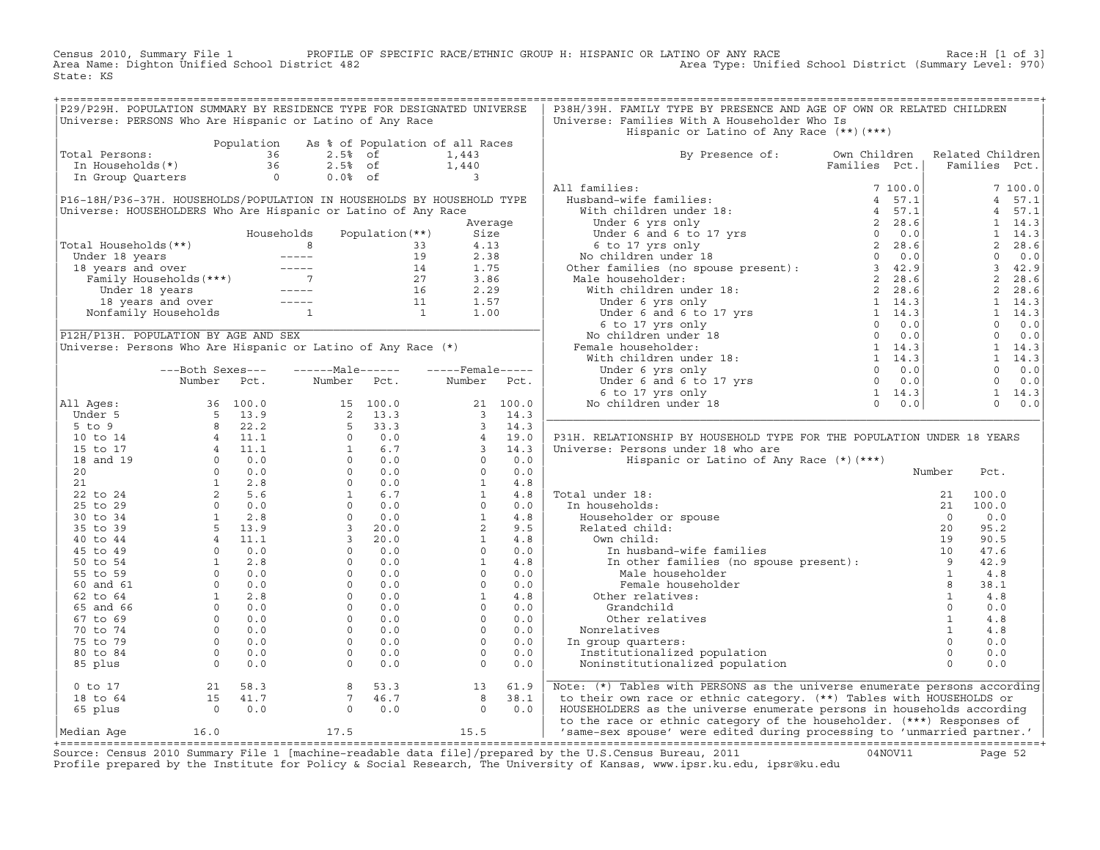Census 2010, Summary File 1 PROFILE OF SPECIFIC RACE/ETHNIC GROUP H: HISPANIC OR LATINO OF ANY RACE Race:H [1 of 3]<br>Area Name: Dighton Unified School District 482 Area Type: Unified School District (Summary Level: 970) Area Type: Unified School District (Summary Level: 970) State: KS

| Universe: PERSONS Who Are Hispanic or Latino of Any Race<br>Universe: Families With A Householder Who Is<br>Hispanic or Latino of Any Race (**) (***)<br>Population As % of Population of all Races<br>Population As % of Population of all R<br>Total Persons: 36 2.5% of 1,443<br>In Households(*) 36 2.5% of 1,440<br>In Group Quarters 0 0.0% of 3<br>By Presence of: Own Children Related Children<br>Families Pct.   Families Pct.<br>Total Persons:<br>$\begin{tabular}{ c c c c c } \hline & \multicolumn{3}{ c }{By~\textbf{Presence of:}} & \multicolumn{3}{ c }{\textbf{OW}} & \multicolumn{3}{ c }{\textbf{Eul}} & \multicolumn{3}{ c }{\textbf{Rull}} & \multicolumn{3}{ c }{\textbf{Rull}} & \multicolumn{3}{ c }{\textbf{Rull}} & \multicolumn{3}{ c }{\textbf{Rull}} & \multicolumn{3}{ c }{\textbf{Rull}} & \multicolumn{3}{ c }{\textbf{Rull}} & \multicolumn{3}{ c }{\textbf{Rull}} & \mult$<br>P16-18H/P36-37H. HOUSEHOLDS/POPULATION IN HOUSEHOLDS BY HOUSEHOLD TYPE<br>Universe: HOUSEHOLDERS Who Are Hispanic or Latino of Any Race<br>Average<br>Fotal Households (**)<br>Total Households (**)<br>Under 18 years<br>18 years and over<br>Family Households (***)<br>Under 18 years<br>18 years and over<br>Tamily Households (***)<br>14 1.75<br>27 3.86<br>Under 18 years<br>16 2.29<br>15 1.57<br>Nonf<br>P12H/P13H. POPULATION BY AGE AND SEX<br>PIZH/PI3H. POPULAIION BY AGE AND SEX<br>Universe: Persons Who Are Hispanic or Latino of Any Race (*)<br>---Both Sexes---    ------Male------    -----Female-----<br>Number Pct.<br>Number Pct. Number Pct.<br>P31H. RELATIONSHIP BY HOUSEHOLD TYPE FOR THE POPULATION UNDER 18 YEARS<br>Universe: Persons under 18 who are<br>Hispanic or Latino of Any Race (*) (***)<br>Number<br>Pct.<br>Number<br>21 100.<br>10. In households:<br>8 21 100.<br>21 100.<br>8 21 100.<br>21 100.<br>21 100.<br>21 100.<br>21 100.<br>21 100.<br>21 100.<br>21 100.<br>21 100.<br>21 100.<br>21 100.<br>21 100.<br>21 100.<br>21 100.<br>21 100.<br>21 100.<br>21 100.<br>21 100.<br>2<br>In group quarters:<br>$\begin{bmatrix} 8 & 53.3 & 13 & 61.9 \\ 7 & 46.7 & 8 & 38.1 \\ 0 & 0.0 & 0 & 0.0 \end{bmatrix}$<br>0 to 17<br>18 to 64<br>65 plus<br>0 0.0<br>Note: (*) Tables with PERSONS as the universe enumerate persons according<br>to their own race or ethnic category. (**) Tables with HOUSEHOLDS or<br>HOUSEHOLDERS as the universe enumerate persons in households according<br>to the race or ethnic category of the householder. (***) Responses of<br>'same-sex spouse' were edited during processing to 'unmarried partner.' |  | P29/P29H. POPULATION SUMMARY BY RESIDENCE TYPE FOR DESIGNATED UNIVERSE |  | P38H/39H. FAMILY TYPE BY PRESENCE AND AGE OF OWN OR RELATED CHILDREN |  |  |  |
|---------------------------------------------------------------------------------------------------------------------------------------------------------------------------------------------------------------------------------------------------------------------------------------------------------------------------------------------------------------------------------------------------------------------------------------------------------------------------------------------------------------------------------------------------------------------------------------------------------------------------------------------------------------------------------------------------------------------------------------------------------------------------------------------------------------------------------------------------------------------------------------------------------------------------------------------------------------------------------------------------------------------------------------------------------------------------------------------------------------------------------------------------------------------------------------------------------------------------------------------------------------------------------------------------------------------------------------------------------------------------------------------------------------------------------------------------------------------------------------------------------------------------------------------------------------------------------------------------------------------------------------------------------------------------------------------------------------------------------------------------------------------------------------------------------------------------------------------------------------------------------------------------------------------------------------------------------------------------------------------------------------------------------------------------------------------------------------------------------------------------------------------------------------------------------------------------------------------------------------------------------------------------------------------------------------------------------------------------------------------------------------------------------------------------------------------------------------------------------------------------------------------------------------------------------------------------------------------------------------|--|------------------------------------------------------------------------|--|----------------------------------------------------------------------|--|--|--|
|                                                                                                                                                                                                                                                                                                                                                                                                                                                                                                                                                                                                                                                                                                                                                                                                                                                                                                                                                                                                                                                                                                                                                                                                                                                                                                                                                                                                                                                                                                                                                                                                                                                                                                                                                                                                                                                                                                                                                                                                                                                                                                                                                                                                                                                                                                                                                                                                                                                                                                                                                                                                               |  |                                                                        |  |                                                                      |  |  |  |
|                                                                                                                                                                                                                                                                                                                                                                                                                                                                                                                                                                                                                                                                                                                                                                                                                                                                                                                                                                                                                                                                                                                                                                                                                                                                                                                                                                                                                                                                                                                                                                                                                                                                                                                                                                                                                                                                                                                                                                                                                                                                                                                                                                                                                                                                                                                                                                                                                                                                                                                                                                                                               |  |                                                                        |  |                                                                      |  |  |  |
|                                                                                                                                                                                                                                                                                                                                                                                                                                                                                                                                                                                                                                                                                                                                                                                                                                                                                                                                                                                                                                                                                                                                                                                                                                                                                                                                                                                                                                                                                                                                                                                                                                                                                                                                                                                                                                                                                                                                                                                                                                                                                                                                                                                                                                                                                                                                                                                                                                                                                                                                                                                                               |  |                                                                        |  |                                                                      |  |  |  |
|                                                                                                                                                                                                                                                                                                                                                                                                                                                                                                                                                                                                                                                                                                                                                                                                                                                                                                                                                                                                                                                                                                                                                                                                                                                                                                                                                                                                                                                                                                                                                                                                                                                                                                                                                                                                                                                                                                                                                                                                                                                                                                                                                                                                                                                                                                                                                                                                                                                                                                                                                                                                               |  |                                                                        |  |                                                                      |  |  |  |
|                                                                                                                                                                                                                                                                                                                                                                                                                                                                                                                                                                                                                                                                                                                                                                                                                                                                                                                                                                                                                                                                                                                                                                                                                                                                                                                                                                                                                                                                                                                                                                                                                                                                                                                                                                                                                                                                                                                                                                                                                                                                                                                                                                                                                                                                                                                                                                                                                                                                                                                                                                                                               |  |                                                                        |  |                                                                      |  |  |  |
|                                                                                                                                                                                                                                                                                                                                                                                                                                                                                                                                                                                                                                                                                                                                                                                                                                                                                                                                                                                                                                                                                                                                                                                                                                                                                                                                                                                                                                                                                                                                                                                                                                                                                                                                                                                                                                                                                                                                                                                                                                                                                                                                                                                                                                                                                                                                                                                                                                                                                                                                                                                                               |  |                                                                        |  |                                                                      |  |  |  |
|                                                                                                                                                                                                                                                                                                                                                                                                                                                                                                                                                                                                                                                                                                                                                                                                                                                                                                                                                                                                                                                                                                                                                                                                                                                                                                                                                                                                                                                                                                                                                                                                                                                                                                                                                                                                                                                                                                                                                                                                                                                                                                                                                                                                                                                                                                                                                                                                                                                                                                                                                                                                               |  |                                                                        |  |                                                                      |  |  |  |
|                                                                                                                                                                                                                                                                                                                                                                                                                                                                                                                                                                                                                                                                                                                                                                                                                                                                                                                                                                                                                                                                                                                                                                                                                                                                                                                                                                                                                                                                                                                                                                                                                                                                                                                                                                                                                                                                                                                                                                                                                                                                                                                                                                                                                                                                                                                                                                                                                                                                                                                                                                                                               |  |                                                                        |  |                                                                      |  |  |  |
|                                                                                                                                                                                                                                                                                                                                                                                                                                                                                                                                                                                                                                                                                                                                                                                                                                                                                                                                                                                                                                                                                                                                                                                                                                                                                                                                                                                                                                                                                                                                                                                                                                                                                                                                                                                                                                                                                                                                                                                                                                                                                                                                                                                                                                                                                                                                                                                                                                                                                                                                                                                                               |  |                                                                        |  |                                                                      |  |  |  |
|                                                                                                                                                                                                                                                                                                                                                                                                                                                                                                                                                                                                                                                                                                                                                                                                                                                                                                                                                                                                                                                                                                                                                                                                                                                                                                                                                                                                                                                                                                                                                                                                                                                                                                                                                                                                                                                                                                                                                                                                                                                                                                                                                                                                                                                                                                                                                                                                                                                                                                                                                                                                               |  |                                                                        |  |                                                                      |  |  |  |
|                                                                                                                                                                                                                                                                                                                                                                                                                                                                                                                                                                                                                                                                                                                                                                                                                                                                                                                                                                                                                                                                                                                                                                                                                                                                                                                                                                                                                                                                                                                                                                                                                                                                                                                                                                                                                                                                                                                                                                                                                                                                                                                                                                                                                                                                                                                                                                                                                                                                                                                                                                                                               |  |                                                                        |  |                                                                      |  |  |  |
|                                                                                                                                                                                                                                                                                                                                                                                                                                                                                                                                                                                                                                                                                                                                                                                                                                                                                                                                                                                                                                                                                                                                                                                                                                                                                                                                                                                                                                                                                                                                                                                                                                                                                                                                                                                                                                                                                                                                                                                                                                                                                                                                                                                                                                                                                                                                                                                                                                                                                                                                                                                                               |  |                                                                        |  |                                                                      |  |  |  |
|                                                                                                                                                                                                                                                                                                                                                                                                                                                                                                                                                                                                                                                                                                                                                                                                                                                                                                                                                                                                                                                                                                                                                                                                                                                                                                                                                                                                                                                                                                                                                                                                                                                                                                                                                                                                                                                                                                                                                                                                                                                                                                                                                                                                                                                                                                                                                                                                                                                                                                                                                                                                               |  |                                                                        |  |                                                                      |  |  |  |
|                                                                                                                                                                                                                                                                                                                                                                                                                                                                                                                                                                                                                                                                                                                                                                                                                                                                                                                                                                                                                                                                                                                                                                                                                                                                                                                                                                                                                                                                                                                                                                                                                                                                                                                                                                                                                                                                                                                                                                                                                                                                                                                                                                                                                                                                                                                                                                                                                                                                                                                                                                                                               |  |                                                                        |  |                                                                      |  |  |  |
|                                                                                                                                                                                                                                                                                                                                                                                                                                                                                                                                                                                                                                                                                                                                                                                                                                                                                                                                                                                                                                                                                                                                                                                                                                                                                                                                                                                                                                                                                                                                                                                                                                                                                                                                                                                                                                                                                                                                                                                                                                                                                                                                                                                                                                                                                                                                                                                                                                                                                                                                                                                                               |  |                                                                        |  |                                                                      |  |  |  |
|                                                                                                                                                                                                                                                                                                                                                                                                                                                                                                                                                                                                                                                                                                                                                                                                                                                                                                                                                                                                                                                                                                                                                                                                                                                                                                                                                                                                                                                                                                                                                                                                                                                                                                                                                                                                                                                                                                                                                                                                                                                                                                                                                                                                                                                                                                                                                                                                                                                                                                                                                                                                               |  |                                                                        |  |                                                                      |  |  |  |
|                                                                                                                                                                                                                                                                                                                                                                                                                                                                                                                                                                                                                                                                                                                                                                                                                                                                                                                                                                                                                                                                                                                                                                                                                                                                                                                                                                                                                                                                                                                                                                                                                                                                                                                                                                                                                                                                                                                                                                                                                                                                                                                                                                                                                                                                                                                                                                                                                                                                                                                                                                                                               |  |                                                                        |  |                                                                      |  |  |  |
|                                                                                                                                                                                                                                                                                                                                                                                                                                                                                                                                                                                                                                                                                                                                                                                                                                                                                                                                                                                                                                                                                                                                                                                                                                                                                                                                                                                                                                                                                                                                                                                                                                                                                                                                                                                                                                                                                                                                                                                                                                                                                                                                                                                                                                                                                                                                                                                                                                                                                                                                                                                                               |  |                                                                        |  |                                                                      |  |  |  |
|                                                                                                                                                                                                                                                                                                                                                                                                                                                                                                                                                                                                                                                                                                                                                                                                                                                                                                                                                                                                                                                                                                                                                                                                                                                                                                                                                                                                                                                                                                                                                                                                                                                                                                                                                                                                                                                                                                                                                                                                                                                                                                                                                                                                                                                                                                                                                                                                                                                                                                                                                                                                               |  |                                                                        |  |                                                                      |  |  |  |
|                                                                                                                                                                                                                                                                                                                                                                                                                                                                                                                                                                                                                                                                                                                                                                                                                                                                                                                                                                                                                                                                                                                                                                                                                                                                                                                                                                                                                                                                                                                                                                                                                                                                                                                                                                                                                                                                                                                                                                                                                                                                                                                                                                                                                                                                                                                                                                                                                                                                                                                                                                                                               |  |                                                                        |  |                                                                      |  |  |  |
|                                                                                                                                                                                                                                                                                                                                                                                                                                                                                                                                                                                                                                                                                                                                                                                                                                                                                                                                                                                                                                                                                                                                                                                                                                                                                                                                                                                                                                                                                                                                                                                                                                                                                                                                                                                                                                                                                                                                                                                                                                                                                                                                                                                                                                                                                                                                                                                                                                                                                                                                                                                                               |  |                                                                        |  |                                                                      |  |  |  |
|                                                                                                                                                                                                                                                                                                                                                                                                                                                                                                                                                                                                                                                                                                                                                                                                                                                                                                                                                                                                                                                                                                                                                                                                                                                                                                                                                                                                                                                                                                                                                                                                                                                                                                                                                                                                                                                                                                                                                                                                                                                                                                                                                                                                                                                                                                                                                                                                                                                                                                                                                                                                               |  |                                                                        |  |                                                                      |  |  |  |
|                                                                                                                                                                                                                                                                                                                                                                                                                                                                                                                                                                                                                                                                                                                                                                                                                                                                                                                                                                                                                                                                                                                                                                                                                                                                                                                                                                                                                                                                                                                                                                                                                                                                                                                                                                                                                                                                                                                                                                                                                                                                                                                                                                                                                                                                                                                                                                                                                                                                                                                                                                                                               |  |                                                                        |  |                                                                      |  |  |  |
|                                                                                                                                                                                                                                                                                                                                                                                                                                                                                                                                                                                                                                                                                                                                                                                                                                                                                                                                                                                                                                                                                                                                                                                                                                                                                                                                                                                                                                                                                                                                                                                                                                                                                                                                                                                                                                                                                                                                                                                                                                                                                                                                                                                                                                                                                                                                                                                                                                                                                                                                                                                                               |  |                                                                        |  |                                                                      |  |  |  |
|                                                                                                                                                                                                                                                                                                                                                                                                                                                                                                                                                                                                                                                                                                                                                                                                                                                                                                                                                                                                                                                                                                                                                                                                                                                                                                                                                                                                                                                                                                                                                                                                                                                                                                                                                                                                                                                                                                                                                                                                                                                                                                                                                                                                                                                                                                                                                                                                                                                                                                                                                                                                               |  |                                                                        |  |                                                                      |  |  |  |
|                                                                                                                                                                                                                                                                                                                                                                                                                                                                                                                                                                                                                                                                                                                                                                                                                                                                                                                                                                                                                                                                                                                                                                                                                                                                                                                                                                                                                                                                                                                                                                                                                                                                                                                                                                                                                                                                                                                                                                                                                                                                                                                                                                                                                                                                                                                                                                                                                                                                                                                                                                                                               |  |                                                                        |  |                                                                      |  |  |  |
|                                                                                                                                                                                                                                                                                                                                                                                                                                                                                                                                                                                                                                                                                                                                                                                                                                                                                                                                                                                                                                                                                                                                                                                                                                                                                                                                                                                                                                                                                                                                                                                                                                                                                                                                                                                                                                                                                                                                                                                                                                                                                                                                                                                                                                                                                                                                                                                                                                                                                                                                                                                                               |  |                                                                        |  |                                                                      |  |  |  |
|                                                                                                                                                                                                                                                                                                                                                                                                                                                                                                                                                                                                                                                                                                                                                                                                                                                                                                                                                                                                                                                                                                                                                                                                                                                                                                                                                                                                                                                                                                                                                                                                                                                                                                                                                                                                                                                                                                                                                                                                                                                                                                                                                                                                                                                                                                                                                                                                                                                                                                                                                                                                               |  |                                                                        |  |                                                                      |  |  |  |
|                                                                                                                                                                                                                                                                                                                                                                                                                                                                                                                                                                                                                                                                                                                                                                                                                                                                                                                                                                                                                                                                                                                                                                                                                                                                                                                                                                                                                                                                                                                                                                                                                                                                                                                                                                                                                                                                                                                                                                                                                                                                                                                                                                                                                                                                                                                                                                                                                                                                                                                                                                                                               |  |                                                                        |  |                                                                      |  |  |  |
|                                                                                                                                                                                                                                                                                                                                                                                                                                                                                                                                                                                                                                                                                                                                                                                                                                                                                                                                                                                                                                                                                                                                                                                                                                                                                                                                                                                                                                                                                                                                                                                                                                                                                                                                                                                                                                                                                                                                                                                                                                                                                                                                                                                                                                                                                                                                                                                                                                                                                                                                                                                                               |  |                                                                        |  |                                                                      |  |  |  |
|                                                                                                                                                                                                                                                                                                                                                                                                                                                                                                                                                                                                                                                                                                                                                                                                                                                                                                                                                                                                                                                                                                                                                                                                                                                                                                                                                                                                                                                                                                                                                                                                                                                                                                                                                                                                                                                                                                                                                                                                                                                                                                                                                                                                                                                                                                                                                                                                                                                                                                                                                                                                               |  |                                                                        |  |                                                                      |  |  |  |
|                                                                                                                                                                                                                                                                                                                                                                                                                                                                                                                                                                                                                                                                                                                                                                                                                                                                                                                                                                                                                                                                                                                                                                                                                                                                                                                                                                                                                                                                                                                                                                                                                                                                                                                                                                                                                                                                                                                                                                                                                                                                                                                                                                                                                                                                                                                                                                                                                                                                                                                                                                                                               |  |                                                                        |  |                                                                      |  |  |  |
|                                                                                                                                                                                                                                                                                                                                                                                                                                                                                                                                                                                                                                                                                                                                                                                                                                                                                                                                                                                                                                                                                                                                                                                                                                                                                                                                                                                                                                                                                                                                                                                                                                                                                                                                                                                                                                                                                                                                                                                                                                                                                                                                                                                                                                                                                                                                                                                                                                                                                                                                                                                                               |  |                                                                        |  |                                                                      |  |  |  |
|                                                                                                                                                                                                                                                                                                                                                                                                                                                                                                                                                                                                                                                                                                                                                                                                                                                                                                                                                                                                                                                                                                                                                                                                                                                                                                                                                                                                                                                                                                                                                                                                                                                                                                                                                                                                                                                                                                                                                                                                                                                                                                                                                                                                                                                                                                                                                                                                                                                                                                                                                                                                               |  |                                                                        |  |                                                                      |  |  |  |
|                                                                                                                                                                                                                                                                                                                                                                                                                                                                                                                                                                                                                                                                                                                                                                                                                                                                                                                                                                                                                                                                                                                                                                                                                                                                                                                                                                                                                                                                                                                                                                                                                                                                                                                                                                                                                                                                                                                                                                                                                                                                                                                                                                                                                                                                                                                                                                                                                                                                                                                                                                                                               |  |                                                                        |  |                                                                      |  |  |  |
|                                                                                                                                                                                                                                                                                                                                                                                                                                                                                                                                                                                                                                                                                                                                                                                                                                                                                                                                                                                                                                                                                                                                                                                                                                                                                                                                                                                                                                                                                                                                                                                                                                                                                                                                                                                                                                                                                                                                                                                                                                                                                                                                                                                                                                                                                                                                                                                                                                                                                                                                                                                                               |  |                                                                        |  |                                                                      |  |  |  |
|                                                                                                                                                                                                                                                                                                                                                                                                                                                                                                                                                                                                                                                                                                                                                                                                                                                                                                                                                                                                                                                                                                                                                                                                                                                                                                                                                                                                                                                                                                                                                                                                                                                                                                                                                                                                                                                                                                                                                                                                                                                                                                                                                                                                                                                                                                                                                                                                                                                                                                                                                                                                               |  |                                                                        |  |                                                                      |  |  |  |
|                                                                                                                                                                                                                                                                                                                                                                                                                                                                                                                                                                                                                                                                                                                                                                                                                                                                                                                                                                                                                                                                                                                                                                                                                                                                                                                                                                                                                                                                                                                                                                                                                                                                                                                                                                                                                                                                                                                                                                                                                                                                                                                                                                                                                                                                                                                                                                                                                                                                                                                                                                                                               |  |                                                                        |  |                                                                      |  |  |  |
|                                                                                                                                                                                                                                                                                                                                                                                                                                                                                                                                                                                                                                                                                                                                                                                                                                                                                                                                                                                                                                                                                                                                                                                                                                                                                                                                                                                                                                                                                                                                                                                                                                                                                                                                                                                                                                                                                                                                                                                                                                                                                                                                                                                                                                                                                                                                                                                                                                                                                                                                                                                                               |  |                                                                        |  |                                                                      |  |  |  |
|                                                                                                                                                                                                                                                                                                                                                                                                                                                                                                                                                                                                                                                                                                                                                                                                                                                                                                                                                                                                                                                                                                                                                                                                                                                                                                                                                                                                                                                                                                                                                                                                                                                                                                                                                                                                                                                                                                                                                                                                                                                                                                                                                                                                                                                                                                                                                                                                                                                                                                                                                                                                               |  |                                                                        |  |                                                                      |  |  |  |
|                                                                                                                                                                                                                                                                                                                                                                                                                                                                                                                                                                                                                                                                                                                                                                                                                                                                                                                                                                                                                                                                                                                                                                                                                                                                                                                                                                                                                                                                                                                                                                                                                                                                                                                                                                                                                                                                                                                                                                                                                                                                                                                                                                                                                                                                                                                                                                                                                                                                                                                                                                                                               |  |                                                                        |  |                                                                      |  |  |  |
|                                                                                                                                                                                                                                                                                                                                                                                                                                                                                                                                                                                                                                                                                                                                                                                                                                                                                                                                                                                                                                                                                                                                                                                                                                                                                                                                                                                                                                                                                                                                                                                                                                                                                                                                                                                                                                                                                                                                                                                                                                                                                                                                                                                                                                                                                                                                                                                                                                                                                                                                                                                                               |  |                                                                        |  |                                                                      |  |  |  |
|                                                                                                                                                                                                                                                                                                                                                                                                                                                                                                                                                                                                                                                                                                                                                                                                                                                                                                                                                                                                                                                                                                                                                                                                                                                                                                                                                                                                                                                                                                                                                                                                                                                                                                                                                                                                                                                                                                                                                                                                                                                                                                                                                                                                                                                                                                                                                                                                                                                                                                                                                                                                               |  |                                                                        |  |                                                                      |  |  |  |
|                                                                                                                                                                                                                                                                                                                                                                                                                                                                                                                                                                                                                                                                                                                                                                                                                                                                                                                                                                                                                                                                                                                                                                                                                                                                                                                                                                                                                                                                                                                                                                                                                                                                                                                                                                                                                                                                                                                                                                                                                                                                                                                                                                                                                                                                                                                                                                                                                                                                                                                                                                                                               |  |                                                                        |  |                                                                      |  |  |  |
|                                                                                                                                                                                                                                                                                                                                                                                                                                                                                                                                                                                                                                                                                                                                                                                                                                                                                                                                                                                                                                                                                                                                                                                                                                                                                                                                                                                                                                                                                                                                                                                                                                                                                                                                                                                                                                                                                                                                                                                                                                                                                                                                                                                                                                                                                                                                                                                                                                                                                                                                                                                                               |  |                                                                        |  |                                                                      |  |  |  |
|                                                                                                                                                                                                                                                                                                                                                                                                                                                                                                                                                                                                                                                                                                                                                                                                                                                                                                                                                                                                                                                                                                                                                                                                                                                                                                                                                                                                                                                                                                                                                                                                                                                                                                                                                                                                                                                                                                                                                                                                                                                                                                                                                                                                                                                                                                                                                                                                                                                                                                                                                                                                               |  |                                                                        |  |                                                                      |  |  |  |
|                                                                                                                                                                                                                                                                                                                                                                                                                                                                                                                                                                                                                                                                                                                                                                                                                                                                                                                                                                                                                                                                                                                                                                                                                                                                                                                                                                                                                                                                                                                                                                                                                                                                                                                                                                                                                                                                                                                                                                                                                                                                                                                                                                                                                                                                                                                                                                                                                                                                                                                                                                                                               |  |                                                                        |  |                                                                      |  |  |  |
|                                                                                                                                                                                                                                                                                                                                                                                                                                                                                                                                                                                                                                                                                                                                                                                                                                                                                                                                                                                                                                                                                                                                                                                                                                                                                                                                                                                                                                                                                                                                                                                                                                                                                                                                                                                                                                                                                                                                                                                                                                                                                                                                                                                                                                                                                                                                                                                                                                                                                                                                                                                                               |  |                                                                        |  |                                                                      |  |  |  |
|                                                                                                                                                                                                                                                                                                                                                                                                                                                                                                                                                                                                                                                                                                                                                                                                                                                                                                                                                                                                                                                                                                                                                                                                                                                                                                                                                                                                                                                                                                                                                                                                                                                                                                                                                                                                                                                                                                                                                                                                                                                                                                                                                                                                                                                                                                                                                                                                                                                                                                                                                                                                               |  |                                                                        |  |                                                                      |  |  |  |
|                                                                                                                                                                                                                                                                                                                                                                                                                                                                                                                                                                                                                                                                                                                                                                                                                                                                                                                                                                                                                                                                                                                                                                                                                                                                                                                                                                                                                                                                                                                                                                                                                                                                                                                                                                                                                                                                                                                                                                                                                                                                                                                                                                                                                                                                                                                                                                                                                                                                                                                                                                                                               |  |                                                                        |  |                                                                      |  |  |  |

+===================================================================================================================================================+Source: Census 2010 Summary File 1 [machine−readable data file]/prepared by the U.S.Census Bureau, 2011 04NOV11 Page 52 Profile prepared by the Institute for Policy & Social Research, The University of Kansas, www.ipsr.ku.edu, ipsr@ku.edu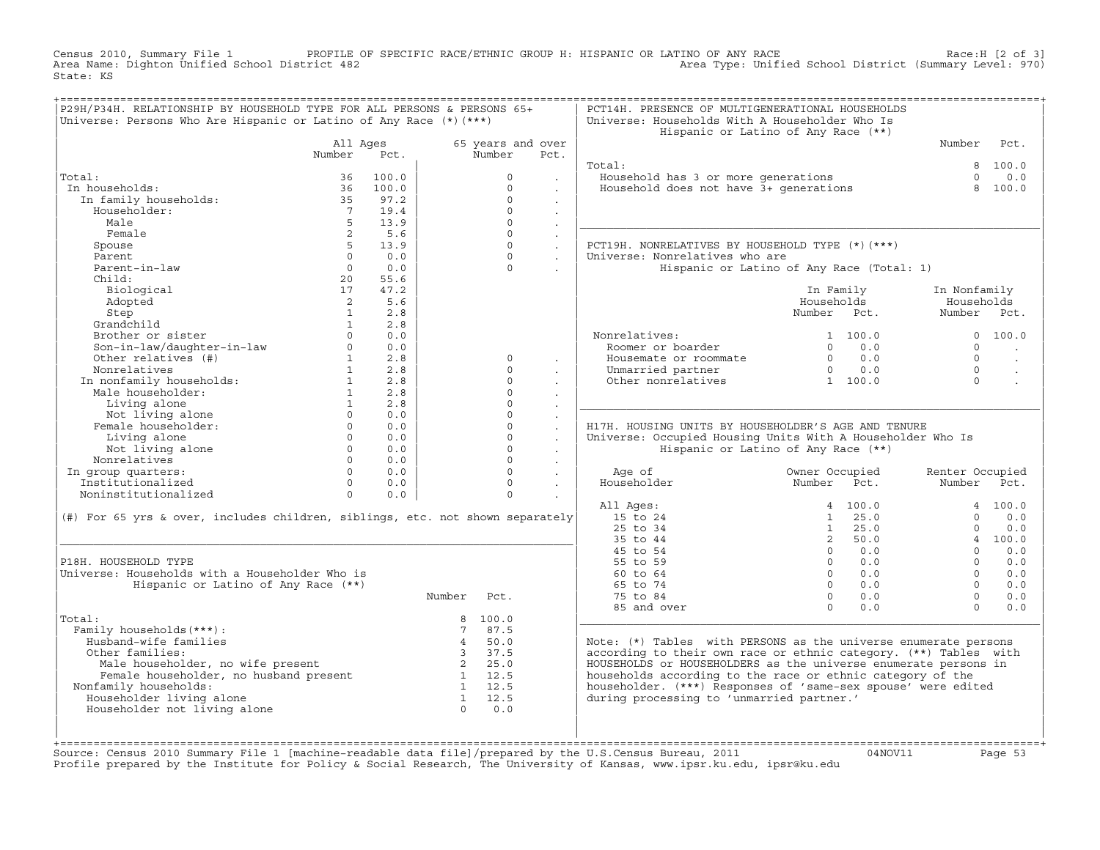Census 2010, Summary File 1 PROFILE OF SPECIFIC RACE/ETHNIC GROUP H: HISPANIC OR LATINO OF ANY RACE Race:H [2 of 3]<br>Area Name: Dighton Unified School District 482 Area Type: Unified School District (Summary Level: 970) Area Type: Unified School District (Summary Level: 970) State: KS

| P29H/P34H. RELATIONSHIP BY HOUSEHOLD TYPE FOR ALL PERSONS & PERSONS 65+<br>Universe: Persons Who Are Hispanic or Latino of Any Race (*) (***) |                        |       |                         |                   |                      | PCT14H. PRESENCE OF MULTIGENERATIONAL HOUSEHOLDS<br>Universe: Households With A Householder Who Is |                                           |                 |                      |
|-----------------------------------------------------------------------------------------------------------------------------------------------|------------------------|-------|-------------------------|-------------------|----------------------|----------------------------------------------------------------------------------------------------|-------------------------------------------|-----------------|----------------------|
|                                                                                                                                               |                        |       |                         |                   |                      |                                                                                                    | Hispanic or Latino of Any Race (**)       |                 |                      |
|                                                                                                                                               | All Ages               |       |                         | 65 years and over |                      |                                                                                                    |                                           | Number          | Pct.                 |
|                                                                                                                                               | Number                 | Pct.  |                         | Number            | Pct.                 |                                                                                                    |                                           |                 |                      |
|                                                                                                                                               |                        |       |                         |                   |                      | Total:                                                                                             |                                           | 8               | 100.0                |
| Total:                                                                                                                                        | 36                     | 100.0 |                         | $\Omega$          |                      | Household has 3 or more generations                                                                |                                           | $\Omega$        | 0.0                  |
| In households:                                                                                                                                | 36                     | 100.0 |                         | $\Omega$          |                      | Household does not have 3+ generations                                                             |                                           | 8               | 100.0                |
| In family households:                                                                                                                         | 35                     | 97.2  |                         | $\Omega$          | $\mathbf{r}$         |                                                                                                    |                                           |                 |                      |
| Householder:                                                                                                                                  | $7^{\circ}$            | 19.4  |                         | $\Omega$          | $\ddot{\phantom{a}}$ |                                                                                                    |                                           |                 |                      |
| Male                                                                                                                                          | 5                      | 13.9  |                         | $\Omega$          |                      |                                                                                                    |                                           |                 |                      |
| Female                                                                                                                                        | 2                      | 5.6   |                         | $\Omega$          | $\ddot{\phantom{a}}$ |                                                                                                    |                                           |                 |                      |
| Spouse                                                                                                                                        | 5                      | 13.9  |                         | $\Omega$          | $\ddot{\phantom{a}}$ | PCT19H. NONRELATIVES BY HOUSEHOLD TYPE (*)(***)                                                    |                                           |                 |                      |
| Parent                                                                                                                                        | $\Omega$               | 0.0   |                         | $\cap$            | $\mathbf{r}$         | Universe: Nonrelatives who are                                                                     |                                           |                 |                      |
| Parent-in-law                                                                                                                                 | $\Omega$               | 0.0   |                         | $\Omega$          |                      |                                                                                                    | Hispanic or Latino of Any Race (Total: 1) |                 |                      |
| Child:                                                                                                                                        | 20                     | 55.6  |                         |                   |                      |                                                                                                    |                                           |                 |                      |
| Biological                                                                                                                                    | 17                     | 47.2  |                         |                   |                      |                                                                                                    | In Family                                 | In Nonfamily    |                      |
| Adopted                                                                                                                                       | 2                      | 5.6   |                         |                   |                      |                                                                                                    | Households                                | Households      |                      |
| Step                                                                                                                                          | $\mathbf{1}$           | 2.8   |                         |                   |                      |                                                                                                    | Number Pct.                               | Number Pct.     |                      |
| Grandchild                                                                                                                                    | 1                      | 2.8   |                         |                   |                      |                                                                                                    |                                           |                 |                      |
| Brother or sister                                                                                                                             | $\Omega$               | 0.0   |                         |                   |                      | Nonrelatives:                                                                                      | 1 100.0                                   | $\Omega$        | 100.0                |
| Son-in-law/daughter-in-law                                                                                                                    | $\circ$                | 0.0   |                         |                   |                      | Roomer or boarder                                                                                  | $\Omega$<br>0.0                           | $\Omega$        |                      |
| Other relatives (#)                                                                                                                           | $1 \quad \blacksquare$ | 2.8   |                         | $\circ$           | $\mathbf{r}$         | Housemate or roommate                                                                              | $\overline{0}$<br>0.0                     | $\Omega$        | $\ddot{\phantom{a}}$ |
| Nonrelatives                                                                                                                                  | $\mathbf{1}$           | 2.8   |                         | $\Omega$          |                      | Unmarried partner                                                                                  | 0.0<br>$\overline{0}$                     | $\Omega$        |                      |
| In nonfamily households:                                                                                                                      | 1                      | 2.8   |                         | $\Omega$          |                      | Other nonrelatives                                                                                 | 1 100.0                                   | $\Omega$        |                      |
| Male householder:                                                                                                                             | 1                      | 2.8   |                         | $\Omega$          |                      |                                                                                                    |                                           |                 |                      |
| Living alone                                                                                                                                  | 1                      | 2.8   |                         | $\cap$            |                      |                                                                                                    |                                           |                 |                      |
| Not living alone                                                                                                                              | $\Omega$               | 0.0   |                         | $\Omega$          | $\mathbf{r}$         |                                                                                                    |                                           |                 |                      |
| Female householder:                                                                                                                           | $\Omega$               | 0.0   |                         | $\Omega$          | $\mathbf{r}$         | H17H, HOUSING UNITS BY HOUSEHOLDER'S AGE AND TENURE                                                |                                           |                 |                      |
| Living alone                                                                                                                                  | $\Omega$               | 0.0   |                         | $\Omega$          | $\Box$               | Universe: Occupied Housing Units With A Householder Who Is                                         |                                           |                 |                      |
| Not living alone                                                                                                                              | $\Omega$               | 0.0   |                         | $\Omega$          |                      |                                                                                                    | Hispanic or Latino of Any Race (**)       |                 |                      |
| Nonrelatives                                                                                                                                  | $\Omega$               | 0.0   |                         | $\Omega$          | $\mathbf{r}$         |                                                                                                    |                                           |                 |                      |
| In group quarters:                                                                                                                            | $\Omega$               | 0.0   |                         | $\Omega$          | $\sim$               | Age of                                                                                             | Owner Occupied                            | Renter Occupied |                      |
| Institutionalized                                                                                                                             | $\Omega$               | 0.0   |                         | $\Omega$          | $\sim$               | Householder                                                                                        | Number<br>Pct.                            | Number          | Pct.                 |
| Noninstitutionalized                                                                                                                          | $\Omega$               | 0.0   |                         | $\Omega$          |                      |                                                                                                    |                                           |                 |                      |
|                                                                                                                                               |                        |       |                         |                   |                      | All Ages:                                                                                          | 4 100.0                                   |                 | 4 100.0              |
| (#) For 65 yrs & over, includes children, siblings, etc. not shown separately                                                                 |                        |       |                         |                   |                      | 15 to 24                                                                                           | 1<br>25.0                                 | $\Omega$        | 0.0                  |
|                                                                                                                                               |                        |       |                         |                   |                      | 25 to 34                                                                                           | 1<br>25.0                                 | $\Omega$        | 0.0                  |
|                                                                                                                                               |                        |       |                         |                   |                      | 35 to 44                                                                                           | 2, 50.0                                   |                 | 4 100.0              |
|                                                                                                                                               |                        |       |                         |                   |                      | 45 to 54                                                                                           | 0.0<br>$\Omega$                           | $\Omega$        | 0.0                  |
| P18H. HOUSEHOLD TYPE                                                                                                                          |                        |       |                         |                   |                      | 55 to 59                                                                                           | $\circ$<br>0.0                            | $\cap$          | 0.0                  |
| Universe: Households with a Householder Who is                                                                                                |                        |       |                         |                   |                      | 60 to 64                                                                                           | $\Omega$<br>0.0                           | $\cap$          | 0.0                  |
| Hispanic or Latino of Any Race (**)                                                                                                           |                        |       |                         |                   |                      | 65 to 74                                                                                           | 0.0<br>$\Omega$                           | $\Omega$        | 0.0                  |
|                                                                                                                                               |                        |       | Number                  | Pct.              |                      | 75 to 84                                                                                           | $\Omega$<br>0.0                           | $\Omega$        | 0.0                  |
|                                                                                                                                               |                        |       |                         |                   |                      | 85 and over                                                                                        | $\Omega$<br>0.0                           | $\Omega$        | 0.0                  |
| Total:                                                                                                                                        |                        |       |                         | 8 100.0           |                      |                                                                                                    |                                           |                 |                      |
| Family households (***) :                                                                                                                     |                        |       | $7\phantom{.0}$         | 87.5              |                      |                                                                                                    |                                           |                 |                      |
| Husband-wife families                                                                                                                         |                        |       | $\overline{4}$          | 50.0              |                      | Note: (*) Tables with PERSONS as the universe enumerate persons                                    |                                           |                 |                      |
| Other families:                                                                                                                               |                        |       | $\overline{\mathbf{3}}$ | 37.5              |                      | according to their own race or ethnic category. (**) Tables with                                   |                                           |                 |                      |
| Male householder, no wife present                                                                                                             |                        |       | $\overline{2}$          | 25.0              |                      | HOUSEHOLDS or HOUSEHOLDERS as the universe enumerate persons in                                    |                                           |                 |                      |
| Female householder, no husband present                                                                                                        |                        |       |                         | 1 12.5            |                      | households according to the race or ethnic category of the                                         |                                           |                 |                      |
| Nonfamily households:                                                                                                                         |                        |       |                         | 1 12.5            |                      | householder. (***) Responses of 'same-sex spouse' were edited                                      |                                           |                 |                      |
| Householder living alone                                                                                                                      |                        |       | $\mathbf{1}$            | 12.5              |                      | during processing to 'unmarried partner.'                                                          |                                           |                 |                      |
| Householder not living alone                                                                                                                  |                        |       | $\Omega$                | 0.0               |                      |                                                                                                    |                                           |                 |                      |
|                                                                                                                                               |                        |       |                         |                   |                      |                                                                                                    |                                           |                 |                      |
|                                                                                                                                               |                        |       |                         |                   |                      |                                                                                                    |                                           |                 |                      |
|                                                                                                                                               |                        |       |                         |                   |                      |                                                                                                    |                                           |                 |                      |

+===================================================================================================================================================+Source: Census 2010 Summary File 1 [machine−readable data file]/prepared by the U.S.Census Bureau, 2011 04NOV11 Page 53 Profile prepared by the Institute for Policy & Social Research, The University of Kansas, www.ipsr.ku.edu, ipsr@ku.edu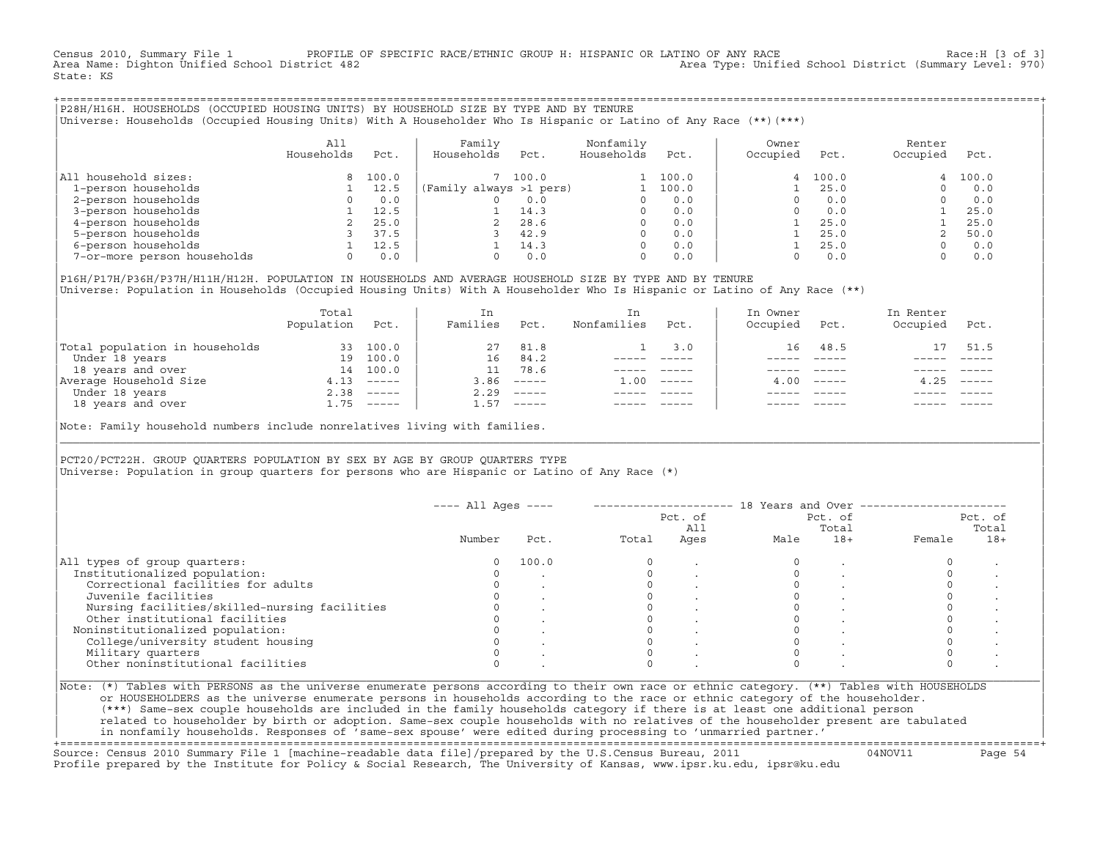Census 2010, Summary File 1 PROFILE OF SPECIFIC RACE/ETHNIC GROUP H: HISPANIC OR LATINO OF ANY RACE RACE Race:H [3 of 3]<br>Area Name: Dighton Unified School District 482 Area Type: Unified School District (Summary Level: 970) State: KS

+===================================================================================================================================================+|P28H/H16H. HOUSEHOLDS (OCCUPIED HOUSING UNITS) BY HOUSEHOLD SIZE BY TYPE AND BY TENURE | |Universe: Households (Occupied Housing Units) With A Householder Who Is Hispanic or Latino of Any Race (\*\*)(\*\*\*) |

|                             | All<br>Households | Pct.  | Family<br>Households    | Pct.  | Nonfamily<br>Households | Pct.  | Owner<br>Occupied | Pct.    | Renter<br>Occupied | Pct.  |
|-----------------------------|-------------------|-------|-------------------------|-------|-------------------------|-------|-------------------|---------|--------------------|-------|
| household sizes:<br>All     |                   | 100.0 |                         | 100.0 |                         | 100.0 |                   | 4 100.0 | 4                  | 100.0 |
| 1-person households         |                   | 12.5  | (Family always >1 pers) |       |                         | 100.0 |                   | 25.0    |                    | 0.0   |
| 2-person households         |                   | 0.0   |                         | 0.0   | 0                       | 0.0   |                   | 0.0     |                    | 0.0   |
| 3-person households         |                   | 12.5  |                         | 14.3  | $\Omega$                | 0.0   |                   | 0.0     |                    | 25.0  |
| 4-person households         |                   | 25.0  |                         | 28.6  | $\Omega$                | 0.0   |                   | 25.0    |                    | 25.0  |
| 5-person households         |                   | 37.5  |                         | 42.9  | $\Omega$                | 0.0   |                   | 25.0    |                    | 50.0  |
| 6-person households         |                   | 12.5  |                         | 14.3  | $\Omega$                | 0.0   |                   | 25.0    |                    | 0.0   |
| 7-or-more person households | $\Omega$          | 0.0   |                         | 0.0   | 0                       | 0.0   |                   | 0.0     |                    | 0.0   |

|P16H/P17H/P36H/P37H/H11H/H12H. POPULATION IN HOUSEHOLDS AND AVERAGE HOUSEHOLD SIZE BY TYPE AND BY TENURE | Universe: Population in Households (Occupied Housing Units) With A Householder Who Is Hispanic or Latino of Any Race (\*\*)

|                                | Total<br>Population | Pct.                      | In<br>Families | Pct.                      | In.<br>Nonfamilies | Pct.     | In Owner<br>Occupied | Pct.             | In Renter<br>Occupied | Pct.        |
|--------------------------------|---------------------|---------------------------|----------------|---------------------------|--------------------|----------|----------------------|------------------|-----------------------|-------------|
| Total population in households | 33                  | 100.0                     | 27             | 81.8                      |                    | 3.0      |                      | 16 48.5          |                       | 51.5        |
| Under 18 years                 | 19                  | 100.0                     | 16             | 84.2                      |                    |          |                      |                  |                       |             |
| 18 years and over              | 14                  | 100.0                     |                | 78.6                      |                    |          |                      |                  |                       |             |
| Average Household Size         | 4.13                | $------$                  | 3.86           | $------$                  | 1.00               | $------$ |                      | $4.00 - - - - -$ | 4.25                  | $------$    |
| Under 18 years                 | 2.38                | $\qquad \qquad - - - - -$ | 2.29           | $------$                  |                    |          |                      |                  |                       |             |
| 18 years and over              |                     | $1.75$ -----              | 1.57           | $\qquad \qquad - - - - -$ |                    |          |                      | $- - - - -$      |                       | $- - - - -$ |
|                                |                     |                           |                |                           |                    |          |                      |                  |                       |             |

Note: Family household numbers include nonrelatives living with families.

| | PCT20/PCT22H. GROUP OUARTERS POPULATION BY SEX BY AGE BY GROUP OUARTERS TYPE Universe: Population in group quarters for persons who are Hispanic or Latino of Any Race (\*)

|                                               |        |       |       | Pct. of<br>All | Pct. of<br>Total |       | Pct. of<br>Total |       |
|-----------------------------------------------|--------|-------|-------|----------------|------------------|-------|------------------|-------|
|                                               | Number | Pct.  | Total | Ages           | Male             | $18+$ | Female           | $18+$ |
| All types of group quarters:                  | 0      | 100.0 |       |                |                  |       |                  |       |
| Institutionalized population:                 |        |       |       |                |                  |       |                  |       |
| Correctional facilities for adults            |        |       |       |                |                  |       |                  |       |
| Juvenile facilities                           |        |       |       |                |                  |       |                  |       |
| Nursing facilities/skilled-nursing facilities |        |       |       |                |                  |       |                  |       |
| Other institutional facilities                |        |       |       |                |                  |       |                  |       |
| Noninstitutionalized population:              |        |       |       |                |                  |       |                  |       |
| College/university student housing            |        |       |       |                |                  |       |                  |       |
| Military quarters                             |        |       |       |                |                  |       |                  |       |
| Other noninstitutional facilities             |        |       |       |                |                  |       |                  |       |

|\_\_\_\_\_\_\_\_\_\_\_\_\_\_\_\_\_\_\_\_\_\_\_\_\_\_\_\_\_\_\_\_\_\_\_\_\_\_\_\_\_\_\_\_\_\_\_\_\_\_\_\_\_\_\_\_\_\_\_\_\_\_\_\_\_\_\_\_\_\_\_\_\_\_\_\_\_\_\_\_\_\_\_\_\_\_\_\_\_\_\_\_\_\_\_\_\_\_\_\_\_\_\_\_\_\_\_\_\_\_\_\_\_\_\_\_\_\_\_\_\_\_\_\_\_\_\_\_\_\_\_\_\_\_\_\_\_\_\_\_\_\_\_\_\_\_\_|

| |

or HOUSEHOLDERS as the universe enumerate persons in households according to the race or ethnic category of the householder. | (\*\*\*) Same−sex couple households are included in the family households category if there is at least one additional person | | related to householder by birth or adoption. Same−sex couple households with no relatives of the householder present are tabulated | | in nonfamily households. Responses of 'same−sex spouse' were edited during processing to 'unmarried partner.' |

+===================================================================================================================================================+ Source: Census 2010 Summary File 1 [machine−readable data file]/prepared by the U.S.Census Bureau, 2011 04NOV11 Page 54 Profile prepared by the Institute for Policy & Social Research, The University of Kansas, www.ipsr.ku.edu, ipsr@ku.edu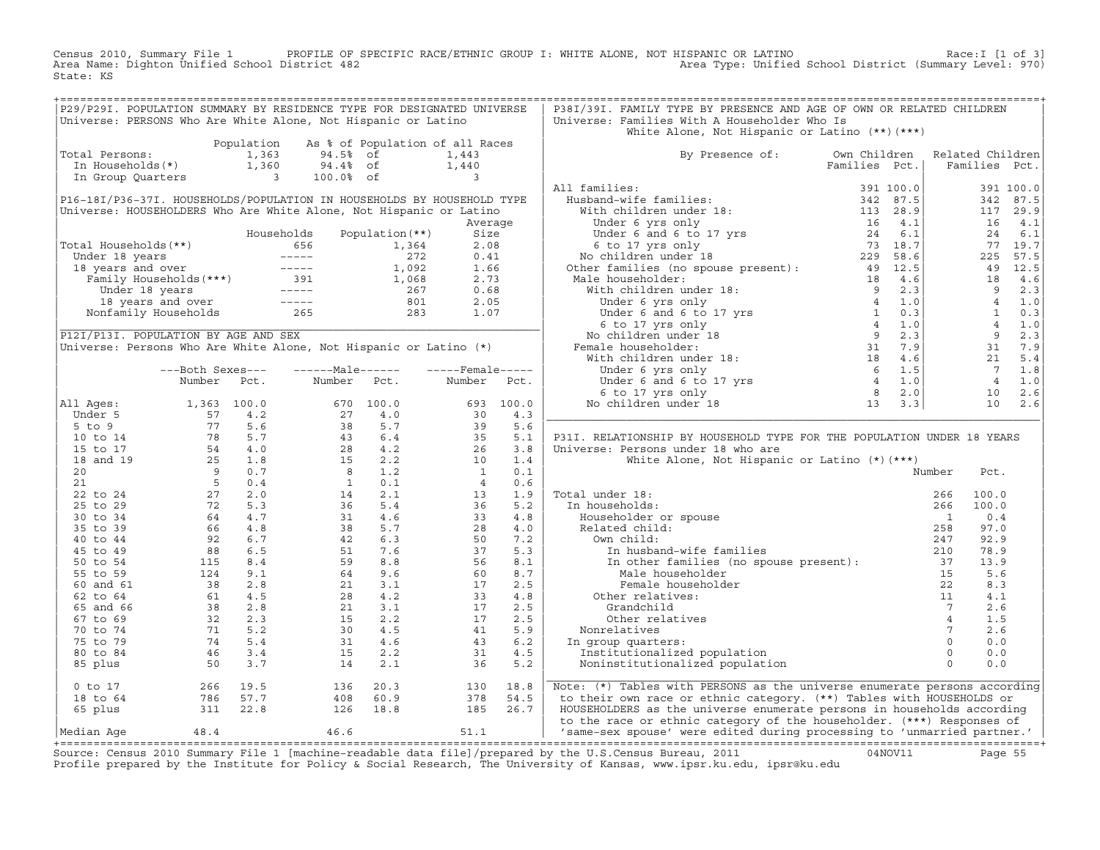Census 2010, Summary File 1 PROFILE OF SPECIFIC RACE/ETHNIC GROUP I: WHITE ALONE, NOT HISPANIC OR LATINO Race:I [1 of 3] Area Name: Dighton Unified School District 482 Area Type: Unified School District (Summary Level: 970) State: KS

| P29/P29I. POPULATION SUMMARY BY RESIDENCE TYPE FOR DESIGNATED UNIVERSE                                                                                                                                                                                                                                 |                                  |            |                                                                                                                                                                                                                                                                                                                    |                                 |                                                                                                                                                                 |           | P38I/39I. FAMILY TYPE BY PRESENCE AND AGE OF OWN OR RELATED CHILDREN                                                                                                                                                                                  |               |                                                                                                                 |                 |             |
|--------------------------------------------------------------------------------------------------------------------------------------------------------------------------------------------------------------------------------------------------------------------------------------------------------|----------------------------------|------------|--------------------------------------------------------------------------------------------------------------------------------------------------------------------------------------------------------------------------------------------------------------------------------------------------------------------|---------------------------------|-----------------------------------------------------------------------------------------------------------------------------------------------------------------|-----------|-------------------------------------------------------------------------------------------------------------------------------------------------------------------------------------------------------------------------------------------------------|---------------|-----------------------------------------------------------------------------------------------------------------|-----------------|-------------|
| Universe: PERSONS Who Are White Alone, Not Hispanic or Latino                                                                                                                                                                                                                                          |                                  |            |                                                                                                                                                                                                                                                                                                                    |                                 |                                                                                                                                                                 |           | Universe: Families With A Householder Who Is                                                                                                                                                                                                          |               |                                                                                                                 |                 |             |
|                                                                                                                                                                                                                                                                                                        |                                  |            |                                                                                                                                                                                                                                                                                                                    |                                 |                                                                                                                                                                 |           | White Alone, Not Hispanic or Latino (**) (***)                                                                                                                                                                                                        |               |                                                                                                                 |                 |             |
|                                                                                                                                                                                                                                                                                                        |                                  | Population |                                                                                                                                                                                                                                                                                                                    | As % of Population of all Races |                                                                                                                                                                 |           |                                                                                                                                                                                                                                                       |               |                                                                                                                 |                 |             |
| Total Persons:                                                                                                                                                                                                                                                                                         |                                  | 1,363      | 94.5% of                                                                                                                                                                                                                                                                                                           |                                 | 1,443                                                                                                                                                           |           | By Presence of: Own Children Related Children                                                                                                                                                                                                         |               |                                                                                                                 |                 |             |
|                                                                                                                                                                                                                                                                                                        |                                  |            | 94.4% of                                                                                                                                                                                                                                                                                                           |                                 |                                                                                                                                                                 |           |                                                                                                                                                                                                                                                       | Families Pct. | Families Pct.                                                                                                   |                 |             |
| In Households(*) 1,360<br>In Group Quarters 3                                                                                                                                                                                                                                                          |                                  |            | 100.0% of                                                                                                                                                                                                                                                                                                          |                                 | 1,440                                                                                                                                                           |           |                                                                                                                                                                                                                                                       |               |                                                                                                                 |                 |             |
|                                                                                                                                                                                                                                                                                                        |                                  |            |                                                                                                                                                                                                                                                                                                                    |                                 |                                                                                                                                                                 |           | All families:                                                                                                                                                                                                                                         |               |                                                                                                                 |                 | 391 100.0   |
| P16-18I/P36-37I. HOUSEHOLDS/POPULATION IN HOUSEHOLDS BY HOUSEHOLD TYPE                                                                                                                                                                                                                                 |                                  |            |                                                                                                                                                                                                                                                                                                                    |                                 |                                                                                                                                                                 |           |                                                                                                                                                                                                                                                       |               |                                                                                                                 |                 | 342 87.5    |
| Universe: HOUSEHOLDERS Who Are White Alone, Not Hispanic or Latino                                                                                                                                                                                                                                     |                                  |            |                                                                                                                                                                                                                                                                                                                    |                                 |                                                                                                                                                                 |           |                                                                                                                                                                                                                                                       |               |                                                                                                                 |                 | 117 29.9    |
|                                                                                                                                                                                                                                                                                                        |                                  |            |                                                                                                                                                                                                                                                                                                                    |                                 | Average                                                                                                                                                         |           |                                                                                                                                                                                                                                                       |               |                                                                                                                 |                 | 16 4.1      |
|                                                                                                                                                                                                                                                                                                        |                                  |            | Households                                                                                                                                                                                                                                                                                                         | Population $(**)$               | Size                                                                                                                                                            |           |                                                                                                                                                                                                                                                       |               |                                                                                                                 | 24              | 6.1         |
| Total Households(**)                                                                                                                                                                                                                                                                                   |                                  |            |                                                                                                                                                                                                                                                                                                                    |                                 | 2.08                                                                                                                                                            |           |                                                                                                                                                                                                                                                       |               |                                                                                                                 |                 | 77 19.7     |
|                                                                                                                                                                                                                                                                                                        |                                  |            |                                                                                                                                                                                                                                                                                                                    |                                 | 0.41                                                                                                                                                            |           |                                                                                                                                                                                                                                                       |               |                                                                                                                 |                 | 225 57.5    |
|                                                                                                                                                                                                                                                                                                        |                                  |            |                                                                                                                                                                                                                                                                                                                    |                                 | 1.66                                                                                                                                                            |           |                                                                                                                                                                                                                                                       |               |                                                                                                                 |                 | 49 12.5     |
|                                                                                                                                                                                                                                                                                                        |                                  |            |                                                                                                                                                                                                                                                                                                                    |                                 | 2.73                                                                                                                                                            |           |                                                                                                                                                                                                                                                       |               |                                                                                                                 | 18              | 4.6         |
|                                                                                                                                                                                                                                                                                                        |                                  |            |                                                                                                                                                                                                                                                                                                                    |                                 | 0.68                                                                                                                                                            |           |                                                                                                                                                                                                                                                       |               |                                                                                                                 |                 | $9 \t 2.3$  |
|                                                                                                                                                                                                                                                                                                        |                                  |            |                                                                                                                                                                                                                                                                                                                    |                                 | 2.05                                                                                                                                                            |           |                                                                                                                                                                                                                                                       |               |                                                                                                                 |                 |             |
|                                                                                                                                                                                                                                                                                                        |                                  |            |                                                                                                                                                                                                                                                                                                                    |                                 | 1.07                                                                                                                                                            |           |                                                                                                                                                                                                                                                       |               |                                                                                                                 |                 |             |
|                                                                                                                                                                                                                                                                                                        |                                  |            | otal Households (**)<br>Under 18 years<br>1,364<br>1,364<br>1,364<br>1,092<br>Family Households (***)<br>Under 18 years<br>2,000<br>5,000<br>2,000<br>5,000<br>5,000<br>7,000<br>7,000<br>7,000<br>7,000<br>7,000<br>7,000<br>7,000<br>7,000<br>7,000<br>7,000<br>7,000<br>7,0                                     |                                 |                                                                                                                                                                 |           | Families Pct.<br>Husband-wife families :<br>With children under 18:<br>Under 6 yrs only<br>Under 6 and 6 to 17 yrs<br>13 28,9<br>13 28,9<br>16 4.1<br>Under 6 and 6 to 17 yrs<br>24 6.1<br>6 to 17 yrs only<br>No children under 18<br>Other families |               | $\begin{array}{ccc} 9 & 2.3 \\ 4 & 1.0 \\ 1 & 0.3 \\ 4 & 1.0 \\ 9 & 2.3 \\ 31 & 7.9 \\ 21 & 5.4 \\ \end{array}$ |                 |             |
| P12I/P13I. POPULATION BY AGE AND SEX                                                                                                                                                                                                                                                                   |                                  |            |                                                                                                                                                                                                                                                                                                                    |                                 |                                                                                                                                                                 |           |                                                                                                                                                                                                                                                       |               |                                                                                                                 |                 |             |
| Universe: Persons Who Are White Alone, Not Hispanic or Latino (*)                                                                                                                                                                                                                                      |                                  |            |                                                                                                                                                                                                                                                                                                                    |                                 |                                                                                                                                                                 |           |                                                                                                                                                                                                                                                       |               |                                                                                                                 |                 |             |
|                                                                                                                                                                                                                                                                                                        |                                  |            |                                                                                                                                                                                                                                                                                                                    |                                 |                                                                                                                                                                 |           |                                                                                                                                                                                                                                                       |               |                                                                                                                 |                 |             |
|                                                                                                                                                                                                                                                                                                        |                                  |            |                                                                                                                                                                                                                                                                                                                    |                                 |                                                                                                                                                                 |           |                                                                                                                                                                                                                                                       |               |                                                                                                                 | $7\overline{ }$ |             |
|                                                                                                                                                                                                                                                                                                        | ---Both Sexes---                 |            | ------Male------                                                                                                                                                                                                                                                                                                   |                                 | $---$ Female-----                                                                                                                                               |           |                                                                                                                                                                                                                                                       |               |                                                                                                                 | $4\overline{4}$ | 1.8         |
|                                                                                                                                                                                                                                                                                                        | Number Pct.                      |            | Number Pct.                                                                                                                                                                                                                                                                                                        |                                 | Number Pct.                                                                                                                                                     |           |                                                                                                                                                                                                                                                       |               |                                                                                                                 |                 | 1.0         |
|                                                                                                                                                                                                                                                                                                        |                                  |            |                                                                                                                                                                                                                                                                                                                    |                                 |                                                                                                                                                                 |           |                                                                                                                                                                                                                                                       |               |                                                                                                                 |                 | $10 \t 2.6$ |
| All Ages:                                                                                                                                                                                                                                                                                              |                                  |            |                                                                                                                                                                                                                                                                                                                    |                                 |                                                                                                                                                                 | 693 100.0 |                                                                                                                                                                                                                                                       |               |                                                                                                                 | 10              | 2.6         |
|                                                                                                                                                                                                                                                                                                        |                                  |            |                                                                                                                                                                                                                                                                                                                    |                                 |                                                                                                                                                                 | 4.3       |                                                                                                                                                                                                                                                       |               |                                                                                                                 |                 |             |
|                                                                                                                                                                                                                                                                                                        |                                  |            |                                                                                                                                                                                                                                                                                                                    |                                 |                                                                                                                                                                 | 5.6       |                                                                                                                                                                                                                                                       |               |                                                                                                                 |                 |             |
|                                                                                                                                                                                                                                                                                                        |                                  |            |                                                                                                                                                                                                                                                                                                                    |                                 |                                                                                                                                                                 | 5.1       | P31I. RELATIONSHIP BY HOUSEHOLD TYPE FOR THE POPULATION UNDER 18 YEARS                                                                                                                                                                                |               |                                                                                                                 |                 |             |
|                                                                                                                                                                                                                                                                                                        |                                  |            |                                                                                                                                                                                                                                                                                                                    |                                 |                                                                                                                                                                 | 3.8       | Universe: Persons under 18 who are                                                                                                                                                                                                                    |               |                                                                                                                 |                 |             |
|                                                                                                                                                                                                                                                                                                        |                                  |            |                                                                                                                                                                                                                                                                                                                    |                                 |                                                                                                                                                                 | 1.4       | White Alone, Not Hispanic or Latino (*) (***)                                                                                                                                                                                                         |               |                                                                                                                 |                 |             |
|                                                                                                                                                                                                                                                                                                        |                                  |            |                                                                                                                                                                                                                                                                                                                    |                                 |                                                                                                                                                                 | 0.1       |                                                                                                                                                                                                                                                       |               | Number                                                                                                          | Pct.            |             |
|                                                                                                                                                                                                                                                                                                        |                                  |            |                                                                                                                                                                                                                                                                                                                    |                                 |                                                                                                                                                                 | 0.6       |                                                                                                                                                                                                                                                       |               |                                                                                                                 |                 |             |
|                                                                                                                                                                                                                                                                                                        |                                  |            |                                                                                                                                                                                                                                                                                                                    |                                 |                                                                                                                                                                 | 1.9       | Total under 18:                                                                                                                                                                                                                                       |               |                                                                                                                 | 100.0           |             |
|                                                                                                                                                                                                                                                                                                        |                                  |            |                                                                                                                                                                                                                                                                                                                    |                                 |                                                                                                                                                                 | 5.2       | In households:                                                                                                                                                                                                                                        |               |                                                                                                                 | 100.0           |             |
|                                                                                                                                                                                                                                                                                                        |                                  |            |                                                                                                                                                                                                                                                                                                                    |                                 |                                                                                                                                                                 | 4.8       |                                                                                                                                                                                                                                                       |               |                                                                                                                 | 0.4             |             |
|                                                                                                                                                                                                                                                                                                        |                                  |            |                                                                                                                                                                                                                                                                                                                    |                                 |                                                                                                                                                                 | 4.0       |                                                                                                                                                                                                                                                       |               |                                                                                                                 | 97.0            |             |
|                                                                                                                                                                                                                                                                                                        |                                  |            |                                                                                                                                                                                                                                                                                                                    |                                 |                                                                                                                                                                 | 7.2       |                                                                                                                                                                                                                                                       |               |                                                                                                                 | 92.9            |             |
|                                                                                                                                                                                                                                                                                                        |                                  |            |                                                                                                                                                                                                                                                                                                                    |                                 |                                                                                                                                                                 | 5.3       |                                                                                                                                                                                                                                                       |               |                                                                                                                 | 78.9            |             |
|                                                                                                                                                                                                                                                                                                        |                                  |            |                                                                                                                                                                                                                                                                                                                    |                                 |                                                                                                                                                                 | 8.1       |                                                                                                                                                                                                                                                       |               |                                                                                                                 | 13.9            |             |
|                                                                                                                                                                                                                                                                                                        |                                  |            |                                                                                                                                                                                                                                                                                                                    |                                 |                                                                                                                                                                 | 8.7       | Male householder                                                                                                                                                                                                                                      |               |                                                                                                                 | 5.6             |             |
|                                                                                                                                                                                                                                                                                                        |                                  |            |                                                                                                                                                                                                                                                                                                                    |                                 | $\begin{array}{r} 693 \\ 30 \\ 39 \\ 35 \\ 26 \\ 10 \\ 1 \\ 4 \\ 33 \\ 36 \\ 32 \\ 8 \\ 25 \\ 56 \\ 47 \\ 56 \\ 60 \\ 17 \\ 33 \\ 31 \\ 7 \\ 17 \\ \end{array}$ | 2.5       | Female householder                                                                                                                                                                                                                                    |               |                                                                                                                 | 8.3             |             |
|                                                                                                                                                                                                                                                                                                        |                                  |            |                                                                                                                                                                                                                                                                                                                    |                                 |                                                                                                                                                                 | 4.8       | Other relatives:                                                                                                                                                                                                                                      |               |                                                                                                                 | 4.1             |             |
|                                                                                                                                                                                                                                                                                                        |                                  |            |                                                                                                                                                                                                                                                                                                                    |                                 |                                                                                                                                                                 | 2.5       | Grandchild                                                                                                                                                                                                                                            |               |                                                                                                                 | 2.6             |             |
|                                                                                                                                                                                                                                                                                                        |                                  |            |                                                                                                                                                                                                                                                                                                                    |                                 | 17                                                                                                                                                              | 2.5       | Other relatives                                                                                                                                                                                                                                       |               |                                                                                                                 | 1.5             |             |
|                                                                                                                                                                                                                                                                                                        |                                  |            |                                                                                                                                                                                                                                                                                                                    |                                 | 41                                                                                                                                                              | 5.9       | Nonrelatives                                                                                                                                                                                                                                          |               |                                                                                                                 | 2.6             |             |
|                                                                                                                                                                                                                                                                                                        |                                  |            |                                                                                                                                                                                                                                                                                                                    |                                 | 43                                                                                                                                                              | 6.2       | In group quarters:                                                                                                                                                                                                                                    |               |                                                                                                                 | 0.0             |             |
|                                                                                                                                                                                                                                                                                                        |                                  |            |                                                                                                                                                                                                                                                                                                                    |                                 | 31                                                                                                                                                              | 4.5       | Institutionalized population                                                                                                                                                                                                                          |               |                                                                                                                 | 0.0             |             |
|                                                                                                                                                                                                                                                                                                        |                                  |            | $\begin{array}{cccccc} 670 & 100.0 & 0 \\ 27 & 4.0 & 0.0 \\ 38 & 5.7 & 4 \\ 43 & 6.4 & 2 \\ 43 & 6.4 & 2 \\ 43 & 6.4 & 2 \\ 43 & 6.4 & 2 \\ 52 & 2.2 & 2 \\ 6 & 1.2 & 2.1 \\ 14 & 2.1 & 1 \\ 14 & 2.1 & 1 \\ 36 & 5.4 & 6.7 \\ 51 & 2.1 & 3.6 \\ 52 & 64 & 9.6 & 8 \\ 64 & 9.6 & 9.6 & 8 \\ 21 & 3.1 & 15 &$<br>14 | 2.1                             | 36                                                                                                                                                              | 5.2       | Noninstitutionalized population                                                                                                                                                                                                                       |               |                                                                                                                 | 0.0             |             |
| Number FCC:<br>11 Ages:<br>5 to 9<br>5 to 14<br>16 to 14<br>18 and 19<br>25 57<br>16 57<br>16 57<br>16 57<br>16 57<br>16 17<br>18 54<br>4.0<br>76 54<br>4.0<br>25<br>1.8<br>9 0.7<br>5 0.4<br>5 0.4<br>27<br>2.0<br>20<br>25<br>27<br>2.0<br>25<br>27<br>2.0<br>25<br>20<br>27<br>2.0<br>25<br>20<br>2 |                                  |            |                                                                                                                                                                                                                                                                                                                    |                                 |                                                                                                                                                                 |           |                                                                                                                                                                                                                                                       |               |                                                                                                                 |                 |             |
| $0$ to $17$                                                                                                                                                                                                                                                                                            | 266 19.5<br>786 57.7<br>311 22.8 |            | $\begin{array}{cc} 136 & 20.3 \\ 408 & 60.9 \\ 126 & 18.8 \end{array}$                                                                                                                                                                                                                                             |                                 | 130                                                                                                                                                             | 18.8      | Note: (*) Tables with PERSONS as the universe enumerate persons according                                                                                                                                                                             |               |                                                                                                                 |                 |             |
| 18 to 64                                                                                                                                                                                                                                                                                               |                                  |            |                                                                                                                                                                                                                                                                                                                    |                                 | 378                                                                                                                                                             | 54.5      | to their own race or ethnic category. (**) Tables with HOUSEHOLDS or                                                                                                                                                                                  |               |                                                                                                                 |                 |             |
| 65 plus                                                                                                                                                                                                                                                                                                |                                  |            |                                                                                                                                                                                                                                                                                                                    |                                 | 185                                                                                                                                                             | 26.7      | HOUSEHOLDERS as the universe enumerate persons in households according                                                                                                                                                                                |               |                                                                                                                 |                 |             |
|                                                                                                                                                                                                                                                                                                        |                                  |            |                                                                                                                                                                                                                                                                                                                    |                                 |                                                                                                                                                                 |           | to the race or ethnic category of the householder. (***) Responses of                                                                                                                                                                                 |               |                                                                                                                 |                 |             |
| Median Aqe                                                                                                                                                                                                                                                                                             | 48.4                             |            | 46.6                                                                                                                                                                                                                                                                                                               |                                 | 51.1                                                                                                                                                            |           | 'same-sex spouse' were edited during processing to 'unmarried partner.'                                                                                                                                                                               |               |                                                                                                                 |                 |             |
|                                                                                                                                                                                                                                                                                                        |                                  |            |                                                                                                                                                                                                                                                                                                                    |                                 |                                                                                                                                                                 |           | $\alpha$                                                                                                                                                                                                                                              |               |                                                                                                                 |                 |             |

Source: Census 2010 Summary File 1 [machine-readable data file]/prepared by the U.S.Census Bureau, 2011 Page 55<br>Profile prepared by the Institute for Policy & Social Research, The University of Kansas, www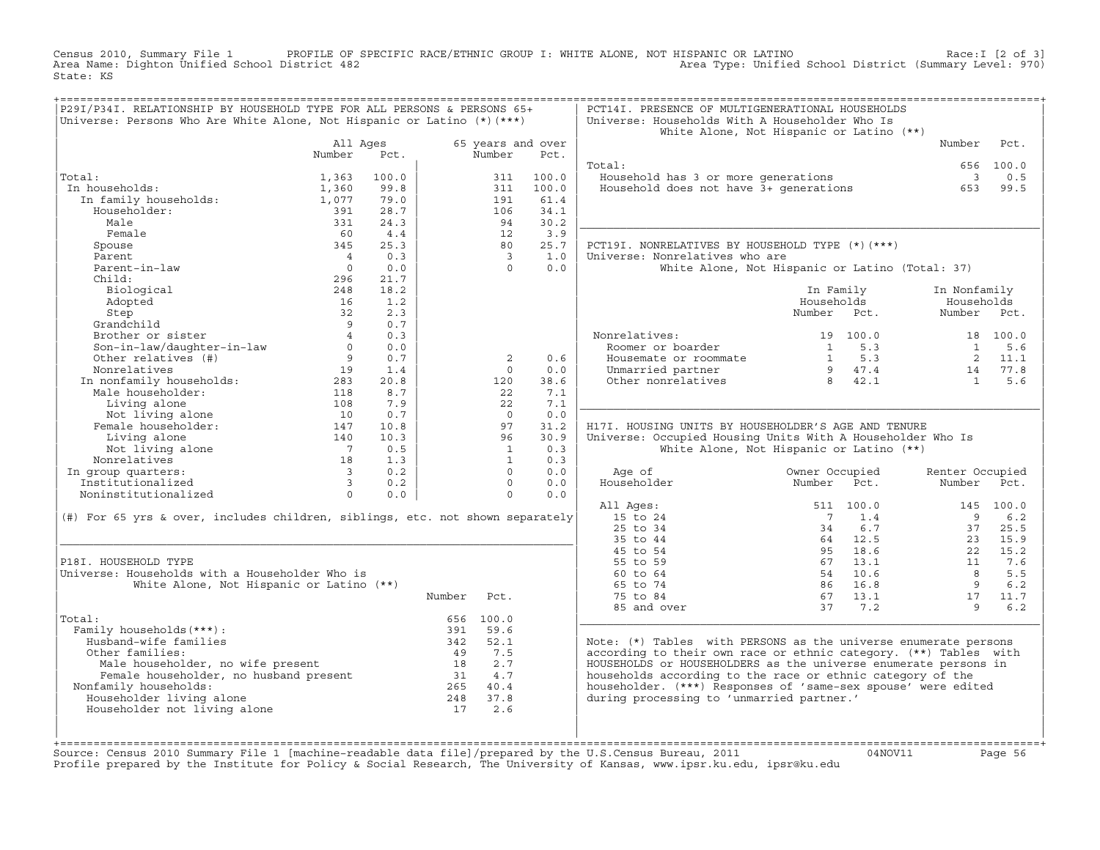Census 2010, Summary File 1 PROFILE OF SPECIFIC RACE/ETHNIC GROUP I: WHITE ALONE, NOT HISPANIC OR LATINO Race:I [2 of 3] Area Name: Dighton Unified School District 482 Area Type: Unified School District (Summary Level: 970) State: KS

| P29I/P34I. RELATIONSHIP BY HOUSEHOLD TYPE FOR ALL PERSONS & PERSONS 65+<br>Universe: Persons Who Are White Alone, Not Hispanic or Latino (*) (***) |                          |       |        |                |                           | PCT14I. PRESENCE OF MULTIGENERATIONAL HOUSEHOLDS<br>Universe: Households With A Householder Who Is | White Alone, Not Hispanic or Latino (**)        |                          |            |
|----------------------------------------------------------------------------------------------------------------------------------------------------|--------------------------|-------|--------|----------------|---------------------------|----------------------------------------------------------------------------------------------------|-------------------------------------------------|--------------------------|------------|
|                                                                                                                                                    | All Ages<br>Number       | Pct.  |        | Number         | 65 years and over<br>Pct. |                                                                                                    |                                                 | Number                   | Pct.       |
|                                                                                                                                                    |                          |       |        |                |                           | Total:                                                                                             |                                                 |                          | 656 100.0  |
| Total:                                                                                                                                             | 1,363                    | 100.0 |        | 311            | 100.0                     | Household has 3 or more generations                                                                |                                                 | $\overline{\phantom{a}}$ | 0.5        |
| In households:                                                                                                                                     | 1,360                    | 99.8  |        | 311            | 100.0                     | Household does not have 3+ generations                                                             |                                                 | 653                      | 99.5       |
| In family households:                                                                                                                              | 1,077                    | 79.0  |        | 191            | 61.4                      |                                                                                                    |                                                 |                          |            |
| Householder:                                                                                                                                       | 391                      | 28.7  |        | 106            | 34.1                      |                                                                                                    |                                                 |                          |            |
| Male                                                                                                                                               | 331                      | 24.3  |        | 94             | 30.2                      |                                                                                                    |                                                 |                          |            |
| Female                                                                                                                                             | 60                       | 4.4   |        | 12             | 3.9                       |                                                                                                    |                                                 |                          |            |
| Spouse                                                                                                                                             | 345                      | 25.3  |        | 80             | 25.7                      | PCT19I. NONRELATIVES BY HOUSEHOLD TYPE (*)(***)                                                    |                                                 |                          |            |
| Parent                                                                                                                                             | $\overline{4}$           | 0.3   |        | $\overline{3}$ | 1.0                       | Universe: Nonrelatives who are                                                                     |                                                 |                          |            |
| Parent-in-law                                                                                                                                      | $\overline{0}$           | 0.0   |        | $\Omega$       | 0.0                       |                                                                                                    | White Alone, Not Hispanic or Latino (Total: 37) |                          |            |
| Child:                                                                                                                                             | 296                      | 21.7  |        |                |                           |                                                                                                    |                                                 |                          |            |
| Biological                                                                                                                                         | 248                      | 18.2  |        |                |                           |                                                                                                    | In Family                                       | In Nonfamily             |            |
| Adopted                                                                                                                                            | 16                       | 1.2   |        |                |                           |                                                                                                    | Households                                      | Households               |            |
| Step                                                                                                                                               | 32                       | 2.3   |        |                |                           |                                                                                                    | Number Pct.                                     | Number Pct.              |            |
| Grandchild                                                                                                                                         | $\overline{9}$           | 0.7   |        |                |                           |                                                                                                    |                                                 |                          |            |
| Brother or sister                                                                                                                                  |                          | 0.3   |        |                |                           | Nonrelatives:                                                                                      | 19 100.0                                        |                          | 18 100.0   |
| Son-in-law/daughter-in-law                                                                                                                         | $\Omega$                 | 0.0   |        |                |                           | Roomer or boarder                                                                                  | 5.3<br>$\mathbf{1}$                             | 1                        | 5.6        |
| Other relatives (#)                                                                                                                                | 9                        | 0.7   |        | 2              | 0.6                       | Housemate or roommate                                                                              | $1 \quad 5.3$                                   | $\overline{2}$           | 11.1       |
| Nonrelatives<br>In nonfamily households:<br>Concluder:                                                                                             | 19                       | 1.4   |        | $\Omega$       | 0.0                       | Unmarried partner                                                                                  | 9 47.4                                          | 14                       | 77.8       |
|                                                                                                                                                    | 283                      | 20.8  |        | 120            | 38.6                      | Other nonrelatives                                                                                 | 8 42.1                                          | $\overline{1}$           | 5.6        |
|                                                                                                                                                    | 118                      | 8.7   |        | 22             | 7.1                       |                                                                                                    |                                                 |                          |            |
| Living alone                                                                                                                                       | 108                      | 7.9   |        | 22             | 7.1                       |                                                                                                    |                                                 |                          |            |
| Not living alone                                                                                                                                   | 10                       | 0.7   |        | $\Omega$       | 0.0                       |                                                                                                    |                                                 |                          |            |
| Female householder:                                                                                                                                | 147                      | 10.8  |        | 97             | 31.2                      | H17I. HOUSING UNITS BY HOUSEHOLDER'S AGE AND TENURE                                                |                                                 |                          |            |
| Living alone                                                                                                                                       | 140                      | 10.3  |        | 96             | 30.9                      | Universe: Occupied Housing Units With A Householder Who Is                                         |                                                 |                          |            |
| Not living alone                                                                                                                                   | $7\overline{7}$          | 0.5   |        | $\mathbf{1}$   | 0.3                       |                                                                                                    | White Alone, Not Hispanic or Latino (**)        |                          |            |
| Nonrelatives                                                                                                                                       | 18                       | 1.3   |        | 1              | 0.3                       |                                                                                                    |                                                 |                          |            |
| In group quarters:                                                                                                                                 | $\overline{3}$           | 0.2   |        | $\Omega$       | 0.0                       | Age of                                                                                             | Owner Occupied                                  | Renter Occupied          |            |
| Institutionalized                                                                                                                                  | $\overline{\phantom{a}}$ | 0.2   |        | $\Omega$       | 0.0                       | Householder                                                                                        | Number<br>Pct.                                  | Number                   | Pct.       |
| Noninstitutionalized                                                                                                                               | $\Omega$                 | 0.0   |        | $\Omega$       | 0.0                       |                                                                                                    |                                                 |                          |            |
|                                                                                                                                                    |                          |       |        |                |                           | All Ages:                                                                                          | 511 100.0                                       |                          | 145 100.0  |
| (#) For 65 yrs & over, includes children, siblings, etc. not shown separately                                                                      |                          |       |        |                |                           | 15 to 24                                                                                           | $\overline{7}$<br>1.4                           | 9                        | 6.2        |
|                                                                                                                                                    |                          |       |        |                |                           | 25 to 34                                                                                           | 6.7<br>34                                       | 37                       | 25.5       |
|                                                                                                                                                    |                          |       |        |                |                           | 35 to 44                                                                                           | 64 12.5                                         | 23                       | 15.9       |
|                                                                                                                                                    |                          |       |        |                |                           | 45 to 54                                                                                           | 95 18.6                                         | 22                       | 15.2       |
| P18I. HOUSEHOLD TYPE<br>Universe: Households with a Householder Who is                                                                             |                          |       |        |                |                           | 55 to 59<br>60 to 64                                                                               | 67<br>13.1<br>54<br>10.6                        | 11<br>$\overline{R}$     | 7.6<br>5.5 |
| White Alone, Not Hispanic or Latino (**)                                                                                                           |                          |       |        |                |                           | 65 to 74                                                                                           | 16.8<br>86                                      | $\overline{9}$           | 6.2        |
|                                                                                                                                                    |                          |       |        |                |                           | 75 to 84                                                                                           | 67 13.1                                         | 17                       | 11.7       |
|                                                                                                                                                    |                          |       | Number | Pct.           |                           |                                                                                                    | 37<br>7.2                                       | $\mathsf{Q}$             |            |
| Total:                                                                                                                                             |                          |       |        | 656 100.0      |                           | 85 and over                                                                                        |                                                 |                          | 6.2        |
| Family households (***) :                                                                                                                          |                          |       | 391    | 59.6           |                           |                                                                                                    |                                                 |                          |            |
| Husband-wife families                                                                                                                              |                          |       | 342    | 52.1           |                           | Note: $(*)$ Tables with PERSONS as the universe enumerate persons                                  |                                                 |                          |            |
| Other families:                                                                                                                                    |                          |       | 49     | 7.5            |                           | according to their own race or ethnic category. (**) Tables with                                   |                                                 |                          |            |
| Male householder, no wife present                                                                                                                  |                          |       | 18     | 2.7            |                           | HOUSEHOLDS or HOUSEHOLDERS as the universe enumerate persons in                                    |                                                 |                          |            |
| Female householder, no husband present                                                                                                             |                          |       |        | 31 4.7         |                           | households according to the race or ethnic category of the                                         |                                                 |                          |            |
| Nonfamily households:                                                                                                                              |                          |       |        | 265 40.4       |                           | householder. (***) Responses of 'same-sex spouse' were edited                                      |                                                 |                          |            |
| Householder living alone                                                                                                                           |                          |       | 248    | 37.8           |                           | during processing to 'unmarried partner.'                                                          |                                                 |                          |            |
| Householder not living alone                                                                                                                       |                          |       | 17     | 2.6            |                           |                                                                                                    |                                                 |                          |            |
|                                                                                                                                                    |                          |       |        |                |                           |                                                                                                    |                                                 |                          |            |
|                                                                                                                                                    |                          |       |        |                |                           |                                                                                                    |                                                 |                          |            |
|                                                                                                                                                    |                          |       |        |                |                           |                                                                                                    |                                                 |                          |            |

+===================================================================================================================================================+Source: Census 2010 Summary File 1 [machine−readable data file]/prepared by the U.S.Census Bureau, 2011 04NOV11 Page 56 Profile prepared by the Institute for Policy & Social Research, The University of Kansas, www.ipsr.ku.edu, ipsr@ku.edu